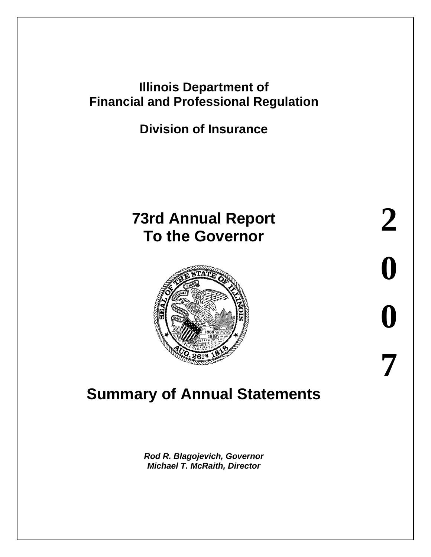## **Illinois Department of Financial and Professional Regulation**

**Division of Insurance**

# **73rd Annual Report To the Governor**



# **Summary of Annual Statements**

*Rod R. Blagojevich, Governor Michael T. McRaith, Director*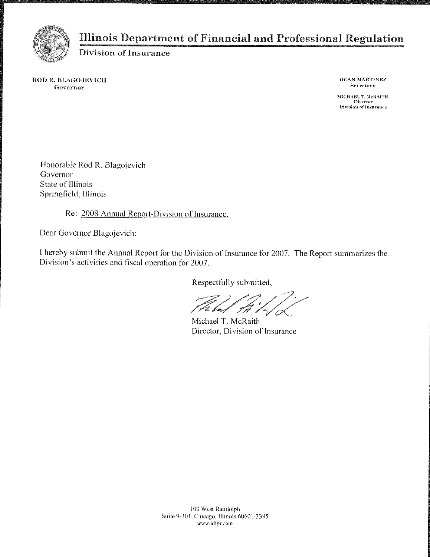

#### Illinois Department of Financial and Professional Regulation

Division of Insurance

ROD R. BLAGOJEVICH Governor

DEAN MARTINEZ Secretary

MICHAEL T. McRAITH Director<br>Division of Insurance

Honorable Rod R. Blagojevich Governor State of Illinois Springfield, Illinois

Re: 2008 Annual Report-Division of Insurance.

Dear Governor Blagojevich:

I hereby submit the Annual Report for the Division of Insurance for 2007. The Report summarizes the Division's activities and fiscal operation for 2007.

Respectfully submitted,

E loaz

Michael T. McRaith Director, Division of Insurance

100 West Randolph Suite 9-301, Chicago, Illinois 60601-3395 www.idfpr.com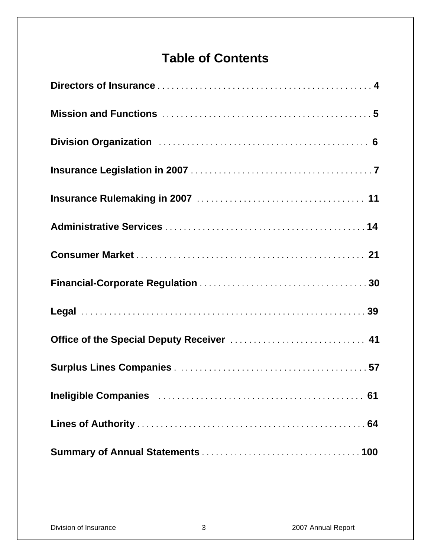# **Table of Contents**

| Office of the Special Deputy Receiver  41                                                    |
|----------------------------------------------------------------------------------------------|
|                                                                                              |
| Ineligible Companies Material Companies Access Communications of the International Companies |
|                                                                                              |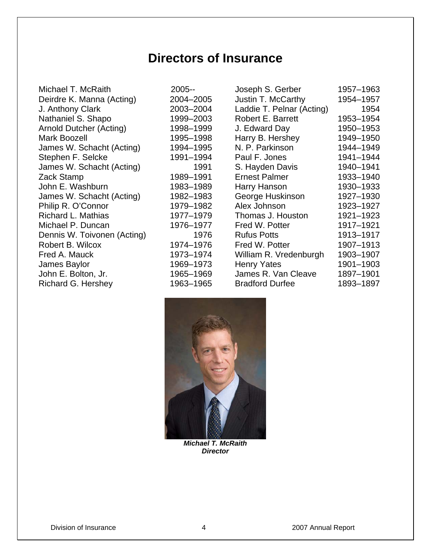## **Directors of Insurance**

Michael T. McRaith Deirdre K. Manna (Acting) J. Anthony Clark Nathaniel S. Shapo Arnold Dutcher (Acting) Mark Boozell James W. Schacht (Acting) Stephen F. Selcke James W. Schacht (Acting) Zack Stamp John E. Washburn James W. Schacht (Acting) Philip R. O'Connor Richard L. Mathias Michael P. Duncan Dennis W. Toivonen (Acting) Robert B. Wilcox Fred A. Mauck James Baylor John E. Bolton, Jr. Richard G. Hershey 1963–1965

| 2005--    |
|-----------|
| 2004-2005 |
| 2003-2004 |
| 1999-2003 |
| 1998-1999 |
| 1995–1998 |
| 1994-1995 |
| 1991–1994 |
| 1991      |
| 1989–1991 |
| 1983–1989 |
| 1982–1983 |
| 1979–1982 |
| 1977–1979 |
| 1976–1977 |
| 1976      |
| 1974–1976 |
| 1973–1974 |
| 1969–1973 |
| 1965–1969 |
| 1063_1065 |

| Joseph S. Gerber          | 1957-1963 |
|---------------------------|-----------|
| Justin T. McCarthy        | 1954-1957 |
| Laddie T. Pelnar (Acting) | 1954      |
| <b>Robert E. Barrett</b>  | 1953-1954 |
| J. Edward Day             | 1950–1953 |
| Harry B. Hershey          | 1949–1950 |
| N. P. Parkinson           | 1944-1949 |
| Paul F. Jones             | 1941-1944 |
| S. Hayden Davis           | 1940-1941 |
| <b>Ernest Palmer</b>      | 1933-1940 |
| Harry Hanson              | 1930-1933 |
| George Huskinson          | 1927-1930 |
| Alex Johnson              | 1923-1927 |
| Thomas J. Houston         | 1921-1923 |
| Fred W. Potter            | 1917-1921 |
| <b>Rufus Potts</b>        | 1913-1917 |
| Fred W. Potter            | 1907-1913 |
| William R. Vredenburgh    | 1903-1907 |
| <b>Henry Yates</b>        | 1901-1903 |
| James R. Van Cleave       | 1897-1901 |
| <b>Bradford Durfee</b>    | 1893-1897 |



*Michael T. McRaith Director*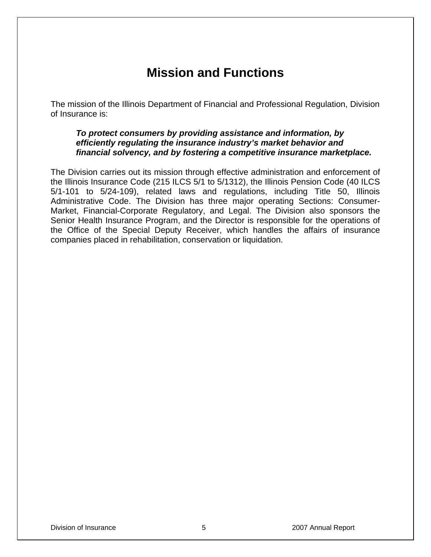## **Mission and Functions**

The mission of the Illinois Department of Financial and Professional Regulation, Division of Insurance is:

#### *To protect consumers by providing assistance and information, by efficiently regulating the insurance industry's market behavior and financial solvency, and by fostering a competitive insurance marketplace.*

The Division carries out its mission through effective administration and enforcement of the Illinois Insurance Code (215 ILCS 5/1 to 5/1312), the Illinois Pension Code (40 ILCS 5/1-101 to 5/24-109), related laws and regulations, including Title 50, Illinois Administrative Code. The Division has three major operating Sections: Consumer-Market, Financial-Corporate Regulatory, and Legal. The Division also sponsors the Senior Health Insurance Program, and the Director is responsible for the operations of the Office of the Special Deputy Receiver, which handles the affairs of insurance companies placed in rehabilitation, conservation or liquidation.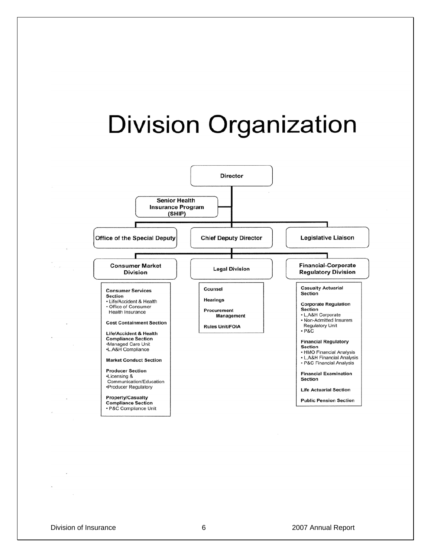

Division of Insurance 6 2007 Annual Report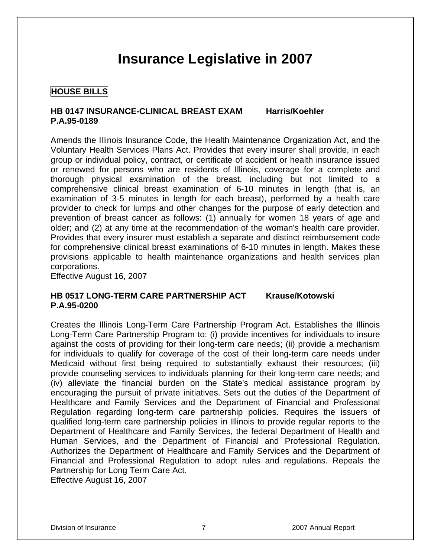# **Insurance Legislative in 2007**

#### **HOUSE BILLS**

#### **HB 0147 INSURANCE-CLINICAL BREAST EXAM Harris/Koehler P.A.95-0189**

Amends the Illinois Insurance Code, the Health Maintenance Organization Act, and the Voluntary Health Services Plans Act. Provides that every insurer shall provide, in each group or individual policy, contract, or certificate of accident or health insurance issued or renewed for persons who are residents of Illinois, coverage for a complete and thorough physical examination of the breast, including but not limited to a comprehensive clinical breast examination of 6-10 minutes in length (that is, an examination of 3-5 minutes in length for each breast), performed by a health care provider to check for lumps and other changes for the purpose of early detection and prevention of breast cancer as follows: (1) annually for women 18 years of age and older; and (2) at any time at the recommendation of the woman's health care provider. Provides that every insurer must establish a separate and distinct reimbursement code for comprehensive clinical breast examinations of 6-10 minutes in length. Makes these provisions applicable to health maintenance organizations and health services plan corporations.

Effective August 16, 2007

#### **HB 0517 LONG-TERM CARE PARTNERSHIP ACT Krause/Kotowski P.A.95-0200**

Creates the Illinois Long-Term Care Partnership Program Act. Establishes the Illinois Long-Term Care Partnership Program to: (i) provide incentives for individuals to insure against the costs of providing for their long-term care needs; (ii) provide a mechanism for individuals to qualify for coverage of the cost of their long-term care needs under Medicaid without first being required to substantially exhaust their resources; (iii) provide counseling services to individuals planning for their long-term care needs; and (iv) alleviate the financial burden on the State's medical assistance program by encouraging the pursuit of private initiatives. Sets out the duties of the Department of Healthcare and Family Services and the Department of Financial and Professional Regulation regarding long-term care partnership policies. Requires the issuers of qualified long-term care partnership policies in Illinois to provide regular reports to the Department of Healthcare and Family Services, the federal Department of Health and Human Services, and the Department of Financial and Professional Regulation. Authorizes the Department of Healthcare and Family Services and the Department of Financial and Professional Regulation to adopt rules and regulations. Repeals the Partnership for Long Term Care Act.

Effective August 16, 2007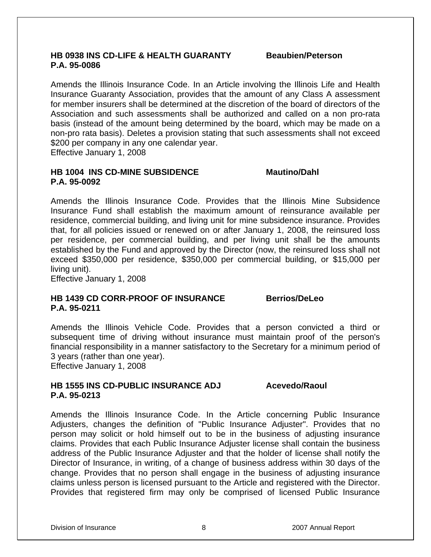#### **HB 0938 INS CD-LIFE & HEALTH GUARANTY Beaubien/Peterson P.A. 95-0086**

Amends the Illinois Insurance Code. In an Article involving the Illinois Life and Health Insurance Guaranty Association, provides that the amount of any Class A assessment for member insurers shall be determined at the discretion of the board of directors of the Association and such assessments shall be authorized and called on a non pro-rata basis (instead of the amount being determined by the board, which may be made on a non-pro rata basis). Deletes a provision stating that such assessments shall not exceed \$200 per company in any one calendar year. Effective January 1, 2008

**HB 1004 INS CD-MINE SUBSIDENCE Mautino/Dahl P.A. 95-0092** 

Amends the Illinois Insurance Code. Provides that the Illinois Mine Subsidence Insurance Fund shall establish the maximum amount of reinsurance available per residence, commercial building, and living unit for mine subsidence insurance. Provides that, for all policies issued or renewed on or after January 1, 2008, the reinsured loss per residence, per commercial building, and per living unit shall be the amounts established by the Fund and approved by the Director (now, the reinsured loss shall not exceed \$350,000 per residence, \$350,000 per commercial building, or \$15,000 per living unit).

Effective January 1, 2008

#### **HB 1439 CD CORR-PROOF OF INSURANCE Berrios/DeLeo P.A. 95-0211**

Amends the Illinois Vehicle Code. Provides that a person convicted a third or subsequent time of driving without insurance must maintain proof of the person's financial responsibility in a manner satisfactory to the Secretary for a minimum period of 3 years (rather than one year).

Effective January 1, 2008

#### **HB 1555 INS CD-PUBLIC INSURANCE ADJ Acevedo/Raoul P.A. 95-0213**

Amends the Illinois Insurance Code. In the Article concerning Public Insurance Adjusters, changes the definition of "Public Insurance Adjuster". Provides that no person may solicit or hold himself out to be in the business of adjusting insurance claims. Provides that each Public Insurance Adjuster license shall contain the business address of the Public Insurance Adjuster and that the holder of license shall notify the Director of Insurance, in writing, of a change of business address within 30 days of the change. Provides that no person shall engage in the business of adjusting insurance claims unless person is licensed pursuant to the Article and registered with the Director. Provides that registered firm may only be comprised of licensed Public Insurance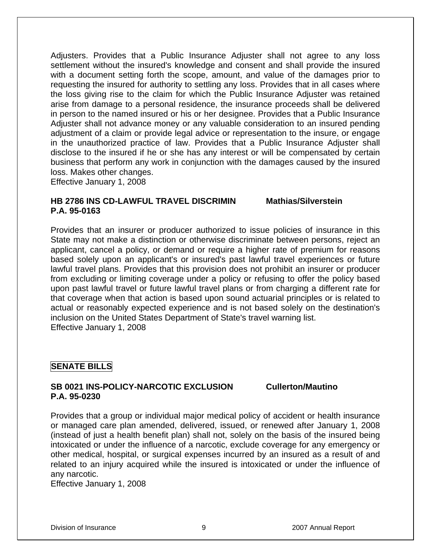Adjusters. Provides that a Public Insurance Adjuster shall not agree to any loss settlement without the insured's knowledge and consent and shall provide the insured with a document setting forth the scope, amount, and value of the damages prior to requesting the insured for authority to settling any loss. Provides that in all cases where the loss giving rise to the claim for which the Public Insurance Adjuster was retained arise from damage to a personal residence, the insurance proceeds shall be delivered in person to the named insured or his or her designee. Provides that a Public Insurance Adjuster shall not advance money or any valuable consideration to an insured pending adjustment of a claim or provide legal advice or representation to the insure, or engage in the unauthorized practice of law. Provides that a Public Insurance Adjuster shall disclose to the insured if he or she has any interest or will be compensated by certain business that perform any work in conjunction with the damages caused by the insured loss. Makes other changes.

Effective January 1, 2008

#### **HB 2786 INS CD-LAWFUL TRAVEL DISCRIMIN Mathias/Silverstein P.A. 95-0163**

Provides that an insurer or producer authorized to issue policies of insurance in this State may not make a distinction or otherwise discriminate between persons, reject an applicant, cancel a policy, or demand or require a higher rate of premium for reasons based solely upon an applicant's or insured's past lawful travel experiences or future lawful travel plans. Provides that this provision does not prohibit an insurer or producer from excluding or limiting coverage under a policy or refusing to offer the policy based upon past lawful travel or future lawful travel plans or from charging a different rate for that coverage when that action is based upon sound actuarial principles or is related to actual or reasonably expected experience and is not based solely on the destination's inclusion on the United States Department of State's travel warning list. Effective January 1, 2008

#### **SENATE BILLS**

#### **SB 0021 INS-POLICY-NARCOTIC EXCLUSION Cullerton/Mautino P.A. 95-0230**

Provides that a group or individual major medical policy of accident or health insurance or managed care plan amended, delivered, issued, or renewed after January 1, 2008 (instead of just a health benefit plan) shall not, solely on the basis of the insured being intoxicated or under the influence of a narcotic, exclude coverage for any emergency or other medical, hospital, or surgical expenses incurred by an insured as a result of and related to an injury acquired while the insured is intoxicated or under the influence of any narcotic.

Effective January 1, 2008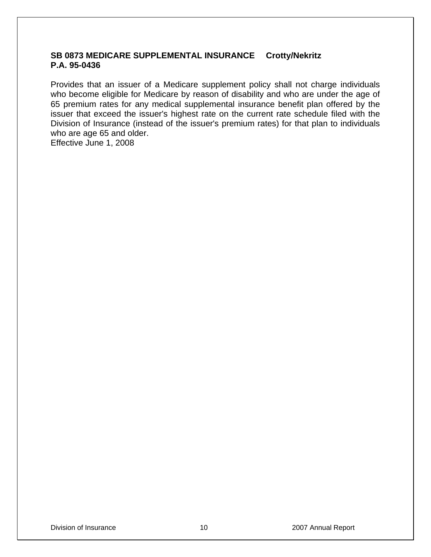#### **SB 0873 MEDICARE SUPPLEMENTAL INSURANCE Crotty/Nekritz P.A. 95-0436**

Provides that an issuer of a Medicare supplement policy shall not charge individuals who become eligible for Medicare by reason of disability and who are under the age of 65 premium rates for any medical supplemental insurance benefit plan offered by the issuer that exceed the issuer's highest rate on the current rate schedule filed with the Division of Insurance (instead of the issuer's premium rates) for that plan to individuals who are age 65 and older.

Effective June 1, 2008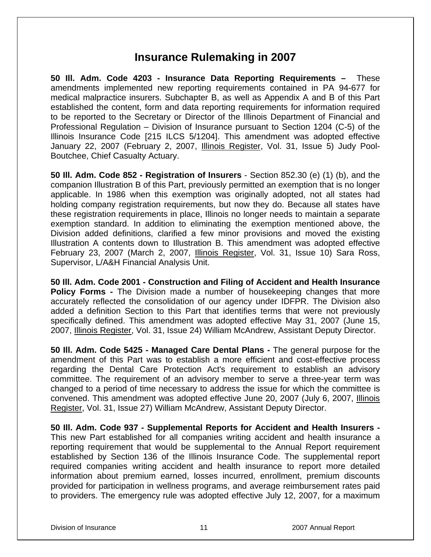## **Insurance Rulemaking in 2007**

**50 Ill. Adm. Code 4203 - Insurance Data Reporting Requirements –** These amendments implemented new reporting requirements contained in PA 94-677 for medical malpractice insurers. Subchapter B, as well as Appendix A and B of this Part established the content, form and data reporting requirements for information required to be reported to the Secretary or Director of the Illinois Department of Financial and Professional Regulation – Division of Insurance pursuant to Section 1204 (C-5) of the Illinois Insurance Code [215 ILCS 5/1204]. This amendment was adopted effective January 22, 2007 (February 2, 2007, Illinois Register, Vol. 31, Issue 5) Judy Pool-Boutchee, Chief Casualty Actuary.

**50 Ill. Adm. Code 852 - Registration of Insurers** - Section 852.30 (e) (1) (b), and the companion Illustration B of this Part, previously permitted an exemption that is no longer applicable. In 1986 when this exemption was originally adopted, not all states had holding company registration requirements, but now they do. Because all states have these registration requirements in place, Illinois no longer needs to maintain a separate exemption standard. In addition to eliminating the exemption mentioned above, the Division added definitions, clarified a few minor provisions and moved the existing Illustration A contents down to Illustration B. This amendment was adopted effective February 23, 2007 (March 2, 2007, Illinois Register, Vol. 31, Issue 10) Sara Ross, Supervisor, L/A&H Financial Analysis Unit.

**50 Ill. Adm. Code 2001 - Construction and Filing of Accident and Health Insurance Policy Forms -** The Division made a number of housekeeping changes that more accurately reflected the consolidation of our agency under IDFPR. The Division also added a definition Section to this Part that identifies terms that were not previously specifically defined. This amendment was adopted effective May 31, 2007 (June 15, 2007, Illinois Register, Vol. 31, Issue 24) William McAndrew, Assistant Deputy Director.

**50 Ill. Adm. Code 5425 - Managed Care Dental Plans -** The general purpose for the amendment of this Part was to establish a more efficient and cost-effective process regarding the Dental Care Protection Act's requirement to establish an advisory committee. The requirement of an advisory member to serve a three-year term was changed to a period of time necessary to address the issue for which the committee is convened. This amendment was adopted effective June 20, 2007 (July 6, 2007, Illinois Register, Vol. 31, Issue 27) William McAndrew, Assistant Deputy Director.

**50 Ill. Adm. Code 937 - Supplemental Reports for Accident and Health Insurers -**  This new Part established for all companies writing accident and health insurance a reporting requirement that would be supplemental to the Annual Report requirement established by Section 136 of the Illinois Insurance Code. The supplemental report required companies writing accident and health insurance to report more detailed information about premium earned, losses incurred, enrollment, premium discounts provided for participation in wellness programs, and average reimbursement rates paid to providers. The emergency rule was adopted effective July 12, 2007, for a maximum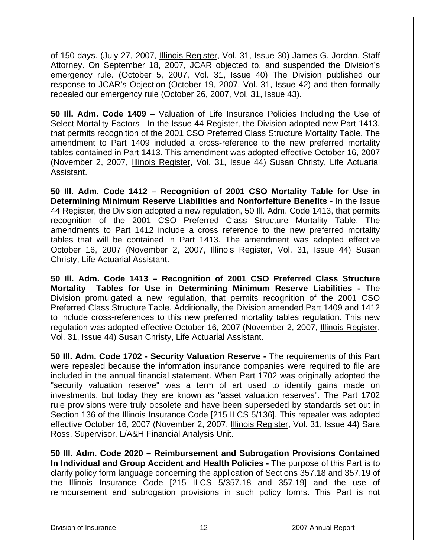of 150 days. (July 27, 2007, *Illinois Register*, Vol. 31, Issue 30) James G. Jordan, Staff Attorney. On September 18, 2007, JCAR objected to, and suspended the Division's emergency rule. (October 5, 2007, Vol. 31, Issue 40) The Division published our response to JCAR's Objection (October 19, 2007, Vol. 31, Issue 42) and then formally repealed our emergency rule (October 26, 2007, Vol. 31, Issue 43).

**50 Ill. Adm. Code 1409 –** Valuation of Life Insurance Policies Including the Use of Select Mortality Factors - In the Issue 44 Register, the Division adopted new Part 1413, that permits recognition of the 2001 CSO Preferred Class Structure Mortality Table. The amendment to Part 1409 included a cross-reference to the new preferred mortality tables contained in Part 1413. This amendment was adopted effective October 16, 2007 (November 2, 2007, Illinois Register, Vol. 31, Issue 44) Susan Christy, Life Actuarial Assistant.

**50 Ill. Adm. Code 1412 – Recognition of 2001 CSO Mortality Table for Use in Determining Minimum Reserve Liabilities and Nonforfeiture Benefits -** In the Issue 44 Register, the Division adopted a new regulation, 50 Ill. Adm. Code 1413, that permits recognition of the 2001 CSO Preferred Class Structure Mortality Table. The amendments to Part 1412 include a cross reference to the new preferred mortality tables that will be contained in Part 1413. The amendment was adopted effective October 16, 2007 (November 2, 2007, Illinois Register, Vol. 31, Issue 44) Susan Christy, Life Actuarial Assistant.

**50 Ill. Adm. Code 1413 – Recognition of 2001 CSO Preferred Class Structure Mortality Tables for Use in Determining Minimum Reserve Liabilities -** The Division promulgated a new regulation, that permits recognition of the 2001 CSO Preferred Class Structure Table. Additionally, the Division amended Part 1409 and 1412 to include cross-references to this new preferred mortality tables regulation. This new regulation was adopted effective October 16, 2007 (November 2, 2007, Illinois Register, Vol. 31, Issue 44) Susan Christy, Life Actuarial Assistant.

**50 Ill. Adm. Code 1702 - Security Valuation Reserve -** The requirements of this Part were repealed because the information insurance companies were required to file are included in the annual financial statement. When Part 1702 was originally adopted the "security valuation reserve" was a term of art used to identify gains made on investments, but today they are known as "asset valuation reserves". The Part 1702 rule provisions were truly obsolete and have been superseded by standards set out in Section 136 of the Illinois Insurance Code [215 ILCS 5/136]. This repealer was adopted effective October 16, 2007 (November 2, 2007, Illinois Register, Vol. 31, Issue 44) Sara Ross, Supervisor, L/A&H Financial Analysis Unit.

**50 Ill. Adm. Code 2020 – Reimbursement and Subrogation Provisions Contained In Individual and Group Accident and Health Policies -** The purpose of this Part is to clarify policy form language concerning the application of Sections 357.18 and 357.19 of the Illinois Insurance Code [215 ILCS 5/357.18 and 357.19] and the use of reimbursement and subrogation provisions in such policy forms. This Part is not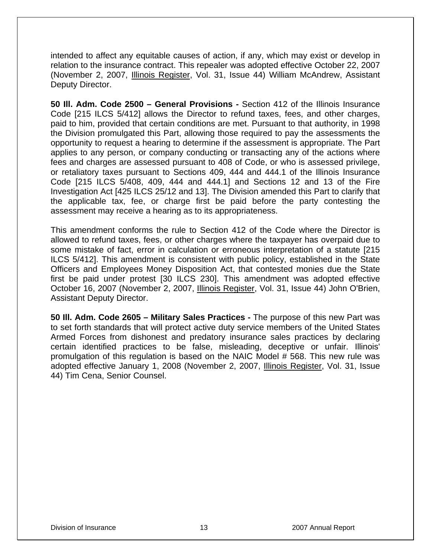intended to affect any equitable causes of action, if any, which may exist or develop in relation to the insurance contract. This repealer was adopted effective October 22, 2007 (November 2, 2007, Illinois Register, Vol. 31, Issue 44) William McAndrew, Assistant Deputy Director.

**50 Ill. Adm. Code 2500 – General Provisions -** Section 412 of the Illinois Insurance Code [215 ILCS 5/412] allows the Director to refund taxes, fees, and other charges, paid to him, provided that certain conditions are met. Pursuant to that authority, in 1998 the Division promulgated this Part, allowing those required to pay the assessments the opportunity to request a hearing to determine if the assessment is appropriate. The Part applies to any person, or company conducting or transacting any of the actions where fees and charges are assessed pursuant to 408 of Code, or who is assessed privilege, or retaliatory taxes pursuant to Sections 409, 444 and 444.1 of the Illinois Insurance Code [215 ILCS 5/408, 409, 444 and 444.1] and Sections 12 and 13 of the Fire Investigation Act [425 ILCS 25/12 and 13]. The Division amended this Part to clarify that the applicable tax, fee, or charge first be paid before the party contesting the assessment may receive a hearing as to its appropriateness.

This amendment conforms the rule to Section 412 of the Code where the Director is allowed to refund taxes, fees, or other charges where the taxpayer has overpaid due to some mistake of fact, error in calculation or erroneous interpretation of a statute [215 ILCS 5/412]. This amendment is consistent with public policy, established in the State Officers and Employees Money Disposition Act, that contested monies due the State first be paid under protest [30 ILCS 230]. This amendment was adopted effective October 16, 2007 (November 2, 2007, Illinois Register, Vol. 31, Issue 44) John O'Brien, Assistant Deputy Director.

**50 Ill. Adm. Code 2605 – Military Sales Practices -** The purpose of this new Part was to set forth standards that will protect active duty service members of the United States Armed Forces from dishonest and predatory insurance sales practices by declaring certain identified practices to be false, misleading, deceptive or unfair. Illinois' promulgation of this regulation is based on the NAIC Model # 568. This new rule was adopted effective January 1, 2008 (November 2, 2007, Illinois Register, Vol. 31, Issue 44) Tim Cena, Senior Counsel.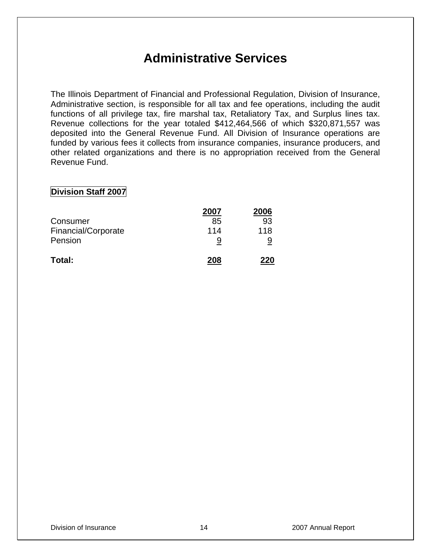## **Administrative Services**

The Illinois Department of Financial and Professional Regulation, Division of Insurance, Administrative section, is responsible for all tax and fee operations, including the audit functions of all privilege tax, fire marshal tax, Retaliatory Tax, and Surplus lines tax. Revenue collections for the year totaled \$412,464,566 of which \$320,871,557 was deposited into the General Revenue Fund. All Division of Insurance operations are funded by various fees it collects from insurance companies, insurance producers, and other related organizations and there is no appropriation received from the General Revenue Fund.

#### **Division Staff 2007**

|                     | 2007 | 2006 |
|---------------------|------|------|
| Consumer            | 85   | 93   |
| Financial/Corporate | 114  | 118  |
| Pension             |      | 9    |
| Total:              | 208  | 220  |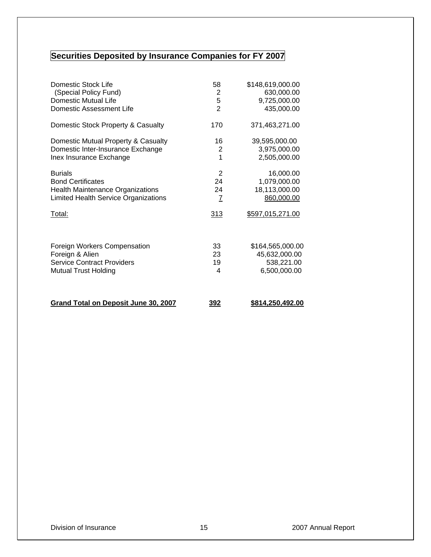## **Securities Deposited by Insurance Companies for FY 2007**

| Domestic Stock Life                         | 58             | \$148,619,000.00 |
|---------------------------------------------|----------------|------------------|
| (Special Policy Fund)                       | 2              | 630,000.00       |
| Domestic Mutual Life                        | 5              | 9,725,000.00     |
| Domestic Assessment Life                    | $\overline{2}$ | 435,000.00       |
| Domestic Stock Property & Casualty          | 170            | 371,463,271.00   |
| Domestic Mutual Property & Casualty         | 16             | 39,595,000.00    |
| Domestic Inter-Insurance Exchange           | $\overline{2}$ | 3,975,000.00     |
| Inex Insurance Exchange                     | 1              | 2,505,000.00     |
| <b>Burials</b>                              | 2              | 16,000.00        |
| <b>Bond Certificates</b>                    | 24             | 1,079,000.00     |
| <b>Health Maintenance Organizations</b>     | 24             | 18,113,000.00    |
| <b>Limited Health Service Organizations</b> | $\overline{1}$ | 860,000.00       |
| Total:                                      | 313            | \$597,015,271.00 |
| Foreign Workers Compensation                | 33             | \$164,565,000.00 |
| Foreign & Alien                             | 23             | 45,632,000.00    |
| <b>Service Contract Providers</b>           | 19             | 538,221.00       |
| <b>Mutual Trust Holding</b>                 | 4              | 6,500,000.00     |
|                                             |                |                  |
| <b>Grand Total on Deposit June 30, 2007</b> | <u>392</u>     | \$814,250,492.00 |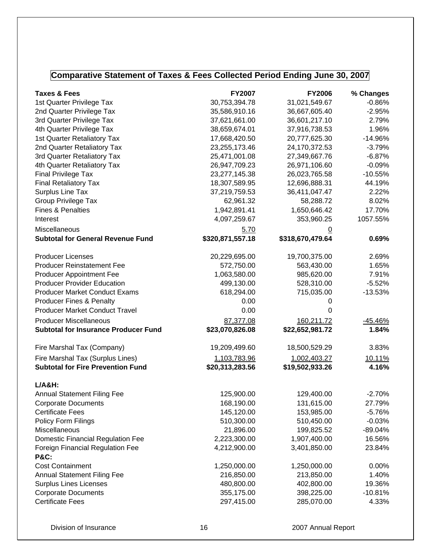## **Comparative Statement of Taxes & Fees Collected Period Ending June 30, 2007**

| <b>Taxes &amp; Fees</b>                             | <b>FY2007</b>    | <b>FY2006</b>    | % Changes      |
|-----------------------------------------------------|------------------|------------------|----------------|
| 1st Quarter Privilege Tax                           | 30,753,394.78    | 31,021,549.67    | $-0.86%$       |
| 2nd Quarter Privilege Tax                           | 35,586,910.16    | 36,667,605.40    | $-2.95%$       |
| 3rd Quarter Privilege Tax                           | 37,621,661.00    | 36,601,217.10    | 2.79%          |
| 4th Quarter Privilege Tax                           | 38,659,674.01    | 37,916,738.53    | 1.96%          |
| 1st Quarter Retaliatory Tax                         | 17,668,420.50    | 20,777,625.30    | $-14.96%$      |
| 2nd Quarter Retaliatory Tax                         | 23,255,173.46    | 24,170,372.53    | $-3.79%$       |
| 3rd Quarter Retaliatory Tax                         | 25,471,001.08    | 27,349,667.76    | $-6.87%$       |
| 4th Quarter Retaliatory Tax                         | 26,947,709.23    | 26,971,106.60    | $-0.09%$       |
| Final Privilege Tax                                 | 23,277,145.38    | 26,023,765.58    | $-10.55%$      |
| <b>Final Retaliatory Tax</b>                        | 18,307,589.95    | 12,696,888.31    | 44.19%         |
| Surplus Line Tax                                    | 37,219,759.53    | 36,411,047.47    | 2.22%          |
| <b>Group Privilege Tax</b>                          | 62,961.32        | 58,288.72        | 8.02%          |
| <b>Fines &amp; Penalties</b>                        | 1,942,891.41     | 1,650,646.42     | 17.70%         |
| Interest                                            | 4,097,259.67     | 353,960.25       | 1057.55%       |
| Miscellaneous                                       | 5.70             | <u>0</u>         |                |
| <b>Subtotal for General Revenue Fund</b>            | \$320,871,557.18 | \$318,670,479.64 | 0.69%          |
| <b>Producer Licenses</b>                            | 20,229,695.00    | 19,700,375.00    | 2.69%          |
| <b>Producer Reinstatement Fee</b>                   | 572,750.00       | 563,430.00       | 1.65%          |
| <b>Producer Appointment Fee</b>                     | 1,063,580.00     | 985,620.00       | 7.91%          |
| <b>Producer Provider Education</b>                  | 499,130.00       | 528,310.00       | $-5.52%$       |
| <b>Producer Market Conduct Exams</b>                | 618,294.00       | 715,035.00       | $-13.53%$      |
| <b>Producer Fines &amp; Penalty</b>                 | 0.00             | 0                |                |
| <b>Producer Market Conduct Travel</b>               | 0.00             | 0                |                |
| <b>Producer Miscellaneous</b>                       | 87,377.08        | 160,211.72       | <u>-45.46%</u> |
| <b>Subtotal for Insurance Producer Fund</b>         | \$23,070,826.08  | \$22,652,981.72  | 1.84%          |
| Fire Marshal Tax (Company)                          | 19,209,499.60    | 18,500,529.29    | 3.83%          |
| Fire Marshal Tax (Surplus Lines)                    | 1,103,783.96     | 1,002,403.27     | 10.11%         |
| <b>Subtotal for Fire Prevention Fund</b>            | \$20,313,283.56  | \$19,502,933.26  | 4.16%          |
|                                                     |                  |                  |                |
| $L/A&H$ :                                           |                  |                  |                |
| <b>Annual Statement Filing Fee</b>                  | 125,900.00       | 129,400.00       | $-2.70%$       |
| <b>Corporate Documents</b>                          | 168,190.00       | 131,615.00       | 27.79%         |
| <b>Certificate Fees</b>                             | 145,120.00       | 153,985.00       | $-5.76%$       |
| Policy Form Filings                                 | 510,300.00       | 510,450.00       | $-0.03%$       |
| Miscellaneous                                       | 21,896.00        | 199,825.52       | -89.04%        |
| <b>Domestic Financial Regulation Fee</b>            | 2,223,300.00     | 1,907,400.00     | 16.56%         |
| Foreign Financial Regulation Fee<br><b>P&amp;C:</b> | 4,212,900.00     | 3,401,850.00     | 23.84%         |
| <b>Cost Containment</b>                             | 1,250,000.00     | 1,250,000.00     | $0.00\%$       |
| <b>Annual Statement Filing Fee</b>                  | 216,850.00       | 213,850.00       | 1.40%          |
| <b>Surplus Lines Licenses</b>                       | 480,800.00       | 402,800.00       | 19.36%         |
| <b>Corporate Documents</b>                          | 355,175.00       | 398,225.00       | $-10.81%$      |
| <b>Certificate Fees</b>                             | 297,415.00       | 285,070.00       | 4.33%          |
|                                                     |                  |                  |                |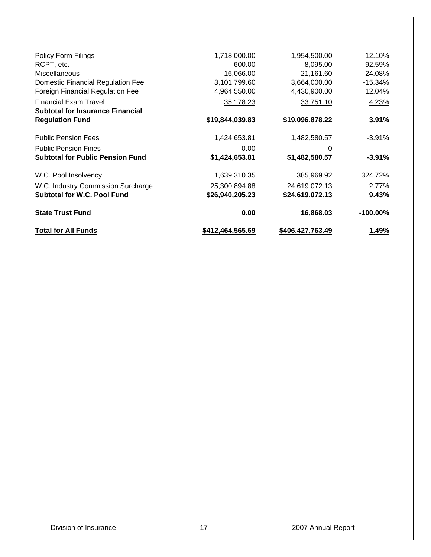| <b>Total for All Funds</b>                                        | \$412,464,565.69 | \$406,427,763.49 | 1.49%       |
|-------------------------------------------------------------------|------------------|------------------|-------------|
| <b>State Trust Fund</b>                                           | 0.00             | 16,868.03        | $-100.00\%$ |
| <b>Subtotal for W.C. Pool Fund</b>                                | \$26,940,205.23  | \$24,619,072.13  | 9.43%       |
| W.C. Industry Commission Surcharge                                | 25,300,894.88    | 24,619,072.13    | 2.77%       |
| W.C. Pool Insolvency                                              | 1,639,310.35     | 385,969.92       | 324.72%     |
| <b>Subtotal for Public Pension Fund</b>                           | \$1,424,653.81   | \$1,482,580.57   | $-3.91%$    |
| <b>Public Pension Fines</b>                                       | 0.00             | $\overline{0}$   |             |
| <b>Public Pension Fees</b>                                        | 1,424,653.81     | 1,482,580.57     | -3.91%      |
| <b>Subtotal for Insurance Financial</b><br><b>Regulation Fund</b> | \$19,844,039.83  | \$19,096,878.22  | 3.91%       |
| <b>Financial Exam Travel</b>                                      | 35,178.23        | 33,751.10        | 4.23%       |
| <b>Foreign Financial Regulation Fee</b>                           | 4,964,550.00     | 4,430,900.00     | 12.04%      |
| <b>Domestic Financial Regulation Fee</b>                          | 3,101,799.60     | 3,664,000.00     | $-15.34%$   |
| Miscellaneous                                                     | 16,066.00        | 21,161.60        | $-24.08%$   |
| RCPT, etc.                                                        | 600.00           | 8,095.00         | $-92.59%$   |
| <b>Policy Form Filings</b>                                        | 1,718,000.00     | 1,954,500.00     | $-12.10\%$  |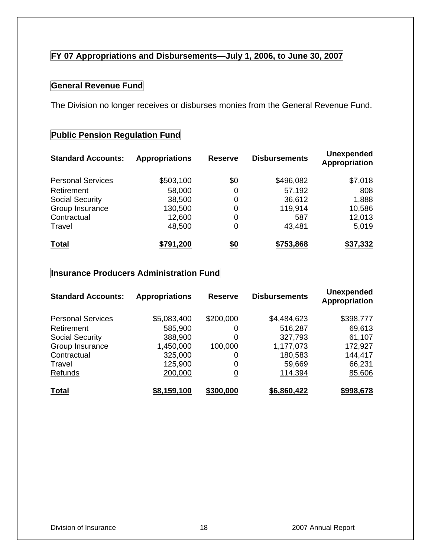### **FY 07 Appropriations and Disbursements—July 1, 2006, to June 30, 2007**

### **General Revenue Fund**

The Division no longer receives or disburses monies from the General Revenue Fund.

### **Public Pension Regulation Fund**

| <b>Standard Accounts:</b> | <b>Appropriations</b> | <b>Reserve</b> | <b>Disbursements</b> | <b>Unexpended</b><br>Appropriation |
|---------------------------|-----------------------|----------------|----------------------|------------------------------------|
| <b>Personal Services</b>  | \$503,100             | \$0            | \$496,082            | \$7,018                            |
| Retirement                | 58,000                | 0              | 57,192               | 808                                |
| <b>Social Security</b>    | 38,500                | 0              | 36,612               | 1,888                              |
| Group Insurance           | 130,500               | 0              | 119,914              | 10,586                             |
| Contractual               | 12,600                | 0              | 587                  | 12,013                             |
| Travel                    | 48,500                | $\overline{0}$ | 43,481               | 5,019                              |
| <b>Total</b>              | \$791,200             | <u>\$0</u>     | \$753,868            | \$37,332                           |

#### **Insurance Producers Administration Fund**

| <b>Standard Accounts:</b> | <b>Appropriations</b> | <b>Reserve</b> | <b>Disbursements</b> | <b>Unexpended</b><br>Appropriation |
|---------------------------|-----------------------|----------------|----------------------|------------------------------------|
| <b>Personal Services</b>  | \$5,083,400           | \$200,000      | \$4,484,623          | \$398,777                          |
| Retirement                | 585,900               | 0              | 516,287              | 69,613                             |
| <b>Social Security</b>    | 388,900               | 0              | 327,793              | 61,107                             |
| Group Insurance           | 1,450,000             | 100,000        | 1,177,073            | 172,927                            |
| Contractual               | 325,000               | 0              | 180,583              | 144,417                            |
| Travel                    | 125,900               | 0              | 59,669               | 66,231                             |
| Refunds                   | 200,000               | $\overline{0}$ | 114,394              | 85,606                             |
| <b>Total</b>              | \$8,159,100           | \$300,000      | \$6,860,422          | \$998,678                          |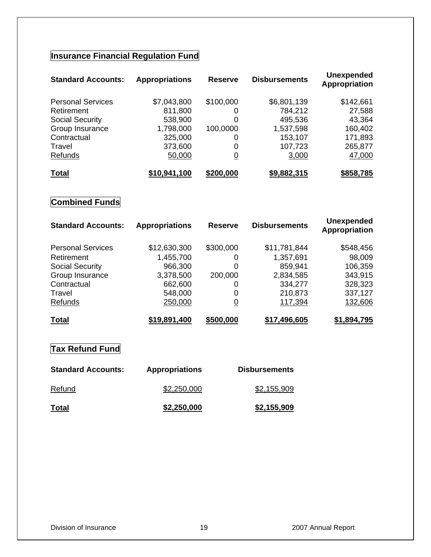## **Insurance Financial Regulation Fund**

| <b>Standard Accounts:</b> | <b>Appropriations</b> | <b>Reserve</b> | <b>Disbursements</b> | <b>Unexpended</b><br>Appropriation |
|---------------------------|-----------------------|----------------|----------------------|------------------------------------|
| <b>Personal Services</b>  | \$7,043,800           | \$100,000      | \$6,801,139          | \$142,661                          |
| Retirement                | 811,800               | 0              | 784,212              | 27,588                             |
| <b>Social Security</b>    | 538,900               | $\Omega$       | 495,536              | 43,364                             |
| Group Insurance           | 1,798,000             | 100,0000       | 1,537,598            | 160,402                            |
| Contractual               | 325,000               | 0              | 153,107              | 171,893                            |
| Travel                    | 373,600               | 0              | 107,723              | 265,877                            |
| Refunds                   | 50,000                | <u>0</u>       | 3,000                | 47,000                             |
| <b>Total</b>              | \$10,941,100          | \$200,000      | \$9,882,315          | \$858,785                          |

## **Combined Funds**

| <b>Standard Accounts:</b> | <b>Appropriations</b> | <b>Reserve</b> | <b>Disbursements</b> | <b>Unexpended</b><br>Appropriation |
|---------------------------|-----------------------|----------------|----------------------|------------------------------------|
| <b>Personal Services</b>  | \$12,630,300          | \$300,000      | \$11,781,844         | \$548,456                          |
| Retirement                | 1,455,700             | 0              | 1,357,691            | 98,009                             |
| <b>Social Security</b>    | 966,300               | 0              | 859,941              | 106,359                            |
| Group Insurance           | 3,378,500             | 200,000        | 2,834,585            | 343,915                            |
| Contractual               | 662,600               | 0              | 334,277              | 328,323                            |
| Travel                    | 548,000               | 0              | 210,873              | 337,127                            |
| Refunds                   | 250,000               | $\overline{0}$ | 117,394              | 132,606                            |
| <b>Total</b>              | \$19,891,400          | \$500,000      | \$17,496,605         | \$1,894,795                        |

## **Tax Refund Fund**

| <b>Standard Accounts:</b> | <b>Appropriations</b> | <b>Disbursements</b> |
|---------------------------|-----------------------|----------------------|
| Refund                    | \$2,250,000           | \$2,155,909          |
| <u>Total</u>              | \$2,250,000           | \$2,155,909          |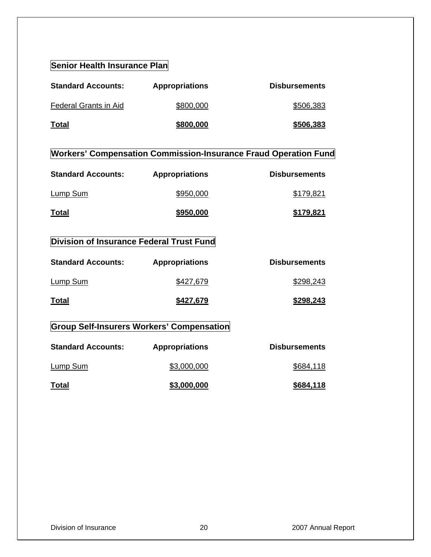#### **Senior Health Insurance Plan**

| <b>Standard Accounts:</b> | <b>Appropriations</b> | <b>Disbursements</b> |
|---------------------------|-----------------------|----------------------|
| Federal Grants in Aid     | \$800,000             | \$506,383            |
| <u>Total</u>              | \$800,000             | \$506,383            |

## **Workers' Compensation Commission-Insurance Fraud Operation Fund**

| <b>Standard Accounts:</b> | <b>Appropriations</b> | <b>Disbursements</b> |
|---------------------------|-----------------------|----------------------|
| Lump Sum                  | \$950,000             | \$179.821            |
| <b>Total</b>              | \$950,000             | \$179,821            |

## **Division of Insurance Federal Trust Fund**

| <b>Standard Accounts:</b> | <b>Appropriations</b>                     | <b>Disbursements</b> |
|---------------------------|-------------------------------------------|----------------------|
| <b>Lump Sum</b>           | \$427,679                                 | \$298,243            |
| <b>Total</b>              | \$427,679                                 | \$298,243            |
|                           | Group Solf-Incurary Warkare' Componentian |                      |

#### **Group Self-Insurers Workers' Compensation**

| <b>Standard Accounts:</b> | <b>Appropriations</b> | <b>Disbursements</b> |
|---------------------------|-----------------------|----------------------|
| Lump Sum                  | \$3,000,000           | \$684,118            |
| Total                     | \$3,000,000           | \$684,118            |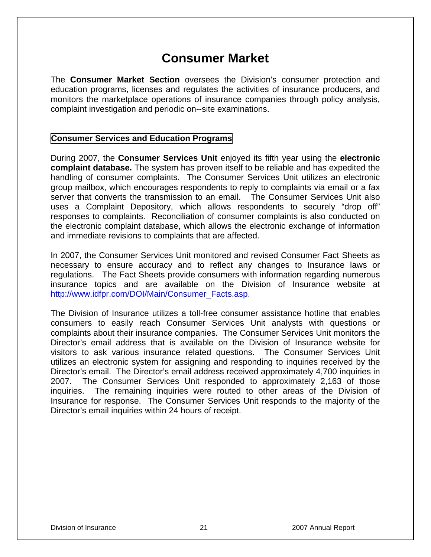## **Consumer Market**

The **Consumer Market Section** oversees the Division's consumer protection and education programs, licenses and regulates the activities of insurance producers, and monitors the marketplace operations of insurance companies through policy analysis, complaint investigation and periodic on--site examinations.

#### **Consumer Services and Education Programs**

During 2007, the **Consumer Services Unit** enjoyed its fifth year using the **electronic complaint database.** The system has proven itself to be reliable and has expedited the handling of consumer complaints. The Consumer Services Unit utilizes an electronic group mailbox, which encourages respondents to reply to complaints via email or a fax server that converts the transmission to an email. The Consumer Services Unit also uses a Complaint Depository, which allows respondents to securely "drop off" responses to complaints. Reconciliation of consumer complaints is also conducted on the electronic complaint database, which allows the electronic exchange of information and immediate revisions to complaints that are affected.

In 2007, the Consumer Services Unit monitored and revised Consumer Fact Sheets as necessary to ensure accuracy and to reflect any changes to Insurance laws or regulations. The Fact Sheets provide consumers with information regarding numerous insurance topics and are available on the Division of Insurance website at http://www.idfpr.com/DOI/Main/Consumer\_Facts.asp.

The Division of Insurance utilizes a toll-free consumer assistance hotline that enables consumers to easily reach Consumer Services Unit analysts with questions or complaints about their insurance companies. The Consumer Services Unit monitors the Director's email address that is available on the Division of Insurance website for visitors to ask various insurance related questions. The Consumer Services Unit utilizes an electronic system for assigning and responding to inquiries received by the Director's email. The Director's email address received approximately 4,700 inquiries in 2007. The Consumer Services Unit responded to approximately 2,163 of those inquiries. The remaining inquiries were routed to other areas of the Division of Insurance for response. The Consumer Services Unit responds to the majority of the Director's email inquiries within 24 hours of receipt.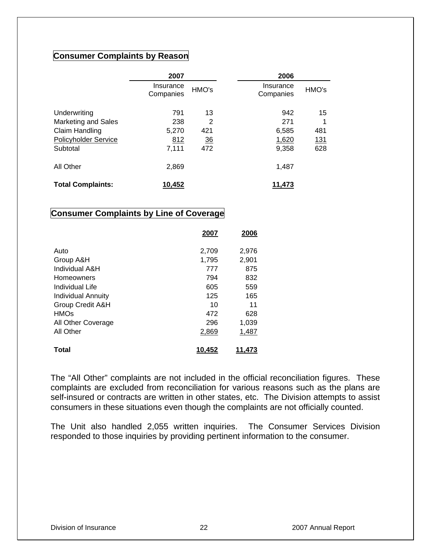#### **Consumer Complaints by Reason**

|                            | 2007                   |                | 2006                   |       |
|----------------------------|------------------------|----------------|------------------------|-------|
|                            | Insurance<br>Companies | HMO's          | Insurance<br>Companies | HMO's |
| Underwriting               | 791                    | 13             | 942                    | 15    |
| <b>Marketing and Sales</b> | 238                    | 2              | 271                    |       |
| Claim Handling             | 5,270                  | 421            | 6,585                  | 481   |
| Policyholder Service       | 812                    | $\frac{36}{5}$ | 1,620                  | 131   |
| Subtotal                   | 7,111                  | 472            | 9,358                  | 628   |
| All Other                  | 2,869                  |                | 1,487                  |       |
| <b>Total Complaints:</b>   | 10,452                 |                | 11,473                 |       |

#### **Consumer Complaints by Line of Coverage**

|                           | 2007   | 2006   |
|---------------------------|--------|--------|
| Auto                      | 2,709  | 2,976  |
| Group A&H                 | 1,795  | 2,901  |
| Individual A&H            | 777    | 875    |
| Homeowners                | 794    | 832    |
| Individual Life           | 605    | 559    |
| <b>Individual Annuity</b> | 125    | 165    |
| Group Credit A&H          | 10     | 11     |
| <b>HMOs</b>               | 472    | 628    |
| All Other Coverage        | 296    | 1,039  |
| All Other                 | 2,869  | 1,487  |
| Total                     | 10,452 | 11.473 |

The "All Other" complaints are not included in the official reconciliation figures. These complaints are excluded from reconciliation for various reasons such as the plans are self-insured or contracts are written in other states, etc. The Division attempts to assist consumers in these situations even though the complaints are not officially counted.

The Unit also handled 2,055 written inquiries. The Consumer Services Division responded to those inquiries by providing pertinent information to the consumer.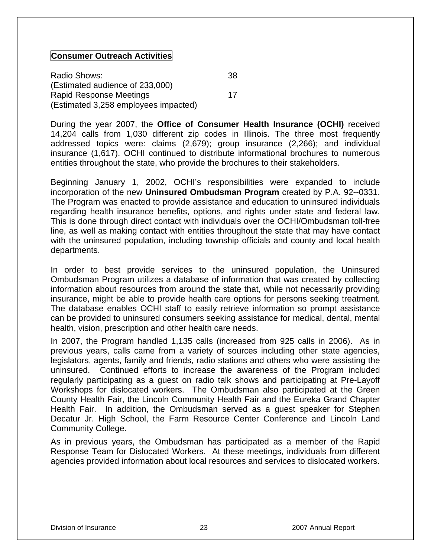#### **Consumer Outreach Activities**

Radio Shows: 38 (Estimated audience of 233,000) Rapid Response Meetings 17 (Estimated 3,258 employees impacted)

During the year 2007, the **Office of Consumer Health Insurance (OCHI)** received 14,204 calls from 1,030 different zip codes in Illinois. The three most frequently addressed topics were: claims (2,679); group insurance (2,266); and individual insurance (1,617). OCHI continued to distribute informational brochures to numerous entities throughout the state, who provide the brochures to their stakeholders.

Beginning January 1, 2002, OCHI's responsibilities were expanded to include incorporation of the new **Uninsured Ombudsman Program** created by P.A. 92--0331. The Program was enacted to provide assistance and education to uninsured individuals regarding health insurance benefits, options, and rights under state and federal law. This is done through direct contact with individuals over the OCHI/Ombudsman toll-free line, as well as making contact with entities throughout the state that may have contact with the uninsured population, including township officials and county and local health departments.

In order to best provide services to the uninsured population, the Uninsured Ombudsman Program utilizes a database of information that was created by collecting information about resources from around the state that, while not necessarily providing insurance, might be able to provide health care options for persons seeking treatment. The database enables OCHI staff to easily retrieve information so prompt assistance can be provided to uninsured consumers seeking assistance for medical, dental, mental health, vision, prescription and other health care needs.

In 2007, the Program handled 1,135 calls (increased from 925 calls in 2006). As in previous years, calls came from a variety of sources including other state agencies, legislators, agents, family and friends, radio stations and others who were assisting the uninsured. Continued efforts to increase the awareness of the Program included regularly participating as a guest on radio talk shows and participating at Pre-Layoff Workshops for dislocated workers. The Ombudsman also participated at the Green County Health Fair, the Lincoln Community Health Fair and the Eureka Grand Chapter Health Fair. In addition, the Ombudsman served as a guest speaker for Stephen Decatur Jr. High School, the Farm Resource Center Conference and Lincoln Land Community College.

As in previous years, the Ombudsman has participated as a member of the Rapid Response Team for Dislocated Workers. At these meetings, individuals from different agencies provided information about local resources and services to dislocated workers.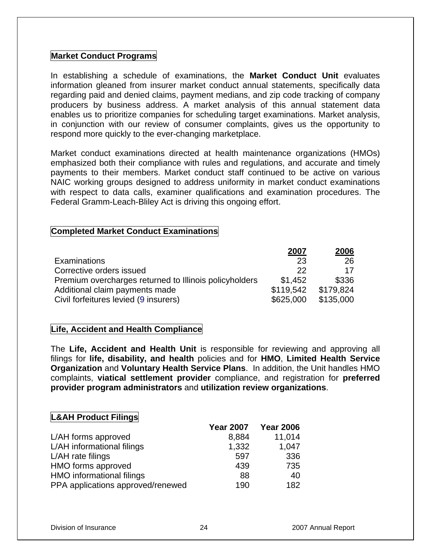#### **Market Conduct Programs**

In establishing a schedule of examinations, the **Market Conduct Unit** evaluates information gleaned from insurer market conduct annual statements, specifically data regarding paid and denied claims, payment medians, and zip code tracking of company producers by business address. A market analysis of this annual statement data enables us to prioritize companies for scheduling target examinations. Market analysis, in conjunction with our review of consumer complaints, gives us the opportunity to respond more quickly to the ever-changing marketplace.

Market conduct examinations directed at health maintenance organizations (HMOs) emphasized both their compliance with rules and regulations, and accurate and timely payments to their members. Market conduct staff continued to be active on various NAIC working groups designed to address uniformity in market conduct examinations with respect to data calls, examiner qualifications and examination procedures. The Federal Gramm-Leach-Bliley Act is driving this ongoing effort.

#### **Completed Market Conduct Examinations**

|                                                        | 2007      | 2006      |
|--------------------------------------------------------|-----------|-----------|
| <b>Examinations</b>                                    | 23        | 26        |
| Corrective orders issued                               | 22        | 17        |
| Premium overcharges returned to Illinois policyholders | \$1.452   | \$336     |
| Additional claim payments made                         | \$119.542 | \$179.824 |
| Civil forfeitures levied (9 insurers)                  | \$625,000 | \$135,000 |

#### **Life, Accident and Health Compliance**

The **Life, Accident and Health Unit** is responsible for reviewing and approving all filings for **life, disability, and health** policies and for **HMO**, **Limited Health Service Organization** and **Voluntary Health Service Plans**. In addition, the Unit handles HMO complaints, **viatical settlement provider** compliance, and registration for **preferred provider program administrators** and **utilization review organizations**.

#### **L&AH Product Filings**

|                                   | <b>Year 2007</b> | <b>Year 2006</b> |
|-----------------------------------|------------------|------------------|
| L/AH forms approved               | 8,884            | 11,014           |
| L/AH informational filings        | 1,332            | 1,047            |
| L/AH rate filings                 | 597              | 336              |
| HMO forms approved                | 439              | 735              |
| HMO informational filings         | 88               | 40               |
| PPA applications approved/renewed | 190              | 182              |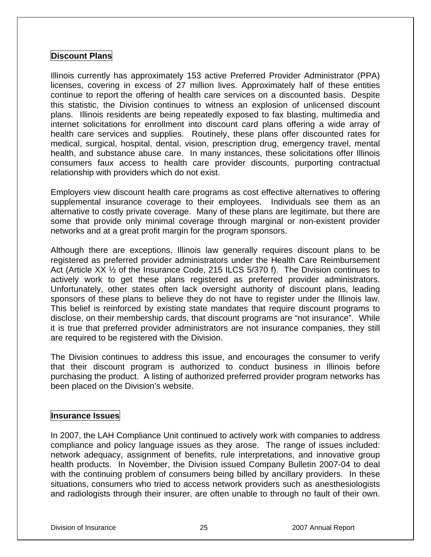#### **Discount Plans**

Illinois currently has approximately 153 active Preferred Provider Administrator (PPA) licenses, covering in excess of 27 million lives. Approximately half of these entities continue to report the offering of health care services on a discounted basis. Despite this statistic, the Division continues to witness an explosion of unlicensed discount plans. Illinois residents are being repeatedly exposed to fax blasting, multimedia and internet solicitations for enrollment into discount card plans offering a wide array of health care services and supplies. Routinely, these plans offer discounted rates for medical, surgical, hospital, dental, vision, prescription drug, emergency travel, mental health, and substance abuse care. In many instances, these solicitations offer Illinois consumers faux access to health care provider discounts, purporting contractual relationship with providers which do not exist.

Employers view discount health care programs as cost effective alternatives to offering supplemental insurance coverage to their employees. Individuals see them as an alternative to costly private coverage. Many of these plans are legitimate, but there are some that provide only minimal coverage through marginal or non-existent provider networks and at a great profit margin for the program sponsors.

Although there are exceptions, Illinois law generally requires discount plans to be registered as preferred provider administrators under the Health Care Reimbursement Act (Article XX ½ of the Insurance Code, 215 ILCS 5/370 f). The Division continues to actively work to get these plans registered as preferred provider administrators. Unfortunately, other states often lack oversight authority of discount plans, leading sponsors of these plans to believe they do not have to register under the Illinois law. This belief is reinforced by existing state mandates that require discount programs to disclose, on their membership cards, that discount programs are "not insurance". While it is true that preferred provider administrators are not insurance companies, they still are required to be registered with the Division.

The Division continues to address this issue, and encourages the consumer to verify that their discount program is authorized to conduct business in Illinois before purchasing the product. A listing of authorized preferred provider program networks has been placed on the Division's website.

#### **Insurance Issues**

In 2007, the LAH Compliance Unit continued to actively work with companies to address compliance and policy language issues as they arose. The range of issues included: network adequacy, assignment of benefits, rule interpretations, and innovative group health products. In November, the Division issued Company Bulletin 2007-04 to deal with the continuing problem of consumers being billed by ancillary providers. In these situations, consumers who tried to access network providers such as anesthesiologists and radiologists through their insurer, are often unable to through no fault of their own.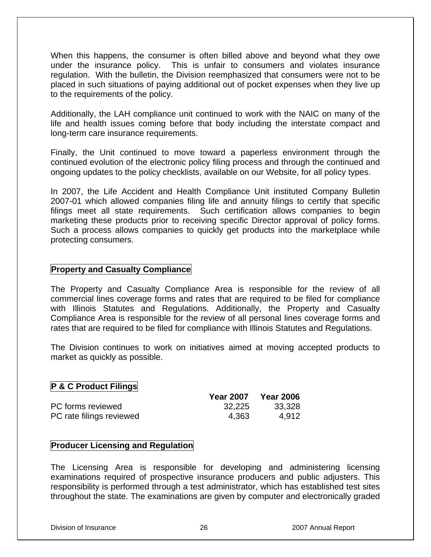When this happens, the consumer is often billed above and beyond what they owe under the insurance policy. This is unfair to consumers and violates insurance regulation. With the bulletin, the Division reemphasized that consumers were not to be placed in such situations of paying additional out of pocket expenses when they live up to the requirements of the policy.

Additionally, the LAH compliance unit continued to work with the NAIC on many of the life and health issues coming before that body including the interstate compact and long-term care insurance requirements.

Finally, the Unit continued to move toward a paperless environment through the continued evolution of the electronic policy filing process and through the continued and ongoing updates to the policy checklists, available on our Website, for all policy types.

In 2007, the Life Accident and Health Compliance Unit instituted Company Bulletin 2007-01 which allowed companies filing life and annuity filings to certify that specific filings meet all state requirements. Such certification allows companies to begin marketing these products prior to receiving specific Director approval of policy forms. Such a process allows companies to quickly get products into the marketplace while protecting consumers.

#### **Property and Casualty Compliance**

The Property and Casualty Compliance Area is responsible for the review of all commercial lines coverage forms and rates that are required to be filed for compliance with Illinois Statutes and Regulations. Additionally, the Property and Casualty Compliance Area is responsible for the review of all personal lines coverage forms and rates that are required to be filed for compliance with Illinois Statutes and Regulations.

The Division continues to work on initiatives aimed at moving accepted products to market as quickly as possible.

#### **P & C Product Filings**

|                          | <b>Year 2007</b> | <b>Year 2006</b> |
|--------------------------|------------------|------------------|
| PC forms reviewed        | 32,225           | 33,328           |
| PC rate filings reviewed | 4.363            | 4.912            |

#### **Producer Licensing and Regulation**

The Licensing Area is responsible for developing and administering licensing examinations required of prospective insurance producers and public adjusters. This responsibility is performed through a test administrator, which has established test sites throughout the state. The examinations are given by computer and electronically graded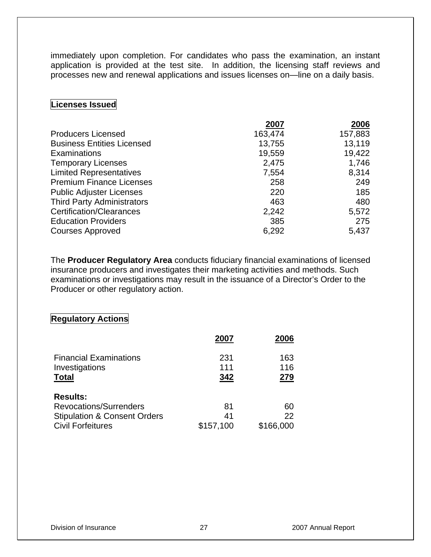immediately upon completion. For candidates who pass the examination, an instant application is provided at the test site. In addition, the licensing staff reviews and processes new and renewal applications and issues licenses on—line on a daily basis.

#### **Licenses Issued**

| 2007    | 2006    |
|---------|---------|
| 163,474 | 157,883 |
| 13,755  | 13,119  |
| 19,559  | 19,422  |
| 2,475   | 1,746   |
| 7,554   | 8,314   |
| 258     | 249     |
| 220     | 185     |
| 463     | 480     |
| 2,242   | 5,572   |
| 385     | 275     |
| 6,292   | 5,437   |
|         |         |

The **Producer Regulatory Area** conducts fiduciary financial examinations of licensed insurance producers and investigates their marketing activities and methods. Such examinations or investigations may result in the issuance of a Director's Order to the Producer or other regulatory action.

#### **Regulatory Actions**

|                                                                 | 2007              | 2006              |
|-----------------------------------------------------------------|-------------------|-------------------|
| <b>Financial Examinations</b><br>Investigations<br><b>Total</b> | 231<br>111<br>342 | 163<br>116<br>279 |
| <b>Results:</b>                                                 |                   |                   |
| Revocations/Surrenders                                          | 81                | 60                |
| <b>Stipulation &amp; Consent Orders</b>                         | 41                | 22                |
| <b>Civil Forfeitures</b>                                        | \$157,100         | \$166,000         |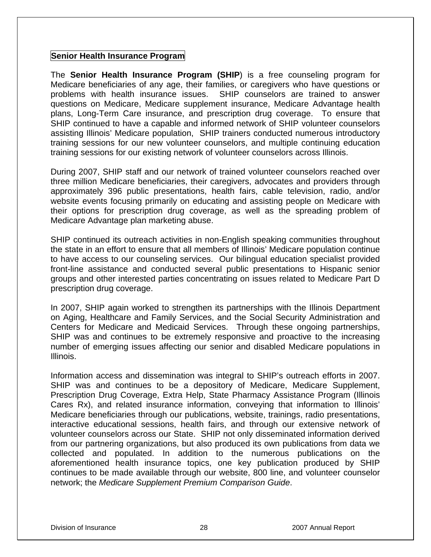#### **Senior Health Insurance Program**

The **Senior Health Insurance Program (SHIP**) is a free counseling program for Medicare beneficiaries of any age, their families, or caregivers who have questions or problems with health insurance issues. SHIP counselors are trained to answer questions on Medicare, Medicare supplement insurance, Medicare Advantage health plans, Long-Term Care insurance, and prescription drug coverage. To ensure that SHIP continued to have a capable and informed network of SHIP volunteer counselors assisting Illinois' Medicare population, SHIP trainers conducted numerous introductory training sessions for our new volunteer counselors, and multiple continuing education training sessions for our existing network of volunteer counselors across Illinois.

During 2007, SHIP staff and our network of trained volunteer counselors reached over three million Medicare beneficiaries, their caregivers, advocates and providers through approximately 396 public presentations, health fairs, cable television, radio, and/or website events focusing primarily on educating and assisting people on Medicare with their options for prescription drug coverage, as well as the spreading problem of Medicare Advantage plan marketing abuse.

SHIP continued its outreach activities in non-English speaking communities throughout the state in an effort to ensure that all members of Illinois' Medicare population continue to have access to our counseling services. Our bilingual education specialist provided front-line assistance and conducted several public presentations to Hispanic senior groups and other interested parties concentrating on issues related to Medicare Part D prescription drug coverage.

In 2007, SHIP again worked to strengthen its partnerships with the Illinois Department on Aging, Healthcare and Family Services, and the Social Security Administration and Centers for Medicare and Medicaid Services. Through these ongoing partnerships, SHIP was and continues to be extremely responsive and proactive to the increasing number of emerging issues affecting our senior and disabled Medicare populations in Illinois.

Information access and dissemination was integral to SHIP's outreach efforts in 2007. SHIP was and continues to be a depository of Medicare, Medicare Supplement, Prescription Drug Coverage, Extra Help, State Pharmacy Assistance Program (Illinois Cares Rx), and related insurance information, conveying that information to Illinois' Medicare beneficiaries through our publications, website, trainings, radio presentations, interactive educational sessions, health fairs, and through our extensive network of volunteer counselors across our State. SHIP not only disseminated information derived from our partnering organizations, but also produced its own publications from data we collected and populated. In addition to the numerous publications on the aforementioned health insurance topics, one key publication produced by SHIP continues to be made available through our website, 800 line, and volunteer counselor network; the *Medicare Supplement Premium Comparison Guide*.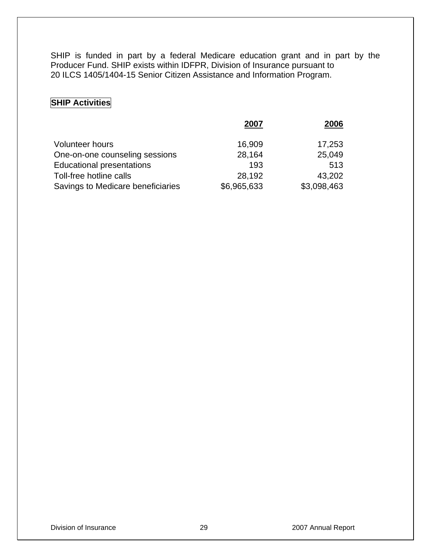SHIP is funded in part by a federal Medicare education grant and in part by the Producer Fund. SHIP exists within IDFPR, Division of Insurance pursuant to 20 ILCS 1405/1404-15 Senior Citizen Assistance and Information Program.

### **SHIP Activities**

|                                   | 2007        | 2006        |
|-----------------------------------|-------------|-------------|
|                                   |             |             |
| <b>Volunteer hours</b>            | 16,909      | 17,253      |
| One-on-one counseling sessions    | 28,164      | 25,049      |
| <b>Educational presentations</b>  | 193         | 513         |
| Toll-free hotline calls           | 28,192      | 43,202      |
| Savings to Medicare beneficiaries | \$6,965,633 | \$3,098,463 |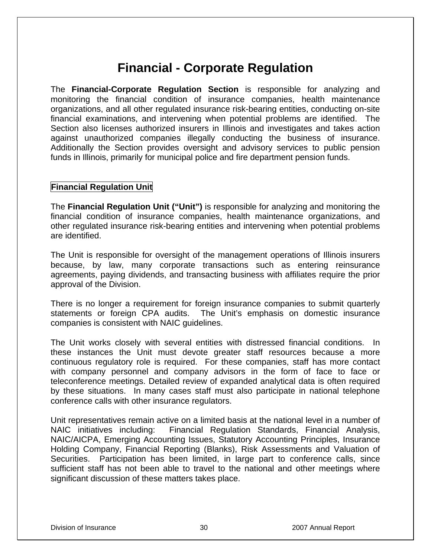## **Financial - Corporate Regulation**

The **Financial-Corporate Regulation Section** is responsible for analyzing and monitoring the financial condition of insurance companies, health maintenance organizations, and all other regulated insurance risk-bearing entities, conducting on-site financial examinations, and intervening when potential problems are identified. The Section also licenses authorized insurers in Illinois and investigates and takes action against unauthorized companies illegally conducting the business of insurance. Additionally the Section provides oversight and advisory services to public pension funds in Illinois, primarily for municipal police and fire department pension funds.

#### **Financial Regulation Unit**

The **Financial Regulation Unit ("Unit")** is responsible for analyzing and monitoring the financial condition of insurance companies, health maintenance organizations, and other regulated insurance risk-bearing entities and intervening when potential problems are identified.

The Unit is responsible for oversight of the management operations of Illinois insurers because, by law, many corporate transactions such as entering reinsurance agreements, paying dividends, and transacting business with affiliates require the prior approval of the Division.

There is no longer a requirement for foreign insurance companies to submit quarterly statements or foreign CPA audits. The Unit's emphasis on domestic insurance companies is consistent with NAIC guidelines.

The Unit works closely with several entities with distressed financial conditions. In these instances the Unit must devote greater staff resources because a more continuous regulatory role is required. For these companies, staff has more contact with company personnel and company advisors in the form of face to face or teleconference meetings. Detailed review of expanded analytical data is often required by these situations. In many cases staff must also participate in national telephone conference calls with other insurance regulators.

Unit representatives remain active on a limited basis at the national level in a number of NAIC initiatives including: Financial Regulation Standards, Financial Analysis, NAIC/AICPA, Emerging Accounting Issues, Statutory Accounting Principles, Insurance Holding Company, Financial Reporting (Blanks), Risk Assessments and Valuation of Securities. Participation has been limited, in large part to conference calls, since sufficient staff has not been able to travel to the national and other meetings where significant discussion of these matters takes place.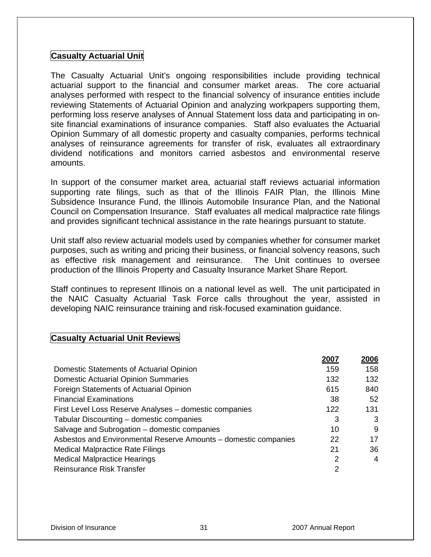#### **Casualty Actuarial Unit**

The Casualty Actuarial Unit's ongoing responsibilities include providing technical actuarial support to the financial and consumer market areas. The core actuarial analyses performed with respect to the financial solvency of insurance entities include reviewing Statements of Actuarial Opinion and analyzing workpapers supporting them, performing loss reserve analyses of Annual Statement loss data and participating in onsite financial examinations of insurance companies. Staff also evaluates the Actuarial Opinion Summary of all domestic property and casualty companies, performs technical analyses of reinsurance agreements for transfer of risk, evaluates all extraordinary dividend notifications and monitors carried asbestos and environmental reserve amounts.

In support of the consumer market area, actuarial staff reviews actuarial information supporting rate filings, such as that of the Illinois FAIR Plan, the Illinois Mine Subsidence Insurance Fund, the Illinois Automobile Insurance Plan, and the National Council on Compensation Insurance. Staff evaluates all medical malpractice rate filings and provides significant technical assistance in the rate hearings pursuant to statute.

Unit staff also review actuarial models used by companies whether for consumer market purposes, such as writing and pricing their business, or financial solvency reasons, such as effective risk management and reinsurance. The Unit continues to oversee production of the Illinois Property and Casualty Insurance Market Share Report.

Staff continues to represent Illinois on a national level as well. The unit participated in the NAIC Casualty Actuarial Task Force calls throughout the year, assisted in developing NAIC reinsurance training and risk-focused examination guidance.

#### **Casualty Actuarial Unit Reviews**

|                                                                 | 2007 | 2006 |
|-----------------------------------------------------------------|------|------|
| Domestic Statements of Actuarial Opinion                        | 159  | 158  |
| <b>Domestic Actuarial Opinion Summaries</b>                     | 132  | 132  |
| Foreign Statements of Actuarial Opinion                         | 615  | 840  |
| <b>Financial Examinations</b>                                   | 38   | 52   |
| First Level Loss Reserve Analyses - domestic companies          | 122  | 131  |
| Tabular Discounting – domestic companies                        | 3    | 3    |
| Salvage and Subrogation - domestic companies                    | 10   | 9    |
| Asbestos and Environmental Reserve Amounts - domestic companies | 22   | 17   |
| <b>Medical Malpractice Rate Filings</b>                         | 21   | 36   |
| <b>Medical Malpractice Hearings</b>                             | 2    | 4    |
| <b>Reinsurance Risk Transfer</b>                                | 2    |      |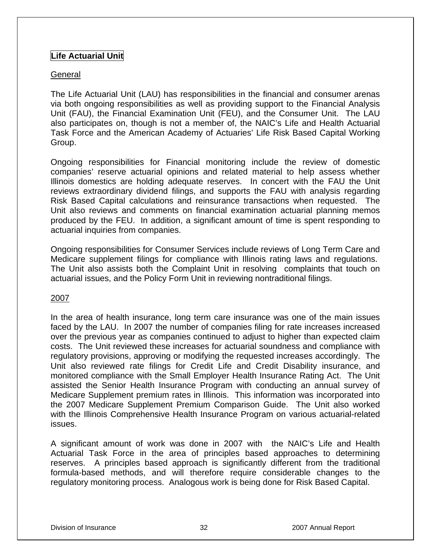#### **Life Actuarial Unit**

#### General

The Life Actuarial Unit (LAU) has responsibilities in the financial and consumer arenas via both ongoing responsibilities as well as providing support to the Financial Analysis Unit (FAU), the Financial Examination Unit (FEU), and the Consumer Unit. The LAU also participates on, though is not a member of, the NAIC's Life and Health Actuarial Task Force and the American Academy of Actuaries' Life Risk Based Capital Working Group.

Ongoing responsibilities for Financial monitoring include the review of domestic companies' reserve actuarial opinions and related material to help assess whether Illinois domestics are holding adequate reserves. In concert with the FAU the Unit reviews extraordinary dividend filings, and supports the FAU with analysis regarding Risk Based Capital calculations and reinsurance transactions when requested. The Unit also reviews and comments on financial examination actuarial planning memos produced by the FEU. In addition, a significant amount of time is spent responding to actuarial inquiries from companies.

Ongoing responsibilities for Consumer Services include reviews of Long Term Care and Medicare supplement filings for compliance with Illinois rating laws and regulations. The Unit also assists both the Complaint Unit in resolving complaints that touch on actuarial issues, and the Policy Form Unit in reviewing nontraditional filings.

#### 2007

In the area of health insurance, long term care insurance was one of the main issues faced by the LAU. In 2007 the number of companies filing for rate increases increased over the previous year as companies continued to adjust to higher than expected claim costs. The Unit reviewed these increases for actuarial soundness and compliance with regulatory provisions, approving or modifying the requested increases accordingly. The Unit also reviewed rate filings for Credit Life and Credit Disability insurance, and monitored compliance with the Small Employer Health Insurance Rating Act. The Unit assisted the Senior Health Insurance Program with conducting an annual survey of Medicare Supplement premium rates in Illinois. This information was incorporated into the 2007 Medicare Supplement Premium Comparison Guide. The Unit also worked with the Illinois Comprehensive Health Insurance Program on various actuarial-related issues.

A significant amount of work was done in 2007 with the NAIC's Life and Health Actuarial Task Force in the area of principles based approaches to determining reserves. A principles based approach is significantly different from the traditional formula-based methods, and will therefore require considerable changes to the regulatory monitoring process. Analogous work is being done for Risk Based Capital.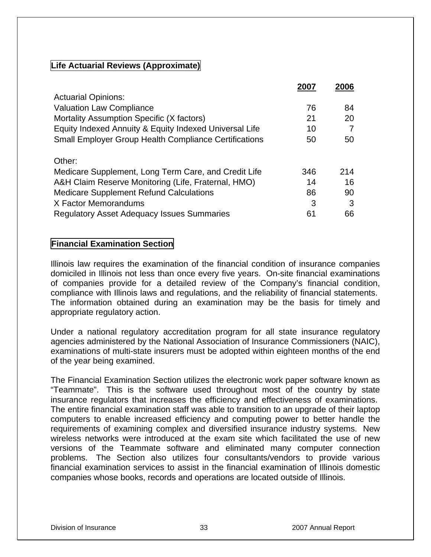#### **Life Actuarial Reviews (Approximate)**

|                                                              |     | 2006 |
|--------------------------------------------------------------|-----|------|
| <b>Actuarial Opinions:</b>                                   |     |      |
| <b>Valuation Law Compliance</b>                              | 76  | 84   |
| Mortality Assumption Specific (X factors)                    | 21  | 20   |
| Equity Indexed Annuity & Equity Indexed Universal Life       | 10  |      |
| <b>Small Employer Group Health Compliance Certifications</b> | 50  | 50   |
| Other:                                                       |     |      |
| Medicare Supplement, Long Term Care, and Credit Life         | 346 | 214  |
| A&H Claim Reserve Monitoring (Life, Fraternal, HMO)          | 14  | 16   |
| <b>Medicare Supplement Refund Calculations</b>               | 86  | 90   |
| X Factor Memorandums                                         | 3   | 3    |
| <b>Regulatory Asset Adequacy Issues Summaries</b>            | 61  | 66   |

#### **Financial Examination Section**

Illinois law requires the examination of the financial condition of insurance companies domiciled in Illinois not less than once every five years. On-site financial examinations of companies provide for a detailed review of the Company's financial condition, compliance with Illinois laws and regulations, and the reliability of financial statements. The information obtained during an examination may be the basis for timely and appropriate regulatory action.

Under a national regulatory accreditation program for all state insurance regulatory agencies administered by the National Association of Insurance Commissioners (NAIC), examinations of multi-state insurers must be adopted within eighteen months of the end of the year being examined.

The Financial Examination Section utilizes the electronic work paper software known as "Teammate". This is the software used throughout most of the country by state insurance regulators that increases the efficiency and effectiveness of examinations. The entire financial examination staff was able to transition to an upgrade of their laptop computers to enable increased efficiency and computing power to better handle the requirements of examining complex and diversified insurance industry systems. New wireless networks were introduced at the exam site which facilitated the use of new versions of the Teammate software and eliminated many computer connection problems. The Section also utilizes four consultants/vendors to provide various financial examination services to assist in the financial examination of Illinois domestic companies whose books, records and operations are located outside of Illinois.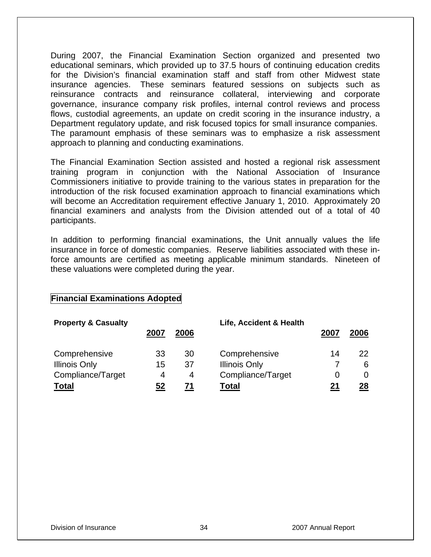During 2007, the Financial Examination Section organized and presented two educational seminars, which provided up to 37.5 hours of continuing education credits for the Division's financial examination staff and staff from other Midwest state insurance agencies. These seminars featured sessions on subjects such as reinsurance contracts and reinsurance collateral, interviewing and corporate governance, insurance company risk profiles, internal control reviews and process flows, custodial agreements, an update on credit scoring in the insurance industry, a Department regulatory update, and risk focused topics for small insurance companies. The paramount emphasis of these seminars was to emphasize a risk assessment approach to planning and conducting examinations.

The Financial Examination Section assisted and hosted a regional risk assessment training program in conjunction with the National Association of Insurance Commissioners initiative to provide training to the various states in preparation for the introduction of the risk focused examination approach to financial examinations which will become an Accreditation requirement effective January 1, 2010. Approximately 20 financial examiners and analysts from the Division attended out of a total of 40 participants.

In addition to performing financial examinations, the Unit annually values the life insurance in force of domestic companies. Reserve liabilities associated with these inforce amounts are certified as meeting applicable minimum standards. Nineteen of these valuations were completed during the year.

#### **Financial Examinations Adopted**

| <b>Property &amp; Casualty</b> |      |      | Life, Accident & Health |      |      |
|--------------------------------|------|------|-------------------------|------|------|
|                                | 2007 | 2006 |                         | 2007 | 2006 |
| Comprehensive                  | 33   | 30   | Comprehensive           | 14   | 22   |
| <b>Illinois Only</b>           | 15   | 37   | <b>Illinois Only</b>    |      | 6    |
| Compliance/Target              | 4    | 4    | Compliance/Target       |      |      |
| <b>Total</b>                   | 52   | 71   | <b>Total</b>            | 21   | 28   |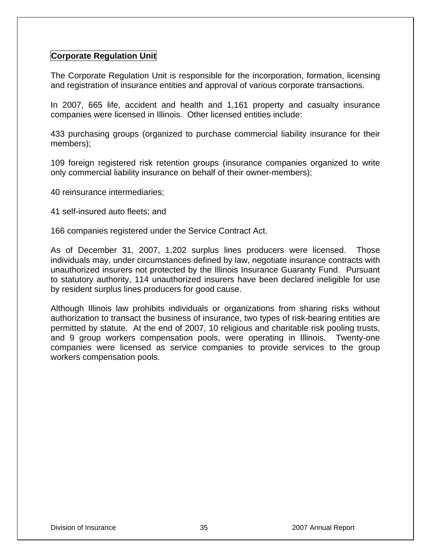#### **Corporate Regulation Unit**

The Corporate Regulation Unit is responsible for the incorporation, formation, licensing and registration of insurance entities and approval of various corporate transactions.

In 2007, 665 life, accident and health and 1,161 property and casualty insurance companies were licensed in Illinois. Other licensed entities include:

433 purchasing groups (organized to purchase commercial liability insurance for their members);

109 foreign registered risk retention groups (insurance companies organized to write only commercial liability insurance on behalf of their owner-members);

40 reinsurance intermediaries;

41 self-insured auto fleets; and

166 companies registered under the Service Contract Act.

As of December 31, 2007, 1,202 surplus lines producers were licensed. Those individuals may, under circumstances defined by law, negotiate insurance contracts with unauthorized insurers not protected by the Illinois Insurance Guaranty Fund. Pursuant to statutory authority, 114 unauthorized insurers have been declared ineligible for use by resident surplus lines producers for good cause.

Although Illinois law prohibits individuals or organizations from sharing risks without authorization to transact the business of insurance, two types of risk-bearing entities are permitted by statute. At the end of 2007, 10 religious and charitable risk pooling trusts, and 9 group workers compensation pools, were operating in Illinois. Twenty-one companies were licensed as service companies to provide services to the group workers compensation pools.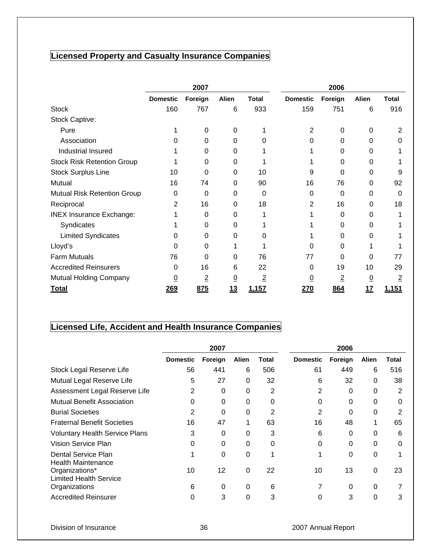## **Licensed Property and Casualty Insurance Companies**

|                                    | 2007            |                |              |                | 2006            |                |                |                |
|------------------------------------|-----------------|----------------|--------------|----------------|-----------------|----------------|----------------|----------------|
|                                    | <b>Domestic</b> | Foreign        | <b>Alien</b> | <b>Total</b>   | <b>Domestic</b> | Foreign        | Alien          | <b>Total</b>   |
| <b>Stock</b>                       | 160             | 767            | 6            | 933            | 159             | 751            | 6              | 916            |
| Stock Captive:                     |                 |                |              |                |                 |                |                |                |
| Pure                               |                 | $\Omega$       | $\Omega$     |                | 2               | $\Omega$       | 0              | 2              |
| Association                        | 0               | 0              | 0            | 0              | 0               | 0              | 0              | 0              |
| Industrial Insured                 |                 | 0              | 0            |                |                 | 0              | 0              |                |
| <b>Stock Risk Retention Group</b>  |                 | 0              | 0            |                |                 | 0              | 0              |                |
| <b>Stock Surplus Line</b>          | 10              | 0              | 0            | 10             | 9               | 0              | 0              | 9              |
| Mutual                             | 16              | 74             | 0            | 90             | 16              | 76             | 0              | 92             |
| <b>Mutual Risk Retention Group</b> | 0               | 0              | 0            | 0              | 0               | 0              | 0              | 0              |
| Reciprocal                         | 2               | 16             | 0            | 18             | 2               | 16             | $\Omega$       | 18             |
| <b>INEX Insurance Exchange:</b>    |                 | 0              | 0            |                |                 | 0              | 0              |                |
| Syndicates                         |                 | 0              | 0            |                |                 | 0              | 0              |                |
| <b>Limited Syndicates</b>          | 0               | 0              | 0            | 0              |                 | 0              | 0              |                |
| Lloyd's                            | 0               | 0              |              |                | 0               | 0              |                |                |
| <b>Farm Mutuals</b>                | 76              | 0              | 0            | 76             | 77              | 0              | 0              | 77             |
| <b>Accredited Reinsurers</b>       | 0               | 16             | 6            | 22             | 0               | 19             | 10             | 29             |
| Mutual Holding Company             | $\overline{0}$  | $\overline{2}$ | <u>0</u>     | $\overline{2}$ | <u>0</u>        | $\overline{2}$ | $\overline{0}$ | $\overline{2}$ |
| <b>Total</b>                       | <u>269</u>      | 875            | 13           | 1,157          | 270             | 864            | 17             | <u>1,151</u>   |

## **Licensed Life, Accident and Health Insurance Companies**

|                                                  | 2007            |          |              |              | 2006            |         |              |          |
|--------------------------------------------------|-----------------|----------|--------------|--------------|-----------------|---------|--------------|----------|
|                                                  | <b>Domestic</b> | Foreign  | <b>Alien</b> | <b>Total</b> | <b>Domestic</b> | Foreign | <b>Alien</b> | Total    |
| Stock Legal Reserve Life                         | 56              | 441      | 6            | 506          | 61              | 449     | 6            | 516      |
| Mutual Legal Reserve Life                        | 5               | 27       | 0            | 32           | 6               | 32      | 0            | 38       |
| Assessment Legal Reserve Life                    | 2               | 0        | 0            | 2            | 2               | 0       | 0            | 2        |
| <b>Mutual Benefit Association</b>                | 0               | 0        | 0            | 0            | 0               | 0       | 0            | 0        |
| <b>Burial Societies</b>                          | 2               | 0        | 0            | 2            | 2               | 0       | 0            | 2        |
| <b>Fraternal Benefit Societies</b>               | 16              | 47       |              | 63           | 16              | 48      |              | 65       |
| <b>Voluntary Health Service Plans</b>            | 3               | $\Omega$ | 0            | 3            | 6               | 0       | 0            | 6        |
| Vision Service Plan                              | 0               | 0        | 0            | 0            | 0               | 0       | 0            | $\Omega$ |
| Dental Service Plan<br><b>Health Maintenance</b> |                 | 0        | 0            | 1            | 1               | 0       | 0            |          |
| Organizations*<br><b>Limited Health Service</b>  | 10              | 12       | 0            | 22           | 10              | 13      | 0            | 23       |
| Organizations                                    | 6               | 0        | 0            | 6            |                 | 0       | 0            |          |
| <b>Accredited Reinsurer</b>                      | 0               | 3        | 0            | 3            | 0               | 3       | 0            | 3        |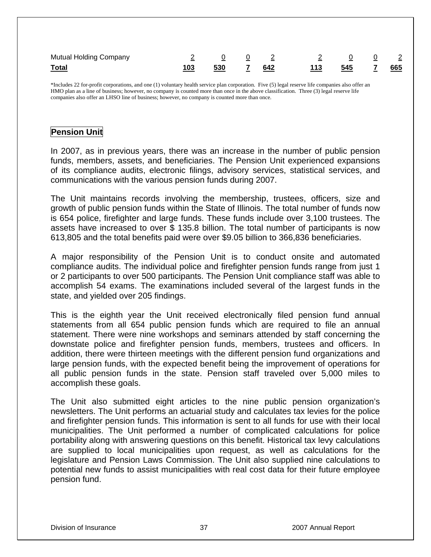| <b>Mutual Holding Company</b> |     |           | $\frac{0}{2}$ $\frac{0}{2}$ $\frac{2}{2}$ $\frac{0}{2}$ $\frac{0}{2}$ $\frac{2}{2}$ |                      |  |
|-------------------------------|-----|-----------|-------------------------------------------------------------------------------------|----------------------|--|
| <b>Total</b>                  | 103 | 530 7 642 |                                                                                     | <u>113</u> 545 7 665 |  |

\*Includes 22 for-profit corporations, and one (1) voluntary health service plan corporation. Five (5) legal reserve life companies also offer an HMO plan as a line of business; however, no company is counted more than once in the above classification. Three (3) legal reserve life companies also offer an LHSO line of business; however, no company is counted more than once.

### **Pension Unit**

In 2007, as in previous years, there was an increase in the number of public pension funds, members, assets, and beneficiaries. The Pension Unit experienced expansions of its compliance audits, electronic filings, advisory services, statistical services, and communications with the various pension funds during 2007.

The Unit maintains records involving the membership, trustees, officers, size and growth of public pension funds within the State of Illinois. The total number of funds now is 654 police, firefighter and large funds. These funds include over 3,100 trustees. The assets have increased to over \$ 135.8 billion. The total number of participants is now 613,805 and the total benefits paid were over \$9.05 billion to 366,836 beneficiaries.

A major responsibility of the Pension Unit is to conduct onsite and automated compliance audits. The individual police and firefighter pension funds range from just 1 or 2 participants to over 500 participants. The Pension Unit compliance staff was able to accomplish 54 exams. The examinations included several of the largest funds in the state, and yielded over 205 findings.

This is the eighth year the Unit received electronically filed pension fund annual statements from all 654 public pension funds which are required to file an annual statement. There were nine workshops and seminars attended by staff concerning the downstate police and firefighter pension funds, members, trustees and officers. In addition, there were thirteen meetings with the different pension fund organizations and large pension funds, with the expected benefit being the improvement of operations for all public pension funds in the state. Pension staff traveled over 5,000 miles to accomplish these goals.

The Unit also submitted eight articles to the nine public pension organization's newsletters. The Unit performs an actuarial study and calculates tax levies for the police and firefighter pension funds. This information is sent to all funds for use with their local municipalities. The Unit performed a number of complicated calculations for police portability along with answering questions on this benefit. Historical tax levy calculations are supplied to local municipalities upon request, as well as calculations for the legislature and Pension Laws Commission. The Unit also supplied nine calculations to potential new funds to assist municipalities with real cost data for their future employee pension fund.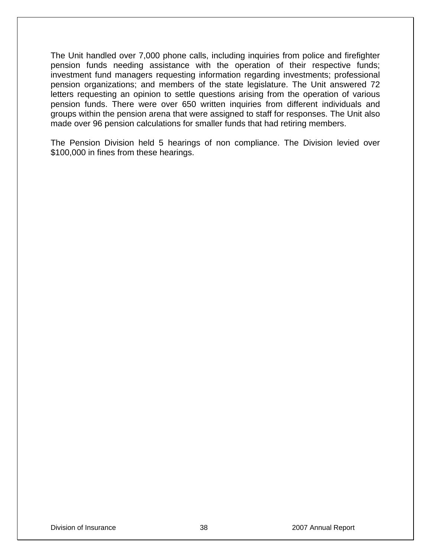The Unit handled over 7,000 phone calls, including inquiries from police and firefighter pension funds needing assistance with the operation of their respective funds; investment fund managers requesting information regarding investments; professional pension organizations; and members of the state legislature. The Unit answered 72 letters requesting an opinion to settle questions arising from the operation of various pension funds. There were over 650 written inquiries from different individuals and groups within the pension arena that were assigned to staff for responses. The Unit also made over 96 pension calculations for smaller funds that had retiring members.

The Pension Division held 5 hearings of non compliance. The Division levied over \$100,000 in fines from these hearings.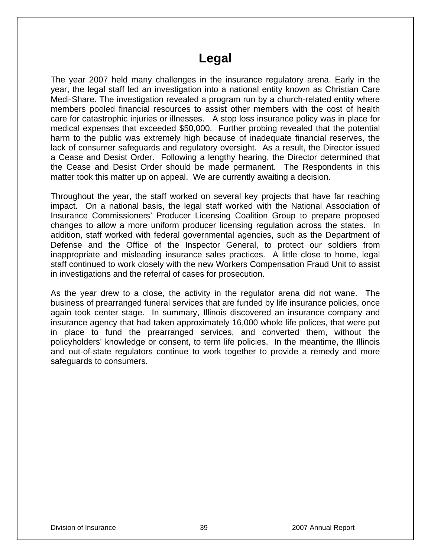## **Legal**

The year 2007 held many challenges in the insurance regulatory arena. Early in the year, the legal staff led an investigation into a national entity known as Christian Care Medi-Share. The investigation revealed a program run by a church-related entity where members pooled financial resources to assist other members with the cost of health care for catastrophic injuries or illnesses. A stop loss insurance policy was in place for medical expenses that exceeded \$50,000. Further probing revealed that the potential harm to the public was extremely high because of inadequate financial reserves, the lack of consumer safeguards and regulatory oversight. As a result, the Director issued a Cease and Desist Order. Following a lengthy hearing, the Director determined that the Cease and Desist Order should be made permanent. The Respondents in this matter took this matter up on appeal. We are currently awaiting a decision.

Throughout the year, the staff worked on several key projects that have far reaching impact. On a national basis, the legal staff worked with the National Association of Insurance Commissioners' Producer Licensing Coalition Group to prepare proposed changes to allow a more uniform producer licensing regulation across the states. In addition, staff worked with federal governmental agencies, such as the Department of Defense and the Office of the Inspector General, to protect our soldiers from inappropriate and misleading insurance sales practices. A little close to home, legal staff continued to work closely with the new Workers Compensation Fraud Unit to assist in investigations and the referral of cases for prosecution.

As the year drew to a close, the activity in the regulator arena did not wane. The business of prearranged funeral services that are funded by life insurance policies, once again took center stage. In summary, Illinois discovered an insurance company and insurance agency that had taken approximately 16,000 whole life polices, that were put in place to fund the prearranged services, and converted them, without the policyholders' knowledge or consent, to term life policies. In the meantime, the Illinois and out-of-state regulators continue to work together to provide a remedy and more safeguards to consumers.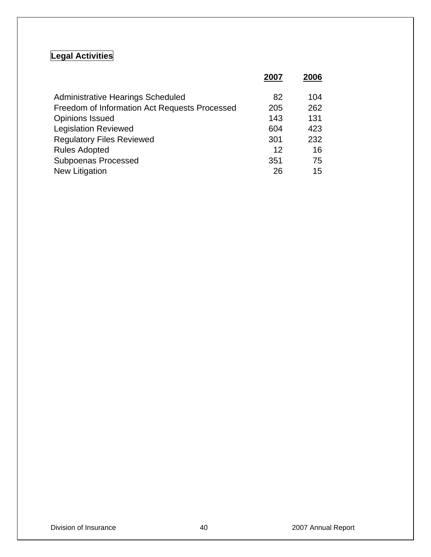## **Legal Activities**

|                                               | 2007 | 2006 |
|-----------------------------------------------|------|------|
| Administrative Hearings Scheduled             | 82   | 104  |
| Freedom of Information Act Requests Processed | 205  | 262  |
| <b>Opinions Issued</b>                        | 143  | 131  |
| <b>Legislation Reviewed</b>                   | 604  | 423  |
| <b>Regulatory Files Reviewed</b>              | 301  | 232  |
| <b>Rules Adopted</b>                          | 12   | 16   |
| <b>Subpoenas Processed</b>                    | 351  | 75   |
| New Litigation                                | 26   | 15   |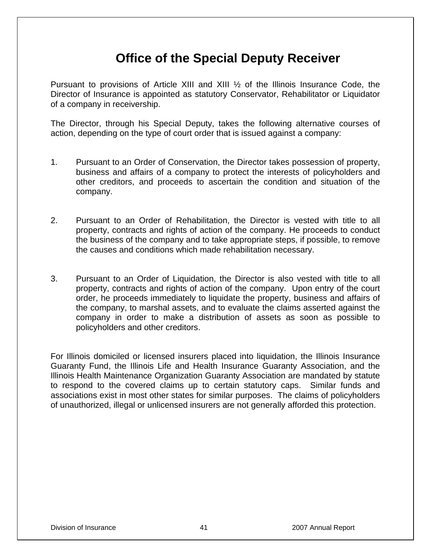## **Office of the Special Deputy Receiver**

Pursuant to provisions of Article XIII and XIII ½ of the Illinois Insurance Code, the Director of Insurance is appointed as statutory Conservator, Rehabilitator or Liquidator of a company in receivership.

The Director, through his Special Deputy, takes the following alternative courses of action, depending on the type of court order that is issued against a company:

- 1. Pursuant to an Order of Conservation, the Director takes possession of property, business and affairs of a company to protect the interests of policyholders and other creditors, and proceeds to ascertain the condition and situation of the company.
- 2. Pursuant to an Order of Rehabilitation, the Director is vested with title to all property, contracts and rights of action of the company. He proceeds to conduct the business of the company and to take appropriate steps, if possible, to remove the causes and conditions which made rehabilitation necessary.
- 3. Pursuant to an Order of Liquidation, the Director is also vested with title to all property, contracts and rights of action of the company. Upon entry of the court order, he proceeds immediately to liquidate the property, business and affairs of the company, to marshal assets, and to evaluate the claims asserted against the company in order to make a distribution of assets as soon as possible to policyholders and other creditors.

For Illinois domiciled or licensed insurers placed into liquidation, the Illinois Insurance Guaranty Fund, the Illinois Life and Health Insurance Guaranty Association, and the Illinois Health Maintenance Organization Guaranty Association are mandated by statute to respond to the covered claims up to certain statutory caps. Similar funds and associations exist in most other states for similar purposes. The claims of policyholders of unauthorized, illegal or unlicensed insurers are not generally afforded this protection.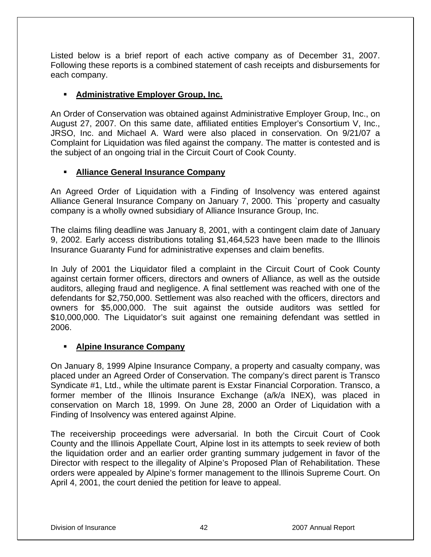Listed below is a brief report of each active company as of December 31, 2007. Following these reports is a combined statement of cash receipts and disbursements for each company.

#### **Administrative Employer Group, Inc.**

An Order of Conservation was obtained against Administrative Employer Group, Inc., on August 27, 2007. On this same date, affiliated entities Employer's Consortium V, Inc., JRSO, Inc. and Michael A. Ward were also placed in conservation. On 9/21/07 a Complaint for Liquidation was filed against the company. The matter is contested and is the subject of an ongoing trial in the Circuit Court of Cook County.

#### **Alliance General Insurance Company**

An Agreed Order of Liquidation with a Finding of Insolvency was entered against Alliance General Insurance Company on January 7, 2000. This `property and casualty company is a wholly owned subsidiary of Alliance Insurance Group, Inc.

The claims filing deadline was January 8, 2001, with a contingent claim date of January 9, 2002. Early access distributions totaling \$1,464,523 have been made to the Illinois Insurance Guaranty Fund for administrative expenses and claim benefits.

In July of 2001 the Liquidator filed a complaint in the Circuit Court of Cook County against certain former officers, directors and owners of Alliance, as well as the outside auditors, alleging fraud and negligence. A final settlement was reached with one of the defendants for \$2,750,000. Settlement was also reached with the officers, directors and owners for \$5,000,000. The suit against the outside auditors was settled for \$10,000,000. The Liquidator's suit against one remaining defendant was settled in 2006.

#### **Alpine Insurance Company**

On January 8, 1999 Alpine Insurance Company, a property and casualty company, was placed under an Agreed Order of Conservation. The company's direct parent is Transco Syndicate #1, Ltd., while the ultimate parent is Exstar Financial Corporation. Transco, a former member of the Illinois Insurance Exchange (a/k/a INEX), was placed in conservation on March 18, 1999. On June 28, 2000 an Order of Liquidation with a Finding of Insolvency was entered against Alpine.

The receivership proceedings were adversarial. In both the Circuit Court of Cook County and the Illinois Appellate Court, Alpine lost in its attempts to seek review of both the liquidation order and an earlier order granting summary judgement in favor of the Director with respect to the illegality of Alpine's Proposed Plan of Rehabilitation. These orders were appealed by Alpine's former management to the Illinois Supreme Court. On April 4, 2001, the court denied the petition for leave to appeal.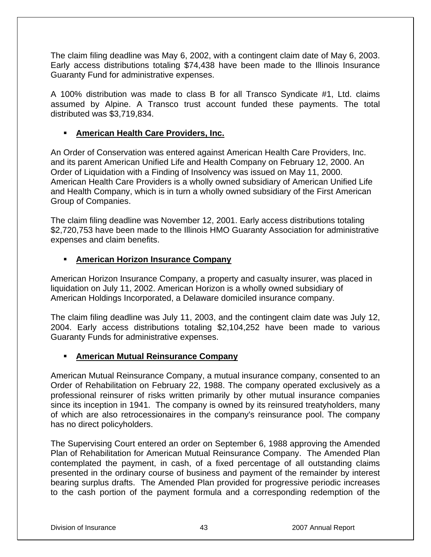The claim filing deadline was May 6, 2002, with a contingent claim date of May 6, 2003. Early access distributions totaling \$74,438 have been made to the Illinois Insurance Guaranty Fund for administrative expenses.

A 100% distribution was made to class B for all Transco Syndicate #1, Ltd. claims assumed by Alpine. A Transco trust account funded these payments. The total distributed was \$3,719,834.

#### **American Health Care Providers, Inc.**

An Order of Conservation was entered against American Health Care Providers, Inc. and its parent American Unified Life and Health Company on February 12, 2000. An Order of Liquidation with a Finding of Insolvency was issued on May 11, 2000. American Health Care Providers is a wholly owned subsidiary of American Unified Life and Health Company, which is in turn a wholly owned subsidiary of the First American Group of Companies.

The claim filing deadline was November 12, 2001. Early access distributions totaling \$2,720,753 have been made to the Illinois HMO Guaranty Association for administrative expenses and claim benefits.

#### **American Horizon Insurance Company**

American Horizon Insurance Company, a property and casualty insurer, was placed in liquidation on July 11, 2002. American Horizon is a wholly owned subsidiary of American Holdings Incorporated, a Delaware domiciled insurance company.

The claim filing deadline was July 11, 2003, and the contingent claim date was July 12, 2004. Early access distributions totaling \$2,104,252 have been made to various Guaranty Funds for administrative expenses.

### **American Mutual Reinsurance Company**

American Mutual Reinsurance Company, a mutual insurance company, consented to an Order of Rehabilitation on February 22, 1988. The company operated exclusively as a professional reinsurer of risks written primarily by other mutual insurance companies since its inception in 1941. The company is owned by its reinsured treatyholders, many of which are also retrocessionaires in the company's reinsurance pool. The company has no direct policyholders.

The Supervising Court entered an order on September 6, 1988 approving the Amended Plan of Rehabilitation for American Mutual Reinsurance Company. The Amended Plan contemplated the payment, in cash, of a fixed percentage of all outstanding claims presented in the ordinary course of business and payment of the remainder by interest bearing surplus drafts. The Amended Plan provided for progressive periodic increases to the cash portion of the payment formula and a corresponding redemption of the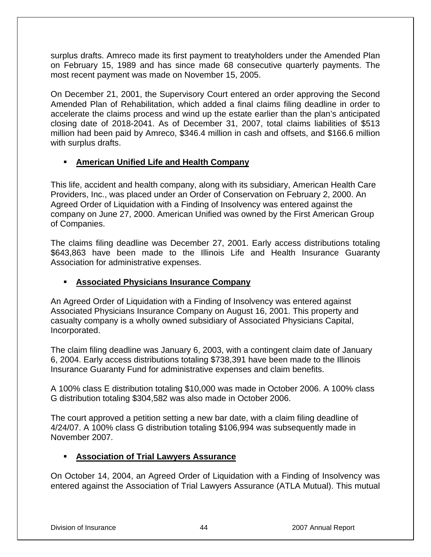surplus drafts. Amreco made its first payment to treatyholders under the Amended Plan on February 15, 1989 and has since made 68 consecutive quarterly payments. The most recent payment was made on November 15, 2005.

On December 21, 2001, the Supervisory Court entered an order approving the Second Amended Plan of Rehabilitation, which added a final claims filing deadline in order to accelerate the claims process and wind up the estate earlier than the plan's anticipated closing date of 2018-2041. As of December 31, 2007, total claims liabilities of \$513 million had been paid by Amreco, \$346.4 million in cash and offsets, and \$166.6 million with surplus drafts.

### **American Unified Life and Health Company**

This life, accident and health company, along with its subsidiary, American Health Care Providers, Inc., was placed under an Order of Conservation on February 2, 2000. An Agreed Order of Liquidation with a Finding of Insolvency was entered against the company on June 27, 2000. American Unified was owned by the First American Group of Companies.

The claims filing deadline was December 27, 2001. Early access distributions totaling \$643,863 have been made to the Illinois Life and Health Insurance Guaranty Association for administrative expenses.

### **Associated Physicians Insurance Company**

An Agreed Order of Liquidation with a Finding of Insolvency was entered against Associated Physicians Insurance Company on August 16, 2001. This property and casualty company is a wholly owned subsidiary of Associated Physicians Capital, Incorporated.

The claim filing deadline was January 6, 2003, with a contingent claim date of January 6, 2004. Early access distributions totaling \$738,391 have been made to the Illinois Insurance Guaranty Fund for administrative expenses and claim benefits.

A 100% class E distribution totaling \$10,000 was made in October 2006. A 100% class G distribution totaling \$304,582 was also made in October 2006.

The court approved a petition setting a new bar date, with a claim filing deadline of 4/24/07. A 100% class G distribution totaling \$106,994 was subsequently made in November 2007.

### **Association of Trial Lawyers Assurance**

On October 14, 2004, an Agreed Order of Liquidation with a Finding of Insolvency was entered against the Association of Trial Lawyers Assurance (ATLA Mutual). This mutual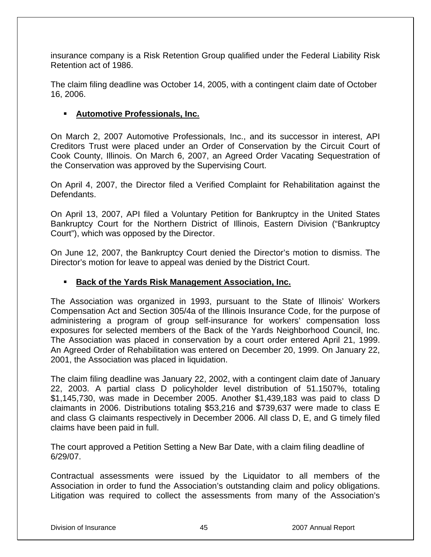insurance company is a Risk Retention Group qualified under the Federal Liability Risk Retention act of 1986.

The claim filing deadline was October 14, 2005, with a contingent claim date of October 16, 2006.

#### **Automotive Professionals, Inc.**

On March 2, 2007 Automotive Professionals, Inc., and its successor in interest, API Creditors Trust were placed under an Order of Conservation by the Circuit Court of Cook County, Illinois. On March 6, 2007, an Agreed Order Vacating Sequestration of the Conservation was approved by the Supervising Court.

On April 4, 2007, the Director filed a Verified Complaint for Rehabilitation against the Defendants.

On April 13, 2007, API filed a Voluntary Petition for Bankruptcy in the United States Bankruptcy Court for the Northern District of Illinois, Eastern Division ("Bankruptcy Court"), which was opposed by the Director.

On June 12, 2007, the Bankruptcy Court denied the Director's motion to dismiss. The Director's motion for leave to appeal was denied by the District Court.

#### **Back of the Yards Risk Management Association, Inc.**

The Association was organized in 1993, pursuant to the State of Illinois' Workers Compensation Act and Section 305/4a of the Illinois Insurance Code, for the purpose of administering a program of group self-insurance for workers' compensation loss exposures for selected members of the Back of the Yards Neighborhood Council, Inc. The Association was placed in conservation by a court order entered April 21, 1999. An Agreed Order of Rehabilitation was entered on December 20, 1999. On January 22, 2001, the Association was placed in liquidation.

The claim filing deadline was January 22, 2002, with a contingent claim date of January 22, 2003. A partial class D policyholder level distribution of 51.1507%, totaling \$1,145,730, was made in December 2005. Another \$1,439,183 was paid to class D claimants in 2006. Distributions totaling \$53,216 and \$739,637 were made to class E and class G claimants respectively in December 2006. All class D, E, and G timely filed claims have been paid in full.

The court approved a Petition Setting a New Bar Date, with a claim filing deadline of 6/29/07.

Contractual assessments were issued by the Liquidator to all members of the Association in order to fund the Association's outstanding claim and policy obligations. Litigation was required to collect the assessments from many of the Association's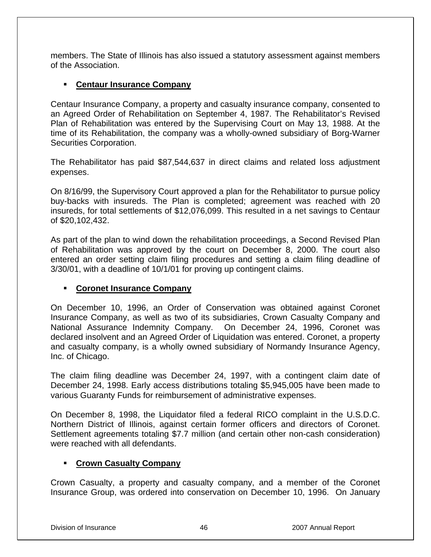members. The State of Illinois has also issued a statutory assessment against members of the Association.

#### **Centaur Insurance Company**

Centaur Insurance Company, a property and casualty insurance company, consented to an Agreed Order of Rehabilitation on September 4, 1987. The Rehabilitator's Revised Plan of Rehabilitation was entered by the Supervising Court on May 13, 1988. At the time of its Rehabilitation, the company was a wholly-owned subsidiary of Borg-Warner Securities Corporation.

The Rehabilitator has paid \$87,544,637 in direct claims and related loss adjustment expenses.

On 8/16/99, the Supervisory Court approved a plan for the Rehabilitator to pursue policy buy-backs with insureds. The Plan is completed; agreement was reached with 20 insureds, for total settlements of \$12,076,099. This resulted in a net savings to Centaur of \$20,102,432.

As part of the plan to wind down the rehabilitation proceedings, a Second Revised Plan of Rehabilitation was approved by the court on December 8, 2000. The court also entered an order setting claim filing procedures and setting a claim filing deadline of 3/30/01, with a deadline of 10/1/01 for proving up contingent claims.

#### **Coronet Insurance Company**

On December 10, 1996, an Order of Conservation was obtained against Coronet Insurance Company, as well as two of its subsidiaries, Crown Casualty Company and National Assurance Indemnity Company. On December 24, 1996, Coronet was declared insolvent and an Agreed Order of Liquidation was entered. Coronet, a property and casualty company, is a wholly owned subsidiary of Normandy Insurance Agency, Inc. of Chicago.

The claim filing deadline was December 24, 1997, with a contingent claim date of December 24, 1998. Early access distributions totaling \$5,945,005 have been made to various Guaranty Funds for reimbursement of administrative expenses.

On December 8, 1998, the Liquidator filed a federal RICO complaint in the U.S.D.C. Northern District of Illinois, against certain former officers and directors of Coronet. Settlement agreements totaling \$7.7 million (and certain other non-cash consideration) were reached with all defendants.

### **Crown Casualty Company**

Crown Casualty, a property and casualty company, and a member of the Coronet Insurance Group, was ordered into conservation on December 10, 1996. On January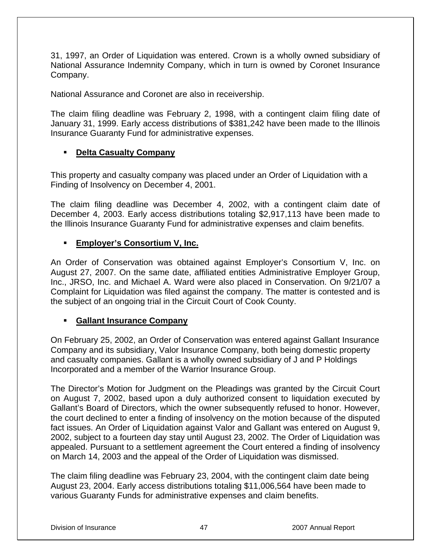31, 1997, an Order of Liquidation was entered. Crown is a wholly owned subsidiary of National Assurance Indemnity Company, which in turn is owned by Coronet Insurance Company.

National Assurance and Coronet are also in receivership.

The claim filing deadline was February 2, 1998, with a contingent claim filing date of January 31, 1999. Early access distributions of \$381,242 have been made to the Illinois Insurance Guaranty Fund for administrative expenses.

#### **Delta Casualty Company**

This property and casualty company was placed under an Order of Liquidation with a Finding of Insolvency on December 4, 2001.

The claim filing deadline was December 4, 2002, with a contingent claim date of December 4, 2003. Early access distributions totaling \$2,917,113 have been made to the Illinois Insurance Guaranty Fund for administrative expenses and claim benefits.

#### **Employer's Consortium V, Inc.**

An Order of Conservation was obtained against Employer's Consortium V, Inc. on August 27, 2007. On the same date, affiliated entities Administrative Employer Group, Inc., JRSO, Inc. and Michael A. Ward were also placed in Conservation. On 9/21/07 a Complaint for Liquidation was filed against the company. The matter is contested and is the subject of an ongoing trial in the Circuit Court of Cook County.

#### **Gallant Insurance Company**

On February 25, 2002, an Order of Conservation was entered against Gallant Insurance Company and its subsidiary, Valor Insurance Company, both being domestic property and casualty companies. Gallant is a wholly owned subsidiary of J and P Holdings Incorporated and a member of the Warrior Insurance Group.

The Director's Motion for Judgment on the Pleadings was granted by the Circuit Court on August 7, 2002, based upon a duly authorized consent to liquidation executed by Gallant's Board of Directors, which the owner subsequently refused to honor. However, the court declined to enter a finding of insolvency on the motion because of the disputed fact issues. An Order of Liquidation against Valor and Gallant was entered on August 9, 2002, subject to a fourteen day stay until August 23, 2002. The Order of Liquidation was appealed. Pursuant to a settlement agreement the Court entered a finding of insolvency on March 14, 2003 and the appeal of the Order of Liquidation was dismissed.

The claim filing deadline was February 23, 2004, with the contingent claim date being August 23, 2004. Early access distributions totaling \$11,006,564 have been made to various Guaranty Funds for administrative expenses and claim benefits.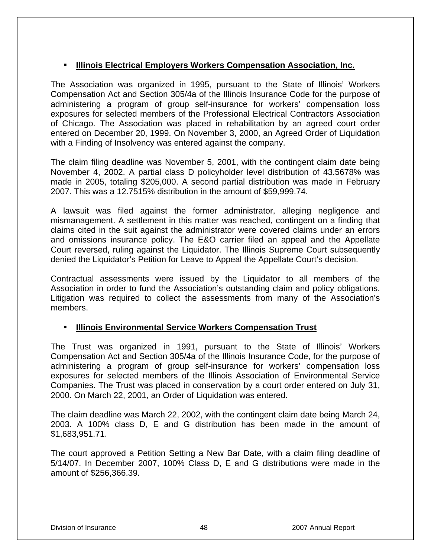### **Illinois Electrical Employers Workers Compensation Association, Inc.**

The Association was organized in 1995, pursuant to the State of Illinois' Workers Compensation Act and Section 305/4a of the Illinois Insurance Code for the purpose of administering a program of group self-insurance for workers' compensation loss exposures for selected members of the Professional Electrical Contractors Association of Chicago. The Association was placed in rehabilitation by an agreed court order entered on December 20, 1999. On November 3, 2000, an Agreed Order of Liquidation with a Finding of Insolvency was entered against the company.

The claim filing deadline was November 5, 2001, with the contingent claim date being November 4, 2002. A partial class D policyholder level distribution of 43.5678% was made in 2005, totaling \$205,000. A second partial distribution was made in February 2007. This was a 12.7515% distribution in the amount of \$59,999.74.

A lawsuit was filed against the former administrator, alleging negligence and mismanagement. A settlement in this matter was reached, contingent on a finding that claims cited in the suit against the administrator were covered claims under an errors and omissions insurance policy. The E&O carrier filed an appeal and the Appellate Court reversed, ruling against the Liquidator. The Illinois Supreme Court subsequently denied the Liquidator's Petition for Leave to Appeal the Appellate Court's decision.

Contractual assessments were issued by the Liquidator to all members of the Association in order to fund the Association's outstanding claim and policy obligations. Litigation was required to collect the assessments from many of the Association's members.

### **Illinois Environmental Service Workers Compensation Trust**

The Trust was organized in 1991, pursuant to the State of Illinois' Workers Compensation Act and Section 305/4a of the Illinois Insurance Code, for the purpose of administering a program of group self-insurance for workers' compensation loss exposures for selected members of the Illinois Association of Environmental Service Companies. The Trust was placed in conservation by a court order entered on July 31, 2000. On March 22, 2001, an Order of Liquidation was entered.

The claim deadline was March 22, 2002, with the contingent claim date being March 24, 2003. A 100% class D, E and G distribution has been made in the amount of \$1,683,951.71.

The court approved a Petition Setting a New Bar Date, with a claim filing deadline of 5/14/07. In December 2007, 100% Class D, E and G distributions were made in the amount of \$256,366.39.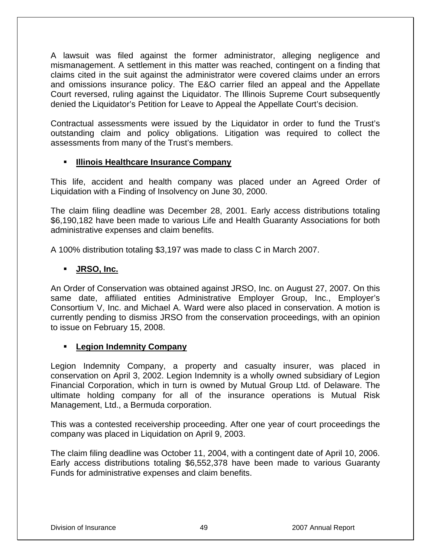A lawsuit was filed against the former administrator, alleging negligence and mismanagement. A settlement in this matter was reached, contingent on a finding that claims cited in the suit against the administrator were covered claims under an errors and omissions insurance policy. The E&O carrier filed an appeal and the Appellate Court reversed, ruling against the Liquidator. The Illinois Supreme Court subsequently denied the Liquidator's Petition for Leave to Appeal the Appellate Court's decision.

Contractual assessments were issued by the Liquidator in order to fund the Trust's outstanding claim and policy obligations. Litigation was required to collect the assessments from many of the Trust's members.

#### **Illinois Healthcare Insurance Company**

This life, accident and health company was placed under an Agreed Order of Liquidation with a Finding of Insolvency on June 30, 2000.

The claim filing deadline was December 28, 2001. Early access distributions totaling \$6,190,182 have been made to various Life and Health Guaranty Associations for both administrative expenses and claim benefits.

A 100% distribution totaling \$3,197 was made to class C in March 2007.

### **JRSO, Inc.**

An Order of Conservation was obtained against JRSO, Inc. on August 27, 2007. On this same date, affiliated entities Administrative Employer Group, Inc., Employer's Consortium V, Inc. and Michael A. Ward were also placed in conservation. A motion is currently pending to dismiss JRSO from the conservation proceedings, with an opinion to issue on February 15, 2008.

#### **Legion Indemnity Company**

Legion Indemnity Company, a property and casualty insurer, was placed in conservation on April 3, 2002. Legion Indemnity is a wholly owned subsidiary of Legion Financial Corporation, which in turn is owned by Mutual Group Ltd. of Delaware. The ultimate holding company for all of the insurance operations is Mutual Risk Management, Ltd., a Bermuda corporation.

This was a contested receivership proceeding. After one year of court proceedings the company was placed in Liquidation on April 9, 2003.

The claim filing deadline was October 11, 2004, with a contingent date of April 10, 2006. Early access distributions totaling \$6,552,378 have been made to various Guaranty Funds for administrative expenses and claim benefits.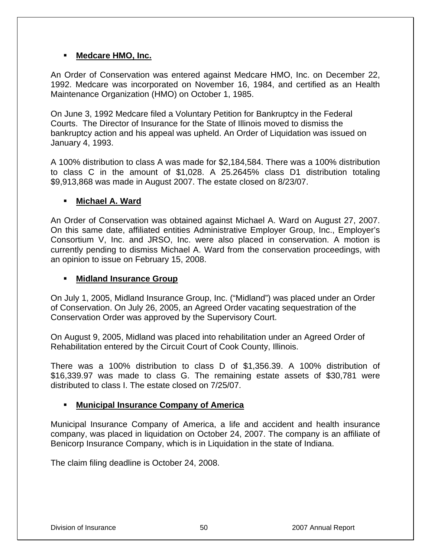#### **Medcare HMO, Inc.**

An Order of Conservation was entered against Medcare HMO, Inc. on December 22, 1992. Medcare was incorporated on November 16, 1984, and certified as an Health Maintenance Organization (HMO) on October 1, 1985.

On June 3, 1992 Medcare filed a Voluntary Petition for Bankruptcy in the Federal Courts. The Director of Insurance for the State of Illinois moved to dismiss the bankruptcy action and his appeal was upheld. An Order of Liquidation was issued on January 4, 1993.

A 100% distribution to class A was made for \$2,184,584. There was a 100% distribution to class C in the amount of \$1,028. A 25.2645% class D1 distribution totaling \$9,913,868 was made in August 2007. The estate closed on 8/23/07.

#### **Michael A. Ward**

An Order of Conservation was obtained against Michael A. Ward on August 27, 2007. On this same date, affiliated entities Administrative Employer Group, Inc., Employer's Consortium V, Inc. and JRSO, Inc. were also placed in conservation. A motion is currently pending to dismiss Michael A. Ward from the conservation proceedings, with an opinion to issue on February 15, 2008.

#### **Midland Insurance Group**

On July 1, 2005, Midland Insurance Group, Inc. ("Midland") was placed under an Order of Conservation. On July 26, 2005, an Agreed Order vacating sequestration of the Conservation Order was approved by the Supervisory Court.

On August 9, 2005, Midland was placed into rehabilitation under an Agreed Order of Rehabilitation entered by the Circuit Court of Cook County, Illinois.

There was a 100% distribution to class D of \$1,356.39. A 100% distribution of \$16,339.97 was made to class G. The remaining estate assets of \$30,781 were distributed to class I. The estate closed on 7/25/07.

### **Municipal Insurance Company of America**

Municipal Insurance Company of America, a life and accident and health insurance company, was placed in liquidation on October 24, 2007. The company is an affiliate of Benicorp Insurance Company, which is in Liquidation in the state of Indiana.

The claim filing deadline is October 24, 2008.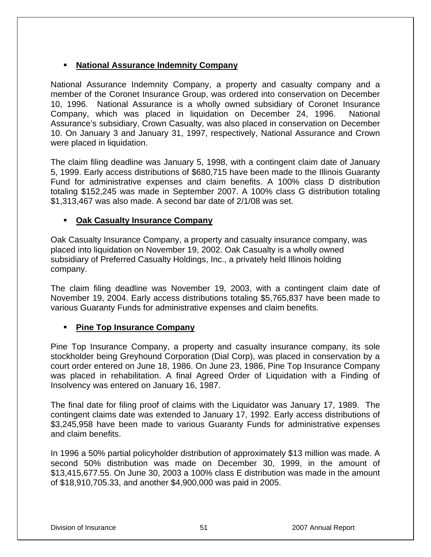#### **National Assurance Indemnity Company**

National Assurance Indemnity Company, a property and casualty company and a member of the Coronet Insurance Group, was ordered into conservation on December 10, 1996. National Assurance is a wholly owned subsidiary of Coronet Insurance Company, which was placed in liquidation on December 24, 1996. National Assurance's subsidiary, Crown Casualty, was also placed in conservation on December 10. On January 3 and January 31, 1997, respectively, National Assurance and Crown were placed in liquidation.

The claim filing deadline was January 5, 1998, with a contingent claim date of January 5, 1999. Early access distributions of \$680,715 have been made to the Illinois Guaranty Fund for administrative expenses and claim benefits. A 100% class D distribution totaling \$152,245 was made in September 2007. A 100% class G distribution totaling \$1,313,467 was also made. A second bar date of 2/1/08 was set.

#### **Oak Casualty Insurance Company**

Oak Casualty Insurance Company, a property and casualty insurance company, was placed into liquidation on November 19, 2002. Oak Casualty is a wholly owned subsidiary of Preferred Casualty Holdings, Inc., a privately held Illinois holding company.

The claim filing deadline was November 19, 2003, with a contingent claim date of November 19, 2004. Early access distributions totaling \$5,765,837 have been made to various Guaranty Funds for administrative expenses and claim benefits.

#### **Pine Top Insurance Company**

Pine Top Insurance Company, a property and casualty insurance company, its sole stockholder being Greyhound Corporation (Dial Corp), was placed in conservation by a court order entered on June 18, 1986. On June 23, 1986, Pine Top Insurance Company was placed in rehabilitation. A final Agreed Order of Liquidation with a Finding of Insolvency was entered on January 16, 1987.

The final date for filing proof of claims with the Liquidator was January 17, 1989. The contingent claims date was extended to January 17, 1992. Early access distributions of \$3,245,958 have been made to various Guaranty Funds for administrative expenses and claim benefits.

In 1996 a 50% partial policyholder distribution of approximately \$13 million was made. A second 50% distribution was made on December 30, 1999, in the amount of \$13,415,677.55. On June 30, 2003 a 100% class E distribution was made in the amount of \$18,910,705.33, and another \$4,900,000 was paid in 2005.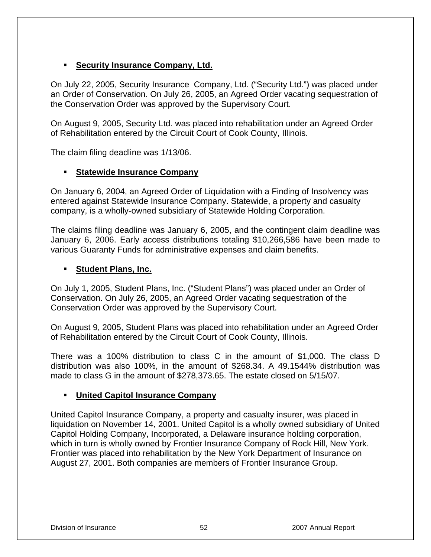### **Security Insurance Company, Ltd.**

On July 22, 2005, Security Insurance Company, Ltd. ("Security Ltd.") was placed under an Order of Conservation. On July 26, 2005, an Agreed Order vacating sequestration of the Conservation Order was approved by the Supervisory Court.

On August 9, 2005, Security Ltd. was placed into rehabilitation under an Agreed Order of Rehabilitation entered by the Circuit Court of Cook County, Illinois.

The claim filing deadline was 1/13/06.

### **Statewide Insurance Company**

On January 6, 2004, an Agreed Order of Liquidation with a Finding of Insolvency was entered against Statewide Insurance Company. Statewide, a property and casualty company, is a wholly-owned subsidiary of Statewide Holding Corporation.

The claims filing deadline was January 6, 2005, and the contingent claim deadline was January 6, 2006. Early access distributions totaling \$10,266,586 have been made to various Guaranty Funds for administrative expenses and claim benefits.

#### **Student Plans, Inc.**

On July 1, 2005, Student Plans, Inc. ("Student Plans") was placed under an Order of Conservation. On July 26, 2005, an Agreed Order vacating sequestration of the Conservation Order was approved by the Supervisory Court.

On August 9, 2005, Student Plans was placed into rehabilitation under an Agreed Order of Rehabilitation entered by the Circuit Court of Cook County, Illinois.

There was a 100% distribution to class C in the amount of \$1,000. The class D distribution was also 100%, in the amount of \$268.34. A 49.1544% distribution was made to class G in the amount of \$278,373.65. The estate closed on 5/15/07.

### **United Capitol Insurance Company**

United Capitol Insurance Company, a property and casualty insurer, was placed in liquidation on November 14, 2001. United Capitol is a wholly owned subsidiary of United Capitol Holding Company, Incorporated, a Delaware insurance holding corporation, which in turn is wholly owned by Frontier Insurance Company of Rock Hill, New York. Frontier was placed into rehabilitation by the New York Department of Insurance on August 27, 2001. Both companies are members of Frontier Insurance Group.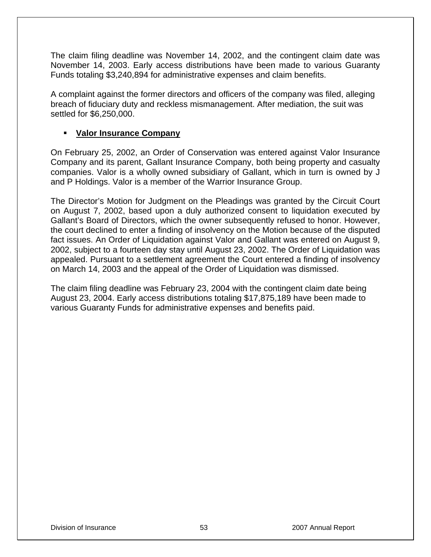The claim filing deadline was November 14, 2002, and the contingent claim date was November 14, 2003. Early access distributions have been made to various Guaranty Funds totaling \$3,240,894 for administrative expenses and claim benefits.

A complaint against the former directors and officers of the company was filed, alleging breach of fiduciary duty and reckless mismanagement. After mediation, the suit was settled for \$6,250,000.

#### **Valor Insurance Company**

On February 25, 2002, an Order of Conservation was entered against Valor Insurance Company and its parent, Gallant Insurance Company, both being property and casualty companies. Valor is a wholly owned subsidiary of Gallant, which in turn is owned by J and P Holdings. Valor is a member of the Warrior Insurance Group.

The Director's Motion for Judgment on the Pleadings was granted by the Circuit Court on August 7, 2002, based upon a duly authorized consent to liquidation executed by Gallant's Board of Directors, which the owner subsequently refused to honor. However, the court declined to enter a finding of insolvency on the Motion because of the disputed fact issues. An Order of Liquidation against Valor and Gallant was entered on August 9, 2002, subject to a fourteen day stay until August 23, 2002. The Order of Liquidation was appealed. Pursuant to a settlement agreement the Court entered a finding of insolvency on March 14, 2003 and the appeal of the Order of Liquidation was dismissed.

The claim filing deadline was February 23, 2004 with the contingent claim date being August 23, 2004. Early access distributions totaling \$17,875,189 have been made to various Guaranty Funds for administrative expenses and benefits paid.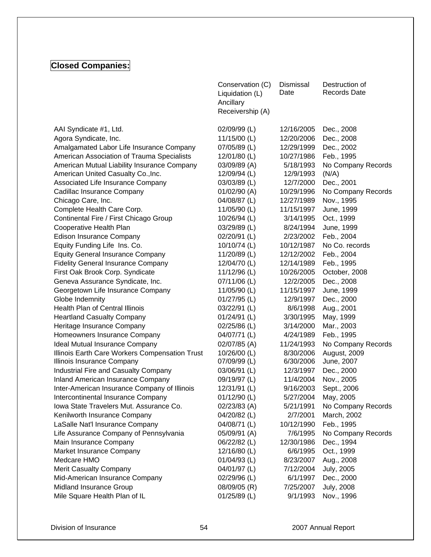## **Closed Companies:**

|                                                | Conservation (C)<br>Liquidation (L)<br>Ancillary<br>Receivership (A) | Dismissal<br>Date | Destruction of<br><b>Records Date</b> |
|------------------------------------------------|----------------------------------------------------------------------|-------------------|---------------------------------------|
| AAI Syndicate #1, Ltd.                         | 02/09/99 (L)                                                         | 12/16/2005        | Dec., 2008                            |
| Agora Syndicate, Inc.                          | 11/15/00 (L)                                                         | 12/20/2006        | Dec., 2008                            |
| Amalgamated Labor Life Insurance Company       | 07/05/89 (L)                                                         | 12/29/1999        | Dec., 2002                            |
| American Association of Trauma Specialists     | 12/01/80 (L)                                                         | 10/27/1986        | Feb., 1995                            |
| American Mutual Liability Insurance Company    | 03/09/89 (A)                                                         | 5/18/1993         | No Company Records                    |
| American United Casualty Co., Inc.             | 12/09/94 (L)                                                         | 12/9/1993         | (N/A)                                 |
| Associated Life Insurance Company              | 03/03/89 (L)                                                         | 12/7/2000         | Dec., 2001                            |
| Cadillac Insurance Company                     | 01/02/90 (A)                                                         | 10/29/1996        | No Company Records                    |
| Chicago Care, Inc.                             | 04/08/87 (L)                                                         | 12/27/1989        | Nov., 1995                            |
| Complete Health Care Corp.                     | 11/05/90 (L)                                                         | 11/15/1997        | June, 1999                            |
| Continental Fire / First Chicago Group         | 10/26/94 (L)                                                         | 3/14/1995         | Oct., 1999                            |
| Cooperative Health Plan                        | 03/29/89 (L)                                                         | 8/24/1994         | June, 1999                            |
| <b>Edison Insurance Company</b>                | 02/20/91 (L)                                                         | 2/23/2002         | Feb., 2004                            |
| Equity Funding Life Ins. Co.                   | 10/10/74 (L)                                                         | 10/12/1987        | No Co. records                        |
| <b>Equity General Insurance Company</b>        | 11/20/89 (L)                                                         | 12/12/2002        | Feb., 2004                            |
| <b>Fidelity General Insurance Company</b>      | 12/04/70 (L)                                                         | 12/14/1989        | Feb., 1995                            |
| First Oak Brook Corp. Syndicate                | 11/12/96 (L)                                                         | 10/26/2005        | October, 2008                         |
| Geneva Assurance Syndicate, Inc.               | 07/11/06 (L)                                                         | 12/2/2005         | Dec., 2008                            |
| Georgetown Life Insurance Company              | 11/05/90 (L)                                                         | 11/15/1997        | June, 1999                            |
| Globe Indemnity                                | 01/27/95 (L)                                                         | 12/9/1997         | Dec., 2000                            |
| <b>Health Plan of Central Illinois</b>         | 03/22/91 (L)                                                         | 8/6/1998          | Aug., 2001                            |
| <b>Heartland Casualty Company</b>              | 01/24/91 (L)                                                         | 3/30/1995         | May, 1999                             |
| Heritage Insurance Company                     | 02/25/86 (L)                                                         | 3/14/2000         | Mar., 2003                            |
| Homeowners Insurance Company                   | 04/07/71 (L)                                                         | 4/24/1989         | Feb., 1995                            |
| Ideal Mutual Insurance Company                 | 02/07/85 (A)                                                         | 11/24/1993        | No Company Records                    |
| Illinois Earth Care Workers Compensation Trust | 10/26/00 (L)                                                         | 8/30/2006         | August, 2009                          |
| Illinois Insurance Company                     | 07/09/99 (L)                                                         | 6/30/2006         | June, 2007                            |
| Industrial Fire and Casualty Company           | 03/06/91 (L)                                                         | 12/3/1997         | Dec., 2000                            |
| Inland American Insurance Company              | 09/19/97 (L)                                                         | 11/4/2004         | Nov., 2005                            |
| Inter-American Insurance Company of Illinois   | 12/31/91 (L)                                                         | 9/16/2003         | Sept., 2006                           |
| Intercontinental Insurance Company             | 01/12/90 (L)                                                         | 5/27/2004         | May, 2005                             |
| Iowa State Travelers Mut. Assurance Co.        | 02/23/83 (A)                                                         | 5/21/1991         | No Company Records                    |
| Kenilworth Insurance Company                   | 04/20/82 (L)                                                         | 2/7/2001          | March, 2002                           |
| LaSalle Nat'l Insurance Company                | 04/08/71 (L)                                                         | 10/12/1990        | Feb., 1995                            |
| Life Assurance Company of Pennsylvania         | 05/09/91 (A)                                                         | 7/6/1995          | No Company Records                    |
| Main Insurance Company                         | 06/22/82 (L)                                                         | 12/30/1986        | Dec., 1994                            |
| Market Insurance Company                       | 12/16/80 (L)                                                         | 6/6/1995          | Oct., 1999                            |
| Medcare HMO                                    | 01/04/93 (L)                                                         | 8/23/2007         | Aug., 2008                            |
| Merit Casualty Company                         | 04/01/97 (L)                                                         | 7/12/2004         | <b>July, 2005</b>                     |
| Mid-American Insurance Company                 | 02/29/96 (L)                                                         | 6/1/1997          | Dec., 2000                            |
| Midland Insurance Group                        | 08/09/05 (R)                                                         | 7/25/2007         | <b>July, 2008</b>                     |
| Mile Square Health Plan of IL                  | 01/25/89 (L)                                                         | 9/1/1993          | Nov., 1996                            |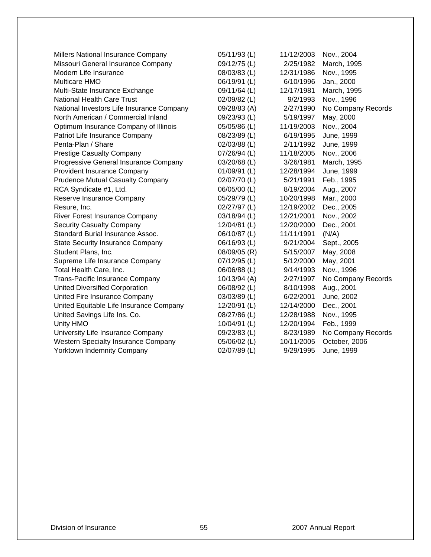| 05/11/93 (L) | 11/12/2003 | Nov., 2004         |
|--------------|------------|--------------------|
| 09/12/75 (L) | 2/25/1982  | March, 1995        |
| 08/03/83 (L) | 12/31/1986 | Nov., 1995         |
| 06/19/91 (L) | 6/10/1996  | Jan., 2000         |
| 09/11/64 (L) | 12/17/1981 | March, 1995        |
| 02/09/82 (L) | 9/2/1993   | Nov., 1996         |
| 09/28/83 (A) | 2/27/1990  | No Company Records |
| 09/23/93 (L) | 5/19/1997  | May, 2000          |
| 05/05/86 (L) | 11/19/2003 | Nov., 2004         |
| 08/23/89 (L) | 6/19/1995  | June, 1999         |
| 02/03/88 (L) | 2/11/1992  | June, 1999         |
| 07/26/94 (L) | 11/18/2005 | Nov., 2006         |
| 03/20/68 (L) | 3/26/1981  | March, 1995        |
| 01/09/91 (L) | 12/28/1994 | June, 1999         |
| 02/07/70 (L) | 5/21/1991  | Feb., 1995         |
| 06/05/00 (L) | 8/19/2004  | Aug., 2007         |
| 05/29/79 (L) | 10/20/1998 | Mar., 2000         |
| 02/27/97 (L) | 12/19/2002 | Dec., 2005         |
| 03/18/94 (L) | 12/21/2001 | Nov., 2002         |
| 12/04/81 (L) | 12/20/2000 | Dec., 2001         |
| 06/10/87 (L) | 11/11/1991 | (N/A)              |
| 06/16/93 (L) | 9/21/2004  | Sept., 2005        |
| 08/09/05 (R) | 5/15/2007  | May, 2008          |
| 07/12/95 (L) | 5/12/2000  | May, 2001          |
| 06/06/88 (L) | 9/14/1993  | Nov., 1996         |
| 10/13/94 (A) | 2/27/1997  | No Company Records |
| 06/08/92 (L) | 8/10/1998  | Aug., 2001         |
| 03/03/89 (L) | 6/22/2001  | June, 2002         |
| 12/20/91 (L) | 12/14/2000 | Dec., 2001         |
| 08/27/86 (L) | 12/28/1988 | Nov., 1995         |
| 10/04/91 (L) | 12/20/1994 | Feb., 1999         |
| 09/23/83 (L) | 8/23/1989  | No Company Records |
| 05/06/02 (L) | 10/11/2005 | October, 2006      |
| 02/07/89 (L) | 9/29/1995  | June, 1999         |
|              |            |                    |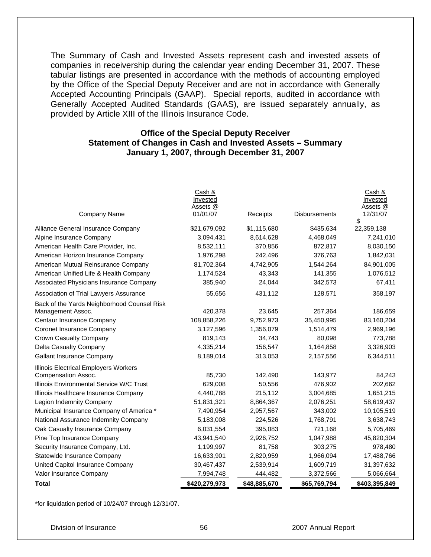The Summary of Cash and Invested Assets represent cash and invested assets of companies in receivership during the calendar year ending December 31, 2007. These tabular listings are presented in accordance with the methods of accounting employed by the Office of the Special Deputy Receiver and are not in accordance with Generally Accepted Accounting Principals (GAAP). Special reports, audited in accordance with Generally Accepted Audited Standards (GAAS), are issued separately annually, as provided by Article XIII of the Illinois Insurance Code.

#### **Office of the Special Deputy Receiver Statement of Changes in Cash and Invested Assets – Summary January 1, 2007, through December 31, 2007**

| <b>Total</b>                                                 | \$420,279,973        | \$48,885,670    | \$65,769,794  | \$403,395,849              |
|--------------------------------------------------------------|----------------------|-----------------|---------------|----------------------------|
| Valor Insurance Company                                      | 7,994,748            | 444,482         | 3,372,566     | 5,066,664                  |
| United Capitol Insurance Company                             | 30,467,437           | 2,539,914       | 1,609,719     | 31,397,632                 |
| Statewide Insurance Company                                  | 16,633,901           | 2,820,959       | 1,966,094     | 17,488,766                 |
| Security Insurance Company, Ltd.                             | 1,199,997            | 81,758          | 303,275       | 978,480                    |
| Pine Top Insurance Company                                   | 43,941,540           | 2,926,752       | 1,047,988     | 45,820,304                 |
| Oak Casualty Insurance Company                               | 6,031,554            | 395,083         | 721,168       | 5,705,469                  |
| National Assurance Indemnity Company                         | 5,183,008            | 224,526         | 1,768,791     | 3,638,743                  |
| Municipal Insurance Company of America *                     | 7,490,954            | 2,957,567       | 343,002       | 10,105,519                 |
| Legion Indemnity Company                                     | 51,831,321           | 8,864,367       | 2,076,251     | 58,619,437                 |
| Illinois Healthcare Insurance Company                        | 4,440,788            | 215,112         | 3,004,685     | 1,651,215                  |
| Illinois Environmental Service W/C Trust                     | 629,008              | 50,556          | 476,902       | 202,662                    |
| Illinois Electrical Employers Workers<br>Compensation Assoc. | 85,730               | 142,490         | 143,977       | 84,243                     |
| <b>Gallant Insurance Company</b>                             | 8,189,014            | 313,053         | 2,157,556     | 6,344,511                  |
| Delta Casualty Company                                       | 4,335,214            | 156,547         | 1,164,858     | 3,326,903                  |
| Crown Casualty Company                                       | 819,143              | 34,743          | 80,098        | 773,788                    |
| Coronet Insurance Company                                    | 3,127,596            | 1,356,079       | 1,514,479     | 2,969,196                  |
| Centaur Insurance Company                                    | 108,858,226          | 9,752,973       | 35,450,995    | 83,160,204                 |
| Management Assoc.                                            | 420,378              | 23,645          | 257,364       | 186,659                    |
| Back of the Yards Neighborhood Counsel Risk                  |                      |                 |               |                            |
| Association of Trial Lawyers Assurance                       | 55,656               | 431,112         | 128,571       | 358,197                    |
| Associated Physicians Insurance Company                      | 385,940              | 24,044          | 342,573       | 67,411                     |
| American Unified Life & Health Company                       | 1,174,524            | 43,343          | 141,355       | 1,076,512                  |
| American Mutual Reinsurance Company                          | 81,702,364           | 4,742,905       | 1,544,264     | 84,901,005                 |
| American Horizon Insurance Company                           | 1,976,298            | 242,496         | 376,763       | 1,842,031                  |
| American Health Care Provider, Inc.                          | 8,532,111            | 370,856         | 872,817       | 8,030,150                  |
| Alpine Insurance Company                                     | 3,094,431            | 8,614,628       | 4,468,049     | 7,241,010                  |
| Alliance General Insurance Company                           | \$21,679,092         | \$1,115,680     | \$435,634     | 22,359,138                 |
| Company Name                                                 | Assets @<br>01/01/07 | <b>Receipts</b> | Disbursements | Assets @<br>12/31/07<br>\$ |
|                                                              | Cash &<br>Invested   |                 |               | Cash &<br>Invested         |
|                                                              |                      |                 |               |                            |

\*for liquidation period of 10/24/07 through 12/31/07.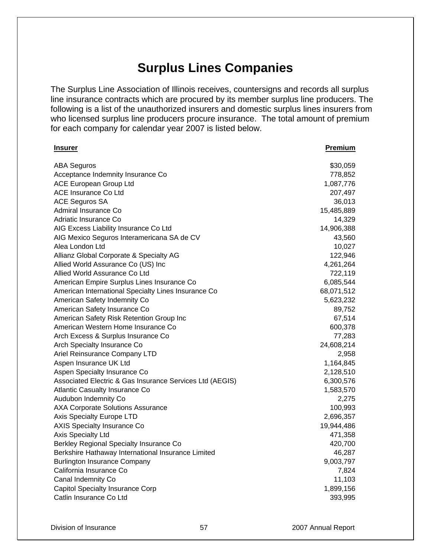# **Surplus Lines Companies**

The Surplus Line Association of Illinois receives, countersigns and records all surplus line insurance contracts which are procured by its member surplus line producers. The following is a list of the unauthorized insurers and domestic surplus lines insurers from who licensed surplus line producers procure insurance. The total amount of premium for each company for calendar year 2007 is listed below.

| <u>Insurer</u>                                           | <b>Premium</b>        |
|----------------------------------------------------------|-----------------------|
| <b>ABA Seguros</b>                                       | \$30,059              |
| Acceptance Indemnity Insurance Co                        | 778,852               |
| ACE European Group Ltd                                   | 1,087,776             |
| <b>ACE Insurance Co Ltd</b>                              | 207,497               |
| <b>ACE Seguros SA</b>                                    | 36,013                |
| Admiral Insurance Co                                     | 15,485,889            |
| Adriatic Insurance Co                                    | 14,329                |
| AIG Excess Liability Insurance Co Ltd                    | 14,906,388            |
| AIG Mexico Seguros Interamericana SA de CV               | 43,560                |
| Alea London Ltd                                          | 10,027                |
| Allianz Global Corporate & Specialty AG                  | 122,946               |
| Allied World Assurance Co (US) Inc                       | 4,261,264             |
| Allied World Assurance Co Ltd                            | 722,119               |
| American Empire Surplus Lines Insurance Co               | 6,085,544             |
| American International Specialty Lines Insurance Co      | 68,071,512            |
| American Safety Indemnity Co                             | 5,623,232             |
| American Safety Insurance Co                             | 89,752                |
| American Safety Risk Retention Group Inc                 | 67,514                |
| American Western Home Insurance Co                       | 600,378               |
| Arch Excess & Surplus Insurance Co                       | 77,283                |
| Arch Specialty Insurance Co                              | 24,608,214            |
| Ariel Reinsurance Company LTD                            | 2,958                 |
| Aspen Insurance UK Ltd                                   | 1,164,845             |
| Aspen Specialty Insurance Co                             | 2,128,510             |
| Associated Electric & Gas Insurance Services Ltd (AEGIS) | 6,300,576             |
| <b>Atlantic Casualty Insurance Co</b>                    | 1,583,570             |
| Audubon Indemnity Co                                     | 2,275                 |
| <b>AXA Corporate Solutions Assurance</b>                 | 100,993               |
| Axis Specialty Europe LTD                                | 2,696,357             |
| <b>AXIS Specialty Insurance Co</b><br>Axis Specialty Ltd | 19,944,486<br>471,358 |
| Berkley Regional Specialty Insurance Co                  | 420,700               |
| Berkshire Hathaway International Insurance Limited       | 46,287                |
| <b>Burlington Insurance Company</b>                      | 9,003,797             |
| California Insurance Co                                  | 7,824                 |
| Canal Indemnity Co                                       | 11,103                |
| <b>Capitol Specialty Insurance Corp</b>                  | 1,899,156             |
| Catlin Insurance Co Ltd                                  | 393,995               |
|                                                          |                       |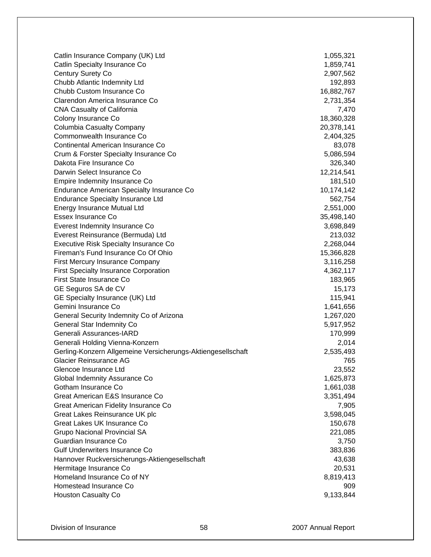Catlin Insurance Company (UK) Ltd 1,055,321 Catlin Specialty Insurance Co **1,859,741** Century Surety Co 2,907,562 Chubb Atlantic Indemnity Ltd 192,893 Chubb Custom Insurance Co 16,882,767 Clarendon America Insurance Co 2,731,354 CNA Casualty of California 7,470 Colony Insurance Co 28, 2008 18,360,328 Columbia Casualty Company 20,378,141 Commonwealth Insurance Co 2,404,325 Continental American Insurance Co 83,078 Crum & Forster Specialty Insurance Co 5,086,594 Dakota Fire Insurance Co 326,340 Darwin Select Insurance Co **12,214,541** and 12,214,541 Empire Indemnity Insurance Co **181,510** and 181,510 Endurance American Specialty Insurance Co 10,174,142 Endurance Specialty Insurance Ltd 562,754 Energy Insurance Mutual Ltd 2,551,000 Essex Insurance Co 35,498,140 Everest Indemnity Insurance Co 3,698,849 Everest Reinsurance (Bermuda) Ltd 213,032 Executive Risk Specialty Insurance Co 2,268,044 Fireman's Fund Insurance Co Of Ohio 15,366,828 First Mercury Insurance Company 3,116,258 First Specialty Insurance Corporation **4,362,117** First State Insurance Co 183,965 GE Seguros SA de CV 15,173 GE Specialty Insurance (UK) Ltd 115,941 Gemini Insurance Co **1,641,656** General Security Indemnity Co of Arizona 1,267,020 and 1,267,020 General Star Indemnity Co 6,917,952 Generali Assurances-IARD 170,999 Generali Holding Vienna-Konzern 2,014 Gerling-Konzern Allgemeine Versicherungs-Aktiengesellschaft 2,535,493 Glacier Reinsurance AG 765 Glencoe Insurance Ltd 23,552 Global Indemnity Assurance Co 1,625,873 Gotham Insurance Co 2008 1,661,038 Great American E&S Insurance Co 3,351,494 Great American Fidelity Insurance Co 7,905 Great Lakes Reinsurance UK plc 3,598,045 Great Lakes UK Insurance Co **150,678** and 150,678 Grupo Nacional Provincial SA 221,085 Guardian Insurance Co 3,750 Gulf Underwriters Insurance Co 383,836 Hannover Ruckversicherungs-Aktiengesellschaft 43,638 and 43,638 Hermitage Insurance Co 20,531 Homeland Insurance Co of NY 8,819,413 Homestead Insurance Co 909 Houston Casualty Co 9,133,844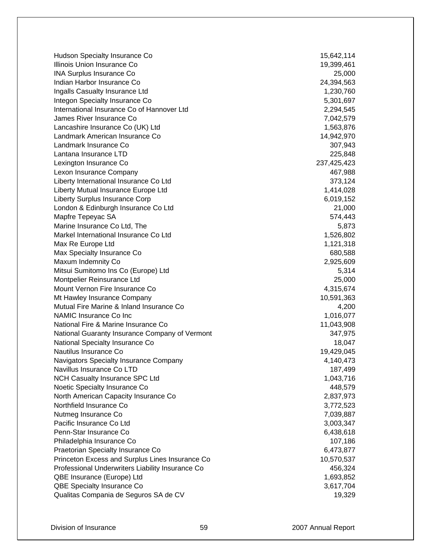Hudson Specialty Insurance Co 15,642,114 Illinois Union Insurance Co 19,399,461 INA Surplus Insurance Co 25,000 Indian Harbor Insurance Co 24,394,563 Ingalls Casualty Insurance Ltd 1,230,760 Integon Specialty Insurance Co 5,301,697 International Insurance Co of Hannover Ltd 2,294,545 James River Insurance Co 7,042,579 Lancashire Insurance Co (UK) Ltd 1,563,876 Landmark American Insurance Co 14,942,970 Landmark Insurance Co 307,943 Lantana Insurance LTD 225,848 Lexington Insurance Co 237,425,423 Lexon Insurance Company 467,988 Liberty International Insurance Co Ltd 373,124 Liberty Mutual Insurance Europe Ltd 1,414,028 Liberty Surplus Insurance Corp 6,019,152 London & Edinburgh Insurance Co Ltd 21,000 Mapfre Tepeyac SA 674,443 Marine Insurance Co Ltd. The 5,873 Markel International Insurance Co Ltd 1,526,802 Max Re Europe Ltd 1,121,318 Max Specialty Insurance Co 680,588 Maxum Indemnity Co 2,925,609 Mitsui Sumitomo Ins Co (Europe) Ltd 5,314 Montpelier Reinsurance Ltd 25,000 Mount Vernon Fire Insurance Co 4,315,674 Mt Hawley Insurance Company 10,591,363 Mutual Fire Marine & Inland Insurance Co 4,200 NAMIC Insurance Co Inc 2008 1,016,077 National Fire & Marine Insurance Co 11,043,908 National Guaranty Insurance Company of Vermont 347,975 National Specialty Insurance Co 18,047 Nautilus Insurance Co 2008 19,429,045 Navigators Specialty Insurance Company 4,140,473 Navillus Insurance Co LTD 187,499 NCH Casualty Insurance SPC Ltd 1,043,716 Noetic Specialty Insurance Co 448,579 North American Capacity Insurance Co 2,837,973 Northfield Insurance Co 3,772,523 Nutmeg Insurance Co 7,039,887 Pacific Insurance Co Ltd 3,003,347 Penn-Star Insurance Co 6,438,618 Philadelphia Insurance Co **107,186** and 107,186 Praetorian Specialty Insurance Co 6,473,877 Princeton Excess and Surplus Lines Insurance Co 10,570,537 Professional Underwriters Liability Insurance Co 456,324 QBE Insurance (Europe) Ltd 1,693,852 QBE Specialty Insurance Co 3,617,704 Qualitas Compania de Seguros SA de CV 19,329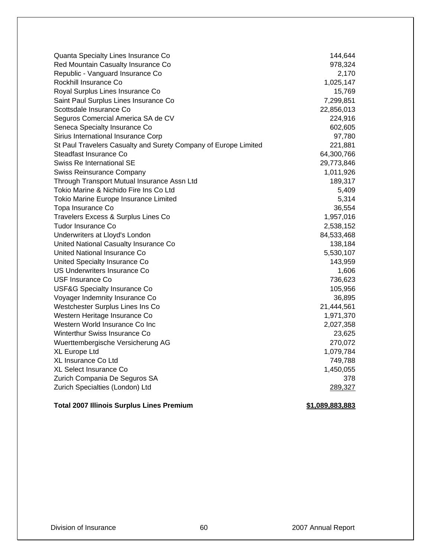| Quanta Specialty Lines Insurance Co                             | 144,644    |
|-----------------------------------------------------------------|------------|
| Red Mountain Casualty Insurance Co                              | 978,324    |
| Republic - Vanguard Insurance Co                                | 2,170      |
| Rockhill Insurance Co                                           | 1,025,147  |
| Royal Surplus Lines Insurance Co                                | 15,769     |
| Saint Paul Surplus Lines Insurance Co                           | 7,299,851  |
| Scottsdale Insurance Co                                         | 22,856,013 |
| Seguros Comercial America SA de CV                              | 224,916    |
| Seneca Specialty Insurance Co                                   | 602,605    |
| Sirius International Insurance Corp                             | 97,780     |
| St Paul Travelers Casualty and Surety Company of Europe Limited | 221,881    |
| Steadfast Insurance Co                                          | 64,300,766 |
| Swiss Re International SE                                       | 29,773,846 |
| <b>Swiss Reinsurance Company</b>                                | 1,011,926  |
| Through Transport Mutual Insurance Assn Ltd                     | 189,317    |
| Tokio Marine & Nichido Fire Ins Co Ltd                          | 5,409      |
| Tokio Marine Europe Insurance Limited                           | 5,314      |
| Topa Insurance Co                                               | 36,554     |
| Travelers Excess & Surplus Lines Co                             | 1,957,016  |
| Tudor Insurance Co                                              | 2,538,152  |
| Underwriters at Lloyd's London                                  | 84,533,468 |
| United National Casualty Insurance Co                           | 138,184    |
| United National Insurance Co                                    | 5,530,107  |
| United Specialty Insurance Co                                   | 143,959    |
| US Underwriters Insurance Co                                    | 1,606      |
| <b>USF Insurance Co</b>                                         | 736,623    |
| USF&G Specialty Insurance Co                                    | 105,956    |
| Voyager Indemnity Insurance Co                                  | 36,895     |
| Westchester Surplus Lines Ins Co                                | 21,444,561 |
| Western Heritage Insurance Co                                   | 1,971,370  |
| Western World Insurance Co Inc                                  | 2,027,358  |
| Winterthur Swiss Insurance Co                                   | 23,625     |
| Wuerttembergische Versicherung AG                               | 270,072    |
| XL Europe Ltd                                                   | 1,079,784  |
| XL Insurance Co Ltd                                             | 749,788    |
| XL Select Insurance Co                                          | 1,450,055  |
| Zurich Compania De Seguros SA                                   | 378        |
| Zurich Specialties (London) Ltd                                 | 289,327    |
|                                                                 |            |

#### Total 2007 Illinois Surplus Lines Premium **1998** 1999 12:089,883,883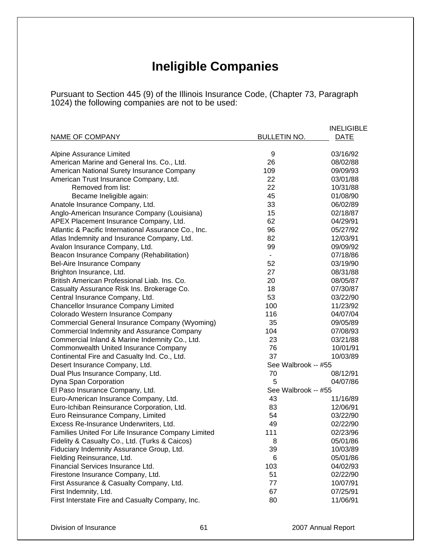# **Ineligible Companies**

Pursuant to Section 445 (9) of the Illinois Insurance Code, (Chapter 73, Paragraph 1024) the following companies are not to be used:

|                                                      |                     | <b>INELIGIBLE</b> |
|------------------------------------------------------|---------------------|-------------------|
| NAME OF COMPANY                                      | <b>BULLETIN NO.</b> | <b>DATE</b>       |
|                                                      |                     |                   |
| Alpine Assurance Limited                             | 9                   | 03/16/92          |
| American Marine and General Ins. Co., Ltd.           | 26                  | 08/02/88          |
| American National Surety Insurance Company           | 109                 | 09/09/93          |
| American Trust Insurance Company, Ltd.               | 22                  | 03/01/88          |
| Removed from list:                                   | 22                  | 10/31/88          |
| Became Ineligible again:                             | 45                  | 01/08/90          |
| Anatole Insurance Company, Ltd.                      | 33                  | 06/02/89          |
| Anglo-American Insurance Company (Louisiana)         | 15                  | 02/18/87          |
| APEX Placement Insurance Company, Ltd.               | 62                  | 04/29/91          |
| Atlantic & Pacific International Assurance Co., Inc. | 96                  | 05/27/92          |
| Atlas Indemnity and Insurance Company, Ltd.          | 82                  | 12/03/91          |
| Avalon Insurance Company, Ltd.                       | 99                  | 09/09/92          |
| Beacon Insurance Company (Rehabilitation)            | $\blacksquare$      | 07/18/86          |
| Bel-Aire Insurance Company                           | 52                  | 03/19/90          |
| Brighton Insurance, Ltd.                             | 27                  | 08/31/88          |
| British American Professional Liab. Ins. Co.         | 20                  | 08/05/87          |
| Casualty Assurance Risk Ins. Brokerage Co.           | 18                  | 07/30/87          |
| Central Insurance Company, Ltd.                      | 53                  | 03/22/90          |
| <b>Chancellor Insurance Company Limited</b>          | 100                 | 11/23/92          |
| Colorado Western Insurance Company                   | 116                 | 04/07/04          |
| Commercial General Insurance Company (Wyoming)       | 35                  | 09/05/89          |
| Commercial Indemnity and Assurance Company           | 104                 | 07/08/93          |
| Commercial Inland & Marine Indemnity Co., Ltd.       | 23                  | 03/21/88          |
| Commonwealth United Insurance Company                | 76                  | 10/01/91          |
| Continental Fire and Casualty Ind. Co., Ltd.         | 37                  | 10/03/89          |
| Desert Insurance Company, Ltd.                       | See Walbrook -- #55 |                   |
| Dual Plus Insurance Company, Ltd.                    | 70                  | 08/12/91          |
| Dyna Span Corporation                                | 5                   | 04/07/86          |
| El Paso Insurance Company, Ltd.                      | See Walbrook -- #55 |                   |
| Euro-American Insurance Company, Ltd.                | 43                  | 11/16/89          |
| Euro-Ichiban Reinsurance Corporation, Ltd.           | 83                  | 12/06/91          |
| Euro Reinsurance Company, Limited                    | 54                  | 03/22/90          |
| Excess Re-Insurance Underwriters, Ltd.               | 49                  | 02/22/90          |
| Families United For Life Insurance Company Limited   | 111                 | 02/23/96          |
| Fidelity & Casualty Co., Ltd. (Turks & Caicos)       | 8                   | 05/01/86          |
| Fiduciary Indemnity Assurance Group, Ltd.            | 39                  | 10/03/89          |
| Fielding Reinsurance, Ltd.                           | 6                   | 05/01/86          |
| Financial Services Insurance Ltd.                    | 103                 | 04/02/93          |
| Firestone Insurance Company, Ltd.                    | 51                  | 02/22/90          |
| First Assurance & Casualty Company, Ltd.             | 77                  | 10/07/91          |
| First Indemnity, Ltd.                                | 67                  | 07/25/91          |
| First Interstate Fire and Casualty Company, Inc.     | 80                  | 11/06/91          |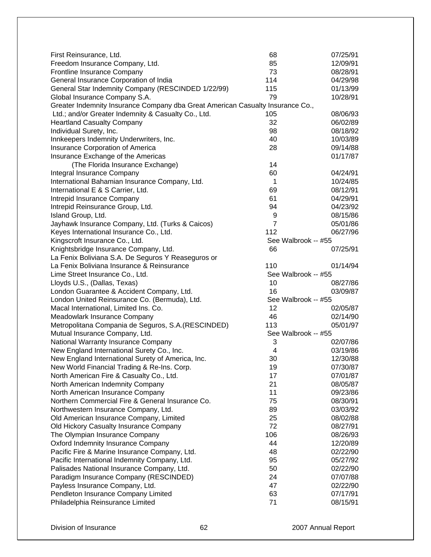| First Reinsurance, Ltd.                                                        | 68                  | 07/25/91 |
|--------------------------------------------------------------------------------|---------------------|----------|
| Freedom Insurance Company, Ltd.                                                | 85                  | 12/09/91 |
| Frontline Insurance Company                                                    | 73                  | 08/28/91 |
| General Insurance Corporation of India                                         | 114                 | 04/29/98 |
| General Star Indemnity Company (RESCINDED 1/22/99)                             | 115                 | 01/13/99 |
| Global Insurance Company S.A.                                                  | 79                  | 10/28/91 |
| Greater Indemnity Insurance Company dba Great American Casualty Insurance Co., |                     |          |
| Ltd.; and/or Greater Indemnity & Casualty Co., Ltd.                            | 105                 | 08/06/93 |
| <b>Heartland Casualty Company</b>                                              | 32                  | 06/02/89 |
| Individual Surety, Inc.                                                        | 98                  | 08/18/92 |
| Innkeepers Indemnity Underwriters, Inc.                                        | 40                  | 10/03/89 |
| Insurance Corporation of America                                               | 28                  | 09/14/88 |
| Insurance Exchange of the Americas                                             |                     | 01/17/87 |
| (The Florida Insurance Exchange)                                               | 14                  |          |
| Integral Insurance Company                                                     | 60                  | 04/24/91 |
| International Bahamian Insurance Company, Ltd.                                 | 1                   | 10/24/85 |
| International E & S Carrier, Ltd.                                              | 69                  | 08/12/91 |
| Intrepid Insurance Company                                                     | 61                  | 04/29/91 |
| Intrepid Reinsurance Group, Ltd.                                               | 94                  | 04/23/92 |
| Island Group, Ltd.                                                             | 9                   | 08/15/86 |
| Jayhawk Insurance Company, Ltd. (Turks & Caicos)                               | $\overline{7}$      | 05/01/86 |
| Keyes International Insurance Co., Ltd.                                        | 112                 | 06/27/96 |
| Kingscroft Insurance Co., Ltd.                                                 | See Walbrook -- #55 |          |
| Knightsbridge Insurance Company, Ltd.                                          | 66                  | 07/25/91 |
| La Fenix Boliviana S.A. De Seguros Y Reaseguros or                             |                     |          |
| La Fenix Boliviana Insurance & Reinsurance                                     | 110                 | 01/14/94 |
| Lime Street Insurance Co., Ltd.                                                | See Walbrook -- #55 |          |
| Lloyds U.S., (Dallas, Texas)                                                   | 10                  | 08/27/86 |
| London Guarantee & Accident Company, Ltd.                                      | 16                  | 03/09/87 |
| London United Reinsurance Co. (Bermuda), Ltd.                                  | See Walbrook -- #55 |          |
| Macal International, Limited Ins. Co.                                          | 12                  | 02/05/87 |
| Meadowlark Insurance Company                                                   | 46                  | 02/14/90 |
| Metropolitana Compania de Seguros, S.A. (RESCINDED)                            | 113                 | 05/01/97 |
| Mutual Insurance Company, Ltd.                                                 | See Walbrook -- #55 |          |
| National Warranty Insurance Company                                            | 3                   | 02/07/86 |
| New England International Surety Co., Inc.                                     | 4                   | 03/19/86 |
| New England International Surety of America, Inc.                              | 30                  | 12/30/88 |
| New World Financial Trading & Re-Ins. Corp.                                    | 19                  | 07/30/87 |
| North American Fire & Casualty Co., Ltd.                                       | 17                  | 07/01/87 |
| North American Indemnity Company                                               | 21                  | 08/05/87 |
| North American Insurance Company                                               | 11                  | 09/23/86 |
| Northern Commercial Fire & General Insurance Co.                               | 75                  | 08/30/91 |
| Northwestern Insurance Company, Ltd.                                           | 89                  | 03/03/92 |
| Old American Insurance Company, Limited                                        | 25                  | 08/02/88 |
| Old Hickory Casualty Insurance Company                                         | 72                  | 08/27/91 |
| The Olympian Insurance Company                                                 | 106                 | 08/26/93 |
| Oxford Indemnity Insurance Company                                             | 44                  | 12/20/89 |
| Pacific Fire & Marine Insurance Company, Ltd.                                  | 48                  | 02/22/90 |
| Pacific International Indemnity Company, Ltd.                                  | 95                  | 05/27/92 |
| Palisades National Insurance Company, Ltd.                                     | 50                  | 02/22/90 |
| Paradigm Insurance Company (RESCINDED)                                         | 24                  | 07/07/88 |
| Payless Insurance Company, Ltd.                                                | 47                  | 02/22/90 |
| Pendleton Insurance Company Limited                                            | 63                  | 07/17/91 |
| Philadelphia Reinsurance Limited                                               | 71                  | 08/15/91 |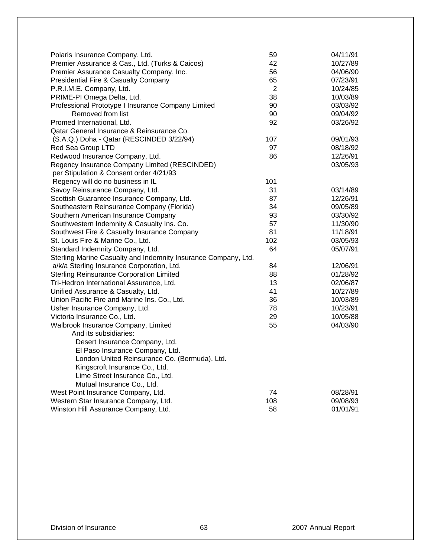| Polaris Insurance Company, Ltd.                                | 59  | 04/11/91 |
|----------------------------------------------------------------|-----|----------|
| Premier Assurance & Cas., Ltd. (Turks & Caicos)                | 42  | 10/27/89 |
| Premier Assurance Casualty Company, Inc.                       | 56  | 04/06/90 |
| Presidential Fire & Casualty Company                           | 65  | 07/23/91 |
| P.R.I.M.E. Company, Ltd.                                       | 2   | 10/24/85 |
| PRIME-PI Omega Delta, Ltd.                                     | 38  | 10/03/89 |
| Professional Prototype I Insurance Company Limited             | 90  | 03/03/92 |
| Removed from list                                              | 90  | 09/04/92 |
| Promed International, Ltd.                                     | 92  | 03/26/92 |
| Qatar General Insurance & Reinsurance Co.                      |     |          |
| (S.A.Q.) Doha - Qatar (RESCINDED 3/22/94)                      | 107 | 09/01/93 |
| Red Sea Group LTD                                              | 97  | 08/18/92 |
| Redwood Insurance Company, Ltd.                                | 86  | 12/26/91 |
| Regency Insurance Company Limited (RESCINDED)                  |     | 03/05/93 |
| per Stipulation & Consent order 4/21/93                        |     |          |
| Regency will do no business in IL                              | 101 |          |
| Savoy Reinsurance Company, Ltd.                                | 31  | 03/14/89 |
| Scottish Guarantee Insurance Company, Ltd.                     | 87  | 12/26/91 |
| Southeastern Reinsurance Company (Florida)                     | 34  | 09/05/89 |
| Southern American Insurance Company                            | 93  | 03/30/92 |
| Southwestern Indemnity & Casualty Ins. Co.                     | 57  | 11/30/90 |
| Southwest Fire & Casualty Insurance Company                    | 81  | 11/18/91 |
| St. Louis Fire & Marine Co., Ltd.                              | 102 | 03/05/93 |
| Standard Indemnity Company, Ltd.                               | 64  | 05/07/91 |
| Sterling Marine Casualty and Indemnity Insurance Company, Ltd. |     |          |
| a/k/a Sterling Insurance Corporation, Ltd.                     | 84  | 12/06/91 |
| <b>Sterling Reinsurance Corporation Limited</b>                | 88  | 01/28/92 |
| Tri-Hedron International Assurance, Ltd.                       | 13  | 02/06/87 |
| Unified Assurance & Casualty, Ltd.                             | 41  | 10/27/89 |
| Union Pacific Fire and Marine Ins. Co., Ltd.                   | 36  | 10/03/89 |
| Usher Insurance Company, Ltd.                                  | 78  | 10/23/91 |
| Victoria Insurance Co., Ltd.                                   | 29  | 10/05/88 |
| Walbrook Insurance Company, Limited                            | 55  | 04/03/90 |
| And its subsidiaries:                                          |     |          |
| Desert Insurance Company, Ltd.                                 |     |          |
| El Paso Insurance Company, Ltd.                                |     |          |
| London United Reinsurance Co. (Bermuda), Ltd.                  |     |          |
|                                                                |     |          |
| Kingscroft Insurance Co., Ltd.                                 |     |          |
| Lime Street Insurance Co., Ltd.                                |     |          |
| Mutual Insurance Co., Ltd.                                     |     |          |
| West Point Insurance Company, Ltd.                             | 74  | 08/28/91 |
| Western Star Insurance Company, Ltd.                           | 108 | 09/08/93 |
| Winston Hill Assurance Company, Ltd.                           | 58  | 01/01/91 |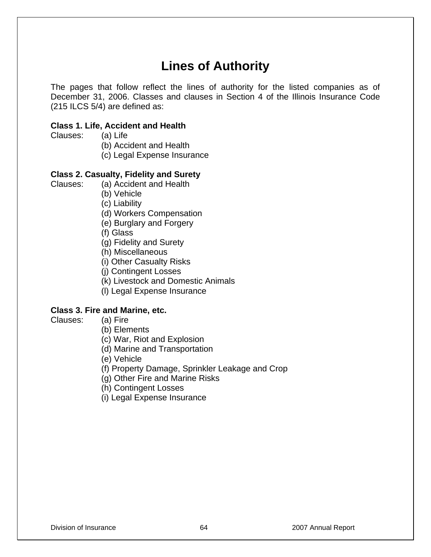# **Lines of Authority**

The pages that follow reflect the lines of authority for the listed companies as of December 31, 2006. Classes and clauses in Section 4 of the Illinois Insurance Code (215 ILCS 5/4) are defined as:

#### **Class 1. Life, Accident and Health**

Clauses: (a) Life

(b) Accident and Health

(c) Legal Expense Insurance

#### **Class 2. Casualty, Fidelity and Surety**

Clauses: (a) Accident and Health

(b) Vehicle

(c) Liability

(d) Workers Compensation

(e) Burglary and Forgery

(f) Glass

(g) Fidelity and Surety

(h) Miscellaneous

(i) Other Casualty Risks

(j) Contingent Losses

(k) Livestock and Domestic Animals

(l) Legal Expense Insurance

#### **Class 3. Fire and Marine, etc.**

- Clauses: (a) Fire
	- (b) Elements

(c) War, Riot and Explosion

(d) Marine and Transportation

(e) Vehicle

(f) Property Damage, Sprinkler Leakage and Crop

(g) Other Fire and Marine Risks

(h) Contingent Losses

(i) Legal Expense Insurance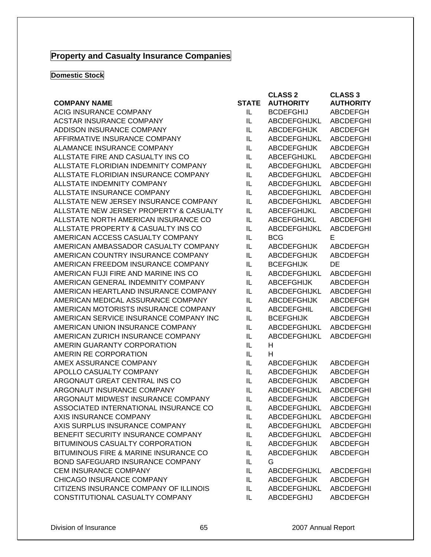## **Property and Casualty Insurance Companies**

**Domestic Stock** 

|                                         |              | <b>CLASS 2</b>      | <b>CLASS 3</b>   |
|-----------------------------------------|--------------|---------------------|------------------|
| <b>COMPANY NAME</b>                     | <b>STATE</b> | <b>AUTHORITY</b>    | <b>AUTHORITY</b> |
| <b>ACIG INSURANCE COMPANY</b>           | IL           | <b>BCDEFGHIJ</b>    | <b>ABCDEFGH</b>  |
| <b>ACSTAR INSURANCE COMPANY</b>         | IL           | ABCDEFGHIJKL        | <b>ABCDEFGHI</b> |
| ADDISON INSURANCE COMPANY               | IL           | <b>ABCDEFGHIJK</b>  | ABCDEFGH         |
| AFFIRMATIVE INSURANCE COMPANY           | IL           | ABCDEFGHIJKL        | <b>ABCDEFGHI</b> |
| ALAMANCE INSURANCE COMPANY              | IL           | <b>ABCDEFGHIJK</b>  | <b>ABCDEFGH</b>  |
| ALLSTATE FIRE AND CASUALTY INS CO       | IL           | ABCEFGHIJKL         | <b>ABCDEFGHI</b> |
| ALLSTATE FLORIDIAN INDEMNITY COMPANY    | IL           | <b>ABCDEFGHIJKL</b> | <b>ABCDEFGHI</b> |
| ALLSTATE FLORIDIAN INSURANCE COMPANY    | IL           | ABCDEFGHIJKL        | <b>ABCDEFGHI</b> |
| ALLSTATE INDEMNITY COMPANY              | IL           | ABCDEFGHIJKL        | <b>ABCDEFGHI</b> |
| ALLSTATE INSURANCE COMPANY              | IL           | ABCDEFGHIJKL        | <b>ABCDEFGHI</b> |
| ALLSTATE NEW JERSEY INSURANCE COMPANY   | IL           | ABCDEFGHIJKL        | <b>ABCDEFGHI</b> |
| ALLSTATE NEW JERSEY PROPERTY & CASUALTY | IL           | ABCEFGHIJKL         | <b>ABCDEFGHI</b> |
| ALLSTATE NORTH AMERICAN INSURANCE CO    | IL           | ABCEFGHIJKL         | <b>ABCDEFGHI</b> |
| ALLSTATE PROPERTY & CASUALTY INS CO     | IL           | <b>ABCDEFGHIJKL</b> | <b>ABCDEFGHI</b> |
| AMERICAN ACCESS CASUALTY COMPANY        | IL           | <b>BCG</b>          | E                |
| AMERICAN AMBASSADOR CASUALTY COMPANY    | IL           | <b>ABCDEFGHIJK</b>  | <b>ABCDEFGH</b>  |
| AMERICAN COUNTRY INSURANCE COMPANY      | IL           | <b>ABCDEFGHIJK</b>  | <b>ABCDEFGH</b>  |
| AMERICAN FREEDOM INSURANCE COMPANY      | IL           | <b>BCEFGHIJK</b>    | DE               |
| AMERICAN FUJI FIRE AND MARINE INS CO    | IL           | ABCDEFGHIJKL        | <b>ABCDEFGHI</b> |
| AMERICAN GENERAL INDEMNITY COMPANY      | IL           | <b>ABCEFGHIJK</b>   | ABCDEFGH         |
| AMERICAN HEARTLAND INSURANCE COMPANY    | IL           | <b>ABCDEFGHIJKL</b> | <b>ABCDEFGHI</b> |
| AMERICAN MEDICAL ASSURANCE COMPANY      | IL           | <b>ABCDEFGHIJK</b>  | <b>ABCDEFGH</b>  |
| AMERICAN MOTORISTS INSURANCE COMPANY    | IL           | <b>ABCDEFGHIL</b>   | <b>ABCDEFGHI</b> |
| AMERICAN SERVICE INSURANCE COMPANY INC  | IL           | <b>BCEFGHIJK</b>    | <b>ABCDEFGH</b>  |
| AMERICAN UNION INSURANCE COMPANY        | IL           | ABCDEFGHIJKL        | <b>ABCDEFGHI</b> |
| AMERICAN ZURICH INSURANCE COMPANY       | IL           | ABCDEFGHIJKL        | <b>ABCDEFGHI</b> |
| AMERIN GUARANTY CORPORATION             | IL           | Н                   |                  |
| AMERIN RE CORPORATION                   | IL           | H                   |                  |
| AMEX ASSURANCE COMPANY                  | IL           | <b>ABCDEFGHIJK</b>  | <b>ABCDEFGH</b>  |
| APOLLO CASUALTY COMPANY                 | IL           | <b>ABCDEFGHIJK</b>  | ABCDEFGH         |
| ARGONAUT GREAT CENTRAL INS CO           | IL           | <b>ABCDEFGHIJK</b>  | ABCDEFGH         |
| ARGONAUT INSURANCE COMPANY              | IL           | <b>ABCDEFGHIJKL</b> | <b>ABCDEFGHI</b> |
| ARGONAUT MIDWEST INSURANCE COMPANY      | IL           | <b>ABCDEFGHIJK</b>  | <b>ABCDEFGH</b>  |
| ASSOCIATED INTERNATIONAL INSURANCE CO   | IL           | ABCDEFGHIJKL        | <b>ABCDEFGHI</b> |
| AXIS INSURANCE COMPANY                  | IL           | ABCDEFGHIJKL        | <b>ABCDEFGHI</b> |
| AXIS SURPLUS INSURANCE COMPANY          | IL           | ABCDEFGHIJKL        | <b>ABCDEFGHI</b> |
| BENEFIT SECURITY INSURANCE COMPANY      | IL           | ABCDEFGHIJKL        | <b>ABCDEFGHI</b> |
| BITUMINOUS CASUALTY CORPORATION         | IL.          | <b>ABCDEFGHIJK</b>  | ABCDEFGH         |
| BITUMINOUS FIRE & MARINE INSURANCE CO   | IL           | <b>ABCDEFGHIJK</b>  | <b>ABCDEFGH</b>  |
| BOND SAFEGUARD INSURANCE COMPANY        | IL           | G                   |                  |
| <b>CEM INSURANCE COMPANY</b>            | IL           | ABCDEFGHIJKL        | <b>ABCDEFGHI</b> |
| CHICAGO INSURANCE COMPANY               | IL           | <b>ABCDEFGHIJK</b>  | ABCDEFGH         |
| CITIZENS INSURANCE COMPANY OF ILLINOIS  | IL           | ABCDEFGHIJKL        | <b>ABCDEFGHI</b> |
| CONSTITUTIONAL CASUALTY COMPANY         | IL           | <b>ABCDEFGHIJ</b>   | ABCDEFGH         |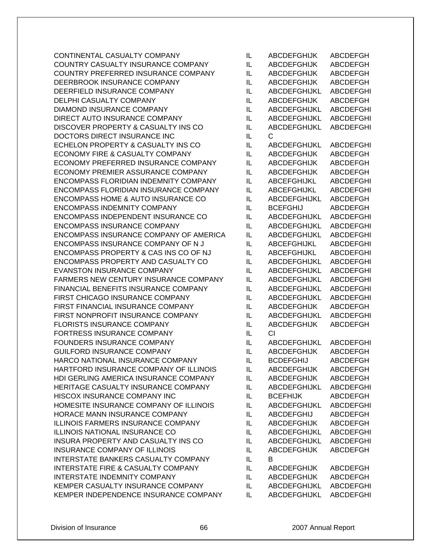CONTINENTAL CASUALTY COMPANY COUNTRY CASUALTY INSURANCE COMPANY COUNTRY PREFERRED INSURANCE COMPANY DEERBROOK INSURANCE COMPANY DEERFIELD INSURANCE COMPANY DELPHI CASUALTY COMPANY DIAMOND INSURANCE COMPANY DIRECT AUTO INSURANCE COMPANY DISCOVER PROPERTY & CASUALTY INS CO DOCTORS DIRECT INSURANCE INC ECHELON PROPERTY & CASUALTY INS CO ECONOMY FIRE & CASUALTY COMPANY ECONOMY PREFERRED INSURANCE COMPANY ECONOMY PREMIER ASSURANCE COMPANY ENCOMPASS FLORIDIAN INDEMNITY COMPANY ENCOMPASS FLORIDIAN INSURANCE COMPANY ENCOMPASS HOME & AUTO INSURANCE CO ENCOMPASS INDEMNITY COMPANY ENCOMPASS INDEPENDENT INSURANCE CO ENCOMPASS INSURANCE COMPANY ENCOMPASS INSURANCE COMPANY OF AMERICA ENCOMPASS INSURANCE COMPANY OF N J ENCOMPASS PROPERTY & CAS INS CO OF NJ ENCOMPASS PROPERTY AND CASUALTY CO EVANSTON INSURANCE COMPANY FARMERS NEW CENTURY INSURANCE COMPANY FINANCIAL BENEFITS INSURANCE COMPANY FIRST CHICAGO INSURANCE COMPANY FIRST FINANCIAL INSURANCE COMPANY FIRST NONPROFIT INSURANCE COMPANY FLORISTS INSURANCE COMPANY FORTRESS INSURANCE COMPANY FOUNDERS INSURANCE COMPANY GUILFORD INSURANCE COMPANY HARCO NATIONAL INSURANCE COMPANY HARTFORD INSURANCE COMPANY OF ILLINOIS HDI GERLING AMERICA INSURANCE COMPANY HERITAGE CASUALTY INSURANCE COMPANY HISCOX INSURANCE COMPANY INC HOMESITE INSURANCE COMPANY OF ILLINOIS HORACE MANN INSURANCE COMPANY ILLINOIS FARMERS INSURANCE COMPANY **ILLINOIS NATIONAL INSURANCE CO** INSURA PROPERTY AND CASUALTY INS CO INSURANCE COMPANY OF ILLINOIS INTERSTATE BANKERS CASUALTY COMPANY INTERSTATE FIRE & CASUALTY COMPANY INTERSTATE INDEMNITY COMPANY KEMPER CASUALTY INSURANCE COMPANY KEMPER INDEPENDENCE INSURANCE COMPANY

| IL           | <b>ABCDEFGHIJK</b>  | <b>ABCDEFGH</b>  |
|--------------|---------------------|------------------|
| IL           | <b>ABCDEFGHIJK</b>  | <b>ABCDEFGH</b>  |
| IL           | <b>ABCDEFGHIJK</b>  | <b>ABCDEFGH</b>  |
| IL           | <b>ABCDEFGHIJK</b>  | <b>ABCDEFGH</b>  |
| IL           | <b>ABCDEFGHIJKL</b> | <b>ABCDEFGHI</b> |
| IL           | <b>ABCDEFGHIJK</b>  | <b>ABCDEFGH</b>  |
| IL           | ABCDEFGHIJKL        | <b>ABCDEFGHI</b> |
| IL           | <b>ABCDEFGHIJKL</b> | <b>ABCDEFGHI</b> |
| IL           | ABCDEFGHIJKL        | <b>ABCDEFGHI</b> |
| IL           | С                   |                  |
| IL           | ABCDEFGHIJKL        | <b>ABCDEFGHI</b> |
| IL           | <b>ABCDEFGHIJK</b>  | <b>ABCDEFGH</b>  |
| IL           | <b>ABCDEFGHIJK</b>  | <b>ABCDEFGH</b>  |
| IL           | <b>ABCDEFGHIJK</b>  | <b>ABCDEFGH</b>  |
| IL           | <b>ABCEFGHIJKL</b>  | <b>ABCDEFGHI</b> |
| IL           | ABCEFGHIJKL         | ABCDEFGHI        |
| IL           | ABCDEFGHIJKL        | <b>ABCDEFGH</b>  |
| IL           | <b>BCEFGHIJ</b>     | <b>ABCDEFGH</b>  |
| IL           | ABCDEFGHIJKL        | <b>ABCDEFGHI</b> |
| IL           | <b>ABCDEFGHIJKL</b> | <b>ABCDEFGHI</b> |
| IL           | ABCDEFGHIJKL        |                  |
|              |                     | <b>ABCDEFGHI</b> |
| IL           | ABCEFGHIJKL         | <b>ABCDEFGHI</b> |
| IL           | <b>ABCEFGHIJKL</b>  | <b>ABCDEFGHI</b> |
| IL           | <b>ABCDEFGHIJKL</b> | <b>ABCDEFGHI</b> |
| IL           | ABCDEFGHIJKL        | <b>ABCDEFGHI</b> |
| IL           | <b>ABCDEFGHIJKL</b> | <b>ABCDEFGHI</b> |
| IL           | ABCDEFGHIJKL        | <b>ABCDEFGHI</b> |
| IL           | <b>ABCDEFGHIJKL</b> | <b>ABCDEFGHI</b> |
| IL           | <b>ABCDEFGHIJK</b>  | <b>ABCDEFGH</b>  |
| IL           | ABCDEFGHIJKL        | <b>ABCDEFGHI</b> |
| IL           | <b>ABCDEFGHIJK</b>  | <b>ABCDEFGH</b>  |
| IL           | CI                  |                  |
| IL           | ABCDEFGHIJKL        | <b>ABCDEFGHI</b> |
| IL           | <b>ABCDEFGHIJK</b>  | <b>ABCDEFGH</b>  |
| IL           | <b>BCDEFGHIJ</b>    | <b>ABCDEFGH</b>  |
| IL           | <b>ABCDEFGHIJK</b>  | <b>ABCDEFGH</b>  |
| IL           | <b>ABCDEFGHIJK</b>  | <b>ABCDEFGH</b>  |
| IL           | ABCDEFGHIJKL        | <b>ABCDEFGHI</b> |
| IL           | <b>BCEFHIJK</b>     | <b>ABCDEFGH</b>  |
| IL           | ABCDEFGHIJKL        | <b>ABCDEFGHI</b> |
| IL           | ABCDEFGHIJ          | <b>ABCDEFGH</b>  |
| IL           | <b>ABCDEFGHIJK</b>  | <b>ABCDEFGH</b>  |
| IL           | ABCDEFGHIJKL        | <b>ABCDEFGHI</b> |
| IL           | ABCDEFGHIJKL        | <b>ABCDEFGHI</b> |
| IL           | <b>ABCDEFGHIJK</b>  | <b>ABCDEFGH</b>  |
| IL           | В                   |                  |
| IL           | <b>ABCDEFGHIJK</b>  | <b>ABCDEFGH</b>  |
| IL           | <b>ABCDEFGHIJK</b>  | <b>ABCDEFGH</b>  |
| IL           | ABCDEFGHIJKL        | <b>ABCDEFGHI</b> |
| $\mathbf{H}$ | ARCDEEGHLIKI        | <b>ARCDEFGHI</b> |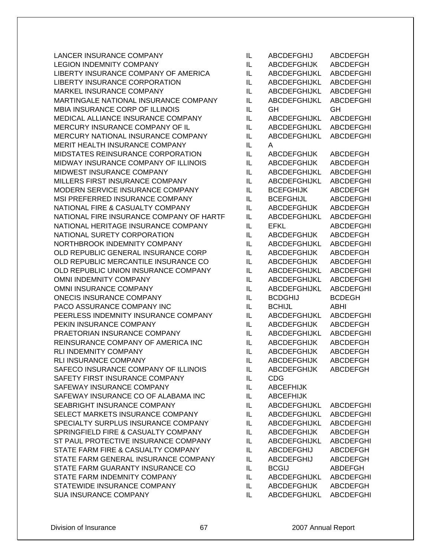LANCER INSURANCE COMPANY ILL ABCDEFGHIJ ABCDEFGH LEGION INDEMNITY COMPANY **ILLY ABCDEFGHIJK ABCDEFGH** LIBERTY INSURANCE COMPANY OF AMERICA IL ABCDEFGHIJKL ABCDEFGHI LIBERTY INSURANCE CORPORATION IL ABCDEFGHIJKL ABCDEFGHI MARKEL INSURANCE COMPANY ILLETTING IN ABCDEFGHIJKLETTE ARE ABCDEFGHI MARTINGALE NATIONAL INSURANCE COMPANY IL ABCDEFGHIJKL ABCDEFGHI MBIA INSURANCE CORP OF ILLINOIS IL GH GH MEDICAL ALLIANCE INSURANCE COMPANY IL ABCDEFGHIJKL ABCDEFGHI MERCURY INSURANCE COMPANY OF IL IL ABCDEFGHIJKL ABCDEFGHI MERCURY NATIONAL INSURANCE COMPANY IL ABCDEFGHIJKL ABCDEFGHI MERIT HEALTH INSURANCE COMPANY IL A MIDSTATES REINSURANCE CORPORATION IL ABCDEFGHIJK ABCDEFGH MIDWAY INSURANCE COMPANY OF ILLINOIS IL ABCDEFGHIJK ABCDEFGH MIDWEST INSURANCE COMPANY ILL ABCDEFGHIJKL ABCDEFGHI MILLERS FIRST INSURANCE COMPANY IL ABCDEFGHIJKL ABCDEFGHI MODERN SERVICE INSURANCE COMPANY IL BCEFGHIJK ABCDEFGH MSI PREFERRED INSURANCE COMPANY IL BCEFGHIJL ABCDEFGHI NATIONAL FIRE & CASUALTY COMPANY IL ABCDEFGHIJK ABCDEFGH NATIONAL FIRE INSURANCE COMPANY OF HARTF IL ABCDEFGHIJKL ABCDEFGHI NATIONAL HERITAGE INSURANCE COMPANY IL EFKL ABCDEFGHI NATIONAL SURETY CORPORATION IL ABCDEFGHIJK ABCDEFGH NORTHBROOK INDEMNITY COMPANY IL ABCDEFGHIJKL ABCDEFGHI OLD REPUBLIC GENERAL INSURANCE CORP IL ABCDEFGHIJK ABCDEFGH OLD REPUBLIC MERCANTILE INSURANCE CO IL ABCDEFGHIJK ABCDEFGHI OLD REPUBLIC UNION INSURANCE COMPANY IL ABCDEFGHIJKL ABCDEFGHI OMNI INDEMNITY COMPANY **ILLY ABCDEFGHIJKL ABCDEFGHI** OMNI INSURANCE COMPANY IL ABCDEFGHIJKL ABCDEFGHI ONECIS INSURANCE COMPANY IL BCDGHIJ BCDEGH PACO ASSURANCE COMPANY INC IL BCHIJL ABHI PEERLESS INDEMNITY INSURANCE COMPANY IL ABCDEFGHIJKL ABCDEFGHI PEKIN INSURANCE COMPANY **ILLY ABCDEFGHIJK ABCDEFGHI** PRAETORIAN INSURANCE COMPANY IL ABCDEFGHIJKL ABCDEFGHI REINSURANCE COMPANY OF AMERICA INC IL ABCDEFGHIJK ABCDEFGH RLI INDEMNITY COMPANY **ILLY ABCDEFGHIJK ABCDEFGHI** RLI INSURANCE COMPANY **ILLE ABCDEFGHIJK ABCDEFGHI** SAFECO INSURANCE COMPANY OF ILLINOIS IL ABCDEFGHIJK ABCDEFGH SAFETY FIRST INSURANCE COMPANY IL CDG SAFEWAY INSURANCE COMPANY **ILLY ABCEFHIJK** SAFEWAY INSURANCE CO OF ALABAMA INC IL ABCEFHIJK SEABRIGHT INSURANCE COMPANY IL ABCDEFGHIJKL ABCDEFGHI SELECT MARKETS INSURANCE COMPANY IL ABCDEFGHIJKL ABCDEFGHI SPECIALTY SURPLUS INSURANCE COMPANY IL ABCDEFGHIJKL ABCDEFGHI SPRINGFIELD FIRE & CASUALTY COMPANY IL ABCDEFGHIJK ABCDEFGH ST PAUL PROTECTIVE INSURANCE COMPANY IL ABCDEFGHIJKL ABCDEFGHI STATE FARM FIRE & CASUALTY COMPANY IL ABCDEFGHIJ ABCDEFGH STATE FARM GENERAL INSURANCE COMPANY IL ABCDEFGHIJ ABCDEFGH STATE FARM GUARANTY INSURANCE CO IL BCGIJ ABDEFGH STATE FARM INDEMNITY COMPANY IL ABCDEFGHIJKL ABCDEFGHI STATEWIDE INSURANCE COMPANY IL ABCDEFGHIJK ABCDEFGH SUA INSURANCE COMPANY **ILLY ABCDEFGHIJKL ABCDEFGHI**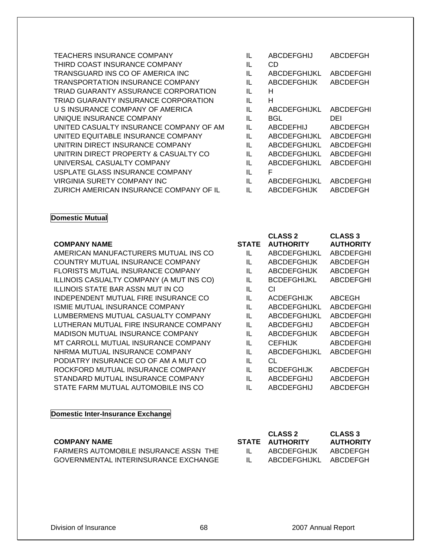| <b>TEACHERS INSURANCE COMPANY</b>       | IL | <b>ABCDEFGHIJ</b>   | <b>ABCDEFGH</b>  |
|-----------------------------------------|----|---------------------|------------------|
| THIRD COAST INSURANCE COMPANY           | IL | <b>CD</b>           |                  |
| TRANSGUARD INS CO OF AMERICA INC        | IL | ABCDEFGHIJKL        | <b>ABCDEFGHI</b> |
| <b>TRANSPORTATION INSURANCE COMPANY</b> | IL | <b>ABCDEFGHIJK</b>  | ABCDEFGH         |
| TRIAD GUARANTY ASSURANCE CORPORATION    | IL | н                   |                  |
| TRIAD GUARANTY INSURANCE CORPORATION    | IL | н                   |                  |
| U S INSURANCE COMPANY OF AMERICA        | IL | <b>ABCDEFGHIJKL</b> | <b>ABCDEFGHI</b> |
| UNIQUE INSURANCE COMPANY                | IL | BGL                 | DEI              |
| UNITED CASUALTY INSURANCE COMPANY OF AM | IL | ABCDEFHIJ           | ABCDEFGH         |
| UNITED EQUITABLE INSURANCE COMPANY      | IL | <b>ABCDEFGHIJKL</b> | <b>ABCDEFGHI</b> |
| UNITRIN DIRECT INSURANCE COMPANY        | IL | ABCDEFGHIJKL        | ABCDEFGHI        |
| UNITRIN DIRECT PROPERTY & CASUALTY CO.  | IL | ABCDEFGHIJKL        | ABCDEFGHI        |
| UNIVERSAL CASUALTY COMPANY              | IL | <b>ABCDEFGHIJKL</b> | <b>ABCDEFGHI</b> |
| USPLATE GLASS INSURANCE COMPANY         | IL | F                   |                  |
| VIRGINIA SURETY COMPANY INC             | IL | <b>ABCDEFGHIJKL</b> | ABCDEFGHI        |
| ZURICH AMERICAN INSURANCE COMPANY OF IL | IL | <b>ABCDEFGHIJK</b>  | ABCDEFGH         |
|                                         |    |                     |                  |

#### **Domestic Mutual**

#### **COMPANY NAME** STATE STATE STATE STATE STATE STATE STATE STATE STATE STATE STATE STATE STATE STATE STATE STATE STATE STATE STATE STATE STATE STATE STATE STATE STATE STATE STATE STATE STATE STATE STATE STATE STATE STATE STA

AMERICAN MANUFACTURERS MUTUAL INS CO COUNTRY MUTUAL INSURANCE COMPANY FLORISTS MUTUAL INSURANCE COMPANY ILLINOIS CASUALTY COMPANY (A MUT INS CO) **ILLINOIS STATE BAR ASSN MUT IN CO** INDEPENDENT MUTUAL FIRE INSURANCE CO ISMIE MUTUAL INSURANCE COMPANY LUMBERMENS MUTUAL CASUALTY COMPANY LUTHERAN MUTUAL FIRE INSURANCE COMPANY MADISON MUTUAL INSURANCE COMPANY MT CARROLL MUTUAL INSURANCE COMPANY NHRMA MUTUAL INSURANCE COMPANY PODIATRY INSURANCE CO OF AM A MUT CO ROCKFORD MUTUAL INSURANCE COMPANY STANDARD MUTUAL INSURANCE COMPANY STATE FARM MUTUAL AUTOMOBILE INS CO

#### **Domestic Inter-Insurance Exchange**

#### **COMPANY NAME**

FARMERS AUTOMOBILE INSURANCE ASSN THE GOVERNMENTAL INTERINSURANCE EXCHANGE

| Ш. | ABCDEFGHIJ          | ABCDEFGH         |
|----|---------------------|------------------|
| IL | CD                  |                  |
| IL | <b>ABCDEFGHIJKL</b> | <b>ABCDEFGHI</b> |
| IL | <b>ABCDEFGHIJK</b>  | ABCDEFGH         |
| IL | н                   |                  |
| IL | н                   |                  |
| IL | <b>ABCDEFGHIJKL</b> | <b>ABCDEFGHI</b> |
| IL | BGL                 | DEI              |
| IL | <b>ABCDEFHIJ</b>    | <b>ABCDEFGH</b>  |
| IL | <b>ABCDEFGHIJKL</b> | <b>ABCDEFGHI</b> |
| IL | <b>ABCDEFGHIJKL</b> | ABCDEFGHI        |
| IL | <b>ABCDEFGHIJKL</b> | <b>ABCDEFGHI</b> |
| IL | <b>ABCDEFGHIJKL</b> | <b>ABCDEFGHI</b> |
| IL | F                   |                  |
| IL | <b>ABCDEFGHIJKL</b> | <b>ABCDEFGHI</b> |
|    |                     |                  |

| STATE | <b>CLASS 2</b><br><b>AUTHORITY</b> | <b>CLASS 3</b><br><b>AUTHORITY</b> |
|-------|------------------------------------|------------------------------------|
| IL    | <b>ABCDEFGHIJKL</b>                | <b>ABCDEFGHI</b>                   |
| IL    | <b>ABCDEFGHIJK</b>                 | ABCDEFGH                           |
| IL    | <b>ABCDEFGHIJK</b>                 | ABCDEFGH                           |
| IL    | BCDEFGHIJKL                        | ABCDEFGHI                          |
| IL    | СI                                 |                                    |
| IL    | <b>ACDEFGHIJK</b>                  | ABCEGH                             |
| IL    | <b>ABCDEFGHIJKL</b>                | ABCDEFGHI                          |
| IL    | ABCDEFGHIJKL                       | ABCDEFGHI                          |
| IL    | ABCDEFGHIJ                         | ABCDEFGH                           |
| IL    | <b>ABCDEFGHIJK</b>                 | ABCDEFGH                           |
| IL    | CEFHIJK                            | ABCDEFGHI                          |
| Ш.    | <b>ABCDEFGHIJKL</b>                | ABCDEFGHI                          |
| IL    | <b>CL</b>                          |                                    |
| IL    | BCDEFGHIJK                         | ABCDEFGH                           |
| IL    | ABCDEFGHIJ                         | ABCDEFGH                           |
| IL    | ABCDEFGHIJ                         | ABCDEFGH                           |

|              | <b>CLASS 2</b><br>STATE AUTHORITY | <b>CLASS 3</b><br><b>AUTHORITY</b> |
|--------------|-----------------------------------|------------------------------------|
| $\mathbf{H}$ | ABCDEFGHIJK                       | ABCDEFGH                           |
| н.           | ABCDEFGHIJKL ABCDEFGH             |                                    |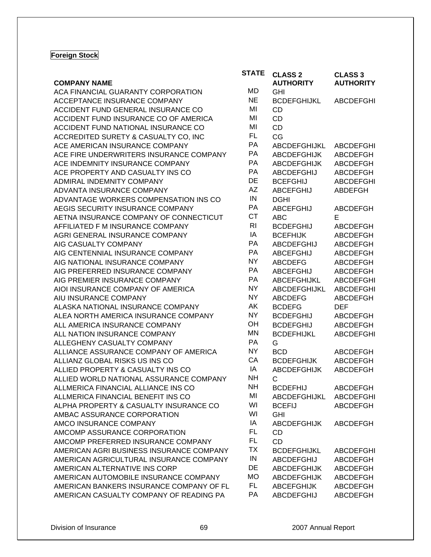### **Foreign Stock**

| <b>CLASS 2</b><br><b>CLASS 3</b><br><b>AUTHORITY</b><br><b>COMPANY NAME</b><br><b>AUTHORITY</b><br>MD<br>ACA FINANCIAL GUARANTY CORPORATION<br><b>GHI</b><br><b>NE</b><br>ACCEPTANCE INSURANCE COMPANY<br><b>BCDEFGHIJKL</b><br><b>ABCDEFGHI</b> |  |
|--------------------------------------------------------------------------------------------------------------------------------------------------------------------------------------------------------------------------------------------------|--|
|                                                                                                                                                                                                                                                  |  |
|                                                                                                                                                                                                                                                  |  |
|                                                                                                                                                                                                                                                  |  |
| MI<br>ACCIDENT FUND GENERAL INSURANCE CO<br><b>CD</b>                                                                                                                                                                                            |  |
| MI<br><b>CD</b><br>ACCIDENT FUND INSURANCE CO OF AMERICA                                                                                                                                                                                         |  |
| MI<br>CD<br>ACCIDENT FUND NATIONAL INSURANCE CO                                                                                                                                                                                                  |  |
| FL.<br>CG<br>ACCREDITED SURETY & CASUALTY CO, INC                                                                                                                                                                                                |  |
| PA<br>ACE AMERICAN INSURANCE COMPANY<br><b>ABCDEFGHIJKL</b><br><b>ABCDEFGHI</b>                                                                                                                                                                  |  |
| PA<br>ACE FIRE UNDERWRITERS INSURANCE COMPANY<br><b>ABCDEFGHIJK</b><br><b>ABCDEFGH</b>                                                                                                                                                           |  |
| PA<br>ACE INDEMNITY INSURANCE COMPANY<br><b>ABCDEFGHIJK</b><br>ABCDEFGH                                                                                                                                                                          |  |
| PA<br>ACE PROPERTY AND CASUALTY INS CO<br><b>ABCDEFGHIJ</b><br><b>ABCDEFGH</b>                                                                                                                                                                   |  |
| DE<br>ADMIRAL INDEMNITY COMPANY<br><b>BCEFGHIJ</b><br><b>ABCDEFGHI</b>                                                                                                                                                                           |  |
| <b>AZ</b><br>ADVANTA INSURANCE COMPANY<br><b>ABCEFGHIJ</b><br><b>ABDEFGH</b>                                                                                                                                                                     |  |
| ${\sf IN}$<br>ADVANTAGE WORKERS COMPENSATION INS CO<br><b>DGHI</b>                                                                                                                                                                               |  |
| PA<br>AEGIS SECURITY INSURANCE COMPANY<br><b>ABCEFGHIJ</b><br>ABCDEFGH                                                                                                                                                                           |  |
| <b>CT</b><br>AETNA INSURANCE COMPANY OF CONNECTICUT<br><b>ABC</b><br>Е                                                                                                                                                                           |  |
| R <sub>l</sub><br>AFFILIATED F M INSURANCE COMPANY<br><b>BCDEFGHIJ</b><br>ABCDEFGH                                                                                                                                                               |  |
| ΙA<br>AGRI GENERAL INSURANCE COMPANY<br><b>BCEFHIJK</b><br>ABCDEFGH                                                                                                                                                                              |  |
| PA<br>AIG CASUALTY COMPANY<br><b>ABCDEFGHIJ</b><br><b>ABCDEFGH</b>                                                                                                                                                                               |  |
| PA<br>AIG CENTENNIAL INSURANCE COMPANY<br><b>ABCEFGHIJ</b><br><b>ABCDEFGH</b>                                                                                                                                                                    |  |
| <b>NY</b><br>AIG NATIONAL INSURANCE COMPANY<br><b>ABCDEFG</b><br><b>ABCDEFGH</b>                                                                                                                                                                 |  |
| PA<br>AIG PREFERRED INSURANCE COMPANY<br><b>ABCEFGHIJ</b><br>ABCDEFGH                                                                                                                                                                            |  |
| <b>PA</b><br>AIG PREMIER INSURANCE COMPANY<br>ABCEFGHIJKL<br><b>ABCDEFGHI</b>                                                                                                                                                                    |  |
| <b>NY</b><br>AIOI INSURANCE COMPANY OF AMERICA<br>ABCDEFGHIJKL<br><b>ABCDEFGHI</b>                                                                                                                                                               |  |
| <b>NY</b><br>AIU INSURANCE COMPANY<br><b>ABCDEFG</b><br><b>ABCDEFGH</b>                                                                                                                                                                          |  |
| AK<br>ALASKA NATIONAL INSURANCE COMPANY<br><b>BCDEFG</b><br><b>DEF</b>                                                                                                                                                                           |  |
| <b>NY</b><br>ALEA NORTH AMERICA INSURANCE COMPANY<br><b>BCDEFGHIJ</b><br><b>ABCDEFGH</b>                                                                                                                                                         |  |
| OH<br>ALL AMERICA INSURANCE COMPANY<br><b>BCDEFGHIJ</b><br><b>ABCDEFGH</b>                                                                                                                                                                       |  |
| <b>MN</b><br>ALL NATION INSURANCE COMPANY<br><b>BCDEFHIJKL</b><br><b>ABCDEFGHI</b>                                                                                                                                                               |  |
| PA<br>G<br>ALLEGHENY CASUALTY COMPANY                                                                                                                                                                                                            |  |
| <b>NY</b><br>ALLIANCE ASSURANCE COMPANY OF AMERICA<br><b>BCD</b><br><b>ABCDEFGH</b>                                                                                                                                                              |  |
| CA<br>ALLIANZ GLOBAL RISKS US INS CO<br><b>BCDEFGHIJK</b><br><b>ABCDEFGH</b>                                                                                                                                                                     |  |
| ΙA<br>ALLIED PROPERTY & CASUALTY INS CO<br><b>ABCDEFGHIJK</b><br><b>ABCDEFGH</b>                                                                                                                                                                 |  |
| <b>NH</b><br>ALLIED WORLD NATIONAL ASSURANCE COMPANY<br>C                                                                                                                                                                                        |  |
| <b>NH</b><br>ALLMERICA FINANCIAL ALLIANCE INS CO<br><b>BCDEFHIJ</b><br>ABCDEFGH                                                                                                                                                                  |  |
| MI<br>ALLMERICA FINANCIAL BENEFIT INS CO<br><b>ABCDEFGHI</b><br><b>ABCDEFGHIJKL</b>                                                                                                                                                              |  |
| WI<br>ALPHA PROPERTY & CASUALTY INSURANCE CO<br><b>BCEFIJ</b><br><b>ABCDEFGH</b>                                                                                                                                                                 |  |
| WI<br>AMBAC ASSURANCE CORPORATION<br><b>GHI</b>                                                                                                                                                                                                  |  |
| IA<br>AMCO INSURANCE COMPANY<br><b>ABCDEFGHIJK</b><br>ABCDEFGH                                                                                                                                                                                   |  |
| <b>FL</b><br>AMCOMP ASSURANCE CORPORATION<br>CD                                                                                                                                                                                                  |  |
| <b>FL</b><br>AMCOMP PREFERRED INSURANCE COMPANY<br><b>CD</b>                                                                                                                                                                                     |  |
| <b>TX</b><br>AMERICAN AGRI BUSINESS INSURANCE COMPANY<br><b>BCDEFGHIJKL</b><br><b>ABCDEFGHI</b>                                                                                                                                                  |  |
| IN<br>AMERICAN AGRICULTURAL INSURANCE COMPANY<br><b>ABCDEFGHIJ</b><br>ABCDEFGH                                                                                                                                                                   |  |
| DE<br>AMERICAN ALTERNATIVE INS CORP<br><b>ABCDEFGHIJK</b><br><b>ABCDEFGH</b>                                                                                                                                                                     |  |
| <b>MO</b><br>AMERICAN AUTOMOBILE INSURANCE COMPANY<br><b>ABCDEFGHIJK</b><br><b>ABCDEFGH</b>                                                                                                                                                      |  |
| FL.<br>AMERICAN BANKERS INSURANCE COMPANY OF FL<br><b>ABCEFGHIJK</b><br>ABCDEFGH                                                                                                                                                                 |  |
| PA<br>AMERICAN CASUALTY COMPANY OF READING PA<br><b>ABCDEFGHIJ</b><br><b>ABCDEFGH</b>                                                                                                                                                            |  |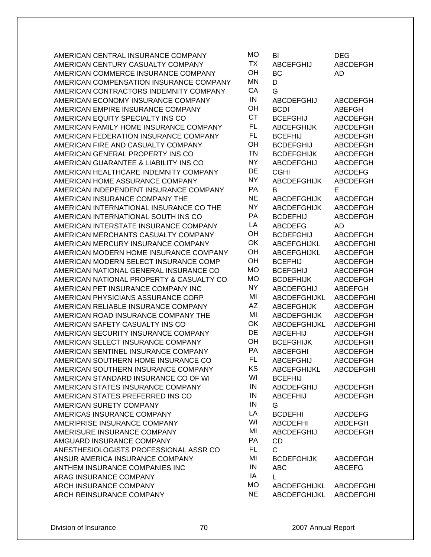AMERICAN CENTRAL INSURANCE COMPANY AMERICAN CENTURY CASUALTY COMPANY AMERICAN COMMERCE INSURANCE COMPANY AMERICAN COMPENSATION INSURANCE COMPANY AMERICAN CONTRACTORS INDEMNITY COMPANY AMERICAN ECONOMY INSURANCE COMPANY AMERICAN EMPIRE INSURANCE COMPANY AMERICAN EQUITY SPECIALTY INS CO AMERICAN FAMILY HOME INSURANCE COMPANY AMERICAN FEDERATION INSURANCE COMPANY AMERICAN FIRE AND CASUALTY COMPANY AMERICAN GENERAL PROPERTY INS CO AMERICAN GUARANTEE & LIABILITY INS CO AMERICAN HEALTHCARE INDEMNITY COMPANY AMERICAN HOME ASSURANCE COMPANY AMERICAN INDEPENDENT INSURANCE COMPANY AMERICAN INSURANCE COMPANY THE AMERICAN INTERNATIONAL INSURANCE CO THE AMERICAN INTERNATIONAL SOUTH INS CO AMERICAN INTERSTATE INSURANCE COMPANY AMERICAN MERCHANTS CASUALTY COMPANY AMERICAN MERCURY INSURANCE COMPANY AMERICAN MODERN HOME INSURANCE COMPANY AMERICAN MODERN SELECT INSURANCE COMP AMERICAN NATIONAL GENERAL INSURANCE CO AMERICAN NATIONAL PROPERTY & CASUALTY CO AMERICAN PET INSURANCE COMPANY INC AMERICAN PHYSICIANS ASSURANCE CORP AMERICAN RELIABLE INSURANCE COMPANY AMERICAN ROAD INSURANCE COMPANY THE AMERICAN SAFETY CASUALTY INS CO AMERICAN SECURITY INSURANCE COMPANY AMERICAN SELECT INSURANCE COMPANY AMERICAN SENTINEL INSURANCE COMPANY AMERICAN SOUTHERN HOME INSURANCE CO AMERICAN SOUTHERN INSURANCE COMPANY AMERICAN STANDARD INSURANCE CO OF WI AMERICAN STATES INSURANCE COMPANY AMERICAN STATES PREFERRED INS CO AMERICAN SURETY COMPANY AMERICAS INSURANCE COMPANY AMERIPRISE INSURANCE COMPANY AMERISURE INSURANCE COMPANY AMGUARD INSURANCE COMPANY ANESTHESIOLOGISTS PROFESSIONAL ASSR CO ANSUR AMERICA INSURANCE COMPANY ANTHEM INSURANCE COMPANIES INC ARAG INSURANCE COMPANY ARCH INSURANCE COMPANY ARCH REINSURANCE COMPANY

| МO             | BI                     | DEG              |
|----------------|------------------------|------------------|
| <b>TX</b>      | <b>ABCEFGHIJ</b>       | <b>ABCDEFGH</b>  |
| OH             | BC                     | AD               |
| MN             | D                      |                  |
| CA             | G                      |                  |
| IN             | ABCDEFGHIJ             | <b>ABCDEFGH</b>  |
| OH             | <b>BCDI</b>            | <b>ABEFGH</b>    |
| <b>CT</b>      | <b>BCEFGHIJ</b>        | <b>ABCDEFGH</b>  |
| <b>FL</b>      | <b>ABCEFGHIJK</b>      | <b>ABCDEFGH</b>  |
| <b>FL</b>      | <b>BCEFHIJ</b>         | <b>ABCDEFGH</b>  |
| OH             | <b>BCDEFGHIJ</b>       | <b>ABCDEFGH</b>  |
| <b>TN</b>      | <b>BCDEFGHIJK</b>      | <b>ABCDEFGH</b>  |
| <b>NY</b>      | <b>ABCDEFGHIJ</b>      | <b>ABCDEFGH</b>  |
| DE             | CGHI                   | <b>ABCDEFG</b>   |
| <b>NY</b>      | <b>ABCDEFGHIJK</b>     | ABCDEFGH         |
| <b>PA</b>      | в                      | E                |
| <b>NE</b>      | <b>ABCDEFGHIJK</b>     | <b>ABCDEFGH</b>  |
| <b>NY</b>      | <b>ABCDEFGHIJK</b>     | <b>ABCDEFGH</b>  |
| PA             | <b>BCDEFHIJ</b>        | <b>ABCDEFGH</b>  |
| LA             | <b>ABCDEFG</b>         | AD               |
| OH             | <b>BCDEFGHIJ</b>       | <b>ABCDEFGH</b>  |
| OK             | <b>ABCEFGHIJKL</b>     | <b>ABCDEFGHI</b> |
| OH             | ABCEFGHIJKL            | <b>ABCDEFGH</b>  |
| OH             | BCEFHIJ                | <b>ABCDEFGH</b>  |
| МO             | BCEFGHIJ               | <b>ABCDEFGH</b>  |
| МO             | <b>BCDEFHIJK</b>       | <b>ABCDEFGH</b>  |
| <b>NY</b>      | <b>ABCDEFGHIJ</b>      | <b>ABDEFGH</b>   |
| MI             | ABCDEFGHIJKL           | <b>ABCDEFGHI</b> |
| <b>AZ</b>      | <b>ABCEFGHIJK</b>      | <b>ABCDEFGH</b>  |
| MI             | <b>ABCDEFGHIJK</b>     | <b>ABCDEFGH</b>  |
| OK             | ABCDEFGHIJKL           | <b>ABCDEFGHI</b> |
| DE             | <b>ABCEFHIJ</b>        | <b>ABCDEFGH</b>  |
| OH             | <b>BCEFGHIJK</b>       | <b>ABCDEFGH</b>  |
| <b>PA</b>      | <b>ABCEFGHI</b>        | <b>ABCDEFGH</b>  |
| FL             | <b>ABCEFGHIJ</b>       | ABCDEFGH         |
| KS             | <b>ABCEFGHIJKL</b>     | <b>ABCDEFGHI</b> |
| WI             | <b>BCEFHIJ</b>         |                  |
| $\sf IN$       | <b>ABCDEFGHIJ</b>      | ABCDEFGH         |
| IN             | <b>ABCEFHIJ</b>        | <b>ABCDEFGH</b>  |
| $\sf IN$       | G                      |                  |
| LA             | <b>BCDEFHI</b>         | <b>ABCDEFG</b>   |
| WI             | <b>ABCDEFHI</b>        | <b>ABDEFGH</b>   |
| MI             | <b>ABCDEFGHIJ</b>      | <b>ABCDEFGH</b>  |
| PA             | <b>CD</b>              |                  |
| FL.            | $\mathsf{C}$           |                  |
| M <sub>l</sub> | <b>BCDEFGHIJK</b>      | <b>ABCDEFGH</b>  |
| IN             | <b>ABC</b>             | <b>ABCEFG</b>    |
| IA             | L                      |                  |
| MО             | ABCDEFGHIJKL ABCDEFGHI |                  |
| <b>NE</b>      | ABCDEFGHIJKL           | <b>ABCDEFGHI</b> |
|                |                        |                  |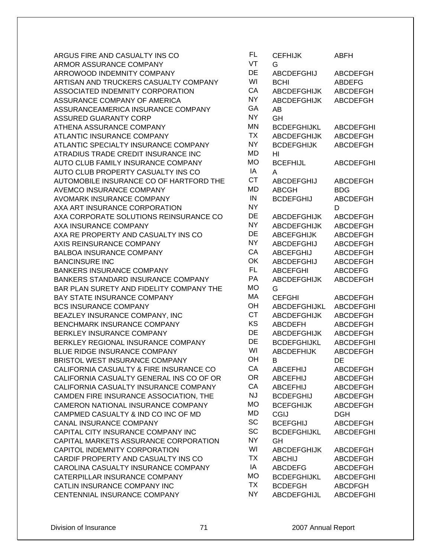| ARGUS FIRE AND CASUALTY INS CO           | FL.       | <b>CEFHIJK</b>     | <b>ABFH</b>      |
|------------------------------------------|-----------|--------------------|------------------|
| <b>ARMOR ASSURANCE COMPANY</b>           | VT        | G                  |                  |
| ARROWOOD INDEMNITY COMPANY               | DE        | ABCDEFGHIJ         | <b>ABCDEFGH</b>  |
| ARTISAN AND TRUCKERS CASUALTY COMPANY    | WI        | <b>BCHI</b>        | <b>ABDEFG</b>    |
| ASSOCIATED INDEMNITY CORPORATION         | CA        | <b>ABCDEFGHIJK</b> | <b>ABCDEFGH</b>  |
| ASSURANCE COMPANY OF AMERICA             | <b>NY</b> | <b>ABCDEFGHIJK</b> | <b>ABCDEFGH</b>  |
| ASSURANCEAMERICA INSURANCE COMPANY       | GA        | AB                 |                  |
| <b>ASSURED GUARANTY CORP</b>             | <b>NY</b> | GH                 |                  |
| ATHENA ASSURANCE COMPANY                 | MN        | <b>BCDEFGHIJKL</b> | <b>ABCDEFGHI</b> |
| ATLANTIC INSURANCE COMPANY               | <b>TX</b> | <b>ABCDEFGHIJK</b> | <b>ABCDEFGH</b>  |
| ATLANTIC SPECIALTY INSURANCE COMPANY     | <b>NY</b> | <b>BCDEFGHIJK</b>  | ABCDEFGH         |
| ATRADIUS TRADE CREDIT INSURANCE INC      | MD        | HI                 |                  |
| AUTO CLUB FAMILY INSURANCE COMPANY       | <b>MO</b> | <b>BCEFHIJL</b>    | <b>ABCDEFGHI</b> |
| AUTO CLUB PROPERTY CASUALTY INS CO       | IA        | A                  |                  |
| AUTOMOBILE INSURANCE CO OF HARTFORD THE  | <b>CT</b> | <b>ABCDEFGHIJ</b>  | <b>ABCDEFGH</b>  |
| <b>AVEMCO INSURANCE COMPANY</b>          | MD        | <b>ABCGH</b>       | <b>BDG</b>       |
| <b>AVOMARK INSURANCE COMPANY</b>         | IN        | <b>BCDEFGHIJ</b>   | ABCDEFGH         |
| AXA ART INSURANCE CORPORATION            | <b>NY</b> |                    | D                |
| AXA CORPORATE SOLUTIONS REINSURANCE CO   | DE        | <b>ABCDEFGHIJK</b> | <b>ABCDEFGH</b>  |
| AXA INSURANCE COMPANY                    | <b>NY</b> | <b>ABCDEFGHIJK</b> | <b>ABCDEFGH</b>  |
| AXA RE PROPERTY AND CASUALTY INS CO      | DE        | <b>ABCEFGHIJK</b>  | <b>ABCDEFGH</b>  |
| AXIS REINSURANCE COMPANY                 | <b>NY</b> | <b>ABCDEFGHIJ</b>  | ABCDEFGH         |
| <b>BALBOA INSURANCE COMPANY</b>          | CA        | <b>ABCEFGHIJ</b>   | <b>ABCDEFGH</b>  |
| <b>BANCINSURE INC</b>                    | OK        | <b>ABCDEFGHIJ</b>  | <b>ABCDEFGH</b>  |
| <b>BANKERS INSURANCE COMPANY</b>         | FL.       | <b>ABCEFGHI</b>    | <b>ABCDEFG</b>   |
| BANKERS STANDARD INSURANCE COMPANY       | PA        | <b>ABCDEFGHIJK</b> | <b>ABCDEFGH</b>  |
| BAR PLAN SURETY AND FIDELITY COMPANY THE | <b>MO</b> | G                  |                  |
| BAY STATE INSURANCE COMPANY              | MA        | <b>CEFGHI</b>      | <b>ABCDEFGH</b>  |
| <b>BCS INSURANCE COMPANY</b>             | OH        | ABCDEFGHIJKL       | <b>ABCDEFGHI</b> |
| BEAZLEY INSURANCE COMPANY, INC           | <b>CT</b> | <b>ABCDEFGHIJK</b> | ABCDEFGH         |
| BENCHMARK INSURANCE COMPANY              | KS        | <b>ABCDEFH</b>     | ABCDEFGH         |
| BERKLEY INSURANCE COMPANY                | DE        | <b>ABCDEFGHIJK</b> | ABCDEFGH         |
| BERKLEY REGIONAL INSURANCE COMPANY       | DE        | <b>BCDEFGHIJKL</b> | <b>ABCDEFGHI</b> |
| BLUE RIDGE INSURANCE COMPANY             | WI        | ABCDEFHIJK         | ABCDEFGH         |
| <b>BRISTOL WEST INSURANCE COMPANY</b>    | OH        | В                  | DE               |
| CALIFORNIA CASUALTY & FIRE INSURANCE CO  | СA        | <b>ABCEFHIJ</b>    | <b>ABCDEFGH</b>  |
| CALIFORNIA CASUALTY GENERAL INS CO OF OR | <b>OR</b> | <b>ABCEFHIJ</b>    | ABCDEFGH         |
| CALIFORNIA CASUALTY INSURANCE COMPANY    | CA        | <b>ABCEFHIJ</b>    | <b>ABCDEFGH</b>  |
| CAMDEN FIRE INSURANCE ASSOCIATION, THE   | <b>NJ</b> | <b>BCDEFGHIJ</b>   | ABCDEFGH         |
| CAMERON NATIONAL INSURANCE COMPANY       | <b>MO</b> | <b>BCEFGHIJK</b>   | ABCDEFGH         |
| CAMPMED CASUALTY & IND CO INC OF MD      | MD        | <b>CGIJ</b>        | <b>DGH</b>       |
| <b>CANAL INSURANCE COMPANY</b>           | SC        | <b>BCEFGHIJ</b>    | <b>ABCDEFGH</b>  |
| CAPITAL CITY INSURANCE COMPANY INC       | SC        | <b>BCDEFGHIJKL</b> | <b>ABCDEFGHI</b> |
| CAPITAL MARKETS ASSURANCE CORPORATION    | <b>NY</b> | GH                 |                  |
| CAPITOL INDEMNITY CORPORATION            | WI        | <b>ABCDEFGHIJK</b> | <b>ABCDEFGH</b>  |
| CARDIF PROPERTY AND CASUALTY INS CO      | <b>TX</b> | <b>ABCHIJ</b>      | ABCDEFGH         |
| CAROLINA CASUALTY INSURANCE COMPANY      | IA        | <b>ABCDEFG</b>     | ABCDEFGH         |
| CATERPILLAR INSURANCE COMPANY            | <b>MO</b> | <b>BCDEFGHIJKL</b> | <b>ABCDEFGHI</b> |
| CATLIN INSURANCE COMPANY INC             | <b>TX</b> | <b>BCDEFGH</b>     | <b>ABCDFGH</b>   |
| CENTENNIAL INSURANCE COMPANY             | <b>NY</b> | ABCDEFGHIJL        | <b>ABCDEFGHI</b> |

| FL              | <b>CEFHIJK</b>                      | ABFH                               |
|-----------------|-------------------------------------|------------------------------------|
| VT<br>DE        | G<br><b>ABCDEFGHIJ</b>              | <b>ABCDEFGH</b>                    |
| WI              | <b>BCHI</b>                         | <b>ABDEFG</b>                      |
| CA              | <b>ABCDEFGHIJK</b>                  | <b>ABCDEFGH</b>                    |
| <b>NY</b>       | <b>ABCDEFGHIJK</b>                  | <b>ABCDEFGH</b>                    |
| GA              | AB                                  |                                    |
| <b>NY</b>       | GH                                  |                                    |
| <b>MN</b>       | <b>BCDEFGHIJKL</b>                  | <b>ABCDEFGHI</b>                   |
| <b>TX</b>       | ABCDEFGHIJK                         | <b>ABCDEFGH</b>                    |
| <b>NY</b>       | <b>BCDEFGHIJK</b>                   | <b>ABCDEFGH</b>                    |
| MD<br><b>MO</b> | HI                                  |                                    |
| IA              | <b>BCEFHIJL</b><br>A                | <b>ABCDEFGHI</b>                   |
| <b>CT</b>       | ABCDEFGHIJ                          | <b>ABCDEFGH</b>                    |
| MD              | ABCGH                               | BDG                                |
| IN              | <b>BCDEFGHIJ</b>                    | <b>ABCDEFGH</b>                    |
| <b>NY</b>       |                                     | D                                  |
| DE              | <b>ABCDEFGHIJK</b>                  | <b>ABCDEFGH</b>                    |
| <b>NY</b>       | <b>ABCDEFGHIJK</b>                  | <b>ABCDEFGH</b>                    |
| DE              | <b>ABCEFGHIJK</b>                   | <b>ABCDEFGH</b>                    |
| <b>NY</b>       | ABCDEFGHIJ                          | <b>ABCDEFGH</b>                    |
| CA              | <b>ABCEFGHIJ</b>                    | <b>ABCDEFGH</b>                    |
| OK              | ABCDEFGHIJ                          | <b>ABCDEFGH</b>                    |
| <b>FL</b><br>PA | ABCEFGHI                            | <b>ABCDEFG</b>                     |
| <b>MO</b>       | <b>ABCDEFGHIJK</b><br>G             | <b>ABCDEFGH</b>                    |
| МA              | <b>CEFGHI</b>                       | <b>ABCDEFGH</b>                    |
| OH              | <b>ABCDEFGHIJKL</b>                 | <b>ABCDEFGHI</b>                   |
| <b>CT</b>       | <b>ABCDEFGHIJK</b>                  | <b>ABCDEFGH</b>                    |
| KS              | <b>ABCDEFH</b>                      | <b>ABCDEFGH</b>                    |
| DE              | <b>ABCDEFGHIJK</b>                  | <b>ABCDEFGH</b>                    |
| DE              | <b>BCDEFGHIJKL</b>                  | <b>ABCDEFGHI</b>                   |
| WI              | <b>ABCDEFHIJK</b>                   | <b>ABCDEFGH</b>                    |
| OH              | в                                   | DE                                 |
| CA              | <b>ABCEFHIJ</b>                     | <b>ABCDEFGH</b>                    |
| <b>OR</b><br>CA | <b>ABCEFHIJ</b>                     | <b>ABCDEFGH</b>                    |
| <b>NJ</b>       | <b>ABCEFHIJ</b><br><b>BCDEFGHIJ</b> | <b>ABCDEFGH</b>                    |
| <b>MO</b>       | <b>BCEFGHIJK</b>                    | <b>ABCDEFGH</b><br><b>ABCDEFGH</b> |
| MD              | CGIJ                                | <b>DGH</b>                         |
| SC              | <b>BCEFGHIJ</b>                     | <b>ABCDEFGH</b>                    |
| SC              | <b>BCDEFGHIJKL</b>                  | <b>ABCDEFGHI</b>                   |
| NY              | GH                                  |                                    |
| WI              | <b>ABCDEFGHIJK</b>                  | <b>ABCDEFGH</b>                    |
| <b>TX</b>       | <b>ABCHIJ</b>                       | ABCDEFGH                           |
| IA              | <b>ABCDEFG</b>                      | <b>ABCDEFGH</b>                    |
| MO              | <b>BCDEFGHIJKL</b>                  | <b>ABCDEFGHI</b>                   |
| <b>TX</b>       | <b>BCDEFGH</b>                      | <b>ABCDFGH</b>                     |
| <b>NY</b>       | <b>ABCDEFGHIJL</b>                  | <b>ABCDEFGHI</b>                   |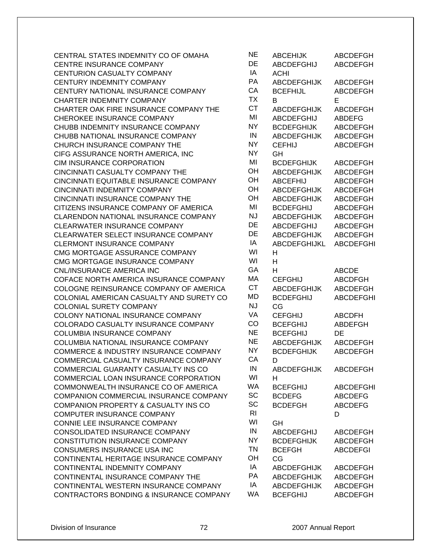| CENTRAL STATES INDEMNITY CO OF OMAHA        | <b>NE</b>      | <b>ABCEHIJK</b>     | <b>ABCDEFGH</b>  |
|---------------------------------------------|----------------|---------------------|------------------|
| <b>CENTRE INSURANCE COMPANY</b>             | DE             | ABCDEFGHIJ          | ABCDEFGH         |
| <b>CENTURION CASUALTY COMPANY</b>           | IA             | <b>ACHI</b>         |                  |
| CENTURY INDEMNITY COMPANY                   | PA             | <b>ABCDEFGHIJK</b>  | <b>ABCDEFGH</b>  |
| CENTURY NATIONAL INSURANCE COMPANY          | CA             | <b>BCEFHIJL</b>     | <b>ABCDEFGH</b>  |
| CHARTER INDEMNITY COMPANY                   | <b>TX</b>      | B                   | E                |
| CHARTER OAK FIRE INSURANCE COMPANY THE      | <b>CT</b>      | <b>ABCDEFGHIJK</b>  | <b>ABCDEFGH</b>  |
| CHEROKEE INSURANCE COMPANY                  | MI             | <b>ABCDEFGHIJ</b>   | <b>ABDEFG</b>    |
| CHUBB INDEMNITY INSURANCE COMPANY           | <b>NY</b>      | <b>BCDEFGHIJK</b>   | ABCDEFGH         |
| CHUBB NATIONAL INSURANCE COMPANY            | IN             | <b>ABCDEFGHIJK</b>  | <b>ABCDEFGH</b>  |
| CHURCH INSURANCE COMPANY THE                | <b>NY</b>      | <b>CEFHIJ</b>       | <b>ABCDEFGH</b>  |
| CIFG ASSURANCE NORTH AMERICA, INC           | <b>NY</b>      | GH                  |                  |
| CIM INSURANCE CORPORATION                   | MI             | <b>BCDEFGHIJK</b>   | <b>ABCDEFGH</b>  |
| CINCINNATI CASUALTY COMPANY THE             | OH             | <b>ABCDEFGHIJK</b>  | <b>ABCDEFGH</b>  |
| CINCINNATI EQUITABLE INSURANCE COMPANY      | OH             | <b>ABCEFHIJ</b>     | <b>ABCDEFGH</b>  |
| <b>CINCINNATI INDEMNITY COMPANY</b>         | OH             | <b>ABCDEFGHIJK</b>  | ABCDEFGH         |
| CINCINNATI INSURANCE COMPANY THE            | OH             | <b>ABCDEFGHIJK</b>  | ABCDEFGH         |
| CITIZENS INSURANCE COMPANY OF AMERICA       | MI             | <b>BCDEFGHIJ</b>    | <b>ABCDEFGH</b>  |
| <b>CLARENDON NATIONAL INSURANCE COMPANY</b> | <b>NJ</b>      | <b>ABCDEFGHIJK</b>  | <b>ABCDEFGH</b>  |
| CLEARWATER INSURANCE COMPANY                | DE             | <b>ABCDEFGHIJ</b>   | ABCDEFGH         |
| CLEARWATER SELECT INSURANCE COMPANY         | DE             | <b>ABCDEFGHIJK</b>  | <b>ABCDEFGH</b>  |
| <b>CLERMONT INSURANCE COMPANY</b>           | IA             | <b>ABCDEFGHIJKL</b> | <b>ABCDEFGHI</b> |
| CMG MORTGAGE ASSURANCE COMPANY              | WI             | H                   |                  |
| CMG MORTGAGE INSURANCE COMPANY              | WI             | H                   |                  |
| CNL/INSURANCE AMERICA INC                   | GA             | H                   | <b>ABCDE</b>     |
| COFACE NORTH AMERICA INSURANCE COMPANY      | MA             | <b>CEFGHIJ</b>      | <b>ABCDFGH</b>   |
| COLOGNE REINSURANCE COMPANY OF AMERICA      | <b>CT</b>      | <b>ABCDEFGHIJK</b>  | <b>ABCDEFGH</b>  |
| COLONIAL AMERICAN CASUALTY AND SURETY CO    | MD             | <b>BCDEFGHIJ</b>    | <b>ABCDEFGHI</b> |
| COLONIAL SURETY COMPANY                     | <b>NJ</b>      | CG                  |                  |
| COLONY NATIONAL INSURANCE COMPANY           | VA             | <b>CEFGHIJ</b>      | <b>ABCDFH</b>    |
| COLORADO CASUALTY INSURANCE COMPANY         | CO             | <b>BCEFGHIJ</b>     | <b>ABDEFGH</b>   |
| COLUMBIA INSURANCE COMPANY                  | <b>NE</b>      | <b>BCEFGHIJ</b>     | DE               |
| <b>COLUMBIA NATIONAL INSURANCE COMPANY</b>  | <b>NE</b>      | <b>ABCDEFGHIJK</b>  | <b>ABCDEFGH</b>  |
| COMMERCE & INDUSTRY INSURANCE COMPANY       | NY             | <b>BCDEFGHIJK</b>   | ABCDEFGH         |
| COMMERCIAL CASUALTY INSURANCE COMPANY       | CA             | D                   |                  |
| COMMERCIAL GUARANTY CASUALTY INS CO         | IN             | <b>ABCDEFGHIJK</b>  | <b>ABCDEFGH</b>  |
| COMMERCIAL LOAN INSURANCE CORPORATION       | WI             | H.                  |                  |
| COMMONWEALTH INSURANCE CO OF AMERICA        | <b>WA</b>      | <b>BCEFGHIJ</b>     | <b>ABCDEFGHI</b> |
| COMPANION COMMERCIAL INSURANCE COMPANY      | SC             | <b>BCDEFG</b>       | <b>ABCDEFG</b>   |
| COMPANION PROPERTY & CASUALTY INS CO        | <b>SC</b>      | <b>BCDEFGH</b>      | <b>ABCDEFG</b>   |
| <b>COMPUTER INSURANCE COMPANY</b>           | R <sub>l</sub> |                     | D                |
| CONNIE LEE INSURANCE COMPANY                | WI             | GH                  |                  |
| CONSOLIDATED INSURANCE COMPANY              | IN             | <b>ABCDEFGHIJ</b>   | <b>ABCDEFGH</b>  |
| <b>CONSTITUTION INSURANCE COMPANY</b>       | <b>NY</b>      | <b>BCDEFGHIJK</b>   | ABCDEFGH         |
| CONSUMERS INSURANCE USA INC                 | <b>TN</b>      | <b>BCEFGH</b>       | <b>ABCDEFGI</b>  |
| CONTINENTAL HERITAGE INSURANCE COMPANY      | OH             | CG                  |                  |
| CONTINENTAL INDEMNITY COMPANY               | IA             | <b>ABCDEFGHIJK</b>  | <b>ABCDEFGH</b>  |
| CONTINENTAL INSURANCE COMPANY THE           | PA             | <b>ABCDEFGHIJK</b>  | ABCDEFGH         |
| CONTINENTAL WESTERN INSURANCE COMPANY       | IA             | <b>ABCDEFGHIJK</b>  | <b>ABCDEFGH</b>  |
| CONTRACTORS BONDING & INSURANCE COMPANY     | WA             | <b>BCEFGHIJ</b>     | <b>ABCDEFGH</b>  |

| NΕ             | <b>ABCEHIJK</b>     | <b>ABCDEFGH</b>  |
|----------------|---------------------|------------------|
| DE             | ABCDEFGHIJ          | <b>ABCDEFGH</b>  |
| IA             | <b>ACHI</b>         |                  |
| PA             | <b>ABCDEFGHIJK</b>  | <b>ABCDEFGH</b>  |
| СA             | <b>BCEFHIJL</b>     | <b>ABCDEFGH</b>  |
| TХ             | B                   | E                |
| СT             | <b>ABCDEFGHIJK</b>  | <b>ABCDEFGH</b>  |
| MI             | <b>ABCDEFGHIJ</b>   | <b>ABDEFG</b>    |
| NΥ             | <b>BCDEFGHIJK</b>   | <b>ABCDEFGH</b>  |
| IN             | <b>ABCDEFGHIJK</b>  | <b>ABCDEFGH</b>  |
| NΥ             | <b>CEFHIJ</b>       | <b>ABCDEFGH</b>  |
| NY             | GH                  |                  |
| MI             | <b>BCDEFGHIJK</b>   | <b>ABCDEFGH</b>  |
| ЭH             | <b>ABCDEFGHIJK</b>  | <b>ABCDEFGH</b>  |
| ЭH             | <b>ABCEFHIJ</b>     | <b>ABCDEFGH</b>  |
| ЭH             | <b>ABCDEFGHIJK</b>  | <b>ABCDEFGH</b>  |
| ЭH             | <b>ABCDEFGHIJK</b>  | <b>ABCDEFGH</b>  |
| MI             | <b>BCDEFGHIJ</b>    | <b>ABCDEFGH</b>  |
| NJ             | <b>ABCDEFGHIJK</b>  | <b>ABCDEFGH</b>  |
| DE             | <b>ABCDEFGHIJ</b>   | <b>ABCDEFGH</b>  |
| DE             | <b>ABCDEFGHIJK</b>  | <b>ABCDEFGH</b>  |
| IA             | <b>ABCDEFGHIJKL</b> | <b>ABCDEFGHI</b> |
| WI             | н                   |                  |
| WI             | н                   |                  |
| GА             | н                   | <b>ABCDE</b>     |
| МA             | <b>CEFGHIJ</b>      | <b>ABCDFGH</b>   |
| СT             | <b>ABCDEFGHIJK</b>  | <b>ABCDEFGH</b>  |
| ИD             | <b>BCDEFGHIJ</b>    | <b>ABCDEFGHI</b> |
| NJ             | CG                  |                  |
| VA             | <b>CEFGHIJ</b>      | <b>ABCDFH</b>    |
| CO             | <b>BCEFGHIJ</b>     | <b>ABDEFGH</b>   |
| NΕ             | <b>BCEFGHIJ</b>     | DE               |
| NΕ             | ABCDEFGHIJK         | <b>ABCDEFGH</b>  |
| NΥ             | <b>BCDEFGHIJK</b>   | <b>ABCDEFGH</b>  |
| СA             | D                   |                  |
| IN             | <b>ABCDEFGHIJK</b>  | <b>ABCDEFGH</b>  |
| WI             | H                   |                  |
| ΝA             | <b>BCEFGHIJ</b>     | <b>ABCDEFGHI</b> |
| SC             | <b>BCDEFG</b>       | <b>ABCDEFG</b>   |
| SC             | <b>BCDEFGH</b>      | <b>ABCDEFG</b>   |
| R <sub>l</sub> |                     | D                |
| WI             | GН                  |                  |
| IN             | ABCDEFGHIJ          | <b>ABCDEFGH</b>  |
| NΥ             | <b>BCDEFGHIJK</b>   | <b>ABCDEFGH</b>  |
| TΝ             | <b>BCEFGH</b>       | <b>ABCDEFGI</b>  |
| ЭH             | CG                  |                  |
| ΙA             | <b>ABCDEFGHIJK</b>  | <b>ABCDEFGH</b>  |
| РA             | ABCDEFGHIJK         | <b>ABCDEFGH</b>  |
| ΙA             | <b>ABCDEFGHIJK</b>  | <b>ABCDEFGH</b>  |
| NΑ             | <b>BCEFGHIJ</b>     | <b>ABCDEFGH</b>  |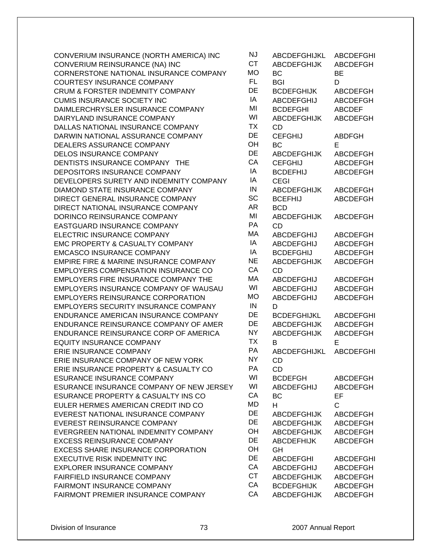CONVERIUM INSURANCE (NORTH AMERICA) INC CONVERIUM REINSURANCE (NA) INC CORNERSTONE NATIONAL INSURANCE COMPANY COURTESY INSURANCE COMPANY CRUM & FORSTER INDEMNITY COMPANY DE BCDEFGHIJK ABC CUMIS INSURANCE SOCIETY INC DAIMLERCHRYSLER INSURANCE COMPANY DAIRYLAND INSURANCE COMPANY DALLAS NATIONAL INSURANCE COMPANY DARWIN NATIONAL ASSURANCE COMPANY DEALERS ASSURANCE COMPANY DELOS INSURANCE COMPANY DENTISTS INSURANCE COMPANY THE DEPOSITORS INSURANCE COMPANY DEVELOPERS SURETY AND INDEMNITY COMPANY DIAMOND STATE INSURANCE COMPANY DIRECT GENERAL INSURANCE COMPANY DIRECT NATIONAL INSURANCE COMPANY DORINCO REINSURANCE COMPANY EASTGUARD INSURANCE COMPANY ELECTRIC INSURANCE COMPANY EMC PROPERTY & CASUALTY COMPANY EMCASCO INSURANCE COMPANY EMPIRE FIRE & MARINE INSURANCE COMPANY NET EMPLOYERS COMPENSATION INSURANCE CO EMPLOYERS FIRE INSURANCE COMPANY THE EMPLOYERS INSURANCE COMPANY OF WAUSAU EMPLOYERS REINSURANCE CORPORATION EMPLOYERS SECURITY INSURANCE COMPANY ENDURANCE AMERICAN INSURANCE COMPANY ENDURANCE REINSURANCE COMPANY OF AMER ENDURANCE REINSURANCE CORP OF AMERICA EQUITY INSURANCE COMPANY ERIE INSURANCE COMPANY ERIE INSURANCE COMPANY OF NEW YORK ERIE INSURANCE PROPERTY & CASUALTY CO ESURANCE INSURANCE COMPANY ESURANCE INSURANCE COMPANY OF NEW JERSEY ESURANCE PROPERTY & CASUALTY INS CO EULER HERMES AMERICAN CREDIT IND CO EVEREST NATIONAL INSURANCE COMPANY EVEREST REINSURANCE COMPANY EVERGREEN NATIONAL INDEMNITY COMPANY EXCESS REINSURANCE COMPANY EXCESS SHARE INSURANCE CORPORATION EXECUTIVE RISK INDEMNITY INC EXPLORER INSURANCE COMPANY FAIRFIELD INSURANCE COMPANY FAIRMONT INSURANCE COMPANY FAIRMONT PREMIER INSURANCE COMPANY

| J.J      | <b>ABCDEFGHIJKL</b>      | <b>ABCDEFGHI</b>                   |
|----------|--------------------------|------------------------------------|
| ÇТ       | <b>ABCDEFGHIJK</b>       | <b>ABCDEFGH</b>                    |
| ٨O<br>ΞL | <b>BC</b><br><b>BGI</b>  | ВE                                 |
| DЕ       | <b>BCDEFGHIJK</b>        | D<br><b>ABCDEFGH</b>               |
| ΙA       | ABCDEFGHIJ               | <b>ABCDEFGH</b>                    |
| M١       | <b>BCDEFGHI</b>          | <b>ABCDEF</b>                      |
| ٨I       | <b>ABCDEFGHIJK</b>       | <b>ABCDEFGH</b>                    |
| ГX       | CD                       |                                    |
| DЕ       | <b>CEFGHIJ</b>           | <b>ABDFGH</b>                      |
| ЭH       | BC                       | E.                                 |
| DЕ       | <b>ABCDEFGHIJK</b>       | <b>ABCDEFGH</b>                    |
| ĴА       | <b>CEFGHIJ</b>           | <b>ABCDEFGH</b>                    |
| lΑ       | <b>BCDEFHIJ</b>          | <b>ABCDEFGH</b>                    |
| ΙA       | <b>CEGI</b>              |                                    |
| IN       | <b>ABCDEFGHIJK</b>       | <b>ABCDEFGH</b>                    |
| sС       | <b>BCEFHIJ</b>           | <b>ABCDEFGH</b>                    |
| ١R       | <b>BCD</b>               |                                    |
| ΜI<br>٥A | <b>ABCDEFGHIJK</b>       | <b>ABCDEFGH</b>                    |
| ЛA       | CD                       |                                    |
| ΙA       | ABCDEFGHIJ<br>ABCDEFGHIJ | <b>ABCDEFGH</b><br><b>ABCDEFGH</b> |
| lΑ       | <b>BCDEFGHIJ</b>         | <b>ABCDEFGH</b>                    |
| ۹Ε       | <b>ABCDEFGHIJK</b>       | <b>ABCDEFGH</b>                    |
| СA       | CD                       |                                    |
| ΛA       | ABCDEFGHIJ               | <b>ABCDEFGH</b>                    |
| ٨I       | ABCDEFGHIJ               | <b>ABCDEFGH</b>                    |
| ٨O       | ABCDEFGHIJ               | <b>ABCDEFGH</b>                    |
| IN       | D                        |                                    |
| DЕ       | <b>BCDEFGHIJKL</b>       | <b>ABCDEFGHI</b>                   |
| DЕ       | ABCDEFGHIJK              | <b>ABCDEFGH</b>                    |
| ١Y       | <b>ABCDEFGHIJK</b>       | <b>ABCDEFGH</b>                    |
| ГX       | В                        | E                                  |
| PА       | <b>ABCDEFGHIJKL</b>      | <b>ABCDEFGHI</b>                   |
| JΥ<br>ÞА | <b>CD</b>                |                                    |
| ٨I       | <b>CD</b>                |                                    |
| ٨I       | <b>BCDEFGH</b>           | <b>ABCDEFGH</b><br><b>ABCDEFGH</b> |
| СA       | ABCDEFGHIJ<br>ВC         | EF                                 |
| ٨D       | н                        | C                                  |
| ЭE       | <b>ABCDEFGHIJK</b>       | <b>ABCDEFGH</b>                    |
| ЭE       | <b>ABCDEFGHIJK</b>       | <b>ABCDEFGH</b>                    |
| ЭH       | <b>ABCDEFGHIJK</b>       | <b>ABCDEFGH</b>                    |
| ЭE       | <b>ABCDEFHIJK</b>        | <b>ABCDEFGH</b>                    |
| ЭH       | GН                       |                                    |
| DЕ       | <b>ABCDEFGHI</b>         | <b>ABCDEFGHI</b>                   |
| СA       | <b>ABCDEFGHIJ</b>        | ABCDEFGH                           |
| СT       | ABCDEFGHIJK              | <b>ABCDEFGH</b>                    |
| СA       | <b>BCDEFGHIJK</b>        | <b>ABCDEFGH</b>                    |
| СA       | <b>ABCDEFGHIJK</b>       | <b>ABCDEFGH</b>                    |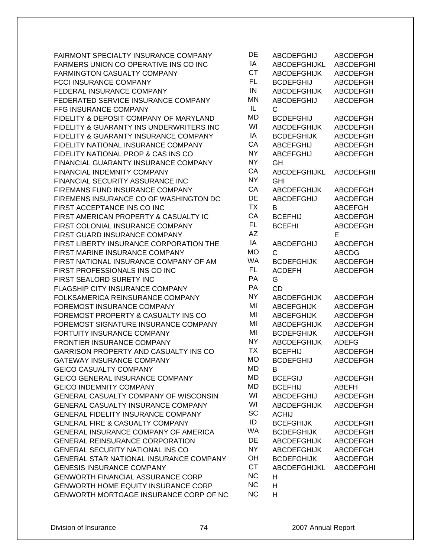FAIRMONT SPECIALTY INSURANCE COMPANY FARMERS UNION CO OPERATIVE INS CO INC FARMINGTON CASUALTY COMPANY FCCI INSURANCE COMPANY FEDERAL INSURANCE COMPANY FEDERATED SERVICE INSURANCE COMPANY **FFG INSURANCE COMPANY** FIDELITY & DEPOSIT COMPANY OF MARYLAND FIDELITY & GUARANTY INS UNDERWRITERS INC FIDELITY & GUARANTY INSURANCE COMPANY FIDELITY NATIONAL INSURANCE COMPANY FIDELITY NATIONAL PROP & CAS INS CO FINANCIAL GUARANTY INSURANCE COMPANY FINANCIAL INDEMNITY COMPANY FINANCIAL SECURITY ASSURANCE INC FIREMANS FUND INSURANCE COMPANY FIREMENS INSURANCE CO OF WASHINGTON DC FIRST ACCEPTANCE INS CO INC FIRST AMERICAN PROPERTY & CASUALTY IC FIRST COLONIAL INSURANCE COMPANY FIRST GUARD INSURANCE COMPANY FIRST LIBERTY INSURANCE CORPORATION THE FIRST MARINE INSURANCE COMPANY FIRST NATIONAL INSURANCE COMPANY OF AM FIRST PROFESSIONALS INS CO INC FIRST SEALORD SURETY INC FLAGSHIP CITY INSURANCE COMPANY FOLKSAMERICA REINSURANCE COMPANY FOREMOST INSURANCE COMPANY FOREMOST PROPERTY & CASUALTY INS CO FOREMOST SIGNATURE INSURANCE COMPANY FORTUITY INSURANCE COMPANY FRONTIER INSURANCE COMPANY GARRISON PROPERTY AND CASUALTY INS CO GATEWAY INSURANCE COMPANY **GEICO CASUALTY COMPANY** GEICO GENERAL INSURANCE COMPANY GEICO INDEMNITY COMPANY GENERAL CASUALTY COMPANY OF WISCONSIN GENERAL CASUALTY INSURANCE COMPANY GENERAL FIDELITY INSURANCE COMPANY GENERAL FIRE & CASUALTY COMPANY GENERAL INSURANCE COMPANY OF AMERICA GENERAL REINSURANCE CORPORATION GENERAL SECURITY NATIONAL INS CO GENERAL STAR NATIONAL INSURANCE COMPANY GENESIS INSURANCE COMPANY **GENWORTH FINANCIAL ASSURANCE CORP** GENWORTH HOME EQUITY INSURANCE CORP GENWORTH MORTGAGE INSURANCE CORP OF NC

| DE        | ABCDEFGHIJ         | <b>ABCDEFGH</b>  |
|-----------|--------------------|------------------|
| IA        | ABCDEFGHIJKL       | <b>ABCDEFGHI</b> |
| <b>CT</b> | <b>ABCDEFGHIJK</b> | <b>ABCDEFGH</b>  |
| <b>FL</b> | <b>BCDEFGHIJ</b>   | <b>ABCDEFGH</b>  |
| IN        | <b>ABCDEFGHIJK</b> | <b>ABCDEFGH</b>  |
| MΝ        | <b>ABCDEFGHIJ</b>  | <b>ABCDEFGH</b>  |
| IL        | С                  |                  |
| МD        | <b>BCDEFGHIJ</b>   | <b>ABCDEFGH</b>  |
| WI        | <b>ABCDEFGHIJK</b> | <b>ABCDEFGH</b>  |
| IA        | <b>BCDEFGHIJK</b>  | <b>ABCDEFGH</b>  |
| CA        | <b>ABCEFGHIJ</b>   | <b>ABCDEFGH</b>  |
| <b>NY</b> | <b>ABCEFGHIJ</b>   | <b>ABCDEFGH</b>  |
| <b>NY</b> | GH                 |                  |
| CA        | ABCDEFGHIJKL       | <b>ABCDEFGHI</b> |
| <b>NY</b> | <b>GHI</b>         |                  |
| CA        | <b>ABCDEFGHIJK</b> | <b>ABCDEFGH</b>  |
| DE        | <b>ABCDEFGHIJ</b>  | <b>ABCDEFGH</b>  |
| <b>TX</b> | B                  | <b>ABCEFGH</b>   |
| CA        | <b>BCEFHIJ</b>     | <b>ABCDEFGH</b>  |
| FL.       | <b>BCEFHI</b>      | <b>ABCDEFGH</b>  |
| <b>AZ</b> |                    | E                |
| IA        | <b>ABCDEFGHIJ</b>  | <b>ABCDEFGH</b>  |
| МO        | С                  | <b>ABCDG</b>     |
| WA        | <b>BCDEFGHIJK</b>  | <b>ABCDEFGH</b>  |
| <b>FL</b> | <b>ACDEFH</b>      | <b>ABCDEFGH</b>  |
| PA        | G                  |                  |
| PA        | <b>CD</b>          |                  |
| <b>NY</b> | <b>ABCDEFGHIJK</b> | <b>ABCDEFGH</b>  |
| MI        | <b>ABCEFGHIJK</b>  | <b>ABCDEFGH</b>  |
| MI        | <b>ABCEFGHIJK</b>  | <b>ABCDEFGH</b>  |
| MI        | <b>ABCDEFGHIJK</b> | <b>ABCDEFGH</b>  |
| MI        | <b>BCDEFGHIJK</b>  | <b>ABCDEFGH</b>  |
| <b>NY</b> | <b>ABCDEFGHIJK</b> | <b>ADEFG</b>     |
| <b>TX</b> | <b>BCEFHIJ</b>     | <b>ABCDEFGH</b>  |
| МO        | <b>BCDEFGHIJ</b>   | <b>ABCDEFGH</b>  |
| МD        | В                  |                  |
| МD        | <b>BCEFGIJ</b>     | <b>ABCDEFGH</b>  |
| MD        | <b>BCEFHIJ</b>     | ABEFH            |
| WI        | ABCDEFGHIJ         | <b>ABCDEFGH</b>  |
| WI        | <b>ABCDEFGHIJK</b> | <b>ABCDEFGH</b>  |
| SC        | <b>ACHIJ</b>       |                  |
| ID        | <b>BCEFGHIJK</b>   | <b>ABCDEFGH</b>  |
| WA        | <b>BCDEFGHIJK</b>  | <b>ABCDEFGH</b>  |
| DE        | <b>ABCDEFGHIJK</b> | <b>ABCDEFGH</b>  |
| NY        | <b>ABCDEFGHIJK</b> | <b>ABCDEFGH</b>  |
| OН        | <b>BCDEFGHIJK</b>  | <b>ABCDEFGH</b>  |
| <b>CT</b> | ABCDEFGHIJKL       | <b>ABCDEFGHI</b> |
| <b>NC</b> | Н                  |                  |
| <b>NC</b> | H                  |                  |
| ΝC        | H                  |                  |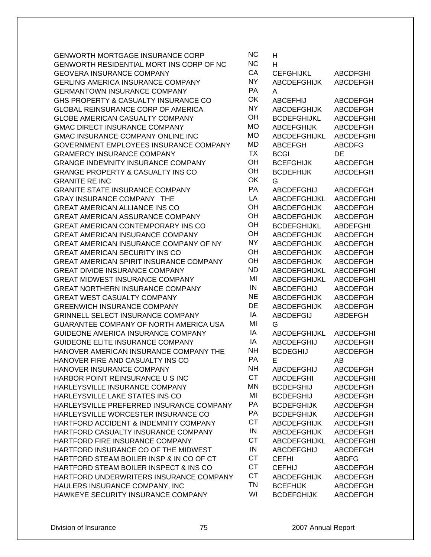| <b>GENWORTH MORTGAGE INSURANCE CORP</b>        | <b>NC</b> | н                   |                  |
|------------------------------------------------|-----------|---------------------|------------------|
| GENWORTH RESIDENTIAL MORT INS CORP OF NC       | <b>NC</b> | H                   |                  |
| <b>GEOVERA INSURANCE COMPANY</b>               | CA        | <b>CEFGHIJKL</b>    | <b>ABCDFGHI</b>  |
| <b>GERLING AMERICA INSURANCE COMPANY</b>       | <b>NY</b> | <b>ABCDEFGHIJK</b>  | <b>ABCDEFGH</b>  |
| <b>GERMANTOWN INSURANCE COMPANY</b>            | PA        | A                   |                  |
| GHS PROPERTY & CASUALTY INSURANCE CO           | OK        | <b>ABCEFHIJ</b>     | <b>ABCDEFGH</b>  |
| <b>GLOBAL REINSURANCE CORP OF AMERICA</b>      | <b>NY</b> | <b>ABCDEFGHIJK</b>  | ABCDEFGH         |
| <b>GLOBE AMERICAN CASUALTY COMPANY</b>         | OH        | <b>BCDEFGHIJKL</b>  | <b>ABCDEFGHI</b> |
| <b>GMAC DIRECT INSURANCE COMPANY</b>           | <b>MO</b> | <b>ABCEFGHIJK</b>   | <b>ABCDEFGH</b>  |
| GMAC INSURANCE COMPANY ONLINE INC              | <b>MO</b> | <b>ABCDEFGHIJKL</b> | <b>ABCDEFGHI</b> |
| GOVERNMENT EMPLOYEES INSURANCE COMPANY         | <b>MD</b> | <b>ABCEFGH</b>      | <b>ABCDFG</b>    |
| <b>GRAMERCY INSURANCE COMPANY</b>              | <b>TX</b> | <b>BCGI</b>         | DE               |
| <b>GRANGE INDEMNITY INSURANCE COMPANY</b>      | OH        | <b>BCEFGHIJK</b>    | <b>ABCDEFGH</b>  |
| <b>GRANGE PROPERTY &amp; CASUALTY INS CO</b>   | OH        | <b>BCDEFHIJK</b>    | <b>ABCDEFGH</b>  |
| <b>GRANITE RE INC</b>                          | OK        | G                   |                  |
| <b>GRANITE STATE INSURANCE COMPANY</b>         | PA        | <b>ABCDEFGHIJ</b>   | <b>ABCDEFGH</b>  |
| GRAY INSURANCE COMPANY THE                     | LA        | ABCDEFGHIJKL        | <b>ABCDEFGHI</b> |
| <b>GREAT AMERICAN ALLIANCE INS CO</b>          | OH        | <b>ABCDEFGHIJK</b>  | <b>ABCDEFGH</b>  |
| <b>GREAT AMERICAN ASSURANCE COMPANY</b>        | OH        | <b>ABCDEFGHIJK</b>  | <b>ABCDEFGH</b>  |
| <b>GREAT AMERICAN CONTEMPORARY INS CO</b>      | OH        | <b>BCDEFGHIJKL</b>  | <b>ABDEFGHI</b>  |
| <b>GREAT AMERICAN INSURANCE COMPANY</b>        | OH        | <b>ABCDEFGHIJK</b>  | <b>ABCDEFGH</b>  |
| GREAT AMERICAN INSURANCE COMPANY OF NY         | <b>NY</b> | <b>ABCDEFGHIJK</b>  | <b>ABCDEFGH</b>  |
| <b>GREAT AMERICAN SECURITY INS CO</b>          | OH        | <b>ABCDEFGHIJK</b>  | <b>ABCDEFGH</b>  |
| <b>GREAT AMERICAN SPIRIT INSURANCE COMPANY</b> | OH        | <b>ABCDEFGHIJK</b>  | <b>ABCDEFGH</b>  |
| <b>GREAT DIVIDE INSURANCE COMPANY</b>          | <b>ND</b> | ABCDEFGHIJKL        | <b>ABCDEFGHI</b> |
| <b>GREAT MIDWEST INSURANCE COMPANY</b>         | MI        | ABCDEFGHIJKL        | <b>ABCDEFGHI</b> |
| <b>GREAT NORTHERN INSURANCE COMPANY</b>        | IN        | ABCDEFGHIJ          | <b>ABCDEFGH</b>  |
| GREAT WEST CASUALTY COMPANY                    | <b>NE</b> | <b>ABCDEFGHIJK</b>  | <b>ABCDEFGH</b>  |
| <b>GREENWICH INSURANCE COMPANY</b>             | DE        | <b>ABCDEFGHIJK</b>  | <b>ABCDEFGH</b>  |
| <b>GRINNELL SELECT INSURANCE COMPANY</b>       | IA        | <b>ABCDEFGIJ</b>    | <b>ABDEFGH</b>   |
| GUARANTEE COMPANY OF NORTH AMERICA USA         | MI        | G                   |                  |
| GUIDEONE AMERICA INSURANCE COMPANY             | IA        | <b>ABCDEFGHIJKL</b> | <b>ABCDEFGHI</b> |
| <b>GUIDEONE ELITE INSURANCE COMPANY</b>        | IA        | <b>ABCDEFGHIJ</b>   | <b>ABCDEFGH</b>  |
| HANOVER AMERICAN INSURANCE COMPANY THE         | NΗ        | <b>BCDEGHIJ</b>     | <b>ABCDEFGH</b>  |
| HANOVER FIRE AND CASUALTY INS CO               | <b>PA</b> | Е                   | AB               |
| HANOVER INSURANCE COMPANY                      | <b>NH</b> | <b>ABCDEFGHIJ</b>   | <b>ABCDEFGH</b>  |
| HARBOR POINT REINSURANCE U S INC               | <b>CT</b> | <b>ABCDEFGHI</b>    | <b>ABCDEFGHI</b> |
| HARLEYSVILLE INSURANCE COMPANY                 | MN        | <b>BCDEFGHIJ</b>    | <b>ABCDEFGH</b>  |
| HARLEYSVILLE LAKE STATES INS CO                | MI        | <b>BCDEFGHIJ</b>    | ABCDEFGH         |
| HARLEYSVILLE PREFERRED INSURANCE COMPANY       | PA        | <b>BCDEFGHIJK</b>   | <b>ABCDEFGH</b>  |
| HARLEYSVILLE WORCESTER INSURANCE CO            | PA        | <b>BCDEFGHIJK</b>   | <b>ABCDEFGH</b>  |
| HARTFORD ACCIDENT & INDEMNITY COMPANY          | <b>CT</b> | <b>ABCDEFGHIJK</b>  | <b>ABCDEFGH</b>  |
| HARTFORD CASUALTY INSURANCE COMPANY            | IN        | <b>ABCDEFGHIJK</b>  | <b>ABCDEFGH</b>  |
| HARTFORD FIRE INSURANCE COMPANY                | <b>CT</b> | ABCDEFGHIJKL        | <b>ABCDEFGHI</b> |
| HARTFORD INSURANCE CO OF THE MIDWEST           | IN        | <b>ABCDEFGHIJ</b>   | <b>ABCDEFGH</b>  |
| HARTFORD STEAM BOILER INSP & IN CO OF CT       | <b>CT</b> | <b>CEFHI</b>        | <b>ABDFG</b>     |
| HARTFORD STEAM BOILER INSPECT & INS CO         | <b>CT</b> | <b>CEFHIJ</b>       | ABCDEFGH         |
| HARTFORD UNDERWRITERS INSURANCE COMPANY        | <b>CT</b> | <b>ABCDEFGHIJK</b>  | <b>ABCDEFGH</b>  |
| HAULERS INSURANCE COMPANY, INC                 | <b>TN</b> | <b>BCEFHIJK</b>     | <b>ABCDEFGH</b>  |
| HAWKEYE SECURITY INSURANCE COMPANY             | WI        | <b>BCDEFGHIJK</b>   | <b>ABCDEFGH</b>  |

|                          | н                              |                                    |
|--------------------------|--------------------------------|------------------------------------|
| C<br>A                   | н                              |                                    |
|                          | <b>CEFGHIJKL</b>               | <b>ABCDFGHI</b>                    |
| ſ                        | <b>ABCDEFGHIJK</b>             | <b>ABCDEFGH</b>                    |
| Í                        | A                              |                                    |
| ⟨                        | <b>ABCEFHIJ</b>                | <b>ABCDEFGH</b>                    |
| ſ                        | <b>ABCDEFGHIJK</b>             | <b>ABCDEFGH</b>                    |
| $\overline{\phantom{a}}$ | <b>BCDEFGHIJKL</b>             | <b>ABCDEFGHI</b>                   |
|                          | <b>ABCEFGHIJK</b>              | <b>ABCDEFGH</b>                    |
|                          | <b>ABCDEFGHIJKL</b>            | <b>ABCDEFGHI</b>                   |
| つつく                      | <b>ABCEFGH</b>                 | <b>ABCDFG</b>                      |
| $\overline{\phantom{a}}$ | <b>BCGI</b>                    | DE                                 |
| $\overline{\phantom{a}}$ | <b>BCEFGHIJK</b>               | <b>ABCDEFGH</b>                    |
| ⟨                        | <b>BCDEFHIJK</b><br>G          | <b>ABCDEFGH</b>                    |
| Í                        | <b>ABCDEFGHIJ</b>              | <b>ABCDEFGH</b>                    |
| Í                        | ABCDEFGHIJKL                   | <b>ABCDEFGHI</b>                   |
| $\overline{\phantom{a}}$ | <b>ABCDEFGHIJK</b>             | <b>ABCDEFGH</b>                    |
| $\overline{\phantom{a}}$ | <b>ABCDEFGHIJK</b>             | <b>ABCDEFGH</b>                    |
| $\overline{\phantom{a}}$ | <b>BCDEFGHIJKL</b>             | <b>ABDEFGHI</b>                    |
| $\overline{\phantom{a}}$ | <b>ABCDEFGHIJK</b>             | <b>ABCDEFGH</b>                    |
| ſ                        | <b>ABCDEFGHIJK</b>             | <b>ABCDEFGH</b>                    |
| $\overline{\phantom{a}}$ | <b>ABCDEFGHIJK</b>             | ABCDEFGH                           |
| ┪                        | <b>ABCDEFGHIJK</b>             | <b>ABCDEFGH</b>                    |
| $\mathcal{L}$            | <b>ABCDEFGHIJKL</b>            | <b>ABCDEFGHI</b>                   |
| I                        | <b>ABCDEFGHIJKL</b>            | <b>ABCDEFGHI</b>                   |
| I                        | <b>ABCDEFGHIJ</b>              | <b>ABCDEFGH</b>                    |
|                          | <b>ABCDEFGHIJK</b>             | <b>ABCDEFGH</b>                    |
| $\equiv$                 | <b>ABCDEFGHIJK</b>             | <b>ABCDEFGH</b>                    |
| l                        | <b>ABCDEFGIJ</b>               | ABDEFGH                            |
| I                        | G                              |                                    |
| l                        | ABCDEFGHIJKL                   | <b>ABCDEFGHI</b>                   |
| l                        | <b>ABCDEFGHIJ</b>              | <b>ABCDEFGH</b>                    |
| ┪                        | <b>BCDEGHIJ</b>                | <b>ABCDEFGH</b>                    |
| ١                        | F.                             | AB                                 |
| ┫                        | ABCDEFGHIJ                     | <b>ABCDEFGH</b>                    |
| Г                        | <b>ABCDEFGHI</b>               | ABCDEFGHI                          |
| ⇃                        | <b>BCDEFGHIJ</b>               | <b>ABCDEFGH</b>                    |
| I                        | <b>BCDEFGHIJ</b>               | <b>ABCDEFGH</b>                    |
| Í                        | <b>BCDEFGHIJK</b>              | <b>ABCDEFGH</b>                    |
| ١                        | <b>BCDEFGHIJK</b>              | <b>ABCDEFGH</b>                    |
| Г                        | <b>ABCDEFGHIJK</b>             | <b>ABCDEFGH</b>                    |
| I                        | <b>ABCDEFGHIJK</b>             | <b>ABCDEFGH</b>                    |
| Γ                        | ABCDEFGHIJKL                   | <b>ABCDEFGHI</b>                   |
| I                        | <b>ABCDEFGHIJ</b>              | <b>ABCDEFGH</b>                    |
| Γ<br>Γ                   | CEFHI                          | ABDFG                              |
| г                        | <b>CEFHIJ</b>                  | <b>ABCDEFGH</b>                    |
| ⇃                        | ABCDEFGHIJK<br><b>BCEFHIJK</b> | <b>ABCDEFGH</b><br><b>ABCDEFGH</b> |
| I                        | <b>BCDEFGHIJK</b>              | <b>ABCDEFGH</b>                    |
|                          |                                |                                    |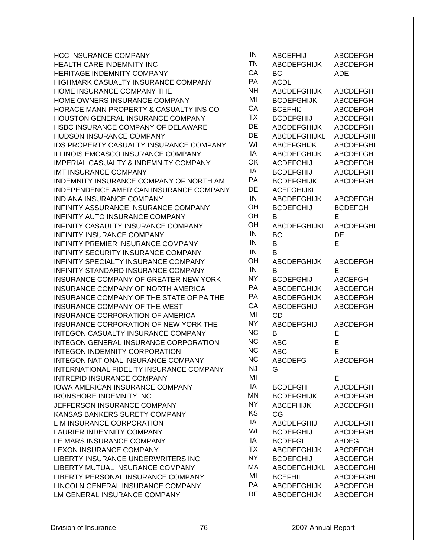| <b>HCC INSURANCE COMPANY</b>                 | IN        | <b>ABCEFHIJ</b>    | <b>ABCDEFGH</b>  |
|----------------------------------------------|-----------|--------------------|------------------|
| HEALTH CARE INDEMNITY INC                    | <b>TN</b> | <b>ABCDEFGHIJK</b> | ABCDEFGH         |
| HERITAGE INDEMNITY COMPANY                   | CA        | BC                 | <b>ADE</b>       |
| HIGHMARK CASUALTY INSURANCE COMPANY          | PA        | <b>ACDL</b>        |                  |
| HOME INSURANCE COMPANY THE                   | <b>NH</b> | <b>ABCDEFGHIJK</b> | <b>ABCDEFGH</b>  |
| HOME OWNERS INSURANCE COMPANY                | MI        | <b>BCDEFGHIJK</b>  | ABCDEFGH         |
| HORACE MANN PROPERTY & CASUALTY INS CO       | СA        | <b>BCEFHIJ</b>     | ABCDEFGH         |
| HOUSTON GENERAL INSURANCE COMPANY            | <b>TX</b> | <b>BCDEFGHIJ</b>   | ABCDEFGH         |
| HSBC INSURANCE COMPANY OF DELAWARE           | DE        | <b>ABCDEFGHIJK</b> | <b>ABCDEFGH</b>  |
| HUDSON INSURANCE COMPANY                     | DE        | ABCDEFGHIJKL       | <b>ABCDEFGHI</b> |
| IDS PROPERTY CASUALTY INSURANCE COMPANY      | WI        | <b>ABCEFGHIJK</b>  | <b>ABCDEFGHI</b> |
| ILLINOIS EMCASCO INSURANCE COMPANY           | IA        | <b>ABCDEFGHIJK</b> | <b>ABCDEFGH</b>  |
| IMPERIAL CASUALTY & INDEMNITY COMPANY        | OK        | <b>ACDEFGHIJ</b>   | ABCDEFGH         |
| IMT INSURANCE COMPANY                        | IA        | <b>BCDEFGHIJ</b>   | <b>ABCDEFGH</b>  |
| INDEMNITY INSURANCE COMPANY OF NORTH AM      | PA        | <b>BCDEFGHIJK</b>  | <b>ABCDEFGH</b>  |
| INDEPENDENCE AMERICAN INSURANCE COMPANY      | DE        | <b>ACEFGHIJKL</b>  |                  |
| INDIANA INSURANCE COMPANY                    | IN        | <b>ABCDEFGHIJK</b> | <b>ABCDEFGH</b>  |
| INFINITY ASSURANCE INSURANCE COMPANY         | OH        | <b>BCDEFGHIJ</b>   | <b>BCDEFGH</b>   |
| INFINITY AUTO INSURANCE COMPANY              | OH        | B                  | Е                |
| INFINITY CASAULTY INSURANCE COMPANY          | OH        | ABCDEFGHIJKL       | <b>ABCDEFGHI</b> |
| INFINITY INSURANCE COMPANY                   | IN        | BC                 | DE               |
| INFINITY PREMIER INSURANCE COMPANY           | IN        | B                  | E                |
| INFINITY SECURITY INSURANCE COMPANY          | IN        | B                  |                  |
| INFINITY SPECIALTY INSURANCE COMPANY         | OH        | <b>ABCDEFGHIJK</b> | ABCDEFGH         |
| INFINITY STANDARD INSURANCE COMPANY          | IN        | В                  | E                |
| INSURANCE COMPANY OF GREATER NEW YORK        | <b>NY</b> | <b>BCDEFGHIJ</b>   | <b>ABCEFGH</b>   |
| INSURANCE COMPANY OF NORTH AMERICA           | PA        | <b>ABCDEFGHIJK</b> | <b>ABCDEFGH</b>  |
| INSURANCE COMPANY OF THE STATE OF PA THE     | PA        | <b>ABCDEFGHIJK</b> | <b>ABCDEFGH</b>  |
| INSURANCE COMPANY OF THE WEST                | CA        | <b>ABCDEFGHIJ</b>  | <b>ABCDEFGH</b>  |
| INSURANCE CORPORATION OF AMERICA             | MI        | <b>CD</b>          |                  |
| INSURANCE CORPORATION OF NEW YORK THE        | <b>NY</b> | <b>ABCDEFGHIJ</b>  | <b>ABCDEFGH</b>  |
| INTEGON CASUALTY INSURANCE COMPANY           | <b>NC</b> | B                  | E                |
| <b>INTEGON GENERAL INSURANCE CORPORATION</b> | <b>NC</b> | <b>ABC</b>         | E                |
| INTEGON INDEMNITY CORPORATION                | <b>NC</b> | <b>ABC</b>         | E                |
| INTEGON NATIONAL INSURANCE COMPANY           | <b>NC</b> | <b>ABCDEFG</b>     | ABCDEFGH         |
| INTERNATIONAL FIDELITY INSURANCE COMPANY     | NJ        | G                  |                  |
| INTREPID INSURANCE COMPANY                   | MI        |                    | E                |
| <b>IOWA AMERICAN INSURANCE COMPANY</b>       | IA        | <b>BCDEFGH</b>     | <b>ABCDEFGH</b>  |
| <b>IRONSHORE INDEMNITY INC</b>               | <b>MN</b> | <b>BCDEFGHIJK</b>  | <b>ABCDEFGH</b>  |
| JEFFERSON INSURANCE COMPANY                  | NY.       | <b>ABCEFHIJK</b>   | <b>ABCDEFGH</b>  |
| KANSAS BANKERS SURETY COMPANY                | KS        | CG                 |                  |
| L M INSURANCE CORPORATION                    | IA        | <b>ABCDEFGHIJ</b>  | <b>ABCDEFGH</b>  |
| <b>LAURIER INDEMNITY COMPANY</b>             | WI        | <b>BCDEFGHIJ</b>   | ABCDEFGH         |
| LE MARS INSURANCE COMPANY                    | IA        | <b>BCDEFGI</b>     | <b>ABDEG</b>     |
| <b>LEXON INSURANCE COMPANY</b>               | <b>TX</b> | <b>ABCDEFGHIJK</b> | <b>ABCDEFGH</b>  |
| LIBERTY INSURANCE UNDERWRITERS INC           | <b>NY</b> | <b>BCDEFGHIJ</b>   | ABCDEFGH         |
| LIBERTY MUTUAL INSURANCE COMPANY             | МA        | ABCDEFGHIJKL       | <b>ABCDEFGHI</b> |
| LIBERTY PERSONAL INSURANCE COMPANY           | MI        | <b>BCEFHIL</b>     | ABCDEFGHI        |
| LINCOLN GENERAL INSURANCE COMPANY            | PA        | <b>ABCDEFGHIJK</b> | ABCDEFGH         |
| LM GENERAL INSURANCE COMPANY                 | DE        | <b>ABCDEFGHIJK</b> | <b>ABCDEFGH</b>  |

| IN        | <b>ABCEFHIJ</b>     | <b>ABCDEFGH</b>  |
|-----------|---------------------|------------------|
| <b>TN</b> | <b>ABCDEFGHIJK</b>  | <b>ABCDEFGH</b>  |
| CA        | ВC                  | ADE              |
| PA        | <b>ACDL</b>         |                  |
| <b>NH</b> | <b>ABCDEFGHIJK</b>  | <b>ABCDEFGH</b>  |
| MI        | <b>BCDEFGHIJK</b>   | <b>ABCDEFGH</b>  |
| CA        | <b>BCEFHIJ</b>      | <b>ABCDEFGH</b>  |
| <b>TX</b> | <b>BCDEFGHIJ</b>    | <b>ABCDEFGH</b>  |
| DE        | <b>ABCDEFGHIJK</b>  | <b>ABCDEFGH</b>  |
| DE        | ABCDEFGHIJKL        | <b>ABCDEFGHI</b> |
| WI        | <b>ABCEFGHIJK</b>   | <b>ABCDEFGHI</b> |
| IA        | <b>ABCDEFGHIJK</b>  | <b>ABCDEFGH</b>  |
| OK        | <b>ACDEFGHIJ</b>    | <b>ABCDEFGH</b>  |
| IA        |                     |                  |
| PA        | <b>BCDEFGHIJ</b>    | <b>ABCDEFGH</b>  |
| DE        | <b>BCDEFGHIJK</b>   | <b>ABCDEFGH</b>  |
|           | <b>ACEFGHIJKL</b>   |                  |
| IN        | <b>ABCDEFGHIJK</b>  | ABCDEFGH         |
| OH        | <b>BCDEFGHIJ</b>    | <b>BCDEFGH</b>   |
| OH        | в                   | E                |
| OH        | <b>ABCDEFGHIJKL</b> | <b>ABCDEFGHI</b> |
| IN        | <b>BC</b>           | DE               |
| IN        | B                   | E                |
| IN        | в                   |                  |
| OH        | <b>ABCDEFGHIJK</b>  | <b>ABCDEFGH</b>  |
| IN        | в                   | E                |
| <b>NY</b> | <b>BCDEFGHIJ</b>    | <b>ABCEFGH</b>   |
| PA        | ABCDEFGHIJK         | <b>ABCDEFGH</b>  |
| PA        | <b>ABCDEFGHIJK</b>  | <b>ABCDEFGH</b>  |
| CA        | <b>ABCDEFGHIJ</b>   | <b>ABCDEFGH</b>  |
| MI        | <b>CD</b>           |                  |
| <b>NY</b> | ABCDEFGHIJ          | <b>ABCDEFGH</b>  |
| <b>NC</b> | B                   | E                |
| <b>NC</b> | <b>ABC</b>          | E                |
| <b>NC</b> | <b>ABC</b>          | E                |
| <b>NC</b> | <b>ABCDEFG</b>      | ABCDEFGH         |
| NJ        | G                   |                  |
| MI        |                     | E                |
| IA        | <b>BCDEFGH</b>      | <b>ABCDEFGH</b>  |
| <b>MN</b> | <b>BCDEFGHIJK</b>   | <b>ABCDEFGH</b>  |
| NY        | <b>ABCEFHIJK</b>    | <b>ABCDEFGH</b>  |
| KS        | CG                  |                  |
| IA        | ABCDEFGHIJ          | <b>ABCDEFGH</b>  |
| WI        | <b>BCDEFGHIJ</b>    | <b>ABCDEFGH</b>  |
| IA        | <b>BCDEFGI</b>      | <b>ABDEG</b>     |
| <b>TX</b> | <b>ABCDEFGHIJK</b>  | <b>ABCDEFGH</b>  |
| <b>NY</b> | <b>BCDEFGHIJ</b>    | <b>ABCDEFGH</b>  |
| MA        | ABCDEFGHIJKL        | <b>ABCDEFGHI</b> |
| MI        | <b>BCEFHIL</b>      | <b>ABCDEFGHI</b> |
| PA        | <b>ABCDEFGHIJK</b>  | <b>ABCDEFGH</b>  |
| DE        | <b>ABCDEFGHIJK</b>  | <b>ABCDEFGH</b>  |
|           |                     |                  |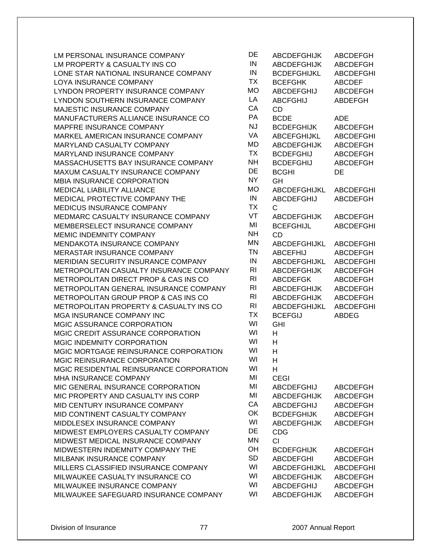| LM PERSONAL INSURANCE COMPANY            | DE             | <b>ABCDEFGHIJK</b>  | ABCDEFGH         |
|------------------------------------------|----------------|---------------------|------------------|
| LM PROPERTY & CASUALTY INS CO            | IN             | <b>ABCDEFGHIJK</b>  | ABCDEFGH         |
| LONE STAR NATIONAL INSURANCE COMPANY     | IN             | <b>BCDEFGHIJKL</b>  | <b>ABCDEFGHI</b> |
| LOYA INSURANCE COMPANY                   | <b>TX</b>      | <b>BCEFGHK</b>      | <b>ABCDEF</b>    |
| LYNDON PROPERTY INSURANCE COMPANY        | <b>MO</b>      | <b>ABCDEFGHIJ</b>   | <b>ABCDEFGH</b>  |
| LYNDON SOUTHERN INSURANCE COMPANY        | LA             | <b>ABCFGHIJ</b>     | ABDEFGH          |
| MAJESTIC INSURANCE COMPANY               | CA             | CD                  |                  |
| MANUFACTURERS ALLIANCE INSURANCE CO      | PA             | <b>BCDE</b>         | <b>ADE</b>       |
| MAPFRE INSURANCE COMPANY                 | <b>NJ</b>      | <b>BCDEFGHIJK</b>   | ABCDEFGH         |
| MARKEL AMERICAN INSURANCE COMPANY        | VA             | ABCEFGHIJKL         | <b>ABCDEFGHI</b> |
| MARYLAND CASUALTY COMPANY                | MD             | <b>ABCDEFGHIJK</b>  | ABCDEFGH         |
| MARYLAND INSURANCE COMPANY               | <b>TX</b>      | <b>BCDEFGHIJ</b>    | ABCDEFGH         |
| MASSACHUSETTS BAY INSURANCE COMPANY      | <b>NH</b>      | <b>BCDEFGHIJ</b>    | ABCDEFGH         |
| MAXUM CASUALTY INSURANCE COMPANY         | DE             | <b>BCGHI</b>        | DE               |
| MBIA INSURANCE CORPORATION               | <b>NY</b>      | GH                  |                  |
| <b>MEDICAL LIABILITY ALLIANCE</b>        | <b>MO</b>      | <b>ABCDEFGHIJKL</b> | <b>ABCDEFGHI</b> |
| MEDICAL PROTECTIVE COMPANY THE           | IN             | <b>ABCDEFGHIJ</b>   | ABCDEFGH         |
| MEDICUS INSURANCE COMPANY                | <b>TX</b>      | $\mathsf{C}$        |                  |
| MEDMARC CASUALTY INSURANCE COMPANY       | VT             | <b>ABCDEFGHIJK</b>  | <b>ABCDEFGH</b>  |
| MEMBERSELECT INSURANCE COMPANY           | MI             | <b>BCEFGHIJL</b>    | <b>ABCDEFGHI</b> |
| MEMIC INDEMNITY COMPANY                  | <b>NH</b>      | <b>CD</b>           |                  |
| MENDAKOTA INSURANCE COMPANY              | <b>MN</b>      | ABCDEFGHIJKL        | <b>ABCDEFGHI</b> |
| MERASTAR INSURANCE COMPANY               | <b>TN</b>      | <b>ABCEFHIJ</b>     | ABCDEFGH         |
| MERIDIAN SECURITY INSURANCE COMPANY      | IN             | <b>ABCDEFGHIJKL</b> | <b>ABCDEFGHI</b> |
| METROPOLITAN CASUALTY INSURANCE COMPANY  | R <sub>l</sub> | <b>ABCDEFGHIJK</b>  | <b>ABCDEFGH</b>  |
| METROPOLITAN DIRECT PROP & CAS INS CO    | R <sub>l</sub> | <b>ABCDEFGK</b>     | ABCDEFGH         |
| METROPOLITAN GENERAL INSURANCE COMPANY   | <b>RI</b>      | <b>ABCDEFGHIJK</b>  | <b>ABCDEFGH</b>  |
| METROPOLITAN GROUP PROP & CAS INS CO     | R <sub>l</sub> | <b>ABCDEFGHIJK</b>  | ABCDEFGH         |
| METROPOLITAN PROPERTY & CASUALTY INS CO  | R <sub>l</sub> | ABCDEFGHIJKL        | <b>ABCDEFGHI</b> |
| MGA INSURANCE COMPANY INC                | <b>TX</b>      | <b>BCEFGIJ</b>      | <b>ABDEG</b>     |
| MGIC ASSURANCE CORPORATION               | WI             | <b>GHI</b>          |                  |
| MGIC CREDIT ASSURANCE CORPORATION        | WI             | H                   |                  |
| MGIC INDEMNITY CORPORATION               | WI             | H                   |                  |
| MGIC MORTGAGE REINSURANCE CORPORATION    | WI             | H                   |                  |
| <b>MGIC REINSURANCE CORPORATION</b>      | WI             | Н                   |                  |
| MGIC RESIDENTIAL REINSURANCE CORPORATION | WI             | н                   |                  |
| MHA INSURANCE COMPANY                    | MI             | <b>CEGI</b>         |                  |
| MIC GENERAL INSURANCE CORPORATION        | MI             | <b>ABCDEFGHIJ</b>   | <b>ABCDEFGH</b>  |
| MIC PROPERTY AND CASUALTY INS CORP       | MI             | <b>ABCDEFGHIJK</b>  | <b>ABCDEFGH</b>  |
| MID CENTURY INSURANCE COMPANY            | CA             | <b>ABCDEFGHIJ</b>   | <b>ABCDEFGH</b>  |
| MID CONTINENT CASUALTY COMPANY           | OK             | <b>BCDEFGHIJK</b>   | <b>ABCDEFGH</b>  |
| MIDDLESEX INSURANCE COMPANY              | WI             | <b>ABCDEFGHIJK</b>  | ABCDEFGH         |
| MIDWEST EMPLOYERS CASUALTY COMPANY       | DE             | <b>CDG</b>          |                  |
| MIDWEST MEDICAL INSURANCE COMPANY        | <b>MN</b>      | <b>CI</b>           |                  |
| MIDWESTERN INDEMNITY COMPANY THE         | OH             | <b>BCDEFGHIJK</b>   | ABCDEFGH         |
| MILBANK INSURANCE COMPANY                | SD             | <b>ABCDEFGHI</b>    | ABCDEFGH         |
| MILLERS CLASSIFIED INSURANCE COMPANY     | WI             | ABCDEFGHIJKL        | <b>ABCDEFGHI</b> |
| MILWAUKEE CASUALTY INSURANCE CO          | WI             | <b>ABCDEFGHIJK</b>  | ABCDEFGH         |
| MILWAUKEE INSURANCE COMPANY              | WI             | <b>ABCDEFGHIJ</b>   | ABCDEFGH         |
| MILWAUKEE SAFEGUARD INSURANCE COMPANY    | WI             | <b>ABCDEFGHIJK</b>  | <b>ABCDEFGH</b>  |
|                                          |                |                     |                  |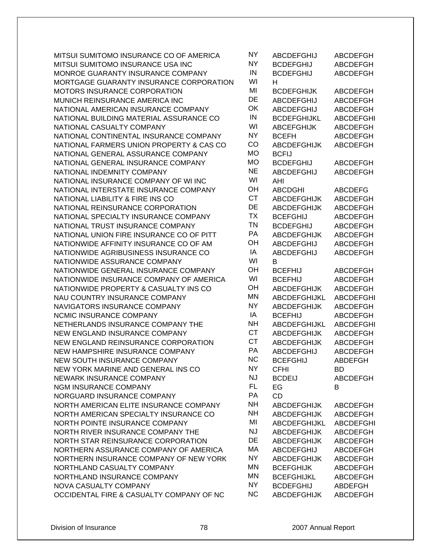| MITSUI SUMITOMO INSURANCE CO OF AMERICA  | <b>NY</b> | <b>ABCDEFGHIJ</b>   | <b>ABCDEFGH</b>  |
|------------------------------------------|-----------|---------------------|------------------|
| MITSUI SUMITOMO INSURANCE USA INC        | <b>NY</b> | <b>BCDEFGHIJ</b>    | <b>ABCDEFGH</b>  |
| MONROE GUARANTY INSURANCE COMPANY        | IN        | <b>BCDEFGHIJ</b>    | <b>ABCDEFGH</b>  |
| MORTGAGE GUARANTY INSURANCE CORPORATION  | WI        | н                   |                  |
| MOTORS INSURANCE CORPORATION             | MI        | <b>BCDEFGHIJK</b>   | <b>ABCDEFGH</b>  |
| MUNICH REINSURANCE AMERICA INC           | DE        | <b>ABCDEFGHIJ</b>   | <b>ABCDEFGH</b>  |
| NATIONAL AMERICAN INSURANCE COMPANY      | OK        | <b>ABCDEFGHIJ</b>   | <b>ABCDEFGH</b>  |
| NATIONAL BUILDING MATERIAL ASSURANCE CO  | IN        | <b>BCDEFGHIJKL</b>  | <b>ABCDEFGHI</b> |
| NATIONAL CASUALTY COMPANY                | WI        | <b>ABCEFGHIJK</b>   | ABCDEFGH         |
| NATIONAL CONTINENTAL INSURANCE COMPANY   | <b>NY</b> | <b>BCEFH</b>        | ABCDEFGH         |
| NATIONAL FARMERS UNION PROPERTY & CAS CO | CO        | <b>ABCDEFGHIJK</b>  | <b>ABCDEFGH</b>  |
| NATIONAL GENERAL ASSURANCE COMPANY       | <b>MO</b> | <b>BCFIJ</b>        |                  |
| NATIONAL GENERAL INSURANCE COMPANY       | <b>MO</b> | <b>BCDEFGHIJ</b>    | <b>ABCDEFGH</b>  |
| NATIONAL INDEMNITY COMPANY               | <b>NE</b> | <b>ABCDEFGHIJ</b>   | <b>ABCDEFGH</b>  |
| NATIONAL INSURANCE COMPANY OF WI INC     | WI        | AHI                 |                  |
| NATIONAL INTERSTATE INSURANCE COMPANY    | OH        | <b>ABCDGHI</b>      | <b>ABCDEFG</b>   |
| NATIONAL LIABILITY & FIRE INS CO         | <b>CT</b> | <b>ABCDEFGHIJK</b>  | <b>ABCDEFGH</b>  |
| NATIONAL REINSURANCE CORPORATION         | DE        | <b>ABCDEFGHIJK</b>  | ABCDEFGH         |
| NATIONAL SPECIALTY INSURANCE COMPANY     | <b>TX</b> | <b>BCEFGHIJ</b>     | <b>ABCDEFGH</b>  |
| NATIONAL TRUST INSURANCE COMPANY         | <b>TN</b> | <b>BCDEFGHIJ</b>    | <b>ABCDEFGH</b>  |
| NATIONAL UNION FIRE INSURANCE CO OF PITT | PA        | <b>ABCDEFGHIJK</b>  | ABCDEFGH         |
| NATIONWIDE AFFINITY INSURANCE CO OF AM   | OH        | <b>ABCDEFGHIJ</b>   | ABCDEFGH         |
| NATIONWIDE AGRIBUSINESS INSURANCE CO     | IA        | <b>ABCDEFGHIJ</b>   | <b>ABCDEFGH</b>  |
| NATIONWIDE ASSURANCE COMPANY             | WI        | B                   |                  |
| NATIONWIDE GENERAL INSURANCE COMPANY     | OH        | <b>BCEFHIJ</b>      | <b>ABCDEFGH</b>  |
| NATIONWIDE INSURANCE COMPANY OF AMERICA  | WI        | <b>BCEFHIJ</b>      | ABCDEFGH         |
| NATIONWIDE PROPERTY & CASUALTY INS CO    | OH        | <b>ABCDEFGHIJK</b>  | ABCDEFGH         |
| NAU COUNTRY INSURANCE COMPANY            | <b>MN</b> | ABCDEFGHIJKL        | <b>ABCDEFGHI</b> |
| NAVIGATORS INSURANCE COMPANY             | <b>NY</b> | <b>ABCDEFGHIJK</b>  | ABCDEFGH         |
| NCMIC INSURANCE COMPANY                  | IA        | <b>BCEFHIJ</b>      | ABCDEFGH         |
| NETHERLANDS INSURANCE COMPANY THE        | <b>NH</b> | ABCDEFGHIJKL        | <b>ABCDEFGHI</b> |
| NEW ENGLAND INSURANCE COMPANY            | <b>CT</b> | <b>ABCDEFGHIJK</b>  | ABCDEFGH         |
| NEW ENGLAND REINSURANCE CORPORATION      | <b>CT</b> | <b>ABCDEFGHIJK</b>  | ABCDEFGH         |
| NEW HAMPSHIRE INSURANCE COMPANY          | PA        | <b>ABCDEFGHIJ</b>   | <b>ABCDEFGH</b>  |
| NEW SOUTH INSURANCE COMPANY              | <b>NC</b> | <b>BCEFGHIJ</b>     | <b>ABDEFGH</b>   |
| NEW YORK MARINE AND GENERAL INS CO       | <b>NY</b> | <b>CFHI</b>         | BD               |
| NEWARK INSURANCE COMPANY                 | <b>NJ</b> | <b>BCDEIJ</b>       | ABCDEFGH         |
| <b>NGM INSURANCE COMPANY</b>             | <b>FL</b> | EG                  | В                |
| NORGUARD INSURANCE COMPANY               | PA        | <b>CD</b>           |                  |
| NORTH AMERICAN ELITE INSURANCE COMPANY   | <b>NH</b> | <b>ABCDEFGHIJK</b>  | <b>ABCDEFGH</b>  |
| NORTH AMERICAN SPECIALTY INSURANCE CO    | <b>NH</b> | <b>ABCDEFGHIJK</b>  | ABCDEFGH         |
| NORTH POINTE INSURANCE COMPANY           | MI        | <b>ABCDEFGHIJKL</b> | ABCDEFGHI        |
| NORTH RIVER INSURANCE COMPANY THE        | <b>NJ</b> | <b>ABCDEFGHIJK</b>  | <b>ABCDEFGH</b>  |
| NORTH STAR REINSURANCE CORPORATION       | DE        | <b>ABCDEFGHIJK</b>  | ABCDEFGH         |
| NORTHERN ASSURANCE COMPANY OF AMERICA    | МA        | <b>ABCDEFGHIJ</b>   | <b>ABCDEFGH</b>  |
| NORTHERN INSURANCE COMPANY OF NEW YORK   | <b>NY</b> | <b>ABCDEFGHIJK</b>  | <b>ABCDEFGH</b>  |
| NORTHLAND CASUALTY COMPANY               | <b>MN</b> | <b>BCEFGHIJK</b>    | <b>ABCDEFGH</b>  |
| NORTHLAND INSURANCE COMPANY              | MN        | <b>BCEFGHIJKL</b>   | <b>ABCDEFGH</b>  |
| NOVA CASUALTY COMPANY                    | <b>NY</b> | <b>BCDEFGHIJ</b>    | <b>ABDEFGH</b>   |
| OCCIDENTAL FIRE & CASUALTY COMPANY OF NC | <b>NC</b> | <b>ABCDEFGHIJK</b>  | <b>ABCDEFGH</b>  |

| ٧Y | <b>ABCDEFGHIJ</b>   | <b>ABCDEFGH</b>  |
|----|---------------------|------------------|
| ١Y | <b>BCDEFGHIJ</b>    | <b>ABCDEFGH</b>  |
| ΙN | <b>BCDEFGHIJ</b>    | <b>ABCDEFGH</b>  |
| W١ | H.                  |                  |
| MI | <b>BCDEFGHIJK</b>   | <b>ABCDEFGH</b>  |
| ЭË | <b>ABCDEFGHIJ</b>   | <b>ABCDEFGH</b>  |
| ЭK | <b>ABCDEFGHIJ</b>   | <b>ABCDEFGH</b>  |
| IN | <b>BCDEFGHIJKL</b>  | <b>ABCDEFGHI</b> |
| W١ | <b>ABCEFGHIJK</b>   | <b>ABCDEFGH</b>  |
| ١Y | <b>BCEFH</b>        | <b>ABCDEFGH</b>  |
| CС | <b>ABCDEFGHIJK</b>  | <b>ABCDEFGH</b>  |
| ЛO | <b>BCFIJ</b>        |                  |
| ЛO | <b>BCDEFGHIJ</b>    | ABCDEFGH         |
| ۹Ė | ABCDEFGHIJ          | <b>ABCDEFGH</b>  |
| W١ | AHI                 |                  |
| ЭH | <b>ABCDGHI</b>      | <b>ABCDEFG</b>   |
| СT | <b>ABCDEFGHIJK</b>  | <b>ABCDEFGH</b>  |
| ЭË | <b>ABCDEFGHIJK</b>  | <b>ABCDEFGH</b>  |
| ГX | <b>BCEFGHIJ</b>     | <b>ABCDEFGH</b>  |
| ΓN | <b>BCDEFGHIJ</b>    | <b>ABCDEFGH</b>  |
| ÞА | <b>ABCDEFGHIJK</b>  | <b>ABCDEFGH</b>  |
| ЭH | ABCDEFGHIJ          | <b>ABCDEFGH</b>  |
| ΙA | <b>ABCDEFGHIJ</b>   | <b>ABCDEFGH</b>  |
| W١ | в                   |                  |
| ЭH | <b>BCEFHIJ</b>      | <b>ABCDEFGH</b>  |
| W١ | <b>BCEFHIJ</b>      | <b>ABCDEFGH</b>  |
| ЭH | <b>ABCDEFGHIJK</b>  | <b>ABCDEFGH</b>  |
| ИN | ABCDEFGHIJKL        | <b>ABCDEFGHI</b> |
| ١Y | <b>ABCDEFGHIJK</b>  | <b>ABCDEFGH</b>  |
| ΙA | <b>BCEFHIJ</b>      | <b>ABCDEFGH</b>  |
| ۹H | <b>ABCDEFGHIJKL</b> | <b>ABCDEFGHI</b> |
| СT | <b>ABCDEFGHIJK</b>  | <b>ABCDEFGH</b>  |
| СT | <b>ABCDEFGHIJK</b>  | <b>ABCDEFGH</b>  |
| ÞА | <b>ABCDEFGHIJ</b>   | <b>ABCDEFGH</b>  |
| ١Ċ | <b>BCEFGHIJ</b>     | <b>ABDEFGH</b>   |
| ١Y | <b>CFHI</b>         | BD               |
| NJ | <b>BCDEIJ</b>       | <b>ABCDEFGH</b>  |
| FL | EG                  | В                |
| ÞА | CD                  |                  |
| NH | <b>ABCDEFGHIJK</b>  | <b>ABCDEFGH</b>  |
| ٧H | <b>ABCDEFGHIJK</b>  | <b>ABCDEFGH</b>  |
| ΜI | ABCDEFGHIJKL        | <b>ABCDEFGHI</b> |
| ŃĴ | <b>ABCDEFGHIJK</b>  | <b>ABCDEFGH</b>  |
| ЭE | <b>ABCDEFGHIJK</b>  | <b>ABCDEFGH</b>  |
| ИА | <b>ABCDEFGHIJ</b>   | <b>ABCDEFGH</b>  |
| ١Y | <b>ABCDEFGHIJK</b>  | <b>ABCDEFGH</b>  |
| ЛN | <b>BCEFGHIJK</b>    | <b>ABCDEFGH</b>  |
| ИN | <b>BCEFGHIJKL</b>   | <b>ABCDEFGH</b>  |
| ١Y | <b>BCDEFGHIJ</b>    | <b>ABDEFGH</b>   |
| ٧Ć | <b>ABCDEFGHIJK</b>  | <b>ABCDEFGH</b>  |
|    |                     |                  |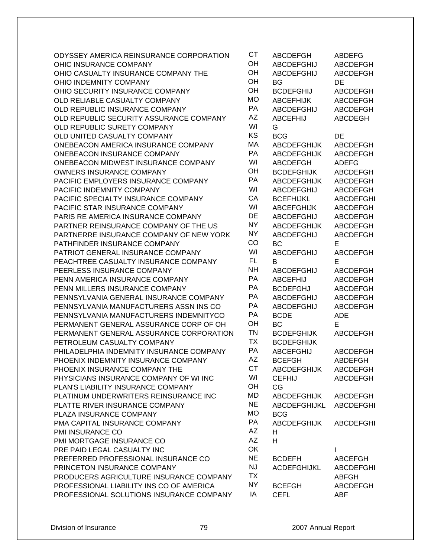| ODYSSEY AMERICA REINSURANCE CORPORATION  | <b>CT</b> | <b>ABCDEFGH</b>     | <b>ABDEFG</b>    |
|------------------------------------------|-----------|---------------------|------------------|
| OHIC INSURANCE COMPANY                   | OH        | <b>ABCDEFGHIJ</b>   | ABCDEFGH         |
| OHIO CASUALTY INSURANCE COMPANY THE      | OH        | <b>ABCDEFGHIJ</b>   | ABCDEFGH         |
| OHIO INDEMNITY COMPANY                   | OH        | <b>BG</b>           | <b>DE</b>        |
| OHIO SECURITY INSURANCE COMPANY          | OH        | <b>BCDEFGHIJ</b>    | <b>ABCDEFGH</b>  |
| OLD RELIABLE CASUALTY COMPANY            | <b>MO</b> | <b>ABCEFHIJK</b>    | <b>ABCDEFGH</b>  |
| OLD REPUBLIC INSURANCE COMPANY           | PA        | <b>ABCDEFGHIJ</b>   | <b>ABCDEFGH</b>  |
| OLD REPUBLIC SECURITY ASSURANCE COMPANY  | AZ        | <b>ABCEFHIJ</b>     | <b>ABCDEGH</b>   |
| OLD REPUBLIC SURETY COMPANY              | WI        | G                   |                  |
| OLD UNITED CASUALTY COMPANY              | KS        | <b>BCG</b>          | DE               |
| ONEBEACON AMERICA INSURANCE COMPANY      | МA        | <b>ABCDEFGHIJK</b>  | ABCDEFGH         |
| ONEBEACON INSURANCE COMPANY              | PA        | <b>ABCDEFGHIJK</b>  | ABCDEFGH         |
| ONEBEACON MIDWEST INSURANCE COMPANY      | WI        | <b>ABCDEFGH</b>     | <b>ADEFG</b>     |
| OWNERS INSURANCE COMPANY                 | OH        | <b>BCDEFGHIJK</b>   | ABCDEFGH         |
| PACIFIC EMPLOYERS INSURANCE COMPANY      | PA        | <b>ABCDEFGHIJK</b>  | <b>ABCDEFGH</b>  |
| PACIFIC INDEMNITY COMPANY                | WI        | <b>ABCDEFGHIJ</b>   | <b>ABCDEFGH</b>  |
| PACIFIC SPECIALTY INSURANCE COMPANY      | CA        | <b>BCEFHIJKL</b>    | <b>ABCDEFGHI</b> |
| PACIFIC STAR INSURANCE COMPANY           | WI        | <b>ABCEFGHIJK</b>   | <b>ABCDEFGH</b>  |
| PARIS RE AMERICA INSURANCE COMPANY       | DE        | <b>ABCDEFGHIJ</b>   | <b>ABCDEFGH</b>  |
| PARTNER REINSURANCE COMPANY OF THE US    | NY        | <b>ABCDEFGHIJK</b>  | <b>ABCDEFGH</b>  |
| PARTNERRE INSURANCE COMPANY OF NEW YORK  | NY        | <b>ABCDEFGHIJ</b>   | <b>ABCDEFGH</b>  |
| PATHFINDER INSURANCE COMPANY             | CO        | <b>BC</b>           | E                |
| PATRIOT GENERAL INSURANCE COMPANY        | WI        | <b>ABCDEFGHIJ</b>   | <b>ABCDEFGH</b>  |
| PEACHTREE CASUALTY INSURANCE COMPANY     | FL        | В                   | E                |
| PEERLESS INSURANCE COMPANY               | <b>NH</b> | <b>ABCDEFGHIJ</b>   | ABCDEFGH         |
| PENN AMERICA INSURANCE COMPANY           | PA        | <b>ABCEFHIJ</b>     | ABCDEFGH         |
| PENN MILLERS INSURANCE COMPANY           | PA        | <b>BCDEFGHJ</b>     | ABCDEFGH         |
| PENNSYLVANIA GENERAL INSURANCE COMPANY   | <b>PA</b> | <b>ABCDEFGHIJ</b>   | <b>ABCDEFGH</b>  |
| PENNSYLVANIA MANUFACTURERS ASSN INS CO   | PA        | <b>ABCDEFGHIJ</b>   | ABCDEFGH         |
| PENNSYLVANIA MANUFACTURERS INDEMNITYCO   | PA        | <b>BCDE</b>         | ADE              |
| PERMANENT GENERAL ASSURANCE CORP OF OH   | OH        | <b>BC</b>           | E                |
| PERMANENT GENERAL ASSURANCE CORPORATION  | <b>TN</b> | <b>BCDEFGHIJK</b>   | <b>ABCDEFGH</b>  |
| PETROLEUM CASUALTY COMPANY               | <b>TX</b> | <b>BCDEFGHIJK</b>   |                  |
| PHILADELPHIA INDEMNITY INSURANCE COMPANY | PA        | <b>ABCEFGHIJ</b>    | <b>ABCDEFGH</b>  |
| PHOENIX INDEMNITY INSURANCE COMPANY      | AZ        | <b>BCEFGH</b>       | <b>ABDEFGH</b>   |
| PHOENIX INSURANCE COMPANY THE            | CТ        | <b>ABCDEFGHIJK</b>  | ABCDEFGH         |
| PHYSICIANS INSURANCE COMPANY OF WI INC   | WI        | <b>CEFHIJ</b>       | <b>ABCDEFGH</b>  |
| PLAN'S LIABILITY INSURANCE COMPANY       | OH        | CG                  |                  |
| PLATINUM UNDERWRITERS REINSURANCE INC    | <b>MD</b> | <b>ABCDEFGHIJK</b>  | ABCDEFGH         |
| PLATTE RIVER INSURANCE COMPANY           | <b>NE</b> | <b>ABCDEFGHIJKL</b> | <b>ABCDEFGHI</b> |
| PLAZA INSURANCE COMPANY                  | <b>MO</b> | <b>BCG</b>          |                  |
| PMA CAPITAL INSURANCE COMPANY            | PA        | <b>ABCDEFGHIJK</b>  | <b>ABCDEFGHI</b> |
| PMI INSURANCE CO                         | AZ        | н                   |                  |
| PMI MORTGAGE INSURANCE CO                | <b>AZ</b> | H.                  |                  |
| PRE PAID LEGAL CASUALTY INC              | OK        |                     |                  |
| PREFERRED PROFESSIONAL INSURANCE CO      | <b>NE</b> | <b>BCDEFH</b>       | <b>ABCEFGH</b>   |
| PRINCETON INSURANCE COMPANY              | <b>NJ</b> | <b>ACDEFGHIJKL</b>  | <b>ABCDEFGHI</b> |
| PRODUCERS AGRICULTURE INSURANCE COMPANY  | <b>TX</b> |                     | <b>ABFGH</b>     |
| PROFESSIONAL LIABILITY INS CO OF AMERICA | NY        | <b>BCEFGH</b>       | <b>ABCDEFGH</b>  |
| PROFESSIONAL SOLUTIONS INSURANCE COMPANY | ΙA        | <b>CEFL</b>         | ABF              |
|                                          |           |                     |                  |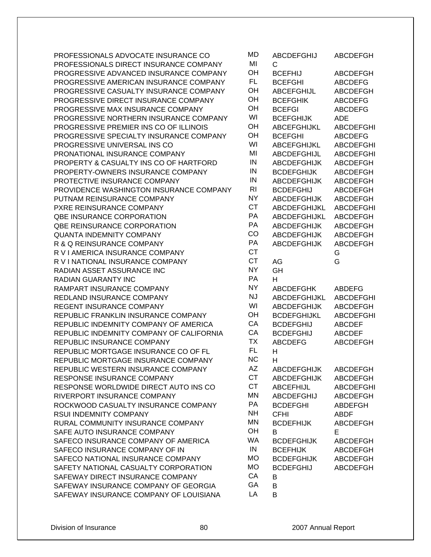| PROFESSIONALS ADVOCATE INSURANCE CO<br>PROFESSIONALS DIRECT INSURANCE COMPANY  | MD<br>MI        | <b>ABCDEFGHIJ</b>                      | <b>ABCDEFGH</b>                   |
|--------------------------------------------------------------------------------|-----------------|----------------------------------------|-----------------------------------|
|                                                                                | OН              | C                                      |                                   |
| PROGRESSIVE ADVANCED INSURANCE COMPANY                                         | FL.             | <b>BCEFHIJ</b>                         | ABCDEFGH                          |
| PROGRESSIVE AMERICAN INSURANCE COMPANY                                         | OH              | <b>BCEFGHI</b>                         | <b>ABCDEFG</b><br><b>ABCDEFGH</b> |
| PROGRESSIVE CASUALTY INSURANCE COMPANY<br>PROGRESSIVE DIRECT INSURANCE COMPANY | OH              | <b>ABCEFGHIJL</b>                      |                                   |
|                                                                                | OH              | <b>BCEFGHIK</b>                        | <b>ABCDEFG</b>                    |
| PROGRESSIVE MAX INSURANCE COMPANY                                              | WI              | <b>BCEFGI</b>                          | <b>ABCDEFG</b>                    |
| PROGRESSIVE NORTHERN INSURANCE COMPANY                                         | OH              | <b>BCEFGHIJK</b>                       | <b>ADE</b>                        |
| PROGRESSIVE PREMIER INS CO OF ILLINOIS                                         | OH              | <b>ABCEFGHIJKL</b>                     | <b>ABCDEFGHI</b>                  |
| PROGRESSIVE SPECIALTY INSURANCE COMPANY                                        | WI              | <b>BCEFGHI</b>                         | <b>ABCDEFG</b>                    |
| PROGRESSIVE UNIVERSAL INS CO                                                   | MI              | ABCEFGHIJKL                            | <b>ABCDEFGHI</b>                  |
| PRONATIONAL INSURANCE COMPANY                                                  | IN              | <b>ABCDEFGHIJL</b>                     | <b>ABCDEFGHI</b>                  |
| PROPERTY & CASUALTY INS CO OF HARTFORD                                         | IN              | <b>ABCDEFGHIJK</b>                     | <b>ABCDEFGH</b>                   |
| PROPERTY-OWNERS INSURANCE COMPANY                                              | $\sf IN$        | <b>BCDEFGHIJK</b>                      | <b>ABCDEFGH</b>                   |
| PROTECTIVE INSURANCE COMPANY                                                   | R <sub>1</sub>  | <b>ABCDEFGHIJK</b><br><b>BCDEFGHIJ</b> | <b>ABCDEFGH</b>                   |
| PROVIDENCE WASHINGTON INSURANCE COMPANY                                        | <b>NY</b>       |                                        | <b>ABCDEFGH</b>                   |
| PUTNAM REINSURANCE COMPANY                                                     | <b>CT</b>       | <b>ABCDEFGHIJK</b>                     | <b>ABCDEFGH</b>                   |
| PXRE REINSURANCE COMPANY                                                       | PA              | ABCDEFGHIJKL                           | <b>ABCDEFGHI</b>                  |
| QBE INSURANCE CORPORATION                                                      | PA              | ABCDEFGHIJKL                           | <b>ABCDEFGH</b>                   |
| QBE REINSURANCE CORPORATION                                                    | CO              | <b>ABCDEFGHIJK</b>                     | <b>ABCDEFGH</b>                   |
| <b>QUANTA INDEMNITY COMPANY</b>                                                | PA              | <b>ABCDEFGHIJK</b>                     | <b>ABCDEFGH</b>                   |
| R & Q REINSURANCE COMPANY                                                      | <b>CT</b>       | <b>ABCDEFGHIJK</b>                     | <b>ABCDEFGH</b>                   |
| R V I AMERICA INSURANCE COMPANY                                                | <b>CT</b>       |                                        | G                                 |
| R V I NATIONAL INSURANCE COMPANY                                               | <b>NY</b>       | AG                                     | G                                 |
| RADIAN ASSET ASSURANCE INC                                                     | PA              | GH                                     |                                   |
| <b>RADIAN GUARANTY INC</b>                                                     | <b>NY</b>       | H                                      |                                   |
| RAMPART INSURANCE COMPANY                                                      | <b>NJ</b>       | <b>ABCDEFGHK</b>                       | <b>ABDEFG</b>                     |
| REDLAND INSURANCE COMPANY                                                      | WI              | ABCDEFGHIJKL                           | <b>ABCDEFGHI</b>                  |
| REGENT INSURANCE COMPANY                                                       | OH              | <b>ABCDEFGHIJK</b>                     | <b>ABCDEFGH</b>                   |
| REPUBLIC FRANKLIN INSURANCE COMPANY                                            | CA              | <b>BCDEFGHIJKL</b>                     | <b>ABCDEFGHI</b>                  |
| REPUBLIC INDEMNITY COMPANY OF AMERICA                                          | CA              | <b>BCDEFGHIJ</b>                       | <b>ABCDEF</b>                     |
| REPUBLIC INDEMNITY COMPANY OF CALIFORNIA                                       | ТX              | <b>BCDEFGHIJ</b>                       | <b>ABCDEF</b>                     |
| REPUBLIC INSURANCE COMPANY                                                     | <b>FL</b>       | <b>ABCDEFG</b>                         | <b>ABCDEFGH</b>                   |
| REPUBLIC MORTGAGE INSURANCE CO OF FL                                           | <b>NC</b>       | H                                      |                                   |
| REPUBLIC MORTGAGE INSURANCE COMPANY                                            | ΑZ              | H                                      |                                   |
| REPUBLIC WESTERN INSURANCE COMPANY                                             | <b>CT</b>       | <b>ABCDEFGHIJK</b>                     | <b>ABCDEFGH</b>                   |
| RESPONSE INSURANCE COMPANY                                                     |                 | <b>ABCDEFGHIJK</b>                     | ABCDEFGH                          |
| RESPONSE WORLDWIDE DIRECT AUTO INS CO                                          | <b>CT</b>       | <b>ABCEFHIJL</b>                       | <b>ABCDEFGHI</b>                  |
| RIVERPORT INSURANCE COMPANY                                                    | ΜN              | <b>ABCDEFGHIJ</b>                      | <b>ABCDEFGH</b>                   |
| ROCKWOOD CASUALTY INSURANCE COMPANY                                            | PA              | <b>BCDEFGHI</b>                        | ABDEFGH                           |
| RSUI INDEMNITY COMPANY                                                         | <b>NH</b>       | <b>CFHI</b>                            | <b>ABDF</b>                       |
| RURAL COMMUNITY INSURANCE COMPANY                                              | MN              | <b>BCDEFHIJK</b>                       | <b>ABCDEFGH</b>                   |
| SAFE AUTO INSURANCE COMPANY                                                    | <b>OH</b>       | B                                      | Е                                 |
| SAFECO INSURANCE COMPANY OF AMERICA                                            | <b>WA</b><br>IN | <b>BCDEFGHIJK</b>                      | ABCDEFGH                          |
| SAFECO INSURANCE COMPANY OF IN                                                 |                 | <b>BCEFHIJK</b>                        | ABCDEFGH                          |
| SAFECO NATIONAL INSURANCE COMPANY                                              | <b>MO</b>       | <b>BCDEFGHIJK</b>                      | ABCDEFGH                          |
| SAFETY NATIONAL CASUALTY CORPORATION                                           | <b>MO</b>       | <b>BCDEFGHIJ</b>                       | <b>ABCDEFGH</b>                   |
| SAFEWAY DIRECT INSURANCE COMPANY                                               | CA              | В                                      |                                   |
| SAFEWAY INSURANCE COMPANY OF GEORGIA                                           | GA              | В                                      |                                   |
| SAFEWAY INSURANCE COMPANY OF LOUISIANA                                         | LA              | B                                      |                                   |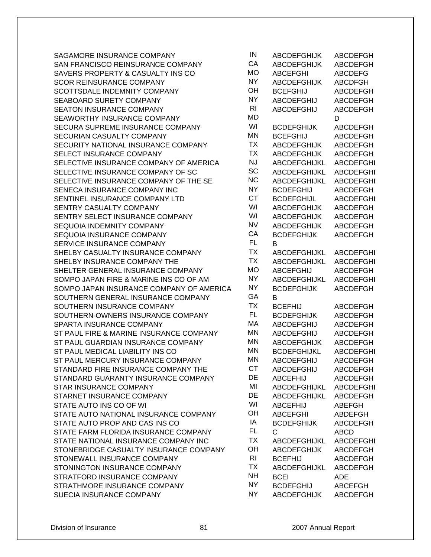SAGAMORE INSURANCE COMPANY SAN FRANCISCO REINSURANCE COMPANY SAVERS PROPERTY & CASUALTY INS CO SCOR REINSURANCE COMPANY SCOTTSDALE INDEMNITY COMPANY SEABOARD SURETY COMPANY SEATON INSURANCE COMPANY SEAWORTHY INSURANCE COMPANY SECURA SUPREME INSURANCE COMPANY SECURIAN CASUALTY COMPANY SECURITY NATIONAL INSURANCE COMPANY SELECT INSURANCE COMPANY SELECTIVE INSURANCE COMPANY OF AMERICA SELECTIVE INSURANCE COMPANY OF SC SELECTIVE INSURANCE COMPANY OF THE SE SENECA INSURANCE COMPANY INC SENTINEL INSURANCE COMPANY LTD SENTRY CASUALTY COMPANY SENTRY SELECT INSURANCE COMPANY SEQUOIA INDEMNITY COMPANY SEQUOIA INSURANCE COMPANY SERVICE INSURANCE COMPANY SHELBY CASUALTY INSURANCE COMPANY SHELBY INSURANCE COMPANY THE SHELTER GENERAL INSURANCE COMPANY MODEL SOMPO JAPAN FIRE & MARINE INS CO OF AM SOMPO JAPAN INSURANCE COMPANY OF AMERICA SOUTHERN GENERAL INSURANCE COMPANY SOUTHERN INSURANCE COMPANY SOUTHERN-OWNERS INSURANCE COMPANY SPARTA INSURANCE COMPANY ST PAUL FIRE & MARINE INSURANCE COMPANY ST PAUL GUARDIAN INSURANCE COMPANY ST PAUL MEDICAL LIABILITY INS CO ST PAUL MERCURY INSURANCE COMPANY STANDARD FIRE INSURANCE COMPANY THE STANDARD GUARANTY INSURANCE COMPANY STAR INSURANCE COMPANY STARNET INSURANCE COMPANY STATE AUTO INS CO OF WI STATE AUTO NATIONAL INSURANCE COMPANY STATE AUTO PROP AND CAS INS CO STATE FARM FLORIDA INSURANCE COMPANY STATE NATIONAL INSURANCE COMPANY INC STONEBRIDGE CASUALTY INSURANCE COMPANY STONEWALL INSURANCE COMPANY STONINGTON INSURANCE COMPANY STRATFORD INSURANCE COMPANY STRATHMORE INSURANCE COMPANY SUECIA INSURANCE COMPANY

| IN             | <b>ABCDEFGHIJK</b>  | <b>ABCDEFGH</b>  |
|----------------|---------------------|------------------|
| СA             | <b>ABCDEFGHIJK</b>  | <b>ABCDEFGH</b>  |
| MО             | <b>ABCEFGHI</b>     | <b>ABCDEFG</b>   |
| NΥ             | <b>ABCDEFGHIJK</b>  | <b>ABCDFGH</b>   |
| OН             | <b>BCEFGHIJ</b>     | <b>ABCDEFGH</b>  |
| NΥ             | <b>ABCDEFGHIJ</b>   | <b>ABCDEFGH</b>  |
| R <sub>l</sub> | <b>ABCDEFGHIJ</b>   | <b>ABCDEFGH</b>  |
| МD             |                     | D                |
| WI             | <b>BCDEFGHIJK</b>   | <b>ABCDEFGH</b>  |
| МN             | <b>BCEFGHIJ</b>     | ABCDEFGH         |
| ТX             | <b>ABCDEFGHIJK</b>  | <b>ABCDEFGH</b>  |
| ТX             | <b>ABCDEFGHIJK</b>  | <b>ABCDEFGH</b>  |
| NJ             | ABCDEFGHIJKL        | <b>ABCDEFGHI</b> |
| SC             |                     |                  |
| NC             | <b>ABCDEFGHIJKL</b> | ABCDEFGHI        |
| NΥ             | ABCDEFGHIJKL        | <b>ABCDEFGHI</b> |
| СT             | <b>BCDEFGHIJ</b>    | <b>ABCDEFGH</b>  |
|                | <b>BCDEFGHIJL</b>   | <b>ABCDEFGHI</b> |
| WI             | <b>ABCDEFGHIJK</b>  | <b>ABCDEFGH</b>  |
| WI             | <b>ABCDEFGHIJK</b>  | <b>ABCDEFGH</b>  |
| NV             | <b>ABCDEFGHIJK</b>  | <b>ABCDEFGH</b>  |
| СA             | <b>BCDEFGHIJK</b>   | <b>ABCDEFGH</b>  |
| FL             | в                   |                  |
| ТX             | <b>ABCDEFGHIJKL</b> | <b>ABCDEFGHI</b> |
| ТX             | ABCDEFGHIJKL        | <b>ABCDEFGHI</b> |
| MО             | <b>ABCEFGHIJ</b>    | <b>ABCDEFGH</b>  |
| NΥ             | <b>ABCDEFGHIJKL</b> | <b>ABCDEFGHI</b> |
| NΥ             | <b>BCDEFGHIJK</b>   | <b>ABCDEFGH</b>  |
| GА             | B                   |                  |
| ТX             | <b>BCEFHIJ</b>      | ABCDEFGH         |
| FL             | <b>BCDEFGHIJK</b>   | <b>ABCDEFGH</b>  |
| МA             | <b>ABCDEFGHIJ</b>   | <b>ABCDEFGH</b>  |
| МN             | <b>ABCDEFGHIJ</b>   | <b>ABCDEFGH</b>  |
| МN             | <b>ABCDEFGHIJK</b>  | <b>ABCDEFGH</b>  |
| МN             | <b>BCDEFGHIJKL</b>  | <b>ABCDEFGHI</b> |
| МN             | <b>ABCDEFGHIJ</b>   | <b>ABCDEFGH</b>  |
| СT             | <b>ABCDEFGHIJ</b>   | <b>ABCDEFGH</b>  |
| DE             | <b>ABCEFHIJ</b>     | <b>ABCDEFGH</b>  |
| MI             | ABCDEFGHIJKL        | <b>ABCDEFGHI</b> |
| DE             | <b>ABCDEFGHIJKL</b> | <b>ABCDEFGH</b>  |
| WI             | <b>ABCEFHIJ</b>     | <b>ABEFGH</b>    |
| ОН             | <b>ABCEFGHI</b>     | <b>ABDEFGH</b>   |
| IA             | <b>BCDEFGHIJK</b>   | <b>ABCDEFGH</b>  |
| FL             | C                   | <b>ABCD</b>      |
| ТX             | ABCDEFGHIJKL        | <b>ABCDEFGHI</b> |
| OН             | <b>ABCDEFGHIJK</b>  | <b>ABCDEFGH</b>  |
| R <sub>l</sub> | <b>BCEFHIJ</b>      | <b>ABCDEFGH</b>  |
| ТX             | ABCDEFGHIJKL        | <b>ABCDEFGH</b>  |
| NΗ             | <b>BCEI</b>         | <b>ADE</b>       |
| NΥ             | <b>BCDEFGHIJ</b>    | <b>ABCEFGH</b>   |
| NΥ             | <b>ABCDEFGHIJK</b>  | <b>ABCDEFGH</b>  |
|                |                     |                  |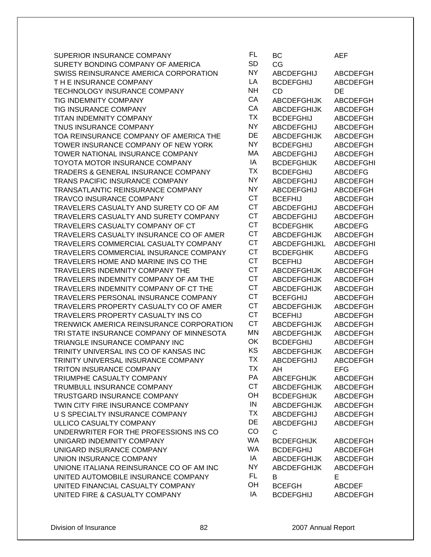| SUPERIOR INSURANCE COMPANY               | <b>FL</b> | BС                 | AEF              |
|------------------------------------------|-----------|--------------------|------------------|
| SURETY BONDING COMPANY OF AMERICA        | <b>SD</b> | CG                 |                  |
| SWISS REINSURANCE AMERICA CORPORATION    | <b>NY</b> | <b>ABCDEFGHIJ</b>  | <b>ABCDEFGH</b>  |
| THE INSURANCE COMPANY                    | LA        | <b>BCDEFGHIJ</b>   | <b>ABCDEFGH</b>  |
| TECHNOLOGY INSURANCE COMPANY             | <b>NH</b> | <b>CD</b>          | <b>DE</b>        |
| TIG INDEMNITY COMPANY                    | CA        | <b>ABCDEFGHIJK</b> | <b>ABCDEFGH</b>  |
| TIG INSURANCE COMPANY                    | CA        | <b>ABCDEFGHIJK</b> | <b>ABCDEFGH</b>  |
| TITAN INDEMNITY COMPANY                  | <b>TX</b> | <b>BCDEFGHIJ</b>   | <b>ABCDEFGH</b>  |
| TNUS INSURANCE COMPANY                   | <b>NY</b> | <b>ABCDEFGHIJ</b>  | <b>ABCDEFGH</b>  |
| TOA REINSURANCE COMPANY OF AMERICA THE   | DE        | <b>ABCDEFGHIJK</b> | <b>ABCDEFGH</b>  |
| TOWER INSURANCE COMPANY OF NEW YORK      | <b>NY</b> | <b>BCDEFGHIJ</b>   | <b>ABCDEFGH</b>  |
| TOWER NATIONAL INSURANCE COMPANY         | МA        | <b>ABCDEFGHIJ</b>  | <b>ABCDEFGH</b>  |
| TOYOTA MOTOR INSURANCE COMPANY           | IA        | <b>BCDEFGHIJK</b>  | <b>ABCDEFGHI</b> |
| TRADERS & GENERAL INSURANCE COMPANY      | <b>TX</b> | <b>BCDEFGHIJ</b>   | <b>ABCDEFG</b>   |
| TRANS PACIFIC INSURANCE COMPANY          | <b>NY</b> | <b>ABCDEFGHIJ</b>  | <b>ABCDEFGH</b>  |
| TRANSATLANTIC REINSURANCE COMPANY        | <b>NY</b> | <b>ABCDEFGHIJ</b>  | <b>ABCDEFGH</b>  |
| <b>TRAVCO INSURANCE COMPANY</b>          | <b>CT</b> | <b>BCEFHIJ</b>     | <b>ABCDEFGH</b>  |
| TRAVELERS CASUALTY AND SURETY CO OF AM   | <b>CT</b> | <b>ABCDEFGHIJ</b>  | <b>ABCDEFGH</b>  |
| TRAVELERS CASUALTY AND SURETY COMPANY    | <b>CT</b> | <b>ABCDEFGHIJ</b>  | <b>ABCDEFGH</b>  |
| TRAVELERS CASUALTY COMPANY OF CT         | <b>CT</b> | <b>BCDEFGHIK</b>   | <b>ABCDEFG</b>   |
| TRAVELERS CASUALTY INSURANCE CO OF AMER  | <b>CT</b> | <b>ABCDEFGHIJK</b> | <b>ABCDEFGH</b>  |
| TRAVELERS COMMERCIAL CASUALTY COMPANY    | <b>CT</b> | ABCDEFGHIJKL       | <b>ABCDEFGHI</b> |
| TRAVELERS COMMERCIAL INSURANCE COMPANY   | <b>CT</b> | <b>BCDEFGHIK</b>   | <b>ABCDEFG</b>   |
| TRAVELERS HOME AND MARINE INS CO THE     | <b>CT</b> | <b>BCEFHIJ</b>     | <b>ABCDEFGH</b>  |
| TRAVELERS INDEMNITY COMPANY THE          | <b>CT</b> | <b>ABCDEFGHIJK</b> | <b>ABCDEFGH</b>  |
| TRAVELERS INDEMNITY COMPANY OF AM THE    | <b>CT</b> | <b>ABCDEFGHIJK</b> | <b>ABCDEFGH</b>  |
| TRAVELERS INDEMNITY COMPANY OF CT THE    | <b>CT</b> | <b>ABCDEFGHIJK</b> | <b>ABCDEFGH</b>  |
| TRAVELERS PERSONAL INSURANCE COMPANY     | <b>CT</b> | <b>BCEFGHIJ</b>    | <b>ABCDEFGH</b>  |
| TRAVELERS PROPERTY CASUALTY CO OF AMER   | <b>CT</b> | <b>ABCDEFGHIJK</b> | <b>ABCDEFGH</b>  |
| TRAVELERS PROPERTY CASUALTY INS CO       | <b>CT</b> | <b>BCEFHIJ</b>     | <b>ABCDEFGH</b>  |
| TRENWICK AMERICA REINSURANCE CORPORATION | <b>CT</b> | <b>ABCDEFGHIJK</b> | ABCDEFGH         |
| TRI STATE INSURANCE COMPANY OF MINNESOTA | <b>MN</b> | <b>ABCDEFGHIJK</b> | <b>ABCDEFGH</b>  |
| TRIANGLE INSURANCE COMPANY INC           | OK        | <b>BCDEFGHIJ</b>   | <b>ABCDEFGH</b>  |
| TRINITY UNIVERSAL INS CO OF KANSAS INC   | KS        | <b>ABCDEFGHIJK</b> | <b>ABCDEFGH</b>  |
| TRINITY UNIVERSAL INSURANCE COMPANY      | ТX        | <b>ABCDEFGHIJ</b>  | <b>ABCDEFGH</b>  |
| TRITON INSURANCE COMPANY                 | <b>TX</b> | AH                 | EFG              |
| TRIUMPHE CASUALTY COMPANY                | PA        | <b>ABCEFGHIJK</b>  | <b>ABCDEFGH</b>  |
| TRUMBULL INSURANCE COMPANY               | <b>CT</b> | <b>ABCDEFGHIJK</b> | <b>ABCDEFGH</b>  |
| TRUSTGARD INSURANCE COMPANY              | OH        | <b>BCDEFGHIJK</b>  | <b>ABCDEFGH</b>  |
| TWIN CITY FIRE INSURANCE COMPANY         | IN        | <b>ABCDEFGHIJK</b> | <b>ABCDEFGH</b>  |
| U S SPECIALTY INSURANCE COMPANY          | <b>TX</b> | <b>ABCDEFGHIJ</b>  | <b>ABCDEFGH</b>  |
| ULLICO CASUALTY COMPANY                  | DE        | <b>ABCDEFGHIJ</b>  | <b>ABCDEFGH</b>  |
| UNDERWRITER FOR THE PROFESSIONS INS CO   | CO        | C                  |                  |
| UNIGARD INDEMNITY COMPANY                | <b>WA</b> | <b>BCDEFGHIJK</b>  | <b>ABCDEFGH</b>  |
| UNIGARD INSURANCE COMPANY                | <b>WA</b> | <b>BCDEFGHIJ</b>   | <b>ABCDEFGH</b>  |
| UNION INSURANCE COMPANY                  | IA        | <b>ABCDEFGHIJK</b> | <b>ABCDEFGH</b>  |
| UNIONE ITALIANA REINSURANCE CO OF AM INC | <b>NY</b> | <b>ABCDEFGHIJK</b> | <b>ABCDEFGH</b>  |
| UNITED AUTOMOBILE INSURANCE COMPANY      | FL.       | В                  | E                |
| UNITED FINANCIAL CASUALTY COMPANY        | OH        | <b>BCEFGH</b>      | <b>ABCDEF</b>    |
| UNITED FIRE & CASUALTY COMPANY           | ΙA        | <b>BCDEFGHIJ</b>   | <b>ABCDEFGH</b>  |

| FL<br>SD | ВC<br>СG            | <b>AEF</b>       |
|----------|---------------------|------------------|
| ١Y       | <b>ABCDEFGHIJ</b>   | <b>ABCDEFGH</b>  |
| LA       | <b>BCDEFGHIJ</b>    | <b>ABCDEFGH</b>  |
| ۹H       | CD                  | DE               |
| СA       | <b>ABCDEFGHIJK</b>  | <b>ABCDEFGH</b>  |
| СA       | <b>ABCDEFGHIJK</b>  | <b>ABCDEFGH</b>  |
| ГX       | BCDEFGHIJ           | <b>ABCDEFGH</b>  |
| ٧Y       | <b>ABCDEFGHIJ</b>   | <b>ABCDEFGH</b>  |
| ЭË       | ABCDEFGHIJK         | ABCDEFGH         |
| ٧Y       | BCDEFGHIJ           | <b>ABCDEFGH</b>  |
| ИA       |                     | <b>ABCDEFGH</b>  |
| ΙA       | ABCDEFGHIJ          |                  |
| ГX       | BCDEFGHIJK          | <b>ABCDEFGHI</b> |
| ٧Y       | <b>BCDEFGHIJ</b>    | <b>ABCDEFG</b>   |
| ١Y       | <b>ABCDEFGHIJ</b>   | <b>ABCDEFGH</b>  |
| СT       | <b>ABCDEFGHIJ</b>   | <b>ABCDEFGH</b>  |
| СT       | <b>BCEFHIJ</b>      | <b>ABCDEFGH</b>  |
| СT       | <b>ABCDEFGHIJ</b>   | <b>ABCDEFGH</b>  |
|          | ABCDEFGHIJ          | <b>ABCDEFGH</b>  |
| СT       | BCDEFGHIK           | <b>ABCDEFG</b>   |
| СT       | <b>ABCDEFGHIJK</b>  | <b>ABCDEFGH</b>  |
| СT<br>СT | <b>ABCDEFGHIJKL</b> | <b>ABCDEFGHI</b> |
| СT       | <b>BCDEFGHIK</b>    | <b>ABCDEFG</b>   |
|          | BCEFHIJ             | <b>ABCDEFGH</b>  |
| CТ       | ABCDEFGHIJK         | <b>ABCDEFGH</b>  |
| СT       | ABCDEFGHIJK         | ABCDEFGH         |
| СT<br>СT | <b>ABCDEFGHIJK</b>  | <b>ABCDEFGH</b>  |
| СT       | BCEFGHIJ            | <b>ABCDEFGH</b>  |
| СT       | <b>ABCDEFGHIJK</b>  | <b>ABCDEFGH</b>  |
| СT       | <b>BCEFHIJ</b>      | <b>ABCDEFGH</b>  |
| ИN       | <b>ABCDEFGHIJK</b>  | <b>ABCDEFGH</b>  |
| ЭK       | <b>ABCDEFGHIJK</b>  | <b>ABCDEFGH</b>  |
| KS       | <b>BCDEFGHIJ</b>    | <b>ABCDEFGH</b>  |
| ГX       | <b>ABCDEFGHIJK</b>  | <b>ABCDEFGH</b>  |
| ГΧ       | ABCDEFGHIJ          | ABCDEFGH         |
| ÞА       | AH                  | <b>EFG</b>       |
| СT       | <b>ABCEFGHIJK</b>   | <b>ABCDEFGH</b>  |
| ЭH       | <b>ABCDEFGHIJK</b>  | <b>ABCDEFGH</b>  |
|          | <b>BCDEFGHIJK</b>   | <b>ABCDEFGH</b>  |
| IN<br>ГX | <b>ABCDEFGHIJK</b>  | <b>ABCDEFGH</b>  |
|          | <b>ABCDEFGHIJ</b>   | <b>ABCDEFGH</b>  |
| ЭE       | <b>ABCDEFGHIJ</b>   | <b>ABCDEFGH</b>  |
| CC       | C                   |                  |
| VA       | <b>BCDEFGHIJK</b>   | <b>ABCDEFGH</b>  |
| VA       | <b>BCDEFGHIJ</b>    | <b>ABCDEFGH</b>  |
| ΙA       | <b>ABCDEFGHIJK</b>  | <b>ABCDEFGH</b>  |
| ٧Y       | <b>ABCDEFGHIJK</b>  | <b>ABCDEFGH</b>  |
| FL       | B                   | E                |
| ЭH       | <b>BCEFGH</b>       | <b>ABCDEF</b>    |
| ΙA       | <b>BCDEFGHIJ</b>    | <b>ABCDEFGH</b>  |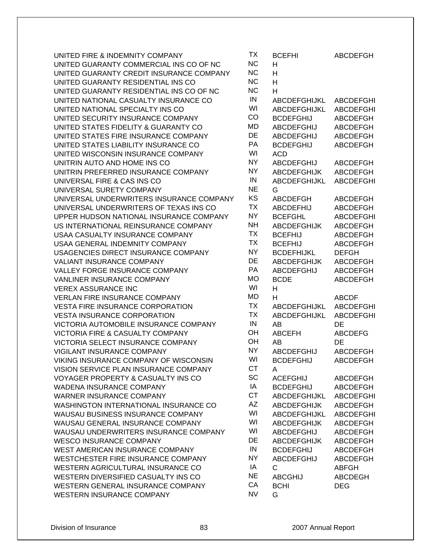| UNITED FIRE & INDEMNITY COMPANY                                | TX              | <b>BCEFHI</b>       | <b>ABCDEFGH</b>  |
|----------------------------------------------------------------|-----------------|---------------------|------------------|
| UNITED GUARANTY COMMERCIAL INS CO OF NC                        | <b>NC</b>       | H                   |                  |
| UNITED GUARANTY CREDIT INSURANCE COMPANY                       | <b>NC</b>       | H                   |                  |
| UNITED GUARANTY RESIDENTIAL INS CO                             | <b>NC</b>       | H                   |                  |
| UNITED GUARANTY RESIDENTIAL INS CO OF NC                       | <b>NC</b>       | H                   |                  |
| UNITED NATIONAL CASUALTY INSURANCE CO                          | IN              | ABCDEFGHIJKL        | <b>ABCDEFGHI</b> |
| UNITED NATIONAL SPECIALTY INS CO                               | WI              | <b>ABCDEFGHIJKL</b> | <b>ABCDEFGHI</b> |
| UNITED SECURITY INSURANCE COMPANY                              | CO              | <b>BCDEFGHIJ</b>    | <b>ABCDEFGH</b>  |
| UNITED STATES FIDELITY & GUARANTY CO                           | MD              | <b>ABCDEFGHIJ</b>   | <b>ABCDEFGH</b>  |
| UNITED STATES FIRE INSURANCE COMPANY                           | DE              | <b>ABCDEFGHIJ</b>   | <b>ABCDEFGH</b>  |
| UNITED STATES LIABILITY INSURANCE CO                           | PA              | <b>BCDEFGHIJ</b>    | <b>ABCDEFGH</b>  |
| UNITED WISCONSIN INSURANCE COMPANY                             | WI              | <b>ACD</b>          |                  |
| UNITRIN AUTO AND HOME INS CO                                   | <b>NY</b>       | <b>ABCDEFGHIJ</b>   | <b>ABCDEFGH</b>  |
| UNITRIN PREFERRED INSURANCE COMPANY                            | <b>NY</b>       | <b>ABCDEFGHIJK</b>  | <b>ABCDEFGH</b>  |
| UNIVERSAL FIRE & CAS INS CO                                    | IN              | ABCDEFGHIJKL        | <b>ABCDEFGHI</b> |
| UNIVERSAL SURETY COMPANY                                       | <b>NE</b>       | G                   |                  |
| UNIVERSAL UNDERWRITERS INSURANCE COMPANY                       | KS              | <b>ABCDEFGH</b>     | <b>ABCDEFGH</b>  |
| UNIVERSAL UNDERWRITERS OF TEXAS INS CO                         | <b>TX</b>       | <b>ABCDEFHIJ</b>    | <b>ABCDEFGH</b>  |
| UPPER HUDSON NATIONAL INSURANCE COMPANY                        | <b>NY</b>       | <b>BCEFGHL</b>      | <b>ABCDEFGHI</b> |
| US INTERNATIONAL REINSURANCE COMPANY                           | <b>NH</b>       | <b>ABCDEFGHIJK</b>  | <b>ABCDEFGH</b>  |
| USAA CASUALTY INSURANCE COMPANY                                | <b>TX</b>       | <b>BCEFHIJ</b>      | <b>ABCDEFGH</b>  |
| USAA GENERAL INDEMNITY COMPANY                                 | <b>TX</b>       | <b>BCEFHIJ</b>      | <b>ABCDEFGH</b>  |
| USAGENCIES DIRECT INSURANCE COMPANY                            | <b>NY</b>       | <b>BCDEFHIJKL</b>   | <b>DEFGH</b>     |
| <b>VALIANT INSURANCE COMPANY</b>                               | DE              | <b>ABCDEFGHIJK</b>  | <b>ABCDEFGH</b>  |
| VALLEY FORGE INSURANCE COMPANY                                 | PA              | <b>ABCDEFGHIJ</b>   | <b>ABCDEFGH</b>  |
|                                                                |                 |                     |                  |
| VANLINER INSURANCE COMPANY                                     | <b>MO</b>       | <b>BCDE</b>         | <b>ABCDEFGH</b>  |
| <b>VEREX ASSURANCE INC</b>                                     | WI              | H                   |                  |
| <b>VERLAN FIRE INSURANCE COMPANY</b>                           | MD              | н                   | <b>ABCDF</b>     |
| <b>VESTA FIRE INSURANCE CORPORATION</b>                        | <b>TX</b>       | ABCDEFGHIJKL        | <b>ABCDEFGHI</b> |
| <b>VESTA INSURANCE CORPORATION</b>                             | <b>TX</b>       | ABCDEFGHIJKL        | <b>ABCDEFGHI</b> |
| VICTORIA AUTOMOBILE INSURANCE COMPANY                          | ${\sf IN}$      | AB                  | DE               |
| VICTORIA FIRE & CASUALTY COMPANY                               | OH              | <b>ABCEFH</b>       | <b>ABCDEFG</b>   |
| VICTORIA SELECT INSURANCE COMPANY                              | OH              | AB                  | DE               |
| VIGILANT INSURANCE COMPANY                                     | <b>NY</b>       | <b>ABCDEFGHIJ</b>   | <b>ABCDEFGH</b>  |
| VIKING INSURANCE COMPANY OF WISCONSIN                          | WI              | <b>BCDEFGHIJ</b>    | <b>ABCDEFGH</b>  |
| VISION SERVICE PLAN INSURANCE COMPANY                          | <b>CT</b>       | A                   |                  |
| <b>VOYAGER PROPERTY &amp; CASUALTY INS CO</b>                  | <b>SC</b>       | <b>ACEFGHIJ</b>     | <b>ABCDEFGH</b>  |
| <b>WADENA INSURANCE COMPANY</b>                                | IA              | <b>BCDEFGHIJ</b>    | <b>ABCDEFGH</b>  |
| <b>WARNER INSURANCE COMPANY</b>                                | <b>CT</b>       | ABCDEFGHIJKL        | <b>ABCDEFGHI</b> |
| WASHINGTON INTERNATIONAL INSURANCE CO                          | AZ              | <b>ABCDEFGHIJK</b>  | <b>ABCDEFGH</b>  |
| WAUSAU BUSINESS INSURANCE COMPANY                              | WI              | ABCDEFGHIJKL        | ABCDEFGHI        |
| WAUSAU GENERAL INSURANCE COMPANY                               | WI              | <b>ABCDEFGHIJK</b>  | <b>ABCDEFGH</b>  |
| WAUSAU UNDERWRITERS INSURANCE COMPANY                          | WI              | <b>ABCDEFGHIJ</b>   | ABCDEFGH         |
| <b>WESCO INSURANCE COMPANY</b>                                 | DE              | <b>ABCDEFGHIJK</b>  | <b>ABCDEFGH</b>  |
| WEST AMERICAN INSURANCE COMPANY                                | IN              | <b>BCDEFGHIJ</b>    | ABCDEFGH         |
| WESTCHESTER FIRE INSURANCE COMPANY                             | <b>NY</b>       | <b>ABCDEFGHIJ</b>   | <b>ABCDEFGH</b>  |
| WESTERN AGRICULTURAL INSURANCE CO                              | ΙA              | C                   | <b>ABFGH</b>     |
| WESTERN DIVERSIFIED CASUALTY INS CO                            | <b>NE</b>       | <b>ABCGHIJ</b>      | <b>ABCDEGH</b>   |
| WESTERN GENERAL INSURANCE COMPANY<br>WESTERN INSURANCE COMPANY | CA<br><b>NV</b> | <b>BCHI</b><br>G    | <b>DEG</b>       |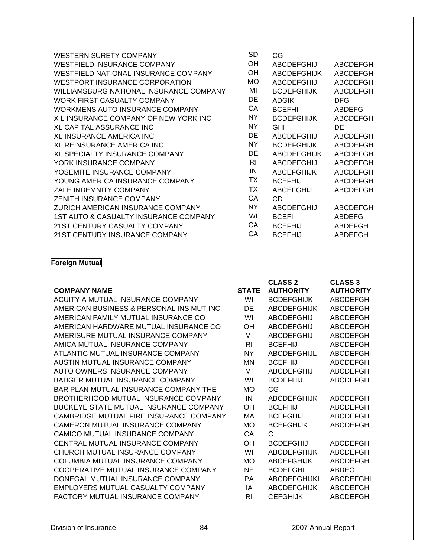| <b>WESTERN SURETY COMPANY</b>           | <b>SD</b> | CG                 |                 |
|-----------------------------------------|-----------|--------------------|-----------------|
| <b>WESTFIELD INSURANCE COMPANY</b>      | OН        | ABCDEFGHIJ         | ABCDEFGH        |
| WESTFIELD NATIONAL INSURANCE COMPANY    | <b>OH</b> | <b>ABCDEFGHIJK</b> | ABCDEFGH        |
| <b>WESTPORT INSURANCE CORPORATION</b>   | <b>MO</b> | <b>ABCDEFGHIJ</b>  | <b>ABCDEFGH</b> |
| WILLIAMSBURG NATIONAL INSURANCE COMPANY | MI        | <b>BCDEFGHIJK</b>  | <b>ABCDEFGH</b> |
| WORK FIRST CASUALTY COMPANY             | DE        | <b>ADGIK</b>       | <b>DFG</b>      |
| WORKMENS AUTO INSURANCE COMPANY         | СA        | <b>BCEFHI</b>      | <b>ABDEFG</b>   |
| X L INSURANCE COMPANY OF NEW YORK INC   | <b>NY</b> | <b>BCDEFGHIJK</b>  | ABCDEFGH        |
| XL CAPITAL ASSURANCE INC                | NY.       | <b>GHI</b>         | DE              |
| <b>XL INSURANCE AMERICA INC</b>         | DE        | ABCDEFGHIJ         | ABCDEFGH        |
| <b>XL REINSURANCE AMERICA INC</b>       | NY.       | <b>BCDEFGHIJK</b>  | ABCDEFGH        |
| <b>XL SPECIALTY INSURANCE COMPANY</b>   | DE        | <b>ABCDEFGHIJK</b> | <b>ABCDEFGH</b> |
| YORK INSURANCE COMPANY                  | <b>RI</b> | <b>ABCDEFGHIJ</b>  | <b>ABCDEFGH</b> |
| YOSEMITE INSURANCE COMPANY              | IN        | <b>ABCEFGHIJK</b>  | <b>ABCDEFGH</b> |
| YOUNG AMERICA INSURANCE COMPANY         | ТX        | <b>BCEFHIJ</b>     | <b>ABCDEFGH</b> |
| ZALE INDEMNITY COMPANY                  | ТX        | ABCEFGHIJ          | ABCDEFGH        |
| <b>ZENITH INSURANCE COMPANY</b>         | СA        | CD                 |                 |
| ZURICH AMERICAN INSURANCE COMPANY       | NY.       | <b>ABCDEFGHIJ</b>  | <b>ABCDEFGH</b> |
| 1ST AUTO & CASUALTY INSURANCE COMPANY   | WI        | <b>BCEFI</b>       | <b>ABDEFG</b>   |
| 21ST CENTURY CASUALTY COMPANY           | СA        | <b>BCEFHIJ</b>     | ABDEFGH         |
| 21ST CENTURY INSURANCE COMPANY          | СA        | <b>BCEFHIJ</b>     | ABDEFGH         |

#### **Foreign Mutual**

|                                               |              | <b>CLASS 2</b>     | <b>CLASS 3</b>   |
|-----------------------------------------------|--------------|--------------------|------------------|
| <b>COMPANY NAME</b>                           | <b>STATE</b> | <b>AUTHORITY</b>   | <b>AUTHORITY</b> |
| ACUITY A MUTUAL INSURANCE COMPANY             | WI           | <b>BCDEFGHIJK</b>  | <b>ABCDEFGH</b>  |
| AMERICAN BUSINESS & PERSONAL INS MUT INC      | DE           | <b>ABCDEFGHIJK</b> | ABCDEFGH         |
| AMERICAN FAMILY MUTUAL INSURANCE CO           | WI           | <b>ABCDEFGHIJ</b>  | <b>ABCDEFGH</b>  |
| AMERICAN HARDWARE MUTUAL INSURANCE CO         | OН           | <b>ABCDEFGHIJ</b>  | <b>ABCDEFGH</b>  |
| AMERISURE MUTUAL INSURANCE COMPANY            | MI           | <b>ABCDEFGHIJ</b>  | ABCDEFGH         |
| AMICA MUTUAL INSURANCE COMPANY                | RI.          | <b>BCEFHIJ</b>     | ABCDEFGH         |
| ATLANTIC MUTUAL INSURANCE COMPANY             | NY.          | <b>ABCDEFGHIJL</b> | <b>ABCDEFGHI</b> |
| AUSTIN MUTUAL INSURANCE COMPANY               | ΜN           | <b>BCEFHIJ</b>     | ABCDEFGH         |
| AUTO OWNERS INSURANCE COMPANY                 | MI           | <b>ABCDEFGHIJ</b>  | <b>ABCDEFGH</b>  |
| <b>BADGER MUTUAL INSURANCE COMPANY</b>        | WI           | <b>BCDEFHIJ</b>    | ABCDEFGH         |
| BAR PLAN MUTUAL INSURANCE COMPANY THE         | <b>MO</b>    | CG                 |                  |
| BROTHERHOOD MUTUAL INSURANCE COMPANY          | IN           | <b>ABCDEFGHIJK</b> | ABCDEFGH         |
| <b>BUCKEYE STATE MUTUAL INSURANCE COMPANY</b> | <b>OH</b>    | <b>BCEFHIJ</b>     | ABCDEFGH         |
| CAMBRIDGE MUTUAL FIRE INSURANCE COMPANY       | МA           | <b>BCEFGHIJ</b>    | ABCDEFGH         |
| CAMERON MUTUAL INSURANCE COMPANY              | <b>MO</b>    | <b>BCEFGHIJK</b>   | ABCDEFGH         |
| CAMICO MUTUAL INSURANCE COMPANY               | СA           | C                  |                  |
| CENTRAL MUTUAL INSURANCE COMPANY              | <b>OH</b>    | <b>BCDEFGHIJ</b>   | ABCDEFGH         |
| CHURCH MUTUAL INSURANCE COMPANY               | WI           | <b>ABCDEFGHIJK</b> | ABCDEFGH         |
| COLUMBIA MUTUAL INSURANCE COMPANY             | <b>MO</b>    | <b>ABCEFGHIJK</b>  | ABCDEFGH         |
| COOPERATIVE MUTUAL INSURANCE COMPANY          | <b>NE</b>    | <b>BCDEFGHI</b>    | ABDEG            |
| DONEGAL MUTUAL INSURANCE COMPANY              | PA           | ABCDEFGHIJKL       | <b>ABCDEFGHI</b> |

#### Division of Insurance 84 2007 Annual Report

EMPLOYERS MUTUAL CASUALTY COMPANY IA ABCDEFGHIJK ABCDEFGH FACTORY MUTUAL INSURANCE COMPANY RI CEFGHIJK ABCDEFGH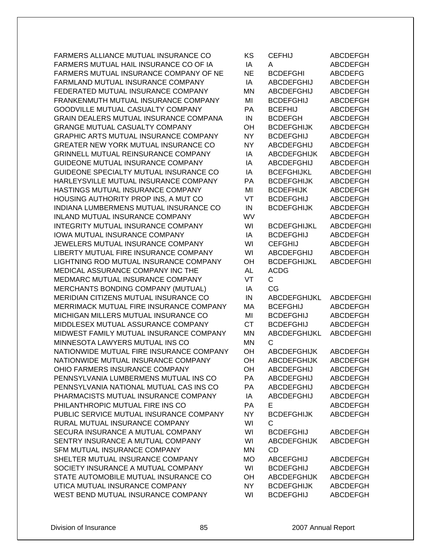FARMERS ALLIANCE MUTUAL INSURANCE CO FARMERS MUTUAL HAIL INSURANCE CO OF IA FARMERS MUTUAL INSURANCE COMPANY OF NE FARMLAND MUTUAL INSURANCE COMPANY FEDERATED MUTUAL INSURANCE COMPANY FRANKENMUTH MUTUAL INSURANCE COMPANY GOODVILLE MUTUAL CASUALTY COMPANY GRAIN DEALERS MUTUAL INSURANCE COMPANA GRANGE MUTUAL CASUALTY COMPANY GRAPHIC ARTS MUTUAL INSURANCE COMPANY GREATER NEW YORK MUTUAL INSURANCE CO GRINNELL MUTUAL REINSURANCE COMPANY GUIDEONE MUTUAL INSURANCE COMPANY GUIDEONE SPECIALTY MUTUAL INSURANCE CO HARLEYSVILLE MUTUAL INSURANCE COMPANY HASTINGS MUTUAL INSURANCE COMPANY HOUSING AUTHORITY PROP INS, A MUT CO INDIANA LUMBERMENS MUTUAL INSURANCE CO INLAND MUTUAL INSURANCE COMPANY INTEGRITY MUTUAL INSURANCE COMPANY IOWA MUTUAL INSURANCE COMPANY JEWELERS MUTUAL INSURANCE COMPANY LIBERTY MUTUAL FIRE INSURANCE COMPANY LIGHTNING ROD MUTUAL INSURANCE COMPANY MEDICAL ASSURANCE COMPANY INC THE MEDMARC MUTUAL INSURANCE COMPANY MERCHANTS BONDING COMPANY (MUTUAL) MERIDIAN CITIZENS MUTUAL INSURANCE CO MERRIMACK MUTUAL FIRE INSURANCE COMPANY MICHIGAN MILLERS MUTUAL INSURANCE CO MIDDLESEX MUTUAL ASSURANCE COMPANY MIDWEST FAMILY MUTUAL INSURANCE COMPANY MINNESOTA LAWYERS MUTUAL INS CO NATIONWIDE MUTUAL FIRE INSURANCE COMPANY NATIONWIDE MUTUAL INSURANCE COMPANY OHIO FARMERS INSURANCE COMPANY PENNSYLVANIA LUMBERMENS MUTUAL INS CO PENNSYLVANIA NATIONAL MUTUAL CAS INS CO PHARMACISTS MUTUAL INSURANCE COMPANY PHILANTHROPIC MUTUAL FIRE INS CO PUBLIC SERVICE MUTUAL INSURANCE COMPANY RURAL MUTUAL INSURANCE COMPANY SECURA INSURANCE A MUTUAL COMPANY SENTRY INSURANCE A MUTUAL COMPANY SFM MUTUAL INSURANCE COMPANY SHELTER MUTUAL INSURANCE COMPANY SOCIETY INSURANCE A MUTUAL COMPANY STATE AUTOMOBILE MUTUAL INSURANCE CO UTICA MUTUAL INSURANCE COMPANY WEST BEND MUTUAL INSURANCE COMPANY

| ΚS        | <b>CEFHIJ</b>      | <b>ABCDEFGH</b>  |
|-----------|--------------------|------------------|
| ΙA        | А                  | <b>ABCDEFGH</b>  |
| NE        | <b>BCDEFGHI</b>    | <b>ABCDEFG</b>   |
| IA        | <b>ABCDEFGHIJ</b>  | <b>ABCDEFGH</b>  |
| <b>MN</b> | ABCDEFGHIJ         | <b>ABCDEFGH</b>  |
| MI        | <b>BCDEFGHIJ</b>   | <b>ABCDEFGH</b>  |
| PA        | <b>BCEFHIJ</b>     | <b>ABCDEFGH</b>  |
| IN        | <b>BCDEFGH</b>     | <b>ABCDEFGH</b>  |
| OH        | <b>BCDEFGHIJK</b>  | <b>ABCDEFGH</b>  |
| <b>NY</b> | <b>BCDEFGHIJ</b>   | <b>ABCDEFGH</b>  |
| <b>NY</b> | <b>ABCDEFGHIJ</b>  | <b>ABCDEFGH</b>  |
| IA        | <b>ABCDEFGHIJK</b> | <b>ABCDEFGH</b>  |
| IA        | <b>ABCDEFGHIJ</b>  | <b>ABCDEFGH</b>  |
| IA        |                    |                  |
|           | <b>BCEFGHIJKL</b>  | <b>ABCDEFGHI</b> |
| PA        | <b>BCDEFGHIJK</b>  | <b>ABCDEFGH</b>  |
| MI        | <b>BCDEFHIJK</b>   | <b>ABCDEFGH</b>  |
| VT        | <b>BCDEFGHIJ</b>   | <b>ABCDEFGH</b>  |
| IN        | <b>BCDEFGHIJK</b>  | <b>ABCDEFGH</b>  |
| WV        |                    | <b>ABCDEFGH</b>  |
| WI        | <b>BCDEFGHIJKL</b> | <b>ABCDEFGHI</b> |
| IA        | <b>BCDEFGHIJ</b>   | <b>ABCDEFGH</b>  |
| WI        | <b>CEFGHIJ</b>     | <b>ABCDEFGH</b>  |
| WI        | <b>ABCDEFGHIJ</b>  | <b>ABCDEFGH</b>  |
| OH        | <b>BCDEFGHIJKL</b> | <b>ABCDEFGHI</b> |
| <b>AL</b> | <b>ACDG</b>        |                  |
| VT        | С                  |                  |
| IA        | CG                 |                  |
| IN        | ABCDEFGHIJKL       | <b>ABCDEFGHI</b> |
| MA        | <b>BCEFGHIJ</b>    | <b>ABCDEFGH</b>  |
| MI        | <b>BCDEFGHIJ</b>   | <b>ABCDEFGH</b>  |
| <b>CT</b> | <b>BCDEFGHIJ</b>   | <b>ABCDEFGH</b>  |
| <b>MN</b> | ABCDEFGHIJKL       | <b>ABCDEFGHI</b> |
| <b>MN</b> | C                  |                  |
| OH        | <b>ABCDEFGHIJK</b> | <b>ABCDEFGH</b>  |
| OH        | <b>ABCDEFGHIJK</b> | <b>ABCDEFGH</b>  |
| OH        | ABCDEFGHIJ         | <b>ABCDEFGH</b>  |
| PA        | <b>ABCDEFGHIJ</b>  | <b>ABCDEFGH</b>  |
| PA        | <b>ABCDEFGHIJ</b>  | <b>ABCDEFGH</b>  |
| IA        | <b>ABCDEFGHIJ</b>  | <b>ABCDEFGH</b>  |
| PA        | E                  | <b>ABCDEFGH</b>  |
| <b>NY</b> | <b>BCDEFGHIJK</b>  | <b>ABCDEFGH</b>  |
| WI        | C                  |                  |
| WI        | <b>BCDEFGHIJ</b>   | ABCDEFGH         |
| WI        | <b>ABCDEFGHIJK</b> | <b>ABCDEFGH</b>  |
| MN        | CD                 |                  |
| <b>MO</b> | <b>ABCEFGHIJ</b>   | <b>ABCDEFGH</b>  |
| WI        | <b>BCDEFGHIJ</b>   | <b>ABCDEFGH</b>  |
| OH        | <b>ABCDEFGHIJK</b> | <b>ABCDEFGH</b>  |
| <b>NY</b> | <b>BCDEFGHIJK</b>  | <b>ABCDEFGH</b>  |
| WI        | <b>BCDEFGHIJ</b>   | <b>ABCDEFGH</b>  |
|           |                    |                  |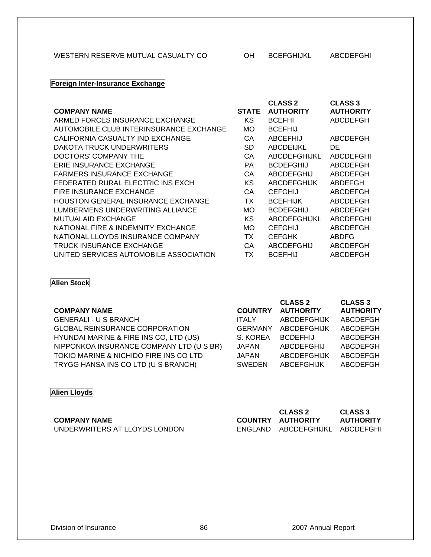## WESTERN RESERVE MUTUAL CASUALTY CO OH BCEFGHIJKL ABCDEFGHI

# **Foreign Inter-Insurance Exchange**

|                                           |              | <b>CLASS 2</b>      | <b>CLASS 3</b>   |
|-------------------------------------------|--------------|---------------------|------------------|
| <b>COMPANY NAME</b>                       | <b>STATE</b> | <b>AUTHORITY</b>    | <b>AUTHORITY</b> |
| ARMED FORCES INSURANCE EXCHANGE           | <b>KS</b>    | <b>BCEFHI</b>       | ABCDEFGH         |
| AUTOMOBILE CLUB INTERINSURANCE EXCHANGE   | МO           | <b>BCEFHIJ</b>      |                  |
| CALIFORNIA CASUALTY IND EXCHANGE          | СA           | <b>ABCEFHIJ</b>     | ABCDEFGH         |
| DAKOTA TRUCK UNDERWRITERS                 | SD           | ABCDEIJKL           | DE.              |
| DOCTORS' COMPANY THE                      | СA           | ABCDEFGHIJKL        | <b>ABCDEFGHI</b> |
| ERIE INSURANCE EXCHANGE                   | <b>PA</b>    | <b>BCDEFGHIJ</b>    | ABCDEFGH         |
| <b>FARMERS INSURANCE EXCHANGE</b>         | СA           | ABCDEFGHIJ          | ABCDEFGH         |
| FEDERATED RURAL ELECTRIC INS EXCH         | KS           | ABCDEFGHIJK         | ABDEFGH          |
| FIRE INSURANCE EXCHANGE                   | СA           | <b>CEFGHIJ</b>      | ABCDEFGH         |
| <b>HOUSTON GENERAL INSURANCE EXCHANGE</b> | ТX           | <b>BCEFHIJK</b>     | <b>ABCDEFGH</b>  |
| LUMBERMENS UNDERWRITING ALLIANCE          | МO           | <b>BCDEFGHIJ</b>    | ABCDEFGH         |
| <b>MUTUALAID EXCHANGE</b>                 | ΚS           | <b>ABCDEFGHIJKL</b> | <b>ABCDEFGHI</b> |
| NATIONAL FIRE & INDEMNITY EXCHANGE        | МO           | <b>CEFGHIJ</b>      | ABCDEFGH         |
| NATIONAL LLOYDS INSURANCE COMPANY         | TX           | <b>CEFGHK</b>       | <b>ABDFG</b>     |
| <b>TRUCK INSURANCE EXCHANGE</b>           | CА           | ABCDEFGHIJ          | ABCDEFGH         |
| UNITED SERVICES AUTOMOBILE ASSOCIATION    | ТX           | <b>BCEFHIJ</b>      | <b>ABCDEFGH</b>  |

### **Alien Stock**

|                                          |                | <b>CLASS 2</b>     | <b>CLASS 3</b>   |
|------------------------------------------|----------------|--------------------|------------------|
| <b>COMPANY NAME</b>                      | <b>COUNTRY</b> | <b>AUTHORITY</b>   | <b>AUTHORITY</b> |
| <b>GENERALI - U S BRANCH</b>             | <b>ITALY</b>   | <b>ABCDEFGHIJK</b> | ABCDEFGH         |
| <b>GLOBAL REINSURANCE CORPORATION</b>    | <b>GERMANY</b> | <b>ABCDEFGHIJK</b> | <b>ABCDEFGH</b>  |
| HYUNDAI MARINE & FIRE INS CO, LTD (US)   | S. KOREA       | <b>BCDEFHIJ</b>    | ABCDEFGH         |
| NIPPONKOA INSURANCE COMPANY LTD (U S BR) | <b>JAPAN</b>   | <b>ABCDEFGHIJ</b>  | <b>ABCDEFGH</b>  |
| TOKIO MARINE & NICHIDO FIRE INS CO LTD   | <b>JAPAN</b>   | <b>ABCDEFGHIJK</b> | ABCDEFGH         |
| TRYGG HANSA INS CO LTD (U S BRANCH)      | <b>SWEDEN</b>  | <b>ABCEFGHIJK</b>  | <b>ABCDEFGH</b>  |
|                                          |                |                    |                  |

# **Alien Lloyds**

|                               | <b>CLASS 2</b>                 | CLASS 3          |
|-------------------------------|--------------------------------|------------------|
| <b>COMPANY NAME</b>           | COUNTRY AUTHORITY              | <b>AUTHORITY</b> |
| UNDERWRITERS AT LLOYDS LONDON | ENGLAND ABCDEFGHIJKL ABCDEFGHI |                  |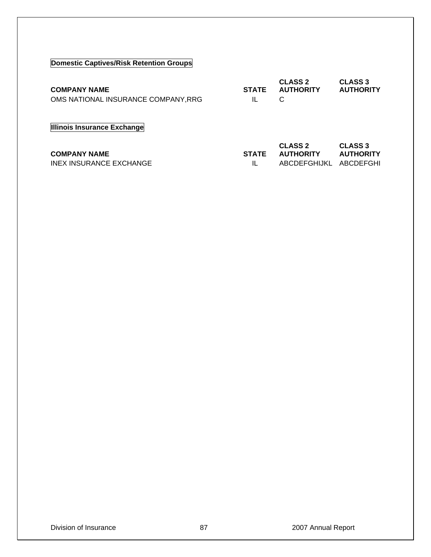# **Domestic Captives/Risk Retention Groups**

| <b>COMPANY NAME</b><br>OMS NATIONAL INSURANCE COMPANY, RRG | <b>STATE</b><br>IL | <b>CLASS 2</b><br><b>AUTHORITY</b><br>C            | <b>CLASS 3</b><br><b>AUTHORITY</b>              |
|------------------------------------------------------------|--------------------|----------------------------------------------------|-------------------------------------------------|
| Illinois Insurance Exchange                                |                    |                                                    |                                                 |
| <b>COMPANY NAME</b><br>INEX INSURANCE EXCHANGE             | <b>STATE</b><br>IL | <b>CLASS 2</b><br><b>AUTHORITY</b><br>ABCDEFGHIJKL | <b>CLASS 3</b><br><b>AUTHORITY</b><br>ABCDEFGHI |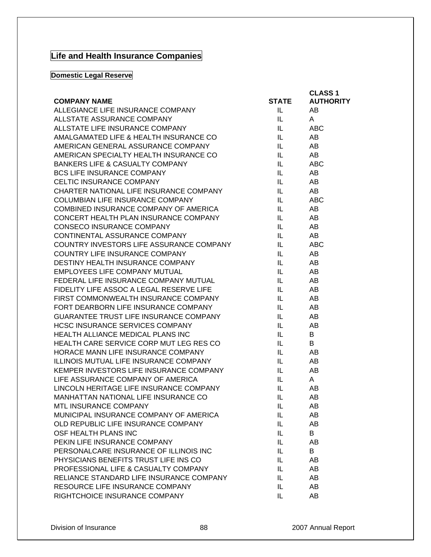# **Life and Health Insurance Companies**

# **Domestic Legal Reserve**

| ALLEGIANCE LIFE INSURANCE COMPANY<br>AB<br>IL.<br>ALLSTATE ASSURANCE COMPANY<br>IL.<br>A<br>ALLSTATE LIFE INSURANCE COMPANY<br><b>ABC</b><br>IL.<br>AMALGAMATED LIFE & HEALTH INSURANCE CO<br>AB<br>IL.<br>AMERICAN GENERAL ASSURANCE COMPANY<br>AB<br>IL.<br>AB<br>AMERICAN SPECIALTY HEALTH INSURANCE CO<br>IL.<br><b>BANKERS LIFE &amp; CASUALTY COMPANY</b><br><b>ABC</b><br>IL.<br><b>BCS LIFE INSURANCE COMPANY</b><br>AB<br>IL.<br>CELTIC INSURANCE COMPANY<br>AB<br>IL.<br>CHARTER NATIONAL LIFE INSURANCE COMPANY<br>AB<br>IL.<br><b>COLUMBIAN LIFE INSURANCE COMPANY</b><br><b>ABC</b><br>IL.<br>COMBINED INSURANCE COMPANY OF AMERICA<br>AB<br>IL<br>CONCERT HEALTH PLAN INSURANCE COMPANY<br>AB<br>IL<br><b>CONSECO INSURANCE COMPANY</b><br>AB<br>IL<br>CONTINENTAL ASSURANCE COMPANY<br>AB<br>IL.<br>COUNTRY INVESTORS LIFE ASSURANCE COMPANY<br>IL.<br><b>ABC</b><br>COUNTRY LIFE INSURANCE COMPANY<br>AB<br>IL<br>DESTINY HEALTH INSURANCE COMPANY<br>AB<br>IL.<br>EMPLOYEES LIFE COMPANY MUTUAL<br>AB<br>IL.<br>FEDERAL LIFE INSURANCE COMPANY MUTUAL<br>AB<br>IL<br>FIDELITY LIFE ASSOC A LEGAL RESERVE LIFE<br>AB<br>IL<br>FIRST COMMONWEALTH INSURANCE COMPANY<br>AB<br>IL.<br>FORT DEARBORN LIFE INSURANCE COMPANY<br>AB<br>IL.<br>GUARANTEE TRUST LIFE INSURANCE COMPANY<br>AB<br>IL.<br><b>HCSC INSURANCE SERVICES COMPANY</b><br>IL.<br>AB<br>HEALTH ALLIANCE MEDICAL PLANS INC<br>IL.<br>B<br>HEALTH CARE SERVICE CORP MUT LEG RES CO<br>B<br>IL.<br>HORACE MANN LIFE INSURANCE COMPANY<br>AB<br>IL<br>ILLINOIS MUTUAL LIFE INSURANCE COMPANY<br>AB<br>IL<br>KEMPER INVESTORS LIFE INSURANCE COMPANY<br>IL.<br>AB<br>LIFE ASSURANCE COMPANY OF AMERICA<br>IL.<br>A<br>LINCOLN HERITAGE LIFE INSURANCE COMPANY<br>IL.<br>AB<br>MANHATTAN NATIONAL LIFE INSURANCE CO<br>IL<br>AB<br>MTL INSURANCE COMPANY<br>IL.<br>AB<br>MUNICIPAL INSURANCE COMPANY OF AMERICA<br>IL<br>AB<br>OLD REPUBLIC LIFE INSURANCE COMPANY<br>AB<br>IL<br>OSF HEALTH PLANS INC<br>B<br>IL<br>PEKIN LIFE INSURANCE COMPANY<br>AB<br>IL<br>PERSONALCARE INSURANCE OF ILLINOIS INC<br>B<br>IL<br>PHYSICIANS BENEFITS TRUST LIFE INS CO<br>AB<br>IL<br>PROFESSIONAL LIFE & CASUALTY COMPANY<br>AB<br>IL<br>RELIANCE STANDARD LIFE INSURANCE COMPANY<br>AB<br>IL<br>RESOURCE LIFE INSURANCE COMPANY<br>AB<br>IL<br>IL<br>AB |                               |              | <b>CLASS 1</b>   |
|------------------------------------------------------------------------------------------------------------------------------------------------------------------------------------------------------------------------------------------------------------------------------------------------------------------------------------------------------------------------------------------------------------------------------------------------------------------------------------------------------------------------------------------------------------------------------------------------------------------------------------------------------------------------------------------------------------------------------------------------------------------------------------------------------------------------------------------------------------------------------------------------------------------------------------------------------------------------------------------------------------------------------------------------------------------------------------------------------------------------------------------------------------------------------------------------------------------------------------------------------------------------------------------------------------------------------------------------------------------------------------------------------------------------------------------------------------------------------------------------------------------------------------------------------------------------------------------------------------------------------------------------------------------------------------------------------------------------------------------------------------------------------------------------------------------------------------------------------------------------------------------------------------------------------------------------------------------------------------------------------------------------------------------------------------------------------------------------------------------------------------------------------------------------------------------------------------------------------------------------------------------------------------------------------------------------|-------------------------------|--------------|------------------|
|                                                                                                                                                                                                                                                                                                                                                                                                                                                                                                                                                                                                                                                                                                                                                                                                                                                                                                                                                                                                                                                                                                                                                                                                                                                                                                                                                                                                                                                                                                                                                                                                                                                                                                                                                                                                                                                                                                                                                                                                                                                                                                                                                                                                                                                                                                                        | <b>COMPANY NAME</b>           | <b>STATE</b> | <b>AUTHORITY</b> |
|                                                                                                                                                                                                                                                                                                                                                                                                                                                                                                                                                                                                                                                                                                                                                                                                                                                                                                                                                                                                                                                                                                                                                                                                                                                                                                                                                                                                                                                                                                                                                                                                                                                                                                                                                                                                                                                                                                                                                                                                                                                                                                                                                                                                                                                                                                                        |                               |              |                  |
|                                                                                                                                                                                                                                                                                                                                                                                                                                                                                                                                                                                                                                                                                                                                                                                                                                                                                                                                                                                                                                                                                                                                                                                                                                                                                                                                                                                                                                                                                                                                                                                                                                                                                                                                                                                                                                                                                                                                                                                                                                                                                                                                                                                                                                                                                                                        |                               |              |                  |
|                                                                                                                                                                                                                                                                                                                                                                                                                                                                                                                                                                                                                                                                                                                                                                                                                                                                                                                                                                                                                                                                                                                                                                                                                                                                                                                                                                                                                                                                                                                                                                                                                                                                                                                                                                                                                                                                                                                                                                                                                                                                                                                                                                                                                                                                                                                        |                               |              |                  |
|                                                                                                                                                                                                                                                                                                                                                                                                                                                                                                                                                                                                                                                                                                                                                                                                                                                                                                                                                                                                                                                                                                                                                                                                                                                                                                                                                                                                                                                                                                                                                                                                                                                                                                                                                                                                                                                                                                                                                                                                                                                                                                                                                                                                                                                                                                                        |                               |              |                  |
|                                                                                                                                                                                                                                                                                                                                                                                                                                                                                                                                                                                                                                                                                                                                                                                                                                                                                                                                                                                                                                                                                                                                                                                                                                                                                                                                                                                                                                                                                                                                                                                                                                                                                                                                                                                                                                                                                                                                                                                                                                                                                                                                                                                                                                                                                                                        |                               |              |                  |
|                                                                                                                                                                                                                                                                                                                                                                                                                                                                                                                                                                                                                                                                                                                                                                                                                                                                                                                                                                                                                                                                                                                                                                                                                                                                                                                                                                                                                                                                                                                                                                                                                                                                                                                                                                                                                                                                                                                                                                                                                                                                                                                                                                                                                                                                                                                        |                               |              |                  |
|                                                                                                                                                                                                                                                                                                                                                                                                                                                                                                                                                                                                                                                                                                                                                                                                                                                                                                                                                                                                                                                                                                                                                                                                                                                                                                                                                                                                                                                                                                                                                                                                                                                                                                                                                                                                                                                                                                                                                                                                                                                                                                                                                                                                                                                                                                                        |                               |              |                  |
|                                                                                                                                                                                                                                                                                                                                                                                                                                                                                                                                                                                                                                                                                                                                                                                                                                                                                                                                                                                                                                                                                                                                                                                                                                                                                                                                                                                                                                                                                                                                                                                                                                                                                                                                                                                                                                                                                                                                                                                                                                                                                                                                                                                                                                                                                                                        |                               |              |                  |
|                                                                                                                                                                                                                                                                                                                                                                                                                                                                                                                                                                                                                                                                                                                                                                                                                                                                                                                                                                                                                                                                                                                                                                                                                                                                                                                                                                                                                                                                                                                                                                                                                                                                                                                                                                                                                                                                                                                                                                                                                                                                                                                                                                                                                                                                                                                        |                               |              |                  |
|                                                                                                                                                                                                                                                                                                                                                                                                                                                                                                                                                                                                                                                                                                                                                                                                                                                                                                                                                                                                                                                                                                                                                                                                                                                                                                                                                                                                                                                                                                                                                                                                                                                                                                                                                                                                                                                                                                                                                                                                                                                                                                                                                                                                                                                                                                                        |                               |              |                  |
|                                                                                                                                                                                                                                                                                                                                                                                                                                                                                                                                                                                                                                                                                                                                                                                                                                                                                                                                                                                                                                                                                                                                                                                                                                                                                                                                                                                                                                                                                                                                                                                                                                                                                                                                                                                                                                                                                                                                                                                                                                                                                                                                                                                                                                                                                                                        |                               |              |                  |
|                                                                                                                                                                                                                                                                                                                                                                                                                                                                                                                                                                                                                                                                                                                                                                                                                                                                                                                                                                                                                                                                                                                                                                                                                                                                                                                                                                                                                                                                                                                                                                                                                                                                                                                                                                                                                                                                                                                                                                                                                                                                                                                                                                                                                                                                                                                        |                               |              |                  |
|                                                                                                                                                                                                                                                                                                                                                                                                                                                                                                                                                                                                                                                                                                                                                                                                                                                                                                                                                                                                                                                                                                                                                                                                                                                                                                                                                                                                                                                                                                                                                                                                                                                                                                                                                                                                                                                                                                                                                                                                                                                                                                                                                                                                                                                                                                                        |                               |              |                  |
|                                                                                                                                                                                                                                                                                                                                                                                                                                                                                                                                                                                                                                                                                                                                                                                                                                                                                                                                                                                                                                                                                                                                                                                                                                                                                                                                                                                                                                                                                                                                                                                                                                                                                                                                                                                                                                                                                                                                                                                                                                                                                                                                                                                                                                                                                                                        |                               |              |                  |
|                                                                                                                                                                                                                                                                                                                                                                                                                                                                                                                                                                                                                                                                                                                                                                                                                                                                                                                                                                                                                                                                                                                                                                                                                                                                                                                                                                                                                                                                                                                                                                                                                                                                                                                                                                                                                                                                                                                                                                                                                                                                                                                                                                                                                                                                                                                        |                               |              |                  |
|                                                                                                                                                                                                                                                                                                                                                                                                                                                                                                                                                                                                                                                                                                                                                                                                                                                                                                                                                                                                                                                                                                                                                                                                                                                                                                                                                                                                                                                                                                                                                                                                                                                                                                                                                                                                                                                                                                                                                                                                                                                                                                                                                                                                                                                                                                                        |                               |              |                  |
|                                                                                                                                                                                                                                                                                                                                                                                                                                                                                                                                                                                                                                                                                                                                                                                                                                                                                                                                                                                                                                                                                                                                                                                                                                                                                                                                                                                                                                                                                                                                                                                                                                                                                                                                                                                                                                                                                                                                                                                                                                                                                                                                                                                                                                                                                                                        |                               |              |                  |
|                                                                                                                                                                                                                                                                                                                                                                                                                                                                                                                                                                                                                                                                                                                                                                                                                                                                                                                                                                                                                                                                                                                                                                                                                                                                                                                                                                                                                                                                                                                                                                                                                                                                                                                                                                                                                                                                                                                                                                                                                                                                                                                                                                                                                                                                                                                        |                               |              |                  |
|                                                                                                                                                                                                                                                                                                                                                                                                                                                                                                                                                                                                                                                                                                                                                                                                                                                                                                                                                                                                                                                                                                                                                                                                                                                                                                                                                                                                                                                                                                                                                                                                                                                                                                                                                                                                                                                                                                                                                                                                                                                                                                                                                                                                                                                                                                                        |                               |              |                  |
|                                                                                                                                                                                                                                                                                                                                                                                                                                                                                                                                                                                                                                                                                                                                                                                                                                                                                                                                                                                                                                                                                                                                                                                                                                                                                                                                                                                                                                                                                                                                                                                                                                                                                                                                                                                                                                                                                                                                                                                                                                                                                                                                                                                                                                                                                                                        |                               |              |                  |
|                                                                                                                                                                                                                                                                                                                                                                                                                                                                                                                                                                                                                                                                                                                                                                                                                                                                                                                                                                                                                                                                                                                                                                                                                                                                                                                                                                                                                                                                                                                                                                                                                                                                                                                                                                                                                                                                                                                                                                                                                                                                                                                                                                                                                                                                                                                        |                               |              |                  |
|                                                                                                                                                                                                                                                                                                                                                                                                                                                                                                                                                                                                                                                                                                                                                                                                                                                                                                                                                                                                                                                                                                                                                                                                                                                                                                                                                                                                                                                                                                                                                                                                                                                                                                                                                                                                                                                                                                                                                                                                                                                                                                                                                                                                                                                                                                                        |                               |              |                  |
|                                                                                                                                                                                                                                                                                                                                                                                                                                                                                                                                                                                                                                                                                                                                                                                                                                                                                                                                                                                                                                                                                                                                                                                                                                                                                                                                                                                                                                                                                                                                                                                                                                                                                                                                                                                                                                                                                                                                                                                                                                                                                                                                                                                                                                                                                                                        |                               |              |                  |
|                                                                                                                                                                                                                                                                                                                                                                                                                                                                                                                                                                                                                                                                                                                                                                                                                                                                                                                                                                                                                                                                                                                                                                                                                                                                                                                                                                                                                                                                                                                                                                                                                                                                                                                                                                                                                                                                                                                                                                                                                                                                                                                                                                                                                                                                                                                        |                               |              |                  |
|                                                                                                                                                                                                                                                                                                                                                                                                                                                                                                                                                                                                                                                                                                                                                                                                                                                                                                                                                                                                                                                                                                                                                                                                                                                                                                                                                                                                                                                                                                                                                                                                                                                                                                                                                                                                                                                                                                                                                                                                                                                                                                                                                                                                                                                                                                                        |                               |              |                  |
|                                                                                                                                                                                                                                                                                                                                                                                                                                                                                                                                                                                                                                                                                                                                                                                                                                                                                                                                                                                                                                                                                                                                                                                                                                                                                                                                                                                                                                                                                                                                                                                                                                                                                                                                                                                                                                                                                                                                                                                                                                                                                                                                                                                                                                                                                                                        |                               |              |                  |
|                                                                                                                                                                                                                                                                                                                                                                                                                                                                                                                                                                                                                                                                                                                                                                                                                                                                                                                                                                                                                                                                                                                                                                                                                                                                                                                                                                                                                                                                                                                                                                                                                                                                                                                                                                                                                                                                                                                                                                                                                                                                                                                                                                                                                                                                                                                        |                               |              |                  |
|                                                                                                                                                                                                                                                                                                                                                                                                                                                                                                                                                                                                                                                                                                                                                                                                                                                                                                                                                                                                                                                                                                                                                                                                                                                                                                                                                                                                                                                                                                                                                                                                                                                                                                                                                                                                                                                                                                                                                                                                                                                                                                                                                                                                                                                                                                                        |                               |              |                  |
|                                                                                                                                                                                                                                                                                                                                                                                                                                                                                                                                                                                                                                                                                                                                                                                                                                                                                                                                                                                                                                                                                                                                                                                                                                                                                                                                                                                                                                                                                                                                                                                                                                                                                                                                                                                                                                                                                                                                                                                                                                                                                                                                                                                                                                                                                                                        |                               |              |                  |
|                                                                                                                                                                                                                                                                                                                                                                                                                                                                                                                                                                                                                                                                                                                                                                                                                                                                                                                                                                                                                                                                                                                                                                                                                                                                                                                                                                                                                                                                                                                                                                                                                                                                                                                                                                                                                                                                                                                                                                                                                                                                                                                                                                                                                                                                                                                        |                               |              |                  |
|                                                                                                                                                                                                                                                                                                                                                                                                                                                                                                                                                                                                                                                                                                                                                                                                                                                                                                                                                                                                                                                                                                                                                                                                                                                                                                                                                                                                                                                                                                                                                                                                                                                                                                                                                                                                                                                                                                                                                                                                                                                                                                                                                                                                                                                                                                                        |                               |              |                  |
|                                                                                                                                                                                                                                                                                                                                                                                                                                                                                                                                                                                                                                                                                                                                                                                                                                                                                                                                                                                                                                                                                                                                                                                                                                                                                                                                                                                                                                                                                                                                                                                                                                                                                                                                                                                                                                                                                                                                                                                                                                                                                                                                                                                                                                                                                                                        |                               |              |                  |
|                                                                                                                                                                                                                                                                                                                                                                                                                                                                                                                                                                                                                                                                                                                                                                                                                                                                                                                                                                                                                                                                                                                                                                                                                                                                                                                                                                                                                                                                                                                                                                                                                                                                                                                                                                                                                                                                                                                                                                                                                                                                                                                                                                                                                                                                                                                        |                               |              |                  |
|                                                                                                                                                                                                                                                                                                                                                                                                                                                                                                                                                                                                                                                                                                                                                                                                                                                                                                                                                                                                                                                                                                                                                                                                                                                                                                                                                                                                                                                                                                                                                                                                                                                                                                                                                                                                                                                                                                                                                                                                                                                                                                                                                                                                                                                                                                                        |                               |              |                  |
|                                                                                                                                                                                                                                                                                                                                                                                                                                                                                                                                                                                                                                                                                                                                                                                                                                                                                                                                                                                                                                                                                                                                                                                                                                                                                                                                                                                                                                                                                                                                                                                                                                                                                                                                                                                                                                                                                                                                                                                                                                                                                                                                                                                                                                                                                                                        |                               |              |                  |
|                                                                                                                                                                                                                                                                                                                                                                                                                                                                                                                                                                                                                                                                                                                                                                                                                                                                                                                                                                                                                                                                                                                                                                                                                                                                                                                                                                                                                                                                                                                                                                                                                                                                                                                                                                                                                                                                                                                                                                                                                                                                                                                                                                                                                                                                                                                        |                               |              |                  |
|                                                                                                                                                                                                                                                                                                                                                                                                                                                                                                                                                                                                                                                                                                                                                                                                                                                                                                                                                                                                                                                                                                                                                                                                                                                                                                                                                                                                                                                                                                                                                                                                                                                                                                                                                                                                                                                                                                                                                                                                                                                                                                                                                                                                                                                                                                                        |                               |              |                  |
|                                                                                                                                                                                                                                                                                                                                                                                                                                                                                                                                                                                                                                                                                                                                                                                                                                                                                                                                                                                                                                                                                                                                                                                                                                                                                                                                                                                                                                                                                                                                                                                                                                                                                                                                                                                                                                                                                                                                                                                                                                                                                                                                                                                                                                                                                                                        |                               |              |                  |
|                                                                                                                                                                                                                                                                                                                                                                                                                                                                                                                                                                                                                                                                                                                                                                                                                                                                                                                                                                                                                                                                                                                                                                                                                                                                                                                                                                                                                                                                                                                                                                                                                                                                                                                                                                                                                                                                                                                                                                                                                                                                                                                                                                                                                                                                                                                        |                               |              |                  |
|                                                                                                                                                                                                                                                                                                                                                                                                                                                                                                                                                                                                                                                                                                                                                                                                                                                                                                                                                                                                                                                                                                                                                                                                                                                                                                                                                                                                                                                                                                                                                                                                                                                                                                                                                                                                                                                                                                                                                                                                                                                                                                                                                                                                                                                                                                                        |                               |              |                  |
|                                                                                                                                                                                                                                                                                                                                                                                                                                                                                                                                                                                                                                                                                                                                                                                                                                                                                                                                                                                                                                                                                                                                                                                                                                                                                                                                                                                                                                                                                                                                                                                                                                                                                                                                                                                                                                                                                                                                                                                                                                                                                                                                                                                                                                                                                                                        |                               |              |                  |
|                                                                                                                                                                                                                                                                                                                                                                                                                                                                                                                                                                                                                                                                                                                                                                                                                                                                                                                                                                                                                                                                                                                                                                                                                                                                                                                                                                                                                                                                                                                                                                                                                                                                                                                                                                                                                                                                                                                                                                                                                                                                                                                                                                                                                                                                                                                        |                               |              |                  |
|                                                                                                                                                                                                                                                                                                                                                                                                                                                                                                                                                                                                                                                                                                                                                                                                                                                                                                                                                                                                                                                                                                                                                                                                                                                                                                                                                                                                                                                                                                                                                                                                                                                                                                                                                                                                                                                                                                                                                                                                                                                                                                                                                                                                                                                                                                                        |                               |              |                  |
|                                                                                                                                                                                                                                                                                                                                                                                                                                                                                                                                                                                                                                                                                                                                                                                                                                                                                                                                                                                                                                                                                                                                                                                                                                                                                                                                                                                                                                                                                                                                                                                                                                                                                                                                                                                                                                                                                                                                                                                                                                                                                                                                                                                                                                                                                                                        | RIGHTCHOICE INSURANCE COMPANY |              |                  |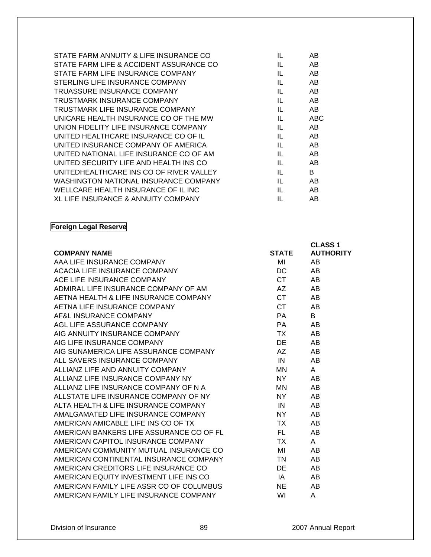| IL | AB         |
|----|------------|
| IL | AB         |
| IL | AB         |
| IL | AB.        |
| IL | AB         |
| IL | AB         |
| IL | AB         |
| IL | <b>ABC</b> |
| IL | AB.        |
| IL | AB         |
| IL | AB.        |
| IL | AB         |
| IL | AB.        |
| IL | B.         |
| IL | AB         |
| IL | AB         |
| IL | AB         |
|    |            |

**Foreign Legal Reserve** 

|                                                                     |              | <b>CLASS 1</b>   |
|---------------------------------------------------------------------|--------------|------------------|
| <b>COMPANY NAME</b><br>AAA LIFE INSURANCE COMPANY                   | <b>STATE</b> | <b>AUTHORITY</b> |
|                                                                     | MI           | AB.              |
| ACACIA LIFE INSURANCE COMPANY                                       | DC           | AB.              |
| ACE LIFE INSURANCE COMPANY                                          | <b>CT</b>    | AB               |
| ADMIRAL LIFE INSURANCE COMPANY OF AM                                | AZ           | AB               |
| AETNA HEALTH & LIFE INSURANCE COMPANY                               | <b>CT</b>    | AB               |
| AETNA LIFE INSURANCE COMPANY                                        | <b>CT</b>    | AB               |
| AF&L INSURANCE COMPANY                                              | <b>PA</b>    | B.               |
| AGL LIFE ASSURANCE COMPANY                                          | <b>PA</b>    | AB               |
| AIG ANNUITY INSURANCE COMPANY                                       | TX T         | AB               |
|                                                                     | DE           | AB               |
| AIG LIFE INSURANCE COMPANY<br>AIG SUNAMERICA LIFE ASSURANCE COMPANY | AZ           | AB               |
| ALL SAVERS INSURANCE COMPANY                                        | IN           | AB               |
| ALLIANZ LIFE AND ANNUITY COMPANY                                    | MN           | $\mathsf{A}$     |
| ALLIANZ LIFE INSURANCE COMPANY NY                                   | NY I         | AB               |
| ALLIANZ LIFE INSURANCE COMPANY OF N A                               | MN           | AB               |
| ALLSTATE LIFE INSURANCE COMPANY OF NY                               | NY L         | AB               |
| ALTA HEALTH & LIFE INSURANCE COMPANY                                | IN           | AB               |
| AMALGAMATED LIFE INSURANCE COMPANY                                  | NY 1         | AB               |
| AMERICAN AMICABLE LIFE INS CO OF TX                                 | TX T         | AB               |
| AMERICAN BANKERS LIFE ASSURANCE CO OF FL                            | FL.          | AB               |
| AMERICAN CAPITOL INSURANCE COMPANY                                  | <b>TX</b>    | A                |
| AMERICAN COMMUNITY MUTUAL INSURANCE CO                              | MI           | AB.              |
| AMERICAN CONTINENTAL INSURANCE COMPANY                              | TN F         | AB               |
| AMERICAN CREDITORS LIFE INSURANCE CO                                | DE           | AB               |
| AMERICAN EQUITY INVESTMENT LIFE INS CO                              | IA           | AB               |
| AMERICAN FAMILY LIFE ASSR CO OF COLUMBUS                            | <b>NE</b>    | AB               |
| AMERICAN FAMILY LIFE INSURANCE COMPANY                              | WI           | A                |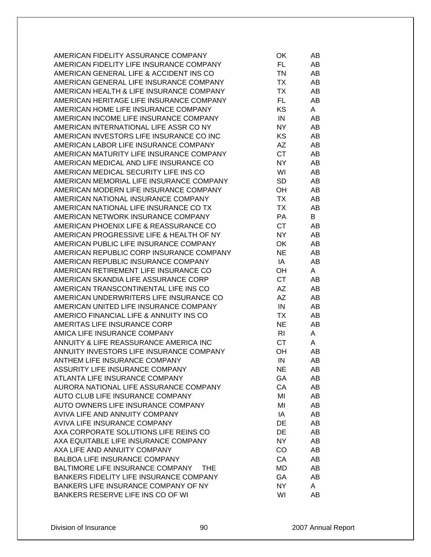| AMERICAN FIDELITY ASSURANCE COMPANY            | OK        | AB |
|------------------------------------------------|-----------|----|
| AMERICAN FIDELITY LIFE INSURANCE COMPANY       | FL.       | AB |
| AMERICAN GENERAL LIFE & ACCIDENT INS CO        | TN        | AB |
| AMERICAN GENERAL LIFE INSURANCE COMPANY        | TX.       | AB |
| AMERICAN HEALTH & LIFE INSURANCE COMPANY       | TX        | AB |
| AMERICAN HERITAGE LIFE INSURANCE COMPANY       | FL.       | AB |
| AMERICAN HOME LIFE INSURANCE COMPANY           | KS        | A  |
| AMERICAN INCOME LIFE INSURANCE COMPANY         | IN        | AB |
| AMERICAN INTERNATIONAL LIFE ASSR CO NY         | NY.       | AB |
| AMERICAN INVESTORS LIFE INSURANCE CO INC       | KS.       | AB |
| AMERICAN LABOR LIFE INSURANCE COMPANY          | AZ        | AB |
| AMERICAN MATURITY LIFE INSURANCE COMPANY       | <b>CT</b> | AB |
| AMERICAN MEDICAL AND LIFE INSURANCE CO         | NY.       | AB |
| AMERICAN MEDICAL SECURITY LIFE INS CO          | WI        | AB |
| AMERICAN MEMORIAL LIFE INSURANCE COMPANY       | <b>SD</b> | AB |
| AMERICAN MODERN LIFE INSURANCE COMPANY         | OH        | AB |
| AMERICAN NATIONAL INSURANCE COMPANY            | <b>TX</b> | AB |
| AMERICAN NATIONAL LIFE INSURANCE CO TX         | <b>TX</b> | AB |
| AMERICAN NETWORK INSURANCE COMPANY             | PA        | B  |
| AMERICAN PHOENIX LIFE & REASSURANCE CO         | CT        | AB |
| AMERICAN PROGRESSIVE LIFE & HEALTH OF NY       | <b>NY</b> |    |
| AMERICAN PUBLIC LIFE INSURANCE COMPANY         |           | AB |
|                                                | OK        | AB |
| AMERICAN REPUBLIC CORP INSURANCE COMPANY       | <b>NE</b> | AB |
| AMERICAN REPUBLIC INSURANCE COMPANY            | IA        | AB |
| AMERICAN RETIREMENT LIFE INSURANCE CO          | OН        | A  |
| AMERICAN SKANDIA LIFE ASSURANCE CORP           | <b>CT</b> | AB |
| AMERICAN TRANSCONTINENTAL LIFE INS CO          | AZ        | AB |
| AMERICAN UNDERWRITERS LIFE INSURANCE CO        | <b>AZ</b> | AB |
| AMERICAN UNITED LIFE INSURANCE COMPANY         | IN        | AB |
| AMERICO FINANCIAL LIFE & ANNUITY INS CO        | ТX        | AB |
| AMERITAS LIFE INSURANCE CORP                   | <b>NE</b> | AB |
| AMICA LIFE INSURANCE COMPANY                   | RI        | A  |
| ANNUITY & LIFE REASSURANCE AMERICA INC         | <b>CT</b> | A  |
| ANNUITY INVESTORS LIFE INSURANCE COMPANY       | OН        | AB |
| ANTHEM LIFE INSURANCE COMPANY                  | IN        | AB |
| ASSURITY LIFE INSURANCE COMPANY                | <b>NE</b> | AB |
| ATLANTA LIFE INSURANCE COMPANY                 | GA        | AB |
| AURORA NATIONAL LIFE ASSURANCE COMPANY         | CA        | AB |
| AUTO CLUB LIFE INSURANCE COMPANY               | MI        | AB |
| AUTO OWNERS LIFE INSURANCE COMPANY             | MI        | AB |
| AVIVA LIFE AND ANNUITY COMPANY                 | IA        | AB |
| AVIVA LIFE INSURANCE COMPANY                   | DE        | AB |
| AXA CORPORATE SOLUTIONS LIFE REINS CO          | DE        | AB |
| AXA EQUITABLE LIFE INSURANCE COMPANY           | NY        | AB |
| AXA LIFE AND ANNUITY COMPANY                   | CO        | AB |
| <b>BALBOA LIFE INSURANCE COMPANY</b>           | CA        | AB |
| BALTIMORE LIFE INSURANCE COMPANY<br><b>THE</b> | MD        | AB |
| BANKERS FIDELITY LIFE INSURANCE COMPANY        | GA        | AB |
| BANKERS LIFE INSURANCE COMPANY OF NY           | <b>NY</b> | A  |
| BANKERS RESERVE LIFE INS CO OF WI              | WI        | AB |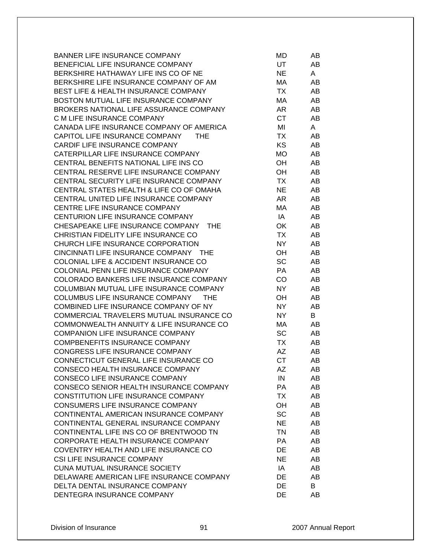| <b>BANNER LIFE INSURANCE COMPANY</b>            | MD        | AB |
|-------------------------------------------------|-----------|----|
| BENEFICIAL LIFE INSURANCE COMPANY               | UT.       | AB |
| BERKSHIRE HATHAWAY LIFE INS CO OF NE            | NE        | A  |
| BERKSHIRE LIFE INSURANCE COMPANY OF AM          | МA        | AB |
| <b>BEST LIFE &amp; HEALTH INSURANCE COMPANY</b> | <b>TX</b> | AB |
| BOSTON MUTUAL LIFE INSURANCE COMPANY            | МA        | AB |
| BROKERS NATIONAL LIFE ASSURANCE COMPANY         | AR        | AB |
| C M LIFE INSURANCE COMPANY                      | CT.       | AB |
| CANADA LIFE INSURANCE COMPANY OF AMERICA        | MI        | A  |
| CAPITOL LIFE INSURANCE COMPANY<br>THE           | <b>TX</b> | AB |
| CARDIF LIFE INSURANCE COMPANY                   | <b>KS</b> | AB |
| CATERPILLAR LIFE INSURANCE COMPANY              | MO        | AB |
| CENTRAL BENEFITS NATIONAL LIFE INS CO           | OH        | AB |
| CENTRAL RESERVE LIFE INSURANCE COMPANY          | OH        | AB |
| CENTRAL SECURITY LIFE INSURANCE COMPANY         | <b>TX</b> | AB |
| CENTRAL STATES HEALTH & LIFE CO OF OMAHA        | <b>NE</b> | AB |
| CENTRAL UNITED LIFE INSURANCE COMPANY           | AR.       | AB |
| CENTRE LIFE INSURANCE COMPANY                   | MA        | AB |
| CENTURION LIFE INSURANCE COMPANY                | IA        | AB |
| CHESAPEAKE LIFE INSURANCE COMPANY<br><b>THE</b> | OK        | AB |
| CHRISTIAN FIDELITY LIFE INSURANCE CO            | <b>TX</b> | AB |
| CHURCH LIFE INSURANCE CORPORATION               | <b>NY</b> | AB |
| CINCINNATI LIFE INSURANCE COMPANY THE           | OH        | AB |
| COLONIAL LIFE & ACCIDENT INSURANCE CO           | SC        | AB |
| COLONIAL PENN LIFE INSURANCE COMPANY            | <b>PA</b> | AB |
| COLORADO BANKERS LIFE INSURANCE COMPANY         | CO        | AB |
| COLUMBIAN MUTUAL LIFE INSURANCE COMPANY         | <b>NY</b> | AB |
| COLUMBUS LIFE INSURANCE COMPANY<br><b>THE</b>   | OH        | AB |
| COMBINED LIFE INSURANCE COMPANY OF NY           | <b>NY</b> | AB |
| COMMERCIAL TRAVELERS MUTUAL INSURANCE CO        | <b>NY</b> | B  |
| COMMONWEALTH ANNUITY & LIFE INSURANCE CO        | МA        | AB |
| COMPANION LIFE INSURANCE COMPANY                | <b>SC</b> | AB |
| <b>COMPBENEFITS INSURANCE COMPANY</b>           | <b>TX</b> | AB |
| CONGRESS LIFE INSURANCE COMPANY                 | AZ        | AB |
| CONNECTICUT GENERAL LIFE INSURANCE CO           | <b>CT</b> | AB |
| CONSECO HEALTH INSURANCE COMPANY                | AZ        | AB |
| CONSECO LIFE INSURANCE COMPANY                  | IN        | AB |
| CONSECO SENIOR HEALTH INSURANCE COMPANY         | PA        | AB |
| <b>CONSTITUTION LIFE INSURANCE COMPANY</b>      | <b>TX</b> | AB |
| CONSUMERS LIFE INSURANCE COMPANY                | OH        | AB |
| CONTINENTAL AMERICAN INSURANCE COMPANY          | <b>SC</b> | AB |
| CONTINENTAL GENERAL INSURANCE COMPANY           | <b>NE</b> | AB |
| CONTINENTAL LIFE INS CO OF BRENTWOOD TN         | <b>TN</b> | AB |
| CORPORATE HEALTH INSURANCE COMPANY              | PA        | AB |
| COVENTRY HEALTH AND LIFE INSURANCE CO           | DE        | AB |
| <b>CSI LIFE INSURANCE COMPANY</b>               | <b>NE</b> | AB |
| <b>CUNA MUTUAL INSURANCE SOCIETY</b>            | IA        | AB |
| DELAWARE AMERICAN LIFE INSURANCE COMPANY        | DE        | AB |
| DELTA DENTAL INSURANCE COMPANY                  | <b>DE</b> | В  |
| DENTEGRA INSURANCE COMPANY                      | <b>DE</b> | AB |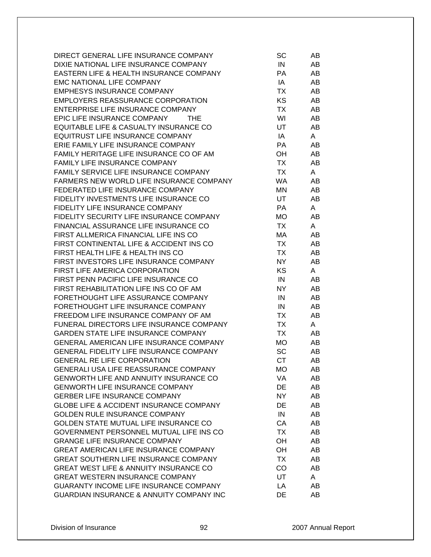| DIRECT GENERAL LIFE INSURANCE COMPANY               | SC        | AB |
|-----------------------------------------------------|-----------|----|
| DIXIE NATIONAL LIFE INSURANCE COMPANY               | IN        | AB |
| EASTERN LIFE & HEALTH INSURANCE COMPANY             | <b>PA</b> | AB |
| EMC NATIONAL LIFE COMPANY                           | IA        | AB |
| <b>EMPHESYS INSURANCE COMPANY</b>                   | ТX        | AB |
| EMPLOYERS REASSURANCE CORPORATION                   | <b>KS</b> | AB |
| ENTERPRISE LIFE INSURANCE COMPANY                   | <b>TX</b> | AB |
| EPIC LIFE INSURANCE COMPANY<br>THE                  | WI        | AB |
| EQUITABLE LIFE & CASUALTY INSURANCE CO              | UT        | AB |
| EQUITRUST LIFE INSURANCE COMPANY                    | IA        | A  |
| ERIE FAMILY LIFE INSURANCE COMPANY                  | <b>PA</b> | AB |
| FAMILY HERITAGE LIFE INSURANCE CO OF AM             | OH        | AB |
| FAMILY LIFE INSURANCE COMPANY                       | TX        | AB |
| FAMILY SERVICE LIFE INSURANCE COMPANY               | <b>TX</b> | A  |
| FARMERS NEW WORLD LIFE INSURANCE COMPANY            | <b>WA</b> | AB |
| FEDERATED LIFE INSURANCE COMPANY                    | <b>MN</b> | AB |
| FIDELITY INVESTMENTS LIFE INSURANCE CO              | UT.       | AB |
| FIDELITY LIFE INSURANCE COMPANY                     | PA        | A  |
| FIDELITY SECURITY LIFE INSURANCE COMPANY            | <b>MO</b> | AB |
| FINANCIAL ASSURANCE LIFE INSURANCE CO               | <b>TX</b> | A  |
| FIRST ALLMERICA FINANCIAL LIFE INS CO               | MA        | AB |
| FIRST CONTINENTAL LIFE & ACCIDENT INS CO            | <b>TX</b> | AB |
| FIRST HEALTH LIFE & HEALTH INS CO                   | TX        | AB |
| FIRST INVESTORS LIFE INSURANCE COMPANY              | NY.       | AB |
| FIRST LIFE AMERICA CORPORATION                      | KS        | A  |
| FIRST PENN PACIFIC LIFE INSURANCE CO                | IN        | AB |
| FIRST REHABILITATION LIFE INS CO OF AM              | NY        | AB |
| FORETHOUGHT LIFE ASSURANCE COMPANY                  | IN        | AB |
| FORETHOUGHT LIFE INSURANCE COMPANY                  | IN        | AB |
| FREEDOM LIFE INSURANCE COMPANY OF AM                | ТX        | AB |
| FUNERAL DIRECTORS LIFE INSURANCE COMPANY            | TX        | A  |
| <b>GARDEN STATE LIFE INSURANCE COMPANY</b>          | <b>TX</b> | AB |
| GENERAL AMERICAN LIFE INSURANCE COMPANY             | <b>MO</b> | AB |
| GENERAL FIDELITY LIFE INSURANCE COMPANY             | <b>SC</b> | AB |
| <b>GENERAL RE LIFE CORPORATION</b>                  | <b>CT</b> | AB |
| GENERALI USA LIFE REASSURANCE COMPANY               | <b>MO</b> | AB |
| <b>GENWORTH LIFE AND ANNUITY INSURANCE CO</b>       | VA        | AB |
| <b>GENWORTH LIFE INSURANCE COMPANY</b>              | DE        | AB |
| <b>GERBER LIFE INSURANCE COMPANY</b>                | NY        | AB |
| <b>GLOBE LIFE &amp; ACCIDENT INSURANCE COMPANY</b>  | DE        | AB |
| <b>GOLDEN RULE INSURANCE COMPANY</b>                | IN        | AB |
| GOLDEN STATE MUTUAL LIFE INSURANCE CO               | CA        | AB |
| GOVERNMENT PERSONNEL MUTUAL LIFE INS CO             | <b>TX</b> | AB |
| <b>GRANGE LIFE INSURANCE COMPANY</b>                | OH        | AB |
| <b>GREAT AMERICAN LIFE INSURANCE COMPANY</b>        | OH        | AB |
| <b>GREAT SOUTHERN LIFE INSURANCE COMPANY</b>        | <b>TX</b> | AB |
| GREAT WEST LIFE & ANNUITY INSURANCE CO              | CO        | AB |
| <b>GREAT WESTERN INSURANCE COMPANY</b>              | UT        | A  |
| GUARANTY INCOME LIFE INSURANCE COMPANY              | LA        | AB |
| <b>GUARDIAN INSURANCE &amp; ANNUITY COMPANY INC</b> | DE        | AB |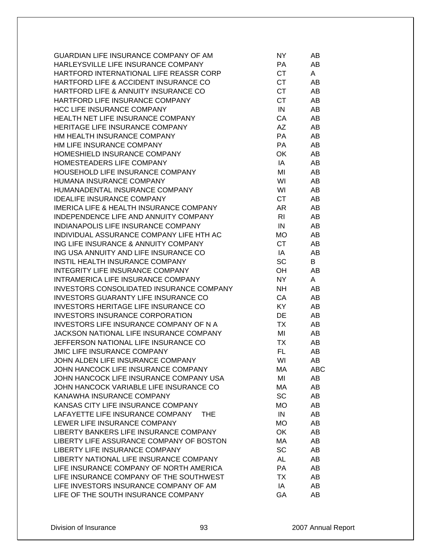| GUARDIAN LIFE INSURANCE COMPANY OF AM              | NY.            | AB         |
|----------------------------------------------------|----------------|------------|
| HARLEYSVILLE LIFE INSURANCE COMPANY                | PA             | AB         |
| HARTFORD INTERNATIONAL LIFE REASSR CORP            | <b>CT</b>      | A          |
| HARTFORD LIFE & ACCIDENT INSURANCE CO              | <b>CT</b>      | AB         |
| HARTFORD LIFE & ANNUITY INSURANCE CO               | <b>CT</b>      | AB         |
| HARTFORD LIFE INSURANCE COMPANY                    | <b>CT</b>      | AB         |
| <b>HCC LIFE INSURANCE COMPANY</b>                  | IN             | AB         |
| HEALTH NET LIFE INSURANCE COMPANY                  | CA             | AB         |
| HERITAGE LIFE INSURANCE COMPANY                    | AZ             | AB         |
| HM HEALTH INSURANCE COMPANY                        | PA             | AB         |
| HM LIFE INSURANCE COMPANY                          | PA             | AB         |
| HOMESHIELD INSURANCE COMPANY                       | OK             | AB         |
| HOMESTEADERS LIFE COMPANY                          | IA             | AB         |
| HOUSEHOLD LIFE INSURANCE COMPANY                   | MI             | AB         |
| HUMANA INSURANCE COMPANY                           | WI             | AB         |
| HUMANADENTAL INSURANCE COMPANY                     | WI             | AB         |
| <b>IDEALIFE INSURANCE COMPANY</b>                  | <b>CT</b>      | AB         |
| <b>IMERICA LIFE &amp; HEALTH INSURANCE COMPANY</b> | AR             | AB         |
| INDEPENDENCE LIFE AND ANNUITY COMPANY              | R <sub>l</sub> | AB         |
| INDIANAPOLIS LIFE INSURANCE COMPANY                |                |            |
|                                                    | IN             | AB         |
| INDIVIDUAL ASSURANCE COMPANY LIFE HTH AC           | МO             | AB         |
| ING LIFE INSURANCE & ANNUITY COMPANY               | <b>CT</b>      | AB         |
| ING USA ANNUITY AND LIFE INSURANCE CO              | IA             | AB         |
| INSTIL HEALTH INSURANCE COMPANY                    | <b>SC</b>      | B          |
| INTEGRITY LIFE INSURANCE COMPANY                   | OH             | AB         |
| INTRAMERICA LIFE INSURANCE COMPANY                 | <b>NY</b>      | A          |
| INVESTORS CONSOLIDATED INSURANCE COMPANY           | <b>NH</b>      | AB         |
| <b>INVESTORS GUARANTY LIFE INSURANCE CO</b>        | CA             | AB         |
| <b>INVESTORS HERITAGE LIFE INSURANCE CO</b>        | KY             | AB         |
| <b>INVESTORS INSURANCE CORPORATION</b>             | DE             | AB         |
| <b>INVESTORS LIFE INSURANCE COMPANY OF N A</b>     | TX             | AB         |
| JACKSON NATIONAL LIFE INSURANCE COMPANY            | MI             | AB         |
| JEFFERSON NATIONAL LIFE INSURANCE CO               | <b>TX</b>      | AB         |
| <b>JMIC LIFE INSURANCE COMPANY</b>                 | FL.            | AB         |
| JOHN ALDEN LIFE INSURANCE COMPANY                  | WI             | AB         |
| JOHN HANCOCK LIFE INSURANCE COMPANY                | МA             | <b>ABC</b> |
| JOHN HANCOCK LIFE INSURANCE COMPANY USA            | MI             | AB         |
| JOHN HANCOCK VARIABLE LIFE INSURANCE CO            | MA             | AB         |
| KANAWHA INSURANCE COMPANY                          | <b>SC</b>      | AB         |
| KANSAS CITY LIFE INSURANCE COMPANY                 | <b>MO</b>      | AB         |
| LAFAYETTE LIFE INSURANCE COMPANY<br>THE.           | IN             | AB         |
| LEWER LIFE INSURANCE COMPANY                       | <b>MO</b>      | AB         |
| LIBERTY BANKERS LIFE INSURANCE COMPANY             | OK             | AB         |
| LIBERTY LIFE ASSURANCE COMPANY OF BOSTON           | MA             | AB         |
| LIBERTY LIFE INSURANCE COMPANY                     | <b>SC</b>      | AB         |
| LIBERTY NATIONAL LIFE INSURANCE COMPANY            | <b>AL</b>      | AB         |
| LIFE INSURANCE COMPANY OF NORTH AMERICA            | PA             | AB         |
| LIFE INSURANCE COMPANY OF THE SOUTHWEST            | <b>TX</b>      | AB         |
| LIFE INVESTORS INSURANCE COMPANY OF AM             | IA             | AB         |
| LIFE OF THE SOUTH INSURANCE COMPANY                | GA             | AB         |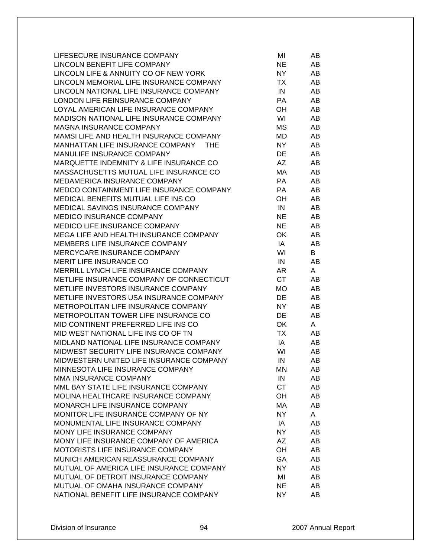| LIFESECURE INSURANCE COMPANY             | MI        | AB |
|------------------------------------------|-----------|----|
| LINCOLN BENEFIT LIFE COMPANY             | <b>NE</b> | AB |
| LINCOLN LIFE & ANNUITY CO OF NEW YORK    | NY.       | AB |
| LINCOLN MEMORIAL LIFE INSURANCE COMPANY  | ТX        | AB |
| LINCOLN NATIONAL LIFE INSURANCE COMPANY  | IN        | AB |
| LONDON LIFE REINSURANCE COMPANY          | <b>PA</b> | AB |
| LOYAL AMERICAN LIFE INSURANCE COMPANY    | OН        | AB |
| MADISON NATIONAL LIFE INSURANCE COMPANY  | WI        | AB |
| <b>MAGNA INSURANCE COMPANY</b>           | <b>MS</b> | AB |
| MAMSI LIFE AND HEALTH INSURANCE COMPANY  | <b>MD</b> | AB |
| MANHATTAN LIFE INSURANCE COMPANY<br>THE  | NY        | AB |
| MANULIFE INSURANCE COMPANY               | DE        | AB |
| MARQUETTE INDEMNITY & LIFE INSURANCE CO  | <b>AZ</b> | AB |
| MASSACHUSETTS MUTUAL LIFE INSURANCE CO   | MA        | AB |
| MEDAMERICA INSURANCE COMPANY             | <b>PA</b> | AB |
| MEDCO CONTAINMENT LIFE INSURANCE COMPANY | <b>PA</b> | AB |
| MEDICAL BENEFITS MUTUAL LIFE INS CO      | OH        | AB |
| MEDICAL SAVINGS INSURANCE COMPANY        | IN        | AB |
| <b>MEDICO INSURANCE COMPANY</b>          | NE.       | AB |
| <b>MEDICO LIFE INSURANCE COMPANY</b>     | <b>NE</b> | AB |
| MEGA LIFE AND HEALTH INSURANCE COMPANY   | OK        | AB |
| MEMBERS LIFE INSURANCE COMPANY           | IA        | AB |
| MERCYCARE INSURANCE COMPANY              | WI        | B  |
| <b>MERIT LIFE INSURANCE CO</b>           | IN        | AB |
| MERRILL LYNCH LIFE INSURANCE COMPANY     | AR        | A  |
| METLIFE INSURANCE COMPANY OF CONNECTICUT | <b>CT</b> | AB |
| METLIFE INVESTORS INSURANCE COMPANY      | <b>MO</b> | AB |
| METLIFE INVESTORS USA INSURANCE COMPANY  | DE        | AB |
| METROPOLITAN LIFE INSURANCE COMPANY      | NY.       | AB |
| METROPOLITAN TOWER LIFE INSURANCE CO     | DE        | AB |
| MID CONTINENT PREFERRED LIFE INS CO      | OK        | A  |
| MID WEST NATIONAL LIFE INS CO OF TN      | TX.       | AB |
| MIDLAND NATIONAL LIFE INSURANCE COMPANY  | IA        | AB |
| MIDWEST SECURITY LIFE INSURANCE COMPANY  | WI        | AB |
| MIDWESTERN UNITED LIFE INSURANCE COMPANY | IN        | AB |
| MINNESOTA LIFE INSURANCE COMPANY         | MN.       | AB |
| <b>MMA INSURANCE COMPANY</b>             | IN        | AB |
| MML BAY STATE LIFE INSURANCE COMPANY     | <b>CT</b> | AB |
| MOLINA HEALTHCARE INSURANCE COMPANY      | OH        | AB |
| MONARCH LIFE INSURANCE COMPANY           | MA        | AB |
| MONITOR LIFE INSURANCE COMPANY OF NY     | NY.       | A  |
| MONUMENTAL LIFE INSURANCE COMPANY        | IA        | AB |
| MONY LIFE INSURANCE COMPANY              | NY.       | AB |
| MONY LIFE INSURANCE COMPANY OF AMERICA   | AZ        | AB |
| MOTORISTS LIFE INSURANCE COMPANY         | OH        | AB |
| MUNICH AMERICAN REASSURANCE COMPANY      | GA        | AB |
| MUTUAL OF AMERICA LIFE INSURANCE COMPANY | NY.       | AB |
| MUTUAL OF DETROIT INSURANCE COMPANY      | MI        | AB |
| MUTUAL OF OMAHA INSURANCE COMPANY        | NE        | AB |
| NATIONAL BENEFIT LIFE INSURANCE COMPANY  | NY        | AB |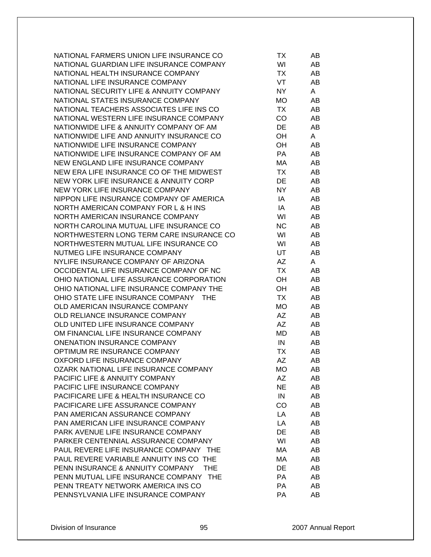| NATIONAL FARMERS UNION LIFE INSURANCE CO       | ТX        | AB |
|------------------------------------------------|-----------|----|
| NATIONAL GUARDIAN LIFE INSURANCE COMPANY       | WI        | AB |
| NATIONAL HEALTH INSURANCE COMPANY              | TX        | AB |
| NATIONAL LIFE INSURANCE COMPANY                | VT        | AB |
| NATIONAL SECURITY LIFE & ANNUITY COMPANY       | NY.       | A  |
| NATIONAL STATES INSURANCE COMPANY              | <b>MO</b> | AB |
| NATIONAL TEACHERS ASSOCIATES LIFE INS CO       | TX        | AB |
| NATIONAL WESTERN LIFE INSURANCE COMPANY        | CO        | AB |
| NATIONWIDE LIFE & ANNUITY COMPANY OF AM        | DE        | AB |
| NATIONWIDE LIFE AND ANNUITY INSURANCE CO       | OH        | A  |
| NATIONWIDE LIFE INSURANCE COMPANY              | OН        | AB |
| NATIONWIDE LIFE INSURANCE COMPANY OF AM        | PA        | AB |
| NEW ENGLAND LIFE INSURANCE COMPANY             | MA        | AB |
| NEW ERA LIFE INSURANCE CO OF THE MIDWEST       | <b>TX</b> | AB |
| NEW YORK LIFE INSURANCE & ANNUITY CORP         | DE        | AB |
| NEW YORK LIFE INSURANCE COMPANY                | <b>NY</b> | AB |
| NIPPON LIFE INSURANCE COMPANY OF AMERICA       | IA        | AB |
| NORTH AMERICAN COMPANY FOR L & H INS           | IA        | AB |
| NORTH AMERICAN INSURANCE COMPANY               | WI        | AB |
| NORTH CAROLINA MUTUAL LIFE INSURANCE CO        | <b>NC</b> | AB |
| NORTHWESTERN LONG TERM CARE INSURANCE CO       | WI        | AB |
| NORTHWESTERN MUTUAL LIFE INSURANCE CO          | WI        | AB |
| NUTMEG LIFE INSURANCE COMPANY                  | UT        | AB |
| NYLIFE INSURANCE COMPANY OF ARIZONA            | AZ        | A  |
| OCCIDENTAL LIFE INSURANCE COMPANY OF NC        | TX        | AB |
| OHIO NATIONAL LIFE ASSURANCE CORPORATION       | OH        | AB |
| OHIO NATIONAL LIFE INSURANCE COMPANY THE       | OH        | AB |
| OHIO STATE LIFE INSURANCE COMPANY THE          | <b>TX</b> | AB |
| OLD AMERICAN INSURANCE COMPANY                 | <b>MO</b> | AB |
| OLD RELIANCE INSURANCE COMPANY                 | <b>AZ</b> | AB |
| OLD UNITED LIFE INSURANCE COMPANY              | AZ        | AB |
| OM FINANCIAL LIFE INSURANCE COMPANY            | MD        | AB |
| <b>ONENATION INSURANCE COMPANY</b>             | IN        | AB |
| OPTIMUM RE INSURANCE COMPANY                   | TX        | AB |
| OXFORD LIFE INSURANCE COMPANY                  | AΖ        | AB |
| OZARK NATIONAL LIFE INSURANCE COMPANY          | МO        | AB |
| PACIFIC LIFE & ANNUITY COMPANY                 | AZ        | AB |
| PACIFIC LIFE INSURANCE COMPANY                 | <b>NE</b> | AB |
| PACIFICARE LIFE & HEALTH INSURANCE CO          | IN        | AB |
| PACIFICARE LIFE ASSURANCE COMPANY              | CO        | AB |
| PAN AMERICAN ASSURANCE COMPANY                 | LA        | AB |
| PAN AMERICAN LIFE INSURANCE COMPANY            | LA        | AB |
| PARK AVENUE LIFE INSURANCE COMPANY             | DE        | AB |
| PARKER CENTENNIAL ASSURANCE COMPANY            | WI        | AB |
| PAUL REVERE LIFE INSURANCE COMPANY THE         | МA        | AB |
| PAUL REVERE VARIABLE ANNUITY INS CO THE        | МA        | AB |
| PENN INSURANCE & ANNUITY COMPANY<br><b>THE</b> | DE        | AB |
| PENN MUTUAL LIFE INSURANCE COMPANY THE         | <b>PA</b> | AB |
| PENN TREATY NETWORK AMERICA INS CO             | PA        | AB |
| PENNSYLVANIA LIFE INSURANCE COMPANY            | PA        | AB |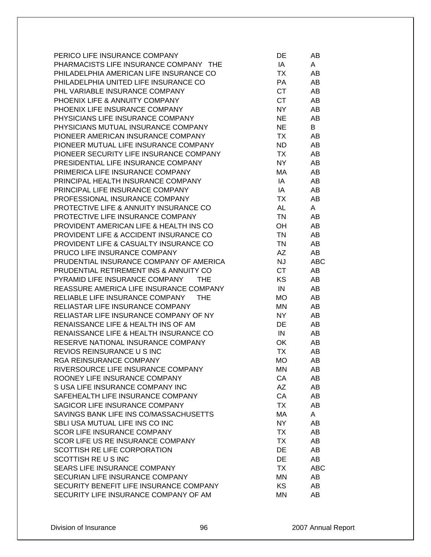| PERICO LIFE INSURANCE COMPANY           | DE        | AB         |
|-----------------------------------------|-----------|------------|
| PHARMACISTS LIFE INSURANCE COMPANY THE  | IA        | A          |
| PHILADELPHIA AMERICAN LIFE INSURANCE CO | ТX        | AB         |
| PHILADELPHIA UNITED LIFE INSURANCE CO   | <b>PA</b> | AB         |
| PHL VARIABLE INSURANCE COMPANY          | <b>CT</b> | AB         |
| PHOENIX LIFE & ANNUITY COMPANY          | <b>CT</b> | AB         |
| PHOENIX LIFE INSURANCE COMPANY          | <b>NY</b> | AB         |
| PHYSICIANS LIFE INSURANCE COMPANY       | <b>NE</b> | AB         |
| PHYSICIANS MUTUAL INSURANCE COMPANY     | <b>NE</b> | B          |
| PIONEER AMERICAN INSURANCE COMPANY      | TX        | AB         |
| PIONEER MUTUAL LIFE INSURANCE COMPANY   | <b>ND</b> | AB         |
| PIONEER SECURITY LIFE INSURANCE COMPANY | ТX        | AB         |
| PRESIDENTIAL LIFE INSURANCE COMPANY     | NY        | AB         |
| PRIMERICA LIFE INSURANCE COMPANY        | MA        | AB         |
| PRINCIPAL HEALTH INSURANCE COMPANY      | IA        | AB         |
| PRINCIPAL LIFE INSURANCE COMPANY        | IA        | AB         |
| PROFESSIONAL INSURANCE COMPANY          | <b>TX</b> | AB         |
| PROTECTIVE LIFE & ANNUITY INSURANCE CO  | AL        | A          |
| PROTECTIVE LIFE INSURANCE COMPANY       | <b>TN</b> | AB         |
| PROVIDENT AMERICAN LIFE & HEALTH INS CO | <b>OH</b> | AB         |
| PROVIDENT LIFE & ACCIDENT INSURANCE CO  | <b>TN</b> | AB         |
| PROVIDENT LIFE & CASUALTY INSURANCE CO  | <b>TN</b> | AB         |
| PRUCO LIFE INSURANCE COMPANY            | AΖ        | AB         |
| PRUDENTIAL INSURANCE COMPANY OF AMERICA | <b>NJ</b> | <b>ABC</b> |
| PRUDENTIAL RETIREMENT INS & ANNUITY CO  | <b>CT</b> | AB         |
| PYRAMID LIFE INSURANCE COMPANY<br>THE.  | <b>KS</b> | AB         |
| REASSURE AMERICA LIFE INSURANCE COMPANY | IN        | AB         |
| RELIABLE LIFE INSURANCE COMPANY THE     | <b>MO</b> | AB         |
| RELIASTAR LIFE INSURANCE COMPANY        | <b>MN</b> | AB         |
| RELIASTAR LIFE INSURANCE COMPANY OF NY  | <b>NY</b> | AB         |
| RENAISSANCE LIFE & HEALTH INS OF AM     | DE        | AB         |
| RENAISSANCE LIFE & HEALTH INSURANCE CO  | IN        | AB         |
| RESERVE NATIONAL INSURANCE COMPANY      | OK        | AB         |
| REVIOS REINSURANCE U S INC              | <b>TX</b> | AB         |
| <b>RGA REINSURANCE COMPANY</b>          | <b>MO</b> | AB         |
| RIVERSOURCE LIFE INSURANCE COMPANY      | MN        | AB         |
| ROONEY LIFE INSURANCE COMPANY           | CA        | AB         |
| SUSA LIFE INSURANCE COMPANY INC         | AZ        | AB         |
| SAFEHEALTH LIFE INSURANCE COMPANY       | CA        | AB         |
| SAGICOR LIFE INSURANCE COMPANY          | <b>TX</b> | AB         |
| SAVINGS BANK LIFE INS CO/MASSACHUSETTS  | MA        | A          |
| SBLI USA MUTUAL LIFE INS CO INC         | NY.       | AB         |
| <b>SCOR LIFE INSURANCE COMPANY</b>      | <b>TX</b> | AB         |
| SCOR LIFE US RE INSURANCE COMPANY       | <b>TX</b> | AB         |
| SCOTTISH RE LIFE CORPORATION            | DE        | AB         |
| SCOTTISH RE U S INC                     | <b>DE</b> | AB         |
| <b>SEARS LIFE INSURANCE COMPANY</b>     | <b>TX</b> | <b>ABC</b> |
| SECURIAN LIFE INSURANCE COMPANY         | <b>MN</b> | AB         |
| SECURITY BENEFIT LIFE INSURANCE COMPANY | <b>KS</b> | AB         |
| SECURITY LIFE INSURANCE COMPANY OF AM   | MN        | AB         |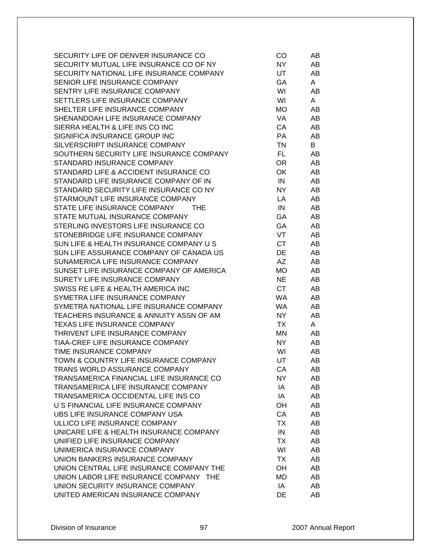| SECURITY LIFE OF DENVER INSURANCE CO         | CO        | AB |
|----------------------------------------------|-----------|----|
| SECURITY MUTUAL LIFE INSURANCE CO OF NY      | NY        | AB |
| SECURITY NATIONAL LIFE INSURANCE COMPANY     | UT        | AB |
| SENIOR LIFE INSURANCE COMPANY                | GA        | A  |
| SENTRY LIFE INSURANCE COMPANY                | WI        | AB |
| SETTLERS LIFE INSURANCE COMPANY              | WI        | A  |
| SHELTER LIFE INSURANCE COMPANY               | <b>MO</b> | AB |
| SHENANDOAH LIFE INSURANCE COMPANY            | VA        | AB |
| SIERRA HEALTH & LIFE INS CO INC              | CA        | AB |
| SIGNIFICA INSURANCE GROUP INC                | <b>PA</b> | AB |
| SILVERSCRIPT INSURANCE COMPANY               | TN        | B  |
| SOUTHERN SECURITY LIFE INSURANCE COMPANY     | FL.       | AB |
| STANDARD INSURANCE COMPANY                   | <b>OR</b> | AB |
| STANDARD LIFE & ACCIDENT INSURANCE CO        | OK        | AB |
| STANDARD LIFE INSURANCE COMPANY OF IN        | IN        | AB |
| STANDARD SECURITY LIFE INSURANCE CO NY       | NY.       | AB |
| STARMOUNT LIFE INSURANCE COMPANY             | LA        | AB |
| STATE LIFE INSURANCE COMPANY<br>THE <b>T</b> | IN        | AB |
| STATE MUTUAL INSURANCE COMPANY               | <b>GA</b> | AB |
| STERLING INVESTORS LIFE INSURANCE CO         | GA        | AB |
| STONEBRIDGE LIFE INSURANCE COMPANY           | VT        | AB |
| SUN LIFE & HEALTH INSURANCE COMPANY U S      | CT        | AB |
| SUN LIFE ASSURANCE COMPANY OF CANADA US      | DE        | AB |
| SUNAMERICA LIFE INSURANCE COMPANY            | <b>AZ</b> | AB |
| SUNSET LIFE INSURANCE COMPANY OF AMERICA     | <b>MO</b> | AB |
| SURETY LIFE INSURANCE COMPANY                | <b>NE</b> | AB |
| SWISS RE LIFE & HEALTH AMERICA INC           | CT        | AB |
| SYMETRA LIFE INSURANCE COMPANY               | <b>WA</b> | AB |
| SYMETRA NATIONAL LIFE INSURANCE COMPANY      | <b>WA</b> | AB |
| TEACHERS INSURANCE & ANNUITY ASSN OF AM      | NY.       | AB |
| TEXAS LIFE INSURANCE COMPANY                 | TX        | A  |
| THRIVENT LIFE INSURANCE COMPANY              | <b>MN</b> | AB |
| TIAA-CREF LIFE INSURANCE COMPANY             | NY.       | AB |
| TIME INSURANCE COMPANY                       | WI        | AB |
| TOWN & COUNTRY LIFE INSURANCE COMPANY        | UT        | AB |
| <b>TRANS WORLD ASSURANCE COMPANY</b>         | CA        | AB |
| TRANSAMERICA FINANCIAL LIFE INSURANCE CO     | NY.       | AB |
| TRANSAMERICA LIFE INSURANCE COMPANY          | IA        | AB |
| TRANSAMERICA OCCIDENTAL LIFE INS CO          | IA        | AB |
| U S FINANCIAL LIFE INSURANCE COMPANY         | OH        | AB |
| UBS LIFE INSURANCE COMPANY USA               | CA        | AB |
| ULLICO LIFE INSURANCE COMPANY                | <b>TX</b> | AB |
| UNICARE LIFE & HEALTH INSURANCE COMPANY      | IN        | AB |
| UNIFIED LIFE INSURANCE COMPANY               | TX        | AB |
| UNIMERICA INSURANCE COMPANY                  | WI        | AB |
| UNION BANKERS INSURANCE COMPANY              | TX        | AB |
| UNION CENTRAL LIFE INSURANCE COMPANY THE     | OH        | AB |
| UNION LABOR LIFE INSURANCE COMPANY THE       | <b>MD</b> | AB |
| UNION SECURITY INSURANCE COMPANY             | IA        | AB |
| UNITED AMERICAN INSURANCE COMPANY            | DE        | AB |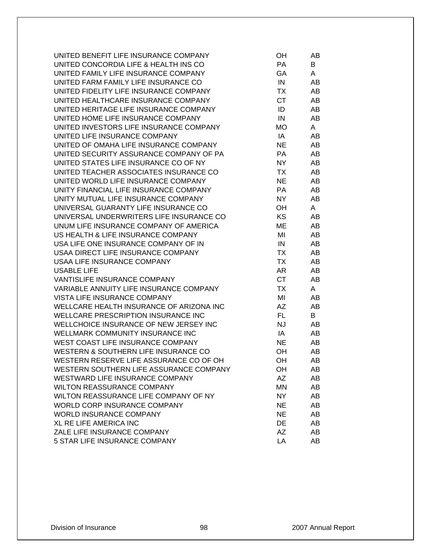| UNITED BENEFIT LIFE INSURANCE COMPANY      | OH.       | AB |
|--------------------------------------------|-----------|----|
| UNITED CONCORDIA LIFE & HEALTH INS CO      | PA        | B  |
| UNITED FAMILY LIFE INSURANCE COMPANY       | GA        | A  |
| UNITED FARM FAMILY LIFE INSURANCE CO       | IN        | AB |
| UNITED FIDELITY LIFE INSURANCE COMPANY     | <b>TX</b> | AB |
| UNITED HEALTHCARE INSURANCE COMPANY        | <b>CT</b> | AB |
| UNITED HERITAGE LIFE INSURANCE COMPANY     | ID        | AB |
| UNITED HOME LIFE INSURANCE COMPANY         | IN        | AB |
| UNITED INVESTORS LIFE INSURANCE COMPANY    | <b>MO</b> | A  |
| UNITED LIFE INSURANCE COMPANY              | IA        | AB |
| UNITED OF OMAHA LIFE INSURANCE COMPANY     | <b>NE</b> | AB |
| UNITED SECURITY ASSURANCE COMPANY OF PA    | PA        | AB |
| UNITED STATES LIFE INSURANCE CO OF NY      | NY.       | AB |
| UNITED TEACHER ASSOCIATES INSURANCE CO     | TX        | AB |
| UNITED WORLD LIFE INSURANCE COMPANY        | <b>NE</b> | AB |
| UNITY FINANCIAL LIFE INSURANCE COMPANY     | PA        | AB |
| UNITY MUTUAL LIFE INSURANCE COMPANY        | NY        | AB |
| UNIVERSAL GUARANTY LIFE INSURANCE CO       | OH        | A  |
| UNIVERSAL UNDERWRITERS LIFE INSURANCE CO   | <b>KS</b> | AB |
| UNUM LIFE INSURANCE COMPANY OF AMERICA     | ME        | AB |
| US HEALTH & LIFE INSURANCE COMPANY         | MI        | AB |
| USA LIFE ONE INSURANCE COMPANY OF IN       | IN        | AB |
| USAA DIRECT LIFE INSURANCE COMPANY         | TX        | AB |
| USAA LIFE INSURANCE COMPANY                | <b>TX</b> | AB |
| <b>USABLE LIFE</b>                         | AR        | AB |
| VANTISLIFE INSURANCE COMPANY               | CT        | AB |
| VARIABLE ANNUITY LIFE INSURANCE COMPANY    | TX        | A  |
| VISTA LIFE INSURANCE COMPANY               | MI        | AB |
| WELLCARE HEALTH INSURANCE OF ARIZONA INC   | <b>AZ</b> | AB |
| <b>WELLCARE PRESCRIPTION INSURANCE INC</b> | FL.       | B  |
| WELLCHOICE INSURANCE OF NEW JERSEY INC     | <b>NJ</b> | AB |
| WELLMARK COMMUNITY INSURANCE INC           | IA        | AB |
| WEST COAST LIFE INSURANCE COMPANY          | <b>NE</b> | AB |
| WESTERN & SOUTHERN LIFE INSURANCE CO       | OH        | AB |
| WESTERN RESERVE LIFE ASSURANCE CO OF OH    | OН        | AB |
| WESTERN SOUTHERN LIFE ASSURANCE COMPANY    | OH        | AB |
| WESTWARD LIFE INSURANCE COMPANY            | <b>AZ</b> | AB |
| <b>WILTON REASSURANCE COMPANY</b>          | <b>MN</b> | AB |
| WILTON REASSURANCE LIFE COMPANY OF NY      | <b>NY</b> | AB |
| WORLD CORP INSURANCE COMPANY               | <b>NE</b> | AB |
| <b>WORLD INSURANCE COMPANY</b>             | <b>NE</b> | AB |
| XL RE LIFE AMERICA INC                     | DE        | AB |
| ZALE LIFE INSURANCE COMPANY                | AZ        | AB |
| 5 STAR LIFE INSURANCE COMPANY              | LA        | AB |
|                                            |           |    |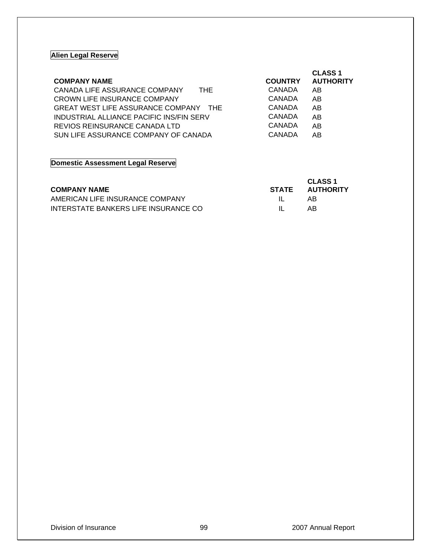### **Alien Legal Reserve**

| <b>COMPANY NAME</b>                      | <b>COUNTRY</b> | <b>CLASS 1</b><br><b>AUTHORITY</b> |
|------------------------------------------|----------------|------------------------------------|
|                                          |                |                                    |
| CANADA LIFE ASSURANCE COMPANY<br>THE.    | CANADA         | AB                                 |
| CROWN LIFE INSURANCE COMPANY             | CANADA         | AB                                 |
| GREAT WEST LIFE ASSURANCE COMPANY THE    | CANADA         | AB                                 |
| INDUSTRIAL ALLIANCE PACIFIC INS/FIN SERV | CANADA         | AB.                                |
| REVIOS REINSURANCE CANADA LTD            | CANADA         | AB                                 |
| SUN LIFE ASSURANCE COMPANY OF CANADA     | CANADA         | AΒ                                 |

# **Domestic Assessment Legal Reserve**

| <b>COMPANY NAME</b>                  | STATE | <b>CLASS 1</b><br><b>AUTHORITY</b> |
|--------------------------------------|-------|------------------------------------|
| AMERICAN LIFE INSURANCE COMPANY      |       | AR.                                |
| INTERSTATE BANKERS LIFE INSURANCE CO |       | АR                                 |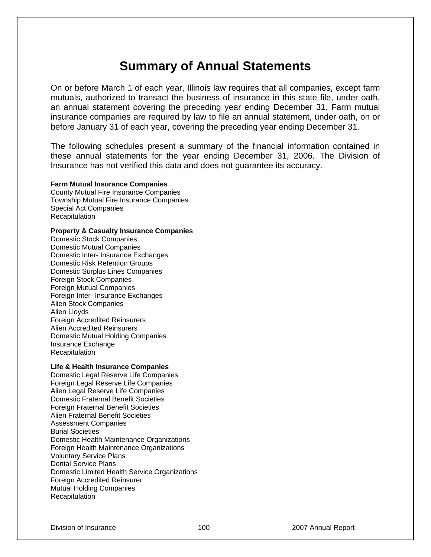# **Summary of Annual Statements**

On or before March 1 of each year, Illinois law requires that all companies, except farm mutuals, authorized to transact the business of insurance in this state file, under oath, an annual statement covering the preceding year ending December 31. Farm mutual insurance companies are required by law to file an annual statement, under oath, on or before January 31 of each year, covering the preceding year ending December 31.

The following schedules present a summary of the financial information contained in these annual statements for the year ending December 31, 2006. The Division of Insurance has not verified this data and does not guarantee its accuracy.

**Farm Mutual Insurance Companies** County Mutual Fire Insurance Companies Township Mutual Fire Insurance Companies Special Act Companies **Recapitulation** 

#### **Property & Casualty Insurance Companies**

Domestic Stock Companies Domestic Mutual Companies Domestic Inter- Insurance Exchanges Domestic Risk Retention Groups Domestic Surplus Lines Companies Foreign Stock Companies Foreign Mutual Companies Foreign Inter- Insurance Exchanges Alien Stock Companies Alien Lloyds Foreign Accredited Reinsurers Alien Accredited Reinsurers Domestic Mutual Holding Companies Insurance Exchange Recapitulation

#### **Life & Health Insurance Companies**

Domestic Legal Reserve Life Companies Foreign Legal Reserve Life Companies Alien Legal Reserve Life Companies Domestic Fraternal Benefit Societies Foreign Fraternal Benefit Societies Alien Fraternal Benefit Societies Assessment Companies Burial Societies Domestic Health Maintenance Organizations Foreign Health Maintenance Organizations Voluntary Service Plans Dental Service Plans Domestic Limited Health Service Organizations Foreign Accredited Reinsurer Mutual Holding Companies **Recapitulation**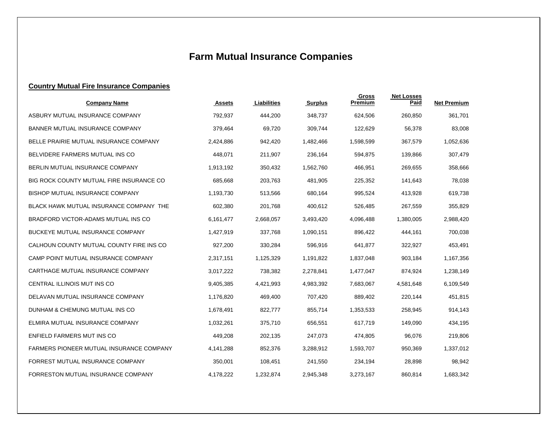# **Farm Mutual Insurance Companies**

### **Country Mutual Fire Insurance Companies**

| <b>Company Name</b>                             | <b>Assets</b> | Liabilities | <b>Surplus</b> | <b>Gross</b><br>Premium | <b>Net Losses</b><br>Paid | <b>Net Premium</b> |
|-------------------------------------------------|---------------|-------------|----------------|-------------------------|---------------------------|--------------------|
| ASBURY MUTUAL INSURANCE COMPANY                 | 792,937       | 444,200     | 348,737        | 624,506                 | 260.850                   | 361,701            |
| <b>BANNER MUTUAL INSURANCE COMPANY</b>          | 379,464       | 69,720      | 309,744        | 122,629                 | 56,378                    | 83,008             |
| BELLE PRAIRIE MUTUAL INSURANCE COMPANY          | 2,424,886     | 942,420     | 1,482,466      | 1,598,599               | 367,579                   | 1,052,636          |
| BELVIDERE FARMERS MUTUAL INS CO                 | 448,071       | 211,907     | 236,164        | 594,875                 | 139,866                   | 307,479            |
| BERLIN MUTUAL INSURANCE COMPANY                 | 1,913,192     | 350,432     | 1,562,760      | 466,951                 | 269,655                   | 358,666            |
| BIG ROCK COUNTY MUTUAL FIRE INSURANCE CO        | 685,668       | 203,763     | 481,905        | 225,352                 | 141,643                   | 78,038             |
| <b>BISHOP MUTUAL INSURANCE COMPANY</b>          | 1,193,730     | 513,566     | 680,164        | 995,524                 | 413,928                   | 619,738            |
| BLACK HAWK MUTUAL INSURANCE COMPANY THE         | 602,380       | 201,768     | 400,612        | 526,485                 | 267,559                   | 355,829            |
| BRADFORD VICTOR-ADAMS MUTUAL INS CO             | 6,161,477     | 2,668,057   | 3,493,420      | 4,096,488               | 1,380,005                 | 2,988,420          |
| <b>BUCKEYE MUTUAL INSURANCE COMPANY</b>         | 1,427,919     | 337,768     | 1,090,151      | 896,422                 | 444,161                   | 700,038            |
| CALHOUN COUNTY MUTUAL COUNTY FIRE INS CO        | 927,200       | 330,284     | 596,916        | 641,877                 | 322,927                   | 453,491            |
| CAMP POINT MUTUAL INSURANCE COMPANY             | 2,317,151     | 1,125,329   | 1,191,822      | 1,837,048               | 903,184                   | 1,167,356          |
| CARTHAGE MUTUAL INSURANCE COMPANY               | 3,017,222     | 738,382     | 2,278,841      | 1,477,047               | 874,924                   | 1.238.149          |
| CENTRAL ILLINOIS MUT INS CO                     | 9,405,385     | 4,421,993   | 4,983,392      | 7,683,067               | 4,581,648                 | 6,109,549          |
| DELAVAN MUTUAL INSURANCE COMPANY                | 1,176,820     | 469,400     | 707,420        | 889,402                 | 220,144                   | 451,815            |
| DUNHAM & CHEMUNG MUTUAL INS CO                  | 1,678,491     | 822,777     | 855,714        | 1,353,533               | 258,945                   | 914,143            |
| ELMIRA MUTUAL INSURANCE COMPANY                 | 1,032,261     | 375,710     | 656,551        | 617,719                 | 149,090                   | 434,195            |
| ENFIELD FARMERS MUT INS CO                      | 449,208       | 202,135     | 247,073        | 474,805                 | 96,076                    | 219,806            |
| <b>FARMERS PIONEER MUTUAL INSURANCE COMPANY</b> | 4,141,288     | 852,376     | 3,288,912      | 1,593,707               | 950,369                   | 1,337,012          |
| FORREST MUTUAL INSURANCE COMPANY                | 350,001       | 108,451     | 241,550        | 234,194                 | 28,898                    | 98,942             |
| FORRESTON MUTUAL INSURANCE COMPANY              | 4,178,222     | 1,232,874   | 2,945,348      | 3,273,167               | 860,814                   | 1,683,342          |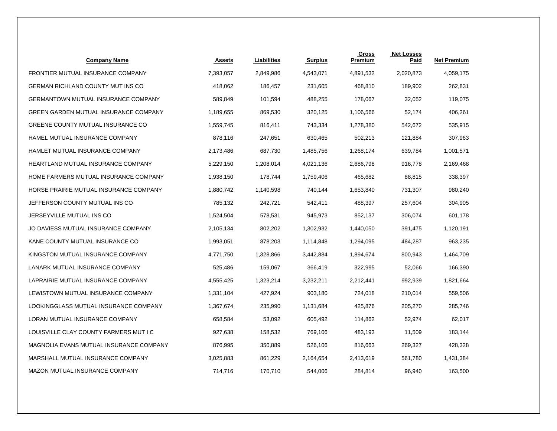| <b>Company Name</b>                        | <b>Assets</b> | Liabilities | <b>Surplus</b> | Gross<br>Premium | <b>Net Losses</b><br>Paid | <b>Net Premium</b> |
|--------------------------------------------|---------------|-------------|----------------|------------------|---------------------------|--------------------|
| FRONTIER MUTUAL INSURANCE COMPANY          | 7,393,057     | 2,849,986   | 4,543,071      | 4,891,532        | 2,020,873                 | 4,059,175          |
| <b>GERMAN RICHLAND COUNTY MUT INS CO</b>   | 418,062       | 186,457     | 231,605        | 468,810          | 189,902                   | 262,831            |
| <b>GERMANTOWN MUTUAL INSURANCE COMPANY</b> | 589,849       | 101,594     | 488,255        | 178,067          | 32,052                    | 119,075            |
| GREEN GARDEN MUTUAL INSURANCE COMPANY      | 1,189,655     | 869,530     | 320,125        | 1,106,566        | 52,174                    | 406,261            |
| GREENE COUNTY MUTUAL INSURANCE CO          | 1,559,745     | 816,411     | 743,334        | 1,278,380        | 542,672                   | 535,915            |
| HAMEL MUTUAL INSURANCE COMPANY             | 878,116       | 247,651     | 630,465        | 502,213          | 121,884                   | 307,963            |
| HAMLET MUTUAL INSURANCE COMPANY            | 2,173,486     | 687,730     | 1,485,756      | 1,268,174        | 639,784                   | 1,001,571          |
| HEARTLAND MUTUAL INSURANCE COMPANY         | 5,229,150     | 1,208,014   | 4,021,136      | 2,686,798        | 916,778                   | 2,169,468          |
| HOME FARMERS MUTUAL INSURANCE COMPANY      | 1,938,150     | 178,744     | 1,759,406      | 465,682          | 88,815                    | 338,397            |
| HORSE PRAIRIE MUTUAL INSURANCE COMPANY     | 1,880,742     | 1,140,598   | 740,144        | 1,653,840        | 731,307                   | 980,240            |
| JEFFERSON COUNTY MUTUAL INS CO             | 785,132       | 242,721     | 542,411        | 488,397          | 257,604                   | 304,905            |
| JERSEYVILLE MUTUAL INS CO                  | 1,524,504     | 578,531     | 945,973        | 852,137          | 306,074                   | 601,178            |
| JO DAVIESS MUTUAL INSURANCE COMPANY        | 2,105,134     | 802,202     | 1,302,932      | 1,440,050        | 391,475                   | 1,120,191          |
| KANE COUNTY MUTUAL INSURANCE CO            | 1,993,051     | 878,203     | 1,114,848      | 1,294,095        | 484,287                   | 963,235            |
| KINGSTON MUTUAL INSURANCE COMPANY          | 4,771,750     | 1,328,866   | 3,442,884      | 1,894,674        | 800,943                   | 1,464,709          |
| LANARK MUTUAL INSURANCE COMPANY            | 525,486       | 159,067     | 366,419        | 322,995          | 52,066                    | 166,390            |
| LAPRAIRIE MUTUAL INSURANCE COMPANY         | 4,555,425     | 1,323,214   | 3,232,211      | 2,212,441        | 992,939                   | 1,821,664          |
| LEWISTOWN MUTUAL INSURANCE COMPANY         | 1,331,104     | 427,924     | 903,180        | 724,018          | 210,014                   | 559,506            |
| LOOKINGGLASS MUTUAL INSURANCE COMPANY      | 1,367,674     | 235,990     | 1,131,684      | 425,876          | 205,270                   | 285,746            |
| LORAN MUTUAL INSURANCE COMPANY             | 658,584       | 53,092      | 605,492        | 114,862          | 52,974                    | 62,017             |
| LOUISVILLE CLAY COUNTY FARMERS MUT I C     | 927,638       | 158,532     | 769,106        | 483,193          | 11,509                    | 183,144            |
| MAGNOLIA EVANS MUTUAL INSURANCE COMPANY    | 876,995       | 350,889     | 526,106        | 816,663          | 269,327                   | 428,328            |
| MARSHALL MUTUAL INSURANCE COMPANY          | 3,025,883     | 861,229     | 2,164,654      | 2,413,619        | 561,780                   | 1,431,384          |
| MAZON MUTUAL INSURANCE COMPANY             | 714,716       | 170,710     | 544,006        | 284,814          | 96,940                    | 163,500            |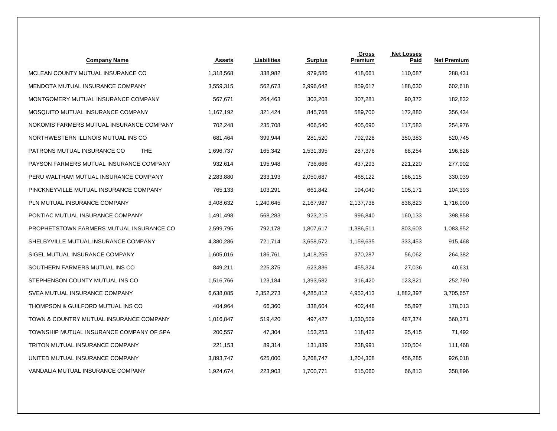| <b>Company Name</b>                       | <b>Assets</b> | Liabilities | <b>Surplus</b> | Gross<br>Premium | <b>Net Losses</b><br>Paid | <b>Net Premium</b> |
|-------------------------------------------|---------------|-------------|----------------|------------------|---------------------------|--------------------|
| MCLEAN COUNTY MUTUAL INSURANCE CO         | 1,318,568     | 338,982     | 979,586        | 418,661          | 110,687                   | 288,431            |
| MENDOTA MUTUAL INSURANCE COMPANY          | 3,559,315     | 562,673     | 2,996,642      | 859,617          | 188,630                   | 602,618            |
| MONTGOMERY MUTUAL INSURANCE COMPANY       | 567,671       | 264,463     | 303,208        | 307,281          | 90,372                    | 182,832            |
| MOSQUITO MUTUAL INSURANCE COMPANY         | 1,167,192     | 321,424     | 845,768        | 589,700          | 172,880                   | 356,434            |
| NOKOMIS FARMERS MUTUAL INSURANCE COMPANY  | 702,248       | 235,708     | 466,540        | 405,690          | 117,583                   | 254,976            |
| NORTHWESTERN ILLINOIS MUTUAL INS CO       | 681,464       | 399,944     | 281,520        | 792,928          | 350,383                   | 520,745            |
| <b>THE</b><br>PATRONS MUTUAL INSURANCE CO | 1,696,737     | 165,342     | 1,531,395      | 287,376          | 68,254                    | 196,826            |
| PAYSON FARMERS MUTUAL INSURANCE COMPANY   | 932,614       | 195,948     | 736,666        | 437,293          | 221,220                   | 277,902            |
| PERU WALTHAM MUTUAL INSURANCE COMPANY     | 2,283,880     | 233,193     | 2,050,687      | 468,122          | 166,115                   | 330,039            |
| PINCKNEYVILLE MUTUAL INSURANCE COMPANY    | 765,133       | 103,291     | 661,842        | 194,040          | 105,171                   | 104,393            |
| PLN MUTUAL INSURANCE COMPANY              | 3,408,632     | 1,240,645   | 2,167,987      | 2,137,738        | 838,823                   | 1,716,000          |
| PONTIAC MUTUAL INSURANCE COMPANY          | 1,491,498     | 568,283     | 923,215        | 996,840          | 160,133                   | 398,858            |
| PROPHETSTOWN FARMERS MUTUAL INSURANCE CO  | 2,599,795     | 792,178     | 1,807,617      | 1,386,511        | 803,603                   | 1,083,952          |
| SHELBYVILLE MUTUAL INSURANCE COMPANY      | 4,380,286     | 721,714     | 3,658,572      | 1,159,635        | 333,453                   | 915,468            |
| SIGEL MUTUAL INSURANCE COMPANY            | 1,605,016     | 186,761     | 1,418,255      | 370,287          | 56,062                    | 264,382            |
| SOUTHERN FARMERS MUTUAL INS CO            | 849,211       | 225,375     | 623,836        | 455,324          | 27,036                    | 40,631             |
| STEPHENSON COUNTY MUTUAL INS CO           | 1,516,766     | 123,184     | 1,393,582      | 316,420          | 123,821                   | 252,790            |
| SVEA MUTUAL INSURANCE COMPANY             | 6,638,085     | 2,352,273   | 4,285,812      | 4,952,413        | 1,882,397                 | 3,705,657          |
| THOMPSON & GUILFORD MUTUAL INS CO         | 404,964       | 66,360      | 338,604        | 402,448          | 55,897                    | 178,013            |
| TOWN & COUNTRY MUTUAL INSURANCE COMPANY   | 1,016,847     | 519,420     | 497,427        | 1,030,509        | 467,374                   | 560,371            |
| TOWNSHIP MUTUAL INSURANCE COMPANY OF SPA  | 200,557       | 47,304      | 153,253        | 118,422          | 25,415                    | 71,492             |
| TRITON MUTUAL INSURANCE COMPANY           | 221,153       | 89,314      | 131,839        | 238,991          | 120,504                   | 111,468            |
| UNITED MUTUAL INSURANCE COMPANY           | 3,893,747     | 625,000     | 3,268,747      | 1,204,308        | 456,285                   | 926,018            |
| VANDALIA MUTUAL INSURANCE COMPANY         | 1,924,674     | 223,903     | 1,700,771      | 615,060          | 66,813                    | 358,896            |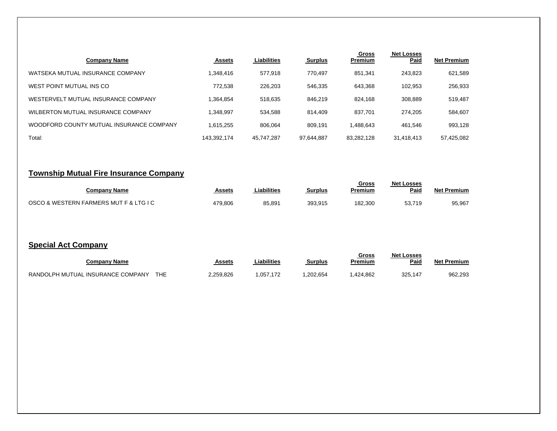| <b>Company Name</b>                      | <b>Assets</b> | Liabilities | <b>Surplus</b> | <b>Gross</b><br>Premium | <b>Net Losses</b><br>Paid | <b>Net Premium</b> |
|------------------------------------------|---------------|-------------|----------------|-------------------------|---------------------------|--------------------|
| WATSEKA MUTUAL INSURANCE COMPANY         | 1,348,416     | 577,918     | 770,497        | 851,341                 | 243,823                   | 621,589            |
| WEST POINT MUTUAL INS CO                 | 772.538       | 226,203     | 546,335        | 643.368                 | 102,953                   | 256,933            |
| WESTERVELT MUTUAL INSURANCE COMPANY      | 1.364.854     | 518.635     | 846.219        | 824.168                 | 308.889                   | 519,487            |
| WILBERTON MUTUAL INSURANCE COMPANY       | 1.348.997     | 534.588     | 814.409        | 837.701                 | 274.205                   | 584,607            |
| WOODFORD COUNTY MUTUAL INSURANCE COMPANY | 1.615.255     | 806.064     | 809.191        | 1.488.643               | 461,546                   | 993,128            |
| Total:                                   | 143,392,174   | 45.747.287  | 97,644,887     | 83,282,128              | 31,418,413                | 57,425,082         |

# **Township Mutual Fire Insurance Company**

| Companv Name                           | Assets  | Liabilities_ | Surplus | <u>Gross</u><br>Premium | <b>Net Losses</b><br>Paid | <b>Net Premium</b> |
|----------------------------------------|---------|--------------|---------|-------------------------|---------------------------|--------------------|
| OSCO & WESTERN FARMERS MUT F & LTG I C | 479,806 | 85,891       | 393.915 | 182,300                 | 52.710<br>ວວ.,            | 95,967             |

## **Special Act Company**

| Companv Name                      |            | Assets    | Liabilities             | <b>Surplus</b> | Gross<br>Premium | <b>Net Losses</b><br>Paid | <b>Net Premium</b> |
|-----------------------------------|------------|-----------|-------------------------|----------------|------------------|---------------------------|--------------------|
| RANDOLPH MUTUAL INSURANCE COMPANY | <b>THE</b> | 2.259.826 | .057<br>17 <sup>7</sup> | .202.654       | 424,862          | 325.14                    | 962,293            |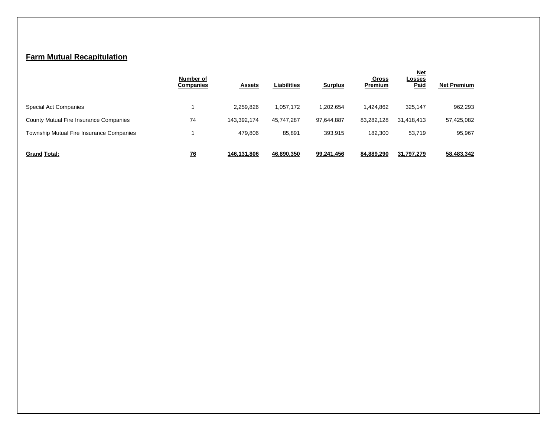## **Farm Mutual Recapitulation**

|                                          | Number of<br><b>Companies</b> | <b>Assets</b> | <b>Liabilities</b> | <b>Surplus</b> | Gross<br>Premium | <u>Net</u><br><b>Losses</b><br>Paid | <b>Net Premium</b> |
|------------------------------------------|-------------------------------|---------------|--------------------|----------------|------------------|-------------------------------------|--------------------|
| Special Act Companies                    |                               | 2,259,826     | 1,057,172          | 1,202,654      | .424.862         | 325,147                             | 962,293            |
| County Mutual Fire Insurance Companies   | 74                            | 143,392,174   | 45.747.287         | 97,644,887     | 83,282,128       | 31,418,413                          | 57,425,082         |
| Township Mutual Fire Insurance Companies |                               | 479.806       | 85,891             | 393.915        | 182,300          | 53,719                              | 95,967             |
| <b>Grand Total:</b>                      | <u>76</u>                     | 146,131,806   | 46,890,350         | 99,241,456     | 84,889,290       | 31,797,279                          | 58,483,342         |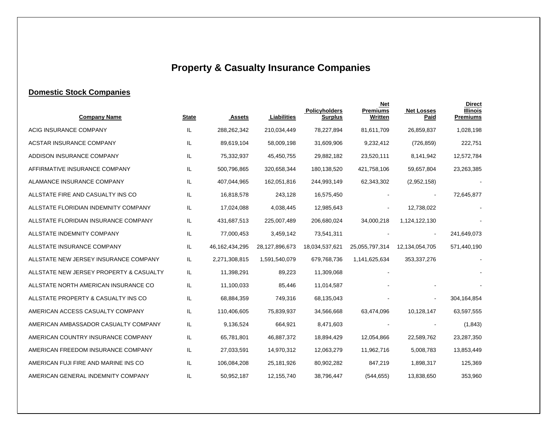# **Property & Casualty Insurance Companies**

# **Domestic Stock Companies**

| <b>Company Name</b>                     | <b>State</b> | <b>Assets</b>     | Liabilities    | Policyholders<br><b>Surplus</b> | <b>Net</b><br><b>Premiums</b><br>Written | <b>Net Losses</b><br>Paid | <b>Direct</b><br><b>Illinois</b><br><b>Premiums</b> |
|-----------------------------------------|--------------|-------------------|----------------|---------------------------------|------------------------------------------|---------------------------|-----------------------------------------------------|
| ACIG INSURANCE COMPANY                  | IL           | 288,262,342       | 210,034,449    | 78,227,894                      | 81,611,709                               | 26,859,837                | 1,028,198                                           |
| <b>ACSTAR INSURANCE COMPANY</b>         | IL           | 89,619,104        | 58,009,198     | 31,609,906                      | 9,232,412                                | (726, 859)                | 222,751                                             |
| ADDISON INSURANCE COMPANY               | IL           | 75,332,937        | 45,450,755     | 29,882,182                      | 23,520,111                               | 8,141,942                 | 12,572,784                                          |
| AFFIRMATIVE INSURANCE COMPANY           | IL.          | 500,796,865       | 320,658,344    | 180,138,520                     | 421,758,106                              | 59,657,804                | 23,263,385                                          |
| ALAMANCE INSURANCE COMPANY              | IL.          | 407,044,965       | 162,051,816    | 244,993,149                     | 62,343,302                               | (2,952,158)               |                                                     |
| ALLSTATE FIRE AND CASUALTY INS CO       | IL.          | 16,818,578        | 243,128        | 16,575,450                      |                                          |                           | 72,645,877                                          |
| ALLSTATE FLORIDIAN INDEMNITY COMPANY    | IL           | 17,024,088        | 4,038,445      | 12,985,643                      |                                          | 12,738,022                |                                                     |
| ALLSTATE FLORIDIAN INSURANCE COMPANY    | IL           | 431,687,513       | 225,007,489    | 206,680,024                     | 34,000,218                               | 1,124,122,130             |                                                     |
| ALLSTATE INDEMNITY COMPANY              | IL           | 77,000,453        | 3,459,142      | 73,541,311                      |                                          |                           | 241,649,073                                         |
| ALLSTATE INSURANCE COMPANY              | IL           | 46, 162, 434, 295 | 28,127,896,673 | 18,034,537,621                  | 25,055,797,314                           | 12,134,054,705            | 571,440,190                                         |
| ALLSTATE NEW JERSEY INSURANCE COMPANY   | IL.          | 2,271,308,815     | 1,591,540,079  | 679,768,736                     | 1,141,625,634                            | 353,337,276               |                                                     |
| ALLSTATE NEW JERSEY PROPERTY & CASUALTY | IL.          | 11,398,291        | 89,223         | 11,309,068                      |                                          |                           |                                                     |
| ALLSTATE NORTH AMERICAN INSURANCE CO    | IL           | 11,100,033        | 85,446         | 11,014,587                      |                                          |                           |                                                     |
| ALLSTATE PROPERTY & CASUALTY INS CO     | IL           | 68,884,359        | 749,316        | 68,135,043                      |                                          |                           | 304,164,854                                         |
| AMERICAN ACCESS CASUALTY COMPANY        | IL           | 110,406,605       | 75,839,937     | 34,566,668                      | 63,474,096                               | 10,128,147                | 63,597,555                                          |
| AMERICAN AMBASSADOR CASUALTY COMPANY    | IL.          | 9,136,524         | 664,921        | 8,471,603                       |                                          |                           | (1, 843)                                            |
| AMERICAN COUNTRY INSURANCE COMPANY      | IL           | 65,781,801        | 46,887,372     | 18,894,429                      | 12,054,866                               | 22,589,762                | 23,287,350                                          |
| AMERICAN FREEDOM INSURANCE COMPANY      | IL           | 27,033,591        | 14,970,312     | 12,063,279                      | 11,962,716                               | 5,008,783                 | 13,853,449                                          |
| AMERICAN FUJI FIRE AND MARINE INS CO    | IL.          | 106,084,208       | 25,181,926     | 80,902,282                      | 847,219                                  | 1,898,317                 | 125,369                                             |
| AMERICAN GENERAL INDEMNITY COMPANY      | IL.          | 50,952,187        | 12,155,740     | 38,796,447                      | (544, 655)                               | 13,838,650                | 353,960                                             |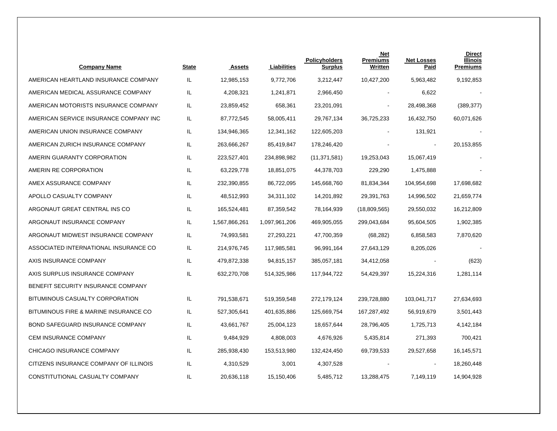| <b>Company Name</b>                    | <b>State</b> | <b>Assets</b> | Liabilities   | <b>Policyholders</b><br><b>Surplus</b> | <b>Net</b><br><b>Premiums</b><br>Written | <b>Net Losses</b><br><b>Paid</b> | <b>Direct</b><br><b>Illinois</b><br><b>Premiums</b> |
|----------------------------------------|--------------|---------------|---------------|----------------------------------------|------------------------------------------|----------------------------------|-----------------------------------------------------|
| AMERICAN HEARTLAND INSURANCE COMPANY   | IL.          | 12,985,153    | 9,772,706     | 3,212,447                              | 10,427,200                               | 5,963,482                        | 9,192,853                                           |
| AMERICAN MEDICAL ASSURANCE COMPANY     | IL.          | 4,208,321     | 1,241,871     | 2,966,450                              |                                          | 6,622                            |                                                     |
| AMERICAN MOTORISTS INSURANCE COMPANY   | IL.          | 23,859,452    | 658,361       | 23,201,091                             |                                          | 28,498,368                       | (389, 377)                                          |
| AMERICAN SERVICE INSURANCE COMPANY INC | IL           | 87,772,545    | 58,005,411    | 29,767,134                             | 36,725,233                               | 16,432,750                       | 60,071,626                                          |
| AMERICAN UNION INSURANCE COMPANY       | IL.          | 134,946,365   | 12,341,162    | 122,605,203                            |                                          | 131,921                          |                                                     |
| AMERICAN ZURICH INSURANCE COMPANY      | IL           | 263,666,267   | 85,419,847    | 178,246,420                            |                                          | $\overline{\phantom{a}}$         | 20,153,855                                          |
| AMERIN GUARANTY CORPORATION            | IL.          | 223,527,401   | 234,898,982   | (11, 371, 581)                         | 19,253,043                               | 15,067,419                       |                                                     |
| AMERIN RE CORPORATION                  | IL.          | 63,229,778    | 18,851,075    | 44,378,703                             | 229,290                                  | 1,475,888                        |                                                     |
| AMEX ASSURANCE COMPANY                 | IL.          | 232,390,855   | 86,722,095    | 145,668,760                            | 81,834,344                               | 104,954,698                      | 17,698,682                                          |
| APOLLO CASUALTY COMPANY                | IL.          | 48,512,993    | 34,311,102    | 14,201,892                             | 29,391,763                               | 14,996,502                       | 21,659,774                                          |
| ARGONAUT GREAT CENTRAL INS CO          | IL.          | 165,524,481   | 87,359,542    | 78,164,939                             | (18,809,565)                             | 29,550,032                       | 16,212,809                                          |
| ARGONAUT INSURANCE COMPANY             | IL.          | 1,567,866,261 | 1,097,961,206 | 469,905,055                            | 299,043,684                              | 95,604,505                       | 1,902,385                                           |
| ARGONAUT MIDWEST INSURANCE COMPANY     | IL.          | 74,993,581    | 27,293,221    | 47,700,359                             | (68, 282)                                | 6,858,583                        | 7,870,620                                           |
| ASSOCIATED INTERNATIONAL INSURANCE CO  | IL.          | 214,976,745   | 117,985,581   | 96,991,164                             | 27,643,129                               | 8,205,026                        |                                                     |
| AXIS INSURANCE COMPANY                 | IL.          | 479,872,338   | 94,815,157    | 385,057,181                            | 34,412,058                               |                                  | (623)                                               |
| AXIS SURPLUS INSURANCE COMPANY         | IL.          | 632,270,708   | 514,325,986   | 117,944,722                            | 54,429,397                               | 15,224,316                       | 1,281,114                                           |
| BENEFIT SECURITY INSURANCE COMPANY     |              |               |               |                                        |                                          |                                  |                                                     |
| BITUMINOUS CASUALTY CORPORATION        | IL.          | 791,538,671   | 519,359,548   | 272,179,124                            | 239,728,880                              | 103,041,717                      | 27,634,693                                          |
| BITUMINOUS FIRE & MARINE INSURANCE CO  | IL.          | 527,305,641   | 401,635,886   | 125,669,754                            | 167,287,492                              | 56,919,679                       | 3,501,443                                           |
| BOND SAFEGUARD INSURANCE COMPANY       | IL.          | 43,661,767    | 25,004,123    | 18,657,644                             | 28,796,405                               | 1,725,713                        | 4,142,184                                           |
| CEM INSURANCE COMPANY                  | IL.          | 9,484,929     | 4,808,003     | 4,676,926                              | 5,435,814                                | 271,393                          | 700,421                                             |
| CHICAGO INSURANCE COMPANY              | IL.          | 285,938,430   | 153,513,980   | 132,424,450                            | 69,739,533                               | 29,527,658                       | 16,145,571                                          |
| CITIZENS INSURANCE COMPANY OF ILLINOIS | IL.          | 4,310,529     | 3,001         | 4,307,528                              |                                          |                                  | 18,260,448                                          |
| CONSTITUTIONAL CASUALTY COMPANY        | IL.          | 20,636,118    | 15,150,406    | 5,485,712                              | 13,288,475                               | 7,149,119                        | 14,904,928                                          |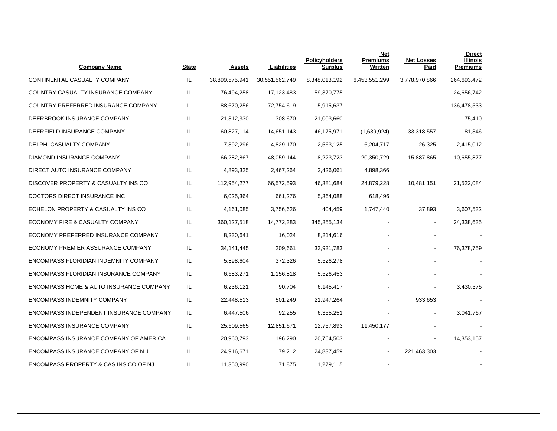| <b>Company Name</b>                     | <b>State</b> | <b>Assets</b>  | Liabilities    | <b>Policyholders</b><br><b>Surplus</b> | Net<br><b>Premiums</b><br>Written | <b>Net Losses</b><br>Paid | <b>Direct</b><br><b>Illinois</b><br><b>Premiums</b> |
|-----------------------------------------|--------------|----------------|----------------|----------------------------------------|-----------------------------------|---------------------------|-----------------------------------------------------|
| CONTINENTAL CASUALTY COMPANY            | IL           | 38,899,575,941 | 30,551,562,749 | 8,348,013,192                          | 6,453,551,299                     | 3,778,970,866             | 264,693,472                                         |
| COUNTRY CASUALTY INSURANCE COMPANY      | IL.          | 76,494,258     | 17,123,483     | 59,370,775                             |                                   |                           | 24,656,742                                          |
| COUNTRY PREFERRED INSURANCE COMPANY     | IL           | 88,670,256     | 72,754,619     | 15,915,637                             |                                   |                           | 136,478,533                                         |
| DEERBROOK INSURANCE COMPANY             | IL.          | 21,312,330     | 308,670        | 21,003,660                             |                                   |                           | 75,410                                              |
| DEERFIELD INSURANCE COMPANY             | IL           | 60,827,114     | 14,651,143     | 46,175,971                             | (1,639,924)                       | 33,318,557                | 181,346                                             |
| DELPHI CASUALTY COMPANY                 | IL.          | 7,392,296      | 4,829,170      | 2,563,125                              | 6,204,717                         | 26,325                    | 2,415,012                                           |
| DIAMOND INSURANCE COMPANY               | IL           | 66,282,867     | 48,059,144     | 18,223,723                             | 20,350,729                        | 15,887,865                | 10,655,877                                          |
| DIRECT AUTO INSURANCE COMPANY           | IL           | 4,893,325      | 2,467,264      | 2,426,061                              | 4,898,366                         |                           |                                                     |
| DISCOVER PROPERTY & CASUALTY INS CO     | IL           | 112,954,277    | 66,572,593     | 46,381,684                             | 24,879,228                        | 10,481,151                | 21,522,084                                          |
| DOCTORS DIRECT INSURANCE INC            | IL           | 6,025,364      | 661,276        | 5,364,088                              | 618,496                           |                           |                                                     |
| ECHELON PROPERTY & CASUALTY INS CO      | IL           | 4,161,085      | 3,756,626      | 404,459                                | 1,747,440                         | 37,893                    | 3,607,532                                           |
| ECONOMY FIRE & CASUALTY COMPANY         | IL           | 360, 127, 518  | 14,772,383     | 345, 355, 134                          |                                   | $\blacksquare$            | 24,338,635                                          |
| ECONOMY PREFERRED INSURANCE COMPANY     | IL           | 8,230,641      | 16,024         | 8,214,616                              |                                   |                           |                                                     |
| ECONOMY PREMIER ASSURANCE COMPANY       | IL.          | 34,141,445     | 209,661        | 33,931,783                             |                                   |                           | 76,378,759                                          |
| ENCOMPASS FLORIDIAN INDEMNITY COMPANY   | IL           | 5,898,604      | 372,326        | 5,526,278                              |                                   |                           |                                                     |
| ENCOMPASS FLORIDIAN INSURANCE COMPANY   | IL           | 6,683,271      | 1,156,818      | 5,526,453                              |                                   |                           |                                                     |
| ENCOMPASS HOME & AUTO INSURANCE COMPANY | IL           | 6,236,121      | 90,704         | 6,145,417                              |                                   |                           | 3,430,375                                           |
| <b>ENCOMPASS INDEMNITY COMPANY</b>      | IL           | 22,448,513     | 501,249        | 21,947,264                             |                                   | 933,653                   |                                                     |
| ENCOMPASS INDEPENDENT INSURANCE COMPANY | IL           | 6,447,506      | 92,255         | 6,355,251                              |                                   |                           | 3,041,767                                           |
| <b>ENCOMPASS INSURANCE COMPANY</b>      | IL           | 25,609,565     | 12,851,671     | 12,757,893                             | 11,450,177                        |                           |                                                     |
| ENCOMPASS INSURANCE COMPANY OF AMERICA  | IL.          | 20,960,793     | 196,290        | 20,764,503                             |                                   |                           | 14,353,157                                          |
| ENCOMPASS INSURANCE COMPANY OF NJ       | IL           | 24,916,671     | 79,212         | 24,837,459                             |                                   | 221,463,303               |                                                     |
| ENCOMPASS PROPERTY & CAS INS CO OF NJ   | IL           | 11,350,990     | 71.875         | 11,279,115                             |                                   |                           |                                                     |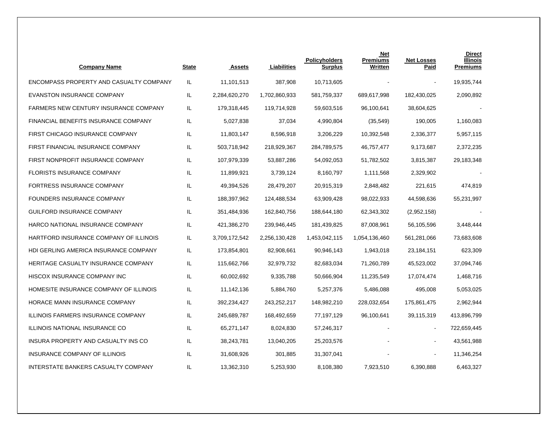| <b>Company Name</b>                          | State | <b>Assets</b> | Liabilities   | <b>Policyholders</b><br><b>Surplus</b> | <b>Net</b><br><b>Premiums</b><br><b>Written</b> | <b>Net Losses</b><br><b>Paid</b> | <b>Direct</b><br><b>Illinois</b><br><b>Premiums</b> |
|----------------------------------------------|-------|---------------|---------------|----------------------------------------|-------------------------------------------------|----------------------------------|-----------------------------------------------------|
| ENCOMPASS PROPERTY AND CASUALTY COMPANY      | IL    | 11,101,513    | 387,908       | 10,713,605                             |                                                 |                                  | 19,935,744                                          |
| <b>EVANSTON INSURANCE COMPANY</b>            | IL    | 2,284,620,270 | 1,702,860,933 | 581,759,337                            | 689,617,998                                     | 182,430,025                      | 2,090,892                                           |
| <b>FARMERS NEW CENTURY INSURANCE COMPANY</b> | IL.   | 179,318,445   | 119,714,928   | 59,603,516                             | 96,100,641                                      | 38,604,625                       |                                                     |
| FINANCIAL BENEFITS INSURANCE COMPANY         | IL    | 5,027,838     | 37,034        | 4,990,804                              | (35, 549)                                       | 190,005                          | 1,160,083                                           |
| FIRST CHICAGO INSURANCE COMPANY              | IL    | 11,803,147    | 8,596,918     | 3,206,229                              | 10,392,548                                      | 2,336,377                        | 5,957,115                                           |
| FIRST FINANCIAL INSURANCE COMPANY            | IL    | 503,718,942   | 218,929,367   | 284,789,575                            | 46,757,477                                      | 9,173,687                        | 2,372,235                                           |
| FIRST NONPROFIT INSURANCE COMPANY            | IL    | 107,979,339   | 53,887,286    | 54,092,053                             | 51,782,502                                      | 3,815,387                        | 29,183,348                                          |
| <b>FLORISTS INSURANCE COMPANY</b>            | IL    | 11,899,921    | 3,739,124     | 8,160,797                              | 1,111,568                                       | 2,329,902                        |                                                     |
| FORTRESS INSURANCE COMPANY                   | IL    | 49,394,526    | 28,479,207    | 20,915,319                             | 2,848,482                                       | 221,615                          | 474,819                                             |
| FOUNDERS INSURANCE COMPANY                   | IL    | 188,397,962   | 124,488,534   | 63,909,428                             | 98,022,933                                      | 44,598,636                       | 55,231,997                                          |
| GUILFORD INSURANCE COMPANY                   | IL    | 351,484,936   | 162,840,756   | 188,644,180                            | 62,343,302                                      | (2,952,158)                      |                                                     |
| HARCO NATIONAL INSURANCE COMPANY             | IL    | 421,386,270   | 239,946,445   | 181,439,825                            | 87,008,961                                      | 56,105,596                       | 3,448,444                                           |
| HARTFORD INSURANCE COMPANY OF ILLINOIS       | IL    | 3,709,172,542 | 2,256,130,428 | 1,453,042,115                          | 1,054,136,460                                   | 561,281,066                      | 73,683,608                                          |
| HDI GERLING AMERICA INSURANCE COMPANY        | IL    | 173,854,801   | 82,908,661    | 90,946,143                             | 1,943,018                                       | 23, 184, 151                     | 623,309                                             |
| HERITAGE CASUALTY INSURANCE COMPANY          | IL    | 115,662,766   | 32,979,732    | 82,683,034                             | 71,260,789                                      | 45,523,002                       | 37,094,746                                          |
| HISCOX INSURANCE COMPANY INC                 | IL    | 60,002,692    | 9,335,788     | 50,666,904                             | 11,235,549                                      | 17,074,474                       | 1,468,716                                           |
| HOMESITE INSURANCE COMPANY OF ILLINOIS       | IL    | 11,142,136    | 5,884,760     | 5,257,376                              | 5,486,088                                       | 495,008                          | 5,053,025                                           |
| HORACE MANN INSURANCE COMPANY                | IL    | 392,234,427   | 243,252,217   | 148,982,210                            | 228,032,654                                     | 175,861,475                      | 2,962,944                                           |
| ILLINOIS FARMERS INSURANCE COMPANY           | IL    | 245,689,787   | 168,492,659   | 77,197,129                             | 96,100,641                                      | 39,115,319                       | 413,896,799                                         |
| ILLINOIS NATIONAL INSURANCE CO               | IL    | 65,271,147    | 8,024,830     | 57,246,317                             |                                                 | $\blacksquare$                   | 722,659,445                                         |
| INSURA PROPERTY AND CASUALTY INS CO          | IL    | 38,243,781    | 13,040,205    | 25,203,576                             |                                                 |                                  | 43,561,988                                          |
| INSURANCE COMPANY OF ILLINOIS                | IL    | 31,608,926    | 301,885       | 31,307,041                             |                                                 |                                  | 11,346,254                                          |
| INTERSTATE BANKERS CASUALTY COMPANY          | IL.   | 13,362,310    | 5,253,930     | 8,108,380                              | 7,923,510                                       | 6,390,888                        | 6,463,327                                           |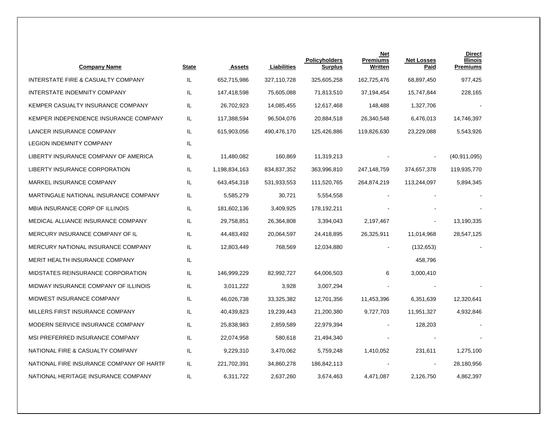| <b>Company Name</b>                      | <b>State</b> | <b>Assets</b> | Liabilities | <b>Policyholders</b><br><b>Surplus</b> | <b>Net</b><br><b>Premiums</b><br>Written | <b>Net Losses</b><br><b>Paid</b> | <b>Direct</b><br><b>Illinois</b><br><b>Premiums</b> |
|------------------------------------------|--------------|---------------|-------------|----------------------------------------|------------------------------------------|----------------------------------|-----------------------------------------------------|
| INTERSTATE FIRE & CASUALTY COMPANY       | IL.          | 652,715,986   | 327,110,728 | 325,605,258                            | 162,725,476                              | 68,897,450                       | 977,425                                             |
| INTERSTATE INDEMNITY COMPANY             | IL           | 147,418,598   | 75,605,088  | 71,813,510                             | 37,194,454                               | 15,747,844                       | 228,165                                             |
| KEMPER CASUALTY INSURANCE COMPANY        | IL.          | 26,702,923    | 14,085,455  | 12,617,468                             | 148,488                                  | 1,327,706                        |                                                     |
| KEMPER INDEPENDENCE INSURANCE COMPANY    | IL.          | 117,388,594   | 96,504,076  | 20,884,518                             | 26,340,548                               | 6,476,013                        | 14,746,397                                          |
| LANCER INSURANCE COMPANY                 | IL.          | 615,903,056   | 490,476,170 | 125,426,886                            | 119,826,630                              | 23,229,088                       | 5,543,926                                           |
| <b>LEGION INDEMNITY COMPANY</b>          | IL.          |               |             |                                        |                                          |                                  |                                                     |
| LIBERTY INSURANCE COMPANY OF AMERICA     | IL.          | 11,480,082    | 160,869     | 11,319,213                             |                                          |                                  | (40, 911, 095)                                      |
| LIBERTY INSURANCE CORPORATION            | IL           | 1,198,834,163 | 834,837,352 | 363,996,810                            | 247,148,759                              | 374,657,378                      | 119,935,770                                         |
| MARKEL INSURANCE COMPANY                 | IL.          | 643,454,318   | 531,933,553 | 111,520,765                            | 264,874,219                              | 113,244,097                      | 5,894,345                                           |
| MARTINGALE NATIONAL INSURANCE COMPANY    | IL.          | 5,585,279     | 30,721      | 5,554,558                              |                                          |                                  |                                                     |
| MBIA INSURANCE CORP OF ILLINOIS          | IL.          | 181,602,136   | 3,409,925   | 178,192,211                            |                                          |                                  |                                                     |
| MEDICAL ALLIANCE INSURANCE COMPANY       | IL           | 29,758,851    | 26,364,808  | 3,394,043                              | 2,197,467                                |                                  | 13,190,335                                          |
| MERCURY INSURANCE COMPANY OF IL          | IL.          | 44,483,492    | 20,064,597  | 24,418,895                             | 26,325,911                               | 11,014,968                       | 28,547,125                                          |
| MERCURY NATIONAL INSURANCE COMPANY       | IL.          | 12,803,449    | 768,569     | 12,034,880                             |                                          | (132, 653)                       |                                                     |
| MERIT HEALTH INSURANCE COMPANY           | IL.          |               |             |                                        |                                          | 458,796                          |                                                     |
| MIDSTATES REINSURANCE CORPORATION        | IL           | 146,999,229   | 82,992,727  | 64,006,503                             | 6                                        | 3,000,410                        |                                                     |
| MIDWAY INSURANCE COMPANY OF ILLINOIS     | IL.          | 3,011,222     | 3,928       | 3,007,294                              |                                          |                                  |                                                     |
| MIDWEST INSURANCE COMPANY                | IL.          | 46,026,738    | 33,325,382  | 12,701,356                             | 11,453,396                               | 6,351,639                        | 12,320,641                                          |
| MILLERS FIRST INSURANCE COMPANY          | IL           | 40,439,823    | 19,239,443  | 21,200,380                             | 9,727,703                                | 11,951,327                       | 4,932,846                                           |
| MODERN SERVICE INSURANCE COMPANY         | IL.          | 25,838,983    | 2,859,589   | 22,979,394                             |                                          | 128,203                          |                                                     |
| MSI PREFERRED INSURANCE COMPANY          | IL           | 22,074,958    | 580,618     | 21,494,340                             |                                          |                                  |                                                     |
| NATIONAL FIRE & CASUALTY COMPANY         | IL.          | 9,229,310     | 3,470,062   | 5,759,248                              | 1,410,052                                | 231,611                          | 1,275,100                                           |
| NATIONAL FIRE INSURANCE COMPANY OF HARTF | IL.          | 221,702,391   | 34,860,278  | 186,842,113                            |                                          |                                  | 28,180,956                                          |
| NATIONAL HERITAGE INSURANCE COMPANY      | IL           | 6,311,722     | 2,637,260   | 3,674,463                              | 4,471,087                                | 2,126,750                        | 4,862,397                                           |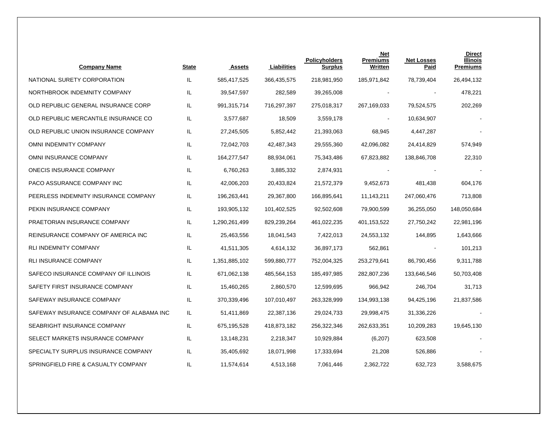| <b>Company Name</b>                      | <b>State</b> | <b>Assets</b> | Liabilities | Policyholders<br><b>Surplus</b> | <b>Net</b><br><b>Premiums</b><br>Written | <b>Net Losses</b><br>Paid | <b>Direct</b><br><b>Illinois</b><br><b>Premiums</b> |
|------------------------------------------|--------------|---------------|-------------|---------------------------------|------------------------------------------|---------------------------|-----------------------------------------------------|
| NATIONAL SURETY CORPORATION              | IL           | 585,417,525   | 366,435,575 | 218,981,950                     | 185,971,842                              | 78,739,404                | 26,494,132                                          |
| NORTHBROOK INDEMNITY COMPANY             | IL.          | 39,547,597    | 282,589     | 39,265,008                      |                                          |                           | 478,221                                             |
| OLD REPUBLIC GENERAL INSURANCE CORP      | IL.          | 991,315,714   | 716,297,397 | 275,018,317                     | 267,169,033                              | 79,524,575                | 202,269                                             |
| OLD REPUBLIC MERCANTILE INSURANCE CO     | IL.          | 3,577,687     | 18,509      | 3,559,178                       |                                          | 10,634,907                |                                                     |
| OLD REPUBLIC UNION INSURANCE COMPANY     | IL.          | 27,245,505    | 5,852,442   | 21,393,063                      | 68,945                                   | 4,447,287                 |                                                     |
| OMNI INDEMNITY COMPANY                   | IL.          | 72,042,703    | 42,487,343  | 29,555,360                      | 42,096,082                               | 24,414,829                | 574,949                                             |
| OMNI INSURANCE COMPANY                   | IL.          | 164,277,547   | 88,934,061  | 75,343,486                      | 67,823,882                               | 138,846,708               | 22,310                                              |
| ONECIS INSURANCE COMPANY                 | IL           | 6,760,263     | 3,885,332   | 2,874,931                       |                                          |                           |                                                     |
| PACO ASSURANCE COMPANY INC               | IL.          | 42,006,203    | 20,433,824  | 21,572,379                      | 9,452,673                                | 481,438                   | 604,176                                             |
| PEERLESS INDEMNITY INSURANCE COMPANY     | IL.          | 196,263,441   | 29,367,800  | 166,895,641                     | 11,143,211                               | 247,060,476               | 713,808                                             |
| PEKIN INSURANCE COMPANY                  | IL.          | 193,905,132   | 101,402,525 | 92,502,608                      | 79,900,599                               | 36,255,050                | 148,050,684                                         |
| PRAETORIAN INSURANCE COMPANY             | IL.          | 1,290,261,499 | 829,239,264 | 461,022,235                     | 401,153,522                              | 27,750,242                | 22,981,196                                          |
| REINSURANCE COMPANY OF AMERICA INC       | IL.          | 25,463,556    | 18,041,543  | 7,422,013                       | 24,553,132                               | 144,895                   | 1,643,666                                           |
| <b>RLI INDEMNITY COMPANY</b>             | IL.          | 41,511,305    | 4,614,132   | 36,897,173                      | 562,861                                  |                           | 101,213                                             |
| <b>RLI INSURANCE COMPANY</b>             | IL.          | 1,351,885,102 | 599,880,777 | 752,004,325                     | 253,279,641                              | 86,790,456                | 9,311,788                                           |
| SAFECO INSURANCE COMPANY OF ILLINOIS     | IL           | 671,062,138   | 485,564,153 | 185,497,985                     | 282,807,236                              | 133,646,546               | 50,703,408                                          |
| SAFETY FIRST INSURANCE COMPANY           | IL.          | 15,460,265    | 2,860,570   | 12,599,695                      | 966,942                                  | 246,704                   | 31,713                                              |
| SAFEWAY INSURANCE COMPANY                | IL.          | 370,339,496   | 107,010,497 | 263,328,999                     | 134,993,138                              | 94,425,196                | 21,837,586                                          |
| SAFEWAY INSURANCE COMPANY OF ALABAMA INC | IL.          | 51,411,869    | 22,387,136  | 29,024,733                      | 29,998,475                               | 31,336,226                |                                                     |
| SEABRIGHT INSURANCE COMPANY              | IL.          | 675,195,528   | 418,873,182 | 256,322,346                     | 262,633,351                              | 10,209,283                | 19,645,130                                          |
| SELECT MARKETS INSURANCE COMPANY         | IL.          | 13,148,231    | 2,218,347   | 10,929,884                      | (6, 207)                                 | 623,508                   |                                                     |
| SPECIALTY SURPLUS INSURANCE COMPANY      | IL.          | 35,405,692    | 18,071,998  | 17,333,694                      | 21,208                                   | 526,886                   |                                                     |
| SPRINGFIELD FIRE & CASUALTY COMPANY      | IL.          | 11,574,614    | 4,513,168   | 7,061,446                       | 2,362,722                                | 632,723                   | 3,588,675                                           |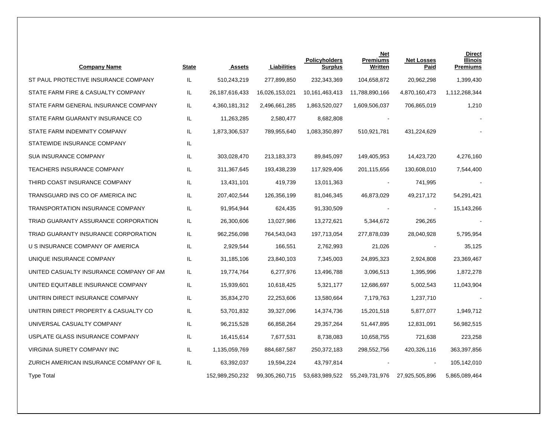| <b>Company Name</b>                     | State | <b>Assets</b>     | Liabilities    | <b>Policyholders</b><br><b>Surplus</b> | Net<br><b>Premiums</b><br>Written | <b>Net Losses</b><br><b>Paid</b> | <b>Direct</b><br><b>Illinois</b><br><b>Premiums</b> |
|-----------------------------------------|-------|-------------------|----------------|----------------------------------------|-----------------------------------|----------------------------------|-----------------------------------------------------|
| ST PAUL PROTECTIVE INSURANCE COMPANY    | IL    | 510,243,219       | 277,899,850    | 232,343,369                            | 104,658,872                       | 20,962,298                       | 1,399,430                                           |
| STATE FARM FIRE & CASUALTY COMPANY      | IL.   | 26, 187, 616, 433 | 16,026,153,021 | 10,161,463,413                         | 11,788,890,166                    | 4,870,160,473                    | 1,112,268,344                                       |
| STATE FARM GENERAL INSURANCE COMPANY    | IL.   | 4,360,181,312     | 2,496,661,285  | 1,863,520,027                          | 1,609,506,037                     | 706,865,019                      | 1,210                                               |
| STATE FARM GUARANTY INSURANCE CO        | IL.   | 11,263,285        | 2,580,477      | 8,682,808                              |                                   |                                  |                                                     |
| STATE FARM INDEMNITY COMPANY            | IL.   | 1,873,306,537     | 789,955,640    | 1,083,350,897                          | 510,921,781                       | 431,224,629                      |                                                     |
| STATEWIDE INSURANCE COMPANY             | IL    |                   |                |                                        |                                   |                                  |                                                     |
| <b>SUA INSURANCE COMPANY</b>            | IL    | 303,028,470       | 213, 183, 373  | 89,845,097                             | 149,405,953                       | 14,423,720                       | 4,276,160                                           |
| <b>TEACHERS INSURANCE COMPANY</b>       | IL    | 311,367,645       | 193,438,239    | 117,929,406                            | 201,115,656                       | 130,608,010                      | 7,544,400                                           |
| THIRD COAST INSURANCE COMPANY           | IL.   | 13,431,101        | 419,739        | 13,011,363                             |                                   | 741,995                          |                                                     |
| TRANSGUARD INS CO OF AMERICA INC        | IL    | 207,402,544       | 126,356,199    | 81,046,345                             | 46,873,029                        | 49,217,172                       | 54,291,421                                          |
| TRANSPORTATION INSURANCE COMPANY        | IL    | 91,954,944        | 624,435        | 91,330,509                             |                                   |                                  | 15,143,266                                          |
| TRIAD GUARANTY ASSURANCE CORPORATION    | IL.   | 26,300,606        | 13,027,986     | 13,272,621                             | 5,344,672                         | 296,265                          |                                                     |
| TRIAD GUARANTY INSURANCE CORPORATION    | IL    | 962,256,098       | 764,543,043    | 197,713,054                            | 277,878,039                       | 28,040,928                       | 5,795,954                                           |
| U S INSURANCE COMPANY OF AMERICA        | IL.   | 2,929,544         | 166,551        | 2,762,993                              | 21,026                            | $\blacksquare$                   | 35,125                                              |
| UNIQUE INSURANCE COMPANY                | IL.   | 31,185,106        | 23,840,103     | 7,345,003                              | 24,895,323                        | 2,924,808                        | 23,369,467                                          |
| UNITED CASUALTY INSURANCE COMPANY OF AM | IL.   | 19,774,764        | 6,277,976      | 13,496,788                             | 3,096,513                         | 1,395,996                        | 1,872,278                                           |
| UNITED EQUITABLE INSURANCE COMPANY      | IL    | 15,939,601        | 10,618,425     | 5,321,177                              | 12,686,697                        | 5,002,543                        | 11,043,904                                          |
| UNITRIN DIRECT INSURANCE COMPANY        | IL    | 35,834,270        | 22,253,606     | 13,580,664                             | 7,179,763                         | 1,237,710                        |                                                     |
| UNITRIN DIRECT PROPERTY & CASUALTY CO   | IL    | 53,701,832        | 39,327,096     | 14,374,736                             | 15,201,518                        | 5,877,077                        | 1,949,712                                           |
| UNIVERSAL CASUALTY COMPANY              | IL    | 96,215,528        | 66,858,264     | 29,357,264                             | 51,447,895                        | 12,831,091                       | 56,982,515                                          |
| USPLATE GLASS INSURANCE COMPANY         | IL.   | 16,415,614        | 7,677,531      | 8,738,083                              | 10,658,755                        | 721,638                          | 223,258                                             |
| VIRGINIA SURETY COMPANY INC             | IL.   | 1,135,059,769     | 884,687,587    | 250,372,183                            | 298,552,756                       | 420,326,116                      | 363,397,856                                         |
| ZURICH AMERICAN INSURANCE COMPANY OF IL | IL.   | 63,392,037        | 19,594,224     | 43,797,814                             |                                   |                                  | 105,142,010                                         |
| <b>Type Total</b>                       |       | 152,989,250,232   | 99,305,260,715 | 53,683,989,522                         | 55,249,731,976                    | 27,925,505,896                   | 5,865,089,464                                       |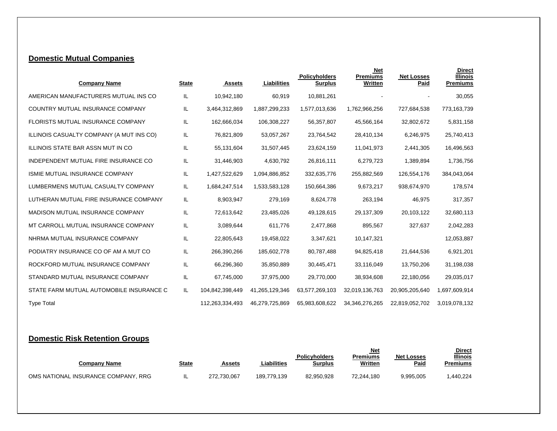### **Domestic Mutual Companies**

| <b>Company Name</b>                      | <b>State</b> | <b>Assets</b>   | Liabilities    | <b>Policyholders</b><br><b>Surplus</b> | <b>Net</b><br><b>Premiums</b><br>Written | <b>Net Losses</b><br>Paid | <b>Direct</b><br><b>Illinois</b><br><b>Premiums</b> |
|------------------------------------------|--------------|-----------------|----------------|----------------------------------------|------------------------------------------|---------------------------|-----------------------------------------------------|
| AMERICAN MANUFACTURERS MUTUAL INS CO     | IL           | 10,942,180      | 60,919         | 10.881.261                             | $\overline{\phantom{a}}$                 |                           | 30,055                                              |
| COUNTRY MUTUAL INSURANCE COMPANY         | IL           | 3,464,312,869   | 1,887,299,233  | 1,577,013,636                          | 1,762,966,256                            | 727,684,538               | 773,163,739                                         |
| FLORISTS MUTUAL INSURANCE COMPANY        | IL           | 162,666,034     | 106,308,227    | 56,357,807                             | 45,566,164                               | 32,802,672                | 5,831,158                                           |
| ILLINOIS CASUALTY COMPANY (A MUT INS CO) | IL           | 76,821,809      | 53,057,267     | 23,764,542                             | 28,410,134                               | 6,246,975                 | 25,740,413                                          |
| ILLINOIS STATE BAR ASSN MUT IN CO        | IL           | 55,131,604      | 31,507,445     | 23,624,159                             | 11,041,973                               | 2,441,305                 | 16,496,563                                          |
| INDEPENDENT MUTUAL FIRE INSURANCE CO     | IL           | 31,446,903      | 4,630,792      | 26,816,111                             | 6,279,723                                | 1,389,894                 | 1,736,756                                           |
| <b>ISMIE MUTUAL INSURANCE COMPANY</b>    | IL           | 1,427,522,629   | 1,094,886,852  | 332,635,776                            | 255,882,569                              | 126,554,176               | 384,043,064                                         |
| LUMBERMENS MUTUAL CASUALTY COMPANY       | IL           | 1,684,247,514   | 1,533,583,128  | 150,664,386                            | 9,673,217                                | 938,674,970               | 178,574                                             |
| LUTHERAN MUTUAL FIRE INSURANCE COMPANY   | IL           | 8,903,947       | 279,169        | 8,624,778                              | 263,194                                  | 46,975                    | 317,357                                             |
| MADISON MUTUAL INSURANCE COMPANY         | IL           | 72,613,642      | 23,485,026     | 49,128,615                             | 29,137,309                               | 20,103,122                | 32,680,113                                          |
| MT CARROLL MUTUAL INSURANCE COMPANY      | IL           | 3,089,644       | 611,776        | 2,477,868                              | 895,567                                  | 327,637                   | 2,042,283                                           |
| NHRMA MUTUAL INSURANCE COMPANY           | IL           | 22,805,643      | 19,458,022     | 3,347,621                              | 10,147,321                               |                           | 12,053,887                                          |
| PODIATRY INSURANCE CO OF AM A MUT CO     | IL           | 266,390,266     | 185,602,778    | 80,787,488                             | 94,825,418                               | 21,644,536                | 6,921,201                                           |
| ROCKFORD MUTUAL INSURANCE COMPANY        | IL           | 66,296,360      | 35,850,889     | 30,445,471                             | 33,116,049                               | 13,750,206                | 31,198,038                                          |
| STANDARD MUTUAL INSURANCE COMPANY        | IL           | 67,745,000      | 37,975,000     | 29,770,000                             | 38,934,608                               | 22,180,056                | 29,035,017                                          |
| STATE FARM MUTUAL AUTOMOBILE INSURANCE C | IL           | 104,842,398,449 | 41,265,129,346 | 63,577,269,103                         | 32,019,136,763                           | 20,905,205,640            | 1,697,609,914                                       |
| <b>Type Total</b>                        |              | 112,263,334,493 | 46,279,725,869 | 65,983,608,622                         | 34, 346, 276, 265                        | 22,819,052,702            | 3,019,078,132                                       |

## **Domestic Risk Retention Groups**

| Companv Name                        | <u>State</u> | <u>Assets</u> | Liabilities | <b>Policyholders</b><br><b>Surplus</b> | <u>Net</u><br>Premiums<br>Written | <b>Net Losses</b><br>Paid | <b>Direct</b><br><b>Illinois</b><br>Premiums |
|-------------------------------------|--------------|---------------|-------------|----------------------------------------|-----------------------------------|---------------------------|----------------------------------------------|
| OMS NATIONAL INSURANCE COMPANY, RRG |              | 272.730.067   | 189.779.139 | 82.950.928                             | 72.244.180                        | 9,995,005                 | .440.224                                     |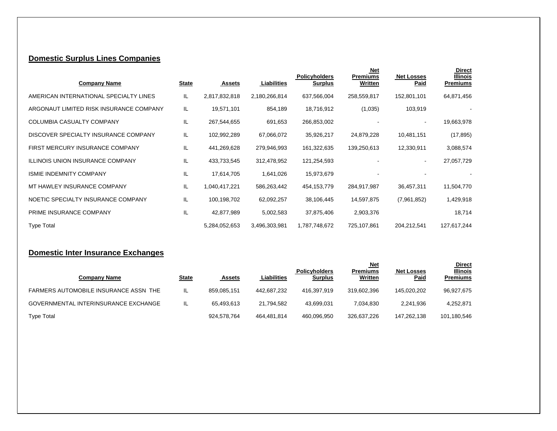# **Domestic Surplus Lines Companies**

| <b>Company Name</b>                     | <b>State</b> | <b>Assets</b> | Liabilities   | <b>Policyholders</b><br><b>Surplus</b> | <b>Net</b><br><b>Premiums</b><br>Written | <b>Net Losses</b><br>Paid | <b>Direct</b><br><b>Illinois</b><br><b>Premiums</b> |
|-----------------------------------------|--------------|---------------|---------------|----------------------------------------|------------------------------------------|---------------------------|-----------------------------------------------------|
| AMERICAN INTERNATIONAL SPECIALTY LINES  | IL           | 2,817,832,818 | 2,180,266,814 | 637,566,004                            | 258,559,817                              | 152,801,101               | 64,871,456                                          |
| ARGONAUT LIMITED RISK INSURANCE COMPANY | IL           | 19,571,101    | 854,189       | 18,716,912                             | (1,035)                                  | 103,919                   |                                                     |
| COLUMBIA CASUALTY COMPANY               | IL           | 267,544,655   | 691,653       | 266,853,002                            |                                          |                           | 19,663,978                                          |
| DISCOVER SPECIALTY INSURANCE COMPANY    | IL           | 102,992,289   | 67,066,072    | 35,926,217                             | 24,879,228                               | 10,481,151                | (17, 895)                                           |
| FIRST MERCURY INSURANCE COMPANY         | IL           | 441,269,628   | 279,946,993   | 161,322,635                            | 139,250,613                              | 12,330,911                | 3,088,574                                           |
| <b>ILLINOIS UNION INSURANCE COMPANY</b> | IL           | 433,733,545   | 312,478,952   | 121,254,593                            |                                          |                           | 27,057,729                                          |
| <b>ISMIE INDEMNITY COMPANY</b>          | IL           | 17,614,705    | 1,641,026     | 15,973,679                             |                                          |                           |                                                     |
| MT HAWLEY INSURANCE COMPANY             | IL           | 1,040,417,221 | 586,263,442   | 454,153,779                            | 284,917,987                              | 36,457,311                | 11,504,770                                          |
| NOETIC SPECIALTY INSURANCE COMPANY      | IL           | 100,198,702   | 62,092,257    | 38,106,445                             | 14,597,875                               | (7,961,852)               | 1,429,918                                           |
| PRIME INSURANCE COMPANY                 | IL           | 42,877,989    | 5,002,583     | 37,875,406                             | 2,903,376                                |                           | 18,714                                              |
| <b>Type Total</b>                       |              | 5,284,052,653 | 3,496,303,981 | 1,787,748,672                          | 725,107,861                              | 204,212,541               | 127,617,244                                         |

### **Domestic Inter Insurance Exchanges**

|                                       |              |               |             | <b>Policyholders</b> | <u>Net</u><br>Premiums | <b>Net Losses</b> | <b>Direct</b><br><b>Illinois</b> |
|---------------------------------------|--------------|---------------|-------------|----------------------|------------------------|-------------------|----------------------------------|
| <b>Company Name</b>                   | <b>State</b> | <b>Assets</b> | Liabilities | <b>Surplus</b>       | Written                | <b>Paid</b>       | <b>Premiums</b>                  |
| FARMERS AUTOMOBILE INSURANCE ASSN THE | ΙL           | 859.085.151   | 442.687.232 | 416.397.919          | 319,602,396            | 145.020.202       | 96,927,675                       |
| GOVERNMENTAL INTERINSURANCE EXCHANGE  | ΙL           | 65.493.613    | 21.794.582  | 43.699.031           | 7.034.830              | 2.241.936         | 4.252.871                        |
| <b>Type Total</b>                     |              | 924,578,764   | 464.481.814 | 460,096,950          | 326,637,226            | 147.262.138       | 101,180,546                      |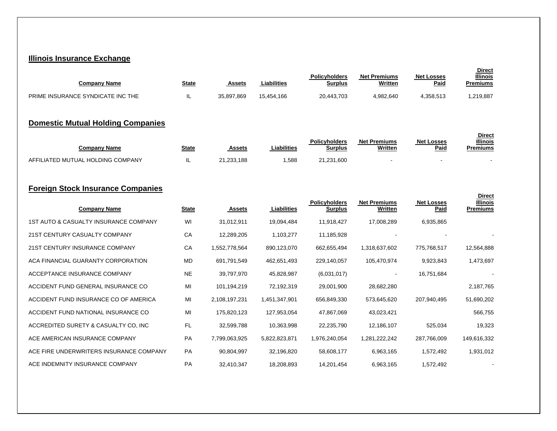#### **Illinois Insurance Exchange**

| Company Name                      | <b>State</b> | Assets     | Liabilities | <b>Policyholders</b><br><b>Surplus</b> | <b>Net Premiums</b><br>Written | <b>Net Losses</b><br><b>Paid</b> | <b>Direct</b><br><b>Illinois</b><br>Premiums |
|-----------------------------------|--------------|------------|-------------|----------------------------------------|--------------------------------|----------------------------------|----------------------------------------------|
| PRIME INSURANCE SYNDICATE INC THE | ℡            | 35,897,869 | 15.454.166  | 20.443.703                             | 4,982,640                      | 4.358.513                        | ,219,887                                     |

### **Domestic Mutual Holding Companies**

| Companv Name                      | <b>State</b> | Assets     | <b>Liabilities</b> | <b>Policyholders</b><br>Surplus | <b>Net Premiums</b><br>Written | <b>Net Losses</b><br><b>Paid</b> | <b>Direct</b><br><b>Illinois</b><br>Premiums |
|-----------------------------------|--------------|------------|--------------------|---------------------------------|--------------------------------|----------------------------------|----------------------------------------------|
| AFFILIATED MUTUAL HOLDING COMPANY |              | 21,233,188 | .588               | 21,231,600                      |                                |                                  |                                              |

 **Direct**

### **Foreign Stock Insurance Companies**

| <b>Company Name</b>                     | <b>State</b> | <u>Assets</u> | Liabilities   | <b>Policyholders</b><br><b>Surplus</b> | <b>Net Premiums</b><br>Written | <b>Net Losses</b><br>Paid | <b>Illinois</b><br><b>Premiums</b> |
|-----------------------------------------|--------------|---------------|---------------|----------------------------------------|--------------------------------|---------------------------|------------------------------------|
| 1ST AUTO & CASUALTY INSURANCE COMPANY   | WI           | 31,012,911    | 19,094,484    | 11,918,427                             | 17,008,289                     | 6,935,865                 |                                    |
| 21ST CENTURY CASUALTY COMPANY           | CA           | 12,289,205    | 1,103,277     | 11,185,928                             |                                |                           |                                    |
| 21ST CENTURY INSURANCE COMPANY          | CA           | 1,552,778,564 | 890,123,070   | 662,655,494                            | 1,318,637,602                  | 775,768,517               | 12,564,888                         |
| ACA FINANCIAL GUARANTY CORPORATION      | <b>MD</b>    | 691,791,549   | 462,651,493   | 229,140,057                            | 105,470,974                    | 9,923,843                 | 1,473,697                          |
| ACCEPTANCE INSURANCE COMPANY            | <b>NE</b>    | 39,797,970    | 45,828,987    | (6,031,017)                            |                                | 16,751,684                |                                    |
| ACCIDENT FUND GENERAL INSURANCE CO      | MI           | 101,194,219   | 72,192,319    | 29,001,900                             | 28,682,280                     |                           | 2,187,765                          |
| ACCIDENT FUND INSURANCE CO OF AMERICA   | MI           | 2,108,197,231 | 1,451,347,901 | 656,849,330                            | 573,645,620                    | 207,940,495               | 51,690,202                         |
| ACCIDENT FUND NATIONAL INSURANCE CO     | MI           | 175,820,123   | 127,953,054   | 47,867,069                             | 43,023,421                     |                           | 566,755                            |
| ACCREDITED SURETY & CASUALTY CO, INC    | <b>FL</b>    | 32,599,788    | 10,363,998    | 22,235,790                             | 12,186,107                     | 525,034                   | 19,323                             |
| ACE AMERICAN INSURANCE COMPANY          | PA           | 7,799,063,925 | 5,822,823,871 | 1,976,240,054                          | 1,281,222,242                  | 287,766,009               | 149,616,332                        |
| ACE FIRE UNDERWRITERS INSURANCE COMPANY | <b>PA</b>    | 90,804,997    | 32,196,820    | 58,608,177                             | 6,963,165                      | 1,572,492                 | 1,931,012                          |
| ACE INDEMNITY INSURANCE COMPANY         | PA           | 32,410,347    | 18,208,893    | 14,201,454                             | 6,963,165                      | 1,572,492                 |                                    |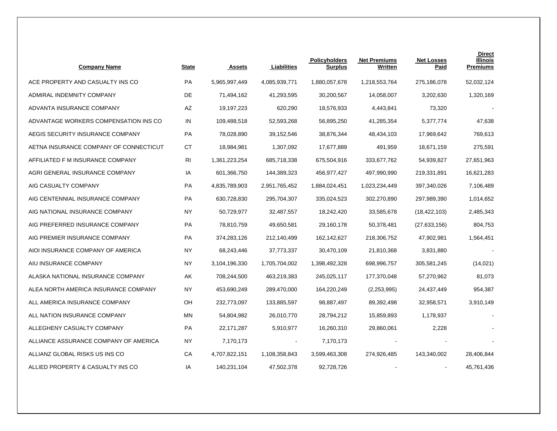| <b>Company Name</b>                    | <b>State</b> | <b>Assets</b> | Liabilities   | <b>Policyholders</b><br><b>Surplus</b> | <b>Net Premiums</b><br>Written | <b>Net Losses</b><br><u>Paid</u> | <b>Direct</b><br><b>Illinois</b><br><b>Premiums</b> |
|----------------------------------------|--------------|---------------|---------------|----------------------------------------|--------------------------------|----------------------------------|-----------------------------------------------------|
| ACE PROPERTY AND CASUALTY INS CO       | PA           | 5,965,997,449 | 4,085,939,771 | 1,880,057,678                          | 1,218,553,764                  | 275,186,078                      | 52,032,124                                          |
| ADMIRAL INDEMNITY COMPANY              | DE           | 71,494,162    | 41,293,595    | 30,200,567                             | 14,058,007                     | 3,202,630                        | 1,320,169                                           |
| ADVANTA INSURANCE COMPANY              | AZ           | 19,197,223    | 620,290       | 18,576,933                             | 4,443,841                      | 73,320                           |                                                     |
| ADVANTAGE WORKERS COMPENSATION INS CO  | IN           | 109,488,518   | 52,593,268    | 56,895,250                             | 41,285,354                     | 5,377,774                        | 47,638                                              |
| AEGIS SECURITY INSURANCE COMPANY       | PA           | 78,028,890    | 39,152,546    | 38,876,344                             | 48,434,103                     | 17,969,642                       | 769,613                                             |
| AETNA INSURANCE COMPANY OF CONNECTICUT | <b>CT</b>    | 18,984,981    | 1,307,092     | 17,677,889                             | 491,959                        | 18,671,159                       | 275,591                                             |
| AFFILIATED F M INSURANCE COMPANY       | RI           | 1,361,223,254 | 685,718,338   | 675,504,916                            | 333,677,762                    | 54,939,827                       | 27,651,963                                          |
| AGRI GENERAL INSURANCE COMPANY         | IA           | 601,366,750   | 144,389,323   | 456,977,427                            | 497,990,990                    | 219,331,891                      | 16,621,283                                          |
| AIG CASUALTY COMPANY                   | PA           | 4,835,789,903 | 2,951,765,452 | 1,884,024,451                          | 1,023,234,449                  | 397,340,026                      | 7,106,489                                           |
| AIG CENTENNIAL INSURANCE COMPANY       | PA           | 630,728,830   | 295,704,307   | 335,024,523                            | 302,270,890                    | 297,989,390                      | 1,014,652                                           |
| AIG NATIONAL INSURANCE COMPANY         | NY           | 50,729,977    | 32,487,557    | 18,242,420                             | 33,585,678                     | (18, 422, 103)                   | 2,485,343                                           |
| AIG PREFERRED INSURANCE COMPANY        | PA           | 78,810,759    | 49,650,581    | 29,160,178                             | 50,378,481                     | (27, 633, 156)                   | 804,753                                             |
| AIG PREMIER INSURANCE COMPANY          | PA           | 374,283,126   | 212,140,499   | 162,142,627                            | 218,306,752                    | 47,902,981                       | 1,564,451                                           |
| AIOI INSURANCE COMPANY OF AMERICA      | <b>NY</b>    | 68,243,446    | 37,773,337    | 30,470,109                             | 21,810,368                     | 3,831,880                        |                                                     |
| AIU INSURANCE COMPANY                  | <b>NY</b>    | 3,104,196,330 | 1,705,704,002 | 1,398,492,328                          | 698,996,757                    | 305,581,245                      | (14, 021)                                           |
| ALASKA NATIONAL INSURANCE COMPANY      | AK           | 708,244,500   | 463,219,383   | 245,025,117                            | 177,370,048                    | 57,270,962                       | 81,073                                              |
| ALEA NORTH AMERICA INSURANCE COMPANY   | NY           | 453,690,249   | 289,470,000   | 164,220,249                            | (2,253,995)                    | 24,437,449                       | 954,387                                             |
| ALL AMERICA INSURANCE COMPANY          | OH           | 232,773,097   | 133,885,597   | 98,887,497                             | 89,392,498                     | 32,958,571                       | 3,910,149                                           |
| ALL NATION INSURANCE COMPANY           | <b>MN</b>    | 54,804,982    | 26,010,770    | 28,794,212                             | 15,859,893                     | 1,178,937                        |                                                     |
| ALLEGHENY CASUALTY COMPANY             | PA           | 22, 171, 287  | 5,910,977     | 16,260,310                             | 29,860,061                     | 2,228                            |                                                     |
| ALLIANCE ASSURANCE COMPANY OF AMERICA  | NY           | 7,170,173     |               | 7,170,173                              |                                |                                  |                                                     |
| ALLIANZ GLOBAL RISKS US INS CO         | СA           | 4,707,822,151 | 1,108,358,843 | 3,599,463,308                          | 274,926,485                    | 143,340,002                      | 28,406,844                                          |
| ALLIED PROPERTY & CASUALTY INS CO      | IA           | 140,231,104   | 47,502,378    | 92,728,726                             |                                |                                  | 45,761,436                                          |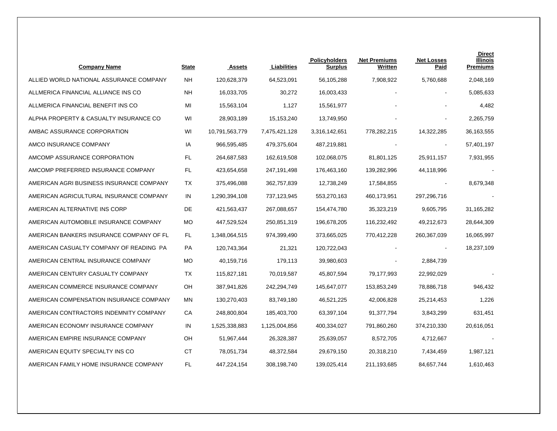| <b>Company Name</b>                      | <b>State</b> | <b>Assets</b>  | Liabilities   | <b>Policyholders</b><br><b>Surplus</b> | <b>Net Premiums</b><br>Written | <b>Net Losses</b><br>Paid | <b>Direct</b><br>Illinois<br><b>Premiums</b> |
|------------------------------------------|--------------|----------------|---------------|----------------------------------------|--------------------------------|---------------------------|----------------------------------------------|
| ALLIED WORLD NATIONAL ASSURANCE COMPANY  | <b>NH</b>    | 120,628,379    | 64,523,091    | 56,105,288                             | 7,908,922                      | 5,760,688                 | 2,048,169                                    |
| ALLMERICA FINANCIAL ALLIANCE INS CO      | <b>NH</b>    | 16,033,705     | 30,272        | 16,003,433                             |                                | $\mathbf{r}$              | 5,085,633                                    |
| ALLMERICA FINANCIAL BENEFIT INS CO       | MI           | 15,563,104     | 1,127         | 15,561,977                             |                                |                           | 4,482                                        |
| ALPHA PROPERTY & CASUALTY INSURANCE CO   | WI           | 28,903,189     | 15, 153, 240  | 13,749,950                             |                                |                           | 2,265,759                                    |
| AMBAC ASSURANCE CORPORATION              | WI           | 10,791,563,779 | 7,475,421,128 | 3,316,142,651                          | 778,282,215                    | 14,322,285                | 36,163,555                                   |
| AMCO INSURANCE COMPANY                   | IA           | 966,595,485    | 479,375,604   | 487,219,881                            |                                |                           | 57,401,197                                   |
| AMCOMP ASSURANCE CORPORATION             | FL.          | 264,687,583    | 162,619,508   | 102,068,075                            | 81,801,125                     | 25,911,157                | 7,931,955                                    |
| AMCOMP PREFERRED INSURANCE COMPANY       | FL           | 423,654,658    | 247,191,498   | 176,463,160                            | 139,282,996                    | 44,118,996                |                                              |
| AMERICAN AGRI BUSINESS INSURANCE COMPANY | <b>TX</b>    | 375,496,088    | 362,757,839   | 12,738,249                             | 17,584,855                     | $\blacksquare$            | 8,679,348                                    |
| AMERICAN AGRICULTURAL INSURANCE COMPANY  | IN           | 1,290,394,108  | 737,123,945   | 553,270,163                            | 460,173,951                    | 297,296,716               |                                              |
| AMERICAN ALTERNATIVE INS CORP            | DE           | 421,563,437    | 267,088,657   | 154,474,780                            | 35,323,219                     | 9,605,795                 | 31,165,282                                   |
| AMERICAN AUTOMOBILE INSURANCE COMPANY    | <b>MO</b>    | 447,529,524    | 250,851,319   | 196,678,205                            | 116,232,492                    | 49,212,673                | 28,644,309                                   |
| AMERICAN BANKERS INSURANCE COMPANY OF FL | FL.          | 1,348,064,515  | 974,399,490   | 373,665,025                            | 770,412,228                    | 260,367,039               | 16,065,997                                   |
| AMERICAN CASUALTY COMPANY OF READING PA  | PA           | 120,743,364    | 21,321        | 120,722,043                            |                                |                           | 18,237,109                                   |
| AMERICAN CENTRAL INSURANCE COMPANY       | <b>MO</b>    | 40,159,716     | 179,113       | 39,980,603                             |                                | 2,884,739                 |                                              |
| AMERICAN CENTURY CASUALTY COMPANY        | ТX           | 115,827,181    | 70,019,587    | 45,807,594                             | 79,177,993                     | 22,992,029                |                                              |
| AMERICAN COMMERCE INSURANCE COMPANY      | OH           | 387,941,826    | 242,294,749   | 145,647,077                            | 153,853,249                    | 78,886,718                | 946,432                                      |
| AMERICAN COMPENSATION INSURANCE COMPANY  | ΜN           | 130,270,403    | 83,749,180    | 46,521,225                             | 42,006,828                     | 25,214,453                | 1,226                                        |
| AMERICAN CONTRACTORS INDEMNITY COMPANY   | CA           | 248,800,804    | 185,403,700   | 63,397,104                             | 91,377,794                     | 3,843,299                 | 631,451                                      |
| AMERICAN ECONOMY INSURANCE COMPANY       | IN           | 1,525,338,883  | 1,125,004,856 | 400,334,027                            | 791,860,260                    | 374,210,330               | 20,616,051                                   |
| AMERICAN EMPIRE INSURANCE COMPANY        | OH           | 51,967,444     | 26,328,387    | 25,639,057                             | 8,572,705                      | 4,712,667                 |                                              |
| AMERICAN EQUITY SPECIALTY INS CO         | <b>CT</b>    | 78,051,734     | 48,372,584    | 29,679,150                             | 20,318,210                     | 7,434,459                 | 1,987,121                                    |
| AMERICAN FAMILY HOME INSURANCE COMPANY   | <b>FL</b>    | 447,224,154    | 308,198,740   | 139,025,414                            | 211,193,685                    | 84,657,744                | 1,610,463                                    |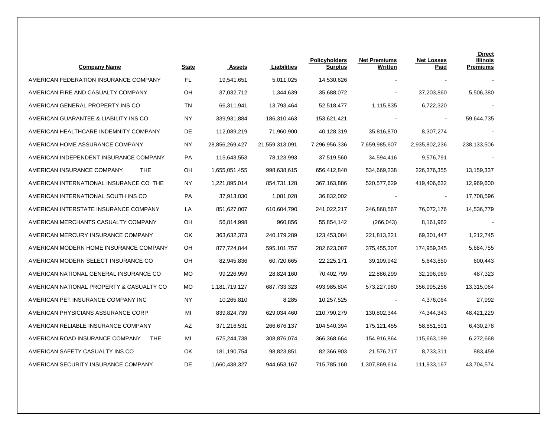| <b>Company Name</b>                           | <b>State</b> | <b>Assets</b>  | Liabilities    | <b>Policyholders</b><br>Surplus | <b>Net Premiums</b><br>Written | <b>Net Losses</b><br>Paid | <b>Direct</b><br>Illinois<br><b>Premiums</b> |
|-----------------------------------------------|--------------|----------------|----------------|---------------------------------|--------------------------------|---------------------------|----------------------------------------------|
| AMERICAN FEDERATION INSURANCE COMPANY         | FL           | 19,541,651     | 5,011,025      | 14,530,626                      |                                |                           |                                              |
| AMERICAN FIRE AND CASUALTY COMPANY            | OH           | 37,032,712     | 1,344,639      | 35,688,072                      |                                | 37,203,860                | 5,506,380                                    |
| AMERICAN GENERAL PROPERTY INS CO              | TN           | 66,311,941     | 13,793,464     | 52,518,477                      | 1,115,835                      | 6,722,320                 |                                              |
| AMERICAN GUARANTEE & LIABILITY INS CO         | <b>NY</b>    | 339,931,884    | 186,310,463    | 153,621,421                     |                                |                           | 59,644,735                                   |
| AMERICAN HEALTHCARE INDEMNITY COMPANY         | DE           | 112,089,219    | 71,960,900     | 40,128,319                      | 35,816,870                     | 8,307,274                 |                                              |
| AMERICAN HOME ASSURANCE COMPANY               | NY.          | 28,856,269,427 | 21,559,313,091 | 7,296,956,336                   | 7,659,985,607                  | 2,935,802,236             | 238,133,506                                  |
| AMERICAN INDEPENDENT INSURANCE COMPANY        | PA           | 115,643,553    | 78,123,993     | 37,519,560                      | 34,594,416                     | 9,576,791                 |                                              |
| AMERICAN INSURANCE COMPANY<br><b>THE</b>      | OН           | 1,655,051,455  | 998,638,615    | 656,412,840                     | 534,669,238                    | 226,376,355               | 13,159,337                                   |
| AMERICAN INTERNATIONAL INSURANCE CO THE       | NY.          | 1,221,895,014  | 854,731,128    | 367,163,886                     | 520,577,629                    | 419,406,632               | 12,969,600                                   |
| AMERICAN INTERNATIONAL SOUTH INS CO           | <b>PA</b>    | 37,913,030     | 1,081,028      | 36,832,002                      |                                |                           | 17,708,596                                   |
| AMERICAN INTERSTATE INSURANCE COMPANY         | LA           | 851,627,007    | 610,604,790    | 241,022,217                     | 246,868,567                    | 76,072,176                | 14,536,779                                   |
| AMERICAN MERCHANTS CASUALTY COMPANY           | OН           | 56,814,998     | 960,856        | 55,854,142                      | (266, 043)                     | 8,161,962                 |                                              |
| AMERICAN MERCURY INSURANCE COMPANY            | OK           | 363,632,373    | 240,179,289    | 123,453,084                     | 221,813,221                    | 69,301,447                | 1,212,745                                    |
| AMERICAN MODERN HOME INSURANCE COMPANY        | OH           | 877,724,844    | 595,101,757    | 282,623,087                     | 375,455,307                    | 174,959,345               | 5,684,755                                    |
| AMERICAN MODERN SELECT INSURANCE CO           | OH           | 82,945,836     | 60,720,665     | 22,225,171                      | 39,109,942                     | 5,643,850                 | 600,443                                      |
| AMERICAN NATIONAL GENERAL INSURANCE CO        | MO           | 99,226,959     | 28,824,160     | 70,402,799                      | 22,886,299                     | 32,196,969                | 487,323                                      |
| AMERICAN NATIONAL PROPERTY & CASUALTY CO      | MO.          | 1,181,719,127  | 687,733,323    | 493,985,804                     | 573,227,980                    | 356,995,256               | 13,315,064                                   |
| AMERICAN PET INSURANCE COMPANY INC            | <b>NY</b>    | 10,265,810     | 8,285          | 10,257,525                      | $\blacksquare$                 | 4,376,064                 | 27,992                                       |
| AMERICAN PHYSICIANS ASSURANCE CORP            | MI           | 839,824,739    | 629,034,460    | 210,790,279                     | 130,802,344                    | 74,344,343                | 48,421,229                                   |
| AMERICAN RELIABLE INSURANCE COMPANY           | AZ           | 371,216,531    | 266,676,137    | 104,540,394                     | 175,121,455                    | 58,851,501                | 6,430,278                                    |
| AMERICAN ROAD INSURANCE COMPANY<br><b>THE</b> | MI           | 675,244,738    | 308,876,074    | 366,368,664                     | 154,916,864                    | 115,663,199               | 6,272,668                                    |
| AMERICAN SAFETY CASUALTY INS CO               | OK           | 181,190,754    | 98,823,851     | 82,366,903                      | 21,576,717                     | 8,733,311                 | 883,459                                      |
| AMERICAN SECURITY INSURANCE COMPANY           | DE           | 1,660,438,327  | 944,653,167    | 715,785,160                     | 1,307,869,614                  | 111,933,167               | 43,704,574                                   |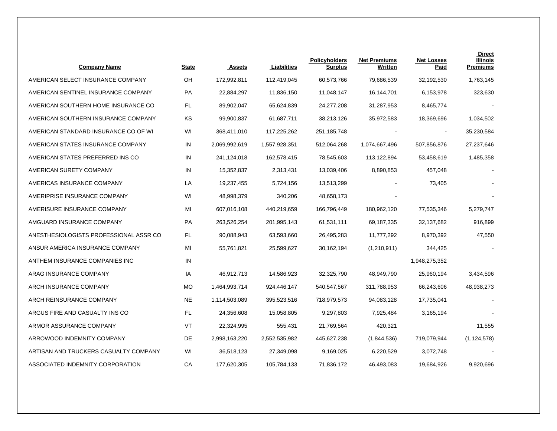| <b>Company Name</b>                    | <b>State</b> | <b>Assets</b> | Liabilities   | <b>Policyholders</b><br>Surplus | <b>Net Premiums</b><br>Written | <b>Net Losses</b><br>Paid | <b>Direct</b><br><b>Illinois</b><br><b>Premiums</b> |
|----------------------------------------|--------------|---------------|---------------|---------------------------------|--------------------------------|---------------------------|-----------------------------------------------------|
| AMERICAN SELECT INSURANCE COMPANY      | OH           | 172,992,811   | 112,419,045   | 60,573,766                      | 79,686,539                     | 32,192,530                | 1,763,145                                           |
| AMERICAN SENTINEL INSURANCE COMPANY    | PA           | 22,884,297    | 11,836,150    | 11,048,147                      | 16,144,701                     | 6,153,978                 | 323,630                                             |
| AMERICAN SOUTHERN HOME INSURANCE CO    | <b>FL</b>    | 89,902,047    | 65,624,839    | 24,277,208                      | 31,287,953                     | 8,465,774                 |                                                     |
| AMERICAN SOUTHERN INSURANCE COMPANY    | KS           | 99,900,837    | 61,687,711    | 38,213,126                      | 35,972,583                     | 18,369,696                | 1,034,502                                           |
| AMERICAN STANDARD INSURANCE CO OF WI   | WI           | 368,411,010   | 117,225,262   | 251, 185, 748                   |                                | $\overline{\phantom{a}}$  | 35,230,584                                          |
| AMERICAN STATES INSURANCE COMPANY      | IN           | 2,069,992,619 | 1,557,928,351 | 512,064,268                     | 1,074,667,496                  | 507,856,876               | 27,237,646                                          |
| AMERICAN STATES PREFERRED INS CO       | IN           | 241,124,018   | 162,578,415   | 78,545,603                      | 113,122,894                    | 53,458,619                | 1,485,358                                           |
| AMERICAN SURETY COMPANY                | IN           | 15,352,837    | 2,313,431     | 13,039,406                      | 8,890,853                      | 457,048                   |                                                     |
| AMERICAS INSURANCE COMPANY             | LA           | 19,237,455    | 5,724,156     | 13,513,299                      |                                | 73,405                    |                                                     |
| AMERIPRISE INSURANCE COMPANY           | WI           | 48,998,379    | 340,206       | 48,658,173                      |                                |                           |                                                     |
| AMERISURE INSURANCE COMPANY            | MI           | 607,016,108   | 440,219,659   | 166,796,449                     | 180,962,120                    | 77,535,346                | 5,279,747                                           |
| AMGUARD INSURANCE COMPANY              | PA           | 263,526,254   | 201,995,143   | 61,531,111                      | 69,187,335                     | 32,137,682                | 916,899                                             |
| ANESTHESIOLOGISTS PROFESSIONAL ASSR CO | FL           | 90,088,943    | 63,593,660    | 26,495,283                      | 11,777,292                     | 8,970,392                 | 47,550                                              |
| ANSUR AMERICA INSURANCE COMPANY        | MI           | 55,761,821    | 25,599,627    | 30,162,194                      | (1,210,911)                    | 344,425                   |                                                     |
| ANTHEM INSURANCE COMPANIES INC         | IN           |               |               |                                 |                                | 1,948,275,352             |                                                     |
| ARAG INSURANCE COMPANY                 | IA           | 46,912,713    | 14,586,923    | 32,325,790                      | 48,949,790                     | 25,960,194                | 3,434,596                                           |
| ARCH INSURANCE COMPANY                 | <b>MO</b>    | 1,464,993,714 | 924,446,147   | 540,547,567                     | 311,788,953                    | 66,243,606                | 48,938,273                                          |
| ARCH REINSURANCE COMPANY               | <b>NE</b>    | 1,114,503,089 | 395,523,516   | 718,979,573                     | 94,083,128                     | 17,735,041                |                                                     |
| ARGUS FIRE AND CASUALTY INS CO         | FL           | 24,356,608    | 15,058,805    | 9,297,803                       | 7,925,484                      | 3,165,194                 |                                                     |
| ARMOR ASSURANCE COMPANY                | VT           | 22,324,995    | 555,431       | 21,769,564                      | 420,321                        |                           | 11,555                                              |
| ARROWOOD INDEMNITY COMPANY             | DE           | 2,998,163,220 | 2,552,535,982 | 445,627,238                     | (1,844,536)                    | 719,079,944               | (1, 124, 578)                                       |
| ARTISAN AND TRUCKERS CASUALTY COMPANY  | WI           | 36,518,123    | 27,349,098    | 9,169,025                       | 6,220,529                      | 3,072,748                 |                                                     |
| ASSOCIATED INDEMNITY CORPORATION       | CA           | 177,620,305   | 105,784,133   | 71,836,172                      | 46,493,083                     | 19,684,926                | 9,920,696                                           |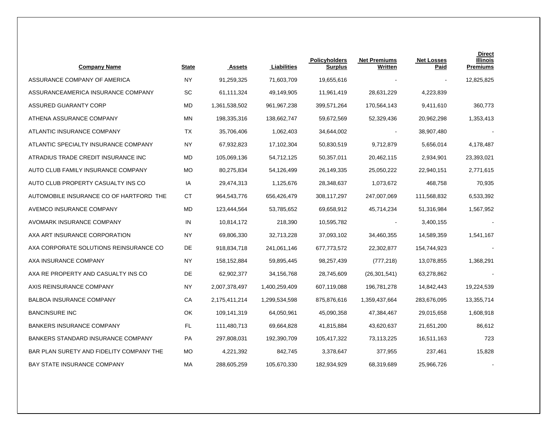| <b>Company Name</b>                       | <b>State</b> | <b>Assets</b> | Liabilities   | <b>Policyholders</b><br>Surplus | <b>Net Premiums</b><br>Written | <b>Net Losses</b><br><u>Paid</u> | <b>Direct</b><br>Illinois<br><b>Premiums</b> |
|-------------------------------------------|--------------|---------------|---------------|---------------------------------|--------------------------------|----------------------------------|----------------------------------------------|
| ASSURANCE COMPANY OF AMERICA              | <b>NY</b>    | 91,259,325    | 71,603,709    | 19,655,616                      |                                |                                  | 12,825,825                                   |
| ASSURANCEAMERICA INSURANCE COMPANY        | <b>SC</b>    | 61,111,324    | 49,149,905    | 11,961,419                      | 28,631,229                     | 4,223,839                        |                                              |
| ASSURED GUARANTY CORP                     | MD           | 1,361,538,502 | 961, 967, 238 | 399,571,264                     | 170,564,143                    | 9,411,610                        | 360,773                                      |
| ATHENA ASSURANCE COMPANY                  | ΜN           | 198,335,316   | 138,662,747   | 59,672,569                      | 52,329,436                     | 20,962,298                       | 1,353,413                                    |
| ATLANTIC INSURANCE COMPANY                | ТX           | 35,706,406    | 1,062,403     | 34,644,002                      | $\blacksquare$                 | 38,907,480                       |                                              |
| ATLANTIC SPECIALTY INSURANCE COMPANY      | ΝY           | 67,932,823    | 17,102,304    | 50,830,519                      | 9,712,879                      | 5,656,014                        | 4,178,487                                    |
| ATRADIUS TRADE CREDIT INSURANCE INC       | MD           | 105,069,136   | 54,712,125    | 50,357,011                      | 20,462,115                     | 2,934,901                        | 23,393,021                                   |
| AUTO CLUB FAMILY INSURANCE COMPANY        | МO           | 80,275,834    | 54,126,499    | 26,149,335                      | 25,050,222                     | 22,940,151                       | 2,771,615                                    |
| AUTO CLUB PROPERTY CASUALTY INS CO        | IA           | 29,474,313    | 1,125,676     | 28,348,637                      | 1,073,672                      | 468,758                          | 70,935                                       |
| AUTOMOBILE INSURANCE CO OF HARTFORD THE   | СT           | 964,543,776   | 656,426,479   | 308,117,297                     | 247,007,069                    | 111,568,832                      | 6,533,392                                    |
| AVEMCO INSURANCE COMPANY                  | MD           | 123,444,564   | 53,785,652    | 69,658,912                      | 45,714,234                     | 51,316,984                       | 1,567,952                                    |
| AVOMARK INSURANCE COMPANY                 | IN           | 10,814,172    | 218,390       | 10,595,782                      |                                | 3,400,155                        |                                              |
| AXA ART INSURANCE CORPORATION             | ΝY           | 69,806,330    | 32,713,228    | 37,093,102                      | 34,460,355                     | 14,589,359                       | 1,541,167                                    |
| AXA CORPORATE SOLUTIONS REINSURANCE CO    | DE           | 918,834,718   | 241,061,146   | 677,773,572                     | 22,302,877                     | 154,744,923                      |                                              |
| AXA INSURANCE COMPANY                     | NY.          | 158,152,884   | 59,895,445    | 98,257,439                      | (777, 218)                     | 13,078,855                       | 1,368,291                                    |
| AXA RE PROPERTY AND CASUALTY INS CO       | DE           | 62,902,377    | 34,156,768    | 28,745,609                      | (26, 301, 541)                 | 63,278,862                       |                                              |
| AXIS REINSURANCE COMPANY                  | NY.          | 2,007,378,497 | 1,400,259,409 | 607,119,088                     | 196,781,278                    | 14,842,443                       | 19,224,539                                   |
| <b>BALBOA INSURANCE COMPANY</b>           | СA           | 2,175,411,214 | 1,299,534,598 | 875,876,616                     | 1,359,437,664                  | 283,676,095                      | 13,355,714                                   |
| <b>BANCINSURE INC</b>                     | OK           | 109,141,319   | 64,050,961    | 45,090,358                      | 47,384,467                     | 29,015,658                       | 1,608,918                                    |
| <b>BANKERS INSURANCE COMPANY</b>          | FL           | 111,480,713   | 69,664,828    | 41,815,884                      | 43,620,637                     | 21,651,200                       | 86,612                                       |
| <b>BANKERS STANDARD INSURANCE COMPANY</b> | PA           | 297,808,031   | 192,390,709   | 105,417,322                     | 73,113,225                     | 16,511,163                       | 723                                          |
| BAR PLAN SURETY AND FIDELITY COMPANY THE  | MO           | 4,221,392     | 842,745       | 3,378,647                       | 377,955                        | 237,461                          | 15,828                                       |
| <b>BAY STATE INSURANCE COMPANY</b>        | МA           | 288,605,259   | 105,670,330   | 182,934,929                     | 68,319,689                     | 25,966,726                       |                                              |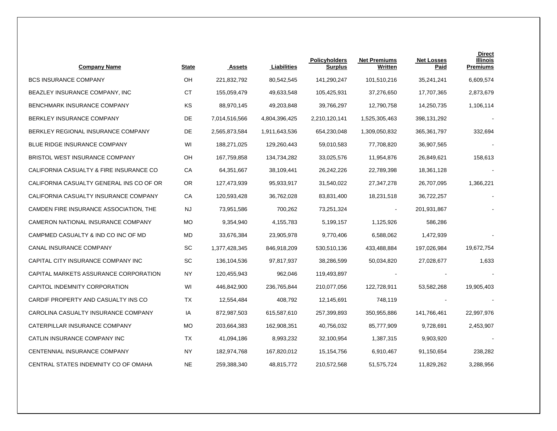| <b>Company Name</b>                      | <b>State</b> | <b>Assets</b> | Liabilities   | <b>Policyholders</b><br><b>Surplus</b> | <b>Net Premiums</b><br>Written | <b>Net Losses</b><br>Paid | <b>Direct</b><br>Illinois<br><b>Premiums</b> |
|------------------------------------------|--------------|---------------|---------------|----------------------------------------|--------------------------------|---------------------------|----------------------------------------------|
| <b>BCS INSURANCE COMPANY</b>             | OH           | 221,832,792   | 80,542,545    | 141,290,247                            | 101,510,216                    | 35,241,241                | 6,609,574                                    |
| BEAZLEY INSURANCE COMPANY, INC           | <b>CT</b>    | 155,059,479   | 49,633,548    | 105,425,931                            | 37,276,650                     | 17,707,365                | 2,873,679                                    |
| BENCHMARK INSURANCE COMPANY              | KS           | 88,970,145    | 49,203,848    | 39,766,297                             | 12,790,758                     | 14,250,735                | 1,106,114                                    |
| BERKLEY INSURANCE COMPANY                | DE           | 7,014,516,566 | 4,804,396,425 | 2,210,120,141                          | 1,525,305,463                  | 398,131,292               |                                              |
| BERKLEY REGIONAL INSURANCE COMPANY       | DE           | 2,565,873,584 | 1,911,643,536 | 654,230,048                            | 1,309,050,832                  | 365, 361, 797             | 332,694                                      |
| BLUE RIDGE INSURANCE COMPANY             | WI           | 188,271,025   | 129,260,443   | 59,010,583                             | 77,708,820                     | 36,907,565                |                                              |
| BRISTOL WEST INSURANCE COMPANY           | OН           | 167,759,858   | 134,734,282   | 33,025,576                             | 11,954,876                     | 26,849,621                | 158,613                                      |
| CALIFORNIA CASUALTY & FIRE INSURANCE CO  | СA           | 64,351,667    | 38,109,441    | 26,242,226                             | 22,789,398                     | 18,361,128                |                                              |
| CALIFORNIA CASUALTY GENERAL INS CO OF OR | OR.          | 127,473,939   | 95,933,917    | 31,540,022                             | 27,347,278                     | 26,707,095                | 1,366,221                                    |
| CALIFORNIA CASUALTY INSURANCE COMPANY    | СA           | 120,593,428   | 36,762,028    | 83,831,400                             | 18,231,518                     | 36,722,257                |                                              |
| CAMDEN FIRE INSURANCE ASSOCIATION, THE   | <b>NJ</b>    | 73,951,586    | 700,262       | 73,251,324                             | $\blacksquare$                 | 201,931,867               |                                              |
| CAMERON NATIONAL INSURANCE COMPANY       | <b>MO</b>    | 9,354,940     | 4,155,783     | 5,199,157                              | 1,125,926                      | 586,286                   |                                              |
| CAMPMED CASUALTY & IND CO INC OF MD      | MD           | 33,676,384    | 23,905,978    | 9,770,406                              | 6,588,062                      | 1,472,939                 |                                              |
| CANAL INSURANCE COMPANY                  | <b>SC</b>    | 1,377,428,345 | 846,918,209   | 530,510,136                            | 433,488,884                    | 197,026,984               | 19,672,754                                   |
| CAPITAL CITY INSURANCE COMPANY INC       | SC           | 136,104,536   | 97,817,937    | 38,286,599                             | 50,034,820                     | 27,028,677                | 1,633                                        |
| CAPITAL MARKETS ASSURANCE CORPORATION    | NY           | 120,455,943   | 962,046       | 119,493,897                            |                                |                           |                                              |
| CAPITOL INDEMNITY CORPORATION            | WI           | 446,842,900   | 236,765,844   | 210,077,056                            | 122,728,911                    | 53,582,268                | 19,905,403                                   |
| CARDIF PROPERTY AND CASUALTY INS CO      | ТX           | 12,554,484    | 408,792       | 12,145,691                             | 748,119                        |                           |                                              |
| CAROLINA CASUALTY INSURANCE COMPANY      | IA           | 872,987,503   | 615,587,610   | 257,399,893                            | 350,955,886                    | 141,766,461               | 22,997,976                                   |
| CATERPILLAR INSURANCE COMPANY            | <b>MO</b>    | 203,664,383   | 162,908,351   | 40,756,032                             | 85,777,909                     | 9,728,691                 | 2,453,907                                    |
| CATLIN INSURANCE COMPANY INC             | ТX           | 41,094,186    | 8,993,232     | 32,100,954                             | 1,387,315                      | 9,903,920                 |                                              |
| CENTENNIAL INSURANCE COMPANY             | NY           | 182,974,768   | 167,820,012   | 15,154,756                             | 6,910,467                      | 91,150,654                | 238,282                                      |
| CENTRAL STATES INDEMNITY CO OF OMAHA     | <b>NE</b>    | 259,388,340   | 48,815,772    | 210,572,568                            | 51,575,724                     | 11,829,262                | 3,288,956                                    |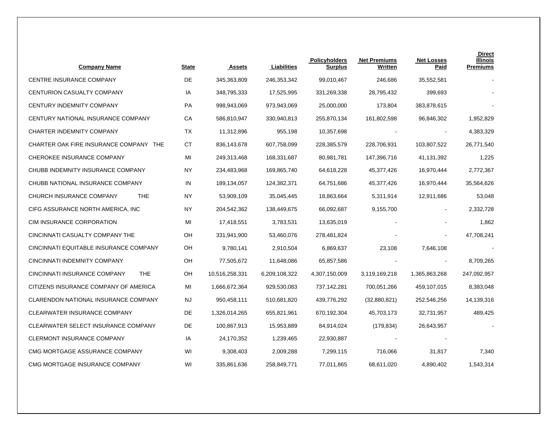| <b>Company Name</b>                        | <b>State</b> | <b>Assets</b>  | Liabilities   | <b>Policyholders</b><br>Surplus | <b>Net Premiums</b><br>Written | <b>Net Losses</b><br>Paid | <b>Direct</b><br>Illinois<br><b>Premiums</b> |
|--------------------------------------------|--------------|----------------|---------------|---------------------------------|--------------------------------|---------------------------|----------------------------------------------|
| CENTRE INSURANCE COMPANY                   | DE           | 345,363,809    | 246,353,342   | 99,010,467                      | 246,686                        | 35,552,581                |                                              |
| CENTURION CASUALTY COMPANY                 | IA           | 348,795,333    | 17,525,995    | 331,269,338                     | 28,795,432                     | 399,693                   |                                              |
| CENTURY INDEMNITY COMPANY                  | PA           | 998,943,069    | 973,943,069   | 25,000,000                      | 173,804                        | 383,878,615               |                                              |
| CENTURY NATIONAL INSURANCE COMPANY         | CA           | 586,810,947    | 330,940,813   | 255,870,134                     | 161,802,598                    | 96,846,302                | 1,952,829                                    |
| CHARTER INDEMNITY COMPANY                  | TX           | 11,312,896     | 955,198       | 10,357,698                      |                                |                           | 4,383,329                                    |
| CHARTER OAK FIRE INSURANCE COMPANY THE     | СT           | 836,143,678    | 607,758,099   | 228,385,579                     | 228,706,931                    | 103,807,522               | 26,771,540                                   |
| CHEROKEE INSURANCE COMPANY                 | MI           | 249,313,468    | 168,331,687   | 80,981,781                      | 147,396,716                    | 41,131,392                | 1,225                                        |
| CHUBB INDEMNITY INSURANCE COMPANY          | <b>NY</b>    | 234,483,968    | 169,865,740   | 64,618,228                      | 45,377,426                     | 16,970,444                | 2,772,367                                    |
| CHUBB NATIONAL INSURANCE COMPANY           | IN           | 189,134,057    | 124,382,371   | 64,751,686                      | 45,377,426                     | 16,970,444                | 35,564,626                                   |
| CHURCH INSURANCE COMPANY<br><b>THE</b>     | ΝY           | 53,909,109     | 35,045,445    | 18,863,664                      | 5,311,914                      | 12,911,686                | 53,048                                       |
| CIFG ASSURANCE NORTH AMERICA, INC          | ΝY           | 204,542,362    | 138,449,675   | 66,092,687                      | 9,155,700                      | $\overline{\phantom{a}}$  | 2,332,728                                    |
| CIM INSURANCE CORPORATION                  | MI           | 17,418,551     | 3,783,531     | 13,635,019                      |                                |                           | 1,862                                        |
| CINCINNATI CASUALTY COMPANY THE            | OН           | 331,941,900    | 53,460,076    | 278,481,824                     |                                |                           | 47,708,241                                   |
| CINCINNATI EQUITABLE INSURANCE COMPANY     | OH           | 9,780,141      | 2,910,504     | 6,869,637                       | 23,108                         | 7,646,108                 |                                              |
| CINCINNATI INDEMNITY COMPANY               | OH           | 77,505,672     | 11,648,086    | 65,857,586                      |                                | $\overline{\phantom{a}}$  | 8,709,265                                    |
| CINCINNATI INSURANCE COMPANY<br><b>THE</b> | OH           | 10,516,258,331 | 6,209,108,322 | 4,307,150,009                   | 3,119,169,218                  | 1,365,863,268             | 247,092,957                                  |
| CITIZENS INSURANCE COMPANY OF AMERICA      | MI           | 1,666,672,364  | 929,530,083   | 737,142,281                     | 700,051,266                    | 459,107,015               | 8,383,048                                    |
| CLARENDON NATIONAL INSURANCE COMPANY       | NJ           | 950,458,111    | 510,681,820   | 439,776,292                     | (32,880,821)                   | 252,546,256               | 14,139,316                                   |
| <b>CLEARWATER INSURANCE COMPANY</b>        | DE           | 1,326,014,265  | 655,821,961   | 670,192,304                     | 45,703,173                     | 32,731,957                | 489,425                                      |
| CLEARWATER SELECT INSURANCE COMPANY        | DE           | 100,867,913    | 15,953,889    | 84,914,024                      | (179, 834)                     | 26,643,957                |                                              |
| CLERMONT INSURANCE COMPANY                 | IA           | 24,170,352     | 1,239,465     | 22,930,887                      |                                |                           |                                              |
| CMG MORTGAGE ASSURANCE COMPANY             | WI           | 9,308,403      | 2,009,288     | 7,299,115                       | 716,066                        | 31,817                    | 7,340                                        |
| CMG MORTGAGE INSURANCE COMPANY             | WI           | 335,861,636    | 258,849,771   | 77,011,865                      | 68,611,020                     | 4,890,402                 | 1,543,314                                    |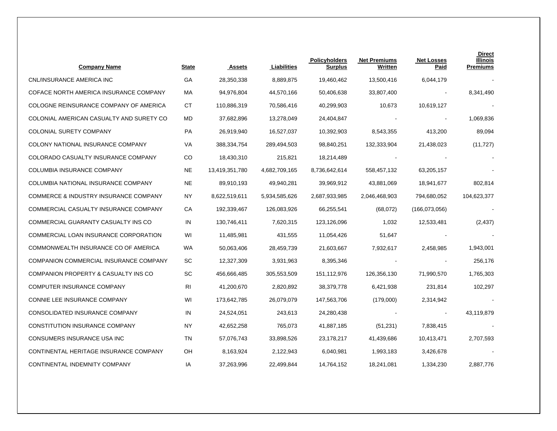| <b>Company Name</b>                              | <b>State</b> | <b>Assets</b>  | Liabilities   | <b>Policyholders</b><br><b>Surplus</b> | <b>Net Premiums</b><br>Written | <b>Net Losses</b><br>Paid | <b>Direct</b><br>Illinois<br><b>Premiums</b> |
|--------------------------------------------------|--------------|----------------|---------------|----------------------------------------|--------------------------------|---------------------------|----------------------------------------------|
| CNL/INSURANCE AMERICA INC                        | GA           | 28,350,338     | 8,889,875     | 19,460,462                             | 13,500,416                     | 6,044,179                 |                                              |
| COFACE NORTH AMERICA INSURANCE COMPANY           | МA           | 94,976,804     | 44,570,166    | 50,406,638                             | 33,807,400                     | $\blacksquare$            | 8,341,490                                    |
| COLOGNE REINSURANCE COMPANY OF AMERICA           | СT           | 110,886,319    | 70,586,416    | 40,299,903                             | 10,673                         | 10,619,127                |                                              |
| COLONIAL AMERICAN CASUALTY AND SURETY CO         | MD           | 37,682,896     | 13,278,049    | 24,404,847                             |                                |                           | 1,069,836                                    |
| <b>COLONIAL SURETY COMPANY</b>                   | PA           | 26,919,940     | 16,527,037    | 10,392,903                             | 8,543,355                      | 413,200                   | 89,094                                       |
| COLONY NATIONAL INSURANCE COMPANY                | VA           | 388,334,754    | 289,494,503   | 98,840,251                             | 132,333,904                    | 21,438,023                | (11, 727)                                    |
| COLORADO CASUALTY INSURANCE COMPANY              | CO           | 18,430,310     | 215,821       | 18,214,489                             |                                |                           |                                              |
| COLUMBIA INSURANCE COMPANY                       | <b>NE</b>    | 13,419,351,780 | 4,682,709,165 | 8,736,642,614                          | 558,457,132                    | 63,205,157                |                                              |
| COLUMBIA NATIONAL INSURANCE COMPANY              | NE           | 89,910,193     | 49,940,281    | 39,969,912                             | 43,881,069                     | 18,941,677                | 802,814                                      |
| <b>COMMERCE &amp; INDUSTRY INSURANCE COMPANY</b> | NY           | 8,622,519,611  | 5,934,585,626 | 2,687,933,985                          | 2,046,468,903                  | 794,680,052               | 104,623,377                                  |
| COMMERCIAL CASUALTY INSURANCE COMPANY            | СA           | 192,339,467    | 126,083,926   | 66,255,541                             | (68,072)                       | (166,073,056)             |                                              |
| COMMERCIAL GUARANTY CASUALTY INS CO              | IN           | 130,746,411    | 7,620,315     | 123,126,096                            | 1,032                          | 12,533,481                | (2, 437)                                     |
| COMMERCIAL LOAN INSURANCE CORPORATION            | WI           | 11,485,981     | 431,555       | 11,054,426                             | 51,647                         |                           |                                              |
| COMMONWEALTH INSURANCE CO OF AMERICA             | WA           | 50,063,406     | 28,459,739    | 21,603,667                             | 7,932,617                      | 2,458,985                 | 1,943,001                                    |
| COMPANION COMMERCIAL INSURANCE COMPANY           | SC           | 12,327,309     | 3,931,963     | 8,395,346                              |                                | $\blacksquare$            | 256,176                                      |
| COMPANION PROPERTY & CASUALTY INS CO             | SC           | 456,666,485    | 305,553,509   | 151,112,976                            | 126,356,130                    | 71,990,570                | 1,765,303                                    |
| COMPUTER INSURANCE COMPANY                       | RI           | 41,200,670     | 2,820,892     | 38,379,778                             | 6,421,938                      | 231,814                   | 102,297                                      |
| CONNIE LEE INSURANCE COMPANY                     | WI           | 173,642,785    | 26,079,079    | 147,563,706                            | (179,000)                      | 2,314,942                 |                                              |
| CONSOLIDATED INSURANCE COMPANY                   | IN           | 24,524,051     | 243,613       | 24,280,438                             |                                | $\blacksquare$            | 43,119,879                                   |
| CONSTITUTION INSURANCE COMPANY                   | <b>NY</b>    | 42,652,258     | 765,073       | 41,887,185                             | (51, 231)                      | 7,838,415                 |                                              |
| CONSUMERS INSURANCE USA INC                      | TN           | 57,076,743     | 33,898,526    | 23,178,217                             | 41,439,686                     | 10,413,471                | 2,707,593                                    |
| CONTINENTAL HERITAGE INSURANCE COMPANY           | OН           | 8,163,924      | 2,122,943     | 6,040,981                              | 1,993,183                      | 3,426,678                 |                                              |
| CONTINENTAL INDEMNITY COMPANY                    | IA           | 37,263,996     | 22,499,844    | 14,764,152                             | 18,241,081                     | 1,334,230                 | 2,887,776                                    |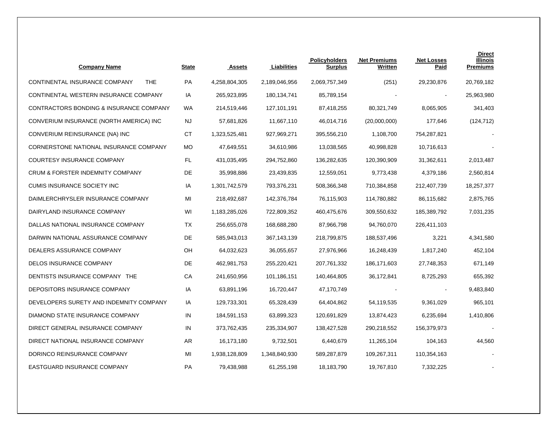| <b>Company Name</b>                         | <b>State</b> | <b>Assets</b> | Liabilities   | <b>Policyholders</b><br><b>Surplus</b> | <b>Net Premiums</b><br>Written | <b>Net Losses</b><br>Paid | <b>Direct</b><br><b>Illinois</b><br><b>Premiums</b> |
|---------------------------------------------|--------------|---------------|---------------|----------------------------------------|--------------------------------|---------------------------|-----------------------------------------------------|
| CONTINENTAL INSURANCE COMPANY<br><b>THE</b> | PA           | 4,258,804,305 | 2,189,046,956 | 2,069,757,349                          | (251)                          | 29,230,876                | 20,769,182                                          |
| CONTINENTAL WESTERN INSURANCE COMPANY       | IA           | 265,923,895   | 180, 134, 741 | 85,789,154                             |                                |                           | 25,963,980                                          |
| CONTRACTORS BONDING & INSURANCE COMPANY     | <b>WA</b>    | 214,519,446   | 127,101,191   | 87,418,255                             | 80,321,749                     | 8,065,905                 | 341,403                                             |
| CONVERIUM INSURANCE (NORTH AMERICA) INC     | NJ           | 57,681,826    | 11,667,110    | 46,014,716                             | (20,000,000)                   | 177,646                   | (124, 712)                                          |
| CONVERIUM REINSURANCE (NA) INC              | СT           | 1,323,525,481 | 927,969,271   | 395,556,210                            | 1,108,700                      | 754,287,821               |                                                     |
| CORNERSTONE NATIONAL INSURANCE COMPANY      | <b>MO</b>    | 47,649,551    | 34,610,986    | 13,038,565                             | 40,998,828                     | 10,716,613                |                                                     |
| COURTESY INSURANCE COMPANY                  | FL.          | 431,035,495   | 294,752,860   | 136,282,635                            | 120,390,909                    | 31,362,611                | 2,013,487                                           |
| CRUM & FORSTER INDEMNITY COMPANY            | DE           | 35,998,886    | 23,439,835    | 12,559,051                             | 9,773,438                      | 4,379,186                 | 2,560,814                                           |
| <b>CUMIS INSURANCE SOCIETY INC</b>          | IA           | 1,301,742,579 | 793,376,231   | 508,366,348                            | 710,384,858                    | 212,407,739               | 18,257,377                                          |
| DAIMLERCHRYSLER INSURANCE COMPANY           | MI           | 218,492,687   | 142,376,784   | 76,115,903                             | 114,780,882                    | 86,115,682                | 2,875,765                                           |
| DAIRYLAND INSURANCE COMPANY                 | WI           | 1,183,285,026 | 722,809,352   | 460,475,676                            | 309,550,632                    | 185,389,792               | 7,031,235                                           |
| DALLAS NATIONAL INSURANCE COMPANY           | ТX           | 256,655,078   | 168,688,280   | 87,966,798                             | 94,760,070                     | 226,411,103               |                                                     |
| DARWIN NATIONAL ASSURANCE COMPANY           | DE           | 585,943,013   | 367, 143, 139 | 218,799,875                            | 188,537,496                    | 3,221                     | 4,341,580                                           |
| DEALERS ASSURANCE COMPANY                   | OH           | 64,032,623    | 36,055,657    | 27,976,966                             | 16,248,439                     | 1,817,240                 | 452,104                                             |
| DELOS INSURANCE COMPANY                     | DE           | 462,981,753   | 255,220,421   | 207,761,332                            | 186,171,603                    | 27,748,353                | 671,149                                             |
| DENTISTS INSURANCE COMPANY THE              | CA           | 241,650,956   | 101,186,151   | 140,464,805                            | 36,172,841                     | 8,725,293                 | 655,392                                             |
| DEPOSITORS INSURANCE COMPANY                | IA           | 63,891,196    | 16,720,447    | 47,170,749                             |                                |                           | 9,483,840                                           |
| DEVELOPERS SURETY AND INDEMNITY COMPANY     | IA           | 129,733,301   | 65,328,439    | 64,404,862                             | 54,119,535                     | 9,361,029                 | 965,101                                             |
| DIAMOND STATE INSURANCE COMPANY             | IN           | 184,591,153   | 63,899,323    | 120,691,829                            | 13,874,423                     | 6,235,694                 | 1,410,806                                           |
| DIRECT GENERAL INSURANCE COMPANY            | IN           | 373,762,435   | 235,334,907   | 138,427,528                            | 290,218,552                    | 156,379,973               |                                                     |
| DIRECT NATIONAL INSURANCE COMPANY           | AR           | 16,173,180    | 9,732,501     | 6,440,679                              | 11,265,104                     | 104,163                   | 44,560                                              |
| DORINCO REINSURANCE COMPANY                 | MI           | 1,938,128,809 | 1,348,840,930 | 589,287,879                            | 109,267,311                    | 110,354,163               |                                                     |
| EASTGUARD INSURANCE COMPANY                 | <b>PA</b>    | 79,438,988    | 61,255,198    | 18,183,790                             | 19,767,810                     | 7,332,225                 |                                                     |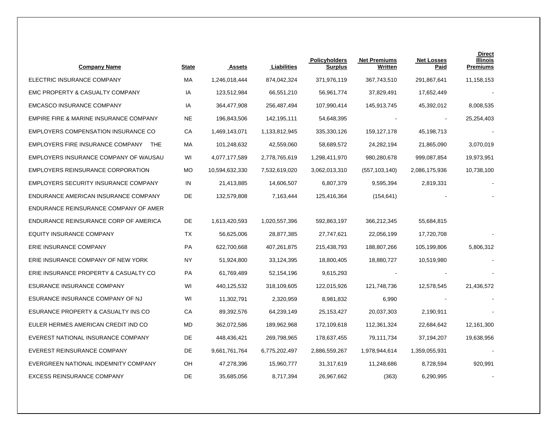| <b>Company Name</b>                      | <b>State</b> | Assets         | Liabilities   | <b>Policyholders</b><br><b>Surplus</b> | <b>Net Premiums</b><br>Written | <b>Net Losses</b><br>Paid | <b>Direct</b><br><b>Illinois</b><br><b>Premiums</b> |
|------------------------------------------|--------------|----------------|---------------|----------------------------------------|--------------------------------|---------------------------|-----------------------------------------------------|
| ELECTRIC INSURANCE COMPANY               | МA           | 1,246,018,444  | 874,042,324   | 371,976,119                            | 367,743,510                    | 291,867,641               | 11,158,153                                          |
| EMC PROPERTY & CASUALTY COMPANY          | IA           | 123,512,984    | 66,551,210    | 56,961,774                             | 37,829,491                     | 17,652,449                |                                                     |
| <b>EMCASCO INSURANCE COMPANY</b>         | IA           | 364,477,908    | 256,487,494   | 107,990,414                            | 145,913,745                    | 45,392,012                | 8,008,535                                           |
| EMPIRE FIRE & MARINE INSURANCE COMPANY   | NE           | 196,843,506    | 142,195,111   | 54,648,395                             |                                |                           | 25,254,403                                          |
| EMPLOYERS COMPENSATION INSURANCE CO      | CA           | 1,469,143,071  | 1,133,812,945 | 335,330,126                            | 159, 127, 178                  | 45,198,713                |                                                     |
| EMPLOYERS FIRE INSURANCE COMPANY THE     | МA           | 101,248,632    | 42,559,060    | 58,689,572                             | 24,282,194                     | 21,865,090                | 3,070,019                                           |
| EMPLOYERS INSURANCE COMPANY OF WAUSAU    | WI           | 4,077,177,589  | 2,778,765,619 | 1,298,411,970                          | 980,280,678                    | 999,087,854               | 19,973,951                                          |
| <b>EMPLOYERS REINSURANCE CORPORATION</b> | MO           | 10,594,632,330 | 7,532,619,020 | 3,062,013,310                          | (557, 103, 140)                | 2,086,175,936             | 10,738,100                                          |
| EMPLOYERS SECURITY INSURANCE COMPANY     | IN           | 21,413,885     | 14,606,507    | 6,807,379                              | 9,595,394                      | 2,819,331                 |                                                     |
| ENDURANCE AMERICAN INSURANCE COMPANY     | DE           | 132,579,808    | 7,163,444     | 125,416,364                            | (154, 641)                     |                           |                                                     |
| ENDURANCE REINSURANCE COMPANY OF AMER    |              |                |               |                                        |                                |                           |                                                     |
| ENDURANCE REINSURANCE CORP OF AMERICA    | DE           | 1,613,420,593  | 1,020,557,396 | 592,863,197                            | 366,212,345                    | 55,684,815                |                                                     |
| <b>EQUITY INSURANCE COMPANY</b>          | ТX           | 56,625,006     | 28,877,385    | 27,747,621                             | 22,056,199                     | 17,720,708                |                                                     |
| ERIE INSURANCE COMPANY                   | PA           | 622,700,668    | 407,261,875   | 215,438,793                            | 188,807,266                    | 105,199,806               | 5,806,312                                           |
| ERIE INSURANCE COMPANY OF NEW YORK       | ΝY           | 51,924,800     | 33,124,395    | 18,800,405                             | 18,880,727                     | 10,519,980                |                                                     |
| ERIE INSURANCE PROPERTY & CASUALTY CO    | PA           | 61,769,489     | 52,154,196    | 9,615,293                              |                                |                           |                                                     |
| ESURANCE INSURANCE COMPANY               | WI           | 440,125,532    | 318,109,605   | 122,015,926                            | 121,748,736                    | 12,578,545                | 21,436,572                                          |
| ESURANCE INSURANCE COMPANY OF NJ         | WI           | 11,302,791     | 2,320,959     | 8,981,832                              | 6,990                          |                           |                                                     |
| ESURANCE PROPERTY & CASUALTY INS CO      | СA           | 89,392,576     | 64,239,149    | 25,153,427                             | 20,037,303                     | 2,190,911                 |                                                     |
| EULER HERMES AMERICAN CREDIT IND CO      | MD           | 362,072,586    | 189,962,968   | 172,109,618                            | 112,361,324                    | 22,684,642                | 12,161,300                                          |
| EVEREST NATIONAL INSURANCE COMPANY       | DE           | 448,436,421    | 269,798,965   | 178,637,455                            | 79,111,734                     | 37,194,207                | 19,638,956                                          |
| EVEREST REINSURANCE COMPANY              | DE           | 9,661,761,764  | 6,775,202,497 | 2,886,559,267                          | 1,978,944,614                  | 1,359,055,931             |                                                     |
| EVERGREEN NATIONAL INDEMNITY COMPANY     | OH           | 47,278,396     | 15,960,777    | 31,317,619                             | 11,248,686                     | 8,728,594                 | 920,991                                             |
| <b>EXCESS REINSURANCE COMPANY</b>        | DE           | 35,685,056     | 8,717,394     | 26,967,662                             | (363)                          | 6,290,995                 |                                                     |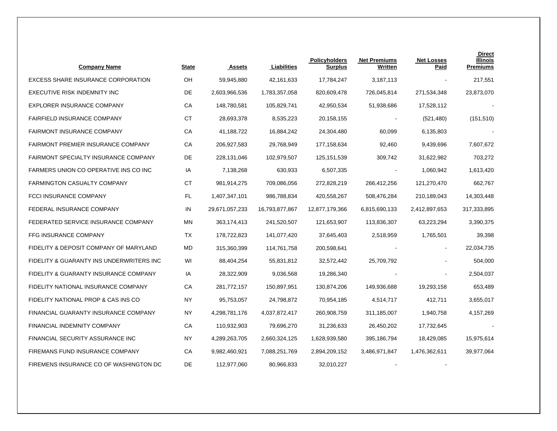| <b>Company Name</b>                       | <b>State</b> | <b>Assets</b>  | Liabilities    | Policyholders<br><b>Surplus</b> | <b>Net Premiums</b><br>Written | <b>Net Losses</b><br>Paid | <b>Direct</b><br>Illinois<br><b>Premiums</b> |
|-------------------------------------------|--------------|----------------|----------------|---------------------------------|--------------------------------|---------------------------|----------------------------------------------|
| EXCESS SHARE INSURANCE CORPORATION        | OH           | 59,945,880     | 42,161,633     | 17,784,247                      | 3,187,113                      |                           | 217,551                                      |
| EXECUTIVE RISK INDEMNITY INC              | DE           | 2,603,966,536  | 1,783,357,058  | 820,609,478                     | 726,045,814                    | 271,534,348               | 23,873,070                                   |
| EXPLORER INSURANCE COMPANY                | СA           | 148,780,581    | 105,829,741    | 42,950,534                      | 51,938,686                     | 17,528,112                |                                              |
| <b>FAIRFIELD INSURANCE COMPANY</b>        | <b>CT</b>    | 28,693,378     | 8,535,223      | 20,158,155                      |                                | (521, 480)                | (151, 510)                                   |
| <b>FAIRMONT INSURANCE COMPANY</b>         | CA           | 41,188,722     | 16,884,242     | 24,304,480                      | 60,099                         | 6,135,803                 |                                              |
| <b>FAIRMONT PREMIER INSURANCE COMPANY</b> | СA           | 206,927,583    | 29,768,949     | 177,158,634                     | 92,460                         | 9,439,696                 | 7,607,672                                    |
| FAIRMONT SPECIALTY INSURANCE COMPANY      | DE           | 228,131,046    | 102,979,507    | 125, 151, 539                   | 309,742                        | 31,622,982                | 703,272                                      |
| FARMERS UNION CO OPERATIVE INS CO INC     | IA           | 7,138,268      | 630,933        | 6,507,335                       |                                | 1,060,942                 | 1,613,420                                    |
| <b>FARMINGTON CASUALTY COMPANY</b>        | СT           | 981,914,275    | 709,086,056    | 272,828,219                     | 266,412,256                    | 121,270,470               | 662,767                                      |
| FCCI INSURANCE COMPANY                    | FL           | 1,407,347,101  | 986,788,834    | 420,558,267                     | 508,476,284                    | 210,189,043               | 14,303,448                                   |
| FEDERAL INSURANCE COMPANY                 | IN           | 29,671,057,233 | 16,793,877,867 | 12,877,179,366                  | 6,815,690,133                  | 2,412,897,653             | 317,333,895                                  |
| FEDERATED SERVICE INSURANCE COMPANY       | ΜN           | 363, 174, 413  | 241,520,507    | 121,653,907                     | 113,836,307                    | 63,223,294                | 3,390,375                                    |
| FFG INSURANCE COMPANY                     | TX           | 178,722,823    | 141,077,420    | 37,645,403                      | 2,518,959                      | 1,765,501                 | 39,398                                       |
| FIDELITY & DEPOSIT COMPANY OF MARYLAND    | MD           | 315,360,399    | 114,761,758    | 200,598,641                     |                                | $\blacksquare$            | 22,034,735                                   |
| FIDELITY & GUARANTY INS UNDERWRITERS INC  | WI           | 88,404,254     | 55,831,812     | 32,572,442                      | 25,709,792                     |                           | 504,000                                      |
| FIDELITY & GUARANTY INSURANCE COMPANY     | IA           | 28,322,909     | 9,036,568      | 19,286,340                      |                                |                           | 2,504,037                                    |
| FIDELITY NATIONAL INSURANCE COMPANY       | СA           | 281,772,157    | 150,897,951    | 130,874,206                     | 149,936,688                    | 19,293,158                | 653,489                                      |
| FIDELITY NATIONAL PROP & CAS INS CO       | <b>NY</b>    | 95,753,057     | 24,798,872     | 70,954,185                      | 4,514,717                      | 412,711                   | 3,655,017                                    |
| FINANCIAL GUARANTY INSURANCE COMPANY      | NY           | 4,298,781,176  | 4,037,872,417  | 260,908,759                     | 311,185,007                    | 1,940,758                 | 4,157,269                                    |
| FINANCIAL INDEMNITY COMPANY               | СA           | 110,932,903    | 79,696,270     | 31,236,633                      | 26,450,202                     | 17,732,645                |                                              |
| FINANCIAL SECURITY ASSURANCE INC          | NY.          | 4,289,263,705  | 2,660,324,125  | 1,628,939,580                   | 395,186,794                    | 18,429,085                | 15,975,614                                   |
| FIREMANS FUND INSURANCE COMPANY           | CA           | 9,982,460,921  | 7,088,251,769  | 2,894,209,152                   | 3,486,971,847                  | 1,476,362,611             | 39,977,064                                   |
| FIREMENS INSURANCE CO OF WASHINGTON DC    | DE           | 112,977,060    | 80,966,833     | 32,010,227                      |                                |                           |                                              |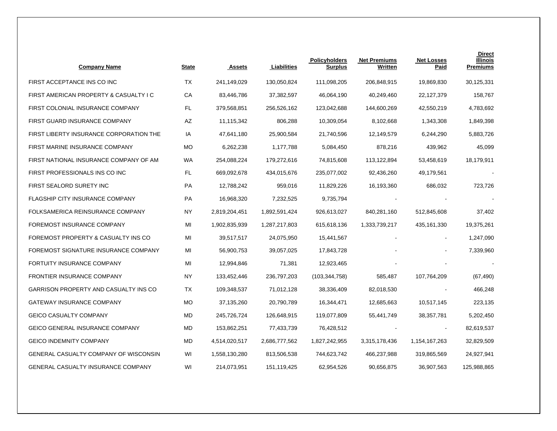| <b>Company Name</b>                       | <b>State</b> | <b>Assets</b> | Liabilities   | <b>Policyholders</b><br><b>Surplus</b> | <b>Net Premiums</b><br>Written | <b>Net Losses</b><br>Paid | <b>Direct</b><br><b>Illinois</b><br><b>Premiums</b> |
|-------------------------------------------|--------------|---------------|---------------|----------------------------------------|--------------------------------|---------------------------|-----------------------------------------------------|
| FIRST ACCEPTANCE INS CO INC               | ТX           | 241,149,029   | 130,050,824   | 111,098,205                            | 206,848,915                    | 19,869,830                | 30,125,331                                          |
| FIRST AMERICAN PROPERTY & CASUALTY I C    | СA           | 83,446,786    | 37,382,597    | 46,064,190                             | 40,249,460                     | 22,127,379                | 158,767                                             |
| FIRST COLONIAL INSURANCE COMPANY          | FL.          | 379,568,851   | 256,526,162   | 123,042,688                            | 144,600,269                    | 42,550,219                | 4,783,692                                           |
| FIRST GUARD INSURANCE COMPANY             | AZ           | 11,115,342    | 806,288       | 10,309,054                             | 8,102,668                      | 1,343,308                 | 1,849,398                                           |
| FIRST LIBERTY INSURANCE CORPORATION THE   | IA           | 47,641,180    | 25,900,584    | 21,740,596                             | 12,149,579                     | 6,244,290                 | 5,883,726                                           |
| FIRST MARINE INSURANCE COMPANY            | <b>MO</b>    | 6,262,238     | 1,177,788     | 5,084,450                              | 878,216                        | 439,962                   | 45,099                                              |
| FIRST NATIONAL INSURANCE COMPANY OF AM    | <b>WA</b>    | 254,088,224   | 179,272,616   | 74,815,608                             | 113,122,894                    | 53,458,619                | 18,179,911                                          |
| FIRST PROFESSIONALS INS CO INC            | FL.          | 669,092,678   | 434,015,676   | 235,077,002                            | 92,436,260                     | 49,179,561                |                                                     |
| FIRST SEALORD SURETY INC                  | PA           | 12,788,242    | 959,016       | 11,829,226                             | 16,193,360                     | 686,032                   | 723,726                                             |
| <b>FLAGSHIP CITY INSURANCE COMPANY</b>    | PA           | 16,968,320    | 7,232,525     | 9,735,794                              |                                |                           |                                                     |
| FOLKSAMERICA REINSURANCE COMPANY          | NY           | 2,819,204,451 | 1,892,591,424 | 926,613,027                            | 840,281,160                    | 512,845,608               | 37,402                                              |
| FOREMOST INSURANCE COMPANY                | MI           | 1,902,835,939 | 1,287,217,803 | 615,618,136                            | 1,333,739,217                  | 435,161,330               | 19,375,261                                          |
| FOREMOST PROPERTY & CASUALTY INS CO       | MI           | 39,517,517    | 24,075,950    | 15,441,567                             |                                | $\blacksquare$            | 1,247,090                                           |
| FOREMOST SIGNATURE INSURANCE COMPANY      | MI           | 56,900,753    | 39,057,025    | 17,843,728                             |                                |                           | 7,339,960                                           |
| FORTUITY INSURANCE COMPANY                | MI           | 12,994,846    | 71,381        | 12,923,465                             |                                |                           |                                                     |
| FRONTIER INSURANCE COMPANY                | ΝY           | 133,452,446   | 236,797,203   | (103, 344, 758)                        | 585,487                        | 107,764,209               | (67, 490)                                           |
| GARRISON PROPERTY AND CASUALTY INS CO     | TX           | 109,348,537   | 71,012,128    | 38,336,409                             | 82,018,530                     |                           | 466,248                                             |
| <b>GATEWAY INSURANCE COMPANY</b>          | <b>MO</b>    | 37,135,260    | 20,790,789    | 16,344,471                             | 12,685,663                     | 10,517,145                | 223,135                                             |
| <b>GEICO CASUALTY COMPANY</b>             | MD           | 245,726,724   | 126,648,915   | 119,077,809                            | 55,441,749                     | 38,357,781                | 5,202,450                                           |
| <b>GEICO GENERAL INSURANCE COMPANY</b>    | <b>MD</b>    | 153,862,251   | 77,433,739    | 76,428,512                             |                                |                           | 82,619,537                                          |
| <b>GEICO INDEMNITY COMPANY</b>            | MD           | 4,514,020,517 | 2,686,777,562 | 1,827,242,955                          | 3,315,178,436                  | 1,154,167,263             | 32,829,509                                          |
| GENERAL CASUALTY COMPANY OF WISCONSIN     | WI           | 1,558,130,280 | 813,506,538   | 744,623,742                            | 466,237,988                    | 319,865,569               | 24,927,941                                          |
| <b>GENERAL CASUALTY INSURANCE COMPANY</b> | WI           | 214,073,951   | 151,119,425   | 62,954,526                             | 90,656,875                     | 36,907,563                | 125,988,865                                         |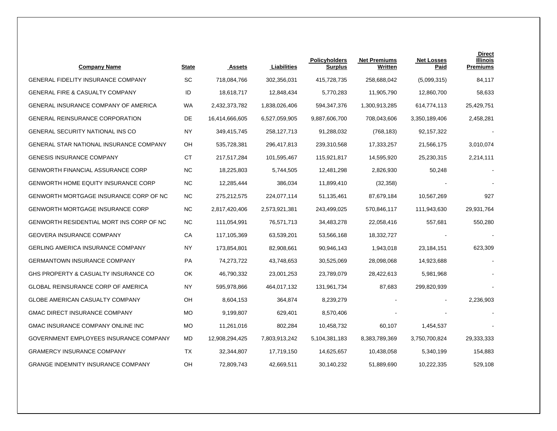| <b>Company Name</b>                            | <b>State</b> | <b>Assets</b>  | Liabilities   | <b>Policyholders</b><br><b>Surplus</b> | <b>Net Premiums</b><br>Written | <b>Net Losses</b><br>Paid | <b>Direct</b><br>Illinois<br><b>Premiums</b> |
|------------------------------------------------|--------------|----------------|---------------|----------------------------------------|--------------------------------|---------------------------|----------------------------------------------|
| <b>GENERAL FIDELITY INSURANCE COMPANY</b>      | SC           | 718,084,766    | 302,356,031   | 415,728,735                            | 258,688,042                    | (5,099,315)               | 84,117                                       |
| <b>GENERAL FIRE &amp; CASUALTY COMPANY</b>     | ID           | 18,618,717     | 12,848,434    | 5,770,283                              | 11,905,790                     | 12,860,700                | 58,633                                       |
| <b>GENERAL INSURANCE COMPANY OF AMERICA</b>    | WA           | 2,432,373,782  | 1,838,026,406 | 594,347,376                            | 1,300,913,285                  | 614,774,113               | 25,429,751                                   |
| <b>GENERAL REINSURANCE CORPORATION</b>         | <b>DE</b>    | 16,414,666,605 | 6,527,059,905 | 9,887,606,700                          | 708,043,606                    | 3,350,189,406             | 2,458,281                                    |
| <b>GENERAL SECURITY NATIONAL INS CO</b>        | <b>NY</b>    | 349,415,745    | 258,127,713   | 91,288,032                             | (768, 183)                     | 92,157,322                |                                              |
| <b>GENERAL STAR NATIONAL INSURANCE COMPANY</b> | OH           | 535,728,381    | 296,417,813   | 239,310,568                            | 17,333,257                     | 21,566,175                | 3,010,074                                    |
| <b>GENESIS INSURANCE COMPANY</b>               | CT           | 217,517,284    | 101,595,467   | 115,921,817                            | 14,595,920                     | 25,230,315                | 2,214,111                                    |
| <b>GENWORTH FINANCIAL ASSURANCE CORP</b>       | <b>NC</b>    | 18,225,803     | 5,744,505     | 12,481,298                             | 2,826,930                      | 50,248                    |                                              |
| <b>GENWORTH HOME EQUITY INSURANCE CORP</b>     | <b>NC</b>    | 12,285,444     | 386,034       | 11,899,410                             | (32, 358)                      |                           |                                              |
| GENWORTH MORTGAGE INSURANCE CORP OF NC         | NC           | 275,212,575    | 224,077,114   | 51,135,461                             | 87,679,184                     | 10,567,269                | 927                                          |
| <b>GENWORTH MORTGAGE INSURANCE CORP</b>        | NC           | 2,817,420,406  | 2,573,921,381 | 243,499,025                            | 570,846,117                    | 111,943,630               | 29,931,764                                   |
| GENWORTH RESIDENTIAL MORT INS CORP OF NC       | <b>NC</b>    | 111,054,991    | 76,571,713    | 34,483,278                             | 22,058,416                     | 557,681                   | 550,280                                      |
| <b>GEOVERA INSURANCE COMPANY</b>               | СA           | 117,105,369    | 63,539,201    | 53,566,168                             | 18,332,727                     |                           |                                              |
| <b>GERLING AMERICA INSURANCE COMPANY</b>       | ΝY           | 173,854,801    | 82,908,661    | 90,946,143                             | 1,943,018                      | 23,184,151                | 623,309                                      |
| <b>GERMANTOWN INSURANCE COMPANY</b>            | <b>PA</b>    | 74,273,722     | 43,748,653    | 30,525,069                             | 28,098,068                     | 14,923,688                |                                              |
| GHS PROPERTY & CASUALTY INSURANCE CO           | ОК           | 46,790,332     | 23,001,253    | 23,789,079                             | 28,422,613                     | 5,981,968                 |                                              |
| <b>GLOBAL REINSURANCE CORP OF AMERICA</b>      | NY.          | 595,978,866    | 464,017,132   | 131,961,734                            | 87,683                         | 299,820,939               |                                              |
| <b>GLOBE AMERICAN CASUALTY COMPANY</b>         | OH           | 8,604,153      | 364,874       | 8,239,279                              |                                |                           | 2,236,903                                    |
| <b>GMAC DIRECT INSURANCE COMPANY</b>           | <b>MO</b>    | 9,199,807      | 629,401       | 8,570,406                              |                                |                           |                                              |
| GMAC INSURANCE COMPANY ONLINE INC              | <b>MO</b>    | 11,261,016     | 802,284       | 10,458,732                             | 60,107                         | 1,454,537                 |                                              |
| GOVERNMENT EMPLOYEES INSURANCE COMPANY         | MD           | 12,908,294,425 | 7,803,913,242 | 5,104,381,183                          | 8,383,789,369                  | 3,750,700,824             | 29,333,333                                   |
| <b>GRAMERCY INSURANCE COMPANY</b>              | TΧ.          | 32,344,807     | 17,719,150    | 14,625,657                             | 10,438,058                     | 5,340,199                 | 154,883                                      |
| <b>GRANGE INDEMNITY INSURANCE COMPANY</b>      | OH           | 72,809,743     | 42,669,511    | 30,140,232                             | 51,889,690                     | 10,222,335                | 529,108                                      |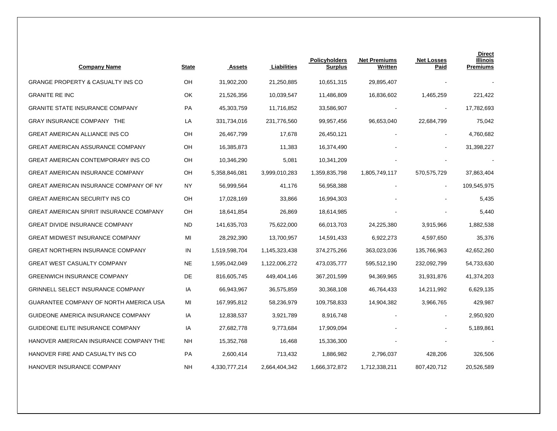| <b>Company Name</b>                            | <b>State</b> | <b>Assets</b> | Liabilities   | <b>Policyholders</b><br><b>Surplus</b> | <b>Net Premiums</b><br>Written | <b>Net Losses</b><br>Paid | <b>Direct</b><br><b>Illinois</b><br><b>Premiums</b> |
|------------------------------------------------|--------------|---------------|---------------|----------------------------------------|--------------------------------|---------------------------|-----------------------------------------------------|
| <b>GRANGE PROPERTY &amp; CASUALTY INS CO</b>   | OH           | 31,902,200    | 21,250,885    | 10,651,315                             | 29,895,407                     |                           |                                                     |
| <b>GRANITE RE INC</b>                          | OK           | 21,526,356    | 10,039,547    | 11,486,809                             | 16,836,602                     | 1,465,259                 | 221,422                                             |
| <b>GRANITE STATE INSURANCE COMPANY</b>         | PA           | 45,303,759    | 11,716,852    | 33,586,907                             | $\blacksquare$                 | $\blacksquare$            | 17,782,693                                          |
| GRAY INSURANCE COMPANY THE                     | LA           | 331,734,016   | 231,776,560   | 99,957,456                             | 96,653,040                     | 22,684,799                | 75,042                                              |
| <b>GREAT AMERICAN ALLIANCE INS CO</b>          | OH           | 26,467,799    | 17,678        | 26,450,121                             |                                | $\overline{\phantom{a}}$  | 4,760,682                                           |
| <b>GREAT AMERICAN ASSURANCE COMPANY</b>        | OH           | 16,385,873    | 11,383        | 16,374,490                             |                                | $\blacksquare$            | 31,398,227                                          |
| <b>GREAT AMERICAN CONTEMPORARY INS CO</b>      | OН           | 10,346,290    | 5,081         | 10,341,209                             |                                |                           |                                                     |
| <b>GREAT AMERICAN INSURANCE COMPANY</b>        | OH           | 5,358,846,081 | 3,999,010,283 | 1,359,835,798                          | 1,805,749,117                  | 570,575,729               | 37,863,404                                          |
| GREAT AMERICAN INSURANCE COMPANY OF NY         | NY           | 56,999,564    | 41,176        | 56,958,388                             |                                | $\blacksquare$            | 109,545,975                                         |
| <b>GREAT AMERICAN SECURITY INS CO</b>          | OH           | 17,028,169    | 33,866        | 16,994,303                             |                                |                           | 5,435                                               |
| <b>GREAT AMERICAN SPIRIT INSURANCE COMPANY</b> | OН           | 18,641,854    | 26,869        | 18,614,985                             |                                |                           | 5,440                                               |
| <b>GREAT DIVIDE INSURANCE COMPANY</b>          | <b>ND</b>    | 141,635,703   | 75,622,000    | 66,013,703                             | 24,225,380                     | 3,915,966                 | 1,882,538                                           |
| <b>GREAT MIDWEST INSURANCE COMPANY</b>         | MI           | 28,292,390    | 13,700,957    | 14,591,433                             | 6,922,273                      | 4,597,650                 | 35,376                                              |
| <b>GREAT NORTHERN INSURANCE COMPANY</b>        | IN           | 1,519,598,704 | 1,145,323,438 | 374,275,266                            | 363,023,036                    | 135,766,963               | 42,652,260                                          |
| <b>GREAT WEST CASUALTY COMPANY</b>             | <b>NE</b>    | 1,595,042,049 | 1,122,006,272 | 473,035,777                            | 595,512,190                    | 232,092,799               | 54,733,630                                          |
| <b>GREENWICH INSURANCE COMPANY</b>             | DE           | 816,605,745   | 449,404,146   | 367,201,599                            | 94,369,965                     | 31,931,876                | 41,374,203                                          |
| <b>GRINNELL SELECT INSURANCE COMPANY</b>       | ΙA           | 66,943,967    | 36,575,859    | 30,368,108                             | 46,764,433                     | 14,211,992                | 6,629,135                                           |
| GUARANTEE COMPANY OF NORTH AMERICA USA         | MI           | 167,995,812   | 58,236,979    | 109,758,833                            | 14,904,382                     | 3,966,765                 | 429,987                                             |
| GUIDEONE AMERICA INSURANCE COMPANY             | IA           | 12,838,537    | 3,921,789     | 8,916,748                              |                                |                           | 2,950,920                                           |
| GUIDEONE ELITE INSURANCE COMPANY               | ΙA           | 27,682,778    | 9,773,684     | 17,909,094                             |                                |                           | 5,189,861                                           |
| HANOVER AMERICAN INSURANCE COMPANY THE         | NΗ           | 15,352,768    | 16,468        | 15,336,300                             |                                |                           |                                                     |
| HANOVER FIRE AND CASUALTY INS CO               | PA           | 2,600,414     | 713,432       | 1,886,982                              | 2,796,037                      | 428,206                   | 326,506                                             |
| HANOVER INSURANCE COMPANY                      | <b>NH</b>    | 4,330,777,214 | 2,664,404,342 | 1,666,372,872                          | 1,712,338,211                  | 807,420,712               | 20,526,589                                          |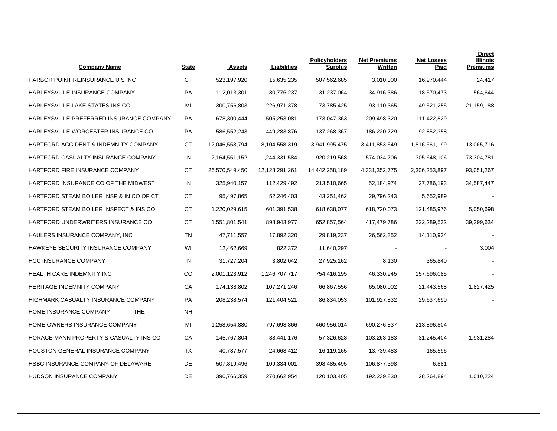| <b>Company Name</b>                         | <b>State</b> | <b>Assets</b>  | Liabilities    | <b>Policyholders</b><br><b>Surplus</b> | <b>Net Premiums</b><br><b>Written</b> | <b>Net Losses</b><br>Paid | <b>Direct</b><br>Illinois<br><b>Premiums</b> |
|---------------------------------------------|--------------|----------------|----------------|----------------------------------------|---------------------------------------|---------------------------|----------------------------------------------|
| HARBOR POINT REINSURANCE U S INC            | <b>CT</b>    | 523,197,920    | 15,635,235     | 507,562,685                            | 3,010,000                             | 16,970,444                | 24,417                                       |
| HARLEYSVILLE INSURANCE COMPANY              | PA           | 112,013,301    | 80,776,237     | 31,237,064                             | 34,916,386                            | 18,570,473                | 564,644                                      |
| HARLEYSVILLE LAKE STATES INS CO             | MI           | 300,756,803    | 226,971,378    | 73,785,425                             | 93,110,365                            | 49,521,255                | 21,159,188                                   |
| HARLEYSVILLE PREFERRED INSURANCE COMPANY    | PA           | 678,300,444    | 505,253,081    | 173,047,363                            | 209,498,320                           | 111,422,829               |                                              |
| HARLEYSVILLE WORCESTER INSURANCE CO         | PA           | 586,552,243    | 449,283,876    | 137,268,367                            | 186,220,729                           | 92,852,358                |                                              |
| HARTFORD ACCIDENT & INDEMNITY COMPANY       | СT           | 12,046,553,794 | 8,104,558,319  | 3,941,995,475                          | 3,411,853,549                         | 1,816,661,199             | 13,065,716                                   |
| HARTFORD CASUALTY INSURANCE COMPANY         | IN           | 2,164,551,152  | 1,244,331,584  | 920,219,568                            | 574,034,706                           | 305,648,106               | 73,304,781                                   |
| HARTFORD FIRE INSURANCE COMPANY             | <b>CT</b>    | 26,570,549,450 | 12,128,291,261 | 14,442,258,189                         | 4,331,352,775                         | 2,306,253,897             | 93,051,267                                   |
| HARTFORD INSURANCE CO OF THE MIDWEST        | IN           | 325,940,157    | 112,429,492    | 213,510,665                            | 52,184,974                            | 27,786,193                | 34,587,447                                   |
| HARTFORD STEAM BOILER INSP & IN CO OF CT    | <b>CT</b>    | 95,497,865     | 52,246,403     | 43,251,462                             | 29,796,243                            | 5,652,989                 |                                              |
| HARTFORD STEAM BOILER INSPECT & INS CO      | <b>CT</b>    | 1,220,029,615  | 601,391,538    | 618,638,077                            | 618,720,073                           | 121,485,976               | 5,050,698                                    |
| HARTFORD UNDERWRITERS INSURANCE CO          | <b>CT</b>    | 1,551,801,541  | 898,943,977    | 652,857,564                            | 417,479,786                           | 222,289,532               | 39,299,634                                   |
| HAULERS INSURANCE COMPANY, INC.             | <b>TN</b>    | 47,711,557     | 17,892,320     | 29,819,237                             | 26,562,352                            | 14,110,924                |                                              |
| HAWKEYE SECURITY INSURANCE COMPANY          | WI           | 12,462,669     | 822.372        | 11,640,297                             |                                       |                           | 3,004                                        |
| <b>HCC INSURANCE COMPANY</b>                | IN           | 31,727,204     | 3,802,042      | 27,925,162                             | 8,130                                 | 365,840                   |                                              |
| HEALTH CARE INDEMNITY INC                   | CO           | 2,001,123,912  | 1,246,707,717  | 754,416,195                            | 46,330,945                            | 157,696,085               |                                              |
| <b>HERITAGE INDEMNITY COMPANY</b>           | CA           | 174,138,802    | 107,271,246    | 66,867,556                             | 65,080,002                            | 21,443,568                | 1,827,425                                    |
| HIGHMARK CASUALTY INSURANCE COMPANY         | <b>PA</b>    | 208,238,574    | 121,404,521    | 86,834,053                             | 101,927,832                           | 29,637,690                |                                              |
| <b>THE</b><br><b>HOME INSURANCE COMPANY</b> | NΗ           |                |                |                                        |                                       |                           |                                              |
| HOME OWNERS INSURANCE COMPANY               | MI           | 1,258,654,880  | 797,698,866    | 460,956,014                            | 690,276,837                           | 213,896,804               |                                              |
| HORACE MANN PROPERTY & CASUALTY INS CO      | СA           | 145,767,804    | 88,441,176     | 57,326,628                             | 103,263,183                           | 31,245,404                | 1,931,284                                    |
| HOUSTON GENERAL INSURANCE COMPANY           | <b>TX</b>    | 40,787,577     | 24,668,412     | 16,119,165                             | 13,739,483                            | 165,596                   |                                              |
| HSBC INSURANCE COMPANY OF DELAWARE          | DE           | 507,819,496    | 109,334,001    | 398,485,495                            | 106,877,398                           | 6,881                     |                                              |
| <b>HUDSON INSURANCE COMPANY</b>             | DE           | 390,766,359    | 270,662,954    | 120,103,405                            | 192,239,830                           | 28,264,894                | 1,010,224                                    |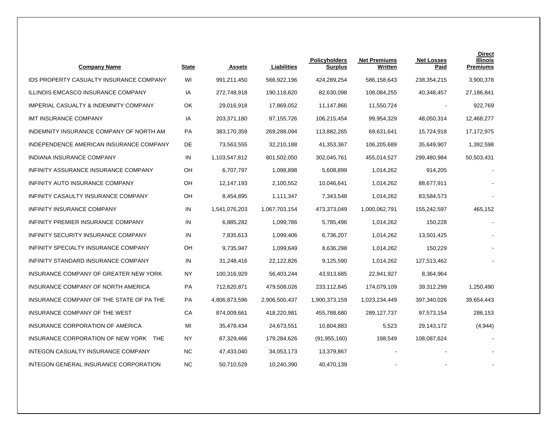| <b>Company Name</b>                              | <b>State</b> | <b>Assets</b> | Liabilities   | <b>Policyholders</b><br><b>Surplus</b> | <b>Net Premiums</b><br>Written | <b>Net Losses</b><br><u>Paid</u> | <b>Direct</b><br><b>Illinois</b><br><b>Premiums</b> |
|--------------------------------------------------|--------------|---------------|---------------|----------------------------------------|--------------------------------|----------------------------------|-----------------------------------------------------|
| <b>IDS PROPERTY CASUALTY INSURANCE COMPANY</b>   | WI           | 991,211,450   | 566,922,196   | 424,289,254                            | 586,158,643                    | 238,354,215                      | 3,900,378                                           |
| ILLINOIS EMCASCO INSURANCE COMPANY               | IA           | 272,748,918   | 190,118,820   | 82,630,098                             | 108,084,255                    | 40,348,457                       | 27,186,841                                          |
| <b>IMPERIAL CASUALTY &amp; INDEMNITY COMPANY</b> | OK           | 29,016,918    | 17,869,052    | 11,147,866                             | 11,550,724                     | $\overline{\phantom{a}}$         | 922,769                                             |
| <b>IMT INSURANCE COMPANY</b>                     | IA           | 203,371,180   | 97, 155, 726  | 106,215,454                            | 99,954,329                     | 48,050,314                       | 12,468,277                                          |
| INDEMNITY INSURANCE COMPANY OF NORTH AM          | <b>PA</b>    | 383,170,359   | 269,288,094   | 113,882,265                            | 69,631,641                     | 15,724,918                       | 17,172,975                                          |
| INDEPENDENCE AMERICAN INSURANCE COMPANY          | DE           | 73,563,555    | 32,210,188    | 41,353,367                             | 106,205,689                    | 35,649,907                       | 1,392,598                                           |
| INDIANA INSURANCE COMPANY                        | IN           | 1,103,547,812 | 801,502,050   | 302,045,761                            | 455,014,527                    | 299,480,984                      | 50,503,431                                          |
| INFINITY ASSURANCE INSURANCE COMPANY             | OH           | 6,707,797     | 1,098,898     | 5,608,899                              | 1,014,262                      | 914,205                          |                                                     |
| INFINITY AUTO INSURANCE COMPANY                  | OH           | 12,147,193    | 2,100,552     | 10,046,641                             | 1,014,262                      | 88,677,911                       |                                                     |
| INFINITY CASAULTY INSURANCE COMPANY              | OH           | 8,454,895     | 1,111,347     | 7,343,548                              | 1,014,262                      | 83,584,573                       |                                                     |
| INFINITY INSURANCE COMPANY                       | IN           | 1,541,076,203 | 1,067,703,154 | 473,373,049                            | 1,000,062,791                  | 155,242,597                      | 465,152                                             |
| INFINITY PREMIER INSURANCE COMPANY               | IN           | 6,885,282     | 1,099,786     | 5,785,496                              | 1,014,262                      | 150,228                          |                                                     |
| INFINITY SECURITY INSURANCE COMPANY              | IN           | 7,835,613     | 1,099,406     | 6,736,207                              | 1,014,262                      | 13,501,425                       |                                                     |
| INFINITY SPECIALTY INSURANCE COMPANY             | OH           | 9,735,947     | 1,099,649     | 8,636,298                              | 1,014,262                      | 150,229                          |                                                     |
| INFINITY STANDARD INSURANCE COMPANY              | IN           | 31,248,416    | 22,122,826    | 9,125,590                              | 1,014,262                      | 127,513,462                      |                                                     |
| INSURANCE COMPANY OF GREATER NEW YORK            | NY           | 100,316,929   | 56,403,244    | 43,913,685                             | 22,941,927                     | 8,364,964                        |                                                     |
| INSURANCE COMPANY OF NORTH AMERICA               | <b>PA</b>    | 712,620,871   | 479,508,026   | 233,112,845                            | 174,079,109                    | 39,312,299                       | 1,250,490                                           |
| INSURANCE COMPANY OF THE STATE OF PA THE         | PA           | 4,806,873,596 | 2,906,500,437 | 1,900,373,159                          | 1,023,234,449                  | 397,340,026                      | 39,654,443                                          |
| INSURANCE COMPANY OF THE WEST                    | СA           | 874,009,661   | 418,220,981   | 455,788,680                            | 289,127,737                    | 97,573,154                       | 286,153                                             |
| INSURANCE CORPORATION OF AMERICA                 | MI           | 35,478,434    | 24,673,551    | 10,804,883                             | 5,523                          | 29,143,172                       | (4,944)                                             |
| INSURANCE CORPORATION OF NEW YORK THE            | NY           | 87,329,466    | 179,284,626   | (91, 955, 160)                         | 198,549                        | 108,087,624                      |                                                     |
| INTEGON CASUALTY INSURANCE COMPANY               | <b>NC</b>    | 47,433,040    | 34,053,173    | 13,379,867                             |                                |                                  |                                                     |
| INTEGON GENERAL INSURANCE CORPORATION            | <b>NC</b>    | 50,710,529    | 10,240,390    | 40,470,139                             |                                |                                  |                                                     |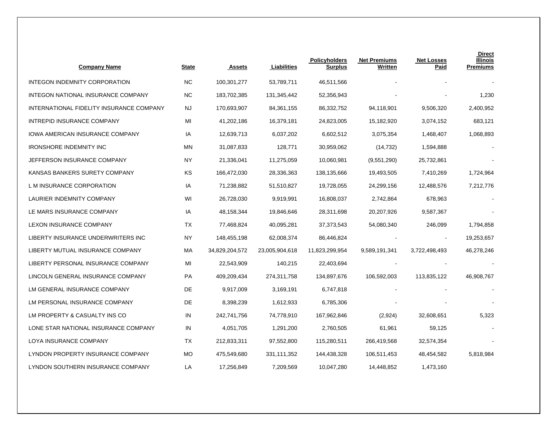| <b>Company Name</b>                      | State     | <b>Assets</b>  | Liabilities    | <b>Policyholders</b><br><b>Surplus</b> | <b>Net Premiums</b><br>Written | <b>Net Losses</b><br><b>Paid</b> | <b>Direct</b><br><b>Illinois</b><br><b>Premiums</b> |
|------------------------------------------|-----------|----------------|----------------|----------------------------------------|--------------------------------|----------------------------------|-----------------------------------------------------|
| INTEGON INDEMNITY CORPORATION            | NC.       | 100,301,277    | 53,789,711     | 46,511,566                             |                                |                                  |                                                     |
| INTEGON NATIONAL INSURANCE COMPANY       | <b>NC</b> | 183,702,385    | 131,345,442    | 52,356,943                             |                                |                                  | 1,230                                               |
| INTERNATIONAL FIDELITY INSURANCE COMPANY | NJ.       | 170,693,907    | 84,361,155     | 86,332,752                             | 94,118,901                     | 9,506,320                        | 2,400,952                                           |
| INTREPID INSURANCE COMPANY               | MI        | 41,202,186     | 16,379,181     | 24,823,005                             | 15,182,920                     | 3,074,152                        | 683,121                                             |
| <b>IOWA AMERICAN INSURANCE COMPANY</b>   | IA        | 12,639,713     | 6,037,202      | 6,602,512                              | 3,075,354                      | 1,468,407                        | 1,068,893                                           |
| <b>IRONSHORE INDEMNITY INC</b>           | MN        | 31,087,833     | 128,771        | 30,959,062                             | (14, 732)                      | 1,594,888                        |                                                     |
| JEFFERSON INSURANCE COMPANY              | NY        | 21,336,041     | 11,275,059     | 10,060,981                             | (9,551,290)                    | 25,732,861                       |                                                     |
| KANSAS BANKERS SURETY COMPANY            | KS        | 166,472,030    | 28,336,363     | 138,135,666                            | 19,493,505                     | 7,410,269                        | 1,724,964                                           |
| L M INSURANCE CORPORATION                | IA        | 71,238,882     | 51,510,827     | 19,728,055                             | 24,299,156                     | 12,488,576                       | 7,212,776                                           |
| LAURIER INDEMNITY COMPANY                | WI        | 26,728,030     | 9,919,991      | 16,808,037                             | 2,742,864                      | 678,963                          |                                                     |
| LE MARS INSURANCE COMPANY                | IA        | 48,158,344     | 19,846,646     | 28,311,698                             | 20,207,926                     | 9,587,367                        |                                                     |
| LEXON INSURANCE COMPANY                  | TX        | 77,468,824     | 40,095,281     | 37,373,543                             | 54,080,340                     | 246,099                          | 1,794,858                                           |
| LIBERTY INSURANCE UNDERWRITERS INC       | <b>NY</b> | 148,455,198    | 62,008,374     | 86,446,824                             |                                | $\blacksquare$                   | 19,253,657                                          |
| LIBERTY MUTUAL INSURANCE COMPANY         | MA        | 34,829,204,572 | 23,005,904,618 | 11,823,299,954                         | 9,589,191,341                  | 3,722,498,493                    | 46,278,246                                          |
| LIBERTY PERSONAL INSURANCE COMPANY       | MI        | 22,543,909     | 140,215        | 22,403,694                             |                                |                                  |                                                     |
| LINCOLN GENERAL INSURANCE COMPANY        | PA        | 409,209,434    | 274,311,758    | 134,897,676                            | 106,592,003                    | 113,835,122                      | 46,908,767                                          |
| LM GENERAL INSURANCE COMPANY             | DE        | 9,917,009      | 3,169,191      | 6,747,818                              |                                |                                  |                                                     |
| LM PERSONAL INSURANCE COMPANY            | DE        | 8,398,239      | 1,612,933      | 6,785,306                              |                                |                                  |                                                     |
| LM PROPERTY & CASUALTY INS CO            | IN        | 242,741,756    | 74,778,910     | 167,962,846                            | (2,924)                        | 32,608,651                       | 5,323                                               |
| LONE STAR NATIONAL INSURANCE COMPANY     | IN        | 4,051,705      | 1,291,200      | 2,760,505                              | 61,961                         | 59,125                           |                                                     |
| LOYA INSURANCE COMPANY                   | TX        | 212,833,311    | 97,552,800     | 115,280,511                            | 266,419,568                    | 32,574,354                       |                                                     |
| LYNDON PROPERTY INSURANCE COMPANY        | MO        | 475,549,680    | 331,111,352    | 144,438,328                            | 106,511,453                    | 48,454,582                       | 5,818,984                                           |
| LYNDON SOUTHERN INSURANCE COMPANY        | LA        | 17,256,849     | 7,209,569      | 10,047,280                             | 14,448,852                     | 1,473,160                        |                                                     |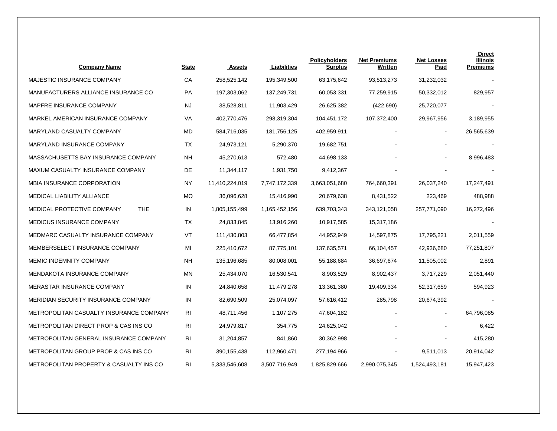| <b>Company Name</b>                      | <u>State</u>   | <b>Assets</b>  | Liabilities   | <b>Policyholders</b><br><b>Surplus</b> | <b>Net Premiums</b><br>Written | <b>Net Losses</b><br><u>Paid</u> | <b>Direct</b><br><b>Illinois</b><br><b>Premiums</b> |
|------------------------------------------|----------------|----------------|---------------|----------------------------------------|--------------------------------|----------------------------------|-----------------------------------------------------|
| MAJESTIC INSURANCE COMPANY               | СA             | 258,525,142    | 195,349,500   | 63,175,642                             | 93,513,273                     | 31,232,032                       |                                                     |
| MANUFACTURERS ALLIANCE INSURANCE CO      | PA             | 197,303,062    | 137,249,731   | 60,053,331                             | 77,259,915                     | 50,332,012                       | 829,957                                             |
| MAPFRE INSURANCE COMPANY                 | NJ             | 38,528,811     | 11,903,429    | 26,625,382                             | (422, 690)                     | 25,720,077                       |                                                     |
| MARKEL AMERICAN INSURANCE COMPANY        | VA             | 402,770,476    | 298,319,304   | 104,451,172                            | 107,372,400                    | 29,967,956                       | 3,189,955                                           |
| MARYLAND CASUALTY COMPANY                | MD             | 584,716,035    | 181,756,125   | 402,959,911                            |                                | $\blacksquare$                   | 26,565,639                                          |
| MARYLAND INSURANCE COMPANY               | ТX             | 24,973,121     | 5,290,370     | 19,682,751                             |                                |                                  |                                                     |
| MASSACHUSETTS BAY INSURANCE COMPANY      | NΗ             | 45,270,613     | 572,480       | 44,698,133                             |                                |                                  | 8,996,483                                           |
| MAXUM CASUALTY INSURANCE COMPANY         | DE             | 11,344,117     | 1,931,750     | 9,412,367                              |                                |                                  |                                                     |
| MBIA INSURANCE CORPORATION               | NY             | 11,410,224,019 | 7,747,172,339 | 3,663,051,680                          | 764,660,391                    | 26,037,240                       | 17,247,491                                          |
| MEDICAL LIABILITY ALLIANCE               | <b>MO</b>      | 36,096,628     | 15,416,990    | 20,679,638                             | 8,431,522                      | 223,469                          | 488,988                                             |
| <b>THE</b><br>MEDICAL PROTECTIVE COMPANY | IN             | 1,805,155,499  | 1,165,452,156 | 639,703,343                            | 343,121,058                    | 257,771,090                      | 16,272,496                                          |
| MEDICUS INSURANCE COMPANY                | <b>TX</b>      | 24,833,845     | 13,916,260    | 10,917,585                             | 15,317,186                     |                                  |                                                     |
| MEDMARC CASUALTY INSURANCE COMPANY       | <b>VT</b>      | 111,430,803    | 66,477,854    | 44,952,949                             | 14,597,875                     | 17,795,221                       | 2,011,559                                           |
| MEMBERSELECT INSURANCE COMPANY           | MI             | 225,410,672    | 87,775,101    | 137,635,571                            | 66,104,457                     | 42,936,680                       | 77,251,807                                          |
| MEMIC INDEMNITY COMPANY                  | NΗ             | 135,196,685    | 80,008,001    | 55,188,684                             | 36,697,674                     | 11,505,002                       | 2,891                                               |
| MENDAKOTA INSURANCE COMPANY              | <b>MN</b>      | 25,434,070     | 16,530,541    | 8,903,529                              | 8,902,437                      | 3,717,229                        | 2,051,440                                           |
| MERASTAR INSURANCE COMPANY               | IN             | 24,840,658     | 11,479,278    | 13,361,380                             | 19,409,334                     | 52,317,659                       | 594,923                                             |
| MERIDIAN SECURITY INSURANCE COMPANY      | IN             | 82,690,509     | 25,074,097    | 57,616,412                             | 285,798                        | 20,674,392                       |                                                     |
| METROPOLITAN CASUALTY INSURANCE COMPANY  | R <sub>l</sub> | 48,711,456     | 1,107,275     | 47,604,182                             |                                |                                  | 64,796,085                                          |
| METROPOLITAN DIRECT PROP & CAS INS CO    | <b>RI</b>      | 24,979,817     | 354,775       | 24,625,042                             |                                |                                  | 6,422                                               |
| METROPOLITAN GENERAL INSURANCE COMPANY   | <b>RI</b>      | 31,204,857     | 841,860       | 30,362,998                             |                                |                                  | 415,280                                             |
| METROPOLITAN GROUP PROP & CAS INS CO     | <b>RI</b>      | 390,155,438    | 112,960,471   | 277,194,966                            |                                | 9,511,013                        | 20,914,042                                          |
| METROPOLITAN PROPERTY & CASUALTY INS CO  | <b>RI</b>      | 5,333,546,608  | 3,507,716,949 | 1,825,829,666                          | 2,990,075,345                  | 1,524,493,181                    | 15,947,423                                          |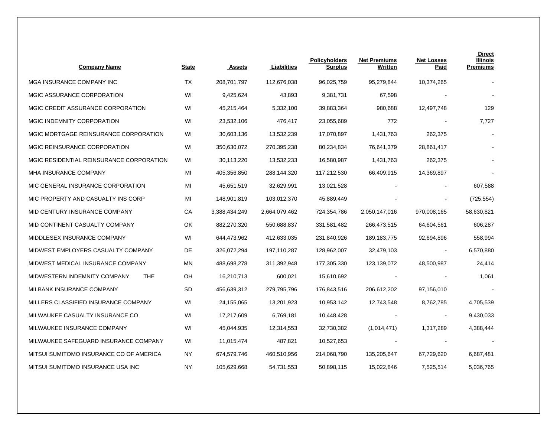| <b>Company Name</b>                        | <b>State</b> | Assets        | Liabilities   | <b>Policyholders</b><br><b>Surplus</b> | <b>Net Premiums</b><br>Written | <b>Net Losses</b><br>Paid | <b>Direct</b><br>Illinois<br><b>Premiums</b> |
|--------------------------------------------|--------------|---------------|---------------|----------------------------------------|--------------------------------|---------------------------|----------------------------------------------|
| MGA INSURANCE COMPANY INC                  | ТX           | 208,701,797   | 112,676,038   | 96,025,759                             | 95,279,844                     | 10,374,265                |                                              |
| MGIC ASSURANCE CORPORATION                 | WI           | 9,425,624     | 43,893        | 9,381,731                              | 67,598                         |                           |                                              |
| MGIC CREDIT ASSURANCE CORPORATION          | WI           | 45,215,464    | 5,332,100     | 39,883,364                             | 980,688                        | 12,497,748                | 129                                          |
| MGIC INDEMNITY CORPORATION                 | WI           | 23,532,106    | 476,417       | 23,055,689                             | 772                            |                           | 7,727                                        |
| MGIC MORTGAGE REINSURANCE CORPORATION      | WI           | 30,603,136    | 13,532,239    | 17,070,897                             | 1,431,763                      | 262,375                   |                                              |
| MGIC REINSURANCE CORPORATION               | WI           | 350,630,072   | 270,395,238   | 80,234,834                             | 76,641,379                     | 28,861,417                |                                              |
| MGIC RESIDENTIAL REINSURANCE CORPORATION   | WI           | 30,113,220    | 13,532,233    | 16,580,987                             | 1,431,763                      | 262,375                   |                                              |
| MHA INSURANCE COMPANY                      | MI           | 405,356,850   | 288,144,320   | 117,212,530                            | 66,409,915                     | 14,369,897                |                                              |
| MIC GENERAL INSURANCE CORPORATION          | MI           | 45,651,519    | 32,629,991    | 13,021,528                             |                                |                           | 607,588                                      |
| MIC PROPERTY AND CASUALTY INS CORP         | MI           | 148,901,819   | 103,012,370   | 45,889,449                             |                                |                           | (725, 554)                                   |
| MID CENTURY INSURANCE COMPANY              | СA           | 3,388,434,249 | 2,664,079,462 | 724,354,786                            | 2,050,147,016                  | 970,008,165               | 58,630,821                                   |
| MID CONTINENT CASUALTY COMPANY             | OK           | 882,270,320   | 550,688,837   | 331,581,482                            | 266,473,515                    | 64,604,561                | 606,287                                      |
| MIDDLESEX INSURANCE COMPANY                | WI           | 644,473,962   | 412,633,035   | 231,840,926                            | 189, 183, 775                  | 92,694,896                | 558,994                                      |
| MIDWEST EMPLOYERS CASUALTY COMPANY         | DE           | 326,072,294   | 197,110,287   | 128,962,007                            | 32,479,103                     | $\overline{\phantom{a}}$  | 6,570,880                                    |
| MIDWEST MEDICAL INSURANCE COMPANY          | <b>MN</b>    | 488,698,278   | 311,392,948   | 177,305,330                            | 123,139,072                    | 48,500,987                | 24,414                                       |
| MIDWESTERN INDEMNITY COMPANY<br><b>THE</b> | OН           | 16,210,713    | 600,021       | 15,610,692                             |                                |                           | 1,061                                        |
| MILBANK INSURANCE COMPANY                  | <b>SD</b>    | 456,639,312   | 279,795,796   | 176,843,516                            | 206,612,202                    | 97,156,010                |                                              |
| MILLERS CLASSIFIED INSURANCE COMPANY       | WI           | 24,155,065    | 13,201,923    | 10,953,142                             | 12,743,548                     | 8,762,785                 | 4,705,539                                    |
| MILWAUKEE CASUALTY INSURANCE CO            | WI           | 17,217,609    | 6,769,181     | 10,448,428                             |                                |                           | 9,430,033                                    |
| MILWAUKEE INSURANCE COMPANY                | WI           | 45,044,935    | 12,314,553    | 32,730,382                             | (1,014,471)                    | 1,317,289                 | 4,388,444                                    |
| MILWAUKEE SAFEGUARD INSURANCE COMPANY      | WI           | 11,015,474    | 487,821       | 10,527,653                             |                                |                           |                                              |
| MITSUI SUMITOMO INSURANCE CO OF AMERICA    | ΝY           | 674,579,746   | 460,510,956   | 214,068,790                            | 135,205,647                    | 67,729,620                | 6,687,481                                    |
| MITSUI SUMITOMO INSURANCE USA INC          | <b>NY</b>    | 105,629,668   | 54,731,553    | 50,898,115                             | 15,022,846                     | 7,525,514                 | 5,036,765                                    |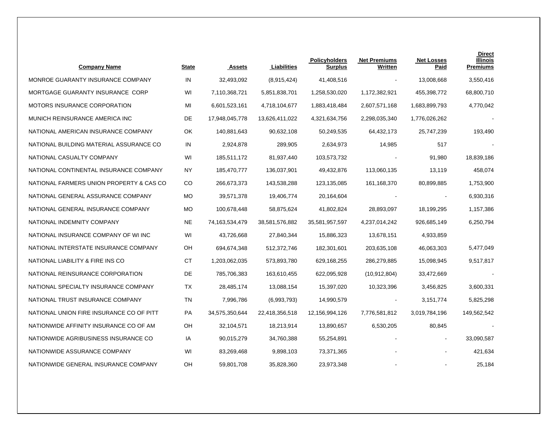| <b>Company Name</b>                      | <b>State</b> | <b>Assets</b>  | Liabilities    | <b>Policyholders</b><br><b>Surplus</b> | <b>Net Premiums</b><br>Written | <b>Net Losses</b><br>Paid | <b>Direct</b><br>Illinois<br><b>Premiums</b> |
|------------------------------------------|--------------|----------------|----------------|----------------------------------------|--------------------------------|---------------------------|----------------------------------------------|
| MONROE GUARANTY INSURANCE COMPANY        | IN           | 32,493,092     | (8,915,424)    | 41,408,516                             |                                | 13,008,668                | 3,550,416                                    |
| MORTGAGE GUARANTY INSURANCE CORP         | WI           | 7,110,368,721  | 5,851,838,701  | 1,258,530,020                          | 1,172,382,921                  | 455,398,772               | 68,800,710                                   |
| <b>MOTORS INSURANCE CORPORATION</b>      | MI           | 6,601,523,161  | 4,718,104,677  | 1,883,418,484                          | 2,607,571,168                  | 1,683,899,793             | 4,770,042                                    |
| MUNICH REINSURANCE AMERICA INC           | DE           | 17,948,045,778 | 13,626,411,022 | 4,321,634,756                          | 2,298,035,340                  | 1,776,026,262             |                                              |
| NATIONAL AMERICAN INSURANCE COMPANY      | OK           | 140,881,643    | 90,632,108     | 50,249,535                             | 64,432,173                     | 25,747,239                | 193,490                                      |
| NATIONAL BUILDING MATERIAL ASSURANCE CO  | IN           | 2,924,878      | 289,905        | 2,634,973                              | 14,985                         | 517                       |                                              |
| NATIONAL CASUALTY COMPANY                | WI           | 185,511,172    | 81,937,440     | 103,573,732                            |                                | 91,980                    | 18,839,186                                   |
| NATIONAL CONTINENTAL INSURANCE COMPANY   | ΝY           | 185,470,777    | 136,037,901    | 49,432,876                             | 113,060,135                    | 13,119                    | 458,074                                      |
| NATIONAL FARMERS UNION PROPERTY & CAS CO | CO           | 266,673,373    | 143,538,288    | 123,135,085                            | 161,168,370                    | 80,899,885                | 1,753,900                                    |
| NATIONAL GENERAL ASSURANCE COMPANY       | MO           | 39,571,378     | 19,406,774     | 20,164,604                             |                                |                           | 6,930,316                                    |
| NATIONAL GENERAL INSURANCE COMPANY       | <b>MO</b>    | 100,678,448    | 58,875,624     | 41,802,824                             | 28,893,097                     | 18,199,295                | 1,157,386                                    |
| NATIONAL INDEMNITY COMPANY               | NE           | 74,163,534,479 | 38,581,576,882 | 35,581,957,597                         | 4,237,014,242                  | 926,685,149               | 6,250,794                                    |
| NATIONAL INSURANCE COMPANY OF WI INC     | WI           | 43,726,668     | 27,840,344     | 15,886,323                             | 13,678,151                     | 4,933,859                 |                                              |
| NATIONAL INTERSTATE INSURANCE COMPANY    | OH           | 694,674,348    | 512,372,746    | 182,301,601                            | 203,635,108                    | 46,063,303                | 5,477,049                                    |
| NATIONAL LIABILITY & FIRE INS CO         | СT           | 1,203,062,035  | 573,893,780    | 629,168,255                            | 286,279,885                    | 15,098,945                | 9,517,817                                    |
| NATIONAL REINSURANCE CORPORATION         | DE           | 785,706,383    | 163,610,455    | 622,095,928                            | (10, 912, 804)                 | 33,472,669                |                                              |
| NATIONAL SPECIALTY INSURANCE COMPANY     | TX           | 28,485,174     | 13,088,154     | 15,397,020                             | 10,323,396                     | 3,456,825                 | 3,600,331                                    |
| NATIONAL TRUST INSURANCE COMPANY         | TN           | 7,996,786      | (6,993,793)    | 14,990,579                             | $\blacksquare$                 | 3, 151, 774               | 5,825,298                                    |
| NATIONAL UNION FIRE INSURANCE CO OF PITT | PA           | 34,575,350,644 | 22,418,356,518 | 12,156,994,126                         | 7,776,581,812                  | 3,019,784,196             | 149,562,542                                  |
| NATIONWIDE AFFINITY INSURANCE CO OF AM   | OН           | 32,104,571     | 18,213,914     | 13,890,657                             | 6,530,205                      | 80,845                    |                                              |
| NATIONWIDE AGRIBUSINESS INSURANCE CO     | IA           | 90,015,279     | 34,760,388     | 55,254,891                             |                                | $\blacksquare$            | 33,090,587                                   |
| NATIONWIDE ASSURANCE COMPANY             | WI           | 83,269,468     | 9,898,103      | 73,371,365                             |                                | $\overline{\phantom{a}}$  | 421,634                                      |
| NATIONWIDE GENERAL INSURANCE COMPANY     | OH           | 59,801,708     | 35,828,360     | 23,973,348                             |                                |                           | 25,184                                       |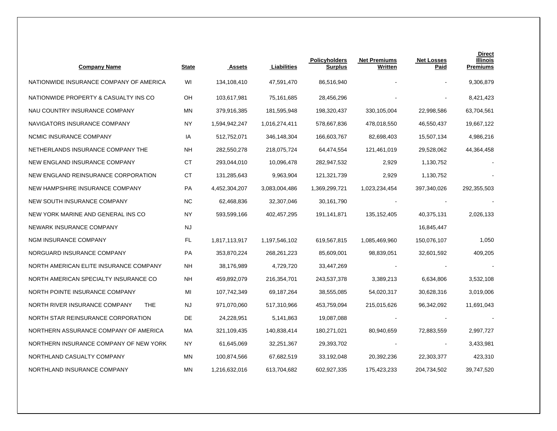| <b>Company Name</b>                         | <b>State</b> | <b>Assets</b> | Liabilities   | <b>Policyholders</b><br><u>Surplus</u> | <b>Net Premiums</b><br><u>Written</u> | <b>Net Losses</b><br><u>Paid</u> | <b>Direct</b><br><b>Illinois</b><br><b>Premiums</b> |
|---------------------------------------------|--------------|---------------|---------------|----------------------------------------|---------------------------------------|----------------------------------|-----------------------------------------------------|
| NATIONWIDE INSURANCE COMPANY OF AMERICA     | WI           | 134,108,410   | 47,591,470    | 86,516,940                             |                                       |                                  | 9,306,879                                           |
| NATIONWIDE PROPERTY & CASUALTY INS CO       | OН           | 103,617,981   | 75,161,685    | 28,456,296                             |                                       |                                  | 8,421,423                                           |
| NAU COUNTRY INSURANCE COMPANY               | MN           | 379,916,385   | 181,595,948   | 198,320,437                            | 330,105,004                           | 22,998,586                       | 63,704,561                                          |
| NAVIGATORS INSURANCE COMPANY                | NY           | 1,594,942,247 | 1,016,274,411 | 578,667,836                            | 478,018,550                           | 46,550,437                       | 19,667,122                                          |
| NCMIC INSURANCE COMPANY                     | IA           | 512,752,071   | 346,148,304   | 166,603,767                            | 82,698,403                            | 15,507,134                       | 4,986,216                                           |
| NETHERLANDS INSURANCE COMPANY THE           | NΗ           | 282,550,278   | 218,075,724   | 64,474,554                             | 121,461,019                           | 29,528,062                       | 44,364,458                                          |
| NEW ENGLAND INSURANCE COMPANY               | СT           | 293,044,010   | 10,096,478    | 282,947,532                            | 2,929                                 | 1,130,752                        |                                                     |
| NEW ENGLAND REINSURANCE CORPORATION         | СT           | 131,285,643   | 9,963,904     | 121,321,739                            | 2,929                                 | 1,130,752                        |                                                     |
| NEW HAMPSHIRE INSURANCE COMPANY             | PA           | 4,452,304,207 | 3,083,004,486 | 1,369,299,721                          | 1,023,234,454                         | 397,340,026                      | 292,355,503                                         |
| NEW SOUTH INSURANCE COMPANY                 | NC           | 62,468,836    | 32,307,046    | 30,161,790                             |                                       |                                  |                                                     |
| NEW YORK MARINE AND GENERAL INS CO          | NY.          | 593,599,166   | 402,457,295   | 191,141,871                            | 135, 152, 405                         | 40,375,131                       | 2,026,133                                           |
| NEWARK INSURANCE COMPANY                    | <b>NJ</b>    |               |               |                                        |                                       | 16,845,447                       |                                                     |
| NGM INSURANCE COMPANY                       | FL           | 1,817,113,917 | 1,197,546,102 | 619,567,815                            | 1,085,469,960                         | 150,076,107                      | 1,050                                               |
| NORGUARD INSURANCE COMPANY                  | PA           | 353,870,224   | 268,261,223   | 85,609,001                             | 98,839,051                            | 32,601,592                       | 409,205                                             |
| NORTH AMERICAN ELITE INSURANCE COMPANY      | NΗ           | 38,176,989    | 4,729,720     | 33,447,269                             |                                       |                                  |                                                     |
| NORTH AMERICAN SPECIALTY INSURANCE CO       | NΗ           | 459,892,079   | 216,354,701   | 243,537,378                            | 3,389,213                             | 6,634,806                        | 3,532,108                                           |
| NORTH POINTE INSURANCE COMPANY              | MI           | 107,742,349   | 69,187,264    | 38,555,085                             | 54,020,317                            | 30,628,316                       | 3,019,006                                           |
| NORTH RIVER INSURANCE COMPANY<br><b>THE</b> | NJ           | 971,070,060   | 517,310,966   | 453,759,094                            | 215,015,626                           | 96,342,092                       | 11,691,043                                          |
| NORTH STAR REINSURANCE CORPORATION          | DE           | 24,228,951    | 5,141,863     | 19,087,088                             |                                       |                                  |                                                     |
| NORTHERN ASSURANCE COMPANY OF AMERICA       | MA           | 321,109,435   | 140,838,414   | 180,271,021                            | 80,940,659                            | 72,883,559                       | 2,997,727                                           |
| NORTHERN INSURANCE COMPANY OF NEW YORK      | <b>NY</b>    | 61,645,069    | 32,251,367    | 29,393,702                             |                                       |                                  | 3,433,981                                           |
| NORTHLAND CASUALTY COMPANY                  | MN           | 100,874,566   | 67,682,519    | 33,192,048                             | 20,392,236                            | 22,303,377                       | 423,310                                             |
| NORTHLAND INSURANCE COMPANY                 | MN           | 1,216,632,016 | 613,704,682   | 602,927,335                            | 175,423,233                           | 204,734,502                      | 39,747,520                                          |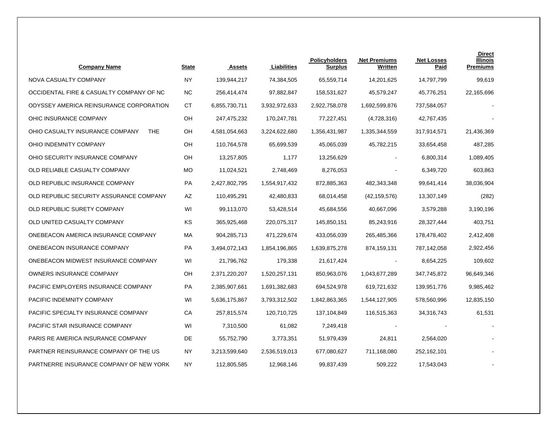| <b>Company Name</b>                           | <b>State</b> | <b>Assets</b> | Liabilities   | <b>Policyholders</b><br><b>Surplus</b> | <b>Net Premiums</b><br>Written | <b>Net Losses</b><br>Paid | <b>Direct</b><br>Illinois<br><b>Premiums</b> |
|-----------------------------------------------|--------------|---------------|---------------|----------------------------------------|--------------------------------|---------------------------|----------------------------------------------|
| NOVA CASUALTY COMPANY                         | <b>NY</b>    | 139,944,217   | 74,384,505    | 65,559,714                             | 14,201,625                     | 14,797,799                | 99,619                                       |
| OCCIDENTAL FIRE & CASUALTY COMPANY OF NC      | <b>NC</b>    | 256,414,474   | 97,882,847    | 158,531,627                            | 45,579,247                     | 45,776,251                | 22,165,696                                   |
| ODYSSEY AMERICA REINSURANCE CORPORATION       | СT           | 6,855,730,711 | 3,932,972,633 | 2,922,758,078                          | 1,692,599,876                  | 737,584,057               |                                              |
| OHIC INSURANCE COMPANY                        | OН           | 247,475,232   | 170,247,781   | 77,227,451                             | (4,728,316)                    | 42,767,435                |                                              |
| OHIO CASUALTY INSURANCE COMPANY<br><b>THE</b> | OH           | 4,581,054,663 | 3,224,622,680 | 1,356,431,987                          | 1,335,344,559                  | 317,914,571               | 21,436,369                                   |
| OHIO INDEMNITY COMPANY                        | OН           | 110,764,578   | 65,699,539    | 45,065,039                             | 45,782,215                     | 33,654,458                | 487,285                                      |
| OHIO SECURITY INSURANCE COMPANY               | OH           | 13,257,805    | 1,177         | 13,256,629                             |                                | 6,800,314                 | 1,089,405                                    |
| OLD RELIABLE CASUALTY COMPANY                 | MO           | 11,024,521    | 2,748,469     | 8,276,053                              |                                | 6,349,720                 | 603,863                                      |
| OLD REPUBLIC INSURANCE COMPANY                | PA           | 2,427,802,795 | 1,554,917,432 | 872,885,363                            | 482,343,348                    | 99,641,414                | 38,036,904                                   |
| OLD REPUBLIC SECURITY ASSURANCE COMPANY       | AZ           | 110,495,291   | 42,480,833    | 68,014,458                             | (42, 159, 576)                 | 13,307,149                | (282)                                        |
| OLD REPUBLIC SURETY COMPANY                   | WI           | 99,113,070    | 53,428,514    | 45,684,556                             | 40,667,096                     | 3,579,288                 | 3,190,196                                    |
| OLD UNITED CASUALTY COMPANY                   | KS           | 365,925,468   | 220,075,317   | 145,850,151                            | 85,243,916                     | 28,327,444                | 403,751                                      |
| ONEBEACON AMERICA INSURANCE COMPANY           | МA           | 904,285,713   | 471,229,674   | 433,056,039                            | 265,485,366                    | 178,478,402               | 2,412,408                                    |
| ONEBEACON INSURANCE COMPANY                   | PA           | 3,494,072,143 | 1,854,196,865 | 1,639,875,278                          | 874,159,131                    | 787,142,058               | 2,922,456                                    |
| ONEBEACON MIDWEST INSURANCE COMPANY           | WI           | 21,796,762    | 179,338       | 21,617,424                             |                                | 8,654,225                 | 109,602                                      |
| <b>OWNERS INSURANCE COMPANY</b>               | OH           | 2,371,220,207 | 1,520,257,131 | 850,963,076                            | 1,043,677,289                  | 347,745,872               | 96,649,346                                   |
| PACIFIC EMPLOYERS INSURANCE COMPANY           | PA           | 2,385,907,661 | 1,691,382,683 | 694,524,978                            | 619,721,632                    | 139,951,776               | 9,985,462                                    |
| PACIFIC INDEMNITY COMPANY                     | WI           | 5,636,175,867 | 3,793,312,502 | 1,842,863,365                          | 1,544,127,905                  | 578,560,996               | 12,835,150                                   |
| PACIFIC SPECIALTY INSURANCE COMPANY           | СA           | 257,815,574   | 120,710,725   | 137,104,849                            | 116,515,363                    | 34,316,743                | 61,531                                       |
| PACIFIC STAR INSURANCE COMPANY                | WI           | 7,310,500     | 61,082        | 7,249,418                              |                                |                           |                                              |
| PARIS RE AMERICA INSURANCE COMPANY            | DE           | 55,752,790    | 3,773,351     | 51,979,439                             | 24,811                         | 2,564,020                 |                                              |
| PARTNER REINSURANCE COMPANY OF THE US         | <b>NY</b>    | 3,213,599,640 | 2,536,519,013 | 677,080,627                            | 711,168,080                    | 252,162,101               |                                              |
| PARTNERRE INSURANCE COMPANY OF NEW YORK       | NY           | 112,805,585   | 12,968,146    | 99,837,439                             | 509,222                        | 17,543,043                |                                              |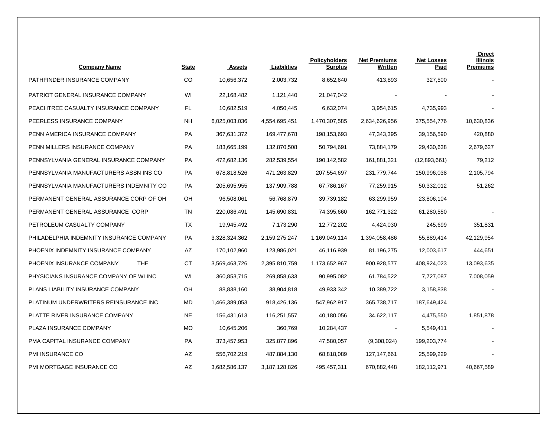| <b>Company Name</b>                      | <b>State</b> | <b>Assets</b> | Liabilities   | <b>Policyholders</b><br><b>Surplus</b> | <b>Net Premiums</b><br>Written | <b>Net Losses</b><br>Paid | <b>Direct</b><br><b>Illinois</b><br><b>Premiums</b> |
|------------------------------------------|--------------|---------------|---------------|----------------------------------------|--------------------------------|---------------------------|-----------------------------------------------------|
| PATHFINDER INSURANCE COMPANY             | CO           | 10,656,372    | 2,003,732     | 8,652,640                              | 413,893                        | 327,500                   |                                                     |
| PATRIOT GENERAL INSURANCE COMPANY        | WI           | 22,168,482    | 1,121,440     | 21,047,042                             |                                |                           |                                                     |
| PEACHTREE CASUALTY INSURANCE COMPANY     | FL           | 10,682,519    | 4,050,445     | 6,632,074                              | 3,954,615                      | 4,735,993                 |                                                     |
| PEERLESS INSURANCE COMPANY               | <b>NH</b>    | 6,025,003,036 | 4,554,695,451 | 1,470,307,585                          | 2,634,626,956                  | 375,554,776               | 10,630,836                                          |
| PENN AMERICA INSURANCE COMPANY           | <b>PA</b>    | 367,631,372   | 169,477,678   | 198,153,693                            | 47,343,395                     | 39,156,590                | 420,880                                             |
| PENN MILLERS INSURANCE COMPANY           | PA           | 183,665,199   | 132,870,508   | 50,794,691                             | 73,884,179                     | 29,430,638                | 2,679,627                                           |
| PENNSYLVANIA GENERAL INSURANCE COMPANY   | PA           | 472,682,136   | 282,539,554   | 190,142,582                            | 161,881,321                    | (12,893,661)              | 79,212                                              |
| PENNSYLVANIA MANUFACTURERS ASSN INS CO   | PA           | 678,818,526   | 471,263,829   | 207,554,697                            | 231,779,744                    | 150,996,038               | 2,105,794                                           |
| PENNSYLVANIA MANUFACTURERS INDEMNITY CO  | PA           | 205,695,955   | 137,909,788   | 67,786,167                             | 77,259,915                     | 50,332,012                | 51,262                                              |
| PERMANENT GENERAL ASSURANCE CORP OF OH   | OH           | 96,508,061    | 56,768,879    | 39,739,182                             | 63,299,959                     | 23,806,104                |                                                     |
| PERMANENT GENERAL ASSURANCE CORP         | TN           | 220,086,491   | 145,690,831   | 74,395,660                             | 162,771,322                    | 61,280,550                |                                                     |
| PETROLEUM CASUALTY COMPANY               | ТX           | 19,945,492    | 7,173,290     | 12,772,202                             | 4,424,030                      | 245,699                   | 351,831                                             |
| PHILADELPHIA INDEMNITY INSURANCE COMPANY | PA           | 3,328,324,362 | 2,159,275,247 | 1,169,049,114                          | 1,394,058,486                  | 55,889,414                | 42,129,954                                          |
| PHOENIX INDEMNITY INSURANCE COMPANY      | AZ           | 170,102,960   | 123,986,021   | 46,116,939                             | 81,196,275                     | 12,003,617                | 444,651                                             |
| PHOENIX INSURANCE COMPANY<br>THE.        | <b>CT</b>    | 3,569,463,726 | 2,395,810,759 | 1,173,652,967                          | 900,928,577                    | 408,924,023               | 13,093,635                                          |
| PHYSICIANS INSURANCE COMPANY OF WI INC   | WI           | 360,853,715   | 269,858,633   | 90,995,082                             | 61,784,522                     | 7,727,087                 | 7,008,059                                           |
| PLANS LIABILITY INSURANCE COMPANY        | OН           | 88,838,160    | 38,904,818    | 49,933,342                             | 10,389,722                     | 3,158,838                 |                                                     |
| PLATINUM UNDERWRITERS REINSURANCE INC    | <b>MD</b>    | 1,466,389,053 | 918,426,136   | 547,962,917                            | 365,738,717                    | 187,649,424               |                                                     |
| PLATTE RIVER INSURANCE COMPANY           | <b>NE</b>    | 156,431,613   | 116,251,557   | 40,180,056                             | 34,622,117                     | 4,475,550                 | 1,851,878                                           |
| PLAZA INSURANCE COMPANY                  | <b>MO</b>    | 10,645,206    | 360,769       | 10,284,437                             |                                | 5,549,411                 |                                                     |
| PMA CAPITAL INSURANCE COMPANY            | <b>PA</b>    | 373,457,953   | 325,877,896   | 47,580,057                             | (9,308,024)                    | 199,203,774               |                                                     |
| PMI INSURANCE CO                         | AZ           | 556,702,219   | 487,884,130   | 68,818,089                             | 127,147,661                    | 25,599,229                |                                                     |
| PMI MORTGAGE INSURANCE CO                | <b>AZ</b>    | 3,682,586,137 | 3,187,128,826 | 495,457,311                            | 670.882.448                    | 182,112,971               | 40,667,589                                          |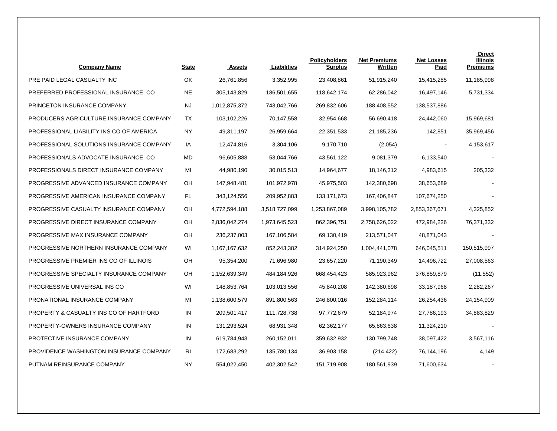| <b>Company Name</b>                      | <b>State</b> | <b>Assets</b> | Liabilities   | <b>Policyholders</b><br><b>Surplus</b> | <b>Net Premiums</b><br>Written | <b>Net Losses</b><br>Paid | <b>Direct</b><br>Illinois<br><b>Premiums</b> |
|------------------------------------------|--------------|---------------|---------------|----------------------------------------|--------------------------------|---------------------------|----------------------------------------------|
| PRE PAID LEGAL CASUALTY INC              | OK           | 26,761,856    | 3,352,995     | 23,408,861                             | 51,915,240                     | 15,415,285                | 11,185,998                                   |
| PREFERRED PROFESSIONAL INSURANCE CO      | <b>NE</b>    | 305,143,829   | 186,501,655   | 118,642,174                            | 62,286,042                     | 16,497,146                | 5,731,334                                    |
| PRINCETON INSURANCE COMPANY              | NJ           | 1,012,875,372 | 743,042,766   | 269,832,606                            | 188,408,552                    | 138,537,886               |                                              |
| PRODUCERS AGRICULTURE INSURANCE COMPANY  | TX           | 103,102,226   | 70,147,558    | 32,954,668                             | 56,690,418                     | 24,442,060                | 15,969,681                                   |
| PROFESSIONAL LIABILITY INS CO OF AMERICA | <b>NY</b>    | 49,311,197    | 26,959,664    | 22,351,533                             | 21,185,236                     | 142,851                   | 35,969,456                                   |
| PROFESSIONAL SOLUTIONS INSURANCE COMPANY | IA           | 12,474,816    | 3,304,106     | 9,170,710                              | (2,054)                        |                           | 4,153,617                                    |
| PROFESSIONALS ADVOCATE INSURANCE CO      | MD           | 96,605,888    | 53,044,766    | 43,561,122                             | 9,081,379                      | 6,133,540                 |                                              |
| PROFESSIONALS DIRECT INSURANCE COMPANY   | MI           | 44,980,190    | 30,015,513    | 14,964,677                             | 18,146,312                     | 4,983,615                 | 205,332                                      |
| PROGRESSIVE ADVANCED INSURANCE COMPANY   | OН           | 147,948,481   | 101,972,978   | 45,975,503                             | 142,380,698                    | 38,653,689                |                                              |
| PROGRESSIVE AMERICAN INSURANCE COMPANY   | FL.          | 343,124,556   | 209,952,883   | 133, 171, 673                          | 167,406,847                    | 107,674,250               |                                              |
| PROGRESSIVE CASUALTY INSURANCE COMPANY   | OH           | 4,772,594,188 | 3,518,727,099 | 1,253,867,089                          | 3,998,105,782                  | 2,853,367,671             | 4,325,852                                    |
| PROGRESSIVE DIRECT INSURANCE COMPANY     | OH           | 2,836,042,274 | 1,973,645,523 | 862,396,751                            | 2,758,626,022                  | 472,984,226               | 76,371,332                                   |
| PROGRESSIVE MAX INSURANCE COMPANY        | OH           | 236,237,003   | 167,106,584   | 69,130,419                             | 213,571,047                    | 48,871,043                |                                              |
| PROGRESSIVE NORTHERN INSURANCE COMPANY   | WI           | 1,167,167,632 | 852,243,382   | 314,924,250                            | 1,004,441,078                  | 646,045,511               | 150,515,997                                  |
| PROGRESSIVE PREMIER INS CO OF ILLINOIS   | OH           | 95,354,200    | 71,696,980    | 23,657,220                             | 71,190,349                     | 14,496,722                | 27,008,563                                   |
| PROGRESSIVE SPECIALTY INSURANCE COMPANY  | OH           | 1,152,639,349 | 484,184,926   | 668,454,423                            | 585,923,962                    | 376,859,879               | (11, 552)                                    |
| PROGRESSIVE UNIVERSAL INS CO             | WI           | 148,853,764   | 103,013,556   | 45,840,208                             | 142,380,698                    | 33,187,968                | 2,282,267                                    |
| PRONATIONAL INSURANCE COMPANY            | MI           | 1,138,600,579 | 891,800,563   | 246,800,016                            | 152,284,114                    | 26,254,436                | 24,154,909                                   |
| PROPERTY & CASUALTY INS CO OF HARTFORD   | IN           | 209,501,417   | 111,728,738   | 97,772,679                             | 52,184,974                     | 27,786,193                | 34,883,829                                   |
| PROPERTY-OWNERS INSURANCE COMPANY        | IN           | 131,293,524   | 68,931,348    | 62,362,177                             | 65,863,638                     | 11,324,210                |                                              |
| PROTECTIVE INSURANCE COMPANY             | IN           | 619,784,943   | 260,152,011   | 359,632,932                            | 130,799,748                    | 38,097,422                | 3,567,116                                    |
| PROVIDENCE WASHINGTON INSURANCE COMPANY  | RI           | 172,683,292   | 135,780,134   | 36,903,158                             | (214, 422)                     | 76,144,196                | 4,149                                        |
| PUTNAM REINSURANCE COMPANY               | <b>NY</b>    | 554,022,450   | 402,302,542   | 151,719,908                            | 180,561,939                    | 71,600,634                |                                              |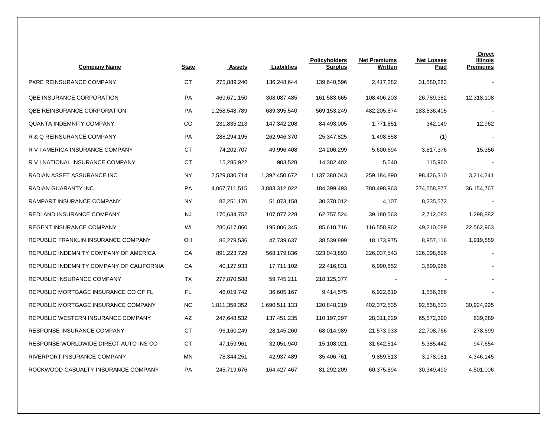| <b>Company Name</b>                      | <b>State</b> | <b>Assets</b> | Liabilities   | <b>Policyholders</b><br><u>Surplus</u> | <b>Net Premiums</b><br>Written | <b>Net Losses</b><br><u>Paid</u> | <b>Direct</b><br>Illinois<br><b>Premiums</b> |
|------------------------------------------|--------------|---------------|---------------|----------------------------------------|--------------------------------|----------------------------------|----------------------------------------------|
| PXRE REINSURANCE COMPANY                 | СT           | 275,889,240   | 136,248,644   | 139,640,596                            | 2,417,282                      | 31,580,263                       |                                              |
| <b>QBE INSURANCE CORPORATION</b>         | PA           | 469,671,150   | 308,087,485   | 161,583,665                            | 108,406,203                    | 26,789,382                       | 12,318,108                                   |
| <b>QBE REINSURANCE CORPORATION</b>       | <b>PA</b>    | 1,258,548,789 | 689,395,540   | 569,153,249                            | 482,205,874                    | 183,836,405                      |                                              |
| <b>QUANTA INDEMNITY COMPANY</b>          | CO           | 231,835,213   | 147,342,208   | 84,493,005                             | 1,771,851                      | 342,149                          | 12,962                                       |
| R & Q REINSURANCE COMPANY                | <b>PA</b>    | 288,294,195   | 262,946,370   | 25,347,825                             | 1,498,858                      | (1)                              |                                              |
| R V I AMERICA INSURANCE COMPANY          | СT           | 74,202,707    | 49,996,408    | 24,206,299                             | 5,600,694                      | 3,817,376                        | 15,356                                       |
| R V I NATIONAL INSURANCE COMPANY         | СT           | 15,285,922    | 903,520       | 14,382,402                             | 5,540                          | 115,960                          |                                              |
| RADIAN ASSET ASSURANCE INC               | NY           | 2,529,830,714 | 1,392,450,672 | 1,137,380,043                          | 259,184,890                    | 98,426,310                       | 3,214,241                                    |
| RADIAN GUARANTY INC                      | <b>PA</b>    | 4,067,711,515 | 3,883,312,022 | 184,399,493                            | 780,498,963                    | 274,558,877                      | 36,154,767                                   |
| RAMPART INSURANCE COMPANY                | NY           | 82,251,170    | 51,873,158    | 30,378,012                             | 4,107                          | 8,235,572                        |                                              |
| REDLAND INSURANCE COMPANY                | <b>NJ</b>    | 170,634,752   | 107,877,228   | 62,757,524                             | 39,180,563                     | 2,712,083                        | 1,298,882                                    |
| REGENT INSURANCE COMPANY                 | WI           | 280,617,060   | 195,006,345   | 85,610,716                             | 116,558,962                    | 49,210,089                       | 22,562,963                                   |
| REPUBLIC FRANKLIN INSURANCE COMPANY      | OH           | 86,279,536    | 47,739,637    | 38,539,899                             | 18,173,975                     | 8,957,116                        | 1,919,889                                    |
| REPUBLIC INDEMNITY COMPANY OF AMERICA    | СA           | 891,223,729   | 568,179,836   | 323,043,893                            | 226,037,543                    | 126,098,896                      |                                              |
| REPUBLIC INDEMNITY COMPANY OF CALIFORNIA | СA           | 40,127,933    | 17,711,102    | 22,416,831                             | 6,990,852                      | 3,899,966                        |                                              |
| REPUBLIC INSURANCE COMPANY               | ТX           | 277,870,588   | 59,745,211    | 218,125,377                            |                                |                                  |                                              |
| REPUBLIC MORTGAGE INSURANCE CO OF FL     | FL.          | 46,019,742    | 36,605,167    | 9,414,575                              | 6,922,619                      | 1,556,386                        |                                              |
| REPUBLIC MORTGAGE INSURANCE COMPANY      | ΝC           | 1,811,359,352 | 1,690,511,133 | 120,848,219                            | 402,372,535                    | 92,868,503                       | 30,924,995                                   |
| REPUBLIC WESTERN INSURANCE COMPANY       | AZ           | 247,648,532   | 137,451,235   | 110,197,297                            | 28,311,229                     | 65,572,390                       | 639,289                                      |
| RESPONSE INSURANCE COMPANY               | <b>CT</b>    | 96,160,249    | 28,145,260    | 68,014,989                             | 21,573,933                     | 22,708,766                       | 278,699                                      |
| RESPONSE WORLDWIDE DIRECT AUTO INS CO    | CT.          | 47,159,961    | 32,051,940    | 15,108,021                             | 31,642,514                     | 5,385,442                        | 947,654                                      |
| RIVERPORT INSURANCE COMPANY              | MN           | 78,344,251    | 42,937,489    | 35,406,761                             | 9,859,513                      | 3,178,081                        | 4,346,145                                    |
| ROCKWOOD CASUALTY INSURANCE COMPANY      | <b>PA</b>    | 245,719,676   | 164,427,467   | 81,292,209                             | 60,375,894                     | 30,349,490                       | 4,501,006                                    |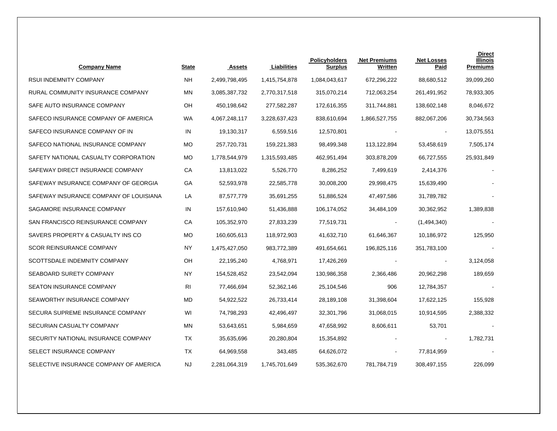| <b>Company Name</b>                    | <u>State</u> | <b>Assets</b> | Liabilities   | Policyholders<br>Surplus | <b>Net Premiums</b><br>Written | <b>Net Losses</b><br>Paid | <b>Direct</b><br>Illinois<br><b>Premiums</b> |
|----------------------------------------|--------------|---------------|---------------|--------------------------|--------------------------------|---------------------------|----------------------------------------------|
| RSUI INDEMNITY COMPANY                 | <b>NH</b>    | 2,499,798,495 | 1,415,754,878 | 1,084,043,617            | 672,296,222                    | 88,680,512                | 39,099,260                                   |
| RURAL COMMUNITY INSURANCE COMPANY      | ΜN           | 3,085,387,732 | 2,770,317,518 | 315,070,214              | 712,063,254                    | 261,491,952               | 78,933,305                                   |
| SAFE AUTO INSURANCE COMPANY            | OH           | 450,198,642   | 277,582,287   | 172,616,355              | 311,744,881                    | 138,602,148               | 8,046,672                                    |
| SAFECO INSURANCE COMPANY OF AMERICA    | <b>WA</b>    | 4,067,248,117 | 3,228,637,423 | 838,610,694              | 1,866,527,755                  | 882,067,206               | 30,734,563                                   |
| SAFECO INSURANCE COMPANY OF IN         | IN           | 19,130,317    | 6,559,516     | 12,570,801               |                                | $\blacksquare$            | 13,075,551                                   |
| SAFECO NATIONAL INSURANCE COMPANY      | <b>MO</b>    | 257,720,731   | 159,221,383   | 98,499,348               | 113,122,894                    | 53,458,619                | 7,505,174                                    |
| SAFETY NATIONAL CASUALTY CORPORATION   | <b>MO</b>    | 1,778,544,979 | 1,315,593,485 | 462,951,494              | 303,878,209                    | 66,727,555                | 25,931,849                                   |
| SAFEWAY DIRECT INSURANCE COMPANY       | СA           | 13,813,022    | 5,526,770     | 8,286,252                | 7,499,619                      | 2,414,376                 |                                              |
| SAFEWAY INSURANCE COMPANY OF GEORGIA   | GА           | 52,593,978    | 22,585,778    | 30,008,200               | 29,998,475                     | 15,639,490                |                                              |
| SAFEWAY INSURANCE COMPANY OF LOUISIANA | LA           | 87,577,779    | 35,691,255    | 51,886,524               | 47,497,586                     | 31,789,782                |                                              |
| SAGAMORE INSURANCE COMPANY             | IN           | 157,610,940   | 51,436,888    | 106,174,052              | 34,484,109                     | 30,362,952                | 1,389,838                                    |
| SAN FRANCISCO REINSURANCE COMPANY      | СA           | 105,352,970   | 27,833,239    | 77,519,731               | $\blacksquare$                 | (1,494,340)               |                                              |
| SAVERS PROPERTY & CASUALTY INS CO      | MO           | 160,605,613   | 118,972,903   | 41,632,710               | 61,646,367                     | 10,186,972                | 125,950                                      |
| <b>SCOR REINSURANCE COMPANY</b>        | NY.          | 1,475,427,050 | 983,772,389   | 491,654,661              | 196,825,116                    | 351,783,100               |                                              |
| SCOTTSDALE INDEMNITY COMPANY           | OH           | 22,195,240    | 4,768,971     | 17,426,269               |                                | $\blacksquare$            | 3,124,058                                    |
| SEABOARD SURETY COMPANY                | ΝY           | 154,528,452   | 23,542,094    | 130,986,358              | 2,366,486                      | 20,962,298                | 189,659                                      |
| <b>SEATON INSURANCE COMPANY</b>        | RI           | 77,466,694    | 52,362,146    | 25,104,546               | 906                            | 12,784,357                |                                              |
| SEAWORTHY INSURANCE COMPANY            | <b>MD</b>    | 54,922,522    | 26,733,414    | 28,189,108               | 31,398,604                     | 17,622,125                | 155,928                                      |
| SECURA SUPREME INSURANCE COMPANY       | WI           | 74,798,293    | 42,496,497    | 32,301,796               | 31,068,015                     | 10,914,595                | 2,388,332                                    |
| SECURIAN CASUALTY COMPANY              | ΜN           | 53,643,651    | 5,984,659     | 47,658,992               | 8,606,611                      | 53,701                    |                                              |
| SECURITY NATIONAL INSURANCE COMPANY    | ТX           | 35,635,696    | 20,280,804    | 15,354,892               |                                |                           | 1,782,731                                    |
| SELECT INSURANCE COMPANY               | <b>TX</b>    | 64,969,558    | 343,485       | 64,626,072               |                                | 77,814,959                |                                              |
| SELECTIVE INSURANCE COMPANY OF AMERICA | <b>NJ</b>    | 2,281,064,319 | 1,745,701,649 | 535,362,670              | 781,784,719                    | 308,497,155               | 226.099                                      |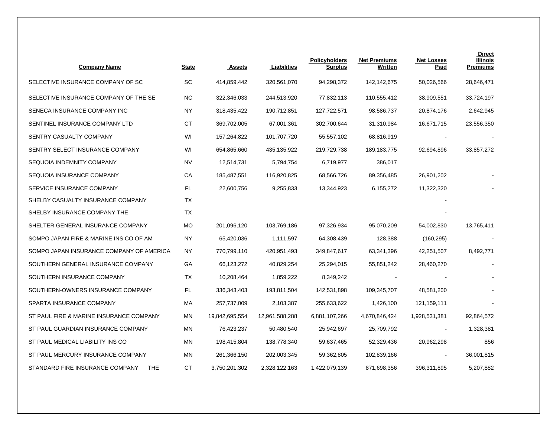| <b>Company Name</b>                           | <b>State</b> | <b>Assets</b>  | Liabilities    | <b>Policyholders</b><br>Surplus | <b>Net Premiums</b><br>Written | <b>Net Losses</b><br><u>Paid</u> | <b>Direct</b><br><b>Illinois</b><br><b>Premiums</b> |
|-----------------------------------------------|--------------|----------------|----------------|---------------------------------|--------------------------------|----------------------------------|-----------------------------------------------------|
| SELECTIVE INSURANCE COMPANY OF SC             | SC           | 414,859,442    | 320,561,070    | 94,298,372                      | 142,142,675                    | 50,026,566                       | 28,646,471                                          |
| SELECTIVE INSURANCE COMPANY OF THE SE         | ΝC           | 322,346,033    | 244,513,920    | 77,832,113                      | 110,555,412                    | 38,909,551                       | 33,724,197                                          |
| SENECA INSURANCE COMPANY INC                  | NY.          | 318,435,422    | 190,712,851    | 127,722,571                     | 98,586,737                     | 20,874,176                       | 2,642,945                                           |
| SENTINEL INSURANCE COMPANY LTD                | <b>CT</b>    | 369,702,005    | 67,001,361     | 302,700,644                     | 31,310,984                     | 16,671,715                       | 23,556,350                                          |
| SENTRY CASUALTY COMPANY                       | WI           | 157,264,822    | 101,707,720    | 55,557,102                      | 68,816,919                     |                                  |                                                     |
| SENTRY SELECT INSURANCE COMPANY               | WI           | 654,865,660    | 435, 135, 922  | 219,729,738                     | 189, 183, 775                  | 92,694,896                       | 33,857,272                                          |
| SEQUOIA INDEMNITY COMPANY                     | <b>NV</b>    | 12,514,731     | 5,794,754      | 6,719,977                       | 386,017                        |                                  |                                                     |
| SEQUOIA INSURANCE COMPANY                     | СA           | 185,487,551    | 116,920,825    | 68,566,726                      | 89,356,485                     | 26,901,202                       |                                                     |
| SERVICE INSURANCE COMPANY                     | FL.          | 22,600,756     | 9,255,833      | 13,344,923                      | 6,155,272                      | 11,322,320                       |                                                     |
| SHELBY CASUALTY INSURANCE COMPANY             | ТX           |                |                |                                 |                                |                                  |                                                     |
| SHELBY INSURANCE COMPANY THE                  | ТX           |                |                |                                 |                                |                                  |                                                     |
| SHELTER GENERAL INSURANCE COMPANY             | <b>MO</b>    | 201,096,120    | 103,769,186    | 97,326,934                      | 95,070,209                     | 54,002,830                       | 13,765,411                                          |
| SOMPO JAPAN FIRE & MARINE INS CO OF AM        | NY           | 65,420,036     | 1,111,597      | 64,308,439                      | 128,388                        | (160, 295)                       |                                                     |
| SOMPO JAPAN INSURANCE COMPANY OF AMERICA      | NY           | 770,799,110    | 420,951,493    | 349,847,617                     | 63,341,396                     | 42,251,507                       | 8,492,771                                           |
| SOUTHERN GENERAL INSURANCE COMPANY            | GА           | 66,123,272     | 40,829,254     | 25,294,015                      | 55,851,242                     | 28,460,270                       |                                                     |
| SOUTHERN INSURANCE COMPANY                    | ТX           | 10,208,464     | 1,859,222      | 8,349,242                       |                                |                                  |                                                     |
| SOUTHERN-OWNERS INSURANCE COMPANY             | FL           | 336,343,403    | 193,811,504    | 142,531,898                     | 109,345,707                    | 48,581,200                       |                                                     |
| SPARTA INSURANCE COMPANY                      | МA           | 257,737,009    | 2,103,387      | 255,633,622                     | 1,426,100                      | 121, 159, 111                    |                                                     |
| ST PAUL FIRE & MARINE INSURANCE COMPANY       | <b>MN</b>    | 19,842,695,554 | 12,961,588,288 | 6,881,107,266                   | 4,670,846,424                  | 1,928,531,381                    | 92,864,572                                          |
| ST PAUL GUARDIAN INSURANCE COMPANY            | <b>MN</b>    | 76,423,237     | 50,480,540     | 25,942,697                      | 25,709,792                     |                                  | 1,328,381                                           |
| ST PAUL MEDICAL LIABILITY INS CO              | MN           | 198,415,804    | 138,778,340    | 59,637,465                      | 52,329,436                     | 20,962,298                       | 856                                                 |
| ST PAUL MERCURY INSURANCE COMPANY             | <b>MN</b>    | 261,366,150    | 202,003,345    | 59,362,805                      | 102,839,166                    |                                  | 36,001,815                                          |
| STANDARD FIRE INSURANCE COMPANY<br><b>THE</b> | <b>CT</b>    | 3,750,201,302  | 2,328,122,163  | 1,422,079,139                   | 871,698,356                    | 396,311,895                      | 5,207,882                                           |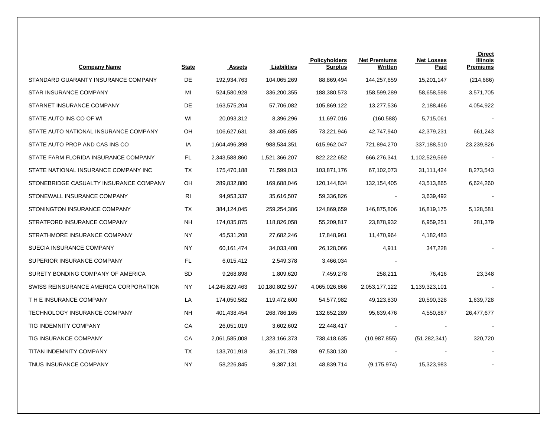| <b>Company Name</b>                    | <b>State</b> | <b>Assets</b>  | Liabilities    | <b>Policyholders</b><br><b>Surplus</b> | <b>Net Premiums</b><br>Written | <b>Net Losses</b><br>Paid | <b>Direct</b><br>Illinois<br><b>Premiums</b> |
|----------------------------------------|--------------|----------------|----------------|----------------------------------------|--------------------------------|---------------------------|----------------------------------------------|
| STANDARD GUARANTY INSURANCE COMPANY    | DE           | 192,934,763    | 104,065,269    | 88,869,494                             | 144,257,659                    | 15,201,147                | (214, 686)                                   |
| STAR INSURANCE COMPANY                 | MI           | 524,580,928    | 336,200,355    | 188,380,573                            | 158,599,289                    | 58,658,598                | 3,571,705                                    |
| STARNET INSURANCE COMPANY              | DE           | 163,575,204    | 57,706,082     | 105,869,122                            | 13,277,536                     | 2,188,466                 | 4,054,922                                    |
| STATE AUTO INS CO OF WI                | WI           | 20,093,312     | 8,396,296      | 11,697,016                             | (160, 588)                     | 5,715,061                 |                                              |
| STATE AUTO NATIONAL INSURANCE COMPANY  | OН           | 106,627,631    | 33,405,685     | 73,221,946                             | 42,747,940                     | 42,379,231                | 661,243                                      |
| STATE AUTO PROP AND CAS INS CO         | IA           | 1,604,496,398  | 988,534,351    | 615,962,047                            | 721,894,270                    | 337,188,510               | 23,239,826                                   |
| STATE FARM FLORIDA INSURANCE COMPANY   | FL           | 2,343,588,860  | 1,521,366,207  | 822,222,652                            | 666,276,341                    | 1,102,529,569             |                                              |
| STATE NATIONAL INSURANCE COMPANY INC   | TX           | 175,470,188    | 71,599,013     | 103,871,176                            | 67,102,073                     | 31,111,424                | 8,273,543                                    |
| STONEBRIDGE CASUALTY INSURANCE COMPANY | OН           | 289,832,880    | 169,688,046    | 120,144,834                            | 132,154,405                    | 43,513,865                | 6,624,260                                    |
| STONEWALL INSURANCE COMPANY            | RI           | 94,953,337     | 35,616,507     | 59,336,826                             |                                | 3,639,492                 |                                              |
| STONINGTON INSURANCE COMPANY           | ТX           | 384,124,045    | 259,254,386    | 124,869,659                            | 146,875,806                    | 16,819,175                | 5,128,581                                    |
| STRATFORD INSURANCE COMPANY            | <b>NH</b>    | 174,035,875    | 118,826,058    | 55,209,817                             | 23,878,932                     | 6,959,251                 | 281,379                                      |
| STRATHMORE INSURANCE COMPANY           | NY           | 45,531,208     | 27,682,246     | 17,848,961                             | 11,470,964                     | 4,182,483                 |                                              |
| SUECIA INSURANCE COMPANY               | NY           | 60,161,474     | 34,033,408     | 26,128,066                             | 4,911                          | 347,228                   |                                              |
| SUPERIOR INSURANCE COMPANY             | FL           | 6,015,412      | 2,549,378      | 3,466,034                              |                                |                           |                                              |
| SURETY BONDING COMPANY OF AMERICA      | SD           | 9,268,898      | 1,809,620      | 7,459,278                              | 258,211                        | 76,416                    | 23,348                                       |
| SWISS REINSURANCE AMERICA CORPORATION  | ΝY           | 14,245,829,463 | 10,180,802,597 | 4,065,026,866                          | 2,053,177,122                  | 1,139,323,101             |                                              |
| T H E INSURANCE COMPANY                | LA           | 174,050,582    | 119,472,600    | 54,577,982                             | 49,123,830                     | 20,590,328                | 1,639,728                                    |
| TECHNOLOGY INSURANCE COMPANY           | NΗ           | 401,438,454    | 268,786,165    | 132,652,289                            | 95,639,476                     | 4,550,867                 | 26,477,677                                   |
| TIG INDEMNITY COMPANY                  | СA           | 26,051,019     | 3,602,602      | 22,448,417                             |                                |                           |                                              |
| TIG INSURANCE COMPANY                  | СA           | 2,061,585,008  | 1,323,166,373  | 738,418,635                            | (10,987,855)                   | (51, 282, 341)            | 320,720                                      |
| TITAN INDEMNITY COMPANY                | ТX           | 133,701,918    | 36,171,788     | 97,530,130                             |                                |                           |                                              |
| TNUS INSURANCE COMPANY                 | ΝY           | 58,226,845     | 9,387,131      | 48,839,714                             | (9, 175, 974)                  | 15,323,983                |                                              |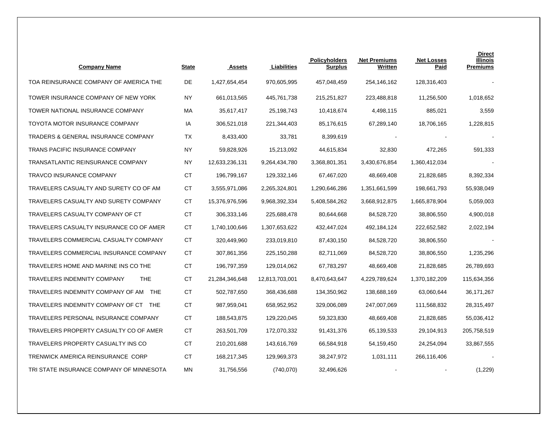| <b>Company Name</b>                              | <b>State</b> | <b>Assets</b>  | Liabilities    | <b>Policyholders</b><br><b>Surplus</b> | <b>Net Premiums</b><br>Written | <b>Net Losses</b><br><b>Paid</b> | <b>Direct</b><br><b>Illinois</b><br><b>Premiums</b> |
|--------------------------------------------------|--------------|----------------|----------------|----------------------------------------|--------------------------------|----------------------------------|-----------------------------------------------------|
| TOA REINSURANCE COMPANY OF AMERICA THE           | DE           | 1,427,654,454  | 970,605,995    | 457,048,459                            | 254,146,162                    | 128,316,403                      |                                                     |
| TOWER INSURANCE COMPANY OF NEW YORK              | ΝY           | 661,013,565    | 445,761,738    | 215,251,827                            | 223,488,818                    | 11,256,500                       | 1,018,652                                           |
| TOWER NATIONAL INSURANCE COMPANY                 | МA           | 35,617,417     | 25,198,743     | 10,418,674                             | 4,498,115                      | 885,021                          | 3,559                                               |
| TOYOTA MOTOR INSURANCE COMPANY                   | IA           | 306,521,018    | 221,344,403    | 85,176,615                             | 67,289,140                     | 18,706,165                       | 1,228,815                                           |
| <b>TRADERS &amp; GENERAL INSURANCE COMPANY</b>   | ТX           | 8,433,400      | 33,781         | 8,399,619                              |                                |                                  |                                                     |
| TRANS PACIFIC INSURANCE COMPANY                  | <b>NY</b>    | 59,828,926     | 15,213,092     | 44,615,834                             | 32,830                         | 472,265                          | 591,333                                             |
| TRANSATLANTIC REINSURANCE COMPANY                | NY.          | 12,633,236,131 | 9,264,434,780  | 3,368,801,351                          | 3,430,676,854                  | 1,360,412,034                    |                                                     |
| <b>TRAVCO INSURANCE COMPANY</b>                  | CT.          | 196,799,167    | 129,332,146    | 67,467,020                             | 48,669,408                     | 21,828,685                       | 8,392,334                                           |
| TRAVELERS CASUALTY AND SURETY CO OF AM           | СT           | 3,555,971,086  | 2,265,324,801  | 1,290,646,286                          | 1,351,661,599                  | 198,661,793                      | 55,938,049                                          |
| TRAVELERS CASUALTY AND SURETY COMPANY            | СT           | 15,376,976,596 | 9,968,392,334  | 5,408,584,262                          | 3,668,912,875                  | 1,665,878,904                    | 5,059,003                                           |
| TRAVELERS CASUALTY COMPANY OF CT                 | СT           | 306, 333, 146  | 225,688,478    | 80,644,668                             | 84,528,720                     | 38,806,550                       | 4,900,018                                           |
| TRAVELERS CASUALTY INSURANCE CO OF AMER          | <b>CT</b>    | 1,740,100,646  | 1,307,653,622  | 432,447,024                            | 492,184,124                    | 222,652,582                      | 2,022,194                                           |
| TRAVELERS COMMERCIAL CASUALTY COMPANY            | СT           | 320,449,960    | 233,019,810    | 87,430,150                             | 84,528,720                     | 38,806,550                       |                                                     |
| TRAVELERS COMMERCIAL INSURANCE COMPANY           | СT           | 307,861,356    | 225,150,288    | 82,711,069                             | 84,528,720                     | 38,806,550                       | 1,235,296                                           |
| TRAVELERS HOME AND MARINE INS CO THE             | СT           | 196,797,359    | 129,014,062    | 67,783,297                             | 48,669,408                     | 21,828,685                       | 26,789,693                                          |
| <b>TRAVELERS INDEMNITY COMPANY</b><br><b>THE</b> | <b>CT</b>    | 21,284,346,648 | 12,813,703,001 | 8,470,643,647                          | 4,229,789,624                  | 1,370,182,209                    | 115,634,356                                         |
| TRAVELERS INDEMNITY COMPANY OF AM THE            | <b>CT</b>    | 502,787,650    | 368,436,688    | 134,350,962                            | 138,688,169                    | 63,060,644                       | 36,171,267                                          |
| TRAVELERS INDEMNITY COMPANY OF CT THE            | СT           | 987,959,041    | 658,952,952    | 329,006,089                            | 247,007,069                    | 111,568,832                      | 28,315,497                                          |
| TRAVELERS PERSONAL INSURANCE COMPANY             | <b>CT</b>    | 188,543,875    | 129,220,045    | 59,323,830                             | 48,669,408                     | 21,828,685                       | 55,036,412                                          |
| TRAVELERS PROPERTY CASUALTY CO OF AMER           | CT.          | 263,501,709    | 172,070,332    | 91,431,376                             | 65,139,533                     | 29,104,913                       | 205,758,519                                         |
| TRAVELERS PROPERTY CASUALTY INS CO               | <b>CT</b>    | 210,201,688    | 143,616,769    | 66,584,918                             | 54,159,450                     | 24,254,094                       | 33,867,555                                          |
| TRENWICK AMERICA REINSURANCE CORP                | <b>CT</b>    | 168,217,345    | 129,969,373    | 38,247,972                             | 1,031,111                      | 266,116,406                      |                                                     |
| TRI STATE INSURANCE COMPANY OF MINNESOTA         | MN           | 31,756,556     | (740,070)      | 32,496,626                             |                                |                                  | (1,229)                                             |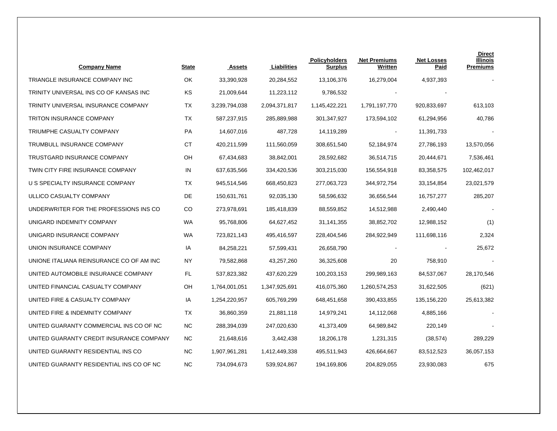| <b>Company Name</b>                      | <b>State</b> | <b>Assets</b> | Liabilities   | <b>Policyholders</b><br><b>Surplus</b> | <b>Net Premiums</b><br>Written | <b>Net Losses</b><br><u>Paid</u> | <b>Direct</b><br>Illinois<br><b>Premiums</b> |
|------------------------------------------|--------------|---------------|---------------|----------------------------------------|--------------------------------|----------------------------------|----------------------------------------------|
| TRIANGLE INSURANCE COMPANY INC           | OK           | 33,390,928    | 20,284,552    | 13,106,376                             | 16,279,004                     | 4,937,393                        |                                              |
| TRINITY UNIVERSAL INS CO OF KANSAS INC   | KS           | 21,009,644    | 11,223,112    | 9,786,532                              |                                |                                  |                                              |
| TRINITY UNIVERSAL INSURANCE COMPANY      | ТX           | 3,239,794,038 | 2,094,371,817 | 1,145,422,221                          | 1,791,197,770                  | 920,833,697                      | 613,103                                      |
| TRITON INSURANCE COMPANY                 | TX           | 587,237,915   | 285,889,988   | 301,347,927                            | 173,594,102                    | 61,294,956                       | 40,786                                       |
| TRIUMPHE CASUALTY COMPANY                | PA           | 14,607,016    | 487,728       | 14,119,289                             |                                | 11,391,733                       |                                              |
| TRUMBULL INSURANCE COMPANY               | <b>CT</b>    | 420,211,599   | 111,560,059   | 308,651,540                            | 52,184,974                     | 27,786,193                       | 13,570,056                                   |
| TRUSTGARD INSURANCE COMPANY              | OН           | 67,434,683    | 38,842,001    | 28,592,682                             | 36,514,715                     | 20,444,671                       | 7,536,461                                    |
| TWIN CITY FIRE INSURANCE COMPANY         | IN           | 637,635,566   | 334,420,536   | 303,215,030                            | 156,554,918                    | 83,358,575                       | 102,462,017                                  |
| U S SPECIALTY INSURANCE COMPANY          | ТX           | 945,514,546   | 668,450,823   | 277,063,723                            | 344,972,754                    | 33,154,854                       | 23,021,579                                   |
| ULLICO CASUALTY COMPANY                  | DE           | 150,631,761   | 92,035,130    | 58,596,632                             | 36,656,544                     | 16,757,277                       | 285,207                                      |
| UNDERWRITER FOR THE PROFESSIONS INS CO   | CO           | 273,978,691   | 185,418,839   | 88,559,852                             | 14,512,988                     | 2,490,440                        |                                              |
| UNIGARD INDEMNITY COMPANY                | WA           | 95,768,806    | 64,627,452    | 31,141,355                             | 38,852,702                     | 12,988,152                       | (1)                                          |
| UNIGARD INSURANCE COMPANY                | <b>WA</b>    | 723,821,143   | 495,416,597   | 228,404,546                            | 284,922,949                    | 111,698,116                      | 2,324                                        |
| UNION INSURANCE COMPANY                  | IA           | 84,258,221    | 57,599,431    | 26,658,790                             |                                |                                  | 25,672                                       |
| UNIONE ITALIANA REINSURANCE CO OF AM INC | ΝY           | 79,582,868    | 43,257,260    | 36,325,608                             | 20                             | 758,910                          |                                              |
| UNITED AUTOMOBILE INSURANCE COMPANY      | FL           | 537,823,382   | 437,620,229   | 100,203,153                            | 299,989,163                    | 84,537,067                       | 28,170,546                                   |
| UNITED FINANCIAL CASUALTY COMPANY        | OH           | 1,764,001,051 | 1,347,925,691 | 416,075,360                            | 1,260,574,253                  | 31,622,505                       | (621)                                        |
| UNITED FIRE & CASUALTY COMPANY           | IA           | 1,254,220,957 | 605,769,299   | 648,451,658                            | 390,433,855                    | 135,156,220                      | 25,613,382                                   |
| UNITED FIRE & INDEMNITY COMPANY          | ТX           | 36,860,359    | 21,881,118    | 14,979,241                             | 14,112,068                     | 4,885,166                        |                                              |
| UNITED GUARANTY COMMERCIAL INS CO OF NC  | <b>NC</b>    | 288,394,039   | 247,020,630   | 41,373,409                             | 64,989,842                     | 220,149                          |                                              |
| UNITED GUARANTY CREDIT INSURANCE COMPANY | ΝC           | 21,648,616    | 3,442,438     | 18,206,178                             | 1,231,315                      | (38, 574)                        | 289,229                                      |
| UNITED GUARANTY RESIDENTIAL INS CO       | <b>NC</b>    | 1,907,961,281 | 1,412,449,338 | 495,511,943                            | 426,664,667                    | 83,512,523                       | 36,057,153                                   |
| UNITED GUARANTY RESIDENTIAL INS CO OF NC | <b>NC</b>    | 734,094,673   | 539,924,867   | 194,169,806                            | 204,829,055                    | 23,930,083                       | 675                                          |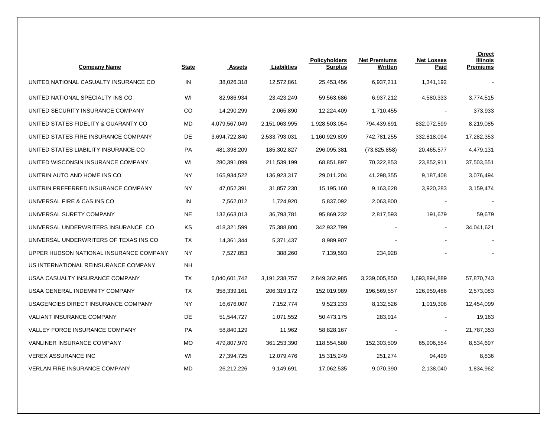| <b>Company Name</b>                     | <b>State</b> | <b>Assets</b> | Liabilities   | <b>Policyholders</b><br><b>Surplus</b> | <b>Net Premiums</b><br>Written | <b>Net Losses</b><br><b>Paid</b> | <b>Direct</b><br><b>Illinois</b><br><b>Premiums</b> |
|-----------------------------------------|--------------|---------------|---------------|----------------------------------------|--------------------------------|----------------------------------|-----------------------------------------------------|
| UNITED NATIONAL CASUALTY INSURANCE CO   | IN           | 38,026,318    | 12,572,861    | 25,453,456                             | 6,937,211                      | 1,341,192                        |                                                     |
| UNITED NATIONAL SPECIALTY INS CO        | WI           | 82,986,934    | 23,423,249    | 59,563,686                             | 6,937,212                      | 4,580,333                        | 3,774,515                                           |
| UNITED SECURITY INSURANCE COMPANY       | CO           | 14,290,299    | 2,065,890     | 12,224,409                             | 1,710,455                      |                                  | 373,933                                             |
| UNITED STATES FIDELITY & GUARANTY CO    | MD           | 4,079,567,049 | 2,151,063,995 | 1,928,503,054                          | 794,439,691                    | 832,072,599                      | 8,219,085                                           |
| UNITED STATES FIRE INSURANCE COMPANY    | DE           | 3,694,722,840 | 2,533,793,031 | 1,160,929,809                          | 742,781,255                    | 332,818,094                      | 17,282,353                                          |
| UNITED STATES LIABILITY INSURANCE CO    | PA           | 481,398,209   | 185,302,827   | 296,095,381                            | (73,825,858)                   | 20,465,577                       | 4,479,131                                           |
| UNITED WISCONSIN INSURANCE COMPANY      | WI           | 280,391,099   | 211,539,199   | 68,851,897                             | 70,322,853                     | 23,852,911                       | 37,503,551                                          |
| UNITRIN AUTO AND HOME INS CO            | <b>NY</b>    | 165,934,522   | 136,923,317   | 29,011,204                             | 41,298,355                     | 9,187,408                        | 3,076,494                                           |
| UNITRIN PREFERRED INSURANCE COMPANY     | <b>NY</b>    | 47,052,391    | 31,857,230    | 15,195,160                             | 9,163,628                      | 3,920,283                        | 3,159,474                                           |
| UNIVERSAL FIRE & CAS INS CO             | IN           | 7,562,012     | 1,724,920     | 5,837,092                              | 2,063,800                      |                                  |                                                     |
| UNIVERSAL SURETY COMPANY                | <b>NE</b>    | 132,663,013   | 36,793,781    | 95,869,232                             | 2,817,593                      | 191,679                          | 59,679                                              |
| UNIVERSAL UNDERWRITERS INSURANCE CO     | KS           | 418,321,599   | 75,388,800    | 342,932,799                            |                                | $\overline{\phantom{a}}$         | 34,041,621                                          |
| UNIVERSAL UNDERWRITERS OF TEXAS INS CO  | TX           | 14,361,344    | 5,371,437     | 8,989,907                              |                                |                                  |                                                     |
| UPPER HUDSON NATIONAL INSURANCE COMPANY | <b>NY</b>    | 7,527,853     | 388,260       | 7,139,593                              | 234,928                        |                                  |                                                     |
| US INTERNATIONAL REINSURANCE COMPANY    | NΗ           |               |               |                                        |                                |                                  |                                                     |
| USAA CASUALTY INSURANCE COMPANY         | TX           | 6,040,601,742 | 3,191,238,757 | 2,849,362,985                          | 3,239,005,850                  | 1,693,894,889                    | 57,870,743                                          |
| USAA GENERAL INDEMNITY COMPANY          | <b>TX</b>    | 358,339,161   | 206,319,172   | 152,019,989                            | 196,569,557                    | 126,959,486                      | 2,573,083                                           |
| USAGENCIES DIRECT INSURANCE COMPANY     | <b>NY</b>    | 16,676,007    | 7,152,774     | 9,523,233                              | 8,132,526                      | 1,019,308                        | 12,454,099                                          |
| <b>VALIANT INSURANCE COMPANY</b>        | DE           | 51,544,727    | 1,071,552     | 50,473,175                             | 283,914                        |                                  | 19,163                                              |
| VALLEY FORGE INSURANCE COMPANY          | PA           | 58,840,129    | 11,962        | 58,828,167                             |                                | $\overline{\phantom{a}}$         | 21,787,353                                          |
| <b>VANLINER INSURANCE COMPANY</b>       | <b>MO</b>    | 479,807,970   | 361,253,390   | 118,554,580                            | 152,303,509                    | 65,906,554                       | 8,534,697                                           |
| <b>VEREX ASSURANCE INC</b>              | WI           | 27,394,725    | 12,079,476    | 15,315,249                             | 251,274                        | 94,499                           | 8,836                                               |
| <b>VERLAN FIRE INSURANCE COMPANY</b>    | MD           | 26,212,226    | 9,149,691     | 17,062,535                             | 9,070,390                      | 2,138,040                        | 1,834,962                                           |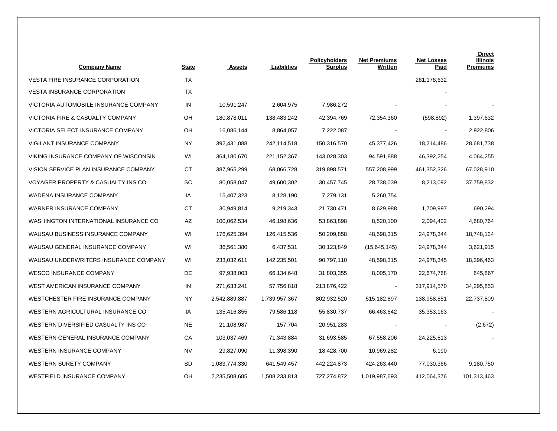| <b>Company Name</b>                     | State     | Assets        | Liabilities   | <b>Policyholders</b><br><b>Surplus</b> | <b>Net Premiums</b><br>Written | <b>Net Losses</b><br>Paid | <b>Direct</b><br>Illinois<br><b>Premiums</b> |
|-----------------------------------------|-----------|---------------|---------------|----------------------------------------|--------------------------------|---------------------------|----------------------------------------------|
| <b>VESTA FIRE INSURANCE CORPORATION</b> | <b>TX</b> |               |               |                                        |                                | 281,178,632               |                                              |
| <b>VESTA INSURANCE CORPORATION</b>      | ТX        |               |               |                                        |                                |                           |                                              |
| VICTORIA AUTOMOBILE INSURANCE COMPANY   | IN        | 10,591,247    | 2,604,975     | 7,986,272                              |                                |                           |                                              |
| VICTORIA FIRE & CASUALTY COMPANY        | OН        | 180,878,011   | 138,483,242   | 42,394,769                             | 72,354,360                     | (598, 892)                | 1,397,632                                    |
| VICTORIA SELECT INSURANCE COMPANY       | OH        | 16,086,144    | 8,864,057     | 7,222,087                              |                                |                           | 2,922,806                                    |
| VIGILANT INSURANCE COMPANY              | <b>NY</b> | 392,431,088   | 242,114,518   | 150,316,570                            | 45,377,426                     | 18,214,486                | 28,681,738                                   |
| VIKING INSURANCE COMPANY OF WISCONSIN   | WI        | 364,180,670   | 221,152,367   | 143,028,303                            | 94,591,888                     | 46,392,254                | 4,064,255                                    |
| VISION SERVICE PLAN INSURANCE COMPANY   | СT        | 387,965,299   | 68,066,728    | 319,898,571                            | 557,208,999                    | 461,352,326               | 67,028,910                                   |
| VOYAGER PROPERTY & CASUALTY INS CO      | SC        | 80,058,047    | 49,600,302    | 30,457,745                             | 28,738,039                     | 8,213,092                 | 37,759,832                                   |
| WADENA INSURANCE COMPANY                | IA        | 15,407,323    | 8,128,190     | 7,279,131                              | 5,260,754                      |                           |                                              |
| WARNER INSURANCE COMPANY                | СT        | 30,949,814    | 9,219,343     | 21,730,471                             | 8,629,988                      | 1,709,997                 | 690,294                                      |
| WASHINGTON INTERNATIONAL INSURANCE CO   | AZ        | 100,062,534   | 46,198,636    | 53,863,898                             | 8,520,100                      | 2,094,402                 | 4,680,764                                    |
| WAUSAU BUSINESS INSURANCE COMPANY       | WI        | 176,625,394   | 126,415,536   | 50,209,858                             | 48,598,315                     | 24,978,344                | 18,748,124                                   |
| WAUSAU GENERAL INSURANCE COMPANY        | WI        | 36,561,380    | 6,437,531     | 30,123,849                             | (15,645,145)                   | 24,978,344                | 3,621,915                                    |
| WAUSAU UNDERWRITERS INSURANCE COMPANY   | WI        | 233,032,611   | 142,235,501   | 90,797,110                             | 48,598,315                     | 24,978,345                | 18,396,463                                   |
| <b>WESCO INSURANCE COMPANY</b>          | DE        | 97,938,003    | 66,134,648    | 31,803,355                             | 8,005,170                      | 22,674,768                | 645,867                                      |
| WEST AMERICAN INSURANCE COMPANY         | IN        | 271,633,241   | 57,756,818    | 213,876,422                            |                                | 317,914,570               | 34,295,853                                   |
| WESTCHESTER FIRE INSURANCE COMPANY      | <b>NY</b> | 2,542,889,887 | 1,739,957,367 | 802,932,520                            | 515,182,897                    | 138,958,851               | 22,737,809                                   |
| WESTERN AGRICULTURAL INSURANCE CO       | IA        | 135,416,855   | 79,586,118    | 55,830,737                             | 66,463,642                     | 35,353,163                |                                              |
| WESTERN DIVERSIFIED CASUALTY INS CO     | NE.       | 21,108,987    | 157,704       | 20,951,283                             |                                |                           | (2,672)                                      |
| WESTERN GENERAL INSURANCE COMPANY       | СA        | 103,037,469   | 71,343,884    | 31,693,585                             | 67,558,206                     | 24,225,813                |                                              |
| WESTERN INSURANCE COMPANY               | <b>NV</b> | 29,827,090    | 11,398,390    | 18,428,700                             | 10,969,282                     | 6,190                     |                                              |
| <b>WESTERN SURETY COMPANY</b>           | <b>SD</b> | 1,083,774,330 | 641,549,457   | 442,224,873                            | 424,263,440                    | 77,030,366                | 9,180,750                                    |
| WESTFIELD INSURANCE COMPANY             | OH        | 2,235,508,685 | 1,508,233,813 | 727,274,872                            | 1,019,987,693                  | 412,064,376               | 101,313,463                                  |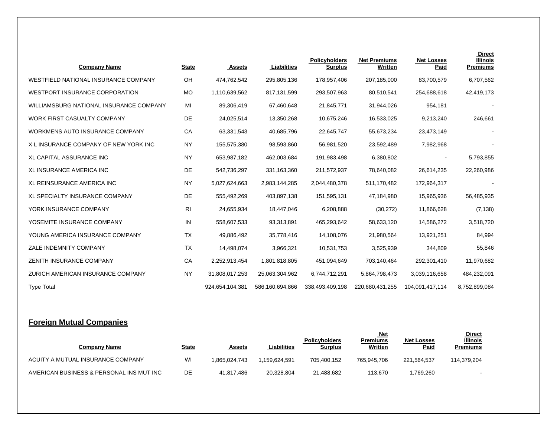| <b>Company Name</b>                     | <b>State</b> | Assets          | Liabilities     | Policyholders<br><b>Surplus</b> | <b>Net Premiums</b><br>Written | <b>Net Losses</b><br>Paid | <b>Direct</b><br><b>Illinois</b><br><b>Premiums</b> |
|-----------------------------------------|--------------|-----------------|-----------------|---------------------------------|--------------------------------|---------------------------|-----------------------------------------------------|
| WESTFIELD NATIONAL INSURANCE COMPANY    | OH           | 474.762.542     | 295,805,136     | 178,957,406                     | 207,185,000                    | 83,700,579                | 6,707,562                                           |
| WESTPORT INSURANCE CORPORATION          | <b>MO</b>    | 1,110,639,562   | 817,131,599     | 293,507,963                     | 80,510,541                     | 254,688,618               | 42,419,173                                          |
| WILLIAMSBURG NATIONAL INSURANCE COMPANY | MI           | 89,306,419      | 67,460,648      | 21,845,771                      | 31,944,026                     | 954,181                   |                                                     |
| WORK FIRST CASUALTY COMPANY             | DE           | 24,025,514      | 13,350,268      | 10,675,246                      | 16,533,025                     | 9,213,240                 | 246,661                                             |
| WORKMENS AUTO INSURANCE COMPANY         | CA           | 63,331,543      | 40,685,796      | 22,645,747                      | 55,673,234                     | 23,473,149                |                                                     |
| X L INSURANCE COMPANY OF NEW YORK INC   | <b>NY</b>    | 155,575,380     | 98,593,860      | 56,981,520                      | 23,592,489                     | 7,982,968                 |                                                     |
| <b>XL CAPITAL ASSURANCE INC</b>         | <b>NY</b>    | 653,987,182     | 462,003,684     | 191,983,498                     | 6,380,802                      |                           | 5,793,855                                           |
| <b>XL INSURANCE AMERICA INC</b>         | DE           | 542,736,297     | 331,163,360     | 211,572,937                     | 78,640,082                     | 26,614,235                | 22,260,986                                          |
| <b>XL REINSURANCE AMERICA INC</b>       | <b>NY</b>    | 5,027,624,663   | 2,983,144,285   | 2,044,480,378                   | 511,170,482                    | 172,964,317               |                                                     |
| <b>XL SPECIALTY INSURANCE COMPANY</b>   | DE           | 555,492,269     | 403,897,138     | 151,595,131                     | 47,184,980                     | 15,965,936                | 56,485,935                                          |
| YORK INSURANCE COMPANY                  | RI           | 24,655,934      | 18,447,046      | 6,208,888                       | (30, 272)                      | 11,866,628                | (7, 138)                                            |
| YOSEMITE INSURANCE COMPANY              | IN           | 558,607,533     | 93,313,891      | 465,293,642                     | 58,633,120                     | 14,586,272                | 3,518,720                                           |
| YOUNG AMERICA INSURANCE COMPANY         | <b>TX</b>    | 49,886,492      | 35,778,416      | 14,108,076                      | 21,980,564                     | 13,921,251                | 84,994                                              |
| ZALE INDEMNITY COMPANY                  | <b>TX</b>    | 14,498,074      | 3,966,321       | 10,531,753                      | 3,525,939                      | 344,809                   | 55,846                                              |
| ZENITH INSURANCE COMPANY                | CA           | 2,252,913,454   | 1,801,818,805   | 451,094,649                     | 703,140,464                    | 292,301,410               | 11,970,682                                          |
| ZURICH AMERICAN INSURANCE COMPANY       | <b>NY</b>    | 31,808,017,253  | 25,063,304,962  | 6,744,712,291                   | 5,864,798,473                  | 3,039,116,658             | 484,232,091                                         |
| <b>Type Total</b>                       |              | 924,654,104,381 | 586,160,694,866 | 338,493,409,198                 | 220,680,431,255                | 104,091,417,114           | 8,752,899,084                                       |

# **Foreign Mutual Companies**

| <b>Company Name</b>                      | <u>State</u> | <b>Assets</b> | Liabilities   | <b>Policyholders</b><br><b>Surplus</b> | Net<br>Premiums<br>Written | <b>Net Losses</b><br><b>Paid</b> | Direct<br>Illinois<br><b>Premiums</b> |
|------------------------------------------|--------------|---------------|---------------|----------------------------------------|----------------------------|----------------------------------|---------------------------------------|
| ACUITY A MUTUAL INSURANCE COMPANY        | WI           | 1.865.024.743 | 1.159.624.591 | 705.400.152                            | 765.945.706                | 221.564.537                      | 114.379.204                           |
| AMERICAN BUSINESS & PERSONAL INS MUT INC | DE           | 41.817.486    | 20,328,804    | 21.488.682                             | 113.670                    | 769,260,                         |                                       |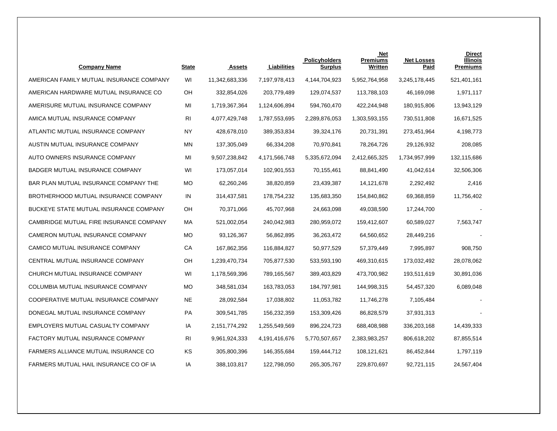| <b>Company Name</b>                           | <b>State</b>   | <b>Assets</b>  | Liabilities   | <b>Policyholders</b><br><b>Surplus</b> | <b>Net</b><br><b>Premiums</b><br>Written | <b>Net Losses</b><br>Paid | <b>Direct</b><br><b>Illinois</b><br><b>Premiums</b> |
|-----------------------------------------------|----------------|----------------|---------------|----------------------------------------|------------------------------------------|---------------------------|-----------------------------------------------------|
| AMERICAN FAMILY MUTUAL INSURANCE COMPANY      | WI             | 11,342,683,336 | 7,197,978,413 | 4,144,704,923                          | 5,952,764,958                            | 3,245,178,445             | 521,401,161                                         |
| AMERICAN HARDWARE MUTUAL INSURANCE CO         | OН             | 332,854,026    | 203,779,489   | 129,074,537                            | 113,788,103                              | 46,169,098                | 1,971,117                                           |
| AMERISURE MUTUAL INSURANCE COMPANY            | MI             | 1,719,367,364  | 1,124,606,894 | 594,760,470                            | 422,244,948                              | 180,915,806               | 13,943,129                                          |
| AMICA MUTUAL INSURANCE COMPANY                | RI             | 4,077,429,748  | 1,787,553,695 | 2,289,876,053                          | 1,303,593,155                            | 730,511,808               | 16,671,525                                          |
| ATLANTIC MUTUAL INSURANCE COMPANY             | <b>NY</b>      | 428,678,010    | 389,353,834   | 39,324,176                             | 20,731,391                               | 273,451,964               | 4,198,773                                           |
| AUSTIN MUTUAL INSURANCE COMPANY               | ΜN             | 137,305,049    | 66,334,208    | 70,970,841                             | 78,264,726                               | 29,126,932                | 208,085                                             |
| AUTO OWNERS INSURANCE COMPANY                 | MI             | 9,507,238,842  | 4,171,566,748 | 5,335,672,094                          | 2,412,665,325                            | 1,734,957,999             | 132,115,686                                         |
| BADGER MUTUAL INSURANCE COMPANY               | WI             | 173,057,014    | 102,901,553   | 70,155,461                             | 88,841,490                               | 41,042,614                | 32,506,306                                          |
| BAR PLAN MUTUAL INSURANCE COMPANY THE         | <b>MO</b>      | 62,260,246     | 38,820,859    | 23,439,387                             | 14,121,678                               | 2,292,492                 | 2,416                                               |
| BROTHERHOOD MUTUAL INSURANCE COMPANY          | IN             | 314,437,581    | 178,754,232   | 135,683,350                            | 154,840,862                              | 69,368,859                | 11,756,402                                          |
| <b>BUCKEYE STATE MUTUAL INSURANCE COMPANY</b> | OН             | 70,371,066     | 45,707,968    | 24,663,098                             | 49,038,590                               | 17,244,700                |                                                     |
| CAMBRIDGE MUTUAL FIRE INSURANCE COMPANY       | МA             | 521,002,054    | 240,042,983   | 280,959,072                            | 159,412,607                              | 60,589,027                | 7,563,747                                           |
| CAMERON MUTUAL INSURANCE COMPANY              | МO             | 93,126,367     | 56,862,895    | 36,263,472                             | 64,560,652                               | 28,449,216                |                                                     |
| CAMICO MUTUAL INSURANCE COMPANY               | CA             | 167,862,356    | 116,884,827   | 50,977,529                             | 57,379,449                               | 7,995,897                 | 908,750                                             |
| CENTRAL MUTUAL INSURANCE COMPANY              | OH             | 1,239,470,734  | 705,877,530   | 533,593,190                            | 469,310,615                              | 173,032,492               | 28,078,062                                          |
| CHURCH MUTUAL INSURANCE COMPANY               | WI             | 1,178,569,396  | 789,165,567   | 389,403,829                            | 473,700,982                              | 193,511,619               | 30,891,036                                          |
| COLUMBIA MUTUAL INSURANCE COMPANY             | МO             | 348,581,034    | 163,783,053   | 184,797,981                            | 144,998,315                              | 54,457,320                | 6,089,048                                           |
| COOPERATIVE MUTUAL INSURANCE COMPANY          | NE             | 28,092,584     | 17,038,802    | 11,053,782                             | 11,746,278                               | 7,105,484                 |                                                     |
| DONEGAL MUTUAL INSURANCE COMPANY              | PA             | 309,541,785    | 156,232,359   | 153,309,426                            | 86,828,579                               | 37,931,313                |                                                     |
| EMPLOYERS MUTUAL CASUALTY COMPANY             | ΙA             | 2,151,774,292  | 1,255,549,569 | 896,224,723                            | 688,408,988                              | 336,203,168               | 14,439,333                                          |
| FACTORY MUTUAL INSURANCE COMPANY              | R <sub>l</sub> | 9,961,924,333  | 4,191,416,676 | 5,770,507,657                          | 2,383,983,257                            | 806,618,202               | 87,855,514                                          |
| FARMERS ALLIANCE MUTUAL INSURANCE CO          | KS             | 305,800,396    | 146,355,684   | 159,444,712                            | 108,121,621                              | 86,452,844                | 1,797,119                                           |
| FARMERS MUTUAL HAIL INSURANCE CO OF IA        | ΙA             | 388,103,817    | 122,798,050   | 265,305,767                            | 229,870,697                              | 92,721,115                | 24,567,404                                          |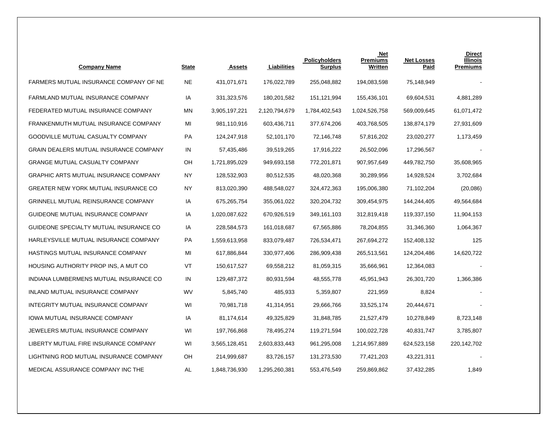| <b>Company Name</b>                    | <b>State</b> | <b>Assets</b> | Liabilities   | <b>Policyholders</b><br><b>Surplus</b> | <b>Net</b><br><b>Premiums</b><br>Written | <b>Net Losses</b><br><u>Paid</u> | <b>Direct</b><br><b>Illinois</b><br><b>Premiums</b> |
|----------------------------------------|--------------|---------------|---------------|----------------------------------------|------------------------------------------|----------------------------------|-----------------------------------------------------|
| FARMERS MUTUAL INSURANCE COMPANY OF NE | <b>NE</b>    | 431,071,671   | 176,022,789   | 255,048,882                            | 194,083,598                              | 75,148,949                       |                                                     |
| FARMLAND MUTUAL INSURANCE COMPANY      | IA           | 331,323,576   | 180,201,582   | 151,121,994                            | 155,436,101                              | 69,604,531                       | 4,881,289                                           |
| FEDERATED MUTUAL INSURANCE COMPANY     | ΜN           | 3,905,197,221 | 2,120,794,679 | 1,784,402,543                          | 1,024,526,758                            | 569,009,645                      | 61,071,472                                          |
| FRANKENMUTH MUTUAL INSURANCE COMPANY   | MI           | 981,110,916   | 603,436,711   | 377,674,206                            | 403,768,505                              | 138,874,179                      | 27,931,609                                          |
| GOODVILLE MUTUAL CASUALTY COMPANY      | PA           | 124,247,918   | 52,101,170    | 72,146,748                             | 57,816,202                               | 23,020,277                       | 1,173,459                                           |
| GRAIN DEALERS MUTUAL INSURANCE COMPANY | IN           | 57,435,486    | 39,519,265    | 17,916,222                             | 26,502,096                               | 17,296,567                       |                                                     |
| GRANGE MUTUAL CASUALTY COMPANY         | OH           | 1,721,895,029 | 949,693,158   | 772,201,871                            | 907, 957, 649                            | 449,782,750                      | 35,608,965                                          |
| GRAPHIC ARTS MUTUAL INSURANCE COMPANY  | NY.          | 128,532,903   | 80,512,535    | 48,020,368                             | 30,289,956                               | 14,928,524                       | 3,702,684                                           |
| GREATER NEW YORK MUTUAL INSURANCE CO   | ΝY           | 813,020,390   | 488,548,027   | 324,472,363                            | 195,006,380                              | 71,102,204                       | (20,086)                                            |
| GRINNELL MUTUAL REINSURANCE COMPANY    | IA           | 675,265,754   | 355,061,022   | 320,204,732                            | 309,454,975                              | 144,244,405                      | 49,564,684                                          |
| GUIDEONE MUTUAL INSURANCE COMPANY      | ΙA           | 1,020,087,622 | 670,926,519   | 349,161,103                            | 312,819,418                              | 119,337,150                      | 11,904,153                                          |
| GUIDEONE SPECIALTY MUTUAL INSURANCE CO | IA           | 228,584,573   | 161,018,687   | 67,565,886                             | 78,204,855                               | 31,346,360                       | 1,064,367                                           |
| HARLEYSVILLE MUTUAL INSURANCE COMPANY  | PA           | 1,559,613,958 | 833,079,487   | 726,534,471                            | 267,694,272                              | 152,408,132                      | 125                                                 |
| HASTINGS MUTUAL INSURANCE COMPANY      | MI           | 617,886,844   | 330,977,406   | 286,909,438                            | 265,513,561                              | 124,204,486                      | 14,620,722                                          |
| HOUSING AUTHORITY PROP INS, A MUT CO   | VT           | 150,617,527   | 69,558,212    | 81,059,315                             | 35,666,961                               | 12,364,083                       |                                                     |
| INDIANA LUMBERMENS MUTUAL INSURANCE CO | IN           | 129,487,372   | 80,931,594    | 48,555,778                             | 45,951,943                               | 26,301,720                       | 1,366,386                                           |
| INLAND MUTUAL INSURANCE COMPANY        | WV           | 5,845,740     | 485,933       | 5,359,807                              | 221,959                                  | 8,824                            |                                                     |
| INTEGRITY MUTUAL INSURANCE COMPANY     | WI           | 70,981,718    | 41,314,951    | 29,666,766                             | 33,525,174                               | 20,444,671                       |                                                     |
| IOWA MUTUAL INSURANCE COMPANY          | IA           | 81,174,614    | 49,325,829    | 31,848,785                             | 21,527,479                               | 10,278,849                       | 8,723,148                                           |
| JEWELERS MUTUAL INSURANCE COMPANY      | WI           | 197,766,868   | 78,495,274    | 119,271,594                            | 100,022,728                              | 40,831,747                       | 3,785,807                                           |
| LIBERTY MUTUAL FIRE INSURANCE COMPANY  | WI           | 3,565,128,451 | 2,603,833,443 | 961,295,008                            | 1,214,957,889                            | 624,523,158                      | 220,142,702                                         |
| LIGHTNING ROD MUTUAL INSURANCE COMPANY | OH           | 214,999,687   | 83,726,157    | 131,273,530                            | 77,421,203                               | 43,221,311                       |                                                     |
| MEDICAL ASSURANCE COMPANY INC THE      | AL           | 1,848,736,930 | 1,295,260,381 | 553,476,549                            | 259,869,862                              | 37,432,285                       | 1,849                                               |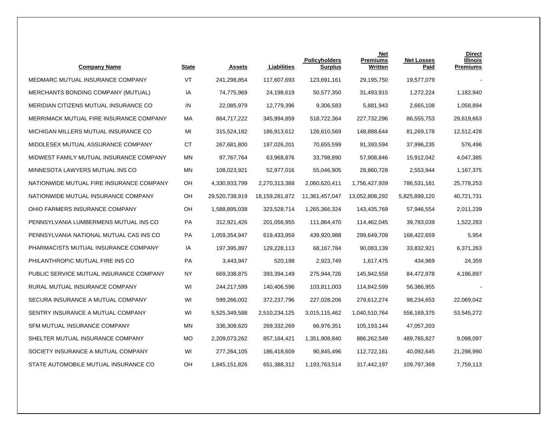| <b>Company Name</b>                      | <b>State</b> | <b>Assets</b>  | Liabilities       | <b>Policyholders</b><br><b>Surplus</b> | <b>Net</b><br><b>Premiums</b><br>Written | <b>Net Losses</b><br>Paid | <b>Direct</b><br><b>Illinois</b><br><b>Premiums</b> |
|------------------------------------------|--------------|----------------|-------------------|----------------------------------------|------------------------------------------|---------------------------|-----------------------------------------------------|
| MEDMARC MUTUAL INSURANCE COMPANY         | VT           | 241,298,854    | 117,607,693       | 123,691,161                            | 29,195,750                               | 19,577,079                |                                                     |
| MERCHANTS BONDING COMPANY (MUTUAL)       | IA           | 74,775,969     | 24,198,619        | 50,577,350                             | 31,493,915                               | 1,272,224                 | 1,182,940                                           |
| MERIDIAN CITIZENS MUTUAL INSURANCE CO    | IN           | 22,085,979     | 12,779,396        | 9,306,583                              | 5,881,943                                | 2,665,108                 | 1,058,894                                           |
| MERRIMACK MUTUAL FIRE INSURANCE COMPANY  | МA           | 864,717,222    | 345,994,859       | 518,722,364                            | 227,732,296                              | 86,555,753                | 29,619,663                                          |
| MICHIGAN MILLERS MUTUAL INSURANCE CO     | MI           | 315,524,182    | 186,913,612       | 128,610,569                            | 148,888,644                              | 81,269,178                | 12,512,428                                          |
| MIDDLESEX MUTUAL ASSURANCE COMPANY       | <b>CT</b>    | 267,681,800    | 197,026,201       | 70,655,599                             | 91,393,594                               | 37,996,235                | 576,496                                             |
| MIDWEST FAMILY MUTUAL INSURANCE COMPANY  | <b>MN</b>    | 97,767,764     | 63,968,876        | 33,798,890                             | 57,908,846                               | 15,912,042                | 4,047,385                                           |
| MINNESOTA LAWYERS MUTUAL INS CO          | <b>MN</b>    | 108,023,921    | 52,977,016        | 55,046,905                             | 28,860,728                               | 2,553,944                 | 1,167,375                                           |
| NATIONWIDE MUTUAL FIRE INSURANCE COMPANY | OH           | 4,330,933,799  | 2,270,313,388     | 2,060,620,411                          | 1,756,427,939                            | 786,531,181               | 25,778,253                                          |
| NATIONWIDE MUTUAL INSURANCE COMPANY      | OН           | 29,520,738,919 | 18, 159, 281, 872 | 11,361,457,047                         | 13,052,808,292                           | 5,825,899,120             | 40,721,731                                          |
| OHIO FARMERS INSURANCE COMPANY           | OH           | 1,588,895,038  | 323,528,714       | 1,265,366,324                          | 143,435,769                              | 57,946,554                | 2,011,239                                           |
| PENNSYLVANIA LUMBERMENS MUTUAL INS CO    | PA           | 312,921,426    | 201,056,955       | 111,864,470                            | 114,462,045                              | 39,783,039                | 1,522,283                                           |
| PENNSYLVANIA NATIONAL MUTUAL CAS INS CO  | PA           | 1,059,354,947  | 619,433,959       | 439,920,988                            | 299,649,709                              | 168,422,659               | 5,954                                               |
| PHARMACISTS MUTUAL INSURANCE COMPANY     | IA           | 197,395,897    | 129,228,113       | 68,167,784                             | 90,083,139                               | 33,832,921                | 6,371,263                                           |
| PHILANTHROPIC MUTUAL FIRE INS CO         | PA           | 3,443,947      | 520,198           | 2,923,749                              | 1,617,475                                | 434,969                   | 24,359                                              |
| PUBLIC SERVICE MUTUAL INSURANCE COMPANY  | ΝY           | 669,338,875    | 393,394,149       | 275,944,726                            | 145,942,558                              | 84,472,878                | 4,196,897                                           |
| RURAL MUTUAL INSURANCE COMPANY           | WI           | 244,217,599    | 140,406,596       | 103,811,003                            | 114,842,599                              | 56,386,955                |                                                     |
| SECURA INSURANCE A MUTUAL COMPANY        | WI           | 599,266,002    | 372,237,796       | 227,028,206                            | 279,612,274                              | 98,234,653                | 22,069,042                                          |
| SENTRY INSURANCE A MUTUAL COMPANY        | WI           | 5,525,349,588  | 2,510,234,125     | 3,015,115,462                          | 1,040,510,764                            | 556,169,375               | 53,545,272                                          |
| SFM MUTUAL INSURANCE COMPANY             | <b>MN</b>    | 336,308,620    | 269,332,269       | 66,976,351                             | 105,193,144                              | 47,057,203                |                                                     |
| SHELTER MUTUAL INSURANCE COMPANY         | <b>MO</b>    | 2,209,073,262  | 857, 164, 421     | 1,351,908,840                          | 886,262,549                              | 489,785,827               | 9,098,097                                           |
| SOCIETY INSURANCE A MUTUAL COMPANY       | WI           | 277,264,105    | 186,418,609       | 90,845,496                             | 112,722,161                              | 40,092,645                | 21,298,990                                          |
| STATE AUTOMOBILE MUTUAL INSURANCE CO     | OH           | 1,845,151,826  | 651,388,312       | 1,193,763,514                          | 317,442,197                              | 109,797,369               | 7,759,113                                           |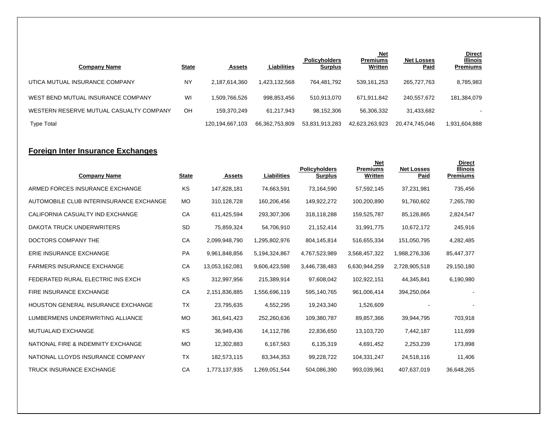| Company Name                            | <b>State</b> | <b>Assets</b>   | <b>Liabilities</b> | <b>Policyholders</b><br><u>Surplus</u> | <u>Net</u><br><b>Premiums</b><br>Written | <b>Net Losses</b><br><b>Paid</b> | <b>Direct</b><br><b>Illinois</b><br><b>Premiums</b> |
|-----------------------------------------|--------------|-----------------|--------------------|----------------------------------------|------------------------------------------|----------------------------------|-----------------------------------------------------|
| UTICA MUTUAL INSURANCE COMPANY          | NY           | 2,187,614,360   | 1.423.132.568      | 764.481.792                            | 539,161,253                              | 265.727.763                      | 8,785,983                                           |
| WEST BEND MUTUAL INSURANCE COMPANY      | WI           | .509.766.526    | 998.853.456        | 510.913.070                            | 671,911,842                              | 240,557,672                      | 181,384,079                                         |
| WESTERN RESERVE MUTUAL CASUALTY COMPANY | OH           | 159.370.249     | 61.217.943         | 98,152,306                             | 56.306.332                               | 31,433,682                       |                                                     |
| <b>Type Total</b>                       |              | 120,194,667,103 | 66,362,753,809     | 53,831,913,283                         | 42,623,263,923                           | 20,474,745,046                   | 1,931,604,888                                       |

# **Foreign Inter Insurance Exchanges**

| <b>Company Name</b>                       | <b>State</b> | <b>Assets</b>  | <b>Liabilities</b> | <b>Policyholders</b><br><b>Surplus</b> | <b>Net</b><br><b>Premiums</b><br>Written | <b>Net Losses</b><br>Paid | <b>Direct</b><br><b>Illinois</b><br><b>Premiums</b> |
|-------------------------------------------|--------------|----------------|--------------------|----------------------------------------|------------------------------------------|---------------------------|-----------------------------------------------------|
| ARMED FORCES INSURANCE EXCHANGE           | KS.          | 147,828,181    | 74,663,591         | 73,164,590                             | 57,592,145                               | 37,231,981                | 735,456                                             |
| AUTOMOBILE CLUB INTERINSURANCE EXCHANGE   | <b>MO</b>    | 310,128,728    | 160,206,456        | 149,922,272                            | 100,200,890                              | 91,760,602                | 7,265,780                                           |
| CALIFORNIA CASUALTY IND EXCHANGE          | CA           | 611,425,594    | 293,307,306        | 318,118,288                            | 159,525,787                              | 85,128,865                | 2,824,547                                           |
| <b>DAKOTA TRUCK UNDERWRITERS</b>          | <b>SD</b>    | 75,859,324     | 54,706,910         | 21,152,414                             | 31,991,775                               | 10,672,172                | 245,916                                             |
| DOCTORS COMPANY THE                       | CA           | 2,099,948,790  | 1,295,802,976      | 804,145,814                            | 516,655,334                              | 151,050,795               | 4,282,485                                           |
| ERIE INSURANCE EXCHANGE                   | PA           | 9,961,848,856  | 5,194,324,867      | 4,767,523,989                          | 3,568,457,322                            | 1,988,276,336             | 85,447,377                                          |
| <b>FARMERS INSURANCE EXCHANGE</b>         | CA           | 13,053,162,081 | 9,606,423,598      | 3,446,738,483                          | 6,630,944,259                            | 2,728,905,518             | 29,150,180                                          |
| FEDERATED RURAL ELECTRIC INS EXCH         | KS.          | 312,997,956    | 215,389,914        | 97,608,042                             | 102,922,151                              | 44,345,841                | 6,190,980                                           |
| <b>FIRE INSURANCE EXCHANGE</b>            | CA           | 2,151,836,885  | 1,556,696,119      | 595,140,765                            | 961,006,414                              | 394,250,064               |                                                     |
| <b>HOUSTON GENERAL INSURANCE EXCHANGE</b> | <b>TX</b>    | 23,795,635     | 4,552,295          | 19,243,340                             | 1,526,609                                |                           |                                                     |
| LUMBERMENS UNDERWRITING ALLIANCE          | <b>MO</b>    | 361,641,423    | 252,260,636        | 109,380,787                            | 89,857,366                               | 39,944,795                | 703,918                                             |
| <b>MUTUALAID EXCHANGE</b>                 | <b>KS</b>    | 36,949,436     | 14,112,786         | 22,836,650                             | 13,103,720                               | 7,442,187                 | 111,699                                             |
| NATIONAL FIRE & INDEMNITY EXCHANGE        | МO           | 12,302,883     | 6,167,563          | 6,135,319                              | 4,691,452                                | 2,253,239                 | 173,898                                             |
| NATIONAL LLOYDS INSURANCE COMPANY         | <b>TX</b>    | 182,573,115    | 83,344,353         | 99,228,722                             | 104,331,247                              | 24,518,116                | 11,406                                              |
| <b>TRUCK INSURANCE EXCHANGE</b>           | CA           | 1,773,137,935  | 1,269,051,544      | 504,086,390                            | 993,039,961                              | 407,637,019               | 36,648,265                                          |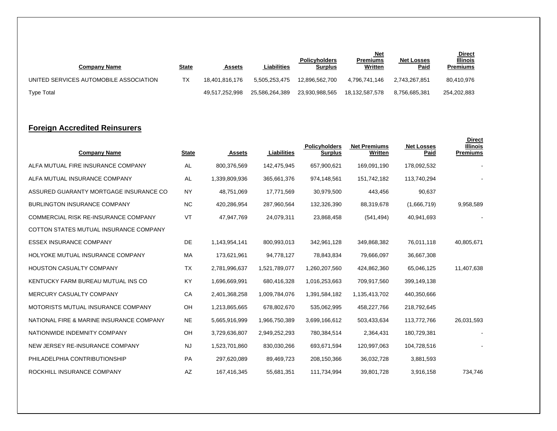| <b>Company Name</b>                    | <u>State</u> | <b>Assets</b>  | Liabilities    | <b>Policyholders</b><br><u>Surplus</u> | <u>Net</u><br>Premiums<br><b>Written</b> | <b>Net Losses</b><br><b>Paid</b> | <b>Direct</b><br><b>Illinois</b><br>Premiums |
|----------------------------------------|--------------|----------------|----------------|----------------------------------------|------------------------------------------|----------------------------------|----------------------------------------------|
| UNITED SERVICES AUTOMOBILE ASSOCIATION | ТX           | 18.401.816.176 | 5.505.253.475  | 12.896.562.700                         | 4.796.741.146                            | 2.743.267.851                    | 80,410,976                                   |
| <b>Type Total</b>                      |              | 49,517,252,998 | 25.586.264.389 | 23.930.988.565                         | 18,132,587,578                           | 8.756.685.381                    | 254,202,883                                  |

### **Foreign Accredited Reinsurers**

| <b>Company Name</b>                         | <b>State</b> | <b>Assets</b> | Liabilities   | <b>Policyholders</b><br><b>Surplus</b> | <b>Net Premiums</b><br>Written | <b>Net Losses</b><br>Paid | <b>Direct</b><br><b>Illinois</b><br><b>Premiums</b> |
|---------------------------------------------|--------------|---------------|---------------|----------------------------------------|--------------------------------|---------------------------|-----------------------------------------------------|
| ALFA MUTUAL FIRE INSURANCE COMPANY          | AL           | 800,376,569   | 142,475,945   | 657,900,621                            | 169,091,190                    | 178,092,532               |                                                     |
| ALFA MUTUAL INSURANCE COMPANY               | AL           | 1,339,809,936 | 365,661,376   | 974,148,561                            | 151,742,182                    | 113,740,294               |                                                     |
| ASSURED GUARANTY MORTGAGE INSURANCE CO      | <b>NY</b>    | 48,751,069    | 17,771,569    | 30,979,500                             | 443,456                        | 90,637                    |                                                     |
| <b>BURLINGTON INSURANCE COMPANY</b>         | <b>NC</b>    | 420,286,954   | 287,960,564   | 132,326,390                            | 88,319,678                     | (1,666,719)               | 9,958,589                                           |
| <b>COMMERCIAL RISK RE-INSURANCE COMPANY</b> | VT           | 47,947,769    | 24,079,311    | 23,868,458                             | (541, 494)                     | 40,941,693                |                                                     |
| COTTON STATES MUTUAL INSURANCE COMPANY      |              |               |               |                                        |                                |                           |                                                     |
| <b>ESSEX INSURANCE COMPANY</b>              | DE           | 1,143,954,141 | 800,993,013   | 342,961,128                            | 349,868,382                    | 76,011,118                | 40,805,671                                          |
| HOLYOKE MUTUAL INSURANCE COMPANY            | МA           | 173,621,961   | 94,778,127    | 78,843,834                             | 79,666,097                     | 36,667,308                |                                                     |
| <b>HOUSTON CASUALTY COMPANY</b>             | <b>TX</b>    | 2,781,996,637 | 1,521,789,077 | 1,260,207,560                          | 424,862,360                    | 65,046,125                | 11,407,638                                          |
| KENTUCKY FARM BUREAU MUTUAL INS CO          | KY           | 1,696,669,991 | 680,416,328   | 1,016,253,663                          | 709,917,560                    | 399,149,138               |                                                     |
| MERCURY CASUALTY COMPANY                    | СA           | 2,401,368,258 | 1,009,784,076 | 1,391,584,182                          | 1,135,413,702                  | 440,350,666               |                                                     |
| MOTORISTS MUTUAL INSURANCE COMPANY          | OH           | 1,213,865,665 | 678,802,670   | 535,062,995                            | 458,227,766                    | 218,792,645               |                                                     |
| NATIONAL FIRE & MARINE INSURANCE COMPANY    | NE           | 5,665,916,999 | 1,966,750,389 | 3,699,166,612                          | 503,433,634                    | 113,772,766               | 26,031,593                                          |
| NATIONWIDE INDEMNITY COMPANY                | OH           | 3,729,636,807 | 2,949,252,293 | 780,384,514                            | 2,364,431                      | 180,729,381               |                                                     |
| NEW JERSEY RE-INSURANCE COMPANY             | <b>NJ</b>    | 1,523,701,860 | 830,030,266   | 693,671,594                            | 120,997,063                    | 104,728,516               |                                                     |
| PHILADELPHIA CONTRIBUTIONSHIP               | PA           | 297,620,089   | 89,469,723    | 208,150,366                            | 36,032,728                     | 3,881,593                 |                                                     |
| ROCKHILL INSURANCE COMPANY                  | AZ           | 167,416,345   | 55,681,351    | 111,734,994                            | 39,801,728                     | 3,916,158                 | 734,746                                             |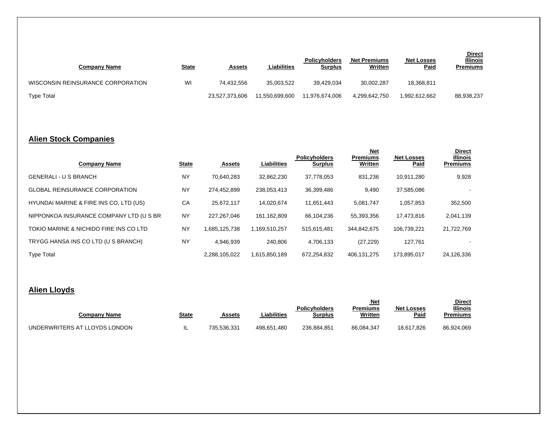| Company Name                      | <u>State</u> | <u>Assets</u>  | Liabilities    | <b>Policyholders</b><br><u>Surplus</u> | <b>Net Premiums</b><br><b>Written</b> | <b>Net Losses</b><br><b>Paid</b> | <b>Direct</b><br><b>Illinois</b><br><b>Premiums</b> |
|-----------------------------------|--------------|----------------|----------------|----------------------------------------|---------------------------------------|----------------------------------|-----------------------------------------------------|
| WISCONSIN REINSURANCE CORPORATION | WI           | 74.432.556     | 35,003,522     | 39.429.034                             | 30,002,287                            | 18,368,811                       |                                                     |
| <b>Type Total</b>                 |              | 23,527,373,606 | 11.550.699.600 | 11.976.674.006                         | 4,299,642,750                         | 1,992,612,662                    | 88,938,237                                          |

# **Alien Stock Companies**

|                                         |              |               |                    |                                        | <u>Net</u>                 |                           | <b>Direct</b>                      |
|-----------------------------------------|--------------|---------------|--------------------|----------------------------------------|----------------------------|---------------------------|------------------------------------|
| <b>Company Name</b>                     | <b>State</b> | <b>Assets</b> | <b>Liabilities</b> | <b>Policyholders</b><br><b>Surplus</b> | <b>Premiums</b><br>Written | <b>Net Losses</b><br>Paid | <b>Illinois</b><br><b>Premiums</b> |
| <b>GENERALI - U S BRANCH</b>            | <b>NY</b>    | 70.640.283    | 32.862.230         | 37,778,053                             | 831,236                    | 10.911.280                | 9,928                              |
| <b>GLOBAL REINSURANCE CORPORATION</b>   | <b>NY</b>    | 274.452.899   | 238,053,413        | 36,399,486                             | 9,490                      | 37,585,086                |                                    |
| HYUNDAI MARINE & FIRE INS CO, LTD (US)  | CA           | 25,672,117    | 14,020,674         | 11,651,443                             | 5,081,747                  | 1,057,853                 | 352,500                            |
| NIPPONKOA INSURANCE COMPANY LTD (U S BR | <b>NY</b>    | 227.267.046   | 161,162,809        | 66.104.236                             | 55.393.356                 | 17.473.816                | 2,041,139                          |
| TOKIO MARINE & NICHIDO FIRE INS CO LTD  | <b>NY</b>    | 1,685,125,738 | 1,169,510,257      | 515,615,481                            | 344.842.675                | 106.739.221               | 21,722,769                         |
| TRYGG HANSA INS CO LTD (U S BRANCH)     | <b>NY</b>    | 4.946.939     | 240.806            | 4,706,133                              | (27, 229)                  | 127,761                   |                                    |
| <b>Type Total</b>                       |              | 2.288.105.022 | 1.615.850.189      | 672.254.832                            | 406.131.275                | 173.895.017               | 24,126,336                         |

# **Alien Lloyds**

| <b>Company Name</b>           | <u>State</u> | Assets      | Liabilities | Policyholders<br><b>Surplus</b> | Net<br>Premiums<br>Written | <b>Net Losses</b><br>Paid | <b>Direct</b><br><b>Illinois</b><br>Premiums |
|-------------------------------|--------------|-------------|-------------|---------------------------------|----------------------------|---------------------------|----------------------------------------------|
| UNDERWRITERS AT LLOYDS LONDON | - ≖          | 735.536.331 | 498.651.480 | 236.884.851                     | 86.084.347                 | 18,617,826                | 86,924,069                                   |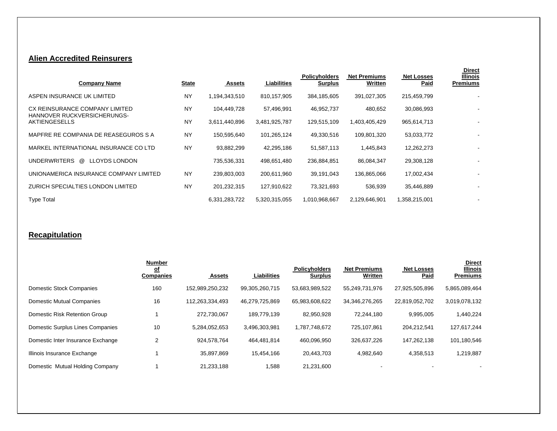### **Alien Accredited Reinsurers**

| <b>Company Name</b>                                           | <b>State</b> | <b>Assets</b> | Liabilities   | <b>Policyholders</b><br><b>Surplus</b> | <b>Net Premiums</b><br>Written | <b>Net Losses</b><br>Paid | <b>Direct</b><br><b>Illinois</b><br><b>Premiums</b> |
|---------------------------------------------------------------|--------------|---------------|---------------|----------------------------------------|--------------------------------|---------------------------|-----------------------------------------------------|
| ASPEN INSURANCE UK LIMITED                                    | <b>NY</b>    | 1,194,343,510 | 810.157.905   | 384,185,605                            | 391,027,305                    | 215,459,799               |                                                     |
| CX REINSURANCE COMPANY LIMITED<br>HANNOVER RUCKVERSICHERUNGS- | <b>NY</b>    | 104,449,728   | 57,496,991    | 46,952,737                             | 480,652                        | 30,086,993                | $\overline{\phantom{a}}$                            |
| AKTIENGESELLS                                                 | <b>NY</b>    | 3,611,440,896 | 3,481,925,787 | 129,515,109                            | 1,403,405,429                  | 965,614,713               |                                                     |
| MAPFRE RE COMPANIA DE REASEGUROS S A                          | <b>NY</b>    | 150,595,640   | 101,265,124   | 49,330,516                             | 109,801,320                    | 53,033,772                | $\overline{\phantom{a}}$                            |
| MARKEL INTERNATIONAL INSURANCE CO LTD                         | <b>NY</b>    | 93,882,299    | 42,295,186    | 51,587,113                             | 1,445,843                      | 12,262,273                |                                                     |
| <b>UNDERWRITERS</b><br><b>LLOYDS LONDON</b><br>@              |              | 735,536,331   | 498,651,480   | 236,884,851                            | 86,084,347                     | 29,308,128                | $\overline{\phantom{a}}$                            |
| UNIONAMERICA INSURANCE COMPANY LIMITED                        | <b>NY</b>    | 239,803,003   | 200,611,960   | 39,191,043                             | 136,865,066                    | 17,002,434                |                                                     |
| <b>ZURICH SPECIALTIES LONDON LIMITED</b>                      | <b>NY</b>    | 201,232,315   | 127,910,622   | 73,321,693                             | 536,939                        | 35,446,889                | $\overline{\phantom{a}}$                            |
| <b>Type Total</b>                                             |              | 6,331,283,722 | 5,320,315,055 | 1,010,968,667                          | 2,129,646,901                  | 1,358,215,001             |                                                     |

# **Recapitulation**

|                                   | <b>Number</b><br><u>of</u><br><b>Companies</b> | <b>Assets</b>   | <b>Liabilities</b> | <b>Policyholders</b><br><b>Surplus</b> | <b>Net Premiums</b><br>Written | <b>Net Losses</b><br>Paid | <b>Direct</b><br><b>Illinois</b><br><b>Premiums</b> |
|-----------------------------------|------------------------------------------------|-----------------|--------------------|----------------------------------------|--------------------------------|---------------------------|-----------------------------------------------------|
| Domestic Stock Companies          | 160                                            | 152,989,250,232 | 99,305,260,715     | 53,683,989,522                         | 55,249,731,976                 | 27,925,505,896            | 5,865,089,464                                       |
| <b>Domestic Mutual Companies</b>  | 16                                             | 112,263,334,493 | 46,279,725,869     | 65,983,608,622                         | 34,346,276,265                 | 22,819,052,702            | 3,019,078,132                                       |
| Domestic Risk Retention Group     |                                                | 272,730,067     | 189.779.139        | 82,950,928                             | 72,244,180                     | 9,995,005                 | 1,440,224                                           |
| Domestic Surplus Lines Companies  | 10                                             | 5,284,052,653   | 3,496,303,981      | 1,787,748,672                          | 725,107,861                    | 204,212,541               | 127,617,244                                         |
| Domestic Inter Insurance Exchange | 2                                              | 924,578,764     | 464.481.814        | 460,096,950                            | 326,637,226                    | 147,262,138               | 101,180,546                                         |
| Illinois Insurance Exchange       |                                                | 35,897,869      | 15,454,166         | 20,443,703                             | 4,982,640                      | 4,358,513                 | 1,219,887                                           |
| Domestic Mutual Holding Company   |                                                | 21.233.188      | 1,588              | 21.231.600                             |                                |                           |                                                     |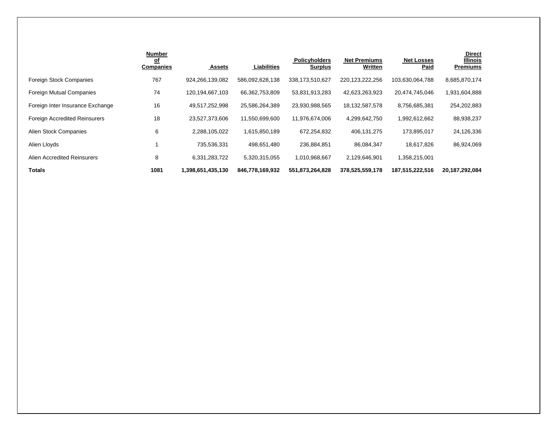|                                      | <b>Number</b><br><u>of</u><br><b>Companies</b> | <b>Assets</b>     | <b>Liabilities</b> | <b>Policyholders</b><br><b>Surplus</b> | <b>Net Premiums</b><br>Written | <b>Net Losses</b><br><b>Paid</b> | <b>Direct</b><br><b>Illinois</b><br><b>Premiums</b> |
|--------------------------------------|------------------------------------------------|-------------------|--------------------|----------------------------------------|--------------------------------|----------------------------------|-----------------------------------------------------|
| <b>Foreign Stock Companies</b>       | 767                                            | 924.266.139.082   | 586,092,628,138    | 338,173,510,627                        | 220,123,222,256                | 103,630,064,788                  | 8,685,870,174                                       |
| Foreign Mutual Companies             | 74                                             | 120,194,667,103   | 66,362,753,809     | 53,831,913,283                         | 42,623,263,923                 | 20,474,745,046                   | 1,931,604,888                                       |
| Foreign Inter Insurance Exchange     | 16                                             | 49,517,252,998    | 25,586,264,389     | 23,930,988,565                         | 18,132,587,578                 | 8,756,685,381                    | 254,202,883                                         |
| <b>Foreign Accredited Reinsurers</b> | 18                                             | 23,527,373,606    | 11,550,699,600     | 11,976,674,006                         | 4,299,642,750                  | 1,992,612,662                    | 88,938,237                                          |
| Alien Stock Companies                | 6                                              | 2,288,105,022     | 1,615,850,189      | 672,254,832                            | 406,131,275                    | 173,895,017                      | 24,126,336                                          |
| Alien Lloyds                         |                                                | 735,536,331       | 498,651,480        | 236,884,851                            | 86,084,347                     | 18,617,826                       | 86,924,069                                          |
| Alien Accredited Reinsurers          | 8                                              | 6,331,283,722     | 5,320,315,055      | 1,010,968,667                          | 2,129,646,901                  | 1,358,215,001                    |                                                     |
| <b>Totals</b>                        | 1081                                           | 1,398,651,435,130 | 846,778,169,932    | 551,873,264,828                        | 378,525,559,178                | 187,515,222,516                  | 20, 187, 292, 084                                   |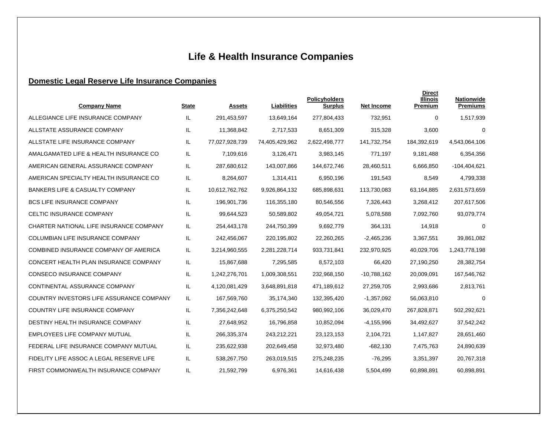# **Life & Health Insurance Companies**

# **Domestic Legal Reserve Life Insurance Companies**

| <b>Company Name</b>                        | <b>State</b> | <b>Assets</b>  | <b>Liabilities</b> | <b>Policyholders</b><br><b>Surplus</b> | <b>Net Income</b> | <b>Direct</b><br><b>Illinois</b><br>Premium | <b>Nationwide</b><br><b>Premiums</b> |
|--------------------------------------------|--------------|----------------|--------------------|----------------------------------------|-------------------|---------------------------------------------|--------------------------------------|
| ALLEGIANCE LIFE INSURANCE COMPANY          | IL.          | 291,453,597    | 13,649,164         | 277,804,433                            | 732,951           | $\mathbf 0$                                 | 1,517,939                            |
| ALLSTATE ASSURANCE COMPANY                 | IL           | 11,368,842     | 2,717,533          | 8,651,309                              | 315,328           | 3,600                                       | 0                                    |
| ALLSTATE LIFE INSURANCE COMPANY            | IL.          | 77,027,928,739 | 74,405,429,962     | 2,622,498,777                          | 141,732,754       | 184,392,619                                 | 4,543,064,106                        |
| AMALGAMATED LIFE & HEALTH INSURANCE CO     | IL           | 7,109,616      | 3,126,471          | 3,983,145                              | 771,197           | 9,181,488                                   | 6,354,356                            |
| AMERICAN GENERAL ASSURANCE COMPANY         | IL.          | 287,680,612    | 143,007,866        | 144,672,746                            | 28,460,511        | 6,666,850                                   | $-104,404,621$                       |
| AMERICAN SPECIALTY HEALTH INSURANCE CO     | IL.          | 8,264,607      | 1,314,411          | 6,950,196                              | 191,543           | 8,549                                       | 4,799,338                            |
| <b>BANKERS LIFE &amp; CASUALTY COMPANY</b> | IL.          | 10,612,762,762 | 9,926,864,132      | 685,898,631                            | 113,730,083       | 63,164,885                                  | 2,631,573,659                        |
| <b>BCS LIFE INSURANCE COMPANY</b>          | IL.          | 196,901,736    | 116,355,180        | 80,546,556                             | 7,326,443         | 3,268,412                                   | 207,617,506                          |
| CELTIC INSURANCE COMPANY                   | IL           | 99,644,523     | 50,589,802         | 49,054,721                             | 5,078,588         | 7,092,760                                   | 93,079,774                           |
| CHARTER NATIONAL LIFE INSURANCE COMPANY    | IL.          | 254,443,178    | 244,750,399        | 9,692,779                              | 364,131           | 14,918                                      | $\mathbf 0$                          |
| COLUMBIAN LIFE INSURANCE COMPANY           | IL.          | 242,456,067    | 220,195,802        | 22,260,265                             | $-2,465,236$      | 3,367,551                                   | 39,861,082                           |
| COMBINED INSURANCE COMPANY OF AMERICA      | IL.          | 3,214,960,555  | 2,281,228,714      | 933,731,841                            | 232,970,925       | 40,029,706                                  | 1,243,778,198                        |
| CONCERT HEALTH PLAN INSURANCE COMPANY      | IL.          | 15,867,688     | 7,295,585          | 8,572,103                              | 66,420            | 27,190,250                                  | 28,382,754                           |
| <b>CONSECO INSURANCE COMPANY</b>           | IL           | 1,242,276,701  | 1,009,308,551      | 232,968,150                            | $-10,788,162$     | 20,009,091                                  | 167,546,762                          |
| CONTINENTAL ASSURANCE COMPANY              | IL           | 4,120,081,429  | 3,648,891,818      | 471,189,612                            | 27,259,705        | 2,993,686                                   | 2,813,761                            |
| COUNTRY INVESTORS LIFE ASSURANCE COMPANY   | IL.          | 167,569,760    | 35,174,340         | 132,395,420                            | $-1,357,092$      | 56,063,810                                  | $\mathbf 0$                          |
| COUNTRY LIFE INSURANCE COMPANY             | IL           | 7,356,242,648  | 6,375,250,542      | 980,992,106                            | 36,029,470        | 267,828,871                                 | 502,292,621                          |
| DESTINY HEALTH INSURANCE COMPANY           | IL.          | 27,648,952     | 16,796,858         | 10,852,094                             | $-4, 155, 996$    | 34,492,627                                  | 37,542,242                           |
| <b>EMPLOYEES LIFE COMPANY MUTUAL</b>       | IL.          | 266,335,374    | 243,212,221        | 23,123,153                             | 2,104,721         | 1,147,827                                   | 28,651,460                           |
| FEDERAL LIFE INSURANCE COMPANY MUTUAL      | IL.          | 235,622,938    | 202,649,458        | 32,973,480                             | $-682,130$        | 7,475,763                                   | 24,890,639                           |
| FIDELITY LIFE ASSOC A LEGAL RESERVE LIFE   | IL.          | 538,267,750    | 263,019,515        | 275,248,235                            | $-76,295$         | 3,351,397                                   | 20,767,318                           |
| FIRST COMMONWEALTH INSURANCE COMPANY       | IL.          | 21,592,799     | 6,976,361          | 14,616,438                             | 5,504,499         | 60,898,891                                  | 60,898,891                           |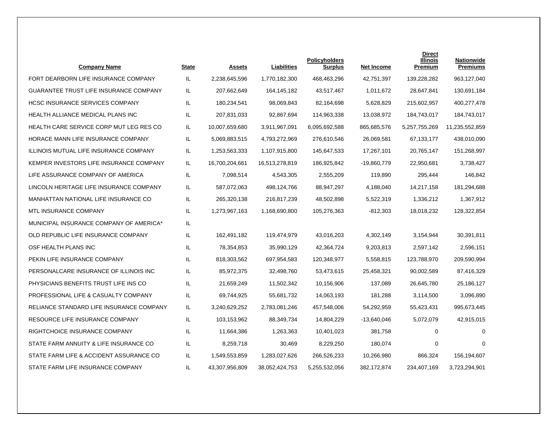| <b>Company Name</b>                      | <b>State</b> | <b>Assets</b>  | Liabilities    | <b>Policyholders</b><br><b>Surplus</b> | <b>Net Income</b> | <b>Direct</b><br><b>Illinois</b><br>Premium | <b>Nationwide</b><br><b>Premiums</b> |
|------------------------------------------|--------------|----------------|----------------|----------------------------------------|-------------------|---------------------------------------------|--------------------------------------|
| FORT DEARBORN LIFE INSURANCE COMPANY     | IL.          | 2,238,645,596  | 1,770,182,300  | 468,463,296                            | 42,751,397        | 139,228,282                                 | 963,127,040                          |
| GUARANTEE TRUST LIFE INSURANCE COMPANY   | IL.          | 207,662,649    | 164, 145, 182  | 43,517,467                             | 1,011,672         | 28,647,841                                  | 130,691,184                          |
| <b>HCSC INSURANCE SERVICES COMPANY</b>   | IL.          | 180,234,541    | 98,069,843     | 82,164,698                             | 5,628,829         | 215,602,957                                 | 400,277,478                          |
| <b>HEALTH ALLIANCE MEDICAL PLANS INC</b> | IL.          | 207,831,033    | 92,867,694     | 114,963,338                            | 13,038,972        | 184,743,017                                 | 184,743,017                          |
| HEALTH CARE SERVICE CORP MUT LEG RES CO  | IL           | 10,007,659,680 | 3,911,967,091  | 6,095,692,588                          | 865,685,576       | 5,257,755,269                               | 11,235,552,859                       |
| HORACE MANN LIFE INSURANCE COMPANY       | IL.          | 5,069,883,515  | 4,793,272,969  | 276,610,546                            | 26,069,581        | 67,133,177                                  | 438,010,090                          |
| ILLINOIS MUTUAL LIFE INSURANCE COMPANY   | IL           | 1,253,563,333  | 1,107,915,800  | 145,647,533                            | 17,267,101        | 20,765,147                                  | 151,268,997                          |
| KEMPER INVESTORS LIFE INSURANCE COMPANY  | IL.          | 16,700,204,661 | 16,513,278,819 | 186,925,842                            | -19,860,779       | 22,950,681                                  | 3,738,427                            |
| LIFE ASSURANCE COMPANY OF AMERICA        | IL.          | 7,098,514      | 4,543,305      | 2,555,209                              | 119,890           | 295,444                                     | 146,842                              |
| LINCOLN HERITAGE LIFE INSURANCE COMPANY  | IL           | 587,072,063    | 498,124,766    | 88,947,297                             | 4,188,040         | 14,217,158                                  | 181,294,688                          |
| MANHATTAN NATIONAL LIFE INSURANCE CO     | IL.          | 265,320,138    | 216,817,239    | 48,502,898                             | 5,522,319         | 1,336,212                                   | 1,367,912                            |
| MTL INSURANCE COMPANY                    | IL           | 1,273,967,163  | 1,168,690,800  | 105,276,363                            | -812,303          | 18,018,232                                  | 128,322,854                          |
| MUNICIPAL INSURANCE COMPANY OF AMERICA*  | IL           |                |                |                                        |                   |                                             |                                      |
| OLD REPUBLIC LIFE INSURANCE COMPANY      | IL           | 162,491,182    | 119,474,979    | 43,016,203                             | 4,302,149         | 3,154,944                                   | 30,391,811                           |
| OSF HEALTH PLANS INC                     | IL           | 78,354,853     | 35,990,129     | 42,364,724                             | 9,203,813         | 2,597,142                                   | 2,596,151                            |
| PEKIN LIFE INSURANCE COMPANY             | IL.          | 818,303,562    | 697,954,583    | 120,348,977                            | 5,558,815         | 123,788,970                                 | 209,590,994                          |
| PERSONALCARE INSURANCE OF ILLINOIS INC   | IL           | 85,972,375     | 32,498,760     | 53,473,615                             | 25,458,321        | 90,002,589                                  | 87,416,329                           |
| PHYSICIANS BENEFITS TRUST LIFE INS CO    | IL           | 21,659,249     | 11,502,342     | 10,156,906                             | 137,089           | 26,645,780                                  | 25,186,127                           |
| PROFESSIONAL LIFE & CASUALTY COMPANY     | IL.          | 69,744,925     | 55,681,732     | 14,063,193                             | 181,288           | 3,114,500                                   | 3,096,890                            |
| RELIANCE STANDARD LIFE INSURANCE COMPANY | IL.          | 3,240,629,252  | 2,783,081,246  | 457,548,006                            | 54,292,959        | 55,423,431                                  | 995,673,445                          |
| RESOURCE LIFE INSURANCE COMPANY          | IL.          | 103,153,962    | 88,349,734     | 14,804,229                             | -13,640,046       | 5,072,079                                   | 42,915,015                           |
| RIGHTCHOICE INSURANCE COMPANY            | IL           | 11,664,386     | 1,263,363      | 10,401,023                             | 381,758           | $\mathbf 0$                                 | $\Omega$                             |
| STATE FARM ANNUITY & LIFE INSURANCE CO   | IL           | 8,259,718      | 30,469         | 8,229,250                              | 180,074           | $\mathbf 0$                                 | $\Omega$                             |
| STATE FARM LIFE & ACCIDENT ASSURANCE CO  | IL.          | 1,549,553,859  | 1,283,027,626  | 266,526,233                            | 10,266,980        | 866,324                                     | 156,194,607                          |
| STATE FARM LIFE INSURANCE COMPANY        | IL           | 43,307,956,809 | 38,052,424,753 | 5,255,532,056                          | 382,172,874       | 234.407.169                                 | 3,723,294,901                        |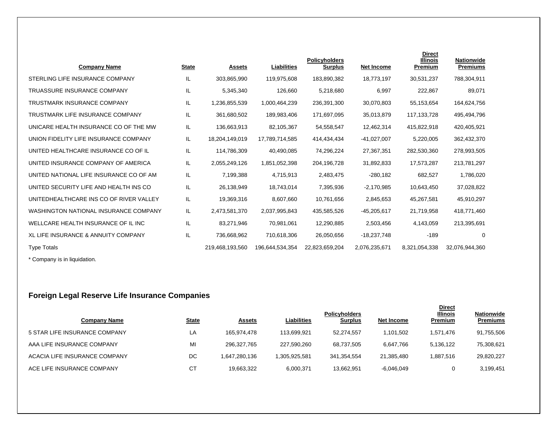| <b>Company Name</b>                          | <b>State</b> | <b>Assets</b>   | Liabilities     | <b>Policyholders</b><br><b>Surplus</b> | <b>Net Income</b> | <b>Direct</b><br><b>Illinois</b><br>Premium | <b>Nationwide</b><br><b>Premiums</b> |
|----------------------------------------------|--------------|-----------------|-----------------|----------------------------------------|-------------------|---------------------------------------------|--------------------------------------|
| STERLING LIFE INSURANCE COMPANY              | IL           | 303,865,990     | 119,975,608     | 183,890,382                            | 18,773,197        | 30,531,237                                  | 788,304,911                          |
| <b>TRUASSURE INSURANCE COMPANY</b>           | IL           | 5,345,340       | 126,660         | 5,218,680                              | 6,997             | 222,867                                     | 89,071                               |
| <b>TRUSTMARK INSURANCE COMPANY</b>           | IL           | 1,236,855,539   | 1,000,464,239   | 236,391,300                            | 30,070,803        | 55,153,654                                  | 164,624,756                          |
| TRUSTMARK LIFE INSURANCE COMPANY             | IL           | 361,680,502     | 189,983,406     | 171,697,095                            | 35,013,879        | 117, 133, 728                               | 495,494,796                          |
| UNICARE HEALTH INSURANCE CO OF THE MW        | IL           | 136,663,913     | 82,105,367      | 54,558,547                             | 12,462,314        | 415,822,918                                 | 420,405,921                          |
| UNION FIDELITY LIFE INSURANCE COMPANY        | IL           | 18,204,149,019  | 17,789,714,585  | 414,434,434                            | $-41,027,007$     | 5,220,005                                   | 362,432,370                          |
| UNITED HEALTHCARE INSURANCE CO OF IL         | IL           | 114,786,309     | 40,490,085      | 74,296,224                             | 27,367,351        | 282,530,360                                 | 278,993,505                          |
| UNITED INSURANCE COMPANY OF AMERICA          | IL           | 2,055,249,126   | 1,851,052,398   | 204,196,728                            | 31,892,833        | 17,573,287                                  | 213,781,297                          |
| UNITED NATIONAL LIFE INSURANCE CO OF AM      | IL           | 7,199,388       | 4,715,913       | 2,483,475                              | $-280,182$        | 682,527                                     | 1,786,020                            |
| UNITED SECURITY LIFE AND HEALTH INS CO       | IL           | 26,138,949      | 18,743,014      | 7,395,936                              | $-2,170,985$      | 10,643,450                                  | 37,028,822                           |
| UNITEDHEALTHCARE INS CO OF RIVER VALLEY      | IL           | 19,369,316      | 8,607,660       | 10,761,656                             | 2,845,653         | 45,267,581                                  | 45,910,297                           |
| <b>WASHINGTON NATIONAL INSURANCE COMPANY</b> | IL.          | 2,473,581,370   | 2,037,995,843   | 435,585,526                            | $-45,205,617$     | 21,719,958                                  | 418,771,460                          |
| WELLCARE HEALTH INSURANCE OF IL INC          | IL           | 83,271,946      | 70,981,061      | 12,290,885                             | 2,503,456         | 4,143,059                                   | 213,395,691                          |
| XL LIFE INSURANCE & ANNUITY COMPANY          | IL           | 736,668,962     | 710,618,306     | 26,050,656                             | $-18,237,748$     | $-189$                                      | 0                                    |
| <b>Type Totals</b>                           |              | 219,468,193,560 | 196,644,534,354 | 22,823,659,204                         | 2,076,235,671     | 8,321,054,338                               | 32,076,944,360                       |

\* Company is in liquidation.

# **Foreign Legal Reserve Life Insurance Companies**

| Company Name                  | <u>State</u> | <b>Assets</b> | Liabilities   | <b>Policyholders</b><br><b>Surplus</b> | Net Income   | <b>Direct</b><br><b>Illinois</b><br><b>Premium</b> | <b>Nationwide</b><br><b>Premiums</b> |
|-------------------------------|--------------|---------------|---------------|----------------------------------------|--------------|----------------------------------------------------|--------------------------------------|
| 5 STAR LIFE INSURANCE COMPANY | LA           | 165.974.478   | 113.699.921   | 52.274.557                             | 1.101.502    | 1.571.476                                          | 91,755,506                           |
| AAA LIFE INSURANCE COMPANY    | MI           | 296,327,765   | 227,590,260   | 68,737,505                             | 6,647,766    | 5,136,122                                          | 75,308,621                           |
| ACACIA LIFE INSURANCE COMPANY | DC           | 1,647,280,136 | 1,305,925,581 | 341,354,554                            | 21.385.480   | 1.887.516                                          | 29,820,227                           |
| ACE LIFE INSURANCE COMPANY    | <b>CT</b>    | 19.663.322    | 6,000,371     | 13,662,951                             | $-6,046,049$ | 0                                                  | 3,199,451                            |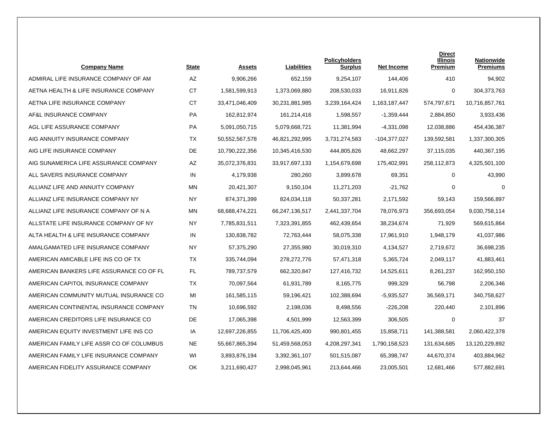| <b>Company Name</b>                      | <b>State</b> | <b>Assets</b>  | Liabilities    | <b>Policyholders</b><br><b>Surplus</b> | <b>Net Income</b> | <b>Direct</b><br><b>Illinois</b><br>Premium | <b>Nationwide</b><br><b>Premiums</b> |
|------------------------------------------|--------------|----------------|----------------|----------------------------------------|-------------------|---------------------------------------------|--------------------------------------|
| ADMIRAL LIFE INSURANCE COMPANY OF AM     | <b>AZ</b>    | 9,906,266      | 652,159        | 9,254,107                              | 144,406           | 410                                         | 94,902                               |
| AETNA HEALTH & LIFE INSURANCE COMPANY    | <b>CT</b>    | 1,581,599,913  | 1,373,069,880  | 208,530,033                            | 16,911,826        | 0                                           | 304,373,763                          |
| AETNA LIFE INSURANCE COMPANY             | <b>CT</b>    | 33,471,046,409 | 30,231,881,985 | 3,239,164,424                          | 1,163,187,447     | 574,797,671                                 | 10,716,857,761                       |
| AF&L INSURANCE COMPANY                   | PA           | 162,812,974    | 161,214,416    | 1,598,557                              | $-1,359,444$      | 2,884,850                                   | 3,933,436                            |
| AGL LIFE ASSURANCE COMPANY               | <b>PA</b>    | 5,091,050,715  | 5,079,668,721  | 11,381,994                             | $-4,331,098$      | 12.038.886                                  | 454,436,387                          |
| AIG ANNUITY INSURANCE COMPANY            | TX           | 50,552,567,578 | 46,821,292,995 | 3,731,274,583                          | -104,377,027      | 139,592,581                                 | 1,337,300,305                        |
| AIG LIFE INSURANCE COMPANY               | DE.          | 10,790,222,356 | 10,345,416,530 | 444,805,826                            | 48,662,297        | 37,115,035                                  | 440,367,195                          |
| AIG SUNAMERICA LIFE ASSURANCE COMPANY    | AZ           | 35,072,376,831 | 33,917,697,133 | 1,154,679,698                          | 175,402,991       | 258,112,873                                 | 4,325,501,100                        |
| ALL SAVERS INSURANCE COMPANY             | IN           | 4,179,938      | 280.260        | 3,899,678                              | 69,351            | $\mathbf 0$                                 | 43,990                               |
| ALLIANZ LIFE AND ANNUITY COMPANY         | MN           | 20,421,307     | 9,150,104      | 11,271,203                             | $-21,762$         | 0                                           | $\Omega$                             |
| ALLIANZ LIFE INSURANCE COMPANY NY        | NY           | 874,371,399    | 824,034,118    | 50,337,281                             | 2,171,592         | 59,143                                      | 159,566,897                          |
| ALLIANZ LIFE INSURANCE COMPANY OF N A    | <b>MN</b>    | 68,688,474,221 | 66,247,136,517 | 2,441,337,704                          | 78,076,973        | 356,693,054                                 | 9,030,758,114                        |
| ALLSTATE LIFE INSURANCE COMPANY OF NY    | <b>NY</b>    | 7,785,831,511  | 7,323,391,855  | 462,439,654                            | 38,234,674        | 71,929                                      | 569,615,864                          |
| ALTA HEALTH & LIFE INSURANCE COMPANY     | IN           | 130,838,782    | 72,763,444     | 58,075,338                             | 17,961,910        | 1,948,179                                   | 41,037,986                           |
| AMALGAMATED LIFE INSURANCE COMPANY       | NY.          | 57,375,290     | 27,355,980     | 30,019,310                             | 4,134,527         | 2,719,672                                   | 36,698,235                           |
| AMERICAN AMICABLE LIFE INS CO OF TX      | <b>TX</b>    | 335,744,094    | 278,272,776    | 57,471,318                             | 5,365,724         | 2,049,117                                   | 41,883,461                           |
| AMERICAN BANKERS LIFE ASSURANCE CO OF FL | <b>FL</b>    | 789,737,579    | 662,320,847    | 127,416,732                            | 14,525,611        | 8,261,237                                   | 162,950,150                          |
| AMERICAN CAPITOL INSURANCE COMPANY       | TX           | 70,097,564     | 61,931,789     | 8,165,775                              | 999,329           | 56,798                                      | 2,206,346                            |
| AMERICAN COMMUNITY MUTUAL INSURANCE CO   | MI           | 161,585,115    | 59,196,421     | 102,388,694                            | $-5,935,527$      | 36,569,171                                  | 340,758,627                          |
| AMERICAN CONTINENTAL INSURANCE COMPANY   | <b>TN</b>    | 10,696,592     | 2,198,036      | 8,498,556                              | $-226,208$        | 220,440                                     | 2,101,896                            |
| AMERICAN CREDITORS LIFE INSURANCE CO     | DE           | 17,065,398     | 4,501,999      | 12,563,399                             | 306,505           | 0                                           | 37                                   |
| AMERICAN EQUITY INVESTMENT LIFE INS CO   | IA           | 12,697,226,855 | 11,706,425,400 | 990,801,455                            | 15,858,711        | 141,388,581                                 | 2,060,422,378                        |
| AMERICAN FAMILY LIFE ASSR CO OF COLUMBUS | <b>NE</b>    | 55,667,865,394 | 51,459,568,053 | 4,208,297,341                          | 1,790,158,523     | 131,634,685                                 | 13,120,229,892                       |
| AMERICAN FAMILY LIFE INSURANCE COMPANY   | WI           | 3,893,876,194  | 3,392,361,107  | 501,515,087                            | 65,398,747        | 44,670,374                                  | 403,884,962                          |
| AMERICAN FIDELITY ASSURANCE COMPANY      | OK           | 3,211,690,427  | 2,998,045,961  | 213,644,466                            | 23,005,501        | 12,681,466                                  | 577,882,691                          |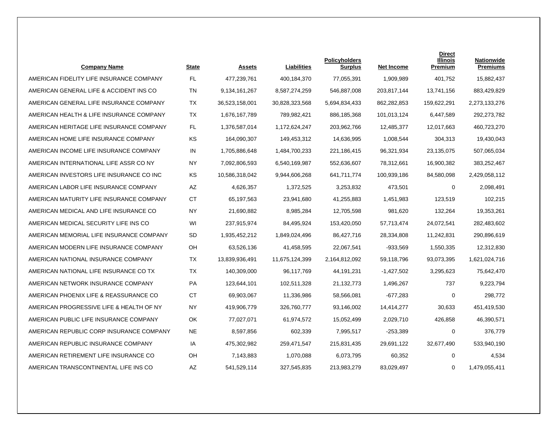| <b>Company Name</b>                      | <b>State</b> | <b>Assets</b>  | <b>Liabilities</b> | <b>Policyholders</b><br><b>Surplus</b> | <b>Net Income</b> | <b>Direct</b><br><b>Illinois</b><br>Premium | <b>Nationwide</b><br><b>Premiums</b> |
|------------------------------------------|--------------|----------------|--------------------|----------------------------------------|-------------------|---------------------------------------------|--------------------------------------|
| AMERICAN FIDELITY LIFE INSURANCE COMPANY | FL           | 477,239,761    | 400,184,370        | 77,055,391                             | 1,909,989         | 401.752                                     | 15,882,437                           |
| AMERICAN GENERAL LIFE & ACCIDENT INS CO  | <b>TN</b>    | 9,134,161,267  | 8,587,274,259      | 546,887,008                            | 203,817,144       | 13,741,156                                  | 883,429,829                          |
| AMERICAN GENERAL LIFE INSURANCE COMPANY  | ТX           | 36,523,158,001 | 30,828,323,568     | 5,694,834,433                          | 862,282,853       | 159,622,291                                 | 2,273,133,276                        |
| AMERICAN HEALTH & LIFE INSURANCE COMPANY | <b>TX</b>    | 1,676,167,789  | 789,982,421        | 886, 185, 368                          | 101,013,124       | 6,447,589                                   | 292,273,782                          |
| AMERICAN HERITAGE LIFE INSURANCE COMPANY | FL           | 1.376.587.014  | 1,172,624,247      | 203.962.766                            | 12.485.377        | 12.017.663                                  | 460,723,270                          |
| AMERICAN HOME LIFE INSURANCE COMPANY     | <b>KS</b>    | 164,090,307    | 149,453,312        | 14,636,995                             | 1,008,544         | 304,313                                     | 19,430,043                           |
| AMERICAN INCOME LIFE INSURANCE COMPANY   | IN           | 1,705,886,648  | 1,484,700,233      | 221,186,415                            | 96,321,934        | 23,135,075                                  | 507,065,034                          |
| AMERICAN INTERNATIONAL LIFE ASSR CO NY   | <b>NY</b>    | 7,092,806,593  | 6,540,169,987      | 552,636,607                            | 78,312,661        | 16,900,382                                  | 383,252,467                          |
| AMERICAN INVESTORS LIFE INSURANCE CO INC | <b>KS</b>    | 10,586,318,042 | 9,944,606,268      | 641.711.774                            | 100,939,186       | 84,580,098                                  | 2,429,058,112                        |
| AMERICAN LABOR LIFE INSURANCE COMPANY    | AZ           | 4,626,357      | 1,372,525          | 3,253,832                              | 473,501           | 0                                           | 2,098,491                            |
| AMERICAN MATURITY LIFE INSURANCE COMPANY | <b>CT</b>    | 65,197,563     | 23,941,680         | 41,255,883                             | 1,451,983         | 123,519                                     | 102,215                              |
| AMERICAN MEDICAL AND LIFE INSURANCE CO   | NY.          | 21,690,882     | 8,985,284          | 12,705,598                             | 981,620           | 132,264                                     | 19,353,261                           |
| AMERICAN MEDICAL SECURITY LIFE INS CO    | WI           | 237,915,974    | 84,495,924         | 153,420,050                            | 57,713,474        | 24,072,541                                  | 282,483,602                          |
| AMERICAN MEMORIAL LIFE INSURANCE COMPANY | <b>SD</b>    | 1,935,452,212  | 1,849,024,496      | 86,427,716                             | 28,334,808        | 11,242,831                                  | 290,896,619                          |
| AMERICAN MODERN LIFE INSURANCE COMPANY   | OН           | 63,526,136     | 41,458,595         | 22,067,541                             | $-933,569$        | 1,550,335                                   | 12,312,830                           |
| AMERICAN NATIONAL INSURANCE COMPANY      | <b>TX</b>    | 13,839,936,491 | 11,675,124,399     | 2,164,812,092                          | 59,118,796        | 93,073,395                                  | 1,621,024,716                        |
| AMERICAN NATIONAL LIFE INSURANCE CO TX   | <b>TX</b>    | 140,309,000    | 96,117,769         | 44,191,231                             | $-1,427,502$      | 3,295,623                                   | 75,642,470                           |
| AMERICAN NETWORK INSURANCE COMPANY       | <b>PA</b>    | 123,644,101    | 102,511,328        | 21,132,773                             | 1,496,267         | 737                                         | 9,223,794                            |
| AMERICAN PHOENIX LIFE & REASSURANCE CO   | CT           | 69,903,067     | 11,336,986         | 58,566,081                             | $-677,283$        | 0                                           | 298,772                              |
| AMERICAN PROGRESSIVE LIFE & HEALTH OF NY | NY.          | 419,906,779    | 326,760,777        | 93,146,002                             | 14,414,277        | 30,633                                      | 451,419,530                          |
| AMERICAN PUBLIC LIFE INSURANCE COMPANY   | OK           | 77,027,071     | 61,974,572         | 15,052,499                             | 2,029,710         | 426,858                                     | 46,390,571                           |
| AMERICAN REPUBLIC CORP INSURANCE COMPANY | <b>NE</b>    | 8,597,856      | 602,339            | 7,995,517                              | $-253,389$        | $\mathbf 0$                                 | 376,779                              |
| AMERICAN REPUBLIC INSURANCE COMPANY      | IA           | 475,302,982    | 259,471,547        | 215,831,435                            | 29,691,122        | 32,677,490                                  | 533,940,190                          |
| AMERICAN RETIREMENT LIFE INSURANCE CO    | OH           | 7,143,883      | 1,070,088          | 6,073,795                              | 60,352            | $\mathbf 0$                                 | 4,534                                |
| AMERICAN TRANSCONTINENTAL LIFE INS CO    | ΑZ           | 541,529,114    | 327,545,835        | 213,983,279                            | 83,029,497        | 0                                           | 1,479,055,411                        |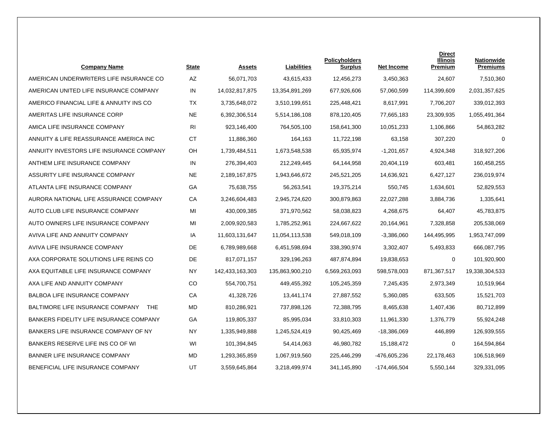| <b>Company Name</b>                            | <b>State</b>   | Assets          | Liabilities     | <b>Policyholders</b><br>Surplus | <b>Net Income</b> | <b>Direct</b><br>Illinois<br>Premium | <b>Nationwide</b><br><b>Premiums</b> |
|------------------------------------------------|----------------|-----------------|-----------------|---------------------------------|-------------------|--------------------------------------|--------------------------------------|
| AMERICAN UNDERWRITERS LIFE INSURANCE CO        | AZ             | 56,071,703      | 43,615,433      | 12,456,273                      | 3,450,363         | 24,607                               | 7,510,360                            |
| AMERICAN UNITED LIFE INSURANCE COMPANY         | IN             | 14,032,817,875  | 13,354,891,269  | 677,926,606                     | 57,060,599        | 114,399,609                          | 2,031,357,625                        |
| AMERICO FINANCIAL LIFE & ANNUITY INS CO        | TX             | 3,735,648,072   | 3,510,199,651   | 225,448,421                     | 8,617,991         | 7,706,207                            | 339,012,393                          |
| AMERITAS LIFE INSURANCE CORP                   | <b>NE</b>      | 6,392,306,514   | 5,514,186,108   | 878,120,405                     | 77,665,183        | 23,309,935                           | 1,055,491,364                        |
| AMICA LIFE INSURANCE COMPANY                   | R <sub>1</sub> | 923.146.400     | 764.505.100     | 158,641,300                     | 10.051.233        | 1.106.866                            | 54,863,282                           |
| ANNUITY & LIFE REASSURANCE AMERICA INC         | <b>CT</b>      | 11,886,360      | 164,163         | 11,722,198                      | 63,158            | 307,220                              | $\mathbf 0$                          |
| ANNUITY INVESTORS LIFE INSURANCE COMPANY       | OH             | 1,739,484,511   | 1,673,548,538   | 65,935,974                      | $-1,201,657$      | 4,924,348                            | 318,927,206                          |
| ANTHEM LIFE INSURANCE COMPANY                  | IN             | 276,394,403     | 212,249,445     | 64,144,958                      | 20,404,119        | 603,481                              | 160,458,255                          |
| ASSURITY LIFE INSURANCE COMPANY                | <b>NE</b>      | 2,189,167,875   | 1,943,646,672   | 245,521,205                     | 14,636,921        | 6,427,127                            | 236,019,974                          |
| ATLANTA LIFE INSURANCE COMPANY                 | GA             | 75,638,755      | 56,263,541      | 19,375,214                      | 550,745           | 1,634,601                            | 52,829,553                           |
| AURORA NATIONAL LIFE ASSURANCE COMPANY         | CA             | 3,246,604,483   | 2,945,724,620   | 300,879,863                     | 22,027,288        | 3,884,736                            | 1,335,641                            |
| AUTO CLUB LIFE INSURANCE COMPANY               | MI             | 430,009,385     | 371,970,562     | 58,038,823                      | 4,268,675         | 64,407                               | 45,783,875                           |
| AUTO OWNERS LIFE INSURANCE COMPANY             | MI             | 2,009,920,583   | 1,785,252,961   | 224,667,622                     | 20,164,961        | 7,328,858                            | 205,538,069                          |
| AVIVA LIFE AND ANNUITY COMPANY                 | IA             | 11,603,131,647  | 11,054,113,538  | 549,018,109                     | $-3,386,060$      | 144,495,995                          | 1,953,747,099                        |
| AVIVA LIFE INSURANCE COMPANY                   | DE             | 6,789,989,668   | 6,451,598,694   | 338,390,974                     | 3,302,407         | 5,493,833                            | 666,087,795                          |
| AXA CORPORATE SOLUTIONS LIFE REINS CO          | DE             | 817,071,157     | 329,196,263     | 487,874,894                     | 19,838,653        | 0                                    | 101,920,900                          |
| AXA EQUITABLE LIFE INSURANCE COMPANY           | <b>NY</b>      | 142,433,163,303 | 135,863,900,210 | 6,569,263,093                   | 598,578,003       | 871,367,517                          | 19,338,304,533                       |
| AXA LIFE AND ANNUITY COMPANY                   | CO             | 554,700,751     | 449,455,392     | 105,245,359                     | 7,245,435         | 2,973,349                            | 10,519,964                           |
| <b>BALBOA LIFE INSURANCE COMPANY</b>           | CA             | 41,328,726      | 13,441,174      | 27,887,552                      | 5,360,085         | 633,505                              | 15,521,703                           |
| BALTIMORE LIFE INSURANCE COMPANY<br><b>THE</b> | MD             | 810,286,921     | 737,898,126     | 72,388,795                      | 8,465,638         | 1,407,436                            | 80,712,899                           |
| <b>BANKERS FIDELITY LIFE INSURANCE COMPANY</b> | GA             | 119,805,337     | 85,995,034      | 33,810,303                      | 11,961,330        | 1,376,779                            | 55,924,248                           |
| BANKERS LIFE INSURANCE COMPANY OF NY           | NY             | 1,335,949,888   | 1,245,524,419   | 90,425,469                      | -18,386,069       | 446,899                              | 126,939,555                          |
| BANKERS RESERVE LIFE INS CO OF WI              | WI             | 101,394,845     | 54,414,063      | 46,980,782                      | 15,188,472        | 0                                    | 164,594,864                          |
| <b>BANNER LIFE INSURANCE COMPANY</b>           | <b>MD</b>      | 1,293,365,859   | 1,067,919,560   | 225,446,299                     | -476,605,236      | 22,178,463                           | 106,518,969                          |
| BENEFICIAL LIFE INSURANCE COMPANY              | UT             | 3,559,645,864   | 3,218,499,974   | 341,145,890                     | -174,466,504      | 5,550,144                            | 329,331,095                          |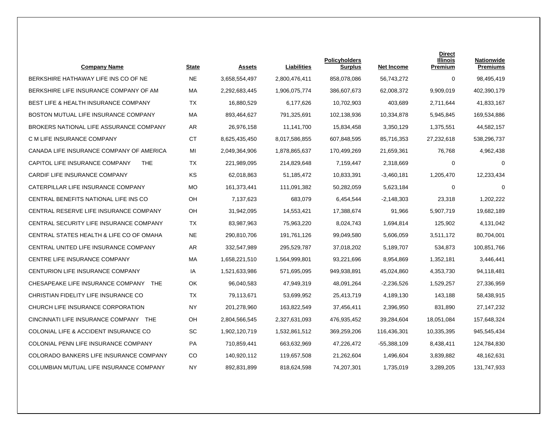| <b>Company Name</b>                             | <b>State</b> | Assets        | Liabilities   | <b>Policyholders</b><br><b>Surplus</b> | <b>Net Income</b> | <b>Direct</b><br><b>Illinois</b><br>Premium | <b>Nationwide</b><br><b>Premiums</b> |
|-------------------------------------------------|--------------|---------------|---------------|----------------------------------------|-------------------|---------------------------------------------|--------------------------------------|
| BERKSHIRE HATHAWAY LIFE INS CO OF NE            | <b>NE</b>    | 3,658,554,497 | 2,800,476,411 | 858,078,086                            | 56,743,272        | $\Omega$                                    | 98,495,419                           |
| BERKSHIRE LIFE INSURANCE COMPANY OF AM          | МA           | 2,292,683,445 | 1,906,075,774 | 386,607,673                            | 62,008,372        | 9,909,019                                   | 402,390,179                          |
| <b>BEST LIFE &amp; HEALTH INSURANCE COMPANY</b> | TX           | 16,880,529    | 6,177,626     | 10,702,903                             | 403,689           | 2,711,644                                   | 41,833,167                           |
| BOSTON MUTUAL LIFE INSURANCE COMPANY            | МA           | 893,464,627   | 791,325,691   | 102,138,936                            | 10,334,878        | 5,945,845                                   | 169,534,886                          |
| BROKERS NATIONAL LIFE ASSURANCE COMPANY         | AR.          | 26,976,158    | 11,141,700    | 15,834,458                             | 3.350.129         | 1.375.551                                   | 44,582,157                           |
| C M LIFE INSURANCE COMPANY                      | <b>CT</b>    | 8,625,435,450 | 8,017,586,855 | 607,848,595                            | 85,716,353        | 27,232,618                                  | 538,296,737                          |
| CANADA LIFE INSURANCE COMPANY OF AMERICA        | MI           | 2,049,364,906 | 1,878,865,637 | 170,499,269                            | 21,659,361        | 76,768                                      | 4,962,438                            |
| CAPITOL LIFE INSURANCE COMPANY<br><b>THE</b>    | <b>TX</b>    | 221,989,095   | 214,829,648   | 7,159,447                              | 2,318,669         | 0                                           | $\mathbf 0$                          |
| CARDIF LIFE INSURANCE COMPANY                   | <b>KS</b>    | 62,018,863    | 51,185,472    | 10,833,391                             | $-3,460,181$      | 1.205.470                                   | 12,233,434                           |
| CATERPILLAR LIFE INSURANCE COMPANY              | MO.          | 161,373,441   | 111,091,382   | 50,282,059                             | 5,623,184         | $\Omega$                                    | $\Omega$                             |
| CENTRAL BENEFITS NATIONAL LIFE INS CO           | OH           | 7,137,623     | 683,079       | 6,454,544                              | $-2,148,303$      | 23,318                                      | 1,202,222                            |
| CENTRAL RESERVE LIFE INSURANCE COMPANY          | OH           | 31,942,095    | 14,553,421    | 17,388,674                             | 91,966            | 5,907,719                                   | 19,682,189                           |
| CENTRAL SECURITY LIFE INSURANCE COMPANY         | <b>TX</b>    | 83,987,963    | 75,963,220    | 8,024,743                              | 1,694,814         | 125,902                                     | 4,131,042                            |
| CENTRAL STATES HEALTH & LIFE CO OF OMAHA        | <b>NE</b>    | 290,810,706   | 191,761,126   | 99,049,580                             | 5,606,059         | 3,511,172                                   | 80,704,001                           |
| CENTRAL UNITED LIFE INSURANCE COMPANY           | AR           | 332,547,989   | 295,529,787   | 37,018,202                             | 5,189,707         | 534,873                                     | 100,851,766                          |
| CENTRE LIFE INSURANCE COMPANY                   | MA           | 1,658,221,510 | 1,564,999,801 | 93,221,696                             | 8,954,869         | 1,352,181                                   | 3,446,441                            |
| CENTURION LIFE INSURANCE COMPANY                | IA           | 1,521,633,986 | 571,695,095   | 949,938,891                            | 45,024,860        | 4,353,730                                   | 94,118,481                           |
| CHESAPEAKE LIFE INSURANCE COMPANY<br><b>THE</b> | OK           | 96,040,583    | 47,949,319    | 48,091,264                             | $-2,236,526$      | 1,529,257                                   | 27,336,959                           |
| CHRISTIAN FIDELITY LIFE INSURANCE CO            | TX           | 79,113,671    | 53,699,952    | 25,413,719                             | 4,189,130         | 143,188                                     | 58,438,915                           |
| CHURCH LIFE INSURANCE CORPORATION               | <b>NY</b>    | 201,278,960   | 163,822,549   | 37,456,411                             | 2,396,950         | 831,890                                     | 27, 147, 232                         |
| CINCINNATI LIFE INSURANCE COMPANY THE           | OH           | 2,804,566,545 | 2,327,631,093 | 476,935,452                            | 39,284,604        | 18,051,084                                  | 157,648,324                          |
| COLONIAL LIFE & ACCIDENT INSURANCE CO           | <b>SC</b>    | 1,902,120,719 | 1,532,861,512 | 369,259,206                            | 116,436,301       | 10,335,395                                  | 945,545,434                          |
| COLONIAL PENN LIFE INSURANCE COMPANY            | PA           | 710,859,441   | 663,632,969   | 47,226,472                             | -55,388,109       | 8,438,411                                   | 124,784,830                          |
| COLORADO BANKERS LIFE INSURANCE COMPANY         | CO           | 140,920,112   | 119,657,508   | 21,262,604                             | 1,496,604         | 3,839,882                                   | 48,162,631                           |
| COLUMBIAN MUTUAL LIFE INSURANCE COMPANY         | <b>NY</b>    | 892,831,899   | 818,624,598   | 74,207,301                             | 1,735,019         | 3,289,205                                   | 131,747,933                          |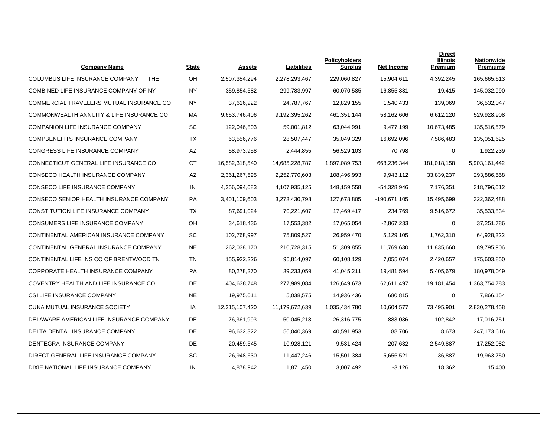| <b>Company Name</b>                                  | State     | <b>Assets</b>  | Liabilities    | <b>Policyholders</b><br><b>Surplus</b> | <b>Net Income</b> | <b>Direct</b><br><b>Illinois</b><br>Premium | <b>Nationwide</b><br><b>Premiums</b> |
|------------------------------------------------------|-----------|----------------|----------------|----------------------------------------|-------------------|---------------------------------------------|--------------------------------------|
| <b>COLUMBUS LIFE INSURANCE COMPANY</b><br><b>THE</b> | OH        | 2,507,354,294  | 2,278,293,467  | 229,060,827                            | 15,904,611        | 4,392,245                                   | 165,665,613                          |
| COMBINED LIFE INSURANCE COMPANY OF NY                | <b>NY</b> | 359,854,582    | 299,783,997    | 60,070,585                             | 16,855,881        | 19,415                                      | 145,032,990                          |
| COMMERCIAL TRAVELERS MUTUAL INSURANCE CO             | <b>NY</b> | 37,616,922     | 24,787,767     | 12,829,155                             | 1,540,433         | 139,069                                     | 36,532,047                           |
| COMMONWEALTH ANNUITY & LIFE INSURANCE CO             | MA        | 9,653,746,406  | 9,192,395,262  | 461.351.144                            | 58,162,606        | 6,612,120                                   | 529,928,908                          |
| <b>COMPANION LIFE INSURANCE COMPANY</b>              | <b>SC</b> | 122,046,803    | 59,001,812     | 63,044,991                             | 9,477,199         | 10,673,485                                  | 135,516,579                          |
| COMPBENEFITS INSURANCE COMPANY                       | TX        | 63,556,776     | 28,507,447     | 35,049,329                             | 16,692,096        | 7,586,483                                   | 135,051,625                          |
| CONGRESS LIFE INSURANCE COMPANY                      | AZ        | 58,973,958     | 2,444,855      | 56,529,103                             | 70,798            | 0                                           | 1,922,239                            |
| CONNECTICUT GENERAL LIFE INSURANCE CO                | <b>CT</b> | 16,582,318,540 | 14,685,228,787 | 1,897,089,753                          | 668,236,344       | 181,018,158                                 | 5,903,161,442                        |
| CONSECO HEALTH INSURANCE COMPANY                     | AZ        | 2,361,267,595  | 2,252,770,603  | 108,496,993                            | 9,943,112         | 33,839,237                                  | 293,886,558                          |
| CONSECO LIFE INSURANCE COMPANY                       | IN        | 4,256,094,683  | 4,107,935,125  | 148,159,558                            | -54,328,946       | 7,176,351                                   | 318,796,012                          |
| CONSECO SENIOR HEALTH INSURANCE COMPANY              | PA        | 3,401,109,603  | 3,273,430,798  | 127,678,805                            | -190,671,105      | 15,495,699                                  | 322,362,488                          |
| CONSTITUTION LIFE INSURANCE COMPANY                  | TX        | 87,691,024     | 70,221,607     | 17,469,417                             | 234,769           | 9,516,672                                   | 35,533,834                           |
| CONSUMERS LIFE INSURANCE COMPANY                     | OH        | 34,618,436     | 17,553,382     | 17,065,054                             | $-2,867,233$      | 0                                           | 37,251,786                           |
| CONTINENTAL AMERICAN INSURANCE COMPANY               | SC        | 102,768,997    | 75,809,527     | 26,959,470                             | 5,129,105         | 1,762,310                                   | 64,928,322                           |
| CONTINENTAL GENERAL INSURANCE COMPANY                | <b>NE</b> | 262,038,170    | 210,728,315    | 51,309,855                             | 11,769,630        | 11,835,660                                  | 89,795,906                           |
| CONTINENTAL LIFE INS CO OF BRENTWOOD TN              | <b>TN</b> | 155,922,226    | 95,814,097     | 60,108,129                             | 7,055,074         | 2,420,657                                   | 175,603,850                          |
| CORPORATE HEALTH INSURANCE COMPANY                   | PA        | 80,278,270     | 39,233,059     | 41,045,211                             | 19,481,594        | 5,405,679                                   | 180,978,049                          |
| COVENTRY HEALTH AND LIFE INSURANCE CO                | <b>DE</b> | 404,638,748    | 277,989,084    | 126,649,673                            | 62,611,497        | 19,181,454                                  | 1,363,754,783                        |
| CSI LIFE INSURANCE COMPANY                           | NE.       | 19,975,011     | 5,038,575      | 14,936,436                             | 680,815           | 0                                           | 7,866,154                            |
| CUNA MUTUAL INSURANCE SOCIETY                        | IA        | 12,215,107,420 | 11,179,672,639 | 1,035,434,780                          | 10,604,577        | 73,495,901                                  | 2,830,278,458                        |
| DELAWARE AMERICAN LIFE INSURANCE COMPANY             | <b>DE</b> | 76,361,993     | 50,045,218     | 26,316,775                             | 883,036           | 102,842                                     | 17,016,751                           |
| DELTA DENTAL INSURANCE COMPANY                       | <b>DE</b> | 96,632,322     | 56,040,369     | 40,591,953                             | 88,706            | 8,673                                       | 247,173,616                          |
| DENTEGRA INSURANCE COMPANY                           | <b>DE</b> | 20,459,545     | 10,928,121     | 9,531,424                              | 207,632           | 2,549,887                                   | 17,252,082                           |
| DIRECT GENERAL LIFE INSURANCE COMPANY                | SC        | 26,948,630     | 11,447,246     | 15,501,384                             | 5,656,521         | 36,887                                      | 19,963,750                           |
| DIXIE NATIONAL LIFE INSURANCE COMPANY                | IN        | 4,878,942      | 1,871,450      | 3,007,492                              | $-3,126$          | 18,362                                      | 15,400                               |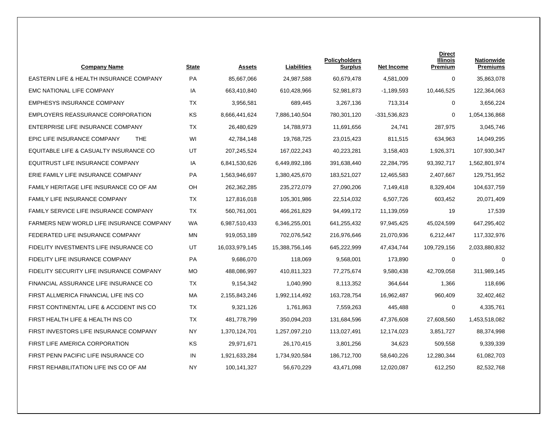| <b>Company Name</b>                             | <b>State</b> | <b>Assets</b>  | Liabilities    | <b>Policyholders</b><br>Surplus | <b>Net Income</b> | <b>Direct</b><br>Illinois<br>Premium | <b>Nationwide</b><br><b>Premiums</b> |
|-------------------------------------------------|--------------|----------------|----------------|---------------------------------|-------------------|--------------------------------------|--------------------------------------|
| EASTERN LIFE & HEALTH INSURANCE COMPANY         | PA           | 85,667,066     | 24,987,588     | 60,679,478                      | 4,581,009         | $\Omega$                             | 35,863,078                           |
| <b>EMC NATIONAL LIFE COMPANY</b>                | IA           | 663,410,840    | 610,428,966    | 52,981,873                      | $-1,189,593$      | 10,446,525                           | 122,364,063                          |
| <b>EMPHESYS INSURANCE COMPANY</b>               | <b>TX</b>    | 3,956,581      | 689,445        | 3,267,136                       | 713,314           | 0                                    | 3,656,224                            |
| <b>EMPLOYERS REASSURANCE CORPORATION</b>        | KS           | 8,666,441,624  | 7,886,140,504  | 780,301,120                     | $-331,536,823$    | 0                                    | 1,054,136,868                        |
| ENTERPRISE LIFE INSURANCE COMPANY               | <b>TX</b>    | 26.480.629     | 14.788.973     | 11,691,656                      | 24,741            | 287.975                              | 3,045,746                            |
| EPIC LIFE INSURANCE COMPANY<br><b>THE</b>       | WI           | 42,784,148     | 19,768,725     | 23,015,423                      | 811,515           | 634,963                              | 14,049,295                           |
| EQUITABLE LIFE & CASUALTY INSURANCE CO          | UT           | 207,245,524    | 167,022,243    | 40,223,281                      | 3,158,403         | 1,926,371                            | 107,930,347                          |
| EQUITRUST LIFE INSURANCE COMPANY                | IA           | 6,841,530,626  | 6,449,892,186  | 391,638,440                     | 22,284,795        | 93,392,717                           | 1,562,801,974                        |
| ERIE FAMILY LIFE INSURANCE COMPANY              | <b>PA</b>    | 1,563,946,697  | 1,380,425,670  | 183,521,027                     | 12,465,583        | 2,407,667                            | 129,751,952                          |
| FAMILY HERITAGE LIFE INSURANCE CO OF AM         | OH           | 262,362,285    | 235,272,079    | 27,090,206                      | 7,149,418         | 8,329,404                            | 104,637,759                          |
| <b>FAMILY LIFE INSURANCE COMPANY</b>            | TX           | 127,816,018    | 105,301,986    | 22,514,032                      | 6,507,726         | 603,452                              | 20,071,409                           |
| <b>FAMILY SERVICE LIFE INSURANCE COMPANY</b>    | <b>TX</b>    | 560,761,001    | 466,261,829    | 94,499,172                      | 11,139,059        | 19                                   | 17,539                               |
| <b>FARMERS NEW WORLD LIFE INSURANCE COMPANY</b> | <b>WA</b>    | 6,987,510,433  | 6,346,255,001  | 641,255,432                     | 97,945,425        | 45,024,599                           | 647,295,402                          |
| FEDERATED LIFE INSURANCE COMPANY                | MN           | 919,053,189    | 702,076,542    | 216,976,646                     | 21,070,936        | 6,212,447                            | 117,332,976                          |
| FIDELITY INVESTMENTS LIFE INSURANCE CO          | UT           | 16,033,979,145 | 15,388,756,146 | 645,222,999                     | 47,434,744        | 109,729,156                          | 2,033,880,832                        |
| FIDELITY LIFE INSURANCE COMPANY                 | PA           | 9,686,070      | 118,069        | 9,568,001                       | 173,890           | 0                                    | $\mathbf 0$                          |
| FIDELITY SECURITY LIFE INSURANCE COMPANY        | <b>MO</b>    | 488,086,997    | 410,811,323    | 77,275,674                      | 9,580,438         | 42,709,058                           | 311,989,145                          |
| FINANCIAL ASSURANCE LIFE INSURANCE CO           | TX           | 9,154,342      | 1,040,990      | 8,113,352                       | 364,644           | 1,366                                | 118,696                              |
| FIRST ALLMERICA FINANCIAL LIFE INS CO           | MA           | 2,155,843,246  | 1,992,114,492  | 163,728,754                     | 16,962,487        | 960,409                              | 32,402,462                           |
| FIRST CONTINENTAL LIFE & ACCIDENT INS CO        | TX           | 9,321,126      | 1,761,863      | 7,559,263                       | 445,488           | 0                                    | 4,335,761                            |
| FIRST HEALTH LIFE & HEALTH INS CO               | <b>TX</b>    | 481,778,799    | 350,094,203    | 131,684,596                     | 47,376,608        | 27,608,560                           | 1,453,518,082                        |
| FIRST INVESTORS LIFE INSURANCE COMPANY          | <b>NY</b>    | 1,370,124,701  | 1,257,097,210  | 113,027,491                     | 12,174,023        | 3,851,727                            | 88,374,998                           |
| FIRST LIFE AMERICA CORPORATION                  | ΚS           | 29,971,671     | 26,170,415     | 3,801,256                       | 34,623            | 509,558                              | 9,339,339                            |
| FIRST PENN PACIFIC LIFE INSURANCE CO            | IN           | 1,921,633,284  | 1,734,920,584  | 186,712,700                     | 58,640,226        | 12,280,344                           | 61,082,703                           |
| FIRST REHABILITATION LIFE INS CO OF AM          | <b>NY</b>    | 100,141,327    | 56,670,229     | 43,471,098                      | 12,020,087        | 612,250                              | 82,532,768                           |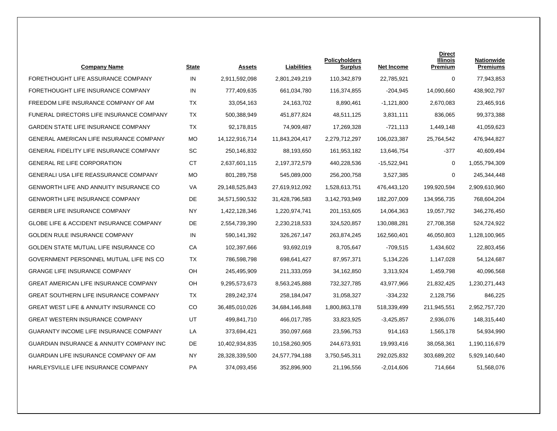| <b>Company Name</b>                                 | <b>State</b> | <b>Assets</b>  | Liabilities    | <b>Policyholders</b><br><b>Surplus</b> | Net Income    | <b>Direct</b><br><b>Illinois</b><br>Premium | <b>Nationwide</b><br><b>Premiums</b> |
|-----------------------------------------------------|--------------|----------------|----------------|----------------------------------------|---------------|---------------------------------------------|--------------------------------------|
| FORETHOUGHT LIFE ASSURANCE COMPANY                  | IN           | 2,911,592,098  | 2,801,249,219  | 110,342,879                            | 22,785,921    | 0                                           | 77,943,853                           |
| FORETHOUGHT LIFE INSURANCE COMPANY                  | IN           | 777,409,635    | 661,034,780    | 116,374,855                            | $-204,945$    | 14,090,660                                  | 438,902,797                          |
| FREEDOM LIFE INSURANCE COMPANY OF AM                | TX           | 33,054,163     | 24,163,702     | 8,890,461                              | $-1,121,800$  | 2,670,083                                   | 23,465,916                           |
| FUNERAL DIRECTORS LIFE INSURANCE COMPANY            | <b>TX</b>    | 500,388,949    | 451,877,824    | 48,511,125                             | 3,831,111     | 836,065                                     | 99,373,388                           |
| <b>GARDEN STATE LIFE INSURANCE COMPANY</b>          | <b>TX</b>    | 92,178,815     | 74,909,487     | 17,269,328                             | $-721,113$    | 1,449,148                                   | 41,059,623                           |
| <b>GENERAL AMERICAN LIFE INSURANCE COMPANY</b>      | <b>MO</b>    | 14,122,916,714 | 11,843,204,417 | 2,279,712,297                          | 106,023,387   | 25,764,542                                  | 476,944,827                          |
| <b>GENERAL FIDELITY LIFE INSURANCE COMPANY</b>      | <b>SC</b>    | 250,146,832    | 88,193,650     | 161,953,182                            | 13,646,754    | $-377$                                      | 40,609,494                           |
| <b>GENERAL RE LIFE CORPORATION</b>                  | <b>CT</b>    | 2,637,601,115  | 2,197,372,579  | 440,228,536                            | $-15,522,941$ | 0                                           | 1,055,794,309                        |
| GENERALI USA LIFE REASSURANCE COMPANY               | <b>MO</b>    | 801,289,758    | 545,089,000    | 256,200,758                            | 3,527,385     | 0                                           | 245,344,448                          |
| <b>GENWORTH LIFE AND ANNUITY INSURANCE CO</b>       | <b>VA</b>    | 29,148,525,843 | 27,619,912,092 | 1,528,613,751                          | 476,443,120   | 199,920,594                                 | 2,909,610,960                        |
| <b>GENWORTH LIFE INSURANCE COMPANY</b>              | DE.          | 34,571,590,532 | 31,428,796,583 | 3,142,793,949                          | 182,207,009   | 134,956,735                                 | 768,604,204                          |
| <b>GERBER LIFE INSURANCE COMPANY</b>                | NY           | 1,422,128,346  | 1,220,974,741  | 201,153,605                            | 14,064,363    | 19,057,792                                  | 346,276,450                          |
| <b>GLOBE LIFE &amp; ACCIDENT INSURANCE COMPANY</b>  | <b>DE</b>    | 2,554,739,390  | 2,230,218,533  | 324,520,857                            | 130,088,281   | 27,708,358                                  | 524,724,922                          |
| <b>GOLDEN RULE INSURANCE COMPANY</b>                | IN           | 590,141,392    | 326,267,147    | 263,874,245                            | 162,560,401   | 46,050,803                                  | 1,128,100,965                        |
| GOLDEN STATE MUTUAL LIFE INSURANCE CO               | CA           | 102,397,666    | 93,692,019     | 8,705,647                              | $-709,515$    | 1,434,602                                   | 22,803,456                           |
| GOVERNMENT PERSONNEL MUTUAL LIFE INS CO             | <b>TX</b>    | 786,598,798    | 698,641,427    | 87,957,371                             | 5,134,226     | 1,147,028                                   | 54,124,687                           |
| <b>GRANGE LIFE INSURANCE COMPANY</b>                | OH           | 245,495,909    | 211,333,059    | 34,162,850                             | 3,313,924     | 1,459,798                                   | 40,096,568                           |
| <b>GREAT AMERICAN LIFE INSURANCE COMPANY</b>        | OH           | 9,295,573,673  | 8,563,245,888  | 732,327,785                            | 43,977,966    | 21,832,425                                  | 1,230,271,443                        |
| <b>GREAT SOUTHERN LIFE INSURANCE COMPANY</b>        | <b>TX</b>    | 289,242,374    | 258,184,047    | 31,058,327                             | $-334,232$    | 2,128,756                                   | 846,225                              |
| GREAT WEST LIFE & ANNUITY INSURANCE CO              | CO           | 36,485,010,026 | 34,684,146,848 | 1,800,863,178                          | 518,339,499   | 211,945,551                                 | 2,952,757,720                        |
| <b>GREAT WESTERN INSURANCE COMPANY</b>              | UT           | 499,841,710    | 466,017,785    | 33,823,925                             | $-3,425,857$  | 2,936,076                                   | 148,315,440                          |
| <b>GUARANTY INCOME LIFE INSURANCE COMPANY</b>       | LA           | 373,694,421    | 350,097,668    | 23,596,753                             | 914.163       | 1,565,178                                   | 54,934,990                           |
| <b>GUARDIAN INSURANCE &amp; ANNUITY COMPANY INC</b> | <b>DE</b>    | 10,402,934,835 | 10,158,260,905 | 244,673,931                            | 19,993,416    | 38,058,361                                  | 1,190,116,679                        |
| GUARDIAN LIFE INSURANCE COMPANY OF AM               | <b>NY</b>    | 28,328,339,500 | 24,577,794,188 | 3,750,545,311                          | 292,025,832   | 303,689,202                                 | 5,929,140,640                        |
| HARLEYSVILLE LIFE INSURANCE COMPANY                 | <b>PA</b>    | 374,093,456    | 352,896,900    | 21.196.556                             | $-2,014,606$  | 714,664                                     | 51,568,076                           |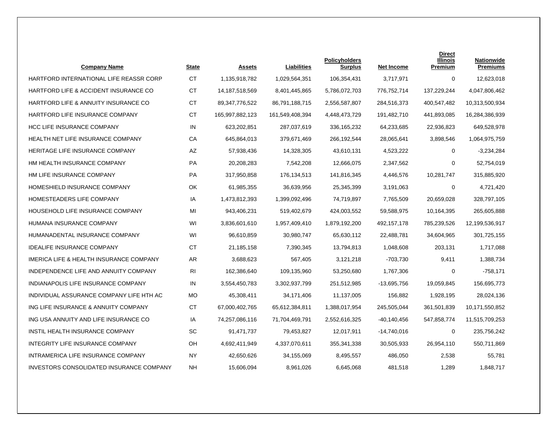| <b>Company Name</b>                      | <b>State</b>   | <b>Assets</b>     | Liabilities     | <b>Policyholders</b><br><b>Surplus</b> | <b>Net Income</b> | <b>Direct</b><br><b>Illinois</b><br>Premium | <b>Nationwide</b><br><b>Premiums</b> |
|------------------------------------------|----------------|-------------------|-----------------|----------------------------------------|-------------------|---------------------------------------------|--------------------------------------|
| HARTFORD INTERNATIONAL LIFE REASSR CORP  | <b>CT</b>      | 1,135,918,782     | 1,029,564,351   | 106,354,431                            | 3,717,971         | 0                                           | 12,623,018                           |
| HARTFORD LIFE & ACCIDENT INSURANCE CO    | <b>CT</b>      | 14,187,518,569    | 8,401,445,865   | 5,786,072,703                          | 776,752,714       | 137,229,244                                 | 4,047,806,462                        |
| HARTFORD LIFE & ANNUITY INSURANCE CO     | CT.            | 89, 347, 776, 522 | 86,791,188,715  | 2,556,587,807                          | 284,516,373       | 400,547,482                                 | 10,313,500,934                       |
| HARTFORD LIFE INSURANCE COMPANY          | <b>CT</b>      | 165,997,882,123   | 161,549,408,394 | 4,448,473,729                          | 191,482,710       | 441,893,085                                 | 16,284,386,939                       |
| <b>HCC LIFE INSURANCE COMPANY</b>        | IN             | 623,202,851       | 287,037,619     | 336, 165, 232                          | 64,233,685        | 22.936.823                                  | 649,528,978                          |
| HEALTH NET LIFE INSURANCE COMPANY        | СA             | 645,864,013       | 379,671,469     | 266,192,544                            | 28,065,641        | 3,898,546                                   | 1,064,975,759                        |
| HERITAGE LIFE INSURANCE COMPANY          | AZ             | 57,938,436        | 14,328,305      | 43,610,131                             | 4,523,222         | 0                                           | $-3,234,284$                         |
| HM HEALTH INSURANCE COMPANY              | PA             | 20,208,283        | 7,542,208       | 12,666,075                             | 2,347,562         | 0                                           | 52,754,019                           |
| HM LIFE INSURANCE COMPANY                | <b>PA</b>      | 317,950,858       | 176,134,513     | 141,816,345                            | 4,446,576         | 10,281,747                                  | 315,885,920                          |
| HOMESHIELD INSURANCE COMPANY             | OK             | 61,985,355        | 36,639,956      | 25,345,399                             | 3,191,063         | 0                                           | 4,721,420                            |
| <b>HOMESTEADERS LIFE COMPANY</b>         | IA             | 1,473,812,393     | 1,399,092,496   | 74,719,897                             | 7,765,509         | 20,659,028                                  | 328,797,105                          |
| HOUSEHOLD LIFE INSURANCE COMPANY         | MI             | 943,406,231       | 519,402,679     | 424,003,552                            | 59,588,975        | 10,164,395                                  | 265,605,888                          |
| HUMANA INSURANCE COMPANY                 | WI             | 3,836,601,610     | 1,957,409,410   | 1,879,192,200                          | 492,157,178       | 785,239,526                                 | 12,199,536,917                       |
| HUMANADENTAL INSURANCE COMPANY           | WI             | 96,610,859        | 30,980,747      | 65,630,112                             | 22,488,781        | 34,604,965                                  | 301,725,155                          |
| <b>IDEALIFE INSURANCE COMPANY</b>        | <b>CT</b>      | 21,185,158        | 7,390,345       | 13,794,813                             | 1,048,608         | 203,131                                     | 1,717,088                            |
| IMERICA LIFE & HEALTH INSURANCE COMPANY  | AR             | 3,688,623         | 567,405         | 3,121,218                              | -703,730          | 9,411                                       | 1,388,734                            |
| INDEPENDENCE LIFE AND ANNUITY COMPANY    | R <sub>l</sub> | 162,386,640       | 109,135,960     | 53,250,680                             | 1,767,306         | 0                                           | $-758,171$                           |
| INDIANAPOLIS LIFE INSURANCE COMPANY      | IN             | 3,554,450,783     | 3,302,937,799   | 251,512,985                            | -13,695,756       | 19,059,845                                  | 156,695,773                          |
| INDIVIDUAL ASSURANCE COMPANY LIFE HTH AC | <b>MO</b>      | 45,308,411        | 34,171,406      | 11,137,005                             | 156,882           | 1,928,195                                   | 28,024,136                           |
| ING LIFE INSURANCE & ANNUITY COMPANY     | <b>CT</b>      | 67,000,402,765    | 65,612,384,811  | 1,388,017,954                          | 245,505,044       | 361,501,839                                 | 10,171,550,852                       |
| ING USA ANNUITY AND LIFE INSURANCE CO    | IA             | 74,257,086,116    | 71,704,469,791  | 2,552,616,325                          | -40,140,456       | 547,858,774                                 | 11,515,709,253                       |
| INSTIL HEALTH INSURANCE COMPANY          | <b>SC</b>      | 91,471,737        | 79,453,827      | 12,017,911                             | -14,740,016       | 0                                           | 235,756,242                          |
| INTEGRITY LIFE INSURANCE COMPANY         | <b>OH</b>      | 4,692,411,949     | 4,337,070,611   | 355, 341, 338                          | 30,505,933        | 26,954,110                                  | 550,711,869                          |
| INTRAMERICA LIFE INSURANCE COMPANY       | <b>NY</b>      | 42,650,626        | 34,155,069      | 8,495,557                              | 486,050           | 2,538                                       | 55,781                               |
| INVESTORS CONSOLIDATED INSURANCE COMPANY | <b>NH</b>      | 15,606,094        | 8,961,026       | 6,645,068                              | 481,518           | 1,289                                       | 1,848,717                            |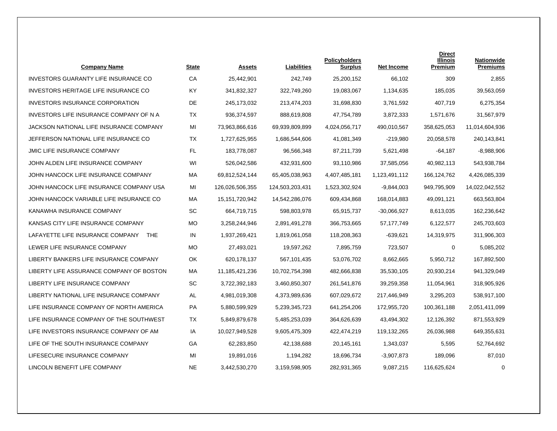| <b>Company Name</b>                            | <b>State</b> | <b>Assets</b>   | Liabilities     | <b>Policyholders</b><br><b>Surplus</b> | <b>Net Income</b> | <b>Direct</b><br><b>Illinois</b><br>Premium | <b>Nationwide</b><br><b>Premiums</b> |
|------------------------------------------------|--------------|-----------------|-----------------|----------------------------------------|-------------------|---------------------------------------------|--------------------------------------|
| <b>INVESTORS GUARANTY LIFE INSURANCE CO</b>    | CA           | 25,442,901      | 242,749         | 25,200,152                             | 66,102            | 309                                         | 2,855                                |
| INVESTORS HERITAGE LIFE INSURANCE CO           | KY           | 341,832,327     | 322,749,260     | 19,083,067                             | 1,134,635         | 185,035                                     | 39,563,059                           |
| INVESTORS INSURANCE CORPORATION                | DE           | 245,173,032     | 213,474,203     | 31,698,830                             | 3,761,592         | 407,719                                     | 6,275,354                            |
| INVESTORS LIFE INSURANCE COMPANY OF N A        | <b>TX</b>    | 936,374,597     | 888,619,808     | 47,754,789                             | 3,872,333         | 1,571,676                                   | 31,567,979                           |
| JACKSON NATIONAL LIFE INSURANCE COMPANY        | MI           | 73.963.866.616  | 69,939,809,899  | 4,024,056,717                          | 490.010.567       | 358,625,053                                 | 11,014,604,936                       |
| JEFFERSON NATIONAL LIFE INSURANCE CO           | TX           | 1,727,625,955   | 1,686,544,606   | 41,081,349                             | $-219,980$        | 20,058,578                                  | 240,143,841                          |
| <b>JMIC LIFE INSURANCE COMPANY</b>             | FL           | 183,778,087     | 96,566,348      | 87,211,739                             | 5,621,498         | -64,187                                     | $-8,988,906$                         |
| JOHN ALDEN LIFE INSURANCE COMPANY              | WI           | 526,042,586     | 432,931,600     | 93,110,986                             | 37,585,056        | 40,982,113                                  | 543,938,784                          |
| JOHN HANCOCK LIFE INSURANCE COMPANY            | MA           | 69,812,524,144  | 65,405,038,963  | 4,407,485,181                          | 1,123,491,112     | 166,124,762                                 | 4,426,085,339                        |
| JOHN HANCOCK LIFE INSURANCE COMPANY USA        | MI           | 126,026,506,355 | 124,503,203,431 | 1,523,302,924                          | $-9,844,003$      | 949,795,909                                 | 14,022,042,552                       |
| JOHN HANCOCK VARIABLE LIFE INSURANCE CO        | MA           | 15,151,720,942  | 14,542,286,076  | 609,434,868                            | 168,014,883       | 49,091,121                                  | 663,563,804                          |
| KANAWHA INSURANCE COMPANY                      | SC           | 664,719,715     | 598,803,978     | 65,915,737                             | $-30,066,927$     | 8,613,035                                   | 162,236,642                          |
| KANSAS CITY LIFE INSURANCE COMPANY             | MO.          | 3,258,244,946   | 2,891,491,278   | 366,753,665                            | 57,177,749        | 6,122,577                                   | 245,703,603                          |
| LAFAYETTE LIFE INSURANCE COMPANY<br><b>THE</b> | IN           | 1,937,269,421   | 1,819,061,058   | 118,208,363                            | $-639,621$        | 14,319,975                                  | 311,906,303                          |
| LEWER LIFE INSURANCE COMPANY                   | МO           | 27,493,021      | 19,597,262      | 7,895,759                              | 723,507           | 0                                           | 5,085,202                            |
| LIBERTY BANKERS LIFE INSURANCE COMPANY         | OK           | 620,178,137     | 567,101,435     | 53,076,702                             | 8,662,665         | 5,950,712                                   | 167,892,500                          |
| LIBERTY LIFE ASSURANCE COMPANY OF BOSTON       | MA           | 11,185,421,236  | 10,702,754,398  | 482,666,838                            | 35,530,105        | 20,930,214                                  | 941,329,049                          |
| LIBERTY LIFE INSURANCE COMPANY                 | SC           | 3,722,392,183   | 3,460,850,307   | 261,541,876                            | 39,259,358        | 11,054,961                                  | 318,905,926                          |
| LIBERTY NATIONAL LIFE INSURANCE COMPANY        | AL           | 4,981,019,308   | 4,373,989,636   | 607,029,672                            | 217,446,949       | 3,295,203                                   | 538,917,100                          |
| LIFE INSURANCE COMPANY OF NORTH AMERICA        | PA           | 5,880,599,929   | 5,239,345,723   | 641,254,206                            | 172,955,720       | 100,361,188                                 | 2,051,411,099                        |
| LIFE INSURANCE COMPANY OF THE SOUTHWEST        | <b>TX</b>    | 5,849,879,678   | 5,485,253,039   | 364,626,639                            | 43,494,302        | 12,126,392                                  | 871,553,929                          |
| LIFE INVESTORS INSURANCE COMPANY OF AM         | IA           | 10,027,949,528  | 9,605,475,309   | 422,474,219                            | 119,132,265       | 26,036,988                                  | 649,355,631                          |
| LIFE OF THE SOUTH INSURANCE COMPANY            | GA           | 62,283,850      | 42,138,688      | 20,145,161                             | 1,343,037         | 5,595                                       | 52,764,692                           |
| LIFESECURE INSURANCE COMPANY                   | MI           | 19,891,016      | 1,194,282       | 18,696,734                             | $-3,907,873$      | 189,096                                     | 87,010                               |
| LINCOLN BENEFIT LIFE COMPANY                   | <b>NE</b>    | 3,442,530,270   | 3,159,598,905   | 282,931,365                            | 9,087,215         | 116,625,624                                 | 0                                    |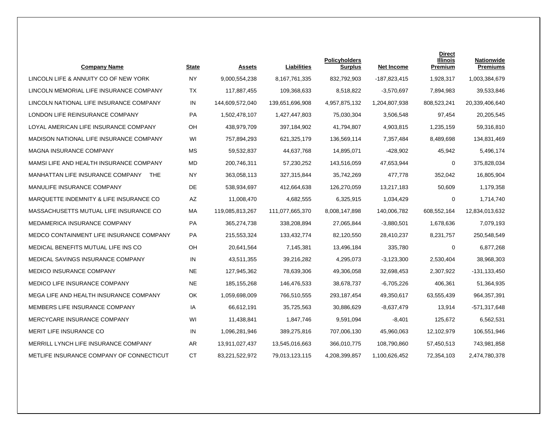| <b>Company Name</b>                            | <b>State</b> | <b>Assets</b>   | <b>Liabilities</b> | <b>Policyholders</b><br><u>Surplus</u> | Net Income    | <b>Direct</b><br><b>Illinois</b><br>Premium | <b>Nationwide</b><br><b>Premiums</b> |
|------------------------------------------------|--------------|-----------------|--------------------|----------------------------------------|---------------|---------------------------------------------|--------------------------------------|
| LINCOLN LIFE & ANNUITY CO OF NEW YORK          | <b>NY</b>    | 9,000,554,238   | 8,167,761,335      | 832,792,903                            | -187,823,415  | 1,928,317                                   | 1,003,384,679                        |
| LINCOLN MEMORIAL LIFE INSURANCE COMPANY        | TX           | 117,887,455     | 109,368,633        | 8,518,822                              | $-3,570,697$  | 7,894,983                                   | 39,533,846                           |
| LINCOLN NATIONAL LIFE INSURANCE COMPANY        | IN           | 144,609,572,040 | 139,651,696,908    | 4,957,875,132                          | 1,204,807,938 | 808,523,241                                 | 20,339,406,640                       |
| LONDON LIFE REINSURANCE COMPANY                | PA           | 1,502,478,107   | 1,427,447,803      | 75,030,304                             | 3,506,548     | 97,454                                      | 20,205,545                           |
| LOYAL AMERICAN LIFE INSURANCE COMPANY          | OH           | 438,979,709     | 397,184,902        | 41,794,807                             | 4,903,815     | 1,235,159                                   | 59,316,810                           |
| MADISON NATIONAL LIFE INSURANCE COMPANY        | WI           | 757,894,293     | 621,325,179        | 136,569,114                            | 7,357,484     | 8,489,698                                   | 134,831,469                          |
| MAGNA INSURANCE COMPANY                        | <b>MS</b>    | 59,532,837      | 44,637,768         | 14,895,071                             | -428,902      | 45,942                                      | 5,496,174                            |
| MAMSI LIFE AND HEALTH INSURANCE COMPANY        | MD.          | 200,746,311     | 57,230,252         | 143,516,059                            | 47,653,944    | 0                                           | 375,828,034                          |
| MANHATTAN LIFE INSURANCE COMPANY<br><b>THE</b> | <b>NY</b>    | 363,058,113     | 327,315,844        | 35,742,269                             | 477,778       | 352,042                                     | 16,805,904                           |
| MANULIFE INSURANCE COMPANY                     | DE           | 538,934,697     | 412,664,638        | 126,270,059                            | 13,217,183    | 50,609                                      | 1,179,358                            |
| MARQUETTE INDEMNITY & LIFE INSURANCE CO        | AZ           | 11,008,470      | 4,682,555          | 6,325,915                              | 1,034,429     | 0                                           | 1,714,740                            |
| MASSACHUSETTS MUTUAL LIFE INSURANCE CO         | МA           | 119,085,813,267 | 111,077,665,370    | 8,008,147,898                          | 140,006,782   | 608,552,164                                 | 12,834,013,632                       |
| MEDAMERICA INSURANCE COMPANY                   | PA           | 365,274,738     | 338,208,894        | 27,065,844                             | $-3,880,501$  | 1,678,636                                   | 7,079,193                            |
| MEDCO CONTAINMENT LIFE INSURANCE COMPANY       | PA           | 215,553,324     | 133,432,774        | 82,120,550                             | 28,410,237    | 8,231,757                                   | 250,548,549                          |
| MEDICAL BENEFITS MUTUAL LIFE INS CO            | OH           | 20,641,564      | 7,145,381          | 13,496,184                             | 335,780       | 0                                           | 6,877,268                            |
| MEDICAL SAVINGS INSURANCE COMPANY              | IN           | 43,511,355      | 39,216,282         | 4,295,073                              | $-3,123,300$  | 2,530,404                                   | 38,968,303                           |
| <b>MEDICO INSURANCE COMPANY</b>                | <b>NE</b>    | 127,945,362     | 78,639,306         | 49,306,058                             | 32,698,453    | 2,307,922                                   | $-131, 133, 450$                     |
| <b>MEDICO LIFE INSURANCE COMPANY</b>           | <b>NE</b>    | 185, 155, 268   | 146,476,533        | 38,678,737                             | $-6,705,226$  | 406,361                                     | 51,364,935                           |
| MEGA LIFE AND HEALTH INSURANCE COMPANY         | OK           | 1,059,698,009   | 766,510,555        | 293,187,454                            | 49,350,617    | 63,555,439                                  | 964, 357, 391                        |
| MEMBERS LIFE INSURANCE COMPANY                 | IA           | 66,612,191      | 35,725,563         | 30,886,629                             | $-8,637,479$  | 13,914                                      | $-571,317,648$                       |
| MERCYCARE INSURANCE COMPANY                    | WI           | 11,438,841      | 1,847,746          | 9,591,094                              | $-8,401$      | 125,672                                     | 6,562,531                            |
| MERIT LIFE INSURANCE CO                        | IN           | 1,096,281,946   | 389,275,816        | 707,006,130                            | 45,960,063    | 12,102,979                                  | 106,551,946                          |
| MERRILL LYNCH LIFE INSURANCE COMPANY           | AR.          | 13,911,027,437  | 13,545,016,663     | 366,010,775                            | 108,790,860   | 57,450,513                                  | 743,981,858                          |
| METLIFE INSURANCE COMPANY OF CONNECTICUT       | <b>CT</b>    | 83,221,522,972  | 79,013,123,115     | 4,208,399,857                          | 1,100,626,452 | 72,354,103                                  | 2,474,780,378                        |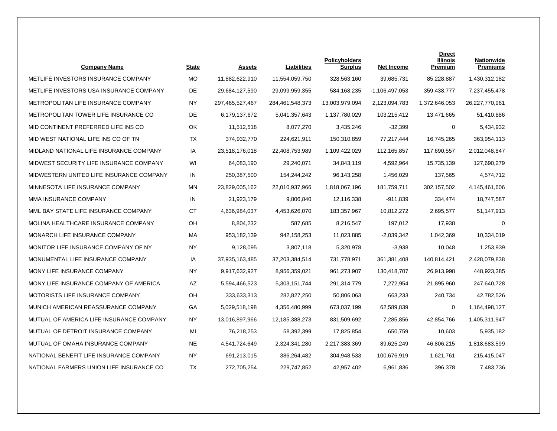| <b>Company Name</b>                      | <b>State</b> | <b>Assets</b>   | Liabilities     | <b>Policyholders</b><br><b>Surplus</b> | <b>Net Income</b> | <b>Direct</b><br>Illinois<br>Premium | Nationwide<br><b>Premiums</b> |
|------------------------------------------|--------------|-----------------|-----------------|----------------------------------------|-------------------|--------------------------------------|-------------------------------|
| METLIFE INVESTORS INSURANCE COMPANY      | <b>MO</b>    | 11,882,622,910  | 11,554,059,750  | 328,563,160                            | 39,685,731        | 85,228,887                           | 1,430,312,182                 |
| METLIFE INVESTORS USA INSURANCE COMPANY  | <b>DE</b>    | 29,684,127,590  | 29,099,959,355  | 584,168,235                            | $-1,106,497,053$  | 359,438,777                          | 7,237,455,478                 |
| METROPOLITAN LIFE INSURANCE COMPANY      | <b>NY</b>    | 297,465,527,467 | 284,461,548,373 | 13,003,979,094                         | 2,123,094,783     | 1,372,646,053                        | 26,227,770,961                |
| METROPOLITAN TOWER LIFE INSURANCE CO     | DE           | 6,179,137,672   | 5,041,357,643   | 1,137,780,029                          | 103,215,412       | 13,471,665                           | 51,410,886                    |
| MID CONTINENT PREFERRED LIFE INS CO      | OK           | 11.512.518      | 8,077,270       | 3,435,246                              | $-32,399$         | $\Omega$                             | 5,434,932                     |
| MID WEST NATIONAL LIFE INS CO OF TN      | <b>TX</b>    | 374,932,770     | 224,621,911     | 150,310,859                            | 77,217,444        | 16,745,265                           | 363,954,113                   |
| MIDLAND NATIONAL LIFE INSURANCE COMPANY  | IA           | 23,518,176,018  | 22,408,753,989  | 1,109,422,029                          | 112,165,857       | 117,690,557                          | 2,012,048,847                 |
| MIDWEST SECURITY LIFE INSURANCE COMPANY  | WI           | 64,083,190      | 29,240,071      | 34,843,119                             | 4,592,964         | 15,735,139                           | 127,690,279                   |
| MIDWESTERN UNITED LIFE INSURANCE COMPANY | IN           | 250,387,500     | 154,244,242     | 96,143,258                             | 1.456.029         | 137,565                              | 4,574,712                     |
| MINNESOTA LIFE INSURANCE COMPANY         | <b>MN</b>    | 23,829,005,162  | 22,010,937,966  | 1,818,067,196                          | 181,759,711       | 302,157,502                          | 4,145,461,606                 |
| MMA INSURANCE COMPANY                    | IN           | 21,923,179      | 9,806,840       | 12,116,338                             | $-911,839$        | 334,474                              | 18,747,587                    |
| MML BAY STATE LIFE INSURANCE COMPANY     | <b>CT</b>    | 4,636,984,037   | 4,453,626,070   | 183,357,967                            | 10,812,272        | 2,695,577                            | 51,147,913                    |
| MOLINA HEALTHCARE INSURANCE COMPANY      | OH           | 8,804,232       | 587,685         | 8,216,547                              | 197,012           | 17,938                               | $\Omega$                      |
| MONARCH LIFE INSURANCE COMPANY           | MA           | 953,182,139     | 942,158,253     | 11,023,885                             | $-2,039,342$      | 1,042,369                            | 10,334,019                    |
| MONITOR LIFE INSURANCE COMPANY OF NY     | <b>NY</b>    | 9,128,095       | 3,807,118       | 5,320,978                              | $-3,938$          | 10,048                               | 1,253,939                     |
| MONUMENTAL LIFE INSURANCE COMPANY        | IA           | 37,935,163,485  | 37,203,384,514  | 731,778,971                            | 361,381,408       | 140,814,421                          | 2,428,079,838                 |
| MONY LIFE INSURANCE COMPANY              | <b>NY</b>    | 9,917,632,927   | 8,956,359,021   | 961,273,907                            | 130,418,707       | 26,913,998                           | 448,923,385                   |
| MONY LIFE INSURANCE COMPANY OF AMERICA   | AZ           | 5,594,466,523   | 5,303,151,744   | 291,314,779                            | 7,272,954         | 21,895,960                           | 247,640,728                   |
| MOTORISTS LIFE INSURANCE COMPANY         | OH           | 333,633,313     | 282,827,250     | 50,806,063                             | 663,233           | 240,734                              | 42,782,526                    |
| MUNICH AMERICAN REASSURANCE COMPANY      | GA           | 5,029,518,198   | 4,356,480,999   | 673,037,199                            | 62,589,839        | 0                                    | 1,164,498,127                 |
| MUTUAL OF AMERICA LIFE INSURANCE COMPANY | <b>NY</b>    | 13,016,897,966  | 12,185,388,273  | 831,509,692                            | 7,285,856         | 42,854,766                           | 1,405,311,947                 |
| MUTUAL OF DETROIT INSURANCE COMPANY      | MI           | 76,218,253      | 58,392,399      | 17,825,854                             | 650,759           | 10,603                               | 5,935,182                     |
| MUTUAL OF OMAHA INSURANCE COMPANY        | <b>NE</b>    | 4,541,724,649   | 2,324,341,280   | 2,217,383,369                          | 89,625,249        | 46,806,215                           | 1,818,683,599                 |
| NATIONAL BENEFIT LIFE INSURANCE COMPANY  | <b>NY</b>    | 691,213,015     | 386,264,482     | 304,948,533                            | 100,676,919       | 1,621,761                            | 215,415,047                   |
| NATIONAL FARMERS UNION LIFE INSURANCE CO | TX           | 272,705,254     | 229,747,852     | 42,957,402                             | 6,961,836         | 396,378                              | 7,483,736                     |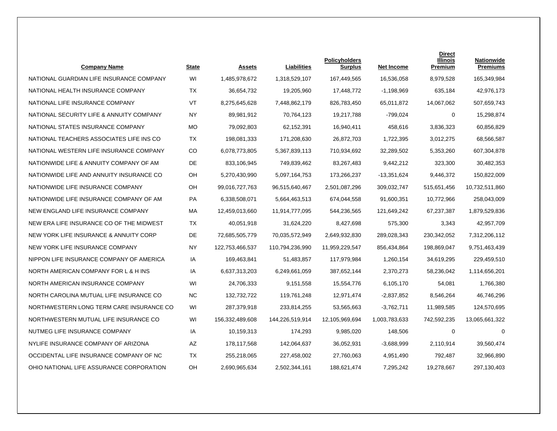| <b>Company Name</b>                      | <b>State</b> | <b>Assets</b>   | Liabilities     | <b>Policyholders</b><br><b>Surplus</b> | Net Income    | <b>Direct</b><br><b>Illinois</b><br>Premium | <b>Nationwide</b><br><b>Premiums</b> |
|------------------------------------------|--------------|-----------------|-----------------|----------------------------------------|---------------|---------------------------------------------|--------------------------------------|
| NATIONAL GUARDIAN LIFE INSURANCE COMPANY | WI           | 1,485,978,672   | 1,318,529,107   | 167,449,565                            | 16,536,058    | 8.979.528                                   | 165,349,984                          |
| NATIONAL HEALTH INSURANCE COMPANY        | <b>TX</b>    | 36,654,732      | 19,205,960      | 17,448,772                             | $-1,198,969$  | 635,184                                     | 42,976,173                           |
| NATIONAL LIFE INSURANCE COMPANY          | VT           | 8,275,645,628   | 7,448,862,179   | 826,783,450                            | 65,011,872    | 14,067,062                                  | 507,659,743                          |
| NATIONAL SECURITY LIFE & ANNUITY COMPANY | <b>NY</b>    | 89,981,912      | 70,764,123      | 19,217,788                             | $-799,024$    | 0                                           | 15,298,874                           |
| NATIONAL STATES INSURANCE COMPANY        | <b>MO</b>    | 79.092.803      | 62.152.391      | 16,940,411                             | 458.616       | 3.836.323                                   | 60,856,829                           |
| NATIONAL TEACHERS ASSOCIATES LIFE INS CO | TX           | 198,081,333     | 171,208,630     | 26,872,703                             | 1,722,395     | 3,012,275                                   | 68,566,587                           |
| NATIONAL WESTERN LIFE INSURANCE COMPANY  | CO           | 6,078,773,805   | 5,367,839,113   | 710,934,692                            | 32,289,502    | 5,353,260                                   | 607,304,878                          |
| NATIONWIDE LIFE & ANNUITY COMPANY OF AM  | DE           | 833,106,945     | 749,839,462     | 83,267,483                             | 9,442,212     | 323,300                                     | 30,482,353                           |
| NATIONWIDE LIFE AND ANNUITY INSURANCE CO | <b>OH</b>    | 5,270,430,990   | 5,097,164,753   | 173,266,237                            | -13,351,624   | 9,446,372                                   | 150,822,009                          |
| NATIONWIDE LIFE INSURANCE COMPANY        | <b>OH</b>    | 99,016,727,763  | 96,515,640,467  | 2,501,087,296                          | 309,032,747   | 515,651,456                                 | 10,732,511,860                       |
| NATIONWIDE LIFE INSURANCE COMPANY OF AM  | PA           | 6,338,508,071   | 5,664,463,513   | 674,044,558                            | 91,600,351    | 10,772,966                                  | 258,043,009                          |
| NEW ENGLAND LIFE INSURANCE COMPANY       | МA           | 12,459,013,660  | 11,914,777,095  | 544,236,565                            | 121,649,242   | 67,237,387                                  | 1,879,529,836                        |
| NEW ERA LIFE INSURANCE CO OF THE MIDWEST | <b>TX</b>    | 40,051,918      | 31,624,220      | 8,427,698                              | 575,300       | 3,343                                       | 42,957,709                           |
| NEW YORK LIFE INSURANCE & ANNUITY CORP   | DE           | 72,685,505,779  | 70,035,572,949  | 2,649,932,830                          | 289,028,343   | 230,342,052                                 | 7,312,206,112                        |
| NEW YORK LIFE INSURANCE COMPANY          | <b>NY</b>    | 122,753,466,537 | 110,794,236,990 | 11,959,229,547                         | 856,434,864   | 198,869,047                                 | 9,751,463,439                        |
| NIPPON LIFE INSURANCE COMPANY OF AMERICA | IA           | 169,463,841     | 51,483,857      | 117,979,984                            | 1,260,154     | 34,619,295                                  | 229,459,510                          |
| NORTH AMERICAN COMPANY FOR L & H INS     | IA           | 6,637,313,203   | 6,249,661,059   | 387,652,144                            | 2,370,273     | 58,236,042                                  | 1,114,656,201                        |
| NORTH AMERICAN INSURANCE COMPANY         | WI           | 24,706,333      | 9,151,558       | 15,554,776                             | 6,105,170     | 54,081                                      | 1,766,380                            |
| NORTH CAROLINA MUTUAL LIFE INSURANCE CO  | NC.          | 132,732,722     | 119,761,248     | 12,971,474                             | $-2,837,852$  | 8,546,264                                   | 46,746,296                           |
| NORTHWESTERN LONG TERM CARE INSURANCE CO | WI           | 287,379,918     | 233,814,255     | 53,565,663                             | $-3,762,711$  | 11,989,585                                  | 124,570,695                          |
| NORTHWESTERN MUTUAL LIFE INSURANCE CO    | WI           | 156,332,489,608 | 144,226,519,914 | 12,105,969,694                         | 1,003,783,633 | 742,592,235                                 | 13,065,661,322                       |
| NUTMEG LIFE INSURANCE COMPANY            | IA           | 10,159,313      | 174,293         | 9,985,020                              | 148,506       | $\mathbf 0$                                 | $\Omega$                             |
| NYLIFE INSURANCE COMPANY OF ARIZONA      | AΖ           | 178,117,568     | 142,064,637     | 36,052,931                             | $-3,688,999$  | 2,110,914                                   | 39,560,474                           |
| OCCIDENTAL LIFE INSURANCE COMPANY OF NC  | TX           | 255,218,065     | 227,458,002     | 27,760,063                             | 4,951,490     | 792,487                                     | 32,966,890                           |
| OHIO NATIONAL LIFE ASSURANCE CORPORATION | OH           | 2,690,965,634   | 2,502,344,161   | 188,621,474                            | 7,295,242     | 19,278,667                                  | 297,130,403                          |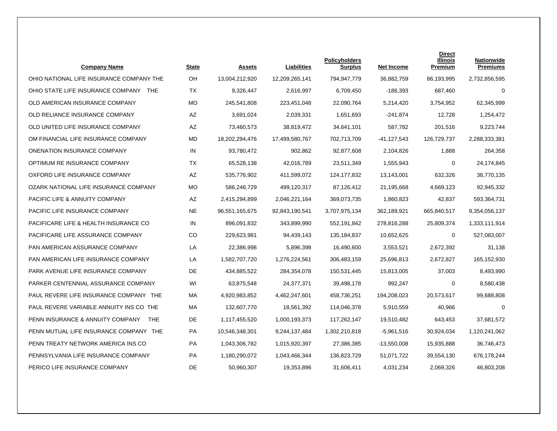| <b>Company Name</b>                             | <b>State</b> | <b>Assets</b>  | Liabilities    | <b>Policyholders</b><br><b>Surplus</b> | <b>Net Income</b> | <b>Direct</b><br><b>Illinois</b><br>Premium | <b>Nationwide</b><br><b>Premiums</b> |
|-------------------------------------------------|--------------|----------------|----------------|----------------------------------------|-------------------|---------------------------------------------|--------------------------------------|
| OHIO NATIONAL LIFE INSURANCE COMPANY THE        | OH           | 13,004,212,920 | 12,209,265,141 | 794,947,779                            | 36.882.759        | 86,193,995                                  | 2,732,856,595                        |
| OHIO STATE LIFE INSURANCE COMPANY<br><b>THE</b> | <b>TX</b>    | 9,326,447      | 2,616,997      | 6,709,450                              | -186,393          | 687,460                                     | $\Omega$                             |
| OLD AMERICAN INSURANCE COMPANY                  | <b>MO</b>    | 245,541,808    | 223,451,048    | 22,090,764                             | 5,214,420         | 3,754,952                                   | 62,345,999                           |
| OLD RELIANCE INSURANCE COMPANY                  | AZ           | 3,691,024      | 2,039,331      | 1,651,693                              | -241,874          | 12,728                                      | 1,254,472                            |
| OLD UNITED LIFE INSURANCE COMPANY               | AZ           | 73,460,573     | 38,819,472     | 34,641,101                             | 587,782           | 201.516                                     | 9,223,744                            |
| OM FINANCIAL LIFE INSURANCE COMPANY             | <b>MD</b>    | 18,202,294,476 | 17,499,580,767 | 702,713,709                            | -41,127,543       | 126,729,737                                 | 2,288,333,381                        |
| ONENATION INSURANCE COMPANY                     | IN           | 93,780,472     | 902,862        | 92,877,608                             | 2,104,826         | 1,888                                       | 264,358                              |
| OPTIMUM RE INSURANCE COMPANY                    | <b>TX</b>    | 65,528,138     | 42,016,789     | 23,511,349                             | 1,555,943         | 0                                           | 24,174,845                           |
| OXFORD LIFE INSURANCE COMPANY                   | <b>AZ</b>    | 535,776,902    | 411,599,072    | 124,177,832                            | 13,143,001        | 632.326                                     | 38,770,135                           |
| OZARK NATIONAL LIFE INSURANCE COMPANY           | <b>MO</b>    | 586,246,729    | 499,120,317    | 87,126,412                             | 21,195,668        | 4.669.123                                   | 92,945,332                           |
| <b>PACIFIC LIFE &amp; ANNUITY COMPANY</b>       | AZ           | 2,415,294,899  | 2,046,221,164  | 369,073,735                            | 1,860,823         | 42,837                                      | 593,364,731                          |
| PACIFIC LIFE INSURANCE COMPANY                  | <b>NE</b>    | 96,551,165,675 | 92,843,190,541 | 3,707,975,134                          | 362,189,921       | 665,840,517                                 | 9,354,056,137                        |
| PACIFICARE LIFE & HEALTH INSURANCE CO           | IN           | 896,091,832    | 343,899,990    | 552,191,842                            | 278,816,288       | 25,809,374                                  | 1,333,111,914                        |
| PACIFICARE LIFE ASSURANCE COMPANY               | CO           | 229,623,981    | 94,439,143     | 135,184,837                            | 10,652,625        | 0                                           | 527,083,007                          |
| PAN AMERICAN ASSURANCE COMPANY                  | LA           | 22,386,998     | 5,896,398      | 16,490,600                             | 3,553,521         | 2,672,392                                   | 31,138                               |
| PAN AMERICAN LIFE INSURANCE COMPANY             | LA           | 1,582,707,720  | 1,276,224,561  | 306,483,159                            | 25,696,813        | 2,672,827                                   | 165, 152, 930                        |
| PARK AVENUE LIFE INSURANCE COMPANY              | DE           | 434,885,522    | 284,354,078    | 150,531,445                            | 15,813,005        | 37,003                                      | 8,493,990                            |
| PARKER CENTENNIAL ASSURANCE COMPANY             | WI           | 63,875,548     | 24,377,371     | 39,498,178                             | 992,247           | 0                                           | 8,580,438                            |
| PAUL REVERE LIFE INSURANCE COMPANY THE          | MA           | 4,920,983,852  | 4,462,247,601  | 458,736,251                            | 194,208,023       | 20,573,617                                  | 99,688,808                           |
| PAUL REVERE VARIABLE ANNUITY INS CO THE         | МA           | 132,607,770    | 18,561,392     | 114,046,378                            | 5,910,559         | 40,966                                      | $\mathbf 0$                          |
| PENN INSURANCE & ANNUITY COMPANY<br><b>THE</b>  | DE           | 1,117,455,520  | 1,000,193,373  | 117,262,147                            | 19,510,482        | 643,453                                     | 37,681,572                           |
| PENN MUTUAL LIFE INSURANCE COMPANY THE          | PA           | 10,546,348,301 | 9,244,137,484  | 1,302,210,818                          | $-5.961,516$      | 30,924,034                                  | 1,120,241,062                        |
| PENN TREATY NETWORK AMERICA INS CO              | <b>PA</b>    | 1,043,306,782  | 1,015,920,397  | 27,386,385                             | $-13,550,008$     | 15,935,888                                  | 36,746,473                           |
| PENNSYLVANIA LIFE INSURANCE COMPANY             | PA           | 1,180,290,072  | 1,043,466,344  | 136,823,729                            | 51,071,722        | 39,554,130                                  | 676,178,244                          |
| PERICO LIFE INSURANCE COMPANY                   | DE           | 50,960,307     | 19,353,896     | 31,606,411                             | 4,031,234         | 2,069,326                                   | 46,803,208                           |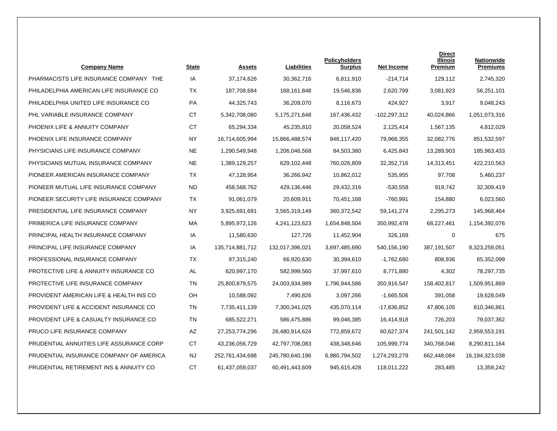| <b>Company Name</b>                               | State     | <b>Assets</b>   | <b>Liabilities</b> | <b>Policyholders</b><br><b>Surplus</b> | <b>Net Income</b> | <b>Direct</b><br><b>Illinois</b><br>Premium | <b>Nationwide</b><br><b>Premiums</b> |
|---------------------------------------------------|-----------|-----------------|--------------------|----------------------------------------|-------------------|---------------------------------------------|--------------------------------------|
| PHARMACISTS LIFE INSURANCE COMPANY THE            | IA        | 37,174,626      | 30,362,716         | 6,811,910                              | $-214,714$        | 129,112                                     | 2,745,320                            |
| PHILADELPHIA AMERICAN LIFE INSURANCE CO           | TX        | 187,708,684     | 168, 161, 848      | 19,546,836                             | 2,620,799         | 3,081,923                                   | 56,251,101                           |
| PHILADELPHIA UNITED LIFE INSURANCE CO             | PA        | 44,325,743      | 36,209,070         | 8,116,673                              | 424,927           | 3,917                                       | 9,048,243                            |
| PHL VARIABLE INSURANCE COMPANY                    | СT        | 5,342,708,080   | 5,175,271,648      | 167,436,432                            | -102,297,312      | 40,024,866                                  | 1,051,073,316                        |
| PHOENIX LIFE & ANNUITY COMPANY                    | <b>CT</b> | 65,294,334      | 45,235,810         | 20.058.524                             | 2,125,414         | 1,567,135                                   | 4,812,029                            |
| PHOENIX LIFE INSURANCE COMPANY                    | <b>NY</b> | 16,714,605,994  | 15,866,488,574     | 848,117,420                            | 79,968,355        | 32,082,776                                  | 851,532,597                          |
| PHYSICIANS LIFE INSURANCE COMPANY                 | <b>NE</b> | 1,290,549,948   | 1,206,046,568      | 84,503,380                             | 6,425,843         | 13,289,903                                  | 185,963,433                          |
| PHYSICIANS MUTUAL INSURANCE COMPANY               | <b>NE</b> | 1,389,129,257   | 629,102,448        | 760,026,809                            | 32,352,716        | 14,313,451                                  | 422,210,563                          |
| PIONEER AMERICAN INSURANCE COMPANY                | <b>TX</b> | 47,128,954      | 36,266,942         | 10,862,012                             | 535,955           | 97.708                                      | 5,460,237                            |
| PIONEER MUTUAL LIFE INSURANCE COMPANY             | ND.       | 458,568,762     | 429,136,446        | 29,432,316                             | $-530,558$        | 919.742                                     | 32,309,419                           |
| PIONEER SECURITY LIFE INSURANCE COMPANY           | TX        | 91,061,079      | 20,609,911         | 70,451,168                             | -760,991          | 154,880                                     | 6,023,560                            |
| PRESIDENTIAL LIFE INSURANCE COMPANY               | <b>NY</b> | 3,925,691,691   | 3,565,319,149      | 360,372,542                            | 59,141,274        | 2,295,273                                   | 145,968,464                          |
| PRIMERICA LIFE INSURANCE COMPANY                  | MA        | 5,895,972,126   | 4,241,123,623      | 1,654,848,504                          | 350,992,478       | 68,227,461                                  | 1,154,392,076                        |
| PRINCIPAL HEALTH INSURANCE COMPANY                | IA        | 11,580,630      | 127,726            | 11,452,904                             | 326,169           | 0                                           | 675                                  |
| PRINCIPAL LIFE INSURANCE COMPANY                  | IA        | 135,714,881,712 | 132,017,396,021    | 3,697,485,690                          | 540,156,190       | 387,191,507                                 | 8,323,259,051                        |
| PROFESSIONAL INSURANCE COMPANY                    | <b>TX</b> | 97,315,240      | 66,920,630         | 30,394,610                             | $-1,762,680$      | 808,936                                     | 65,352,099                           |
| <b>PROTECTIVE LIFE &amp; ANNUITY INSURANCE CO</b> | AL        | 620,997,170     | 582,999,560        | 37,997,610                             | 8,771,880         | 4,302                                       | 78,297,735                           |
| PROTECTIVE LIFE INSURANCE COMPANY                 | TN        | 25,800,879,575  | 24,003,934,989     | 1,796,944,586                          | 350,916,547       | 158,402,817                                 | 1,509,951,869                        |
| PROVIDENT AMERICAN LIFE & HEALTH INS CO           | <b>OH</b> | 10,588,092      | 7,490,826          | 3,097,266                              | $-1,665,506$      | 391,058                                     | 19,628,049                           |
| PROVIDENT LIFE & ACCIDENT INSURANCE CO            | <b>TN</b> | 7,735,411,139   | 7,300,341,025      | 435,070,114                            | -17,836,852       | 47,806,105                                  | 810,346,861                          |
| PROVIDENT LIFE & CASUALTY INSURANCE CO            | <b>TN</b> | 685,522,271     | 586,475,886        | 99,046,385                             | 16,414,918        | 726,203                                     | 79,037,362                           |
| PRUCO LIFE INSURANCE COMPANY                      | AZ        | 27,253,774,296  | 26,480,914,624     | 772,859,672                            | 60,627,374        | 241,501,142                                 | 2,959,553,191                        |
| PRUDENTIAL ANNUITIES LIFE ASSURANCE CORP          | СT        | 43,236,056,729  | 42,797,708,083     | 438,348,646                            | 105,999,774       | 340,768,046                                 | 8,290,811,164                        |
| PRUDENTIAL INSURANCE COMPANY OF AMERICA           | <b>NJ</b> | 252,761,434,698 | 245,780,640,196    | 6,980,794,502                          | 1,274,293,279     | 662,448,084                                 | 16,194,323,038                       |
| PRUDENTIAL RETIREMENT INS & ANNUITY CO            | <b>CT</b> | 61,437,059,037  | 60,491,443,609     | 945,615,428                            | 118,011,222       | 283,485                                     | 13,358,242                           |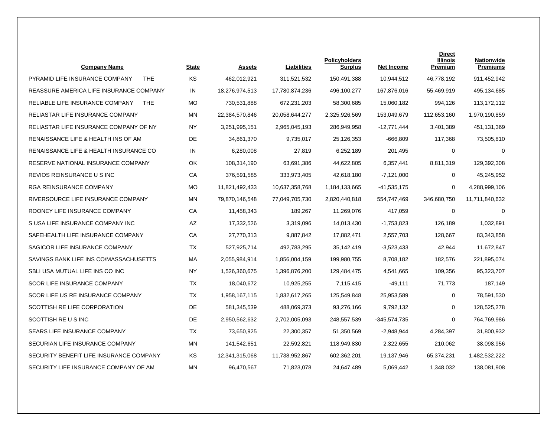| <b>Company Name</b>                           | <b>State</b> | Assets         | Liabilities    | <b>Policyholders</b><br><b>Surplus</b> | <b>Net Income</b> | <b>Direct</b><br>Illinois<br>Premium | <b>Nationwide</b><br><b>Premiums</b> |
|-----------------------------------------------|--------------|----------------|----------------|----------------------------------------|-------------------|--------------------------------------|--------------------------------------|
| PYRAMID LIFE INSURANCE COMPANY<br><b>THE</b>  | KS           | 462,012,921    | 311,521,532    | 150,491,388                            | 10,944,512        | 46,778,192                           | 911,452,942                          |
| REASSURE AMERICA LIFE INSURANCE COMPANY       | IN           | 18,276,974,513 | 17,780,874,236 | 496,100,277                            | 167,876,016       | 55,469,919                           | 495,134,685                          |
| RELIABLE LIFE INSURANCE COMPANY<br><b>THE</b> | МO           | 730,531,888    | 672,231,203    | 58,300,685                             | 15,060,182        | 994,126                              | 113,172,112                          |
| RELIASTAR LIFE INSURANCE COMPANY              | <b>MN</b>    | 22,384,570,846 | 20,058,644,277 | 2,325,926,569                          | 153,049,679       | 112,653,160                          | 1,970,190,859                        |
| RELIASTAR LIFE INSURANCE COMPANY OF NY        | <b>NY</b>    | 3,251,995,151  | 2,965,045,193  | 286,949,958                            | $-12,771,444$     | 3,401,389                            | 451,131,369                          |
| RENAISSANCE LIFE & HEALTH INS OF AM           | DE           | 34,861,370     | 9,735,017      | 25,126,353                             | $-666,809$        | 117,368                              | 73,505,810                           |
| RENAISSANCE LIFE & HEALTH INSURANCE CO        | IN           | 6,280,008      | 27,819         | 6,252,189                              | 201,495           | 0                                    | 0                                    |
| RESERVE NATIONAL INSURANCE COMPANY            | OK           | 108,314,190    | 63,691,386     | 44,622,805                             | 6,357,441         | 8,811,319                            | 129,392,308                          |
| REVIOS REINSURANCE U S INC                    | CA           | 376,591,585    | 333,973,405    | 42,618,180                             | $-7,121,000$      | $\mathbf 0$                          | 45,245,952                           |
| <b>RGA REINSURANCE COMPANY</b>                | <b>MO</b>    | 11,821,492,433 | 10,637,358,768 | 1,184,133,665                          | $-41,535,175$     | $\mathbf 0$                          | 4,288,999,106                        |
| RIVERSOURCE LIFE INSURANCE COMPANY            | MN           | 79,870,146,548 | 77,049,705,730 | 2,820,440,818                          | 554,747,469       | 346,680,750                          | 11,711,840,632                       |
| ROONEY LIFE INSURANCE COMPANY                 | CA           | 11,458,343     | 189,267        | 11,269,076                             | 417,059           | 0                                    | $\mathbf 0$                          |
| S USA LIFE INSURANCE COMPANY INC              | AZ           | 17,332,526     | 3,319,096      | 14,013,430                             | $-1,753,823$      | 126,189                              | 1,032,891                            |
| SAFEHEALTH LIFE INSURANCE COMPANY             | CA           | 27,770,313     | 9,887,842      | 17,882,471                             | 2,557,703         | 128,667                              | 83,343,858                           |
| SAGICOR LIFE INSURANCE COMPANY                | ТX           | 527,925,714    | 492,783,295    | 35,142,419                             | $-3,523,433$      | 42,944                               | 11,672,847                           |
| SAVINGS BANK LIFE INS CO/MASSACHUSETTS        | MA           | 2,055,984,914  | 1,856,004,159  | 199,980,755                            | 8,708,182         | 182,576                              | 221,895,074                          |
| SBLI USA MUTUAL LIFE INS CO INC               | <b>NY</b>    | 1,526,360,675  | 1,396,876,200  | 129,484,475                            | 4,541,665         | 109,356                              | 95,323,707                           |
| <b>SCOR LIFE INSURANCE COMPANY</b>            | <b>TX</b>    | 18,040,672     | 10,925,255     | 7,115,415                              | $-49,111$         | 71,773                               | 187,149                              |
| SCOR LIFE US RE INSURANCE COMPANY             | TX           | 1,958,167,115  | 1,832,617,265  | 125,549,848                            | 25,953,589        | 0                                    | 78,591,530                           |
| SCOTTISH RE LIFE CORPORATION                  | DE           | 581,345,539    | 488,069,373    | 93,276,166                             | 9,792,132         | 0                                    | 128,525,278                          |
| SCOTTISH RE U S INC                           | DE           | 2,950,562,632  | 2,702,005,093  | 248,557,539                            | -345,574,735      | 0                                    | 764,769,986                          |
| SEARS LIFE INSURANCE COMPANY                  | ТX           | 73,650,925     | 22,300,357     | 51,350,569                             | $-2,948,944$      | 4,284,397                            | 31,800,932                           |
| SECURIAN LIFE INSURANCE COMPANY               | MN           | 141,542,651    | 22,592,821     | 118,949,830                            | 2,322,655         | 210,062                              | 38,098,956                           |
| SECURITY BENEFIT LIFE INSURANCE COMPANY       | KS           | 12,341,315,068 | 11,738,952,867 | 602,362,201                            | 19,137,946        | 65,374,231                           | 1,482,532,222                        |
| SECURITY LIFE INSURANCE COMPANY OF AM         | <b>MN</b>    | 96,470,567     | 71,823,078     | 24,647,489                             | 5,069,442         | 1,348,032                            | 138,081,908                          |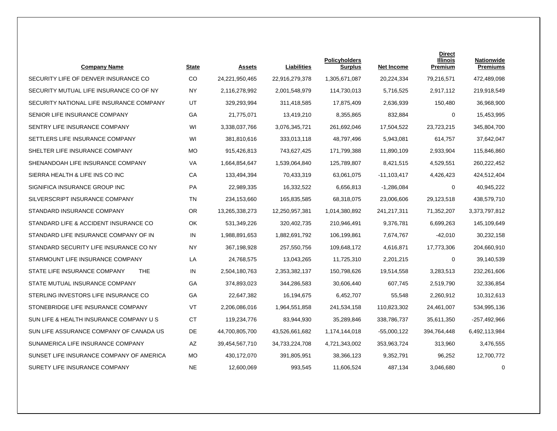| <b>Company Name</b>                        | <b>State</b> | Assets         | Liabilities    | <b>Policyholders</b><br><b>Surplus</b> | <b>Net Income</b> | <b>Direct</b><br><b>Illinois</b><br>Premium | <b>Nationwide</b><br><b>Premiums</b> |
|--------------------------------------------|--------------|----------------|----------------|----------------------------------------|-------------------|---------------------------------------------|--------------------------------------|
| SECURITY LIFE OF DENVER INSURANCE CO       | <b>CO</b>    | 24,221,950,465 | 22,916,279,378 | 1,305,671,087                          | 20,224,334        | 79,216,571                                  | 472,489,098                          |
| SECURITY MUTUAL LIFE INSURANCE CO OF NY    | <b>NY</b>    | 2,116,278,992  | 2,001,548,979  | 114,730,013                            | 5,716,525         | 2,917,112                                   | 219,918,549                          |
| SECURITY NATIONAL LIFE INSURANCE COMPANY   | UT           | 329,293,994    | 311,418,585    | 17,875,409                             | 2,636,939         | 150,480                                     | 36,968,900                           |
| SENIOR LIFE INSURANCE COMPANY              | GA           | 21,775,071     | 13,419,210     | 8,355,865                              | 832,884           | 0                                           | 15,453,995                           |
| SENTRY LIFE INSURANCE COMPANY              | WI           | 3.338.037.766  | 3.076.345.721  | 261.692.046                            | 17.504.522        | 23.723.215                                  | 345,804,700                          |
| SETTLERS LIFE INSURANCE COMPANY            | WI           | 381,810,616    | 333,013,118    | 48,797,496                             | 5,943,081         | 614,757                                     | 37,642,047                           |
| SHELTER LIFE INSURANCE COMPANY             | MO           | 915,426,813    | 743,627,425    | 171,799,388                            | 11,890,109        | 2,933,904                                   | 115,846,860                          |
| SHENANDOAH LIFE INSURANCE COMPANY          | VA           | 1,664,854,647  | 1,539,064,840  | 125,789,807                            | 8,421,515         | 4,529,551                                   | 260,222,452                          |
| SIERRA HEALTH & LIFE INS CO INC            | CA           | 133,494,394    | 70,433,319     | 63,061,075                             | $-11,103,417$     | 4,426,423                                   | 424,512,404                          |
| SIGNIFICA INSURANCE GROUP INC              | PA           | 22,989,335     | 16,332,522     | 6,656,813                              | $-1,286,084$      | 0                                           | 40,945,222                           |
| SILVERSCRIPT INSURANCE COMPANY             | TN           | 234,153,660    | 165,835,585    | 68,318,075                             | 23,006,606        | 29,123,518                                  | 438,579,710                          |
| STANDARD INSURANCE COMPANY                 | <b>OR</b>    | 13,265,338,273 | 12,250,957,381 | 1,014,380,892                          | 241,217,311       | 71,352,207                                  | 3,373,797,812                        |
| STANDARD LIFE & ACCIDENT INSURANCE CO      | OK           | 531,349,226    | 320,402,735    | 210,946,491                            | 9,376,781         | 6,699,263                                   | 145,109,649                          |
| STANDARD LIFE INSURANCE COMPANY OF IN      | IN           | 1,988,891,653  | 1,882,691,792  | 106,199,861                            | 7,674,767         | -42,010                                     | 30,232,158                           |
| STANDARD SECURITY LIFE INSURANCE CO NY     | NY           | 367,198,928    | 257,550,756    | 109,648,172                            | 4,616,871         | 17,773,306                                  | 204,660,910                          |
| STARMOUNT LIFE INSURANCE COMPANY           | LA           | 24,768,575     | 13,043,265     | 11,725,310                             | 2,201,215         | 0                                           | 39,140,539                           |
| <b>THE</b><br>STATE LIFE INSURANCE COMPANY | IN           | 2,504,180,763  | 2,353,382,137  | 150,798,626                            | 19,514,558        | 3,283,513                                   | 232,261,606                          |
| STATE MUTUAL INSURANCE COMPANY             | GA           | 374,893,023    | 344,286,583    | 30,606,440                             | 607,745           | 2,519,790                                   | 32,336,854                           |
| STERLING INVESTORS LIFE INSURANCE CO       | GA           | 22,647,382     | 16,194,675     | 6,452,707                              | 55,548            | 2,260,912                                   | 10,312,613                           |
| STONEBRIDGE LIFE INSURANCE COMPANY         | VT           | 2,206,086,016  | 1,964,551,858  | 241,534,158                            | 110,823,302       | 24,461,007                                  | 534,995,136                          |
| SUN LIFE & HEALTH INSURANCE COMPANY U S    | <b>CT</b>    | 119,234,776    | 83,944,930     | 35,289,846                             | 338,786,737       | 35,611,350                                  | $-257,492,966$                       |
| SUN LIFE ASSURANCE COMPANY OF CANADA US    | DE           | 44,700,805,700 | 43,526,661,682 | 1,174,144,018                          | $-55,000,122$     | 394,764,448                                 | 6,492,113,984                        |
| SUNAMERICA LIFE INSURANCE COMPANY          | AZ           | 39,454,567,710 | 34,733,224,708 | 4,721,343,002                          | 353,963,724       | 313,960                                     | 3,476,555                            |
| SUNSET LIFE INSURANCE COMPANY OF AMERICA   | <b>MO</b>    | 430,172,070    | 391,805,951    | 38,366,123                             | 9,352,791         | 96,252                                      | 12,700,772                           |
| SURETY LIFE INSURANCE COMPANY              | <b>NE</b>    | 12,600,069     | 993,545        | 11,606,524                             | 487,134           | 3,046,680                                   | $\mathbf 0$                          |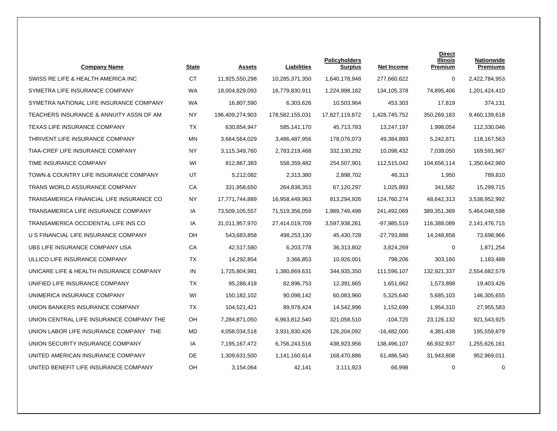| <b>Company Name</b>                      | State     | <b>Assets</b>   | Liabilities     | <b>Policyholders</b><br><b>Surplus</b> | Net Income    | Direct<br><b>Illinois</b><br>Premium | Nationwide<br><b>Premiums</b> |
|------------------------------------------|-----------|-----------------|-----------------|----------------------------------------|---------------|--------------------------------------|-------------------------------|
| SWISS RE LIFE & HEALTH AMERICA INC.      | <b>CT</b> | 11,925,550,298  | 10,285,371,350  | 1,640,178,948                          | 277,660,622   | 0                                    | 2,422,784,953                 |
| SYMETRA LIFE INSURANCE COMPANY           | <b>WA</b> | 18,004,829,093  | 16,779,830,911  | 1,224,998,182                          | 134,105,378   | 74,895,406                           | 1,201,424,410                 |
| SYMETRA NATIONAL LIFE INSURANCE COMPANY  | <b>WA</b> | 16,807,590      | 6,303,626       | 10,503,964                             | 453,303       | 17,819                               | 374,131                       |
| TEACHERS INSURANCE & ANNUITY ASSN OF AM  | <b>NY</b> | 196,409,274,903 | 178,582,155,031 | 17,827,119,872                         | 1,428,745,752 | 350,269,183                          | 9,460,139,618                 |
| <b>TEXAS LIFE INSURANCE COMPANY</b>      | TX        | 630.854.947     | 585,141,170     | 45,713,783                             | 13.247.197    | 1.998.054                            | 112,330,046                   |
| THRIVENT LIFE INSURANCE COMPANY          | <b>MN</b> | 3,664,564,029   | 3,486,487,956   | 178,076,073                            | 49,384,893    | 5,242,871                            | 118,167,563                   |
| TIAA-CREF LIFE INSURANCE COMPANY         | <b>NY</b> | 3,115,349,760   | 2,783,219,468   | 332,130,292                            | 10,098,432    | 7,039,050                            | 169,591,967                   |
| TIME INSURANCE COMPANY                   | WI        | 812,867,383     | 558,359,482     | 254,507,901                            | 112,515,042   | 104,656,114                          | 1,350,642,960                 |
| TOWN & COUNTRY LIFE INSURANCE COMPANY    | UT        | 5,212,082       | 2,313,380       | 2,898,702                              | 46.313        | 1,950                                | 789,810                       |
| TRANS WORLD ASSURANCE COMPANY            | СA        | 331,958,650     | 264,838,353     | 67,120,297                             | 1,025,893     | 341,582                              | 15,299,715                    |
| TRANSAMERICA FINANCIAL LIFE INSURANCE CO | NY        | 17,771,744,889  | 16,958,449,963  | 813,294,926                            | 124,760,274   | 48,642,313                           | 3,538,952,992                 |
| TRANSAMERICA LIFE INSURANCE COMPANY      | IA        | 73,509,105,557  | 71,519,356,059  | 1,989,749,498                          | 241,492,069   | 389,351,369                          | 5,464,048,598                 |
| TRANSAMERICA OCCIDENTAL LIFE INS CO      | IA        | 31,011,957,970  | 27,414,019,709  | 3,597,938,261                          | -97,985,519   | 116,388,089                          | 2,141,476,715                 |
| U S FINANCIAL LIFE INSURANCE COMPANY     | <b>OH</b> | 543,683,858     | 498,253,130     | 45,430,728                             | -27,793,888   | 14,248,858                           | 73,698,966                    |
| UBS LIFE INSURANCE COMPANY USA           | СA        | 42,517,580      | 6,203,778       | 36,313,802                             | 3,824,269     | 0                                    | 1,871,254                     |
| ULLICO LIFE INSURANCE COMPANY            | <b>TX</b> | 14,292,854      | 3,366,853       | 10,926,001                             | 798,206       | 303,160                              | 1,183,488                     |
| UNICARE LIFE & HEALTH INSURANCE COMPANY  | IN        | 1,725,804,981   | 1,380,869,631   | 344,935,350                            | 111,596,107   | 132,921,337                          | 2,554,682,579                 |
| UNIFIED LIFE INSURANCE COMPANY           | TX        | 95,288,418      | 82,896,753      | 12,391,665                             | 1,651,662     | 1,573,898                            | 19,403,426                    |
| UNIMERICA INSURANCE COMPANY              | WI        | 150,182,102     | 90,098,142      | 60,083,960                             | 5,325,640     | 5,685,103                            | 146,305,655                   |
| UNION BANKERS INSURANCE COMPANY          | TX        | 104,521,421     | 89,978,424      | 14,542,996                             | 1,152,699     | 1,954,310                            | 27,955,583                    |
| UNION CENTRAL LIFE INSURANCE COMPANY THE | <b>OH</b> | 7,284,871,050   | 6,963,812,540   | 321,058,510                            | $-104,725$    | 23,126,132                           | 921,543,925                   |
| UNION LABOR LIFE INSURANCE COMPANY THE   | MD        | 4,058,034,518   | 3,931,830,426   | 126,204,092                            | $-16,482,000$ | 4,381,438                            | 195,559,879                   |
| UNION SECURITY INSURANCE COMPANY         | IA        | 7,195,167,472   | 6,756,243,516   | 438,923,956                            | 138,496,107   | 66,932,937                           | 1,255,626,161                 |
| UNITED AMERICAN INSURANCE COMPANY        | DE        | 1,309,631,500   | 1,141,160,614   | 168,470,886                            | 61,486,540    | 31,943,808                           | 952,969,011                   |
| UNITED BENEFIT LIFE INSURANCE COMPANY    | OH        | 3,154,064       | 42,141          | 3,111,923                              | 66,998        | 0                                    | $\mathbf 0$                   |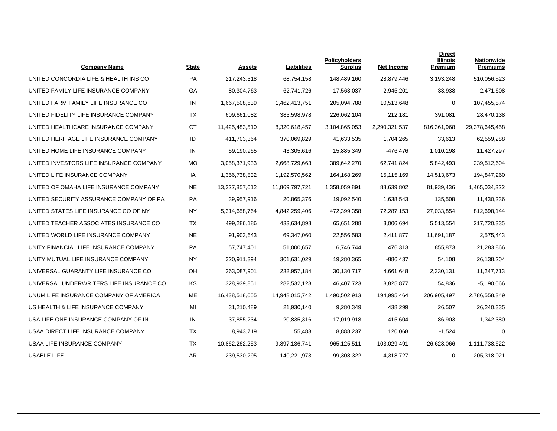| <b>Company Name</b>                      | State     | <b>Assets</b>  | <b>Liabilities</b> | <b>Policyholders</b><br><b>Surplus</b> | <b>Net Income</b> | <b>Direct</b><br>Illinois<br>Premium | <b>Nationwide</b><br><b>Premiums</b> |
|------------------------------------------|-----------|----------------|--------------------|----------------------------------------|-------------------|--------------------------------------|--------------------------------------|
| UNITED CONCORDIA LIFE & HEALTH INS CO    | PA        | 217,243,318    | 68,754,158         | 148,489,160                            | 28,879,446        | 3,193,248                            | 510,056,523                          |
| UNITED FAMILY LIFE INSURANCE COMPANY     | GA        | 80,304,763     | 62,741,726         | 17,563,037                             | 2,945,201         | 33,938                               | 2,471,608                            |
| UNITED FARM FAMILY LIFE INSURANCE CO     | IN        | 1,667,508,539  | 1,462,413,751      | 205,094,788                            | 10,513,648        | 0                                    | 107,455,874                          |
| UNITED FIDELITY LIFE INSURANCE COMPANY   | <b>TX</b> | 609,661,082    | 383,598,978        | 226,062,104                            | 212,181           | 391,081                              | 28,470,138                           |
| UNITED HEALTHCARE INSURANCE COMPANY      | <b>CT</b> | 11,425,483,510 | 8,320,618,457      | 3,104,865,053                          | 2,290,321,537     | 816, 361, 968                        | 29,378,645,458                       |
| UNITED HERITAGE LIFE INSURANCE COMPANY   | ID        | 411,703,364    | 370,069,829        | 41,633,535                             | 1,704,265         | 33,613                               | 62,559,288                           |
| UNITED HOME LIFE INSURANCE COMPANY       | IN        | 59,190,965     | 43,305,616         | 15,885,349                             | $-476,476$        | 1,010,198                            | 11,427,297                           |
| UNITED INVESTORS LIFE INSURANCE COMPANY  | МO        | 3,058,371,933  | 2,668,729,663      | 389,642,270                            | 62,741,824        | 5,842,493                            | 239,512,604                          |
| UNITED LIFE INSURANCE COMPANY            | IA        | 1,356,738,832  | 1,192,570,562      | 164,168,269                            | 15,115,169        | 14,513,673                           | 194,847,260                          |
| UNITED OF OMAHA LIFE INSURANCE COMPANY   | NE.       | 13,227,857,612 | 11,869,797,721     | 1,358,059,891                          | 88,639,802        | 81,939,436                           | 1,465,034,322                        |
| UNITED SECURITY ASSURANCE COMPANY OF PA  | PA        | 39,957,916     | 20,865,376         | 19,092,540                             | 1,638,543         | 135,508                              | 11,430,236                           |
| UNITED STATES LIFE INSURANCE CO OF NY    | <b>NY</b> | 5,314,658,764  | 4,842,259,406      | 472,399,358                            | 72,287,153        | 27,033,854                           | 812,698,144                          |
| UNITED TEACHER ASSOCIATES INSURANCE CO   | <b>TX</b> | 499,286,186    | 433,634,898        | 65,651,288                             | 3,006,694         | 5,513,554                            | 217,720,335                          |
| UNITED WORLD LIFE INSURANCE COMPANY      | <b>NE</b> | 91,903,643     | 69,347,060         | 22,556,583                             | 2,411,877         | 11,691,187                           | 2,575,443                            |
| UNITY FINANCIAL LIFE INSURANCE COMPANY   | <b>PA</b> | 57,747,401     | 51,000,657         | 6,746,744                              | 476,313           | 855,873                              | 21,283,866                           |
| UNITY MUTUAL LIFE INSURANCE COMPANY      | <b>NY</b> | 320,911,394    | 301,631,029        | 19,280,365                             | -886,437          | 54,108                               | 26,138,204                           |
| UNIVERSAL GUARANTY LIFE INSURANCE CO     | OH        | 263,087,901    | 232,957,184        | 30,130,717                             | 4,661,648         | 2,330,131                            | 11,247,713                           |
| UNIVERSAL UNDERWRITERS LIFE INSURANCE CO | KS        | 328,939,851    | 282,532,128        | 46,407,723                             | 8,825,877         | 54,836                               | $-5,190,066$                         |
| UNUM LIFE INSURANCE COMPANY OF AMERICA   | <b>ME</b> | 16,438,518,655 | 14,948,015,742     | 1,490,502,913                          | 194,995,464       | 206,905,497                          | 2,786,558,349                        |
| US HEALTH & LIFE INSURANCE COMPANY       | MI        | 31,210,489     | 21,930,140         | 9,280,349                              | 438,299           | 26,507                               | 26,240,335                           |
| USA LIFE ONE INSURANCE COMPANY OF IN     | IN        | 37,855,234     | 20,835,316         | 17,019,918                             | 415,604           | 86,903                               | 1,342,380                            |
| USAA DIRECT LIFE INSURANCE COMPANY       | <b>TX</b> | 8,943,719      | 55,483             | 8,888,237                              | 120,068           | $-1,524$                             | $\mathbf 0$                          |
| USAA LIFE INSURANCE COMPANY              | TX        | 10,862,262,253 | 9,897,136,741      | 965,125,511                            | 103,029,491       | 26,628,066                           | 1,111,738,622                        |
| <b>USABLE LIFE</b>                       | <b>AR</b> | 239,530,295    | 140,221,973        | 99,308,322                             | 4,318,727         | 0                                    | 205,318,021                          |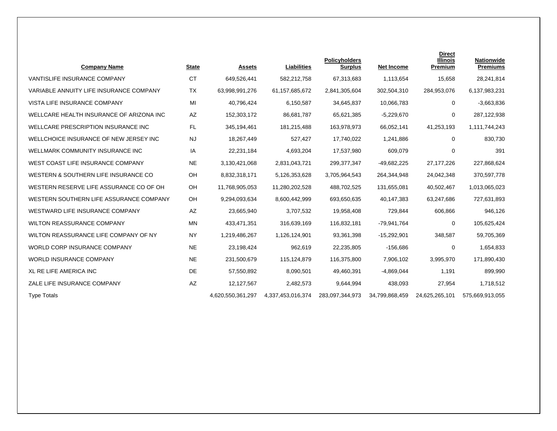| <b>Company Name</b>                        | <b>State</b> | <b>Assets</b>     | Liabilities       | <b>Policyholders</b><br><b>Surplus</b> | <b>Net Income</b> | <b>Direct</b><br><b>Illinois</b><br>Premium | Nationwide<br><b>Premiums</b> |
|--------------------------------------------|--------------|-------------------|-------------------|----------------------------------------|-------------------|---------------------------------------------|-------------------------------|
| VANTISLIFE INSURANCE COMPANY               | <b>CT</b>    | 649,526,441       | 582,212,758       | 67,313,683                             | 1,113,654         | 15,658                                      | 28,241,814                    |
| VARIABLE ANNUITY LIFE INSURANCE COMPANY    | <b>TX</b>    | 63,998,991,276    | 61,157,685,672    | 2,841,305,604                          | 302,504,310       | 284,953,076                                 | 6,137,983,231                 |
| VISTA LIFE INSURANCE COMPANY               | MI           | 40,796,424        | 6,150,587         | 34,645,837                             | 10,066,783        | 0                                           | $-3,663,836$                  |
| WELLCARE HEALTH INSURANCE OF ARIZONA INC   | AZ           | 152,303,172       | 86,681,787        | 65,621,385                             | $-5,229,670$      | 0                                           | 287,122,938                   |
| <b>WELLCARE PRESCRIPTION INSURANCE INC</b> | <b>FL</b>    | 345,194,461       | 181,215,488       | 163,978,973                            | 66,052,141        | 41,253,193                                  | 1,111,744,243                 |
| WELLCHOICE INSURANCE OF NEW JERSEY INC     | <b>NJ</b>    | 18,267,449        | 527,427           | 17,740,022                             | 1,241,886         | 0                                           | 830,730                       |
| WELLMARK COMMUNITY INSURANCE INC           | IA           | 22,231,184        | 4,693,204         | 17,537,980                             | 609,079           | 0                                           | 391                           |
| WEST COAST LIFE INSURANCE COMPANY          | <b>NE</b>    | 3,130,421,068     | 2,831,043,721     | 299, 377, 347                          | -49,682,225       | 27, 177, 226                                | 227,868,624                   |
| WESTERN & SOUTHERN LIFE INSURANCE CO       | OH           | 8,832,318,171     | 5,126,353,628     | 3,705,964,543                          | 264,344,948       | 24,042,348                                  | 370,597,778                   |
| WESTERN RESERVE LIFE ASSURANCE CO OF OH    | OH           | 11,768,905,053    | 11,280,202,528    | 488,702,525                            | 131,655,081       | 40,502,467                                  | 1,013,065,023                 |
| WESTERN SOUTHERN LIFE ASSURANCE COMPANY    | OH           | 9,294,093,634     | 8,600,442,999     | 693,650,635                            | 40,147,383        | 63,247,686                                  | 727,631,893                   |
| WESTWARD LIFE INSURANCE COMPANY            | AZ           | 23,665,940        | 3,707,532         | 19,958,408                             | 729,844           | 606,866                                     | 946,126                       |
| WILTON REASSURANCE COMPANY                 | <b>MN</b>    | 433,471,351       | 316,639,169       | 116,832,181                            | -79,941,764       | 0                                           | 105,625,424                   |
| WILTON REASSURANCE LIFE COMPANY OF NY      | <b>NY</b>    | 1,219,486,267     | 1,126,124,901     | 93,361,398                             | $-15,292,901$     | 348,587                                     | 59,705,369                    |
| <b>WORLD CORP INSURANCE COMPANY</b>        | <b>NE</b>    | 23,198,424        | 962,619           | 22,235,805                             | $-156,686$        | 0                                           | 1,654,833                     |
| <b>WORLD INSURANCE COMPANY</b>             | <b>NE</b>    | 231,500,679       | 115,124,879       | 116,375,800                            | 7,906,102         | 3,995,970                                   | 171,890,430                   |
| <b>XL RE LIFE AMERICA INC</b>              | DE           | 57,550,892        | 8,090,501         | 49,460,391                             | $-4,869,044$      | 1,191                                       | 899,990                       |
| ZALE LIFE INSURANCE COMPANY                | AZ           | 12,127,567        | 2,482,573         | 9,644,994                              | 438,093           | 27,954                                      | 1,718,512                     |
| <b>Type Totals</b>                         |              | 4,620,550,361,297 | 4,337,453,016,374 | 283,097,344,973                        | 34,799,868,459    | 24,625,265,101                              | 575,669,913,055               |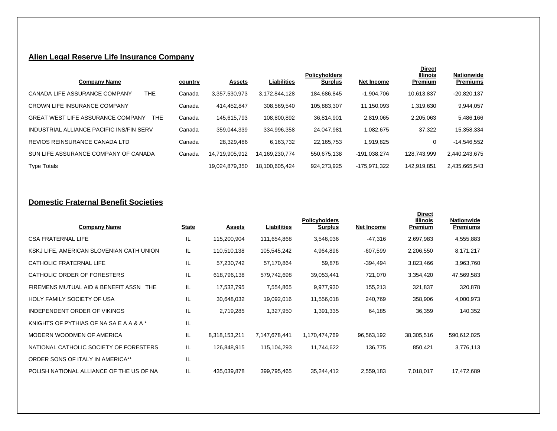# **Alien Legal Reserve Life Insurance Company**

| <b>Company Name</b>                              | country | <b>Assets</b>  | <b>Liabilities</b> | <b>Policyholders</b><br><b>Surplus</b> | Net Income   | <b>Direct</b><br><b>Illinois</b><br>Premium | Nationwide<br><b>Premiums</b> |
|--------------------------------------------------|---------|----------------|--------------------|----------------------------------------|--------------|---------------------------------------------|-------------------------------|
| THE.<br>CANADA LIFE ASSURANCE COMPANY            | Canada  | 3,357,530,973  | 3,172,844,128      | 184.686.845                            | $-1,904,706$ | 10.613.837                                  | $-20,820,137$                 |
| <b>CROWN LIFE INSURANCE COMPANY</b>              | Canada  | 414.452.847    | 308.569.540        | 105.883.307                            | 11.150.093   | 1,319,630                                   | 9,944,057                     |
| <b>GREAT WEST LIFE ASSURANCE COMPANY</b><br>THE. | Canada  | 145.615.793    | 108.800.892        | 36.814.901                             | 2.819.065    | 2,205,063                                   | 5,486,166                     |
| INDUSTRIAL ALLIANCE PACIFIC INS/FIN SERV         | Canada  | 359.044.339    | 334.996.358        | 24.047.981                             | 1.082.675    | 37,322                                      | 15,358,334                    |
| REVIOS REINSURANCE CANADA LTD                    | Canada  | 28.329.486     | 6.163.732          | 22.165.753                             | 1.919.825    | 0                                           | $-14.546.552$                 |
| SUN LIFE ASSURANCE COMPANY OF CANADA             | Canada  | 14.719.905.912 | 14.169.230.774     | 550.675.138                            | -191.038.274 | 128.743.999                                 | 2,440,243,675                 |
| <b>Type Totals</b>                               |         | 19.024.879.350 | 18.100.605.424     | 924.273.925                            | -175,971,322 | 142.919.851                                 | 2,435,665,543                 |

### **Domestic Fraternal Benefit Societies**

| <b>Company Name</b>                      | <b>State</b> | <b>Assets</b> | Liabilities   | <b>Policyholders</b><br><b>Surplus</b> | <b>Net Income</b> | <b>Direct</b><br><b>Illinois</b><br>Premium | Nationwide<br><b>Premiums</b> |
|------------------------------------------|--------------|---------------|---------------|----------------------------------------|-------------------|---------------------------------------------|-------------------------------|
| <b>CSA FRATERNAL LIFE</b>                | IL           | 115,200,904   | 111,654,868   | 3,546,036                              | -47,316           | 2,697,983                                   | 4,555,883                     |
| KSKJ LIFE, AMERICAN SLOVENIAN CATH UNION | IL           | 110,510,138   | 105,545,242   | 4,964,896                              | $-607,599$        | 2,206,550                                   | 8,171,217                     |
| CATHOLIC FRATERNAL LIFE                  | IL           | 57,230,742    | 57,170,864    | 59,878                                 | -394,494          | 3,823,466                                   | 3,963,760                     |
| CATHOLIC ORDER OF FORESTERS              | IL           | 618,796,138   | 579,742,698   | 39,053,441                             | 721,070           | 3,354,420                                   | 47,569,583                    |
| FIREMENS MUTUAL AID & BENEFIT ASSN THE   | IL           | 17,532,795    | 7,554,865     | 9,977,930                              | 155,213           | 321,837                                     | 320,878                       |
| <b>HOLY FAMILY SOCIETY OF USA</b>        | IL           | 30,648,032    | 19,092,016    | 11,556,018                             | 240,769           | 358,906                                     | 4,000,973                     |
| INDEPENDENT ORDER OF VIKINGS             | IL           | 2,719,285     | 1,327,950     | 1,391,335                              | 64,185            | 36,359                                      | 140,352                       |
| KNIGHTS OF PYTHIAS OF NA SA E A A & A *  | IL           |               |               |                                        |                   |                                             |                               |
| MODERN WOODMEN OF AMERICA                | IL.          | 8,318,153,211 | 7,147,678,441 | 1,170,474,769                          | 96,563,192        | 38,305,516                                  | 590,612,025                   |
| NATIONAL CATHOLIC SOCIETY OF FORESTERS   | IL           | 126,848,915   | 115,104,293   | 11,744,622                             | 136,775           | 850,421                                     | 3,776,113                     |
| ORDER SONS OF ITALY IN AMERICA**         | IL           |               |               |                                        |                   |                                             |                               |
| POLISH NATIONAL ALLIANCE OF THE US OF NA | IL           | 435,039,878   | 399,795,465   | 35,244,412                             | 2,559,183         | 7,018,017                                   | 17,472,689                    |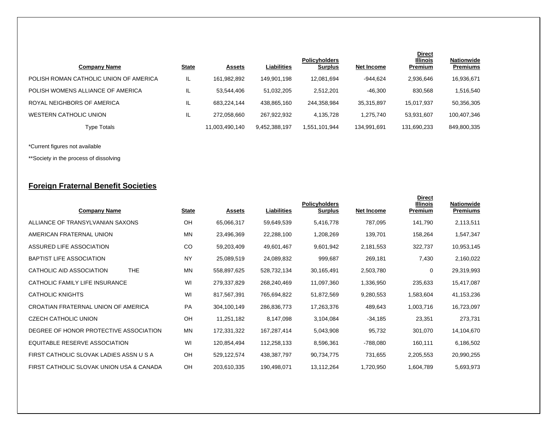| <b>Company Name</b>                    | <b>State</b> | <b>Assets</b>  | Liabilities   | <b>Policyholders</b><br><b>Surplus</b> | Net Income  | <b>Direct</b><br><b>Illinois</b><br>Premium | <b>Nationwide</b><br><b>Premiums</b> |
|----------------------------------------|--------------|----------------|---------------|----------------------------------------|-------------|---------------------------------------------|--------------------------------------|
| POLISH ROMAN CATHOLIC UNION OF AMERICA | IL           | 161.982.892    | 149.901.198   | 12.081.694                             | $-944.624$  | 2,936,646                                   | 16,936,671                           |
| POLISH WOMENS ALLIANCE OF AMERICA      | IL           | 53,544,406     | 51,032,205    | 2.512.201                              | $-46,300$   | 830,568                                     | 1,516,540                            |
| ROYAL NEIGHBORS OF AMERICA             | IL           | 683,224,144    | 438,865,160   | 244,358,984                            | 35,315,897  | 15.017.937                                  | 50,356,305                           |
| WESTERN CATHOLIC UNION                 | IL           | 272.058.660    | 267.922.932   | 4.135.728                              | 1.275.740   | 53.931.607                                  | 100,407,346                          |
| <b>Type Totals</b>                     |              | 11,003,490,140 | 9,452,388,197 | 1,551,101,944                          | 134,991,691 | 131,690,233                                 | 849,800,335                          |

\*Current figures not available

\*\*Society in the process of dissolving

# **Foreign Fraternal Benefit Societies**

| <b>Company Name</b>                      | <b>State</b> | <b>Assets</b> | Liabilities | <b>Policyholders</b><br><b>Surplus</b> | <b>Net Income</b> | <b>Direct</b><br><b>Illinois</b><br>Premium | Nationwide<br><b>Premiums</b> |
|------------------------------------------|--------------|---------------|-------------|----------------------------------------|-------------------|---------------------------------------------|-------------------------------|
| ALLIANCE OF TRANSYLVANIAN SAXONS         | OH           | 65,066,317    | 59,649,539  | 5,416,778                              | 787,095           | 141,790                                     | 2,113,511                     |
| AMERICAN FRATERNAL UNION                 | <b>MN</b>    | 23,496,369    | 22,288,100  | 1,208,269                              | 139,701           | 158,264                                     | 1,547,347                     |
| ASSURED LIFE ASSOCIATION                 | CO           | 59,203,409    | 49,601,467  | 9,601,942                              | 2,181,553         | 322,737                                     | 10,953,145                    |
| <b>BAPTIST LIFE ASSOCIATION</b>          | <b>NY</b>    | 25,089,519    | 24,089,832  | 999,687                                | 269,181           | 7,430                                       | 2,160,022                     |
| CATHOLIC AID ASSOCIATION<br>THE.         | MN           | 558,897,625   | 528,732,134 | 30,165,491                             | 2,503,780         | 0                                           | 29,319,993                    |
| CATHOLIC FAMILY LIFE INSURANCE           | WI           | 279,337,829   | 268,240,469 | 11,097,360                             | 1,336,950         | 235,633                                     | 15,417,087                    |
| <b>CATHOLIC KNIGHTS</b>                  | WI           | 817,567,391   | 765,694,822 | 51,872,569                             | 9,280,553         | 1,583,604                                   | 41,153,236                    |
| CROATIAN FRATERNAL UNION OF AMERICA      | <b>PA</b>    | 304,100,149   | 286,836,773 | 17,263,376                             | 489,643           | 1,003,716                                   | 16,723,097                    |
| <b>CZECH CATHOLIC UNION</b>              | OH           | 11,251,182    | 8,147,098   | 3,104,084                              | $-34,185$         | 23,351                                      | 273,731                       |
| DEGREE OF HONOR PROTECTIVE ASSOCIATION   | <b>MN</b>    | 172,331,322   | 167,287,414 | 5,043,908                              | 95,732            | 301,070                                     | 14,104,670                    |
| EQUITABLE RESERVE ASSOCIATION            | WI           | 120,854,494   | 112,258,133 | 8,596,361                              | -788,080          | 160,111                                     | 6,186,502                     |
| FIRST CATHOLIC SLOVAK LADIES ASSN U S A  | OH           | 529,122,574   | 438,387,797 | 90,734,775                             | 731,655           | 2,205,553                                   | 20,990,255                    |
| FIRST CATHOLIC SLOVAK UNION USA & CANADA | OH           | 203,610,335   | 190,498,071 | 13,112,264                             | 1,720,950         | 1,604,789                                   | 5,693,973                     |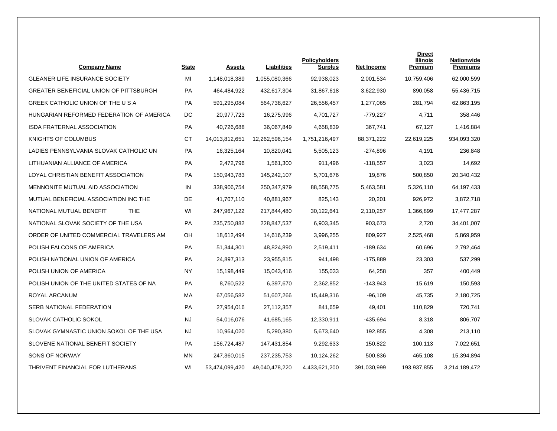| <b>Company Name</b>                           | <b>State</b> | Assets         | Liabilities    | <b>Policyholders</b><br><b>Surplus</b> | <b>Net Income</b> | <b>Direct</b><br><b>Illinois</b><br>Premium | <b>Nationwide</b><br><b>Premiums</b> |
|-----------------------------------------------|--------------|----------------|----------------|----------------------------------------|-------------------|---------------------------------------------|--------------------------------------|
| <b>GLEANER LIFE INSURANCE SOCIETY</b>         | MI           | 1,148,018,389  | 1,055,080,366  | 92,938,023                             | 2,001,534         | 10,759,406                                  | 62,000,599                           |
| <b>GREATER BENEFICIAL UNION OF PITTSBURGH</b> | PA           | 464,484,922    | 432,617,304    | 31,867,618                             | 3,622,930         | 890,058                                     | 55,436,715                           |
| GREEK CATHOLIC UNION OF THE U S A             | <b>PA</b>    | 591,295,084    | 564,738,627    | 26,556,457                             | 1,277,065         | 281,794                                     | 62,863,195                           |
| HUNGARIAN REFORMED FEDERATION OF AMERICA      | DC           | 20,977,723     | 16,275,996     | 4,701,727                              | -779,227          | 4,711                                       | 358,446                              |
| <b>ISDA FRATERNAL ASSOCIATION</b>             | <b>PA</b>    | 40,726,688     | 36,067,849     | 4,658,839                              | 367,741           | 67.127                                      | 1,416,884                            |
| KNIGHTS OF COLUMBUS                           | <b>CT</b>    | 14,013,812,651 | 12,262,596,154 | 1,751,216,497                          | 88,371,222        | 22,619,225                                  | 934,093,320                          |
| LADIES PENNSYLVANIA SLOVAK CATHOLIC UN        | PA           | 16,325,164     | 10,820,041     | 5,505,123                              | $-274,896$        | 4,191                                       | 236,848                              |
| LITHUANIAN ALLIANCE OF AMERICA                | <b>PA</b>    | 2,472,796      | 1,561,300      | 911,496                                | $-118,557$        | 3,023                                       | 14,692                               |
| LOYAL CHRISTIAN BENEFIT ASSOCIATION           | <b>PA</b>    | 150,943,783    | 145,242,107    | 5,701,676                              | 19,876            | 500,850                                     | 20,340,432                           |
| MENNONITE MUTUAL AID ASSOCIATION              | IN           | 338,906,754    | 250,347,979    | 88,558,775                             | 5,463,581         | 5,326,110                                   | 64,197,433                           |
| MUTUAL BENEFICIAL ASSOCIATION INC THE         | DE           | 41,707,110     | 40,881,967     | 825,143                                | 20,201            | 926,972                                     | 3,872,718                            |
| <b>THE</b><br>NATIONAL MUTUAL BENEFIT         | WI           | 247,967,122    | 217,844,480    | 30,122,641                             | 2,110,257         | 1,366,899                                   | 17,477,287                           |
| NATIONAL SLOVAK SOCIETY OF THE USA            | PA           | 235,750,882    | 228,847,537    | 6,903,345                              | 903,673           | 2,720                                       | 34,401,007                           |
| ORDER OF UNITED COMMERCIAL TRAVELERS AM       | OH           | 18,612,494     | 14,616,239     | 3,996,255                              | 809,927           | 2,525,468                                   | 5,869,959                            |
| POLISH FALCONS OF AMERICA                     | <b>PA</b>    | 51,344,301     | 48,824,890     | 2,519,411                              | $-189,634$        | 60.696                                      | 2,792,464                            |
| POLISH NATIONAL UNION OF AMERICA              | <b>PA</b>    | 24,897,313     | 23,955,815     | 941,498                                | $-175,889$        | 23,303                                      | 537,299                              |
| POLISH UNION OF AMERICA                       | <b>NY</b>    | 15,198,449     | 15,043,416     | 155,033                                | 64,258            | 357                                         | 400,449                              |
| POLISH UNION OF THE UNITED STATES OF NA       | <b>PA</b>    | 8,760,522      | 6,397,670      | 2,362,852                              | $-143,943$        | 15,619                                      | 150,593                              |
| ROYAL ARCANUM                                 | МA           | 67,056,582     | 51,607,266     | 15,449,316                             | $-96,109$         | 45,735                                      | 2,180,725                            |
| <b>SERB NATIONAL FEDERATION</b>               | <b>PA</b>    | 27,954,016     | 27,112,357     | 841,659                                | 49,401            | 110.829                                     | 720.741                              |
| SLOVAK CATHOLIC SOKOL                         | NJ           | 54,016,076     | 41,685,165     | 12,330,911                             | -435,694          | 8,318                                       | 806,707                              |
| SLOVAK GYMNASTIC UNION SOKOL OF THE USA       | <b>NJ</b>    | 10,964,020     | 5,290,380      | 5,673,640                              | 192,855           | 4,308                                       | 213,110                              |
| SLOVENE NATIONAL BENEFIT SOCIETY              | <b>PA</b>    | 156,724,487    | 147,431,854    | 9,292,633                              | 150,822           | 100,113                                     | 7,022,651                            |
| SONS OF NORWAY                                | MN           | 247,360,015    | 237,235,753    | 10,124,262                             | 500,836           | 465,108                                     | 15,394,894                           |
| THRIVENT FINANCIAL FOR LUTHERANS              | WI           | 53.474.099.420 | 49,040,478,220 | 4,433,621,200                          | 391.030.999       | 193,937,855                                 | 3.214.189.472                        |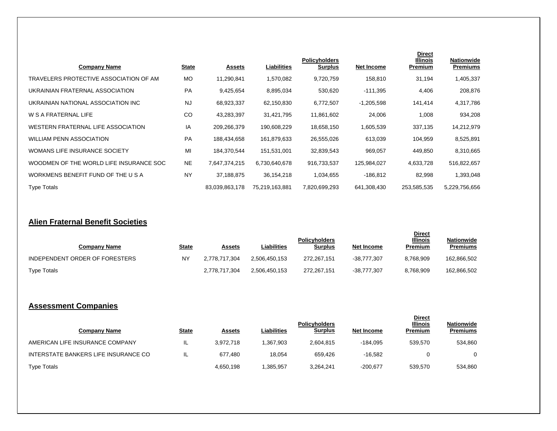| <b>Company Name</b>                     | <b>State</b> | <u>Assets</u>  | Liabilities    | <b>Policyholders</b><br><b>Surplus</b> | <b>Net Income</b> | <b>Direct</b><br>Illinois<br>Premium | Nationwide<br><b>Premiums</b> |
|-----------------------------------------|--------------|----------------|----------------|----------------------------------------|-------------------|--------------------------------------|-------------------------------|
| TRAVELERS PROTECTIVE ASSOCIATION OF AM  | МO           | 11,290,841     | 1,570,082      | 9,720,759                              | 158,810           | 31,194                               | 1,405,337                     |
| UKRAINIAN FRATERNAL ASSOCIATION         | PA           | 9,425,654      | 8,895,034      | 530,620                                | $-111,395$        | 4,406                                | 208,876                       |
| UKRAINIAN NATIONAL ASSOCIATION INC      | <b>NJ</b>    | 68,923,337     | 62,150,830     | 6,772,507                              | $-1,205,598$      | 141,414                              | 4,317,786                     |
| W S A FRATERNAL LIFE                    | CO           | 43,283,397     | 31,421,795     | 11,861,602                             | 24,006            | 1,008                                | 934,208                       |
| WESTERN FRATERNAL LIFE ASSOCIATION      | IA           | 209,266,379    | 190,608,229    | 18,658,150                             | 1,605,539         | 337,135                              | 14,212,979                    |
| <b>WILLIAM PENN ASSOCIATION</b>         | PA           | 188,434,658    | 161,879,633    | 26,555,026                             | 613,039           | 104,959                              | 8,525,891                     |
| WOMANS LIFE INSURANCE SOCIETY           | MI           | 184,370,544    | 151,531,001    | 32,839,543                             | 969,057           | 449,850                              | 8,310,665                     |
| WOODMEN OF THE WORLD LIFE INSURANCE SOC | <b>NE</b>    | 7,647,374,215  | 6,730,640,678  | 916,733,537                            | 125,984,027       | 4,633,728                            | 516,822,657                   |
| WORKMENS BENEFIT FUND OF THE U S A      | <b>NY</b>    | 37,188,875     | 36,154,218     | 1,034,655                              | -186,812          | 82,998                               | 1,393,048                     |
| <b>Type Totals</b>                      |              | 83,039,863,178 | 75,219,163,881 | 7,820,699,293                          | 641,308,430       | 253,585,535                          | 5,229,756,656                 |

#### **Alien Fraternal Benefit Societies**

| <b>Company Name</b>            | <u>State</u> | <b>Assets</b> | Liabilities   | <b>Policyholders</b><br>Surplus | <b>Net Income</b> | <b>Direct</b><br><b>Illinois</b><br>Premium | <b>Nationwide</b><br><b>Premiums</b> |
|--------------------------------|--------------|---------------|---------------|---------------------------------|-------------------|---------------------------------------------|--------------------------------------|
| INDEPENDENT ORDER OF FORESTERS | NY           | 2.778.717.304 | 2.506.450.153 | 272,267,151                     | -38.777.307       | 8.768.909                                   | 162,866,502                          |
| <b>Type Totals</b>             |              | 2.778.717.304 | 2.506.450.153 | 272,267,151                     | -38.777.307       | 8.768.909                                   | 162,866,502                          |

# **Assessment Companies**

| <b>Company Name</b>                  | <u>State</u> | Assets    | Liabilities | <b>Policyholders</b><br><b>Surplus</b> | Net Income | <b>Direct</b><br><b>Illinois</b><br>Premium | <b>Nationwide</b><br>Premiums |
|--------------------------------------|--------------|-----------|-------------|----------------------------------------|------------|---------------------------------------------|-------------------------------|
| AMERICAN LIFE INSURANCE COMPANY      | IL.          | 3.972.718 | 1.367.903   | 2.604.815                              | -184.095   | 539,570                                     | 534,860                       |
| INTERSTATE BANKERS LIFE INSURANCE CO | IL           | 677.480   | 18.054      | 659.426                                | $-16.582$  |                                             |                               |
| <b>Type Totals</b>                   |              | 4,650,198 | 385.957     | 3.264.241                              | $-200,677$ | 539,570                                     | 534,860                       |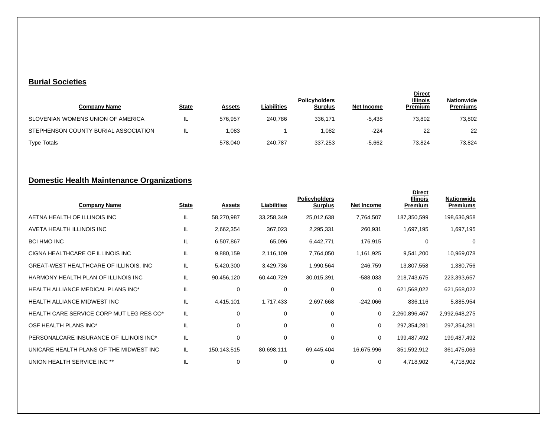#### **Burial Societies**

| <b>Company Name</b>                  | <u>State</u> | Assets  | <b>Liabilities</b> | <b>Policyholders</b><br><b>Surplus</b> | Net Income | <b>Direct</b><br><b>Illinois</b><br>Premium | <b>Nationwide</b><br><b>Premiums</b> |
|--------------------------------------|--------------|---------|--------------------|----------------------------------------|------------|---------------------------------------------|--------------------------------------|
| SLOVENIAN WOMENS UNION OF AMERICA    | ∟            | 576.957 | 240.786            | 336.171                                | $-5.438$   | 73.802                                      | 73,802                               |
| STEPHENSON COUNTY BURIAL ASSOCIATION | IL           | .083    |                    | 1,082                                  | $-224$     | 22                                          | 22                                   |
| <b>Type Totals</b>                   |              | 578.040 | 240.787            | 337,253                                | $-5,662$   | 73.824                                      | 73,824                               |

## **Domestic Health Maintenance Organizations**

| <b>Company Name</b>                       | <b>State</b> | <b>Assets</b> | Liabilities | <b>Policyholders</b><br><b>Surplus</b> | <b>Net Income</b> | <b>Direct</b><br>Illinois<br><b>Premium</b> | <b>Nationwide</b><br><b>Premiums</b> |
|-------------------------------------------|--------------|---------------|-------------|----------------------------------------|-------------------|---------------------------------------------|--------------------------------------|
| AETNA HEALTH OF ILLINOIS INC              | IL           | 58,270,987    | 33,258,349  | 25,012,638                             | 7,764,507         | 187,350,599                                 | 198,636,958                          |
| AVETA HEALTH ILLINOIS INC                 | IL           | 2,662,354     | 367,023     | 2,295,331                              | 260,931           | 1,697,195                                   | 1,697,195                            |
| <b>BCI HMO INC</b>                        | IL           | 6,507,867     | 65,096      | 6,442,771                              | 176,915           | 0                                           | 0                                    |
| CIGNA HEALTHCARE OF ILLINOIS INC          | IL           | 9,880,159     | 2,116,109   | 7,764,050                              | 1,161,925         | 9,541,200                                   | 10,969,078                           |
| GREAT-WEST HEALTHCARE OF ILLINOIS, INC    | IL           | 5,420,300     | 3,429,736   | 1,990,564                              | 246,759           | 13,807,558                                  | 1,380,756                            |
| HARMONY HEALTH PLAN OF ILLINOIS INC       | IL           | 90,456,120    | 60,440,729  | 30,015,391                             | $-588,033$        | 218,743,675                                 | 223,393,657                          |
| <b>HEALTH ALLIANCE MEDICAL PLANS INC*</b> | IL           | 0             | 0           | 0                                      | 0                 | 621,568,022                                 | 621,568,022                          |
| <b>HEALTH ALLIANCE MIDWEST INC</b>        | IL           | 4,415,101     | 1,717,433   | 2,697,668                              | $-242,066$        | 836,116                                     | 5,885,954                            |
| HEALTH CARE SERVICE CORP MUT LEG RES CO*  | IL           | 0             | $\Omega$    | $\Omega$                               | $\mathbf 0$       | 2,260,896,467                               | 2,992,648,275                        |
| OSF HEALTH PLANS INC*                     | IL           | 0             | $\Omega$    | $\Omega$                               | $\mathbf 0$       | 297,354,281                                 | 297,354,281                          |
| PERSONALCARE INSURANCE OF ILLINOIS INC*   | IL           | 0             | 0           | 0                                      | 0                 | 199,487,492                                 | 199,487,492                          |
| UNICARE HEALTH PLANS OF THE MIDWEST INC   | IL           | 150,143,515   | 80,698,111  | 69,445,404                             | 16,675,996        | 351,592,912                                 | 361,475,063                          |
| UNION HEALTH SERVICE INC **               | IL           | 0             | 0           | 0                                      | 0                 | 4,718,902                                   | 4,718,902                            |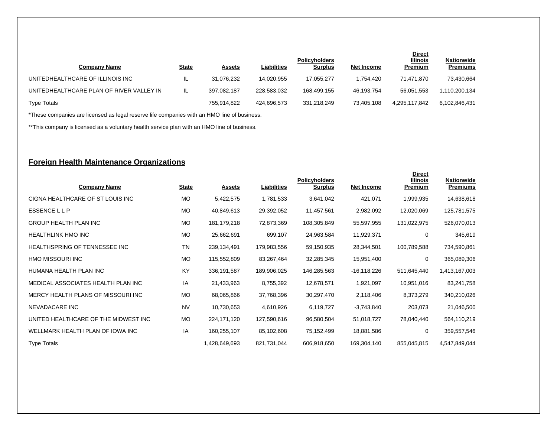| <b>Company Name</b>                      | <b>State</b> | <b>Assets</b> | <b>Liabilities</b> | <b>Policyholders</b><br><b>Surplus</b> | Net Income | <b>Direct</b><br><b>Illinois</b><br><b>Premium</b> | <b>Nationwide</b><br><b>Premiums</b> |
|------------------------------------------|--------------|---------------|--------------------|----------------------------------------|------------|----------------------------------------------------|--------------------------------------|
| UNITEDHEALTHCARE OF ILLINOIS INC         | IL           | 31.076.232    | 14.020.955         | 17.055.277                             | 1.754.420  | 71.471.870                                         | 73,430,664                           |
| UNITEDHEALTHCARE PLAN OF RIVER VALLEY IN | IL.          | 397.082.187   | 228.583.032        | 168.499.155                            | 46.193.754 | 56.051.553                                         | 1,110,200,134                        |
| <b>Type Totals</b>                       |              | 755.914.822   | 424.696.573        | 331.218.249                            | 73.405.108 | 4.295.117.842                                      | 6.102.846.431                        |

\*These companies are licensed as legal reserve life companies with an HMO line of business.

\*\*This company is licensed as a voluntary health service plan with an HMO line of business.

### **Foreign Health Maintenance Organizations**

| <b>Company Name</b>                  | <b>State</b> | <u>Assets</u> | Liabilities | <b>Policyholders</b><br><b>Surplus</b> | <b>Net Income</b> | <b>Direct</b><br><b>Illinois</b><br>Premium | <b>Nationwide</b><br><b>Premiums</b> |
|--------------------------------------|--------------|---------------|-------------|----------------------------------------|-------------------|---------------------------------------------|--------------------------------------|
| CIGNA HEALTHCARE OF ST LOUIS INC     | <b>MO</b>    | 5,422,575     | 1,781,533   | 3,641,042                              | 421,071           | 1,999,935                                   | 14,638,618                           |
| <b>ESSENCELLP</b>                    | <b>MO</b>    | 40,849,613    | 29,392,052  | 11,457,561                             | 2,982,092         | 12,020,069                                  | 125,781,575                          |
| <b>GROUP HEALTH PLAN INC</b>         | <b>MO</b>    | 181, 179, 218 | 72,873,369  | 108,305,849                            | 55,597,955        | 131,022,975                                 | 526,070,013                          |
| <b>HEALTHLINK HMO INC</b>            | <b>MO</b>    | 25,662,691    | 699,107     | 24,963,584                             | 11,929,371        | 0                                           | 345,619                              |
| HEALTHSPRING OF TENNESSEE INC        | TN           | 239,134,491   | 179,983,556 | 59,150,935                             | 28,344,501        | 100,789,588                                 | 734,590,861                          |
| HMO MISSOURI INC                     | <b>MO</b>    | 115,552,809   | 83,267,464  | 32,285,345                             | 15,951,400        | 0                                           | 365,089,306                          |
| HUMANA HEALTH PLAN INC               | KY           | 336,191,587   | 189,906,025 | 146,285,563                            | $-16, 118, 226$   | 511,645,440                                 | 1,413,167,003                        |
| MEDICAL ASSOCIATES HEALTH PLAN INC   | IA           | 21,433,963    | 8,755,392   | 12,678,571                             | 1,921,097         | 10,951,016                                  | 83,241,758                           |
| MERCY HEALTH PLANS OF MISSOURI INC   | <b>MO</b>    | 68,065,866    | 37,768,396  | 30,297,470                             | 2,118,406         | 8,373,279                                   | 340,210,026                          |
| NEVADACARE INC                       | <b>NV</b>    | 10,730,653    | 4,610,926   | 6,119,727                              | $-3,743,840$      | 203,073                                     | 21,046,500                           |
| UNITED HEALTHCARE OF THE MIDWEST INC | <b>MO</b>    | 224, 171, 120 | 127,590,616 | 96,580,504                             | 51,018,727        | 78,040,440                                  | 564,110,219                          |
| WELLMARK HEALTH PLAN OF IOWA INC     | IA           | 160,255,107   | 85,102,608  | 75,152,499                             | 18,881,586        | 0                                           | 359,557,546                          |
| <b>Type Totals</b>                   |              | 1,428,649,693 | 821,731,044 | 606,918,650                            | 169,304,140       | 855,045,815                                 | 4,547,849,044                        |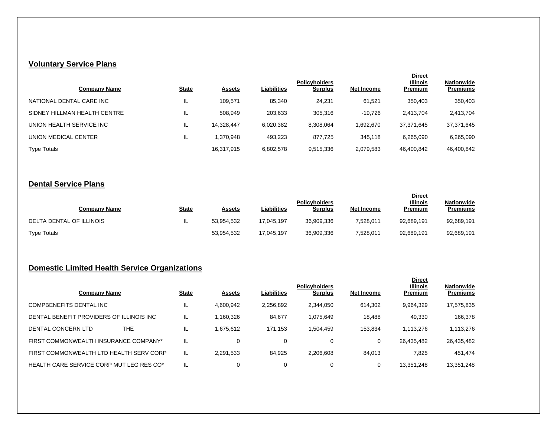# **Voluntary Service Plans**

| <b>Company Name</b>          | <b>State</b> | <b>Assets</b> | Liabilities | <b>Policyholders</b><br><b>Surplus</b> | Net Income | <b>Direct</b><br><b>Illinois</b><br>Premium | <b>Nationwide</b><br><b>Premiums</b> |
|------------------------------|--------------|---------------|-------------|----------------------------------------|------------|---------------------------------------------|--------------------------------------|
| NATIONAL DENTAL CARE INC     | IL.          | 109.571       | 85.340      | 24,231                                 | 61.521     | 350,403                                     | 350,403                              |
| SIDNEY HILLMAN HEALTH CENTRE | IL.          | 508,949       | 203,633     | 305,316                                | $-19,726$  | 2.413.704                                   | 2,413,704                            |
| UNION HEALTH SERVICE INC     | IL.          | 14.328.447    | 6,020,382   | 8,308,064                              | 1.692.670  | 37,371,645                                  | 37,371,645                           |
| UNION MEDICAL CENTER         | IL.          | 1,370,948     | 493,223     | 877.725                                | 345,118    | 6,265,090                                   | 6,265,090                            |
| <b>Type Totals</b>           |              | 16,317,915    | 6,802,578   | 9,515,336                              | 2,079,583  | 46,400,842                                  | 46,400,842                           |

### **Dental Service Plans**

| Company Name             | <u>State</u> | <b>Assets</b> | <b>Liabilities</b> | <b>Policyholders</b><br>Surplus | Net Income | <b>Direct</b><br><b>Illinois</b><br>Premium | <b>Nationwide</b><br><b>Premiums</b> |
|--------------------------|--------------|---------------|--------------------|---------------------------------|------------|---------------------------------------------|--------------------------------------|
| DELTA DENTAL OF ILLINOIS | IL           | 53.954.532    | 17.045.197         | 36,909,336                      | 7,528,011  | 92,689,191                                  | 92,689,191                           |
| <b>Type Totals</b>       |              | 53,954,532    | 17.045.197         | 36,909,336                      | 7,528,011  | 92,689,191                                  | 92.689.191                           |

## **Domestic Limited Health Service Organizations**

| <b>Company Name</b>                       | <b>State</b> | <b>Assets</b> | Liabilities | <b>Policyholders</b><br><b>Surplus</b> | Net Income | <b>Direct</b><br><b>Illinois</b><br>Premium | <b>Nationwide</b><br><b>Premiums</b> |
|-------------------------------------------|--------------|---------------|-------------|----------------------------------------|------------|---------------------------------------------|--------------------------------------|
| COMPBENEFITS DENTAL INC                   | IL.          | 4,600,942     | 2,256,892   | 2,344,050                              | 614,302    | 9,964,329                                   | 17,575,835                           |
| DENTAL BENEFIT PROVIDERS OF ILLINOIS INC. | IL.          | 1,160,326     | 84,677      | 1,075,649                              | 18.488     | 49,330                                      | 166,378                              |
| THE<br>DENTAL CONCERN LTD                 | IL.          | 1,675,612     | 171,153     | 1,504,459                              | 153,834    | 1,113,276                                   | 1,113,276                            |
| FIRST COMMONWEALTH INSURANCE COMPANY*     | IL           | 0             |             | 0                                      | 0          | 26,435,482                                  | 26,435,482                           |
| FIRST COMMONWEALTH LTD HEALTH SERV CORP   | IL           | 2.291.533     | 84.925      | 2,206,608                              | 84.013     | 7,825                                       | 451,474                              |
| HEALTH CARE SERVICE CORP MUT LEG RES CO*  | IL           | 0             |             | 0                                      | 0          | 13.351.248                                  | 13,351,248                           |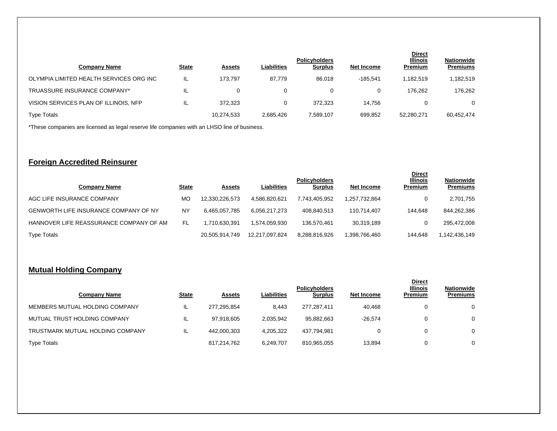| <b>Company Name</b>                     | <b>State</b> | <b>Assets</b> | <b>Liabilities</b> | <b>Policyholders</b><br><b>Surplus</b> | Net Income | <b>Direct</b><br><b>Illinois</b><br><b>Premium</b> | <b>Nationwide</b><br><b>Premiums</b> |
|-----------------------------------------|--------------|---------------|--------------------|----------------------------------------|------------|----------------------------------------------------|--------------------------------------|
| OLYMPIA LIMITED HEALTH SERVICES ORG INC | IL           | 173.797       | 87.779             | 86.018                                 | $-185.541$ | 1,182,519                                          | 1,182,519                            |
| TRUASSURE INSURANCE COMPANY*            | IL           | 0             | 0                  | 0                                      | 0          | 176.262                                            | 176.262                              |
| VISION SERVICES PLAN OF ILLINOIS, NFP   | IL           | 372.323       |                    | 372.323                                | 14.756     | 0                                                  | $\Omega$                             |
| <b>Type Totals</b>                      |              | 10,274,533    | 2,685,426          | 7,589,107                              | 699,852    | 52,280,271                                         | 60,452,474                           |

\*These companies are licensed as legal reserve life companies with an LHSO line of business.

#### **Foreign Accredited Reinsurer**

| Company Name                                 | <b>State</b> | <b>Assets</b>  | Liabilities    | <b>Policyholders</b><br><b>Surplus</b> | Net Income    | <b>Direct</b><br><b>Illinois</b><br>Premium | <b>Nationwide</b><br><b>Premiums</b> |
|----------------------------------------------|--------------|----------------|----------------|----------------------------------------|---------------|---------------------------------------------|--------------------------------------|
| AGC LIFE INSURANCE COMPANY                   | МO           | 12.330.226.573 | 4.586.820.621  | 7.743.405.952                          | 1.257.732.864 |                                             | 2,701,755                            |
| <b>GENWORTH LIFE INSURANCE COMPANY OF NY</b> | NY           | 6,465,057,785  | 6,056,217,273  | 408,840,513                            | 110,714,407   | 144.648                                     | 844.262.386                          |
| HANNOVER LIFE REASSURANCE COMPANY OF AM      | FL           | .710.630.391   | 1.574.059.930  | 136.570.461                            | 30,319,189    |                                             | 295,472,008                          |
| <b>Type Totals</b>                           |              | 20,505,914,749 | 12.217.097.824 | 8,288,816,926                          | 1,398,766,460 | 144.648                                     | 1,142,436,149                        |

### **Mutual Holding Company**

| Company Name                     | <b>State</b> | <b>Assets</b> | Liabilities | <b>Policyholders</b><br><b>Surplus</b> | Net Income | <b>Direct</b><br><b>Illinois</b><br>Premium | <b>Nationwide</b><br><b>Premiums</b> |
|----------------------------------|--------------|---------------|-------------|----------------------------------------|------------|---------------------------------------------|--------------------------------------|
| MEMBERS MUTUAL HOLDING COMPANY   | IL           | 277,295,854   | 8.443       | 277,287,411                            | 40.468     |                                             | 0                                    |
| MUTUAL TRUST HOLDING COMPANY     | IL           | 97.918.605    | 2.035.942   | 95.882.663                             | $-26.574$  |                                             | 0                                    |
| TRUSTMARK MUTUAL HOLDING COMPANY | IL           | 442.000.303   | 4,205,322   | 437,794,981                            | U          |                                             | 0                                    |
| <b>Type Totals</b>               |              | 817,214,762   | 6.249.707   | 810,965,055                            | 13.894     |                                             | 0                                    |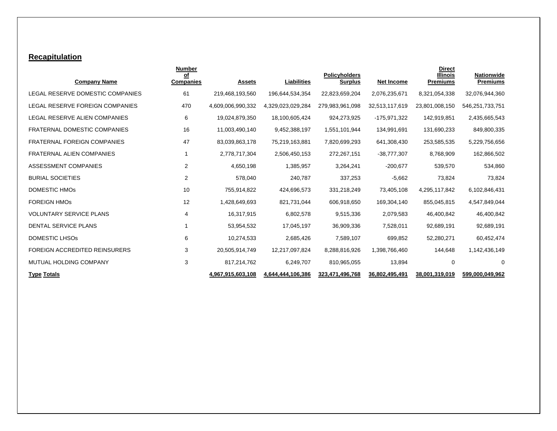### **Recapitulation**

|                                        | <b>Number</b>          |                   |                    |                                        |                   | <b>Direct</b>                      |                        |
|----------------------------------------|------------------------|-------------------|--------------------|----------------------------------------|-------------------|------------------------------------|------------------------|
| <b>Company Name</b>                    | of<br><b>Companies</b> | <b>Assets</b>     | <b>Liabilities</b> | <b>Policyholders</b><br><b>Surplus</b> | <b>Net Income</b> | <b>Illinois</b><br><b>Premiums</b> | Nationwide<br>Premiums |
| LEGAL RESERVE DOMESTIC COMPANIES       | 61                     | 219,468,193,560   | 196,644,534,354    | 22,823,659,204                         | 2,076,235,671     | 8,321,054,338                      | 32,076,944,360         |
| <b>LEGAL RESERVE FOREIGN COMPANIES</b> | 470                    | 4,609,006,990,332 | 4,329,023,029,284  | 279,983,961,098                        | 32,513,117,619    | 23,801,008,150                     | 546,251,733,751        |
| LEGAL RESERVE ALIEN COMPANIES          | 6                      | 19,024,879,350    | 18,100,605,424     | 924,273,925                            | -175,971,322      | 142,919,851                        | 2,435,665,543          |
| FRATERNAL DOMESTIC COMPANIES           | 16                     | 11,003,490,140    | 9,452,388,197      | 1,551,101,944                          | 134,991,691       | 131,690,233                        | 849,800,335            |
| <b>FRATERNAL FOREIGN COMPANIES</b>     | 47                     | 83,039,863,178    | 75,219,163,881     | 7,820,699,293                          | 641,308,430       | 253,585,535                        | 5,229,756,656          |
| <b>FRATERNAL ALIEN COMPANIES</b>       |                        | 2,778,717,304     | 2,506,450,153      | 272,267,151                            | $-38,777,307$     | 8,768,909                          | 162,866,502            |
| ASSESSMENT COMPANIES                   | 2                      | 4,650,198         | 1,385,957          | 3,264,241                              | $-200,677$        | 539,570                            | 534,860                |
| <b>BURIAL SOCIETIES</b>                | 2                      | 578,040           | 240,787            | 337,253                                | $-5,662$          | 73,824                             | 73,824                 |
| <b>DOMESTIC HMOS</b>                   | 10                     | 755,914,822       | 424,696,573        | 331,218,249                            | 73,405,108        | 4,295,117,842                      | 6,102,846,431          |
| <b>FOREIGN HMOS</b>                    | 12                     | 1,428,649,693     | 821,731,044        | 606,918,650                            | 169,304,140       | 855,045,815                        | 4,547,849,044          |
| <b>VOLUNTARY SERVICE PLANS</b>         | 4                      | 16,317,915        | 6,802,578          | 9,515,336                              | 2,079,583         | 46,400,842                         | 46,400,842             |
| <b>DENTAL SERVICE PLANS</b>            |                        | 53,954,532        | 17,045,197         | 36,909,336                             | 7,528,011         | 92,689,191                         | 92,689,191             |
| <b>DOMESTIC LHSOS</b>                  | 6                      | 10,274,533        | 2,685,426          | 7,589,107                              | 699,852           | 52,280,271                         | 60,452,474             |
| <b>FOREIGN ACCREDITED REINSURERS</b>   | 3                      | 20,505,914,749    | 12,217,097,824     | 8,288,816,926                          | 1,398,766,460     | 144,648                            | 1,142,436,149          |
| MUTUAL HOLDING COMPANY                 | 3                      | 817,214,762       | 6,249,707          | 810,965,055                            | 13,894            | 0                                  | 0                      |
| <b>Type Totals</b>                     |                        | 4,967,915,603,108 | 4,644,444,106,386  | 323,471,496,768                        | 36,802,495,491    | 38,001,319,019                     | 599,000,049,962        |